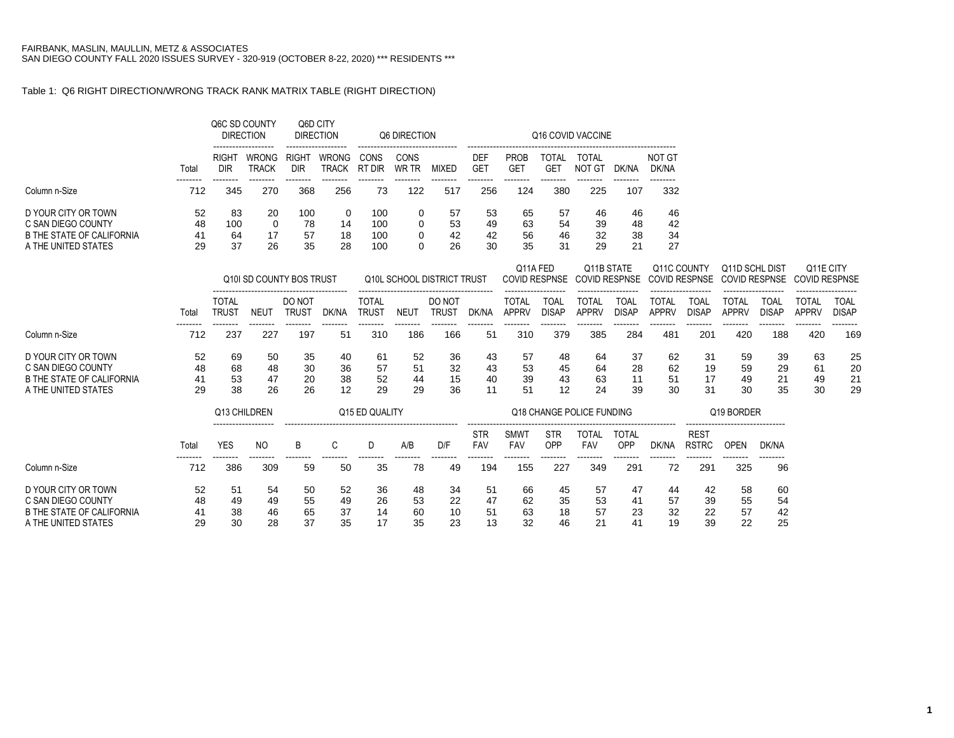## Table 1: Q6 RIGHT DIRECTION/WRONG TRACK RANK MATRIX TABLE (RIGHT DIRECTION)

|                                  |       |                     | Q6C SD COUNTY<br><b>DIRECTION</b> | Q6D CITY<br><b>DIRECTION</b> |                              |                | Q6 DIRECTION  |                            |                          |                           |                                  | Q16 COVID VACCINE                         |                     |                 |                             |                                                |              |                                   |                 |
|----------------------------------|-------|---------------------|-----------------------------------|------------------------------|------------------------------|----------------|---------------|----------------------------|--------------------------|---------------------------|----------------------------------|-------------------------------------------|---------------------|-----------------|-----------------------------|------------------------------------------------|--------------|-----------------------------------|-----------------|
|                                  | Total | RIGHT<br><b>DIR</b> | WRONG<br><b>TRACK</b>             | RIGHT<br><b>DIR</b>          | <b>WRONG</b><br><b>TRACK</b> | CONS<br>RT DIR | CONS<br>WR TR | <b>MIXED</b>               | <b>DEF</b><br><b>GET</b> | <b>PROB</b><br><b>GET</b> | <b>TOTAL</b><br><b>GET</b>       | <b>TOTAL</b><br><b>NOT GT</b>             | DK/NA               | NOT GT<br>DK/NA |                             |                                                |              |                                   |                 |
| Column n-Size                    | 712   | 345                 | 270                               | 368                          | 256                          | 73             | 122           | 517                        | 256                      | 124                       | 380                              | 225                                       | 107                 | 332             |                             |                                                |              |                                   |                 |
| D YOUR CITY OR TOWN              | 52    | 83                  | 20                                | 100                          | 0                            | 100            | 0             | 57                         | 53                       | 65                        | 57                               | 46                                        | 46                  | 46              |                             |                                                |              |                                   |                 |
| C SAN DIEGO COUNTY               | 48    | 100                 | 0                                 | 78                           | 14                           | 100            | 0             | 53                         | 49                       | 63                        | 54                               | 39                                        | 48                  | 42              |                             |                                                |              |                                   |                 |
| <b>B THE STATE OF CALIFORNIA</b> | 41    | 64                  | 17                                | 57                           | 18                           | 100            | 0             | 42                         | 42                       | 56                        | 46                               | 32                                        | 38                  | 34              |                             |                                                |              |                                   |                 |
| A THE UNITED STATES              | 29    | 37                  | 26                                | 35                           | 28                           | 100            | 0             | 26                         | 30                       | 35                        | 31                               | 29                                        | 21                  | 27              |                             |                                                |              |                                   |                 |
|                                  |       |                     | Q10I SD COUNTY BOS TRUST          |                              |                              |                |               | Q10L SCHOOL DISTRICT TRUST |                          |                           | Q11A FED<br><b>COVID RESPNSE</b> | <b>Q11B STATE</b><br><b>COVID RESPNSE</b> |                     | Q11C COUNTY     | <b>COVID RESPNSE</b>        | <b>Q11D SCHL DIST</b><br><b>COVID RESPNSE</b>  |              | Q11E CITY<br><b>COVID RESPNSE</b> |                 |
|                                  |       | <b>TOTAL</b>        |                                   | DO NOT                       |                              | <b>TOTAL</b>   |               | DO NOT                     |                          | <b>TOTAL</b>              | <b>TOAL</b>                      | <b>TOTAL</b>                              | <b>TOAL</b>         | <b>TOTAL</b>    | <b>TOAL</b>                 | <b>TOTAL</b>                                   | <b>TOAL</b>  | <b>TOTAL</b>                      | <b>TOAL</b>     |
|                                  | Total | <b>TRUST</b>        | <b>NEUT</b>                       | <b>TRUST</b>                 | DK/NA                        | <b>TRUST</b>   | <b>NEUT</b>   | <b>TRUST</b>               | DK/NA                    | <b>APPRV</b>              | <b>DISAP</b>                     | <b>APPRV</b>                              | <b>DISAP</b>        | <b>APPRV</b>    | <b>DISAP</b>                | <b>APPRV</b>                                   | <b>DISAP</b> | <b>APPRV</b>                      | <b>DISAP</b>    |
| Column n-Size                    | 712   | 237                 | 227                               | 197                          | --------<br>51               | 310            | .<br>186      | 166                        | 51                       | 310                       | 379                              | 385                                       | --------<br>284     | --------<br>481 | --------<br>201             | 420                                            | 188          | --------<br>420                   | --------<br>169 |
| D YOUR CITY OR TOWN              | 52    | 69                  | 50                                | 35                           | 40                           | 61             | 52            | 36                         | 43                       | 57                        | 48                               | 64                                        | 37                  | 62              | 31                          | 59                                             | 39           | 63                                | 25              |
| C SAN DIEGO COUNTY               | 48    | 68                  | 48                                | 30                           | 36                           | 57             | 51            | 32                         | 43                       | 53                        | 45                               | 64                                        | 28                  | 62              | 19                          | 59                                             | 29           | 61                                | 20              |
| <b>B THE STATE OF CALIFORNIA</b> | 41    | 53                  | 47                                | 20                           | 38                           | 52             | 44            | 15                         | 40                       | 39                        | 43                               | 63                                        | 11                  | 51              | 17                          | 49                                             | 21           | 49                                | 21              |
| A THE UNITED STATES              | 29    | 38                  | 26                                | 26                           | 12                           | 29             | 29            | 36                         | 11                       | 51                        | 12                               | 24                                        | 39                  | 30              | 31                          | 30                                             | 35           | 30                                | 29              |
|                                  |       |                     | Q13 CHILDREN                      |                              |                              | Q15 ED QUALITY |               |                            |                          |                           |                                  | Q18 CHANGE POLICE FUNDING                 |                     |                 |                             | Q19 BORDER                                     |              |                                   |                 |
|                                  | Total | <b>YES</b>          | <b>NO</b>                         | B                            | C                            | D              | A/B           | D/F                        | <b>STR</b><br>FAV        | SMWT<br>FAV               | <b>STR</b><br>OPP                | <b>TOTAL</b><br>FAV                       | <b>TOTAL</b><br>OPP | DK/NA           | <b>REST</b><br><b>RSTRC</b> | -------------------------------<br><b>OPEN</b> | DK/NA        |                                   |                 |
| Column n-Size                    | 712   | 386                 | 309                               | 59                           | 50                           | 35             | 78            | 49                         | 194                      | -------<br>155            | 227                              | 349                                       | --------<br>291     | 72              | --------<br>291             | 325                                            | 96           |                                   |                 |
| D YOUR CITY OR TOWN              | 52    | 51                  | 54                                | 50                           | 52                           | 36             | 48            | 34                         | 51                       | 66                        | 45                               | 57                                        | 47                  | 44              | 42                          | 58                                             | 60           |                                   |                 |
| C SAN DIEGO COUNTY               | 48    | 49                  | 49                                | 55                           | 49                           | 26             | 53            | 22                         | 47                       | 62                        | 35                               | 53                                        | 41                  | 57              | 39                          | 55                                             | 54           |                                   |                 |
| <b>B THE STATE OF CALIFORNIA</b> | 41    | 38                  | 46                                | 65                           | 37                           | 14             | 60            | 10                         | 51                       | 63                        | 18                               | 57                                        | 23                  | 32              | 22                          | 57                                             | 42           |                                   |                 |
| A THE UNITED STATES              | 29    | 30                  | 28                                | 37                           | 35                           | 17             | 35            | 23                         | 13                       | 32                        | 46                               | 21                                        | 41                  | 19              | 39                          | 22                                             | 25           |                                   |                 |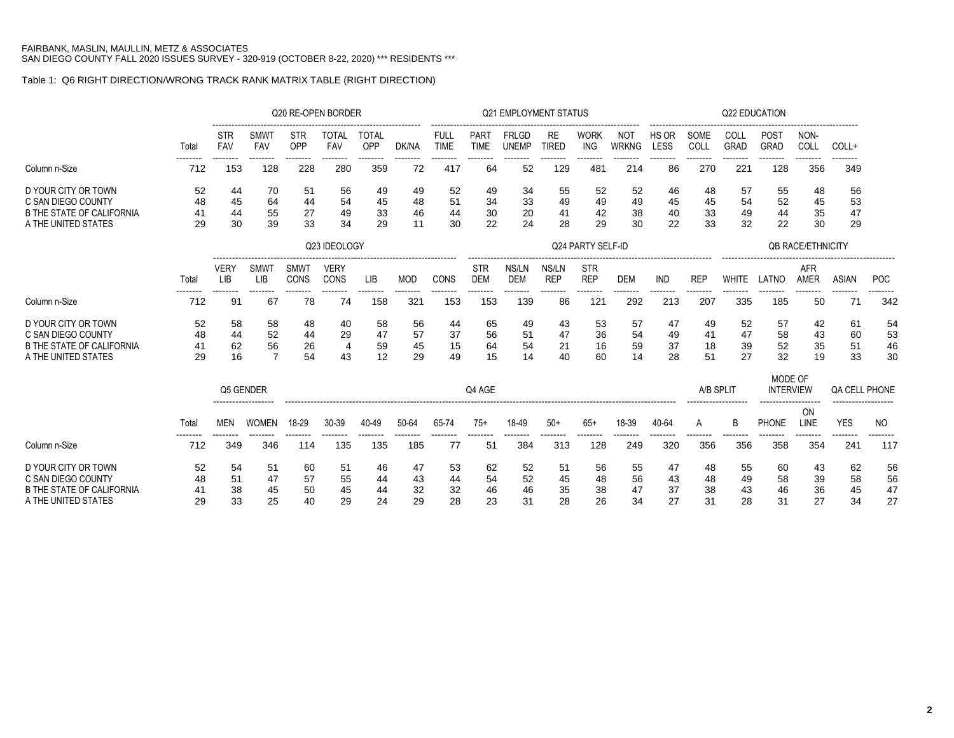## Table 1: Q6 RIGHT DIRECTION/WRONG TRACK RANK MATRIX TABLE (RIGHT DIRECTION)

|                                                                                                      |                      |                                   |                           | Q20 RE-OPEN BORDER         |                            |                     |                      |                            |                          | <b>Q21 EMPLOYMENT STATUS</b> |                      |                          |                      |                      |                      | Q22 EDUCATION        |                             |                          |                      |                      |
|------------------------------------------------------------------------------------------------------|----------------------|-----------------------------------|---------------------------|----------------------------|----------------------------|---------------------|----------------------|----------------------------|--------------------------|------------------------------|----------------------|--------------------------|----------------------|----------------------|----------------------|----------------------|-----------------------------|--------------------------|----------------------|----------------------|
|                                                                                                      | Total                | STR<br>FAV                        | <b>SMWT</b><br><b>FAV</b> | <b>STR</b><br>OPP          | TOTAL<br><b>FAV</b>        | <b>TOTAL</b><br>OPP | DK/NA                | <b>FULL</b><br><b>TIME</b> | PART<br><b>TIME</b>      | <b>FRLGD</b><br><b>UNEMP</b> | RE<br>TIRED          | <b>WORK</b><br>ING       | NOT<br><b>WRKNG</b>  | HS OR<br>LESS        | SOME<br>COLL         | COLL<br><b>GRAD</b>  | <b>POST</b><br><b>GRAD</b>  | NON-<br>COLL             | COLL+                |                      |
| Column n-Size                                                                                        | 712                  | 153                               | 128                       | 228                        | 280                        | 359                 | 72                   | 417                        | 64                       | 52                           | 129                  | 481                      | 214                  | 86                   | 270                  | 221                  | -------<br>128              | 356                      | 349                  |                      |
| D YOUR CITY OR TOWN<br>C SAN DIEGO COUNTY<br><b>B THE STATE OF CALIFORNIA</b>                        | 52<br>48<br>41       | 44<br>45<br>44                    | 70<br>64<br>55            | 51<br>44<br>27             | 56<br>54<br>49             | 49<br>45<br>33      | 49<br>48<br>46       | 52<br>51<br>44             | 49<br>34<br>30           | 34<br>33<br>20               | 55<br>49<br>41       | 52<br>49<br>42           | 52<br>49<br>38       | 46<br>45<br>40       | 48<br>45<br>33       | 57<br>54<br>49       | 55<br>52<br>44              | 48<br>45<br>35           | 56<br>53<br>47       |                      |
| A THE UNITED STATES                                                                                  | 29                   | 30                                | 39                        | 33                         | 34                         | 29                  | 11                   | 30                         | 22                       | 24                           | 28                   | 29                       | 30                   | 22                   | 33                   | 32                   | 22                          | 30                       | 29                   |                      |
|                                                                                                      |                      |                                   |                           |                            | Q23 IDEOLOGY               |                     |                      |                            |                          |                              |                      | Q24 PARTY SELF-ID        |                      |                      |                      |                      |                             | <b>QB RACE/ETHNICITY</b> |                      |                      |
|                                                                                                      | Total                | <b>VERY</b><br><b>LIB</b>         | <b>SMWT</b><br>LIB        | <b>SMWT</b><br><b>CONS</b> | <b>VERY</b><br>CONS        | <b>LIB</b>          | <b>MOD</b>           | CONS                       | <b>STR</b><br><b>DEM</b> | NS/LN<br><b>DEM</b>          | NS/LN<br><b>REP</b>  | <b>STR</b><br><b>REP</b> | <b>DEM</b>           | <b>IND</b>           | <b>REP</b>           | <b>WHITE</b>         | LATNO                       | AFR<br><b>AMER</b>       | <b>ASIAN</b>         | <b>POC</b>           |
| Column n-Size                                                                                        | 712                  | 91                                | 67                        | 78                         | .<br>74                    | --------<br>158     | 321                  | --------<br>153            | ------<br>153            | --------<br>139              | <br>86               | --------<br>121          | -------<br>292       | 213                  | --------<br>207      | 335                  | 185                         | 50                       | --------<br>71       | 342                  |
| D YOUR CITY OR TOWN<br>C SAN DIEGO COUNTY<br><b>B THE STATE OF CALIFORNIA</b><br>A THE UNITED STATES | 52<br>48<br>41<br>29 | 58<br>44<br>62                    | 58<br>52<br>56<br>7       | 48<br>44<br>26             | 40<br>29<br>$\overline{4}$ | 58<br>47<br>59      | 56<br>57<br>45<br>29 | 44<br>37<br>15<br>49       | 65<br>56<br>64<br>15     | 49<br>51<br>54<br>14         | 43<br>47<br>21<br>40 | 53<br>36<br>16<br>60     | 57<br>54<br>59<br>14 | 47<br>49<br>37<br>28 | 49<br>41<br>18<br>51 | 52<br>47<br>39<br>27 | 57<br>58<br>52<br>32        | 42<br>43<br>35<br>19     | 61<br>60<br>51<br>33 | 54<br>53<br>46<br>30 |
|                                                                                                      |                      | 16<br>54<br>43<br>12<br>Q5 GENDER |                           |                            |                            |                     |                      |                            | Q4 AGE                   |                              |                      |                          |                      |                      | A/B SPLIT            |                      | MODE OF<br><b>INTERVIEW</b> |                          | <b>QA CELL PHONE</b> |                      |
|                                                                                                      | Total                | <b>MEN</b>                        | <b>WOMEN</b>              | 18-29                      | 30-39                      | 40-49               | 50-64                | 65-74                      | $75+$                    | 18-49                        | $50+$                | $65+$                    | 18-39                | 40-64                | A                    | B                    | <b>PHONE</b>                | ON<br>LINE               | <b>YES</b>           | NO.                  |
| Column n-Size                                                                                        | ------<br>712        | 349                               | 346                       | 114                        | --------<br>135            | --------<br>135     | --------<br>185      | --------<br>77             | 51                       | 384                          | --------<br>313      | -------<br>128           | -------<br>249       | 320                  | --------<br>356      | --------<br>356      | 358                         | -------<br>354           | --------<br>24'      | 117                  |
| D YOUR CITY OR TOWN<br>C SAN DIEGO COUNTY<br><b>B THE STATE OF CALIFORNIA</b>                        | 52<br>48             | 54<br>51<br>38                    | 51<br>47<br>45            | 60<br>57<br>50             | 51<br>55<br>45             | 46<br>44<br>44      | 47<br>43<br>32       | 53<br>44<br>32             | 62<br>54<br>46           | 52<br>52<br>46               | 51<br>45<br>35       | 56<br>48<br>38           | 55<br>56<br>47       | 47<br>43<br>37       | 48<br>48<br>38       | 55<br>49<br>43       | 60<br>58<br>46              | 43<br>39<br>36           | 62<br>58<br>45       | 56<br>56<br>47       |
| A THE UNITED STATES                                                                                  | 29                   | 33                                | 25                        | 40                         | 29                         | 24                  | 29                   | 28                         | 23                       | 31                           | 28                   | 26                       | 34                   | 27                   | 31                   | 28                   | 31                          | 27                       | 34                   | 27                   |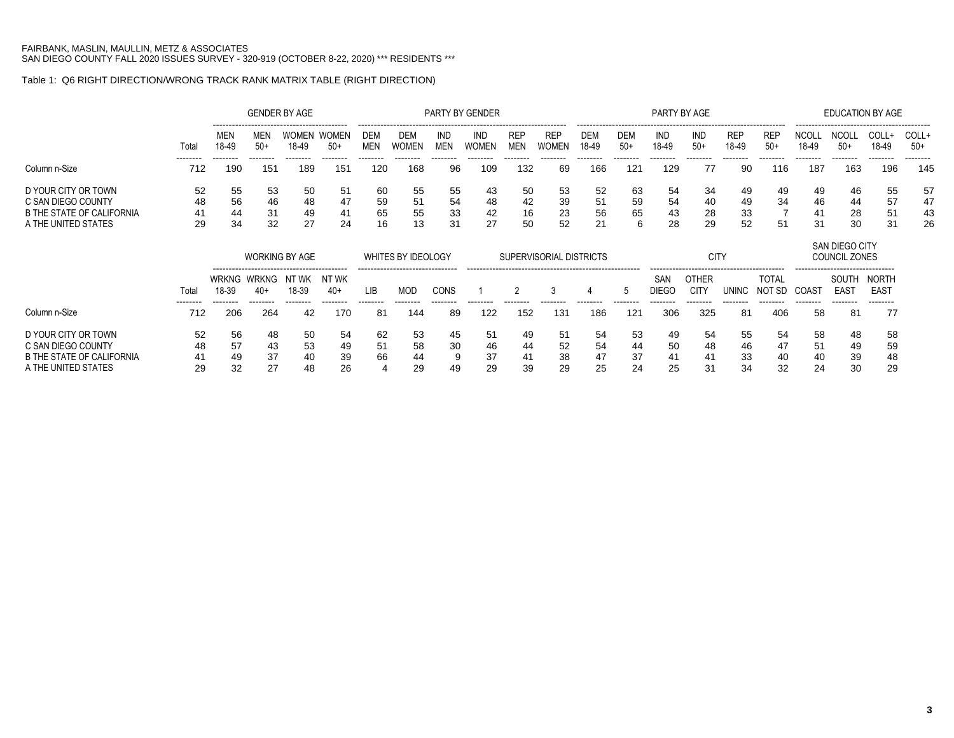### Table 1: Q6 RIGHT DIRECTION/WRONG TRACK RANK MATRIX TABLE (RIGHT DIRECTION)

|                           |                 |                                                                           |                 | <b>GENDER BY AGE</b>  |                       |                   |                     |                          | PARTY BY GENDER     |                          |                            |                     |                     | PARTY BY AGE    |                      |                     |                     |                       | <b>EDUCATION BY AGE</b>                                 |                      |                 |
|---------------------------|-----------------|---------------------------------------------------------------------------|-----------------|-----------------------|-----------------------|-------------------|---------------------|--------------------------|---------------------|--------------------------|----------------------------|---------------------|---------------------|-----------------|----------------------|---------------------|---------------------|-----------------------|---------------------------------------------------------|----------------------|-----------------|
|                           | Total           | <b>MEN</b><br>18-49                                                       | MEN<br>$50+$    | WOMEN<br>18-49        | <b>WOMEN</b><br>$50+$ | DEM<br><b>MEN</b> | DEM<br><b>WOMEN</b> | <b>IND</b><br><b>MEN</b> | IND<br><b>WOMEN</b> | <b>REP</b><br><b>MEN</b> | <b>REP</b><br><b>WOMEN</b> | <b>DEM</b><br>18-49 | <b>DEM</b><br>$50+$ | IND<br>18-49    | IND<br>$50+$         | <b>REP</b><br>18-49 | <b>REP</b><br>$50+$ | <b>NCOLI</b><br>18-49 | NCOL<br>$50+$                                           | COLL+<br>18-49       | COLL+<br>$50+$  |
| Column n-Size             | --------<br>712 | --------<br>190                                                           | --------<br>151 | --------<br>189       | --------<br>151       | --------<br>120   | --------<br>168     | --------<br>96           | --------<br>109     | 132                      | 69                         | --------<br>166     | --------<br>121     | --------<br>129 | --------<br>77       | --------<br>90      | --------<br>116     | --------<br>187       | --------<br>163                                         | --------<br>196      | --------<br>145 |
| D YOUR CITY OR TOWN       | 52              | 55                                                                        | 53              | 50                    | 51                    | 60                | 55                  | 55                       | 43                  | 50                       | 53                         | 52                  | 63                  | -54             | 34                   | 49                  | 49                  | 49                    | 46                                                      | 55                   | 57              |
| C SAN DIEGO COUNTY        | 48              | 56                                                                        | 46              | 48                    | 47                    | 59                | 51                  | 54                       | 48                  | 42                       | 39                         | 51                  | 59                  | -54             | 40                   | 49                  | 34                  | 46                    | 44                                                      | 57                   | 47              |
| B THE STATE OF CALIFORNIA | 41              | 44                                                                        | 31              | 49                    | 41                    | 65                | 55                  | 33                       | 42                  | 16                       | 23                         | 56                  | 65                  | 43              | 28                   | 33                  |                     | 41                    | 28                                                      | 51                   | 43              |
| A THE UNITED STATES       | 29              | 34                                                                        | 32              | 27                    | 24                    | 16                | 13                  | 31                       | 27                  | 50                       | 52                         | 21                  | 6                   | 28              | 29                   | 52                  | 51                  | 31                    | 30                                                      | 31                   | 26              |
|                           |                 |                                                                           |                 | <b>WORKING BY AGE</b> |                       |                   | WHITES BY IDEOLOGY  |                          |                     |                          | SUPERVISORIAL DISTRICTS    |                     |                     |                 | <b>CITY</b>          |                     |                     |                       | SAN DIEGO CITY<br>COUNCIL ZONES                         |                      |                 |
|                           | Total           | <b>WRKNG</b><br>NT WK<br>NT WK<br>WRKNG<br>18-39<br>18-39<br>$40+$<br>40+ |                 |                       |                       | LIB               | MOD                 | CONS                     |                     |                          |                            |                     |                     | SAN<br>DIEGC    | <b>OTHER</b><br>CIT) | UNINC               | TOTAL<br>NOT SD     | COAST                 | -------------------------------<br>SOUTH<br><b>EAST</b> | NORTH<br><b>EAST</b> |                 |

|                                  | $ -$    |     |          |          |          |          |         |          |         |          |         |          |          |         |          |         |          |         |          |          |
|----------------------------------|---------|-----|----------|----------|----------|----------|---------|----------|---------|----------|---------|----------|----------|---------|----------|---------|----------|---------|----------|----------|
|                                  | ------- |     | -------- | -------- | -------- | -------- | ------- | -------- | ------- | -------- | ------- | -------- | -------- | ------- | -------- | ------- | -------- | ------- | -------- | -------- |
| Column n-Size                    | 712     | 206 | 264      | 42       | 170      | 81       | 144     | 89       | 122     | 152      | 131     | 186      | 121      | 306     | 325      | 81      | 406      | 58      | 81       | 77       |
| D YOUR CITY OR TOWN              | 52      | 56  | 48       | 50       | 54       | 62       | 53      | 45       | 51      | 49       | 51      | -54      | 53       | 49      | 54       | 55      | 54       | 58      | 48       | 58       |
| C SAN DIEGO COUNTY               | 48      | -57 |          | 53       | 49       | -51      | 58      | 30       | 46      | 44       | 52      | 54       | 44       | 50      | 48       | 46      | 4/       | -51     | 49       | 59       |
| <b>B THE STATE OF CALIFORNIA</b> |         | 49  | 27       | 40       | 39       | 66       | 44      | a        | 37      |          | 38      | -47      | 37       | 4       |          | 33      | 40       | 40      | 39       | 48       |
| A THE UNITED STATES              | 29      | 32  | n7       | 48       | 26       |          | 29      | 49       | 29      | 3d       | 29      | 25       | 24       | 25      |          | 34      | つつ       | 24      | 30       | 29       |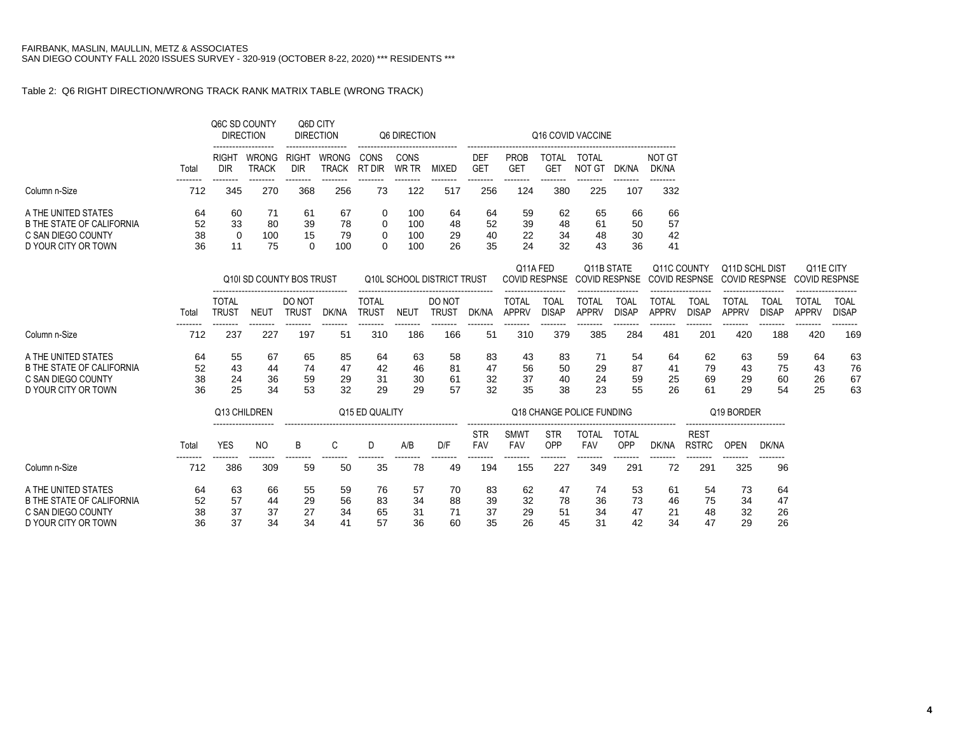### Table 2: Q6 RIGHT DIRECTION/WRONG TRACK RANK MATRIX TABLE (WRONG TRACK)

|                                  |          |                              | Q6C SD COUNTY<br><b>DIRECTION</b> | Q6D CITY<br><b>DIRECTION</b> |                       |                              | Q6 DIRECTION         |                            |                          |                              |                             | Q16 COVID VACCINE                  |                             |                              |                             |                                                |                             |                                   |                             |
|----------------------------------|----------|------------------------------|-----------------------------------|------------------------------|-----------------------|------------------------------|----------------------|----------------------------|--------------------------|------------------------------|-----------------------------|------------------------------------|-----------------------------|------------------------------|-----------------------------|------------------------------------------------|-----------------------------|-----------------------------------|-----------------------------|
|                                  | Total    | <b>RIGHT</b><br>DIR          | WRONG<br><b>TRACK</b>             | <b>RIGHT</b><br><b>DIR</b>   | WRONG<br><b>TRACK</b> | CONS<br>RT DIR               | CONS<br><b>WR TR</b> | <b>MIXED</b>               | <b>DEF</b><br><b>GET</b> | <b>PROB</b><br><b>GET</b>    | <b>TOTAL</b><br><b>GET</b>  | TOTAL<br><b>NOT GT</b>             | DK/NA                       | NOT GT<br>DK/NA              |                             |                                                |                             |                                   |                             |
| Column n-Size                    | 712      | 345                          | 270                               | 368                          | 256                   | 73                           | 122                  | 517                        | 256                      | 124                          | 380                         | 225                                | 107                         | 332                          |                             |                                                |                             |                                   |                             |
| A THE UNITED STATES              | 64       | 60                           | 71                                | -61                          | 67                    | 0                            | 100                  | 64                         | 64                       | 59                           | 62                          | 65                                 | 66                          | 66                           |                             |                                                |                             |                                   |                             |
| <b>B THE STATE OF CALIFORNIA</b> | 52       | 33                           | 80                                | 39                           | 78                    | 0                            | 100                  | 48                         | 52                       | 39                           | 48                          | 61                                 | 50                          | 57                           |                             |                                                |                             |                                   |                             |
| C SAN DIEGO COUNTY               | 38       | $\Omega$                     | 100                               | 15                           | 79                    | 0                            | 100                  | 29                         | 40                       | 22                           | 34                          | 48                                 | 30                          | 42                           |                             |                                                |                             |                                   |                             |
| D YOUR CITY OR TOWN              | 36       | 11                           | 75                                | $\Omega$                     | 100                   | 0                            | 100                  | 26                         | 35                       | 24                           | 32                          | 43                                 | 36                          | 41                           |                             |                                                |                             |                                   |                             |
|                                  |          |                              | Q10I SD COUNTY BOS TRUST          |                              |                       |                              |                      | Q10L SCHOOL DISTRICT TRUST |                          | Q11A FED                     | <b>COVID RESPNSE</b>        | Q11B STATE<br><b>COVID RESPNSE</b> |                             | Q11C COUNTY                  |                             | Q11D SCHL DIST<br>COVID RESPNSE COVID RESPNSE  |                             | Q11E CITY<br><b>COVID RESPNSE</b> |                             |
|                                  | Total    | <b>TOTAL</b><br><b>TRUST</b> | <b>NEUT</b>                       | DO NOT<br><b>TRUST</b>       | ---------<br>DK/NA    | <b>TOTAL</b><br><b>TRUST</b> | <b>NEUT</b>          | DO NOT<br><b>TRUST</b>     | DK/NA                    | <b>TOTAL</b><br><b>APPRV</b> | <b>TOAL</b><br><b>DISAP</b> | <b>TOTAL</b><br><b>APPRV</b>       | <b>TOAL</b><br><b>DISAP</b> | <b>TOTAL</b><br><b>APPRV</b> | <b>TOAL</b><br><b>DISAP</b> | <b>TOTAL</b><br><b>APPRV</b>                   | <b>TOAL</b><br><b>DISAP</b> | <b>TOTAL</b><br><b>APPRV</b>      | <b>TOAL</b><br><b>DISAP</b> |
|                                  | -------- | --------                     | --------                          | --------                     | --------              | --------                     | --------             | --------                   | --------                 | --------                     | --------                    | --------                           | --------                    | --------                     | --------                    | --------                                       | --------                    | --------                          | --------                    |
| Column n-Size                    | 712      | 237                          | 227                               | 197                          | 51                    | 310                          | 186                  | 166                        | 51                       | 310                          | 379                         | 385                                | 284                         | 481                          | 201                         | 420                                            | 188                         | 420                               | 169                         |
| A THE UNITED STATES              | 64       | 55                           | 67                                | 65                           | 85                    | 64                           | 63                   | 58                         | 83                       | 43                           | 83                          | 71                                 | 54                          | 64                           | 62                          | 63                                             | 59                          | 64                                | 63                          |
| <b>B THE STATE OF CALIFORNIA</b> | 52       | 43                           | 44                                | 74                           | 47                    | 42                           | 46                   | 81                         | 47                       | 56                           | 50                          | 29                                 | 87                          | 41                           | 79                          | 43                                             | 75                          | 43                                | 76                          |
| C SAN DIEGO COUNTY               | 38<br>36 | 24                           | 36<br>34                          | 59                           | 29                    | 31                           | 30                   | 61                         | 32                       | 37                           | 40                          | 24                                 | 59                          | 25                           | 69                          | 29                                             | 60                          | 26                                | 67                          |
| D YOUR CITY OR TOWN              |          | 25                           |                                   | 53                           | 32                    | 29                           | 29                   | 57                         | 32                       | 35                           | 38                          | 23                                 | 55                          | 26                           | 61                          | 29                                             | 54                          | 25                                | 63                          |
|                                  |          |                              | Q13 CHILDREN                      |                              |                       | Q15 ED QUALITY               |                      |                            |                          |                              |                             | Q18 CHANGE POLICE FUNDING          |                             |                              |                             | Q19 BORDER                                     |                             |                                   |                             |
|                                  | Total    | <b>YES</b>                   | NO.                               | В                            | C                     | D                            | A/B                  | D/F                        | <b>STR</b><br>FAV        | SMWT<br>FAV                  | <b>STR</b><br>OPP           | <b>TOTAL</b><br><b>FAV</b>         | <b>TOTAL</b><br>OPP         | DK/NA                        | <b>REST</b><br><b>RSTRC</b> | -------------------------------<br><b>OPEN</b> | DK/NA                       |                                   |                             |
| Column n-Size                    | 712      | 386                          | 309                               | 59                           | 50                    | 35                           | 78                   | 49                         | 194                      | 155                          | 227                         | 349                                | 291                         | 72                           | 291                         | 325                                            | 96                          |                                   |                             |
| A THE UNITED STATES              | 64       | 63                           | 66                                | 55                           | 59                    | 76                           | 57                   | 70                         | 83                       | 62                           | 47                          | -74                                | 53                          | 61                           | 54                          | 73                                             | 64                          |                                   |                             |
| <b>B THE STATE OF CALIFORNIA</b> | 52       | 57                           | 44                                | 29                           | 56                    | 83                           | 34                   | 88                         | 39                       | 32                           | 78                          | 36                                 | 73                          | 46                           | 75                          | 34                                             | 47                          |                                   |                             |
| C SAN DIEGO COUNTY               | 38       | 37                           | 37                                | 27                           | 34                    | 65                           | 31                   | 71                         | 37                       | 29                           | 51                          | 34                                 | 47                          | 21                           | 48                          | 32                                             | 26                          |                                   |                             |
| D YOUR CITY OR TOWN              | 36       | 37                           | 34                                | 34                           | 41                    | 57                           | 36                   | 60                         | 35                       | 26                           | 45                          | 31                                 | 42                          | 34                           | 47                          | 29                                             | 26                          |                                   |                             |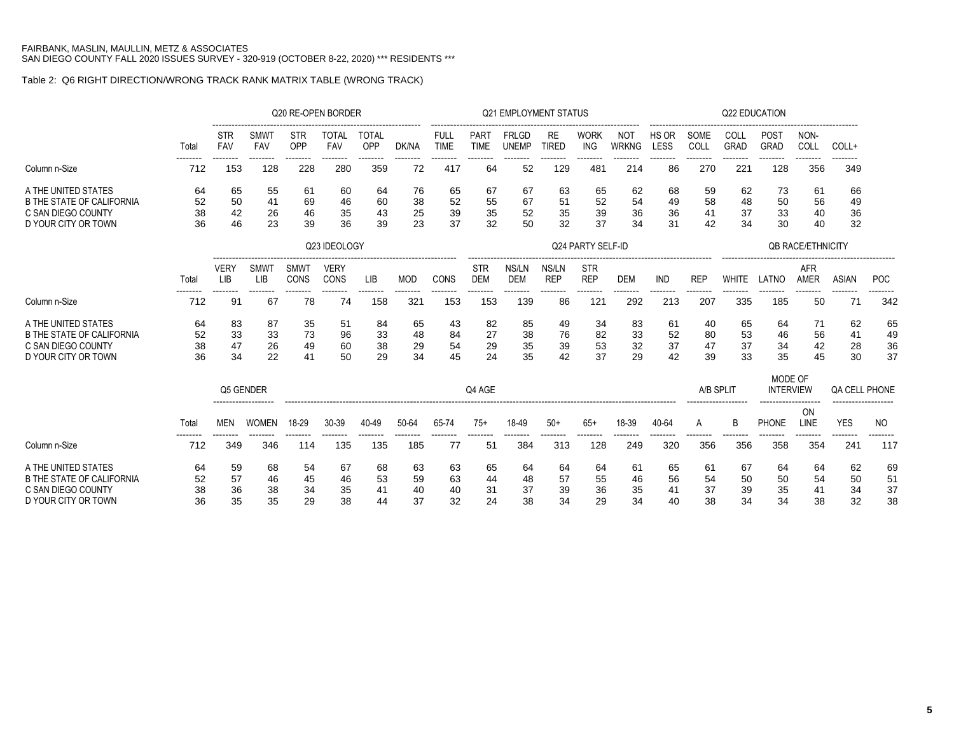## Table 2: Q6 RIGHT DIRECTION/WRONG TRACK RANK MATRIX TABLE (WRONG TRACK)

|                                           |                |                          |                    | Q20 RE-OPEN BORDER |                     |                     |                |                     |                     | <b>Q21 EMPLOYMENT STATUS</b> |                           |                           |                     |                |              | Q22 EDUCATION   |                            |                          |                        |           |
|-------------------------------------------|----------------|--------------------------|--------------------|--------------------|---------------------|---------------------|----------------|---------------------|---------------------|------------------------------|---------------------------|---------------------------|---------------------|----------------|--------------|-----------------|----------------------------|--------------------------|------------------------|-----------|
|                                           | Total          | <b>STR</b><br><b>FAV</b> | <b>SMWT</b><br>FAV | <b>STR</b><br>OPP  | <b>TOTAL</b><br>FAV | <b>TOTAL</b><br>OPP | DK/NA          | FULL<br><b>TIME</b> | PART<br><b>TIME</b> | <b>FRLGD</b><br><b>UNEMP</b> | <b>RE</b><br><b>TIRED</b> | <b>WORK</b><br><b>ING</b> | NOT<br><b>WRKNG</b> | HS OR<br>LESS  | SOME<br>COLL | COLL<br>GRAD    | <b>POST</b><br><b>GRAD</b> | NON-<br>COLL             | COLL+                  |           |
| Column n-Size                             | -------<br>712 | 153                      | --------<br>128    | --------<br>228    | .<br>280            | --------<br>359     | --------<br>72 | -------<br>417      | -------<br>64       | --------<br>52               | 129                       | --------<br>481           | -------<br>214      | --------<br>86 | .<br>270     | --------<br>221 | --------<br>128            | --------<br>356          | <br>349                |           |
| A THE UNITED STATES                       | 64             | 65                       | 55                 | 61                 | 60                  | 64                  | 76             | 65                  | 67                  | 67                           | 63                        | 65                        | 62                  | 68             | 59           | 62              | 73                         | 61                       | 66                     |           |
| <b>B THE STATE OF CALIFORNIA</b>          | 52             | 50                       | 41                 | 69                 | 46                  | 60                  | 38             | 52                  | 55                  | 67                           | 51                        | 52                        | 54                  | 49             | 58           | 48              | 50                         | 56                       | 49                     |           |
| C SAN DIEGO COUNTY<br>D YOUR CITY OR TOWN | 38<br>36       | 42<br>46                 | 26<br>23           | 46<br>39           | 35<br>36            | 43<br>39            | 25<br>23       | 39<br>37            | 35<br>32            | 52<br>50                     | 35<br>32                  | 39<br>37                  | 36<br>34            | 36<br>31       | 41<br>42     | 37<br>34        | 33<br>30                   | 40<br>40                 | 36<br>32               |           |
|                                           |                |                          |                    |                    | Q23 IDEOLOGY        |                     |                |                     |                     |                              |                           | Q24 PARTY SELF-ID         |                     |                |              |                 |                            | <b>QB RACE/ETHNICITY</b> |                        |           |
|                                           |                | <b>VERY</b>              | <b>SMWT</b>        | <b>SMWT</b>        | <b>VERY</b>         |                     |                |                     | <b>STR</b>          | NS/LN                        | NS/LN                     | <b>STR</b>                |                     |                |              |                 |                            | AFR                      |                        |           |
|                                           | Total          | LIB                      | LIB                | CONS               | CONS                | <b>LIB</b>          | <b>MOD</b>     | CONS                | <b>DEM</b>          | <b>DEM</b>                   | <b>REP</b>                | <b>REP</b>                | <b>DEM</b>          | <b>IND</b>     | <b>REP</b>   | <b>WHITE</b>    | LATNO                      | <b>AMER</b>              | <b>ASIAN</b>           | POC       |
| Column n-Size                             | 712            | 91                       | 67                 | 78                 | 74                  | 158                 | 321            | 153                 | 153                 | 139                          | 86                        | 121                       | 292                 | 213            | 207          | 335             | 185                        | 50                       | 71                     | 342       |
| A THE UNITED STATES                       | 64             | 83                       | 87                 | 35                 | 51                  | 84                  | 65             | 43                  | 82                  | 85                           | 49                        | 34                        | 83                  | 61             | 40           | 65              | 64                         | 71                       | 62                     | 65        |
| <b>B THE STATE OF CALIFORNIA</b>          | 52             | 33                       | 33                 | 73                 | 96                  | 33                  | 48             | 84                  | 27                  | 38                           | 76                        | 82                        | 33                  | 52             | 80           | 53              | 46                         | 56                       | 41                     | 49        |
| C SAN DIEGO COUNTY                        | 38             | 47                       | 26                 | 49                 | 60                  | 38                  | 29             | 54                  | 29                  | 35                           | 39                        | 53                        | 32                  | 37             | 47           | 37              | 34                         | 42                       | 28                     | 36        |
| D YOUR CITY OR TOWN                       | 36             | 34                       | 22                 | 41                 | 50                  | 29                  | 34             | 45                  | 24                  | 35                           | 42                        | 37                        | 29                  | 42             | 39           | 33              | 35                         | 45                       | 30                     | 37        |
|                                           |                |                          |                    |                    |                     |                     |                |                     |                     |                              |                           |                           |                     |                |              |                 | MODE OF                    |                          |                        |           |
|                                           |                | Q5 GENDER                |                    |                    |                     |                     |                |                     | Q4 AGE              |                              |                           |                           |                     |                | A/B SPLIT    |                 | <b>INTERVIEW</b>           |                          | <b>QA CELL PHONE</b>   |           |
|                                           |                |                          |                    |                    |                     |                     |                |                     |                     |                              |                           |                           |                     |                |              |                 |                            | <b>ON</b>                |                        |           |
|                                           | Total          | <b>MEN</b>               | <b>WOMEN</b>       | 18-29              | 30-39               | 40-49               | 50-64          | 65-74<br>-------    | $75+$               | 18-49                        | $50+$                     | $65+$<br>--------         | 18-39               | 40-64          | A            | B               | PHONE                      | LINE                     | <b>YES</b><br>-------- | <b>NO</b> |
| Column n-Size                             | 712            | 349                      | 346                | 114                | 135                 | 135                 | 185            | 77                  | 51                  | 384                          | 313                       | 128                       | 249                 | 320            | 356          | 356             | 358                        | 354                      | 241                    | 117       |
| A THE UNITED STATES                       | 64             | 59                       | 68                 | 54                 | 67                  | 68                  | 63             | 63                  | 65                  | 64                           | 64                        | 64                        | 61                  | 65             | 61           | 67              | 64                         | 64                       | 62                     | 69        |
| <b>B THE STATE OF CALIFORNIA</b>          | 52             | 57                       | 46                 | 45                 | 46                  | 53                  | 59             | 63                  | 44                  | 48                           | 57                        | 55                        | 46                  | 56             | 54           | 50              | 50                         | 54                       | 50                     | 51        |
| C SAN DIEGO COUNTY                        | 38             | 36                       | 38                 | 34                 | 35                  | 41                  | 40             | 40                  | 31                  | 37                           | 39                        | 36                        | 35                  | 41             | 37           | 39              | 35                         | 41                       | 34                     | 37        |
| D YOUR CITY OR TOWN                       | 36             | 35                       | 35                 | 29                 | 38                  | 44                  | 37             | 32                  | 24                  | 38                           | 34                        | 29                        | 34                  | 40             | 38           | 34              | 34                         | 38                       | 32                     | 38        |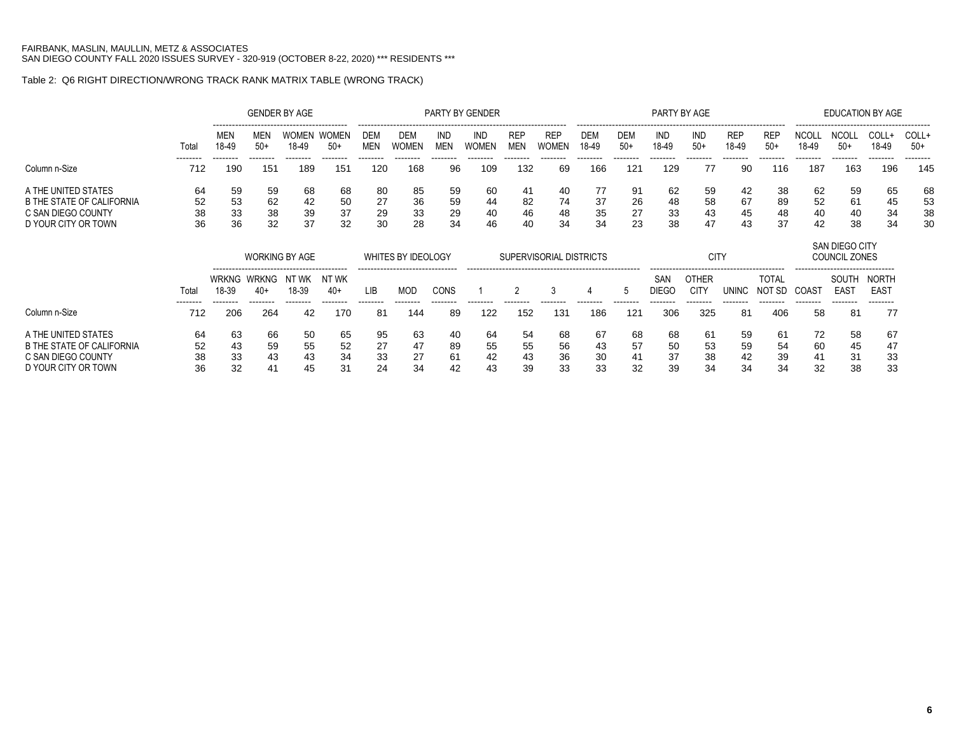## Table 2: Q6 RIGHT DIRECTION/WRONG TRACK RANK MATRIX TABLE (WRONG TRACK)

|                                  |                 |                       |                       | <b>GENDER BY AGE</b>                                   |                       |                   |                    |                   | PARTY BY GENDER |                          |                         |                     |                     |                     | PARTY BY AGE                |                     |                        |                       | <b>EDUCATION BY AGE</b>                                     |                                  |                 |
|----------------------------------|-----------------|-----------------------|-----------------------|--------------------------------------------------------|-----------------------|-------------------|--------------------|-------------------|-----------------|--------------------------|-------------------------|---------------------|---------------------|---------------------|-----------------------------|---------------------|------------------------|-----------------------|-------------------------------------------------------------|----------------------------------|-----------------|
|                                  | Total           | <b>MEN</b><br>18-49   | MEN<br>$50+$          | WOMEN<br>18-49                                         | <b>WOMEN</b><br>$50+$ | DEM<br><b>MEN</b> | DEM<br>WOMEN       | IND<br><b>MEN</b> | IND<br>WOMEN    | <b>REP</b><br><b>MEN</b> | <b>REP</b><br>WOMEN     | <b>DEM</b><br>18-49 | <b>DEM</b><br>$50+$ | IND<br>18-49        | <b>IND</b><br>$50+$         | <b>REP</b><br>18-49 | <b>REF</b><br>$50+$    | <b>NCOLL</b><br>18-49 | NCOL<br>$50+$                                               | COLL+<br>18-49                   | COLL+<br>$50+$  |
| Column n-Size                    | --------<br>712 | --------<br>190       | --------<br>151       | --------<br>189                                        | --------<br>151       | --------<br>120   | --------<br>168    | --------<br>96    | <br>109         | <br>132                  | 69                      | --------<br>166     | --------<br>12′     | --------<br>129     | --------<br>77              | --------<br>90      | --------<br>116        | --------<br>187       | --------<br>163                                             | --------<br>196                  | --------<br>145 |
| A THE UNITED STATES              | 64              | 59                    | 59                    | 68                                                     | 68                    | 80                | 85                 | 59                | 60              | -41                      | 40                      | 77                  | 91                  | 62                  | 59                          | 42                  | 38                     | 62                    | 59                                                          | 65                               | 68              |
| B THE STATE OF CALIFORNIA        | 52              | 53                    | 62                    | 42                                                     | 50                    | 27                | 36                 | 59                | 44              | 82                       | 74                      | 37                  | 26                  | 48                  | 58                          | 67                  | 89                     | 52                    | 61                                                          | 45                               | 53              |
| C SAN DIEGO COUNTY               | 38              | 33                    | 38                    | 39                                                     | 37                    | 29                | 33                 | 29                | 40              | 46                       | 48                      | 35                  | 27                  | 33                  | 43                          | 45                  | 48                     | 40                    | 40                                                          | 34                               | 38              |
| D YOUR CITY OR TOWN              | 36              | 36                    | 32                    | 37                                                     | 32                    | 30                | 28                 | 34                | 46              | 40                       | 34                      | 34                  | 23                  | 38                  | 47                          | 43                  | 37                     | 42                    | 38                                                          | 34                               | 30              |
|                                  |                 |                       |                       | <b>WORKING BY AGE</b>                                  |                       |                   | WHITES BY IDEOLOGY |                   |                 |                          | SUPERVISORIAL DISTRICTS |                     |                     |                     | <b>CITY</b>                 |                     |                        |                       | SAN DIEGO CITY<br>COUNCIL ZONES                             |                                  |                 |
|                                  | Total           | <b>WRKNG</b><br>18-39 | <b>WRKNG</b><br>$40+$ | ------------------------------------<br>NT WK<br>18-39 | NT WK<br>$40+$        | LIB               | <b>MOD</b>         | CONS              |                 |                          | 3                       |                     |                     | SAN<br><b>DIEGC</b> | <b>OTHER</b><br><b>CITY</b> | <b>UNINC</b>        | <b>TOTAL</b><br>NOT SD | COAST                 | ------------------------------<br>SOUTH<br>EAS <sub>1</sub> | <b>NORTH</b><br>EAS <sub>1</sub> |                 |
| Column n-Size                    | <br>712         | -------<br>206        | <br>264               | --------<br>42                                         | .<br>170              | --------<br>81    | -------<br>144     | 89                | 122             | 152                      | 131                     | 186                 | 121                 | 306                 | -------<br>325              | 81                  | 406                    | --------<br>58        | --------<br>81                                              | --------<br>77                   |                 |
| A THE UNITED STATES              | 64              | 63                    | 66                    | 50                                                     | 65                    | 95                | 63                 | 40                | 64              | 54                       | 68                      | 67                  | 68                  | 68                  | 61                          | 59                  | 61                     | 72                    | 58                                                          | 67                               |                 |
| <b>B THE STATE OF CALIFORNIA</b> | 52              | 43                    | 59                    | 55                                                     | 52                    | 27                | 47                 | 89                | 55              | 55                       | 56                      | 43                  | 57                  | 50                  | 53                          | 59                  | 54                     | 60                    | 45                                                          | 47                               |                 |
| C SAN DIEGO COUNTY               | 38              | 33                    | 43                    | 43                                                     | 34                    | 33                | 27                 | 61                | 42              | 43                       | 36                      | 30                  | 41                  | 37                  | 38                          | 42                  | 39                     | 41                    | 31                                                          | 33                               |                 |

D YOUR CITY OR TOWN 36 32 41 45 31 24 34 42 43 39 33 33 32 39 34 34 34 32 38 33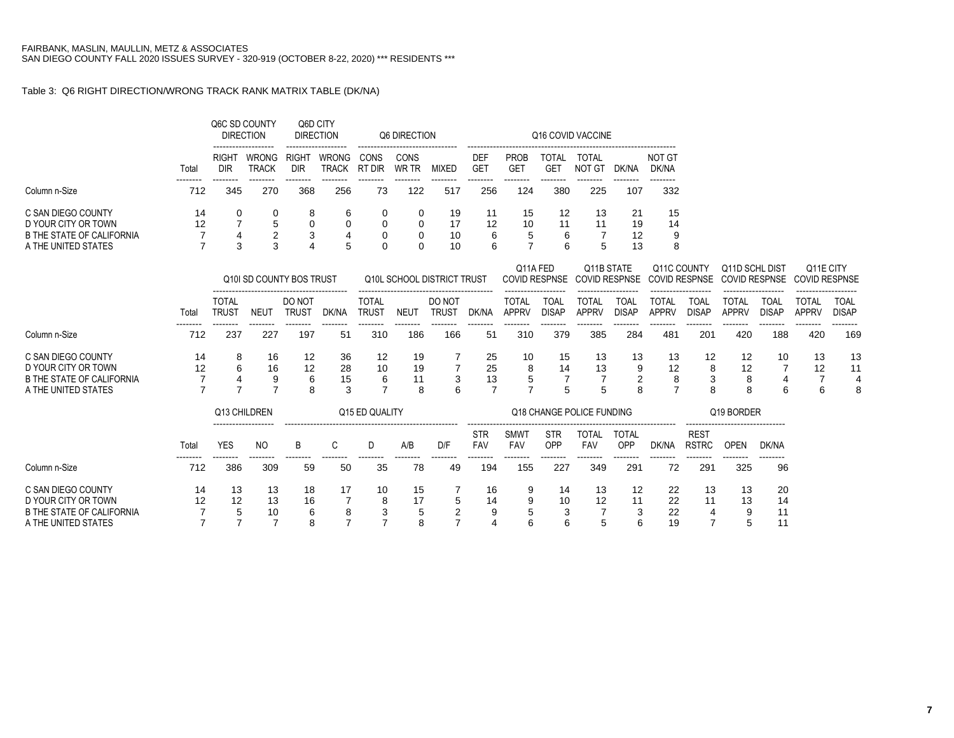## Table 3: Q6 RIGHT DIRECTION/WRONG TRACK RANK MATRIX TABLE (DK/NA)

|                                                                                                      |                | Q6C SD COUNTY                | <b>DIRECTION</b>                 | Q6D CITY                   | <b>DIRECTION</b>             |                              | Q6 DIRECTION        |                                       |                          |                              |                                 | Q16 COVID VACCINE                  |                             |                                 |                                 |                                        |                             |                                   |                             |
|------------------------------------------------------------------------------------------------------|----------------|------------------------------|----------------------------------|----------------------------|------------------------------|------------------------------|---------------------|---------------------------------------|--------------------------|------------------------------|---------------------------------|------------------------------------|-----------------------------|---------------------------------|---------------------------------|----------------------------------------|-----------------------------|-----------------------------------|-----------------------------|
|                                                                                                      | Total          | <b>RIGHT</b><br><b>DIR</b>   | <b>WRONG</b><br><b>TRACK</b>     | <b>RIGHT</b><br><b>DIR</b> | <b>WRONG</b><br><b>TRACK</b> | CONS<br>RT DIR               | CONS<br>WR TR       | <b>MIXED</b>                          | DEF<br><b>GET</b>        | <b>PROB</b><br><b>GET</b>    | <b>TOTAL</b><br><b>GET</b>      | <b>TOTAL</b><br><b>NOT GT</b>      | DK/NA                       | <b>NOT GT</b><br>DK/NA          |                                 |                                        |                             |                                   |                             |
| Column n-Size                                                                                        | 712            | 345                          | 270                              | 368                        | --------<br>256              | 73                           | 122                 | 517                                   | 256                      | <br>124                      | 380                             | 225                                | --------<br>107             | --------<br>332                 |                                 |                                        |                             |                                   |                             |
| C SAN DIEGO COUNTY<br>D YOUR CITY OR TOWN                                                            | 14<br>12       | 0                            | 0<br>5                           | 8<br>$\mathbf 0$           | 6<br>$\mathbf 0$             | 0<br>$\mathbf 0$             | 0<br>0              | 19<br>17                              | 11<br>12                 | 15<br>10                     | 12<br>11                        | 13<br>11                           | 21<br>19                    | 15<br>14                        |                                 |                                        |                             |                                   |                             |
| <b>B THE STATE OF CALIFORNIA</b><br>A THE UNITED STATES                                              | $\overline{7}$ | 3                            | $\boldsymbol{2}$<br>3            | 3                          | 4<br>5                       | 0<br>0                       | 0<br>$\Omega$       | 10<br>10                              | 6<br>6                   | 5<br>7                       | 6<br>6                          | 5                                  | 12<br>13                    | 9<br>8                          |                                 |                                        |                             |                                   |                             |
|                                                                                                      |                |                              | Q10I SD COUNTY BOS TRUST         |                            |                              |                              |                     | Q10L SCHOOL DISTRICT TRUST            |                          | Q11A FED                     | <b>COVID RESPNSE</b>            | Q11B STATE<br><b>COVID RESPNSE</b> |                             | Q11C COUNTY                     | <b>COVID RESPNSE</b>            | Q11D SCHL DIST<br><b>COVID RESPNSE</b> |                             | Q11E CITY<br><b>COVID RESPNSE</b> |                             |
|                                                                                                      | Total          | <b>TOTAL</b><br><b>TRUST</b> | <b>NEUT</b>                      | DO NOT<br><b>TRUST</b>     | DK/NA                        | <b>TOTAL</b><br><b>TRUST</b> | <b>NEUT</b>         | DO NOT<br><b>TRUST</b>                | DK/NA                    | <b>TOTAL</b><br><b>APPRV</b> | <b>TOAL</b><br><b>DISAP</b>     | <b>TOTAL</b><br><b>APPRV</b>       | <b>TOAL</b><br><b>DISAP</b> | <b>TOTAL</b><br><b>APPRV</b>    | <b>TOAL</b><br><b>DISAP</b>     | <b>TOTAL</b><br><b>APPRV</b>           | <b>TOAL</b><br><b>DISAP</b> | <b>TOTAL</b><br><b>APPRV</b>      | <b>TOAL</b><br><b>DISAP</b> |
| Column n-Size                                                                                        | 712            | 237                          | 227                              | 197                        | 51                           | 310                          | 186                 | 166                                   | 51                       | 310                          | 379                             | 385                                | 284                         | 481                             | 201                             | 420                                    | 188                         | --------<br>420                   | --------<br>169             |
| C SAN DIEGO COUNTY<br>D YOUR CITY OR TOWN<br><b>B THE STATE OF CALIFORNIA</b><br>A THE UNITED STATES | 14<br>12       | 8<br>6                       | 16<br>16<br>9<br>$\overline{7}$  | 12<br>12<br>6<br>8         | 36<br>28<br>15<br>3          | 12<br>10<br>6<br>7           | 19<br>19<br>11<br>8 | $\overline{7}$<br>3                   | 25<br>25<br>13<br>7      | 10<br>8<br>5<br>7            | 15<br>14<br>$\overline{7}$<br>5 | 13<br>13<br>$\overline{7}$<br>5    | 13<br>9<br>2<br>8           | 13<br>12<br>8<br>$\overline{7}$ | 12<br>8<br>3<br>8               | 12<br>12<br>8<br>8                     | 10<br>4<br>6                | 13<br>12<br>7<br>6                | 13<br>11<br>4<br>8          |
|                                                                                                      |                | Q13 CHILDREN                 |                                  |                            |                              | Q15 ED QUALITY               |                     |                                       |                          |                              |                                 | Q18 CHANGE POLICE FUNDING          |                             |                                 |                                 | Q19 BORDER                             |                             |                                   |                             |
|                                                                                                      | Total          | <b>YES</b>                   | <b>NO</b>                        | B                          | C                            | D                            | A/B                 | D/F                                   | <b>STR</b><br><b>FAV</b> | <b>SMWT</b><br>FAV           | <b>STR</b><br>OPP               | <b>TOTAL</b><br>FAV                | <b>TOTAL</b><br>OPP         | DK/NA                           | <b>REST</b><br><b>RSTRC</b>     | <b>OPEN</b>                            | DK/NA                       |                                   |                             |
| Column n-Size                                                                                        | 712            | 386                          | 309                              | 59                         | 50                           | 35                           | 78                  | 49                                    | 194                      | 155                          | 227                             | 349                                | 291                         | 72                              | 291                             | 325                                    | 96                          |                                   |                             |
| C SAN DIEGO COUNTY<br>D YOUR CITY OR TOWN<br><b>B THE STATE OF CALIFORNIA</b><br>A THE UNITED STATES | 14<br>12       | 13<br>12<br>5                | 13<br>13<br>10<br>$\overline{7}$ | 18<br>16<br>6<br>8         | 17<br>8<br>7                 | 10<br>$\overline{7}$         | 15<br>17<br>5<br>8  | 5<br>$\overline{2}$<br>$\overline{7}$ | 16<br>14<br>9<br>4       | 9                            | 14<br>10<br>3<br>6              | 13<br>12<br>5                      | 12<br>11<br>3<br>6          | 22<br>22<br>22<br>19            | 13<br>11<br>4<br>$\overline{7}$ | 13<br>13<br>9<br>5                     | 20<br>14<br>11<br>11        |                                   |                             |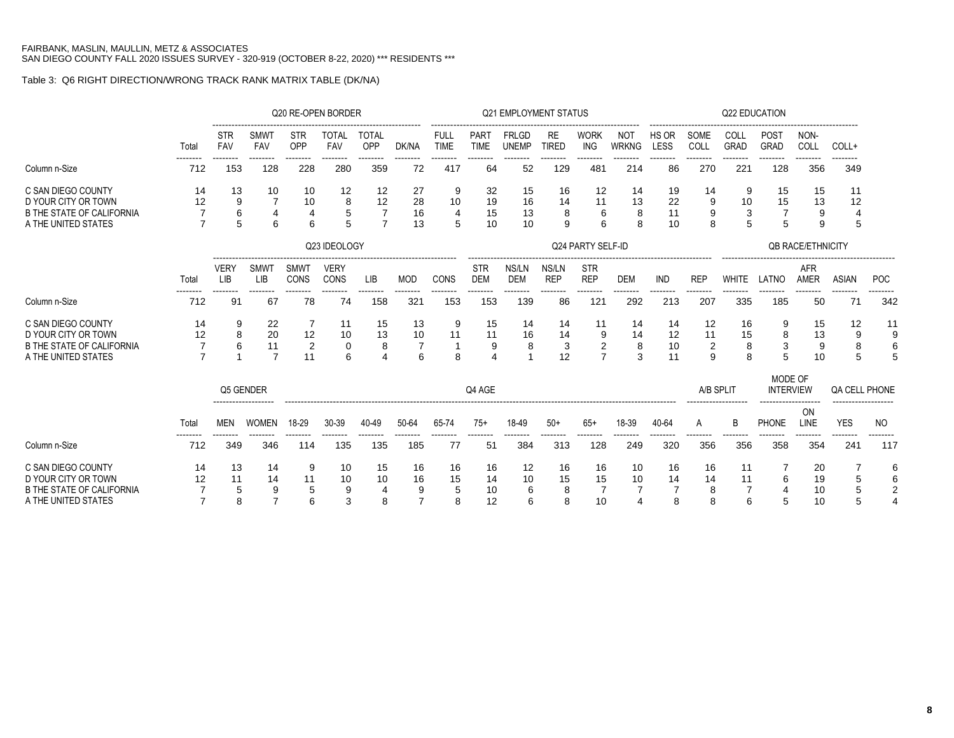## Table 3: Q6 RIGHT DIRECTION/WRONG TRACK RANK MATRIX TABLE (DK/NA)

|                                                                                                      |          |                           |                                  | Q20 RE-OPEN BORDER              |                              |                         |                    |                            |                           | <b>Q21 EMPLOYMENT STATUS</b> |                     |                                |                            |                            |                                 | <b>Q22 EDUCATION</b> |                             |                           |                |                          |
|------------------------------------------------------------------------------------------------------|----------|---------------------------|----------------------------------|---------------------------------|------------------------------|-------------------------|--------------------|----------------------------|---------------------------|------------------------------|---------------------|--------------------------------|----------------------------|----------------------------|---------------------------------|----------------------|-----------------------------|---------------------------|----------------|--------------------------|
|                                                                                                      | Total    | STR<br>FAV                | <b>SMWT</b><br>FAV               | <b>STR</b><br>OPP               | <b>TOTAL</b><br>FAV          | <br><b>TOTAL</b><br>OPP | DK/NA              | <b>FULL</b><br><b>TIME</b> | PART<br><b>TIME</b>       | <b>FRLGD</b><br><b>UNEMP</b> | RE<br><b>TIRED</b>  | <b>WORK</b><br><b>ING</b>      | <b>NOT</b><br><b>WRKNG</b> | HS OR<br>LESS              | SOME<br>COLL                    | COLL<br>GRAD         | POST<br>GRAD                | NON-<br>COLL              | COLL+          |                          |
| Column n-Size                                                                                        | 712      | 153                       | 128                              | 228                             | 280                          | 359                     | 72                 | 417                        | 64                        | 52                           | 129                 | 481                            | 214                        | 86                         | 270                             | 221                  | --------<br>128             | 356                       | 349            |                          |
| C SAN DIEGO COUNTY<br>D YOUR CITY OR TOWN<br><b>B THE STATE OF CALIFORNIA</b>                        | 14<br>12 | 13<br>9<br>6              | 10<br>4                          | 10<br>10<br>$\overline{4}$      | 12<br>8<br>5                 | 12<br>12                | 27<br>28<br>16     | 9<br>10<br>$\overline{4}$  | 32<br>19<br>15            | 15<br>16<br>13               | 16<br>14<br>8       | 12<br>11<br>6                  | 14<br>13<br>8              | 19<br>22<br>11             | 14<br>9<br>9                    | 9<br>10<br>3         | 15<br>15                    | 15<br>13<br>9             | 11<br>12       |                          |
| A THE UNITED STATES                                                                                  |          | 5                         | 6                                | 6                               |                              | $\overline{7}$          | 13                 | 5                          | 10                        | 10                           | 9                   | 6                              | 8                          | 10                         | 8                               | 5                    | 5                           | 9                         | 5              |                          |
|                                                                                                      |          |                           |                                  |                                 | Q23 IDEOLOGY                 |                         |                    |                            |                           |                              |                     | Q24 PARTY SELF-ID              |                            |                            |                                 |                      |                             | <b>QB RACE/ETHNICITY</b>  |                |                          |
|                                                                                                      | Total    | <b>VERY</b><br><b>LIB</b> | SMWT<br>LIB                      | <b>SMWT</b><br>CONS             | <b>VERY</b><br>CONS          | LIB                     | <b>MOD</b>         | CONS                       | <b>STR</b><br><b>DEM</b>  | NS/LN<br><b>DEM</b>          | NS/LN<br><b>REP</b> | <b>STR</b><br><b>REP</b>       | <b>DEM</b>                 | IND                        | <b>REP</b>                      | <b>WHITE</b>         | LATNO                       | <b>AFR</b><br><b>AMER</b> | <b>ASIAN</b>   | <b>POC</b>               |
| Column n-Size                                                                                        | 712      | <br>91                    | --------<br>67                   | .<br>78                         | --------<br>74               | --------<br>158         | --------<br>321    | --------<br>153            | --------<br>153           | --------<br>139              | --------<br>86      | --------<br>12 <sup>1</sup>    | --------<br>292            | .<br>213                   | --------<br>207                 | 335                  | --------<br>185             | 50                        | --------<br>71 | .<br>342                 |
| C SAN DIEGO COUNTY<br>D YOUR CITY OR TOWN<br><b>B THE STATE OF CALIFORNIA</b><br>A THE UNITED STATES | 14<br>12 | 9<br>8<br>6               | 22<br>20<br>11<br>$\overline{7}$ | 7<br>12<br>$\overline{2}$<br>11 | 11<br>10<br>$\mathbf 0$<br>6 | 15<br>13<br>8           | 13<br>10<br>6      | 9<br>11<br>8               | 15<br>11<br>9<br>$\Delta$ | 14<br>16<br>8                | 14<br>14<br>3<br>12 | 11<br>9<br>2<br>$\overline{7}$ | 14<br>14<br>8<br>3         | 14<br>12<br>10<br>11       | 12<br>11<br>$\overline{c}$<br>9 | 16<br>15<br>8<br>8   | 9<br>8<br>3<br>5            | 15<br>13<br>9<br>10       | 12<br>9<br>5   | 11<br>9<br>6             |
|                                                                                                      |          | Q5 GENDER                 |                                  |                                 |                              |                         |                    |                            | Q4 AGE                    |                              |                     |                                |                            |                            | A/B SPLIT                       |                      | MODE OF<br><b>INTERVIEW</b> |                           | QA CELL PHONE  |                          |
|                                                                                                      | Total    | <b>MEN</b>                | <b>WOMEN</b>                     | 18-29                           | 30-39                        | 40-49                   | 50-64              | 65-74                      | $75+$                     | 18-49                        | $50+$               | $65+$                          | 18-39                      | 40-64                      | A                               | B                    | <b>PHONE</b>                | ON<br>LINE                | <b>YES</b>     | <b>NO</b>                |
| Column n-Size                                                                                        | 712      | 349                       | 346                              | 114                             | 135                          | 135                     | 185                | 77                         | 51                        | 384                          | 313                 | 128                            | 249                        | 320                        | 356                             | 356                  | 358                         | 354                       | 241            | 117                      |
| C SAN DIEGO COUNTY<br>D YOUR CITY OR TOWN<br><b>B THE STATE OF CALIFORNIA</b>                        | 14<br>12 | 13<br>11<br>5             | 14<br>14<br>9<br>$\overline{7}$  | 9<br>11<br>5                    | 10<br>10<br>9                | 15<br>10                | 16<br>16<br>9<br>7 | 16<br>15<br>5              | 16<br>14<br>10            | 12<br>10<br>6                | 16<br>15<br>8       | 16<br>15<br>7                  | 10<br>10                   | 16<br>14<br>$\overline{7}$ | 16<br>14<br>8                   | 11<br>11             | 6                           | 20<br>19<br>10            |                | 6<br>6<br>$\overline{2}$ |
| A THE UNITED STATES                                                                                  |          | 8                         |                                  | 6                               | 3                            |                         |                    | 8                          | 12                        |                              | 8                   | 10                             | $\overline{4}$             | 8                          | 8                               | 6                    | 5                           | 10                        |                |                          |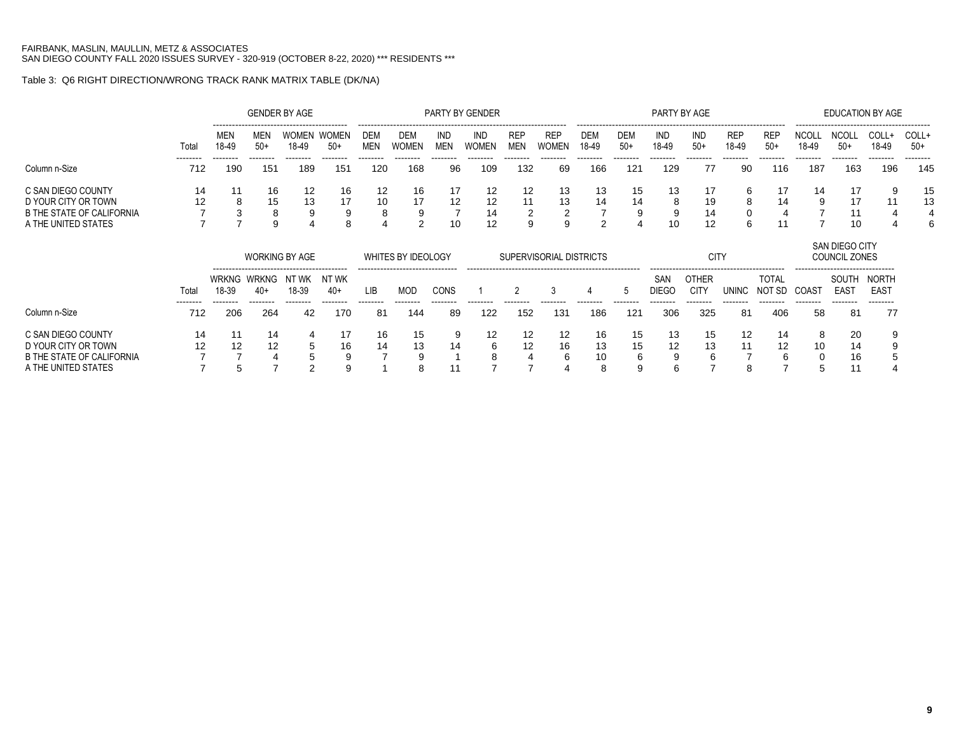## Table 3: Q6 RIGHT DIRECTION/WRONG TRACK RANK MATRIX TABLE (DK/NA)

|                                                  |                  |                                                                                                                    |                 | <b>GENDER BY AGE</b>  |                 |                          |                        |                | <b>PARTY BY GENDER</b> |                          |                         |                 |                     |                     | PARTY BY AGE                |                     |                        |                       | <b>EDUCATION BY AGE</b>                                                    |                           |                 |
|--------------------------------------------------|------------------|--------------------------------------------------------------------------------------------------------------------|-----------------|-----------------------|-----------------|--------------------------|------------------------|----------------|------------------------|--------------------------|-------------------------|-----------------|---------------------|---------------------|-----------------------------|---------------------|------------------------|-----------------------|----------------------------------------------------------------------------|---------------------------|-----------------|
|                                                  | Total            | <b>MEN</b><br>18-49                                                                                                | MEN<br>$50+$    | WOMEN<br>18-49        | WOMEN<br>$50+$  | <b>DEM</b><br><b>MEN</b> | <b>DEM</b><br>WOMEN    | IND<br>MEN     | <b>IND</b><br>WOMEN    | <b>REP</b><br><b>MEN</b> | <b>REP</b><br>WOMEN     | DEM<br>18-49    | <b>DEM</b><br>$50+$ | IND<br>18-49        | IND<br>$50+$                | <b>REP</b><br>18-49 | <b>REF</b><br>$50+$    | <b>NCOLL</b><br>18-49 | <b>NCOLL</b><br>$50+$                                                      | COLL+<br>18-49            | COLL+<br>$50+$  |
| Column n-Size                                    | ---------<br>712 | --------<br>190                                                                                                    | --------<br>151 | --------<br>189       | --------<br>151 | --------<br>120          | --------<br>168        | --------<br>96 | --------<br>109        | --------<br>132          | --------<br>69          | --------<br>166 | --------<br>121     | --------<br>129     | --------<br>77              | --------<br>90      | --------<br>116        | --------<br>187       | --------<br>163                                                            | --------<br>196           | --------<br>145 |
| C SAN DIEGO COUNTY<br>D YOUR CITY OR TOWN        | 14<br>12         | 8                                                                                                                  | 16<br>15        | 12<br>13              | 16<br>17        | 12<br>10                 | 16<br>17               | 12             | 12<br>12               | 12                       | 13<br>13                | 13<br>14        | 15<br>14            | 13<br>ŏ             | 17<br>19                    | 6<br>ŏ              | 17<br>14               | 14                    | 17<br>17                                                                   |                           | 15<br>13        |
| B THE STATE OF CALIFORNIA<br>A THE UNITED STATES |                  |                                                                                                                    | ŏ<br>9          | 9                     | 9<br>8          | 8                        | 9<br>2                 | 10             | 14<br>12               | 9                        | 9                       | ົ               | 9                   |                     | 14<br>12                    | 6                   |                        |                       | 10                                                                         |                           |                 |
|                                                  |                  |                                                                                                                    |                 | <b>WORKING BY AGE</b> |                 |                          | WHITES BY IDEOLOGY<br> |                |                        |                          | SUPERVISORIAL DISTRICTS |                 |                     |                     | <b>CITY</b>                 |                     |                        |                       | SAN DIEGO CITY<br><b>COUNCIL ZONES</b><br>-------------------------------- |                           |                 |
|                                                  | Total            | WRKNG<br>NT WK<br>WRKNG<br>NT WK<br>18-39<br>18-39<br>$40+$<br>40+<br>--------<br>--------<br>--------<br>-------- |                 |                       |                 | LIB                      | MOD                    | CONS           |                        |                          |                         |                 | - 5                 | SAN<br><b>DIFGO</b> | <b>OTHER</b><br><b>CITY</b> | <b>UNINC</b>        | <b>TOTAL</b><br>NOT SD | COAST                 | SOUTH<br>EAS <sup>-</sup>                                                  | NORTH<br>EAS <sup>-</sup> |                 |
| Column n-Size                                    | --------<br>712  | 206<br>264<br>170<br>42                                                                                            |                 |                       |                 | --------<br>81           | --------<br>144        | --------<br>89 | --------<br>122        | -------<br>152           | --------<br>131         | --------<br>186 | --------<br>121     | --------<br>306     | --------<br>325             | --------<br>81      | --------<br>406        | --------<br>58        | --------<br>81                                                             | --------<br>77            |                 |

#### C SAN DIEGO COUNTY 14 11 14 4 17 16 15 9 12 12 12 16 15 13 15 12 14 8 20 9 D YOUR CITY OR TOWN 12 12 12 5 16 14 13 14 6 12 16 13 15 12 13 11 12 10 14 9 0 YOUR CITY OR TOWN 12 12 12 5 16 14 13 14 6 12 16 13 15 12 13 11 12 10 14 9<br>B THE STATE OF CALIFORNIA 7 7 4 5 9 7 9 1 8 4 6 10 6 9 6 7 6 0 16 5<br>A THE UNITED STATES 7 5 7 2 9 1 8 11 7 7 4 8 9 6 7 8 7 5 11 4 A THE UNITED STATES 7 5 7 2 9 1 8 11 7 7 4 8 9 6 7 8 7 5 11 4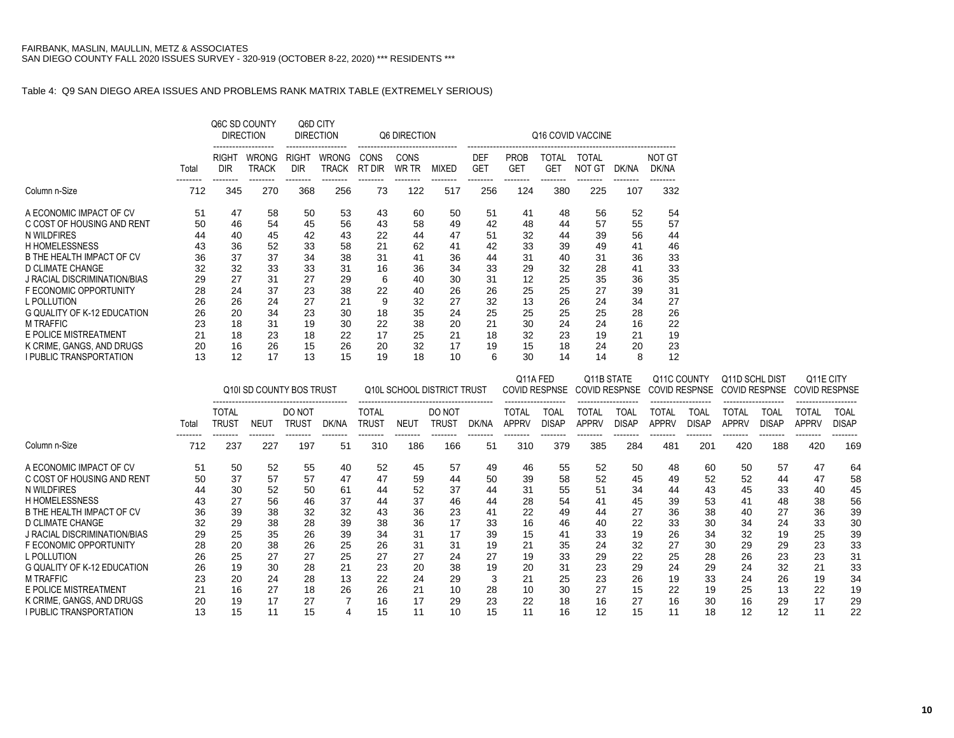#### Table 4: Q9 SAN DIEGO AREA ISSUES AND PROBLEMS RANK MATRIX TABLE (EXTREMELY SERIOUS)

|                                    |       |                     | Q6C SD COUNTY<br><b>DIRECTION</b> |                     | Q6D CITY<br><b>DIRECTION</b> |                | Q6 DIRECTION  |                            |                          |                    |                            | Q16 COVID VACCINE      |                 |                        |                 |                      |                 |                      |                 |
|------------------------------------|-------|---------------------|-----------------------------------|---------------------|------------------------------|----------------|---------------|----------------------------|--------------------------|--------------------|----------------------------|------------------------|-----------------|------------------------|-----------------|----------------------|-----------------|----------------------|-----------------|
|                                    | Total | RIGHT<br><b>DIR</b> | WRONG<br><b>TRACK</b>             | RIGHT<br><b>DIR</b> | WRONG<br><b>TRACK</b>        | CONS<br>RT DIR | CONS<br>WR TR | MIXED                      | <b>DEF</b><br><b>GET</b> | PROB<br><b>GET</b> | <b>TOTAL</b><br><b>GET</b> | <b>TOTAL</b><br>NOT GT | DK/NA           | <b>NOT GT</b><br>DK/NA |                 |                      |                 |                      |                 |
| Column n-Size                      | 712   | 345                 | 270                               | 368                 | 256                          | 73             | 122           | 517                        | 256                      | 124                | 380                        | 225                    | 107             | --------<br>332        |                 |                      |                 |                      |                 |
| A ECONOMIC IMPACT OF CV            | 51    | 47                  | 58                                | 50                  | 53                           | 43             | 60            | 50                         | 51                       | 41                 | 48                         | 56                     | 52              | 54                     |                 |                      |                 |                      |                 |
| C COST OF HOUSING AND RENT         | 50    | 46                  | 54                                | 45                  | 56                           | 43             | 58            | 49                         | 42                       | 48                 | 44                         | 57                     | 55              | 57                     |                 |                      |                 |                      |                 |
| N WILDFIRES                        | 44    | 40                  | 45                                | 42                  | 43                           | 22             | 44            | 47                         | 51                       | 32                 | 44                         | 39                     | 56              | 44                     |                 |                      |                 |                      |                 |
| <b>H HOMELESSNESS</b>              | 43    | 36                  | 52                                | 33                  | 58                           | 21             | 62            | 41                         | 42                       | 33                 | 39                         | 49                     | 41              | 46                     |                 |                      |                 |                      |                 |
| B THE HEALTH IMPACT OF CV          | 36    | 37                  | 37                                | 34                  | 38                           | 31             | 41            | 36                         | 44                       | 31                 | 40                         | 31                     | 36              | 33                     |                 |                      |                 |                      |                 |
| <b>D CLIMATE CHANGE</b>            | 32    | 32                  | 33                                | 33                  | 31                           | 16             | 36            | 34                         | 33                       | 29                 | 32                         | 28                     | 41              | 33                     |                 |                      |                 |                      |                 |
| J RACIAL DISCRIMINATION/BIAS       | 29    | 27                  | 31                                | 27                  | 29                           | 6              | 40            | 30                         | 31                       | 12                 | 25                         | 35                     | 36              | 35                     |                 |                      |                 |                      |                 |
| F ECONOMIC OPPORTUNITY             | 28    | 24                  | 37                                | 23                  | 38                           | 22             | 40            | 26                         | 26                       | 25                 | 25                         | 27                     | 39              | 31                     |                 |                      |                 |                      |                 |
| L POLLUTION                        | 26    | 26                  | 24                                | 27                  | 21                           | 9              | 32            | 27                         | 32                       | 13                 | 26                         | 24                     | 34              | 27                     |                 |                      |                 |                      |                 |
| <b>G QUALITY OF K-12 EDUCATION</b> | 26    | 20                  | 34                                | 23                  | 30                           | 18             | 35            | 24                         | 25                       | 25                 | 25                         | 25                     | 28              | 26                     |                 |                      |                 |                      |                 |
| <b>M TRAFFIC</b>                   | 23    | 18                  | 31                                | 19                  | 30                           | 22             | 38            | 20                         | 21                       | 30                 | 24                         | 24                     | 16              | 22                     |                 |                      |                 |                      |                 |
| E POLICE MISTREATMENT              | 21    | 18                  | 23                                | 18                  | 22                           | 17             | 25            | 21                         | 18                       | 32                 | 23                         | 19                     | 21              | 19                     |                 |                      |                 |                      |                 |
| K CRIME. GANGS. AND DRUGS          | 20    | 16                  | 26                                | 15                  | 26                           | 20             | 32            | 17                         | 19                       | 15                 | 18                         | 24                     | 20              | 23                     |                 |                      |                 |                      |                 |
| <b>I PUBLIC TRANSPORTATION</b>     | 13    | 12                  | 17                                | 13                  | 15                           | 19             | 18            | 10                         | 6                        | 30                 | 14                         | 14                     | 8               | 12                     |                 |                      |                 |                      |                 |
|                                    |       |                     |                                   |                     |                              |                |               |                            |                          |                    | Q11A FED                   | Q11B STATE             |                 | Q11C COUNTY            |                 | Q11D SCHL DIST       |                 | Q11E CITY            |                 |
|                                    |       |                     | Q10I SD COUNTY BOS TRUST          |                     |                              |                |               | Q10L SCHOOL DISTRICT TRUST |                          |                    | <b>COVID RESPNSE</b>       | <b>COVID RESPNSE</b>   |                 | <b>COVID RESPNSE</b>   |                 | <b>COVID RESPNSE</b> |                 | <b>COVID RESPNSE</b> |                 |
|                                    |       | <b>TOTAL</b>        |                                   | DO NOT              |                              | <b>TOTAL</b>   |               | DO NOT                     |                          | <b>TOTAL</b>       | <b>TOAL</b>                | <b>TOTAL</b>           | <b>TOAL</b>     | <b>TOTAL</b>           | <b>TOAL</b>     | <b>TOTAL</b>         | <b>TOAL</b>     | <b>TOTAL</b>         | <b>TOAL</b>     |
|                                    | Total | <b>TRUST</b>        | <b>NEUT</b>                       | <b>TRUST</b>        | DK/NA                        | <b>TRUST</b>   | <b>NEUT</b>   | <b>TRUST</b>               | DK/NA                    | <b>APPRV</b>       | <b>DISAP</b>               | <b>APPRV</b>           | <b>DISAP</b>    | <b>APPRV</b>           | <b>DISAP</b>    | <b>APPRV</b>         | <b>DISAP</b>    | <b>APPRV</b>         | <b>DISAP</b>    |
| Column n-Size                      | 712   | 237                 | --------<br>227                   | 197                 | 51                           | 310            | 186           | 166                        | 51                       | 310                | --------<br>379            | 385                    | --------<br>284 | --------<br>481        | --------<br>201 | 420                  | --------<br>188 | --------<br>420      | --------<br>169 |
| A ECONOMIC IMPACT OF CV            | 51    | 50                  | 52                                | 55                  | 40                           | 52             | 45            | 57                         | 49                       | 46                 | 55                         | 52                     | 50              | 48                     | 60              | 50                   | 57              | 47                   | 64              |
| C COST OF HOUSING AND RENT         | 50    | 37                  | 57                                | 57                  | 47                           | 47             | 59            | 44                         | 50                       | 39                 | 58                         | 52                     | 45              | 49                     | 52              | 52                   | 44              | 47                   | 58              |
| N WILDFIRES                        | 44    | 30                  | 52                                | 50                  | 61                           | 44             | 52            | 37                         | 44                       | 31                 | 55                         | 51                     | 34              | 44                     | 43              | 45                   | 33              | 40                   | 45              |
| <b>H HOMELESSNESS</b>              | 43    | 27                  | 56                                | 46                  | 37                           | 44             | 37            | 46                         | 44                       | 28                 | 54                         | 41                     | 45              | 39                     | 53              | 41                   | 48              | 38                   | 56              |
| B THE HEALTH IMPACT OF CV          | 36    | 39                  | 38                                | 32                  | 32                           | 43             | 36            | 23                         | 41                       | 22                 | 49                         | 44                     | 27              | 36                     | 38              | 40                   | 27              | 36                   | 39              |
| D CLIMATE CHANGE                   | 32    | 29                  | 38                                | 28                  | 39                           | 38             | 36            | 17                         | 33                       | 16                 | 46                         | 40                     | 22              | 33                     | 30              | 34                   | 24              | 33                   | 30              |
| J RACIAL DISCRIMINATION/BIAS       | 29    | 25                  | 35                                | 26                  | 39                           | 34             | 31            | 17                         | 39                       | 15                 | 41                         | 33                     | 19              | 26                     | 34              | 32                   | 19              | 25                   | 39              |
| F ECONOMIC OPPORTUNITY             | 28    | 20                  | 38                                | 26                  | 25                           | 26             | 31            | 31                         | 19                       | 21                 | 35                         | 24                     | 32              | 27                     | 30              | 29                   | 29              | 23                   | 33              |
| L POLLUTION                        | 26    | 25                  | 27                                | 27                  | 25                           | 27             | 27            | 24                         | 27                       | 19                 | 33                         | 29                     | 22              | 25                     | 28              | 26                   | 23              | 23                   | 31              |

L POLLUTION 26 25 27 27 25 27 27 24 27 19 33 29 22 25 28 26 23 23 31 G QUALITY OF K-12 EDUCATION 26 19 30 28 21 23 20 38 19 20 31 23 29 24 29 24 32 21 33 M TRAFFIC 23 20 24 28 13 22 24 29 3 21 25 23 26 19 33 24 26 19 34 E POLICE MISTREATMENT 21 16 27 18 26 26 21 10 28 10 30 27 15 22 19 25 13 22 19 K CRIME, GANGS, AND DRUGS 20 19 17 27 7 16 17 29 23 22 18 16 27 16 30 16 29 17 29 I PUBLIC TRANSPORTATION 13 15 11 15 4 15 11 10 15 11 16 12 15 11 18 12 12 11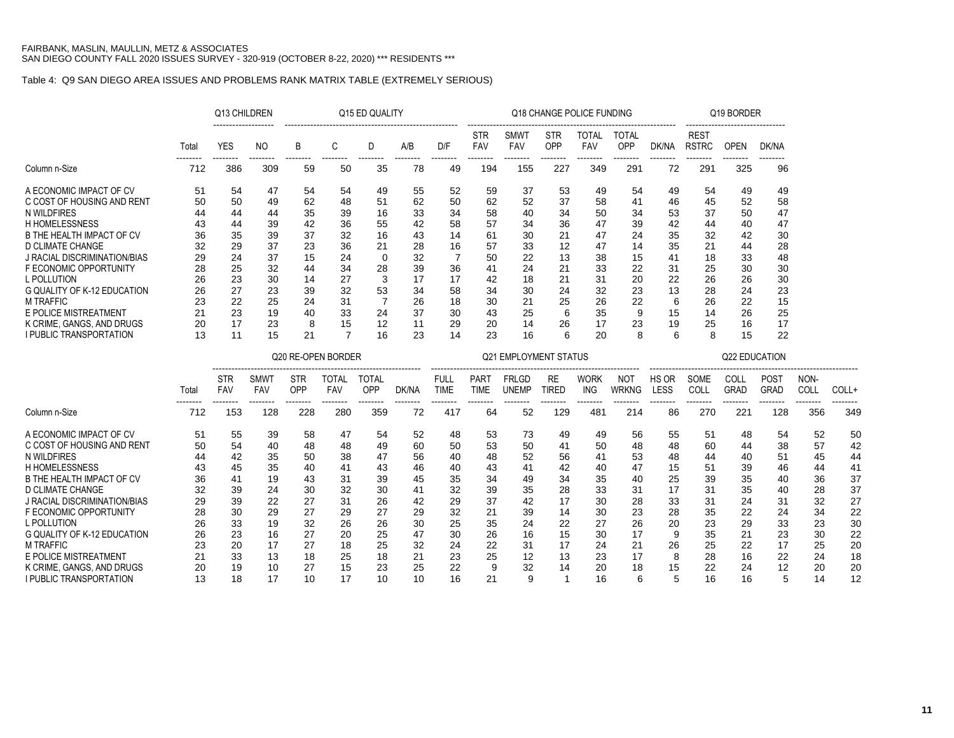I PUBLIC TRANSPORTATION

### Table 4: Q9 SAN DIEGO AREA ISSUES AND PROBLEMS RANK MATRIX TABLE (EXTREMELY SERIOUS)

|                                     |       | Q13 CHILDREN |                |                |                     | Q15 ED QUALITY  |       |                |                            |                              |                   | Q18 CHANGE POLICE FUNDING |                     |             |                             | Q19 BORDER    |             |             |       |
|-------------------------------------|-------|--------------|----------------|----------------|---------------------|-----------------|-------|----------------|----------------------------|------------------------------|-------------------|---------------------------|---------------------|-------------|-----------------------------|---------------|-------------|-------------|-------|
|                                     | Total | <b>YES</b>   | N <sub>O</sub> | B              | C                   | D               | A/B   | D/F            | <b>STR</b><br>FAV          | SMWT<br>FAV                  | <b>STR</b><br>OPP | <b>TOTAL</b><br>FAV       | <b>TOTAL</b><br>OPP | DK/NA       | <b>REST</b><br><b>RSTRC</b> | <b>OPEN</b>   | DK/NA       |             |       |
| Column n-Size                       | 712   | 386          | 309            | 59             | 50                  | 35              | 78    | 49             | 194                        | 155                          | 227               | 349                       | 291                 | 72          | 291                         | 325           | 96          |             |       |
| A ECONOMIC IMPACT OF CV             | 51    | 54           | 47             | 54             | 54                  | 49              | 55    | 52             | 59                         | 37                           | 53                | 49                        | 54                  | 49          | 54                          | 49            | 49          |             |       |
| C COST OF HOUSING AND RENT          | 50    | 50           | 49             | 62             | 48                  | 51              | 62    | 50             | 62                         | 52                           | 37                | 58                        | 41                  | 46          | 45                          | 52            | 58          |             |       |
| N WILDFIRES                         | 44    | 44           | 44             | 35             | 39                  | 16              | 33    | 34             | 58                         | 40                           | 34                | 50                        | 34                  | 53          | 37                          | 50            | 47          |             |       |
| <b>H HOMELESSNESS</b>               | 43    | 44           | 39             | 42             | 36                  | 55              | 42    | 58             | 57                         | 34                           | 36                | 47                        | 39                  | 42          | 44                          | 40            | 47          |             |       |
| B THE HEALTH IMPACT OF CV           | 36    | 35           | 39             | 37             | 32                  | 16              | 43    | 14             | 61                         | 30                           | 21                | 47                        | 24                  | 35          | 32                          | 42            | 30          |             |       |
| D CLIMATE CHANGE                    | 32    | 29           | 37             | 23             | 36                  | 21              | 28    | 16             | 57                         | 33                           | 12                | 47                        | 14                  | 35          | 21                          | 44            | 28          |             |       |
| <b>J RACIAL DISCRIMINATION/BIAS</b> | 29    | 24           | 37             | 15             | 24                  | $\mathbf 0$     | 32    | $\overline{7}$ | 50                         | 22                           | 13                | 38                        | 15                  | 41          | 18                          | 33            | 48          |             |       |
| F ECONOMIC OPPORTUNITY              | 28    | 25           | 32             | 44             | 34                  | 28              | 39    | 36             | 41                         | 24                           | 21                | 33                        | 22                  | 31          | 25                          | 30            | 30          |             |       |
| L POLLUTION                         | 26    | 23           | 30             | 14             | 27                  | 3               | 17    | 17             | 42                         | 18                           | 21                | 31                        | 20                  | 22          | 26                          | 26            | 30          |             |       |
| <b>G QUALITY OF K-12 EDUCATION</b>  | 26    | 27           | 23             | 39             | 32                  | 53              | 34    | 58             | 34                         | 30                           | 24                | 32                        | 23                  | 13          | 28                          | 24            | 23          |             |       |
| <b>M TRAFFIC</b>                    | 23    | 22           | 25             | 24             | 31                  | $\overline{7}$  | 26    | 18             | 30                         | 21                           | 25                | 26                        | 22                  | 6           | 26                          | 22            | 15          |             |       |
| E POLICE MISTREATMENT               | 21    | 23           | 19             | 40             | 33                  | 24              | 37    | 30             | 43                         | 25                           | 6                 | 35                        | 9                   | 15          | 14                          | 26            | 25          |             |       |
| K CRIME, GANGS, AND DRUGS           | 20    | 17           | 23             | 8              | 15                  | 12              | 11    | 29             | 20                         | 14                           | 26                | 17                        | 23                  | 19          | 25                          | 16            | 17          |             |       |
| <b>I PUBLIC TRANSPORTATION</b>      | 13    | 11           | 15             | 21             | $\overline{7}$      | 16              | 23    | 14             | 23                         | 16                           | 6                 | 20                        | 8                   | 6           | 8                           | 15            | 22          |             |       |
|                                     |       |              |                |                | Q20 RE-OPEN BORDER  |                 |       |                |                            | <b>Q21 EMPLOYMENT STATUS</b> |                   |                           |                     |             |                             | Q22 EDUCATION |             |             |       |
|                                     |       | <b>STR</b>   | <b>SMWT</b>    | <b>STR</b>     |                     |                 |       | <b>FULL</b>    |                            | <b>FRLGD</b>                 | <b>RE</b>         | <b>WORK</b>               | <b>NOT</b>          | HS OR       | SOME                        | COLL          | <b>POST</b> | NON-        |       |
|                                     | Total | FAV          | <b>FAV</b>     | OPP            | <b>TOTAL</b><br>FAV | TOTAL<br>OPP    | DK/NA | <b>TIME</b>    | <b>PART</b><br><b>TIME</b> | <b>UNEMP</b>                 | <b>TIRED</b>      | <b>ING</b>                | <b>WRKNG</b>        | <b>LESS</b> | COLL                        | <b>GRAD</b>   | <b>GRAD</b> | COLL        | COLL+ |
| Column n-Size                       | 712   | 153          | 128            | -------<br>228 | --------<br>280     | --------<br>359 | 72    | <br>417        | 64                         | 52                           | -------<br>129    | --------<br>481           | 214                 | 86          | 270                         | 221           | .<br>128    | ----<br>356 | 349   |
| A ECONOMIC IMPACT OF CV             | 51    | 55           | 39             | 58             | 47                  | 54              | 52    | 48             | 53                         | 73                           | 49                | 49                        | 56                  | 55          | 51                          | 48            | 54          | 52          | 50    |
| C COST OF HOUSING AND RENT          | 50    | 54           | 40             | 48             | 48                  | 49              | 60    | 50             | 53                         | 50                           | 41                | 50                        | 48                  | 48          | 60                          | 44            | 38          | 57          | 42    |
| N WILDFIRES                         | 44    | 42           | 35             | 50             | 38                  | 47              | 56    | 40             | 48                         | 52                           | 56                | 41                        | 53                  | 48          | 44                          | 40            | 51          | 45          | 44    |
| <b>H HOMELESSNESS</b>               | 43    | 45           | 35             | 40             | 41                  | 43              | 46    | 40             | 43                         | 41                           | 42                | 40                        | 47                  | 15          | 51                          | 39            | 46          | 44          | 41    |
| B THE HEALTH IMPACT OF CV           | 36    | 41           | 19             | 43             | 31                  | 39              | 45    | 35             | 34                         | 49                           | 34                | 35                        | 40                  | 25          | 39                          | 35            | 40          | 36          | 37    |
| D CLIMATE CHANGE                    | 32    | 39           | 24             | 30             | 32                  | 30              | 41    | 32             | 39                         | 35                           | 28                | 33                        | 31                  | 17          | 31                          | 35            | 40          | 28          | 37    |
| J RACIAL DISCRIMINATION/BIAS        | 29    | 39           | 22             | 27             | 31                  | 26              | 42    | 29             | 37                         | 42                           | 17                | 30                        | 28                  | 33          | 31                          | 24            | 31          | 32          | 27    |
| F ECONOMIC OPPORTUNITY              | 28    | 30           | 29             | 27             | 29                  | 27              | 29    | 32             | 21                         | 39                           | 14                | 30                        | 23                  | 28          | 35                          | 22            | 24          | 34          | 22    |
| L POLLUTION                         | 26    | 33           | 19             | 32             | 26                  | 26              | 30    | 25             | 35                         | 24                           | 22                | 27                        | 26                  | 20          | 23                          | 29            | 33          | 23          | 30    |
| <b>G QUALITY OF K-12 EDUCATION</b>  | 26    | 23           | 16             | 27             | 20                  | 25              | 47    | 30             | 26                         | 16                           | 15                | 30                        | 17                  | 9           | 35                          | 21            | 23          | 30          | 22    |
| <b>M TRAFFIC</b>                    | 23    | 20           | 17             | 27             | 18                  | 25              | 32    | 24             | 22                         | 31                           | 17                | 24                        | 21                  | 26          | 25                          | 22            | 17          | 25          | 20    |
| E POLICE MISTREATMENT               | 21    | 33           | 13             | 18             | 25                  | 18              | 21    | 23             | 25                         | 12                           | 13                | 23                        | 17                  | 8           | 28                          | 16            | 22          | 24          | 18    |
| K CRIME. GANGS. AND DRUGS           | 20    | 19           | 10             | 27             | 15                  | 23              | 25    | 22             | 9                          | 32                           | 14                | 20                        | 18                  | 15          | 22                          | 24            | 12          | 20          | 20    |

K CRIME, GANGS, AND DRUGS 20 19 10 27 15 23 25 22 9 32 14 20 18 15 22 24 12 20 20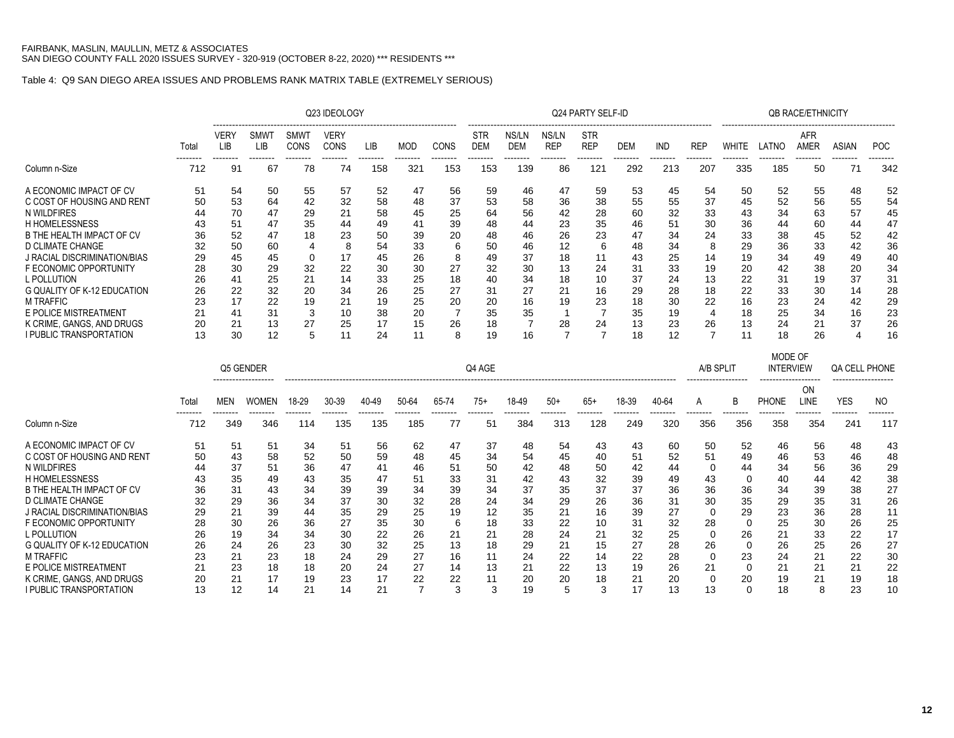## Table 4: Q9 SAN DIEGO AREA ISSUES AND PROBLEMS RANK MATRIX TABLE (EXTREMELY SERIOUS)

|                                    |       |                           |                    |                     | Q23 IDEOLOGY        |       |            |       |                          |                     |                     | Q24 PARTY SELF-ID        |            |            |                |              |                             | <b>QB RACE/ETHNICITY</b> |                      |            |
|------------------------------------|-------|---------------------------|--------------------|---------------------|---------------------|-------|------------|-------|--------------------------|---------------------|---------------------|--------------------------|------------|------------|----------------|--------------|-----------------------------|--------------------------|----------------------|------------|
|                                    | Total | <b>VERY</b><br><b>LIB</b> | <b>SMWT</b><br>LIB | SMWT<br><b>CONS</b> | <b>VERY</b><br>CONS | LIB   | <b>MOD</b> | CONS  | <b>STR</b><br><b>DEM</b> | NS/LN<br><b>DEM</b> | NS/LN<br><b>REP</b> | <b>STR</b><br><b>REP</b> | <b>DEM</b> | <b>IND</b> | <b>REP</b>     | <b>WHITE</b> | LATNO                       | AFR<br>AMER              | <b>ASIAN</b>         | <b>POC</b> |
| Column n-Size                      | 712   | 91                        | 67                 | 78                  | 74                  | 158   | 321        | 153   | 153                      | 139                 | 86                  | 121                      | 292        | 213        | 207            | 335          | 185                         | 50                       | 71                   | 342        |
| A ECONOMIC IMPACT OF CV            | 51    | 54                        | 50                 | 55                  | 57                  | 52    | 47         | 56    | 59                       | 46                  | 47                  | 59                       | 53         | 45         | 54             | 50           | 52                          | 55                       | 48                   | 52         |
| C COST OF HOUSING AND RENT         | 50    | 53                        | 64                 | 42                  | 32                  | 58    | 48         | 37    | 53                       | 58                  | 36                  | 38                       | 55         | 55         | 37             | 45           | 52                          | 56                       | 55                   | 54         |
| N WILDFIRES                        | 44    | 70                        | 47                 | 29                  | 21                  | 58    | 45         | 25    | 64                       | 56                  | 42                  | 28                       | 60         | 32         | 33             | 43           | 34                          | 63                       | 57                   | 45         |
| <b>H HOMELESSNESS</b>              | 43    | 51                        | 47                 | 35                  | 44                  | 49    | 41         | 39    | 48                       | 44                  | 23                  | 35                       | 46         | 51         | 30             | 36           | 44                          | 60                       | 44                   | 47         |
| B THE HEALTH IMPACT OF CV          | 36    | 52                        | 47                 | 18                  | 23                  | 50    | 39         | 20    | 48                       | 46                  | 26                  | 23                       | 47         | 34         | 24             | 33           | 38                          | 45                       | 52                   | 42         |
| <b>D CLIMATE CHANGE</b>            | 32    | 50                        | 60                 | $\overline{4}$      | 8                   | 54    | 33         | 6     | 50                       | 46                  | 12                  | 6                        | 48         | 34         | 8              | 29           | 36                          | 33                       | 42                   | 36         |
| J RACIAL DISCRIMINATION/BIAS       | 29    | 45                        | 45                 | 0                   | 17                  | 45    | 26         | 8     | 49                       | 37                  | 18                  | 11                       | 43         | 25         | 14             | 19           | 34                          | 49                       | 49                   | 40         |
| F ECONOMIC OPPORTUNITY             | 28    | 30                        | 29                 | 32                  | 22                  | 30    | 30         | 27    | 32                       | 30                  | 13                  | 24                       | 31         | 33         | 19             | 20           | 42                          | 38                       | 20                   | 34         |
| L POLLUTION                        | 26    | 41                        | 25                 | 21                  | 14                  | 33    | 25         | 18    | 40                       | 34                  | 18                  | 10                       | 37         | 24         | 13             | 22           | 31                          | 19                       | 37                   | 31         |
| <b>G QUALITY OF K-12 EDUCATION</b> | 26    | 22                        | 32                 | 20                  | 34                  | 26    | 25         | 27    | 31                       | 27                  | 21                  | 16                       | 29         | 28         | 18             | 22           | 33                          | 30                       | 14                   | 28         |
| <b>M TRAFFIC</b>                   | 23    | 17                        | 22                 | 19                  | 21                  | 19    | 25         | 20    | 20                       | 16                  | 19                  | 23                       | 18         | 30         | 22             | 16           | 23                          | 24                       | 42                   | 29         |
| E POLICE MISTREATMENT              | 21    | 41                        | 31                 | 3                   | 10                  | 38    | 20         | 7     | 35                       | 35                  | $\mathbf{1}$        | 7                        | 35         | 19         | $\overline{4}$ | 18           | 25                          | 34                       | 16                   | 23         |
| K CRIME, GANGS, AND DRUGS          | 20    | 21                        | 13                 | 27                  | 25                  | 17    | 15         | 26    | 18                       | $\overline{7}$      | 28                  | 24                       | 13         | 23         | 26             | 13           | 24                          | 21                       | 37                   | 26         |
| <b>I PUBLIC TRANSPORTATION</b>     | 13    | 30                        | 12                 | 5                   | 11                  | 24    | 11         | 8     | 19                       | 16                  | 7                   | $\overline{7}$           | 18         | 12         | 7              | 11           | 18                          | 26                       | 4                    | 16         |
|                                    |       |                           | Q5 GENDER          |                     |                     |       |            |       | Q4 AGE                   |                     |                     |                          |            |            | A/B SPLIT      |              | MODE OF<br><b>INTERVIEW</b> |                          | <b>QA CELL PHONE</b> |            |
|                                    | Total | MEN                       | <b>WOMEN</b>       | 18-29               | 30-39               | 40-49 | 50-64      | 65-74 | $75+$                    | 18-49               | $50+$               | $65+$                    | 18-39      | 40-64      | Α              | B            | <b>PHONE</b>                | <b>ON</b><br>LINE        | <b>YES</b>           | NO.        |
| Column n-Size                      | 712   | 349                       | 346                | 114                 | 135                 | 135   | 185        | 77    | 51                       | 384                 | 313                 | 128                      | 249        | 320        | 356            | 356          | 358                         | 354                      | 241                  | 117        |
| A ECONOMIC IMPACT OF CV            | 51    | 51                        | 51                 | 34                  | 51                  | 56    | 62         | 47    | 37                       | 48                  | 54                  | 43                       | 43         | 60         | 50             | 52           | 46                          | 56                       | 48                   | 43         |
| C COST OF HOUSING AND RENT         | 50    | 43                        | 58                 | 52                  | 50                  | 59    | 48         | 45    | 34                       | 54                  | 45                  | 40                       | 51         | 52         | 51             | 49           | 46                          | 53                       | 46                   | 48         |
| N WILDFIRES                        | 44    | 37                        | 51                 | 36                  | 47                  | 41    | 46         | 51    | 50                       | 42                  | 48                  | 50                       | 42         | 44         | $\mathbf 0$    | 44           | 34                          | 56                       | 36                   | 29         |
| <b>H HOMELESSNESS</b>              | 43    | 35                        | 49                 | 43                  | 35                  | 47    | 51         | 33    | 31                       | 42                  | 43                  | 32                       | 39         | 49         | 43             | $\Omega$     | 40                          | 44                       | 42                   | 38         |
| B THE HEALTH IMPACT OF CV          | 36    | 31                        | 43                 | 34                  | 39                  | 39    | 34         | 39    | 34                       | 37                  | 35                  | 37                       | 37         | 36         | 36             | 36           | 34                          | 39                       | 38                   | 27         |
| <b>D CLIMATE CHANGE</b>            | 32    | 29                        | 36                 | 34                  | 37                  | 30    | 32         | 28    | 24                       | 34                  | 29                  | 26                       | 36         | 31         | 30             | 35           | 29                          | 35                       | 31                   | 26         |
| J RACIAL DISCRIMINATION/BIAS       | 29    | 21                        | 39                 | 44                  | 35                  | 29    | 25         | 19    | 12                       | 35                  | 21                  | 16                       | 39         | 27         | $\Omega$       | 29           | 23                          | 36                       | 28                   | 11         |
| F ECONOMIC OPPORTUNITY             | 28    | 30                        | 26                 | 36                  | 27                  | 35    | 30         | 6     | 18                       | 33                  | 22                  | 10                       | 31         | 32         | 28             | $\mathbf 0$  | 25                          | 30                       | 26                   | 25         |
| L POLLUTION                        | 26    | 19                        | 34                 | 34                  | 30                  | 22    | 26         | 21    | 21                       | 28                  | 24                  | 21                       | 32         | 25         | $\Omega$       | 26           | 21                          | 33                       | 22                   | 17         |
| <b>G QUALITY OF K-12 EDUCATION</b> | 26    | 24                        | 26                 | 23                  | 30                  | 32    | 25         | 13    | 18                       | 29                  | 21                  | 15                       | 27         | 28         | 26             | 0            | 26                          | 25                       | 26                   | 27         |
| <b>M TRAFFIC</b>                   | 23    | 21                        | 23                 | 18                  | 24                  | 29    | 27         | 16    | 11                       | 24                  | 22                  | 14                       | 22         | 28         | $\Omega$       | 23           | 24                          | 21                       | 22                   | 30         |
| E POLICE MISTREATMENT              | 21    | 23                        | 18                 | 18                  | 20                  | 24    | 27         | 14    | 13                       | 21                  | 22                  | 13                       | 19         | 26         | 21             | $\mathbf 0$  | 21                          | 21                       | 21                   | 22         |
| K CRIME, GANGS, AND DRUGS          | 20    | 21                        | 17                 | 19                  | 23                  | 17    | 22         | 22    | 11                       | 20                  | 20                  | 18                       | 21         | 20         | $\Omega$       | 20           | 19                          | 21                       | 19                   | 18         |
| <b>I PUBLIC TRANSPORTATION</b>     | 13    | 12                        | 14                 | 21                  | 14                  | 21    | 7          | 3     | 3                        | 19                  | 5                   | 3                        | 17         | 13         | 13             | $\Omega$     | 18                          | 8                        | 23                   | 10         |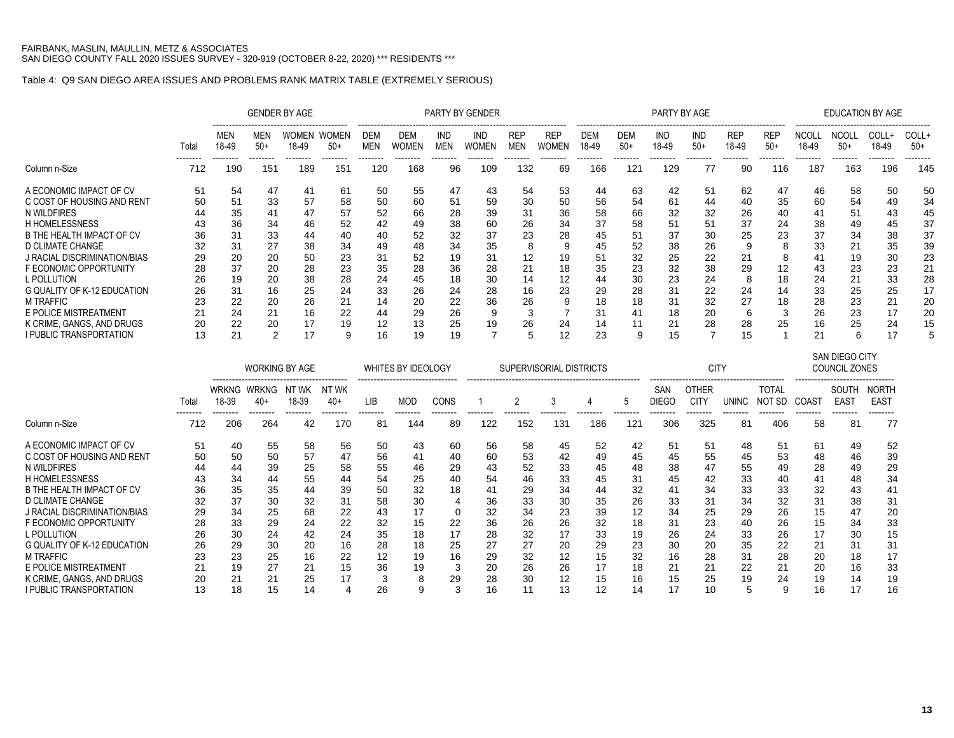## Table 4: Q9 SAN DIEGO AREA ISSUES AND PROBLEMS RANK MATRIX TABLE (EXTREMELY SERIOUS)

|                                                                                                                                                                                                                                                                                                     |                                                                |                                                                      |                                                                      | <b>GENDER BY AGE</b>                                           |                                                                      |                                                                      |                                                                      |                                                                      | <b>PARTY BY GENDER</b>                                              |                                                               |                                                    |                                                                      |                                                                      | PARTY BY AGE                                                          |                                                                        |                                                              |                                                                   |                                                                      |                                                                      | <b>EDUCATION BY AGE</b>                                              |                                                                      |
|-----------------------------------------------------------------------------------------------------------------------------------------------------------------------------------------------------------------------------------------------------------------------------------------------------|----------------------------------------------------------------|----------------------------------------------------------------------|----------------------------------------------------------------------|----------------------------------------------------------------|----------------------------------------------------------------------|----------------------------------------------------------------------|----------------------------------------------------------------------|----------------------------------------------------------------------|---------------------------------------------------------------------|---------------------------------------------------------------|----------------------------------------------------|----------------------------------------------------------------------|----------------------------------------------------------------------|-----------------------------------------------------------------------|------------------------------------------------------------------------|--------------------------------------------------------------|-------------------------------------------------------------------|----------------------------------------------------------------------|----------------------------------------------------------------------|----------------------------------------------------------------------|----------------------------------------------------------------------|
|                                                                                                                                                                                                                                                                                                     | Total<br>--------                                              | MEN<br>18-49<br>--------                                             | MEN<br>$50+$<br>--------                                             | WOMEN<br>18-49<br>--------                                     | WOMEN<br>$50+$<br>--------                                           | <b>DEM</b><br><b>MEN</b><br>--------                                 | DEM<br>Women<br>--------                                             | IND<br>MEN<br>--------                                               | IND<br>Women<br>--------                                            | <b>REP</b><br><b>MEN</b><br>--------                          | <b>REP</b><br>WOMEN                                | <b>DEM</b><br>18-49                                                  | <b>DEM</b><br>$50+$<br>--------                                      | IND<br>18-49<br>--------                                              | <b>IND</b><br>$50+$<br>--------                                        | <b>REP</b><br>18-49<br>-------                               | <b>REP</b><br>$50+$<br>--------                                   | <b>NCOLL</b><br>18-49<br>--------                                    | <b>NCOLL</b><br>$50+$<br>--------                                    | COLL+<br>18-49<br>--------                                           | COLL+<br>$50+$<br>--------                                           |
| Column n-Size                                                                                                                                                                                                                                                                                       | 712                                                            | 190                                                                  | 151                                                                  | 189                                                            | 151                                                                  | 120                                                                  | 168                                                                  | 96                                                                   | 109                                                                 | 132                                                           | 69                                                 | 166                                                                  | 121                                                                  | 129                                                                   | 77                                                                     | 90                                                           | 116                                                               | 187                                                                  | 163                                                                  | 196                                                                  | 145                                                                  |
| A ECONOMIC IMPACT OF CV<br>C COST OF HOUSING AND RENT<br>N WILDFIRES<br><b>H HOMELESSNESS</b><br>B THE HEALTH IMPACT OF CV<br>D CLIMATE CHANGE<br>J RACIAL DISCRIMINATION/BIAS<br>F ECONOMIC OPPORTUNITY<br>L POLLUTION<br>G QUALITY OF K-12 EDUCATION<br><b>M TRAFFIC</b><br>E POLICE MISTREATMENT | 51<br>50<br>44<br>43<br>36<br>32<br>29<br>28<br>26<br>26<br>23 | 54<br>51<br>35<br>36<br>31<br>31<br>20<br>37<br>19<br>31<br>22<br>24 | 47<br>33<br>41<br>34<br>33<br>27<br>20<br>20<br>20<br>16<br>20<br>21 | 41<br>57<br>46<br>44<br>38<br>50<br>28<br>38<br>25<br>26<br>16 | 61<br>58<br>57<br>52<br>40<br>34<br>23<br>23<br>28<br>24<br>21<br>22 | 50<br>50<br>52<br>42<br>40<br>49<br>31<br>35<br>24<br>33<br>14<br>44 | 55<br>60<br>66<br>49<br>52<br>48<br>52<br>28<br>45<br>26<br>20<br>29 | 47<br>51<br>28<br>38<br>32<br>34<br>19<br>36<br>18<br>24<br>22<br>26 | 43<br>59<br>39<br>60<br>37<br>35<br>31<br>28<br>30<br>28<br>36<br>9 | 54<br>30<br>31<br>26<br>23<br>8<br>12<br>21<br>14<br>16<br>26 | 53<br>50<br>36<br>34<br>28<br>19<br>18<br>12<br>23 | 44<br>56<br>58<br>37<br>45<br>45<br>51<br>35<br>44<br>29<br>18<br>31 | 63<br>54<br>66<br>58<br>51<br>52<br>32<br>23<br>30<br>28<br>18<br>41 | 42<br>-61<br>32<br>51<br>37<br>38<br>25<br>32<br>23<br>31<br>31<br>18 | 51<br>44<br>32<br>51<br>30<br>26<br>-22<br>38<br>24<br>-22<br>32<br>20 | 62<br>40<br>26<br>37<br>25<br>21<br>29<br>8<br>24<br>27<br>6 | 47<br>35<br>40<br>24<br>23<br>8<br>8<br>12<br>18<br>14<br>18<br>3 | 46<br>60<br>41<br>38<br>37<br>33<br>41<br>43<br>24<br>33<br>28<br>26 | 58<br>54<br>51<br>49<br>34<br>21<br>19<br>23<br>21<br>25<br>23<br>23 | 50<br>49<br>43<br>45<br>38<br>35<br>30<br>23<br>33<br>25<br>21<br>17 | 50<br>34<br>45<br>37<br>37<br>39<br>23<br>21<br>28<br>17<br>20<br>20 |
| K CRIME, GANGS, AND DRUGS<br>I PUBLIC TRANSPORTATION                                                                                                                                                                                                                                                | 20<br>13                                                       | 22<br>21                                                             | 20<br>2                                                              | 17<br>17                                                       | 19<br>9                                                              | 12<br>16                                                             | 13<br>19                                                             | 25<br>19                                                             | 19                                                                  | 26<br>5                                                       | 24<br>12                                           | 14<br>23                                                             | 11<br>9                                                              | 21<br>15                                                              | 28                                                                     | 28<br>15                                                     | 25                                                                | 16<br>21                                                             | 25<br>6                                                              | 24<br>17                                                             | 15                                                                   |

|                              |       |       | <b>WORKING BY AGE</b>                                       |                |                |     | WHITES BY IDEOLOGY |      |     | SUPERVISORIAL DISTRICTS |     |     |     |                     | <b>CITY</b>                 |       |                        |                   | SAN DIEGO CITY<br><b>COUNCIL ZONES</b> |                                  |
|------------------------------|-------|-------|-------------------------------------------------------------|----------------|----------------|-----|--------------------|------|-----|-------------------------|-----|-----|-----|---------------------|-----------------------------|-------|------------------------|-------------------|----------------------------------------|----------------------------------|
|                              | Total | 18-39 | -------------------------------------<br>WRKNG WRKNG<br>40+ | NT WK<br>18-39 | NT WK<br>$40+$ | LIB | <b>MOD</b>         | CONS |     |                         |     |     |     | <b>SAN</b><br>DIEGC | <b>OTHER</b><br><b>CITY</b> | UNINC | <b>TOTAL</b><br>NOT SD | COAS <sub>1</sub> | SOUTH<br><b>EAST</b>                   | <b>NORTH</b><br>EAS <sub>1</sub> |
| Column n-Size                | 712   | 206   | --------<br>264                                             | 42             | 170            | 81  | 144                | 89   | 122 | 152                     | 131 | 186 | 121 | 306                 | 325                         | 81    | 406                    | 58                | 81                                     | 77                               |
| A ECONOMIC IMPACT OF CV      | 51    | 40    | 55                                                          | 58             | 56             | 50  | 43                 | 60   | 56  | 58                      | 45  | 52  | 42  | 51                  | 51                          | 48    | 51                     | 61                | 49                                     | 52                               |
| C COST OF HOUSING AND RENT   | 50    | 50    | 50                                                          | 57             | 47             | 56  | 41                 | 40   | 60  | 53                      | 42  | 49  | 45  | 45                  | 55                          | 45    | 53                     | 48                | 46                                     | 39                               |
| N WILDFIRES                  | 44    | 44    | 39                                                          | 25             | 58             | 55  | 46                 | 29   | 43  | 52                      | 33  | 45  | 48  | 38                  | 47                          | 55    | 49                     | 28                | 49                                     | 29                               |
| <b>H HOMELESSNESS</b>        | 43    | 34    | 44                                                          | 55             | 44             | 54  | 25                 | 40   | 54  | 46                      | 33  | 45  | 31  | 45                  | 42                          | 33    | 40                     | 41                | 48                                     | 34                               |
| B THE HEALTH IMPACT OF CV    | 36    | 35    | 35                                                          | 44             | 39             | 50  | 32                 | 18   | 41  | 29                      | 34  | 44  | 32  | 41                  | 34                          | 33    | 33                     | 32                | 43                                     | 41                               |
| D CLIMATE CHANGE             | 32    | 37    | 30                                                          | 32             | 31             | 58  | 30                 |      | 36  | 33                      | 30  | 35  | 26  | 33                  | 31                          | 34    | 32                     | 31                | 38                                     | 31                               |
| J RACIAL DISCRIMINATION/BIAS | 29    | 34    | 25                                                          | 68             | 22             | 43  |                    | 0    | 32  | 34                      | 23  | 39  | 12  | 34                  | 25                          | 29    | 26                     | 15                | 47                                     | 20                               |
| F ECONOMIC OPPORTUNITY       | 28    | 33    | 29                                                          | 24             | 22             | 32  | 15                 | 22   | 36  | 26                      | 26  | 32  | 18  | 31                  | 23                          | 40    | 26                     | 15                | 34                                     | 33                               |
| L POLLUTION                  | 26    | 30    | 24                                                          | 42             | 24             | 35  | 18                 | 17   | 28  | 32                      | 17  | 33  | 19  | 26                  | 24                          | 33    | 26                     | 17                | 30                                     | 15                               |
| G QUALITY OF K-12 EDUCATION  | 26    | 29    | 30                                                          | 20             | 16             | 28  | 18                 | 25   | 27  | 27                      | 20  | 29  | 23  | 30                  | 20                          | 35    | 22                     | 21                | 31                                     | 31                               |
| <b>M TRAFFIC</b>             | 23    | 23    | 25                                                          | 16             | 22             | 12  | 19                 | 16   | 29  | 32                      | 12  | 15  | 32  | 16                  | 28                          | 31    | 28                     | 20                | 18                                     | 17                               |
| E POLICE MISTREATMENT        | 21    | 19    | 27                                                          | 21             | 15             | 36  | 19                 | -3   | 20  | 26                      | 26  | 17  | 18  | 21                  | 21                          | 22    | 21                     | 20                | 16                                     | 33                               |
| K CRIME, GANGS, AND DRUGS    | 20    | 21    | 2 <sup>1</sup>                                              | 25             |                |     | 8                  | 29   | 28  | 30                      | 12  | 15  | 16  | 15                  | 25                          | 19    | 24                     | 19                | 14                                     | 19                               |
| I PUBLIC TRANSPORTATION      | 13    | 18    | 15                                                          | 14             |                | 26  |                    | 3    | 16  |                         | 13  | 12  | 14  | 17                  | 10                          |       | 9                      | 16                |                                        | 16                               |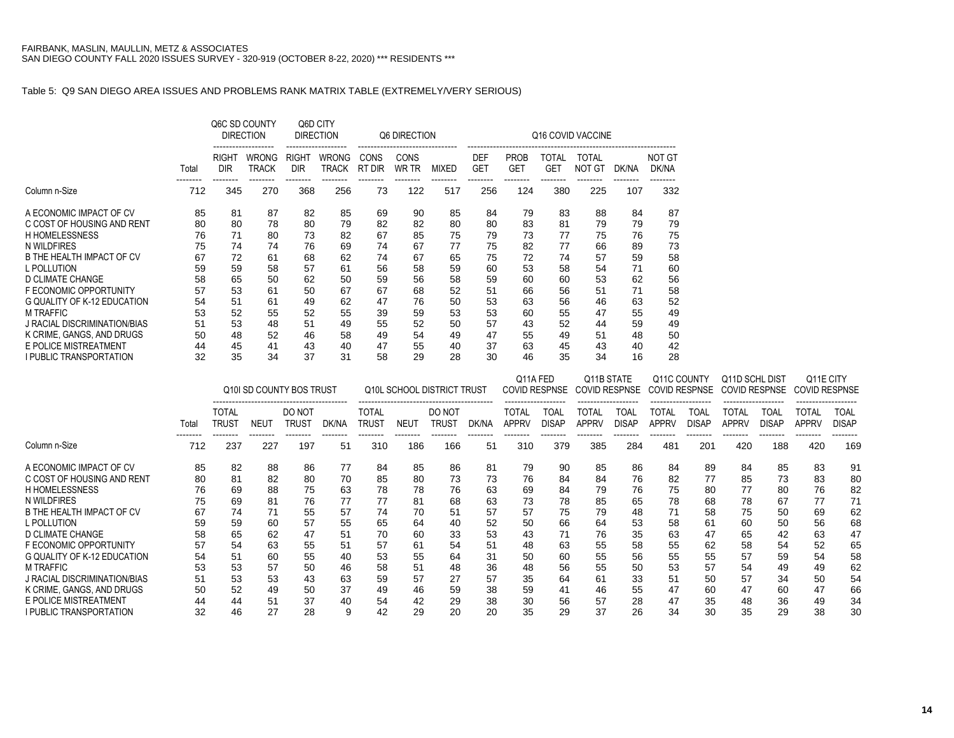**I PUBLIC TRANSPORTATION** 

#### Table 5: Q9 SAN DIEGO AREA ISSUES AND PROBLEMS RANK MATRIX TABLE (EXTREMELY/VERY SERIOUS)

|                                                              |          | Q6C SD COUNTY              | <b>DIRECTION</b>             | Q6D CITY            | <b>DIRECTION</b>             |                 | Q6 DIRECTION    |                            |                          |                           |                            | Q16 COVID VACCINE                  |                 |                        |                                     |                 |                      |                      |                 |
|--------------------------------------------------------------|----------|----------------------------|------------------------------|---------------------|------------------------------|-----------------|-----------------|----------------------------|--------------------------|---------------------------|----------------------------|------------------------------------|-----------------|------------------------|-------------------------------------|-----------------|----------------------|----------------------|-----------------|
|                                                              | Total    | <b>RIGHT</b><br><b>DIR</b> | <b>WRONG</b><br><b>TRACK</b> | RIGHT<br><b>DIR</b> | <b>WRONG</b><br><b>TRACK</b> | CONS<br>RT DIR  | CONS<br>WR TR   | <b>MIXED</b>               | <b>DEF</b><br><b>GET</b> | <b>PROB</b><br><b>GET</b> | <b>TOTAL</b><br><b>GET</b> | <b>TOTAL</b><br><b>NOT GT</b>      | DK/NA           | <b>NOT GT</b><br>DK/NA |                                     |                 |                      |                      |                 |
| Column n-Size                                                | 712      | 345                        | 270                          | 368                 | 256                          | 73              | 122             | 517                        | 256                      | --------<br>124           | 380                        | 225                                | 107             | --------<br>332        |                                     |                 |                      |                      |                 |
| A ECONOMIC IMPACT OF CV                                      | 85       | 81                         | 87                           | 82                  | 85                           | 69              | 90              | 85                         | 84                       | 79                        | 83                         | 88                                 | 84              | 87                     |                                     |                 |                      |                      |                 |
| C COST OF HOUSING AND RENT                                   | 80       | 80                         | 78                           | 80                  | 79                           | 82              | 82              | 80                         | 80                       | 83                        | 81                         | 79                                 | 79              | 79                     |                                     |                 |                      |                      |                 |
| <b>H HOMELESSNESS</b>                                        | 76       | 71                         | 80                           | 73                  | 82                           | 67              | 85              | 75                         | 79                       | 73                        | 77                         | 75                                 | 76              | 75                     |                                     |                 |                      |                      |                 |
| N WILDFIRES                                                  | 75       | 74                         | 74                           | 76                  | 69                           | 74              | 67              | 77                         | 75                       | 82                        | 77                         | 66                                 | 89              | 73                     |                                     |                 |                      |                      |                 |
| B THE HEALTH IMPACT OF CV                                    | 67       | 72                         | 61                           | 68                  | 62                           | 74              | 67              | 65                         | 75                       | 72                        | 74                         | 57                                 | 59              | 58                     |                                     |                 |                      |                      |                 |
| L POLLUTION                                                  | 59       | 59                         | 58                           | 57                  | 61                           | 56              | 58              | 59                         | 60                       | 53                        | 58                         | 54                                 | 71              | 60                     |                                     |                 |                      |                      |                 |
| D CLIMATE CHANGE                                             | 58       | 65                         | 50                           | 62                  | 50                           | 59              | 56              | 58                         | 59                       | 60                        | 60                         | 53                                 | 62              | 56                     |                                     |                 |                      |                      |                 |
| F ECONOMIC OPPORTUNITY<br><b>G QUALITY OF K-12 EDUCATION</b> | 57       | 53                         | 61                           | 50                  | 67                           | 67              | 68              | 52                         | 51                       | 66                        | 56                         | 51                                 | 71              | 58                     |                                     |                 |                      |                      |                 |
| <b>M TRAFFIC</b>                                             | 54<br>53 | 51<br>52                   | 61<br>55                     | 49<br>52            | 62<br>55                     | 47<br>39        | 76<br>59        | 50<br>53                   | 53<br>53                 | 63<br>60                  | 56<br>55                   | 46<br>47                           | 63<br>55        | 52<br>49               |                                     |                 |                      |                      |                 |
| J RACIAL DISCRIMINATION/BIAS                                 | 51       | 53                         | 48                           | 51                  | 49                           | 55              | 52              | 50                         | 57                       | 43                        | 52                         | 44                                 | 59              | 49                     |                                     |                 |                      |                      |                 |
| K CRIME. GANGS. AND DRUGS                                    | 50       | 48                         | 52                           | 46                  | 58                           | 49              | 54              | 49                         | 47                       | 55                        | 49                         | 51                                 | 48              | 50                     |                                     |                 |                      |                      |                 |
| E POLICE MISTREATMENT                                        | 44       | 45                         | 41                           | 43                  | 40                           | 47              | 55              | 40                         | 37                       | 63                        | 45                         | 43                                 | 40              | 42                     |                                     |                 |                      |                      |                 |
| I PUBLIC TRANSPORTATION                                      | 32       | 35                         | 34                           | 37                  | 31                           | 58              | 29              | 28                         | 30                       | 46                        | 35                         | 34                                 | 16              | 28                     |                                     |                 |                      |                      |                 |
|                                                              |          |                            |                              |                     |                              |                 |                 |                            |                          |                           |                            |                                    |                 |                        |                                     |                 |                      |                      |                 |
|                                                              |          |                            | Q10I SD COUNTY BOS TRUST     |                     |                              |                 |                 | Q10L SCHOOL DISTRICT TRUST |                          | Q11A FED                  | <b>COVID RESPNSE</b>       | Q11B STATE<br><b>COVID RESPNSE</b> |                 |                        | Q11C COUNTY<br><b>COVID RESPNSE</b> | Q11D SCHL DIST  | <b>COVID RESPNSE</b> | <b>COVID RESPNSE</b> | Q11E CITY       |
|                                                              |          | <b>TOTAL</b>               |                              | DO NOT              |                              | <b>TOTAL</b>    |                 | DO NOT                     |                          | <b>TOTAL</b>              | <b>TOAL</b>                | <b>TOTAL</b>                       | <b>TOAL</b>     | <b>TOTAL</b>           | <b>TOAL</b>                         | <b>TOTAL</b>    | <b>TOAL</b>          | <b>TOTAL</b>         | <b>TOAL</b>     |
|                                                              | Total    | <b>TRUST</b>               | <b>NEUT</b>                  | <b>TRUST</b>        | DK/NA                        | <b>TRUST</b>    | <b>NEUT</b>     | <b>TRUST</b>               | DK/NA                    | <b>APPRV</b>              | <b>DISAP</b>               | <b>APPRV</b>                       | <b>DISAP</b>    | <b>APPRV</b>           | <b>DISAP</b>                        | <b>APPRV</b>    | <b>DISAP</b>         | <b>APPRV</b>         | <b>DISAP</b>    |
| Column n-Size                                                | 712      | 237                        | --------<br>227              | --------<br>197     | --------<br>51               | --------<br>310 | --------<br>186 | --------<br>166            | --------<br>51           | --------<br>310           | --------<br>379            | --------<br>385                    | --------<br>284 | -------<br>481         | --------<br>201                     | --------<br>420 | --------<br>188      | --------<br>420      | --------<br>169 |
| A ECONOMIC IMPACT OF CV                                      | 85       | 82                         | 88                           | 86                  | 77                           | 84              | 85              | 86                         | 81                       | 79                        | 90                         | 85                                 | 86              | 84                     | 89                                  | 84              | 85                   | 83                   | 91              |
| C COST OF HOUSING AND RENT                                   | 80       | 81                         | 82                           | 80                  | 70                           | 85              | 80              | 73                         | 73                       | 76                        | 84                         | 84                                 | 76              | 82                     | 77                                  | 85              | 73                   | 83                   | 80              |
| <b>H HOMELESSNESS</b>                                        | 76       | 69                         | 88                           | 75                  | 63                           | 78              | 78              | 76                         | 63                       | 69                        | 84                         | 79                                 | 76              | 75                     | 80                                  | 77              | 80                   | 76                   | 82              |
| N WILDFIRES                                                  | 75       | 69                         | 81                           | 76                  | 77                           | 77              | 81              | 68                         | 63                       | 73                        | 78                         | 85                                 | 65              | 78                     | 68                                  | 78              | 67                   | 77                   | 71              |
| B THE HEALTH IMPACT OF CV                                    | 67       | 74                         | 71                           | 55                  | 57                           | 74              | 70              | 51                         | 57                       | 57                        | 75                         | 79                                 | 48              | 71                     | 58                                  | 75              | 50                   | 69                   | 62              |
| L POLLUTION                                                  | 59       | 59                         | 60                           | 57                  | 55                           | 65              | 64              | 40                         | 52                       | 50                        | 66                         | 64                                 | 53              | 58                     | 61                                  | 60              | 50                   | 56                   | 68              |
| <b>D CLIMATE CHANGE</b>                                      | 58       | 65                         | 62                           | 47                  | 51                           | 70              | 60              | 33                         | 53                       | 43                        | 71                         | 76                                 | 35              | 63                     | 47                                  | 65              | 42                   | 63                   | 47              |
| F ECONOMIC OPPORTUNITY                                       | 57       | 54                         | 63                           | 55                  | 51                           | 57              | 61              | 54                         | 51                       | 48                        | 63                         | 55                                 | 58              | 55                     | 62                                  | 58              | 54                   | 52                   | 65              |
| G QUALITY OF K-12 EDUCATION                                  | 54       | 51                         | 60                           | 55                  | 40                           | 53              | 55              | 64                         | 31                       | 50                        | 60                         | 55                                 | 56              | 55                     | 55                                  | 57              | 59                   | 54                   | 58              |
| <b>M TRAFFIC</b>                                             | 53       | 53                         | 57                           | 50                  | 46                           | 58              | 51              | 48                         | 36                       | 48                        | 56                         | 55                                 | 50              | 53                     | 57                                  | 54              | 49                   | 49                   | 62              |

M TRAFFIC 53 53 57 50 46 58 51 48 36 48 56 55 50 53 57 54 49 49 62 J RACIAL DISCRIMINATION/BIAS 51 53 53 43 63 59 57 27 57 35 64 61 33 51 50 57 34 50 54 K CRIME, GANGS, AND DRUGS 50 52 49 50 37 49 46 59 38 59 41 46 55 47 60 47 60 47 66 E POLICE MISTREATMENT 44 44 51 37 40 54 42 29 38 30 56 57 28 47 35 48 36 49 34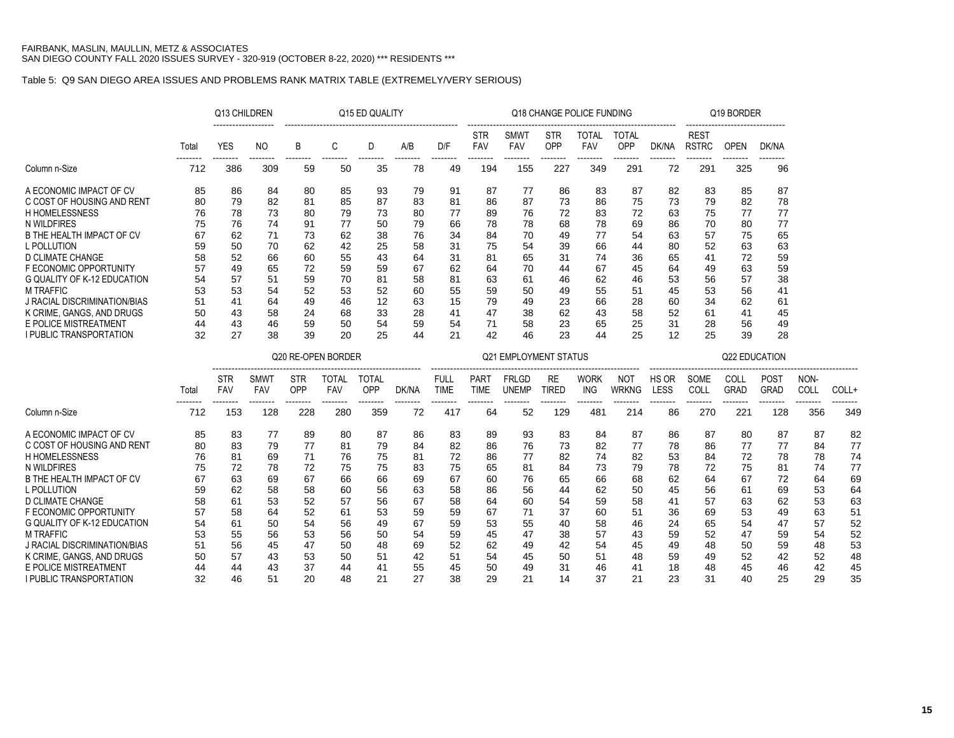## Table 5: Q9 SAN DIEGO AREA ISSUES AND PROBLEMS RANK MATRIX TABLE (EXTREMELY/VERY SERIOUS)

|                                     |       | Q13 CHILDREN             |                           |                   |                            | Q15 ED QUALITY      |       |                            |                            |                              |                           | Q18 CHANGE POLICE FUNDING  |                            |                      |                             | Q19 BORDER                 |                     |                 |       |
|-------------------------------------|-------|--------------------------|---------------------------|-------------------|----------------------------|---------------------|-------|----------------------------|----------------------------|------------------------------|---------------------------|----------------------------|----------------------------|----------------------|-----------------------------|----------------------------|---------------------|-----------------|-------|
|                                     | Total | <b>YES</b>               | <b>NO</b>                 | B                 | C                          | D                   | A/B   | D/F                        | <b>STR</b><br><b>FAV</b>   | <b>SMWT</b><br>FAV           | <b>STR</b><br>OPP         | <b>TOTAL</b><br><b>FAV</b> | <b>TOTAL</b><br>OPP        | DK/NA                | <b>REST</b><br><b>RSTRC</b> | <b>OPEN</b>                | DK/NA               |                 |       |
| Column n-Size                       | 712   | 386                      | 309                       | 59                | 50                         | 35                  | 78    | 49                         | 194                        | --------<br>155              | 227                       | 349                        | 291                        | 72                   | 291                         | 325                        | 96                  |                 |       |
| A ECONOMIC IMPACT OF CV             | 85    | 86                       | 84                        | 80                | 85                         | 93                  | 79    | 91                         | 87                         | 77                           | 86                        | 83                         | 87                         | 82                   | 83                          | 85                         | 87                  |                 |       |
| C COST OF HOUSING AND RENT          | 80    | 79                       | 82                        | 81                | 85                         | 87                  | 83    | 81                         | 86                         | 87                           | 73                        | 86                         | 75                         | 73                   | 79                          | 82                         | 78                  |                 |       |
| <b>H HOMELESSNESS</b>               | 76    | 78                       | 73                        | 80                | 79                         | 73                  | 80    | 77                         | 89                         | 76                           | 72                        | 83                         | 72                         | 63                   | 75                          | 77                         | 77                  |                 |       |
| N WILDFIRES                         | 75    | 76                       | 74                        | 91                | 77                         | 50                  | 79    | 66                         | 78                         | 78                           | 68                        | 78                         | 69                         | 86                   | 70                          | 80                         | 77                  |                 |       |
| B THE HEALTH IMPACT OF CV           | 67    | 62                       | 71                        | 73                | 62                         | 38                  | 76    | 34                         | 84                         | 70                           | 49                        | 77                         | 54                         | 63                   | 57                          | 75                         | 65                  |                 |       |
| L POLLUTION                         | 59    | 50                       | 70                        | 62                | 42                         | 25                  | 58    | 31                         | 75                         | 54                           | 39                        | 66                         | 44                         | 80                   | 52                          | 63                         | 63                  |                 |       |
| <b>D CLIMATE CHANGE</b>             | 58    | 52                       | 66                        | 60                | 55                         | 43                  | 64    | 31                         | 81                         | 65                           | 31                        | 74                         | 36                         | 65                   | 41                          | 72                         | 59                  |                 |       |
| F ECONOMIC OPPORTUNITY              | 57    | 49                       | 65                        | 72                | 59                         | 59                  | 67    | 62                         | 64                         | 70                           | 44                        | 67                         | 45                         | 64                   | 49                          | 63                         | 59                  |                 |       |
| <b>G QUALITY OF K-12 EDUCATION</b>  | 54    | 57                       | 51                        | 59                | 70                         | 81                  | 58    | 81                         | 63                         | 61                           | 46                        | 62                         | 46                         | 53                   | 56                          | 57                         | 38                  |                 |       |
| <b>M TRAFFIC</b>                    | 53    | 53                       | 54                        | 52                | 53                         | 52                  | 60    | 55                         | 59                         | 50                           | 49                        | 55                         | 51                         | 45                   | 53                          | 56                         | 41                  |                 |       |
| <b>J RACIAL DISCRIMINATION/BIAS</b> | 51    | 41                       | 64                        | 49                | 46                         | 12                  | 63    | 15                         | 79                         | 49                           | 23                        | 66                         | 28                         | 60                   | 34                          | 62                         | 61                  |                 |       |
| K CRIME, GANGS, AND DRUGS           | 50    | 43                       | 58                        | 24                | 68                         | 33                  | 28    | 41                         | 47                         | 38                           | 62                        | 43                         | 58                         | 52                   | 61                          | 41                         | 45                  |                 |       |
| E POLICE MISTREATMENT               | 44    | 43                       | 46                        | 59                | 50                         | 54                  | 59    | 54                         | 71                         | 58                           | 23                        | 65                         | 25                         | 31                   | 28                          | 56                         | 49                  |                 |       |
| I PUBLIC TRANSPORTATION             | 32    | 27                       | 38                        | 39                | 20                         | 25                  | 44    | 21                         | 42                         | 46                           | 23                        | 44                         | 25                         | 12                   | 25                          | 39                         | 28                  |                 |       |
|                                     |       |                          |                           |                   | Q20 RE-OPEN BORDER         |                     |       |                            |                            | <b>Q21 EMPLOYMENT STATUS</b> |                           |                            |                            |                      |                             | <b>Q22 EDUCATION</b>       |                     |                 |       |
|                                     | Total | <b>STR</b><br><b>FAV</b> | <b>SMWT</b><br><b>FAV</b> | <b>STR</b><br>OPP | <b>TOTAL</b><br><b>FAV</b> | <b>TOTAL</b><br>OPP | DK/NA | <b>FULL</b><br><b>TIME</b> | <b>PART</b><br><b>TIME</b> | <b>FRLGD</b><br><b>UNEMP</b> | <b>RE</b><br><b>TIRED</b> | <b>WORK</b><br>ING         | <b>NOT</b><br><b>WRKNG</b> | HS OR<br><b>LESS</b> | SOME<br>COLL                | <b>COLL</b><br><b>GRAD</b> | POST<br><b>GRAD</b> | NON-<br>COLL    | COLL+ |
| Column n-Size                       | 712   | 153                      | --------<br>128           | 228               | 280                        | --------<br>359     | 72    | --------<br>417            | --------<br>64             | 52                           | 129                       | --------<br>481            | 214                        | 86                   | 270                         | 221                        | --------<br>128     | --------<br>356 | 349   |
| A ECONOMIC IMPACT OF CV             | 85    | 83                       | 77                        | 89                | 80                         | 87                  | 86    | 83                         | 89                         | 93                           | 83                        | 84                         | 87                         | 86                   | 87                          | 80                         | 87                  | 87              | 82    |
| C COST OF HOUSING AND RENT          | 80    | 83                       | 79                        | 77                | 81                         | 79                  | 84    | 82                         | 86                         | 76                           | 73                        | 82                         | 77                         | 78                   | 86                          | 77                         | 77                  | 84              | 77    |
| <b>H HOMELESSNESS</b>               | 76    | 81                       | 69                        | 71                | 76                         | 75                  | 81    | 72                         | 86                         | 77                           | 82                        | 74                         | 82                         | 53                   | 84                          | 72                         | 78                  | 78              | 74    |
| N WILDFIRES                         | 75    | 72                       | 78                        | 72                | 75                         | 75                  | 83    | 75                         | 65                         | 81                           | 84                        | 73                         | 79                         | 78                   | 72                          | 75                         | 81                  | 74              | 77    |
| B THE HEALTH IMPACT OF CV           | 67    | 63                       | 69                        | 67                | 66                         | 66                  | 69    | 67                         | 60                         | 76                           | 65                        | 66                         | 68                         | 62                   | 64                          | 67                         | 72                  | 64              | 69    |
| L POLLUTION                         | 59    | 62                       | 58                        | 58                | 60                         | 56                  | 63    | 58                         | 86                         | 56                           | 44                        | 62                         | 50                         | 45                   | 56                          | 61                         | 69                  | 53              | 64    |
| <b>D CLIMATE CHANGE</b>             | 58    | 61                       | 53                        | 52                | 57                         | 56                  | 67    | 58                         | 64                         | 60                           | 54                        | 59                         | 58                         | 41                   | 57                          | 63                         | 62                  | 53              | 63    |
| F ECONOMIC OPPORTUNITY              | 57    | 58                       | 64                        | 52                | 61                         | 53                  | 59    | 59                         | 67                         | 71                           | 37                        | 60                         | 51                         | 36                   | 69                          | 53                         | 49                  | 63              | 51    |
| G QUALITY OF K-12 EDUCATION         | 54    | 61                       | 50                        | 54                | 56                         | 49                  | 67    | 59                         | 53                         | 55                           | 40                        | 58                         | 46                         | 24                   | 65                          | 54                         | 47                  | 57              | 52    |
| <b>M TRAFFIC</b>                    | 53    | 55                       | 56                        | 53                | 56                         | 50                  | 54    | 59                         | 45                         | 47                           | 38                        | 57                         | 43                         | 59                   | 52                          | 47                         | 59                  | 54              | 52    |
| <b>J RACIAL DISCRIMINATION/BIAS</b> | 51    | 56                       | 45                        | 47                | 50                         | 48                  | 69    | 52                         | 62                         | 49                           | 42                        | 54                         | 45                         | 49                   | 48                          | 50                         | 59                  | 48              | 53    |
| K CRIME, GANGS, AND DRUGS           | 50    | 57                       | 43                        | 53                | 50                         | 51                  | 42    | 51                         | 54                         | 45                           | 50                        | 51                         | 48                         | 59                   | 49                          | 52                         | 42                  | 52              | 48    |
| E POLICE MISTREATMENT               | 44    | 44                       | 43                        | 37                | 44                         | 41                  | 55    | 45                         | 50                         | 49                           | 31                        | 46                         | 41                         | 18                   | 48                          | 45                         | 46                  | 42              | 45    |
| I PUBLIC TRANSPORTATION             | 32    | 46                       | 51                        | 20                | 48                         | 21                  | 27    | 38                         | 29                         | 21                           | 14                        | 37                         | 21                         | 23                   | 31                          | 40                         | 25                  | 29              | 35    |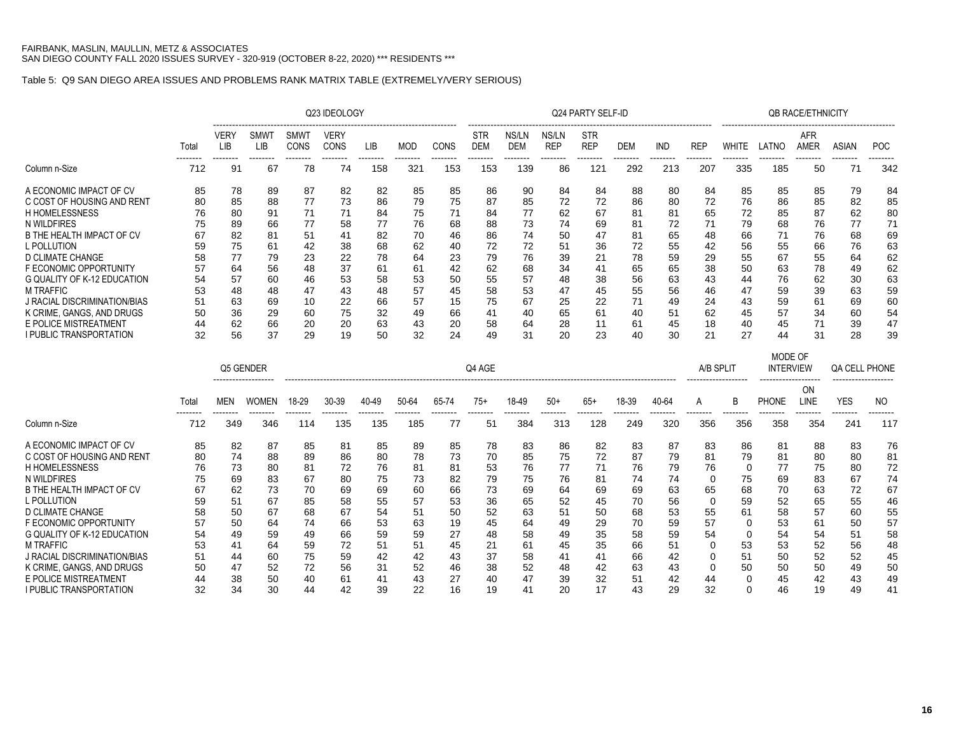### Table 5: Q9 SAN DIEGO AREA ISSUES AND PROBLEMS RANK MATRIX TABLE (EXTREMELY/VERY SERIOUS)

|                                                    |          |                    |                    |              | Q23 IDEOLOGY        |                 |                 |          |                          |                     |                     | Q24 PARTY SELF-ID        |            |            |                 |              |                                        | <b>QB RACE/ETHNICITY</b> |                                            |                 |
|----------------------------------------------------|----------|--------------------|--------------------|--------------|---------------------|-----------------|-----------------|----------|--------------------------|---------------------|---------------------|--------------------------|------------|------------|-----------------|--------------|----------------------------------------|--------------------------|--------------------------------------------|-----------------|
|                                                    | Total    | <b>VERY</b><br>LIB | <b>SMWT</b><br>LIB | SMWT<br>CONS | <b>VERY</b><br>CONS | LIB             | <b>MOD</b>      | CONS     | <b>STR</b><br><b>DEM</b> | NS/LN<br><b>DEM</b> | NS/LN<br><b>REP</b> | <b>STR</b><br><b>REP</b> | <b>DEM</b> | <b>IND</b> | <b>REP</b>      | <b>WHITE</b> | LATNO                                  | AFR<br>AMER              | <b>ASIAN</b>                               | <b>POC</b>      |
| Column n-Size                                      | 712      | 91                 | 67                 | 78           | 74                  | --------<br>158 | --------<br>321 | <br>153  | --------<br>153          | 139                 | 86                  | 121                      | 292        | 213        | --------<br>207 | 335          | 185                                    | 50                       | 71                                         | --------<br>342 |
| A ECONOMIC IMPACT OF CV                            | 85       | 78                 | 89                 | 87           | 82                  | 82              | 85              | 85       | 86                       | 90                  | 84                  | 84                       | 88         | 80         | 84              | 85           | 85                                     | 85                       | 79                                         | 84              |
| C COST OF HOUSING AND RENT                         | 80       | 85                 | 88                 | 77           | 73                  | 86              | 79              | 75       | 87                       | 85                  | 72                  | 72                       | 86         | 80         | 72              | 76           | 86                                     | 85                       | 82                                         | 85              |
| <b>H HOMELESSNESS</b>                              | 76       | 80                 | 91                 | 71           | 71                  | 84              | 75              | 71       | 84                       | 77                  | 62                  | 67                       | 81         | 81         | 65              | 72           | 85                                     | 87                       | 62                                         | 80              |
| N WILDFIRES                                        | 75       | 89                 | 66                 | 77           | 58                  | 77              | 76              | 68       | 88                       | 73                  | 74                  | 69                       | 81         | 72         | 71              | 79           | 68                                     | 76                       | 77                                         | 71              |
| B THE HEALTH IMPACT OF CV                          | 67       | 82                 | 81                 | 51           | 41                  | 82              | 70              | 46       | 86                       | 74                  | 50                  | 47                       | 81         | 65         | 48              | 66           | 71                                     | 76                       | 68                                         | 69              |
| L POLLUTION                                        | 59       | 75                 | 61                 | 42           | 38                  | 68              | 62              | 40       | 72                       | 72                  | 51                  | 36                       | 72         | 55         | 42              | 56           | 55                                     | 66                       | 76                                         | 63              |
| D CLIMATE CHANGE                                   | 58       | 77                 | 79                 | 23           | 22                  | 78              | 64              | 23       | 79                       | 76                  | 39                  | 21                       | 78         | 59         | 29              | 55           | 67                                     | 55                       | 64                                         | 62              |
| F ECONOMIC OPPORTUNITY                             | 57       | 64                 | 56                 | 48           | 37                  | 61              | 61              | 42       | 62                       | 68                  | 34                  | 41                       | 65         | 65         | 38              | 50           | 63                                     | 78                       | 49                                         | 62              |
| <b>G QUALITY OF K-12 EDUCATION</b>                 | 54       | 57                 | 60                 | 46           | 53                  | 58              | 53              | 50       | 55                       | 57                  | 48                  | 38                       | 56         | 63         | 43              | 44           | 76                                     | 62                       | 30                                         | 63              |
| <b>M TRAFFIC</b>                                   | 53       | 48                 | 48                 | 47           | 43                  | 48              | 57              | 45       | 58                       | 53                  | 47                  | 45                       | 55         | 56         | 46              | 47           | 59                                     | 39                       | 63                                         | 59              |
| J RACIAL DISCRIMINATION/BIAS                       | 51       | 63                 | 69                 | 10           | 22                  | 66              | 57              | 15       | 75                       | 67                  | 25                  | 22                       | 71         | 49         | 24              | 43           | 59                                     | 61                       | 69                                         | 60              |
| K CRIME, GANGS, AND DRUGS<br>E POLICE MISTREATMENT | 50       | 36<br>62           | 29                 | 60           | 75                  | 32              | 49              | 66       | 41                       | 40                  | 65<br>28            | 61                       | 40         | 51         | 62              | 45           | 57                                     | 34<br>71                 | 60                                         | 54              |
| <b>I PUBLIC TRANSPORTATION</b>                     | 44<br>32 | 56                 | 66<br>37           | 20<br>29     | 20<br>19            | 63<br>50        | 43<br>32        | 20<br>24 | 58<br>49                 | 64<br>31            | 20                  | 11<br>23                 | 61<br>40   | 45<br>30   | 18<br>21        | 40<br>27     | 45<br>44                               | 31                       | 39<br>28                                   | 47<br>39        |
|                                                    |          |                    |                    |              |                     |                 |                 |          |                          |                     |                     |                          |            |            |                 |              |                                        |                          |                                            |                 |
|                                                    |          |                    |                    |              |                     |                 |                 |          |                          |                     |                     |                          |            |            |                 |              | MODE OF                                |                          |                                            |                 |
|                                                    |          |                    | Q5 GENDER          |              |                     |                 |                 |          | Q4 AGE                   |                     |                     |                          |            |            |                 | A/B SPLIT    | <b>INTERVIEW</b><br>------------------ |                          | <b>QA CELL PHONE</b><br>------------------ |                 |
|                                                    | Total    | MEN                | <b>WOMEN</b>       | 18-29        | 30-39               | 40-49           | 50-64           | 65-74    | $75+$                    | 18-49               | $50+$               | $65+$                    | 18-39      | 40-64      | A               | R            | <b>PHONE</b>                           | ON<br>LINE               | <b>YES</b>                                 | N <sub>O</sub>  |
|                                                    |          |                    |                    |              |                     |                 |                 |          |                          |                     |                     |                          |            |            |                 |              |                                        |                          |                                            | -------         |
| Column n-Size                                      | 712      | 349                | 346                | 114          | 135                 | 135             | 185             | 77       | 51                       | 384                 | 313                 | 128                      | 249        | 320        | 356             | 356          | 358                                    | 354                      | 241                                        | 117             |
| A ECONOMIC IMPACT OF CV                            | 85       | 82                 | 87                 | 85           | 81                  | 85              | 89              | 85       | 78                       | 83                  | 86                  | 82                       | 83         | 87         | 83              | 86           | 81                                     | 88                       | 83                                         | 76              |
| C COST OF HOUSING AND RENT                         | 80       | 74                 | 88                 | 89           | 86                  | 80              | 78              | 73       | 70                       | 85                  | 75                  | 72                       | 87         | 79         | 81              | 79           | 81                                     | 80                       | 80                                         | 81              |
| <b>H HOMELESSNESS</b>                              | 76       | 73                 | 80                 | 81           | 72                  | 76              | 81              | 81       | 53                       | 76                  | 77                  | 71                       | 76         | 79         | 76              | $\Omega$     | 77                                     | 75                       | 80                                         | 72              |
| N WILDFIRES                                        | 75       | 69                 | 83                 | 67           | 80                  | 75              | 73              | 82       | 79                       | 75                  | 76                  | 81                       | 74         | 74         | $\Omega$        | 75           | 69                                     | 83                       | 67                                         | 74              |
| B THE HEALTH IMPACT OF CV                          | 67       | 62                 | 73                 | 70           | 69                  | 69              | 60              | 66       | 73                       | 69                  | 64                  | 69                       | 69         | 63         | 65              | 68           | 70                                     | 63                       | 72                                         | 67              |
| L POLLUTION                                        | 59       | 51                 | 67                 | 85           | 58                  | 55              | 57              | 53       | 36                       | 65                  | 52                  | 45                       | 70         | 56         | 0               | 59           | 52                                     | 65                       | 55                                         | 46              |
| D CLIMATE CHANGE                                   | 58       | 50                 | 67                 | 68           | 67                  | 54              | 51              | 50       | 52                       | 63                  | 51                  | 50                       | 68         | 53         | 55              | 61           | 58                                     | 57                       | 60                                         | 55              |
| F ECONOMIC OPPORTUNITY                             | 57       | 50                 | 64                 | 74           | 66                  | 53              | 63              | 19       | 45                       | 64                  | 49                  | 29                       | 70         | 59         | 57              | $\Omega$     | 53                                     | 61                       | 50                                         | 57              |
| <b>G QUALITY OF K-12 EDUCATION</b>                 | 54       | 49                 | 59                 | 49           | 66                  | 59              | 59              | 27       | 48                       | 58                  | 49                  | 35                       | 58         | 59         | 54              | 0            | 54                                     | 54                       | 51                                         | 58              |
| <b>M TRAFFIC</b>                                   | 53       | 41                 | 64                 | 59           | 72                  | 51              | 51              | 45       | 21                       | 61                  | 45                  | 35                       | 66         | 51         | $\Omega$        | 53           | 53                                     | 52                       | 56                                         | 48              |
| J RACIAL DISCRIMINATION/BIAS                       | 51       | 44                 | 60                 | 75           | 59                  | 42              | 42              | 43       | 37                       | 58                  | 41                  | 41                       | 66         | 42         | 0               | 51           | 50                                     | 52                       | 52                                         | 45              |
| K CRIME. GANGS. AND DRUGS                          | 50       | 47                 | 52                 | 72           | 56                  | 31              | 52              | 46       | 38                       | 52                  | 48                  | 42                       | 63         | 43         | 0               | 50           | 50                                     | 50                       | 49                                         | 50              |
| E POLICE MISTREATMENT                              | 44       | 38                 | 50                 | 40           | 61                  | 41              | 43              | 27       | 40                       | 47                  | 39                  | 32                       | 51         | 42         | 44              | $\Omega$     | 45                                     | 42                       | 43                                         | 49              |
| I PUBLIC TRANSPORTATION                            | 32       | 34                 | 30                 | 44           | 42                  | 39              | 22              | 16       | 19                       | 41                  | 20                  | 17                       | 43         | 29         | 32              | $\Omega$     | 46                                     | 19                       | 49                                         | 41              |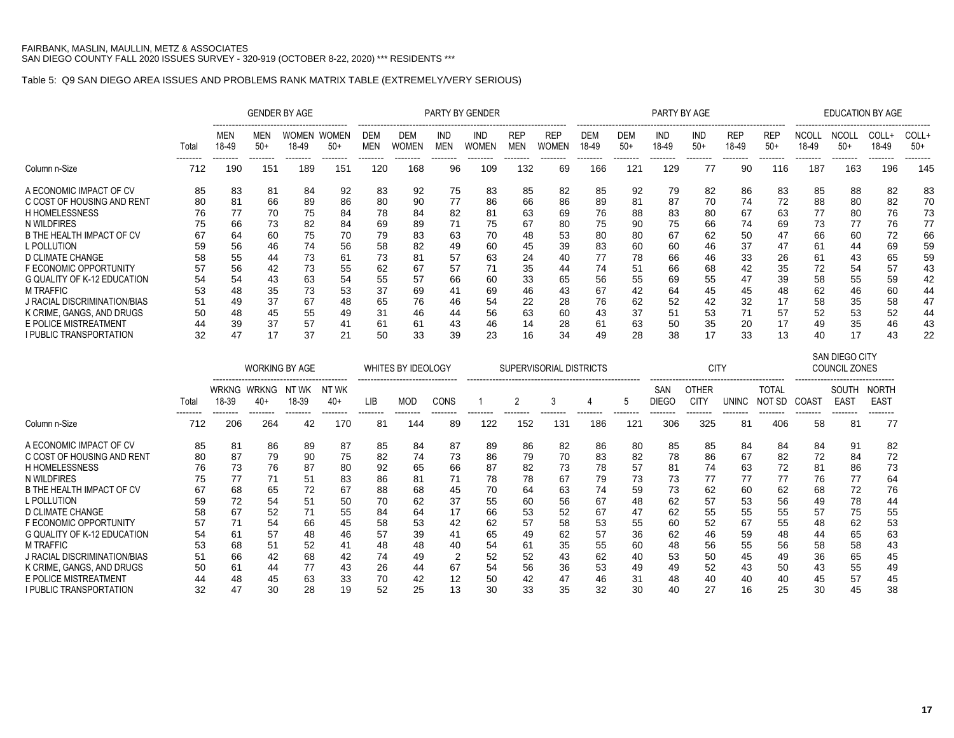### Table 5: Q9 SAN DIEGO AREA ISSUES AND PROBLEMS RANK MATRIX TABLE (EXTREMELY/VERY SERIOUS)

|                                                                                                                                                                                                                        |                                        |                                              |                                                    | <b>GENDER BY AGE</b>                               |                                                    |                                                    |                                                    |                                                    | <b>PARTY BY GENDER</b>                             |                                              |                                                    |                                                    |                                                    | PARTY BY AGE                                       |                                                    |                                                    |                                                     |                                                     |                                                    | <b>EDUCATION BY AGE</b>                             |                                                    |
|------------------------------------------------------------------------------------------------------------------------------------------------------------------------------------------------------------------------|----------------------------------------|----------------------------------------------|----------------------------------------------------|----------------------------------------------------|----------------------------------------------------|----------------------------------------------------|----------------------------------------------------|----------------------------------------------------|----------------------------------------------------|----------------------------------------------|----------------------------------------------------|----------------------------------------------------|----------------------------------------------------|----------------------------------------------------|----------------------------------------------------|----------------------------------------------------|-----------------------------------------------------|-----------------------------------------------------|----------------------------------------------------|-----------------------------------------------------|----------------------------------------------------|
|                                                                                                                                                                                                                        | Total<br>--------                      | <b>MEN</b><br>18-49<br>--------              | MEN<br>$50+$<br>--------                           | <b>WOMEN</b><br>18-49<br>--------                  | <b>WOMEN</b><br>$50+$<br>--------                  | DEM<br>MEN<br>--------                             | DEM<br>WOMEN                                       | <b>IND</b><br><b>MEN</b>                           | IND<br>WOMEN                                       | <b>REP</b><br><b>MEN</b>                     | <b>REP</b><br>WOMEN                                | <b>DEM</b><br>18-49                                | <b>DEM</b><br>$50+$                                | <b>IND</b><br>18-49                                | <b>IND</b><br>$50+$                                | <b>REP</b><br>18-49                                | <b>REP</b><br>$50+$<br>-------                      | <b>NCOLL</b><br>18-49<br>--------                   | <b>NCOLL</b><br>$50+$<br>--------                  | COLL+<br>18-49<br>--------                          | COLL+<br>$50+$<br>-------                          |
| Column n-Size                                                                                                                                                                                                          | 712                                    | 190                                          | 151                                                | 189                                                | 151                                                | 120                                                | 168                                                | 96                                                 | 109                                                | 132                                          | 69                                                 | 166                                                | 121                                                | 129                                                | 77                                                 | 90                                                 | 116                                                 | 187                                                 | 163                                                | 196                                                 | 145                                                |
| A ECONOMIC IMPACT OF CV<br>C COST OF HOUSING AND RENT<br><b>H HOMELESSNESS</b><br>N WILDFIRES<br>B THE HEALTH IMPACT OF CV<br>L POLLUTION<br>D CLIMATE CHANGE<br>F ECONOMIC OPPORTUNITY<br>G QUALITY OF K-12 EDUCATION | 85<br>80<br>76<br>67<br>59<br>58<br>54 | 83<br>81<br>66<br>64<br>56<br>55<br>56<br>54 | 81<br>66<br>70<br>73<br>60<br>46<br>44<br>42<br>43 | 84<br>89<br>75<br>82<br>75<br>74<br>73<br>73<br>63 | 92<br>86<br>84<br>84<br>70<br>56<br>61<br>55<br>54 | 83<br>80<br>78<br>69<br>79<br>58<br>73<br>62<br>55 | 92<br>90<br>84<br>89<br>83<br>82<br>81<br>67<br>57 | 75<br>77<br>82<br>71<br>63<br>49<br>57<br>57<br>66 | 83<br>86<br>81<br>75<br>70<br>60<br>63<br>71<br>60 | 85<br>66<br>63<br>67<br>45<br>24<br>35<br>33 | 82<br>86<br>69<br>80<br>53<br>39<br>40<br>44<br>65 | 85<br>89<br>76<br>75<br>80<br>83<br>77<br>74<br>56 | 92<br>81<br>88<br>90<br>80<br>60<br>78<br>51<br>55 | 79<br>87<br>83<br>75<br>67<br>60<br>66<br>66<br>69 | 82<br>70<br>80<br>66<br>62<br>46<br>46<br>68<br>55 | 86<br>74<br>67<br>74<br>50<br>37<br>33<br>42<br>47 | -83<br>72<br>63<br>69<br>47<br>47<br>26<br>35<br>39 | 85<br>88<br>77<br>73<br>66<br>61<br>-61<br>72<br>58 | 88<br>80<br>80<br>77<br>60<br>44<br>43<br>54<br>55 | -82<br>82<br>76<br>76<br>72<br>69<br>65<br>57<br>59 | 83<br>70<br>73<br>77<br>66<br>59<br>59<br>43<br>42 |
| <b>M TRAFFIC</b><br>J RACIAL DISCRIMINATION/BIAS<br>K CRIME, GANGS, AND DRUGS<br>E POLICE MISTREATMENT<br>I PUBLIC TRANSPORTATION                                                                                      | 53<br>51<br>50<br>32                   | 48<br>49<br>48<br>39<br>47                   | 35<br>37<br>45<br>37                               | 73<br>67<br>55<br>57<br>37                         | 53<br>48<br>49<br>41<br>21                         | 37<br>65<br>31<br>61<br>50                         | 69<br>76<br>46<br>61<br>33                         | 41<br>46<br>44<br>43<br>39                         | 69<br>54<br>56<br>46<br>23                         | 46<br>22<br>63<br>14<br>16                   | 43<br>28<br>60<br>28<br>34                         | 67<br>76<br>43<br>61<br>49                         | 42<br>62<br>37<br>63<br>28                         | 64<br>52<br>51<br>50<br>38                         | 45<br>42<br>53<br>35<br>17                         | 45<br>32<br>20<br>33                               | 48<br>17<br>57<br>17<br>13                          | 62<br>58<br>52<br>49<br>40                          | 46<br>35<br>53<br>35<br>17                         | 60<br>58<br>52<br>46<br>43                          | 44<br>47<br>44<br>43<br>22                         |

|                              |       |                 |                    | <b>WORKING BY AGE</b>                                  |                |     | <b>WHITES BY IDEOLOGY</b> |      |     |     | SUPERVISORIAL DISTRICTS |     |     |              | <b>CITY</b>                 |       |                        |                   | SAN DIEGO CITY<br><b>COUNCIL ZONES</b> |                             |
|------------------------------|-------|-----------------|--------------------|--------------------------------------------------------|----------------|-----|---------------------------|------|-----|-----|-------------------------|-----|-----|--------------|-----------------------------|-------|------------------------|-------------------|----------------------------------------|-----------------------------|
|                              | Total | 18-39           | WRKNG WRKNG<br>40+ | ------------------------------------<br>NT WK<br>18-39 | NT WK<br>$40+$ | LIB | <b>MOD</b>                | CONS |     |     |                         |     |     | SAN<br>DIEGO | <b>OTHER</b><br><b>CITY</b> | UNINC | <b>TOTAL</b><br>NOT SD | COAS <sub>1</sub> | SOUTH<br>EAS <sub>1</sub>              | <b>NORTH</b><br><b>EAST</b> |
| Column n-Size                | 712   | --------<br>206 | --------<br>264    | .<br>42                                                | 170            | 81  | 144                       | 89   | 122 | 152 | 131                     | 186 | 121 | 306          | 325                         | 81    | 406                    | 58                | --------<br>81                         | 77                          |
| A ECONOMIC IMPACT OF CV      | 85    | 81              | 86                 | 89                                                     | 87             | 85  | 84                        | 87   | 89  | 86  | 82                      | 86  | 80  | 85           | 85                          | 84    | 84                     | 84                | 91                                     | 82                          |
| C COST OF HOUSING AND RENT   | 80    | 87              | 79                 | 90                                                     | 75             | 82  | 74                        | 73   | 86  | 79  | 70                      | 83  | 82  | 78           | 86                          | 67    | 82                     | 72                | 84                                     | 72                          |
| <b>H HOMELESSNESS</b>        | 76    | 73              | 76                 | 87                                                     | 80             | 92  | 65                        | 66   | 87  | 82  | 73                      | 78  | 57  | 81           | 74                          | 63    | 72                     | 81                | 86                                     | 73                          |
| N WILDFIRES                  | 75    | 77              |                    | 51                                                     | 83             | 86  | 81                        |      | 78  | 78  | 67                      | 79  | 73  | 73           | 77                          | 77    | 77                     | 76                |                                        | 64                          |
| B THE HEALTH IMPACT OF CV    | 67    | 68              | 65                 | 72                                                     | 67             | 88  | 68                        | 45   | 70  | 64  | 63                      | 74  | 59  | 73           | 62                          | 60    | 62                     | 68                | 72                                     | 76                          |
| L POLLUTION                  | 59    | 72              | 54                 | 51                                                     | 50             | 70  | 62                        | 37   | 55  | 60  | 56                      | 67  | 48  | 62           | 57                          | 53    | 56                     | 49                | 78                                     | 44                          |
| D CLIMATE CHANGE             | 58    | 67              | 52                 | 71                                                     | 55             | 84  | 64                        | 17   | 66  | 53  | 52                      | 67  | 47  | 62           | 55                          | 55    | 55                     | 57                | 75                                     | 55                          |
| F ECONOMIC OPPORTUNITY       | 57    | 71              | 54                 | 66                                                     | 45             | 58  | 53                        | 42   | 62  | 57  | 58                      | 53  | 55  | 60           | 52                          | 67    | 55                     | 48                | 62                                     | 53                          |
| G QUALITY OF K-12 EDUCATION  | 54    | 61              | 57                 | 48                                                     | 46             | 57  | 39                        | 41   | 65  | 49  | 62                      | 57  | 36  | 62           | 46                          | 59    | 48                     | 44                | 65                                     | 63                          |
| <b>M TRAFFIC</b>             | 53    | 68              | 51                 | 52                                                     | 41             | 48  | 48                        | 40   | 54  | 61  | 35                      | 55  | 60  | 48           | 56                          | 55    | 56                     | 58                | 58                                     | 43                          |
| J RACIAL DISCRIMINATION/BIAS | 51    | 66              | 42                 | 68                                                     | 42             | 74  | 49                        |      | 52  | 52  | 43                      | 62  | 40  | 53           | 50                          | 45    | 49                     | 36                | 65                                     | 45                          |
| K CRIME. GANGS. AND DRUGS    | 50    | 61              | 44                 | 77                                                     | 43             | 26  | 44                        | 67   | 54  | 56  | 36                      | 53  | 49  | 49           | 52                          | 43    | 50                     | 43                | 55                                     | 49                          |
| E POLICE MISTREATMENT        | 44    | 48              | 45                 | 63                                                     | 33             | 70  | 42                        | 12   | 50  |     | 47                      | 46  | 31  | 48           | 40                          | 40    | 40                     | 45                | 57                                     | 45                          |
| I PUBLIC TRANSPORTATION      | 32    | 47              | 30                 | 28                                                     | 19             | 52  | 25                        | 13   | 30  | 33  | 35                      | 32  | 30  |              | 27                          | 16    | 25                     | 30                | 45                                     | 38                          |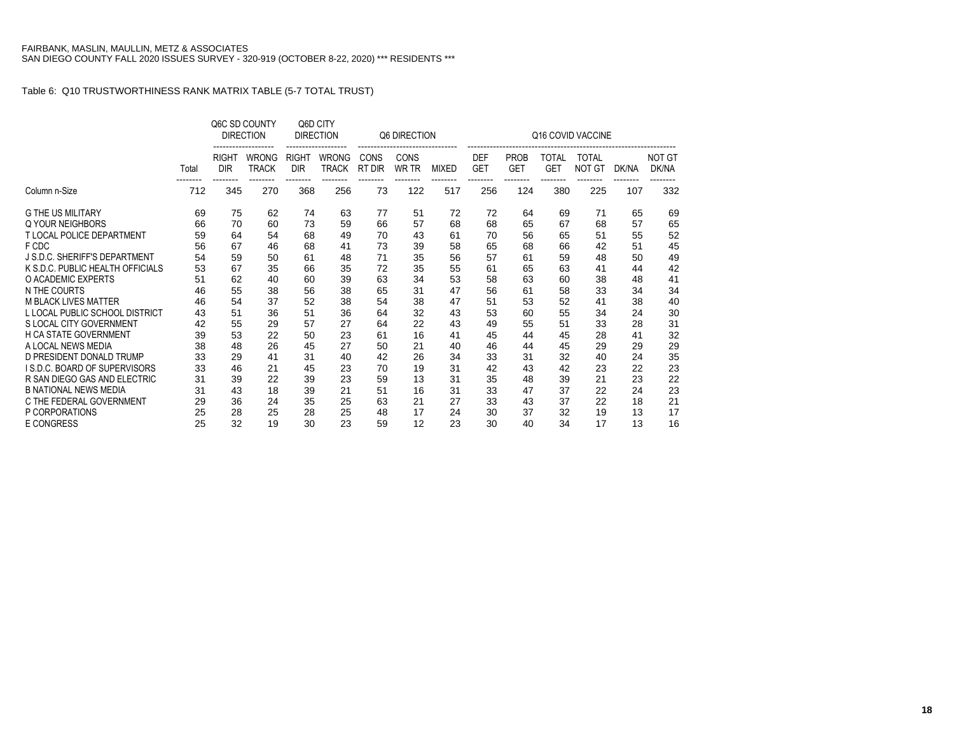|                                     |          |                                        | Q6C SD COUNTY<br><b>DIRECTION</b> |                                        | Q6D CITY<br><b>DIRECTION</b>             |                | Q6 DIRECTION              |                          |                                      |                                       |                                 | Q16 COVID VACCINE             |                   |                        |
|-------------------------------------|----------|----------------------------------------|-----------------------------------|----------------------------------------|------------------------------------------|----------------|---------------------------|--------------------------|--------------------------------------|---------------------------------------|---------------------------------|-------------------------------|-------------------|------------------------|
|                                     | Total    | <b>RIGHT</b><br><b>DIR</b><br>-------- | <b>WRONG</b><br><b>TRACK</b>      | <b>RIGHT</b><br><b>DIR</b><br>-------- | <b>WRONG</b><br><b>TRACK</b><br>-------- | CONS<br>RT DIR | CONS<br>WR TR<br>-------- | <b>MIXED</b><br>-------- | <b>DEF</b><br><b>GET</b><br>-------- | <b>PROB</b><br><b>GET</b><br>-------- | TOTAL<br><b>GET</b><br>-------- | <b>TOTAL</b><br><b>NOT GT</b> | DK/NA<br>-------- | <b>NOT GT</b><br>DK/NA |
| Column n-Size                       | 712      | 345                                    | --------<br>270                   | 368                                    | 256                                      | --------<br>73 | 122                       | 517                      | 256                                  | 124                                   | 380                             | --------<br>225               | 107               | 332                    |
| <b>G THE US MILITARY</b>            | 69       | 75                                     | 62                                | 74                                     | 63                                       | 77             | 51                        | 72                       | 72                                   | 64                                    | 69                              | 71                            | 65                | 69                     |
| Q YOUR NEIGHBORS                    | 66       | 70                                     | 60                                | 73                                     | 59                                       | 66             | 57                        | 68                       | 68                                   | 65                                    | 67                              | 68                            | 57                | 65                     |
| T LOCAL POLICE DEPARTMENT           | 59       | 64                                     | 54                                | 68                                     | 49                                       | 70             | 43                        | 61                       | 70                                   | 56                                    | 65                              | 51                            | 55                | 52                     |
| F CDC                               | 56       | 67                                     | 46                                | 68                                     | 41                                       | 73             | 39                        | 58                       | 65                                   | 68                                    | 66                              | 42                            | 51                | 45                     |
| J S.D.C. SHERIFF'S DEPARTMENT       | 54       | 59                                     | 50                                | 61                                     | 48                                       | 71             | 35                        | 56                       | 57                                   | 61                                    | 59                              | 48                            | 50                | 49                     |
| K S.D.C. PUBLIC HEALTH OFFICIALS    | 53       | 67                                     | 35                                | 66                                     | 35                                       | 72             | 35                        | 55                       | 61                                   | 65                                    | 63                              | 41                            | 44                | 42                     |
| O ACADEMIC EXPERTS                  | 51       | 62                                     | 40                                | 60                                     | 39                                       | 63             | 34                        | 53                       | 58                                   | 63                                    | 60                              | 38                            | 48                | 41                     |
| N THE COURTS                        | 46       | 55                                     | 38                                | 56                                     | 38                                       | 65             | 31                        | 47                       | 56                                   | 61                                    | 58                              | 33                            | 34                | 34                     |
| <b>M BLACK LIVES MATTER</b>         | 46       | 54                                     | 37                                | 52                                     | 38                                       | 54             | 38                        | 47                       | 51                                   | 53                                    | 52                              | 41                            | 38                | 40                     |
| L LOCAL PUBLIC SCHOOL DISTRICT      | 43       | 51                                     | 36                                | 51                                     | 36                                       | 64             | 32                        | 43                       | 53                                   | 60                                    | 55                              | 34                            | 24                | 30                     |
| S LOCAL CITY GOVERNMENT             | 42       | 55                                     | 29                                | 57                                     | 27                                       | 64             | 22                        | 43                       | 49                                   | 55                                    | 51                              | 33                            | 28                | 31                     |
| <b>H CA STATE GOVERNMENT</b>        | 39       | 53                                     | 22                                | 50                                     | 23                                       | 61             | 16                        | 41                       | 45                                   | 44                                    | 45                              | 28                            | 41                | 32                     |
| A LOCAL NEWS MEDIA                  | 38       | 48                                     | 26                                | 45                                     | 27                                       | 50             | 21                        | 40                       | 46                                   | 44                                    | 45                              | 29                            | 29                | 29                     |
| D PRESIDENT DONALD TRUMP            | 33       | 29                                     | 41                                | 31                                     | 40                                       | 42             | 26                        | 34                       | 33                                   | 31                                    | 32                              | 40                            | 24                | 35                     |
| <b>IS.D.C. BOARD OF SUPERVISORS</b> | 33       | 46                                     | 21                                | 45                                     | 23                                       | 70             | 19                        | 31                       | 42                                   | 43                                    | 42                              | 23                            | 22                | 23                     |
| R SAN DIEGO GAS AND ELECTRIC        | 31       | 39                                     | 22                                | 39                                     | 23                                       | 59             | 13                        | 31                       | 35                                   | 48                                    | 39                              | 21                            | 23                | 22                     |
| <b>B NATIONAL NEWS MEDIA</b>        | 31       | 43                                     | 18                                | 39                                     | 21                                       | 51             | 16                        | 31                       | 33                                   | 47                                    | 37                              | 22                            | 24                | 23                     |
| C THE FEDERAL GOVERNMENT            | 29       | 36                                     | 24                                | 35                                     | 25                                       | 63             | 21                        | 27                       | 33                                   | 43                                    | 37                              | 22                            | 18                | 21                     |
| P CORPORATIONS<br><b>E CONGRESS</b> | 25<br>25 | 28<br>32                               | 25<br>19                          | 28<br>30                               | 25<br>23                                 | 48<br>59       | 17<br>12                  | 24<br>23                 | 30<br>30                             | 37<br>40                              | 32<br>34                        | 19<br>17                      | 13<br>13          | 17<br>16               |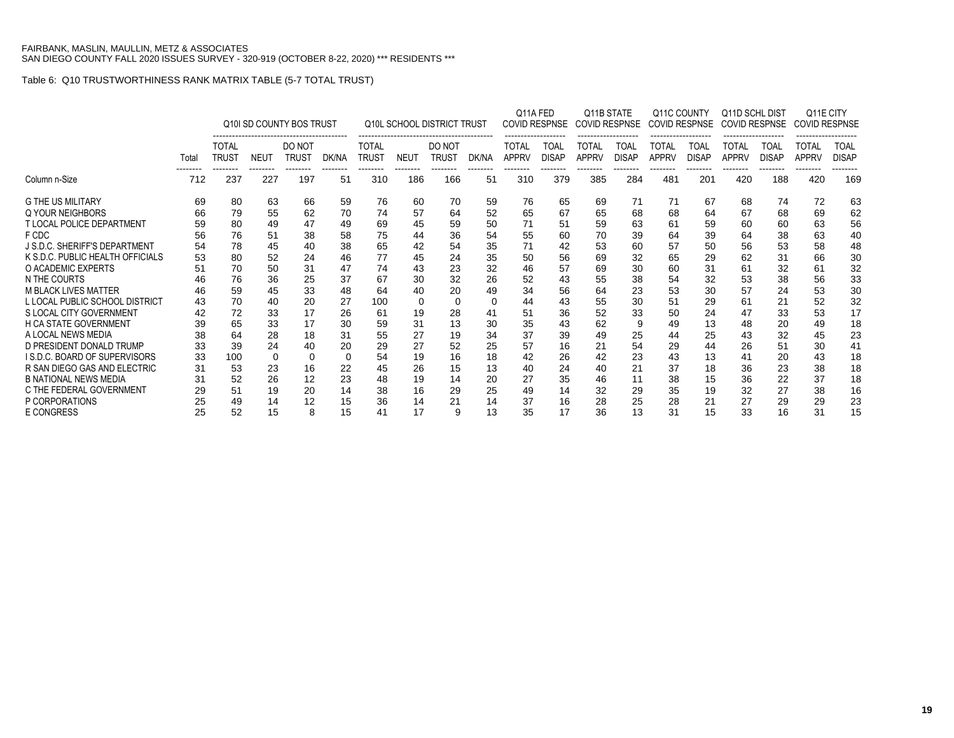|                                      |       |                              |                 | Q10I SD COUNTY BOS TRUST |                |                              |                 | <b>Q10L SCHOOL DISTRICT TRUST</b> |                | Q11A FED                     | <b>COVID RESPNSE</b> | <b>COVID RESPNSE</b>         | Q11B STATE           | Q11C COUNTY                  | COVID RESPNSE        | Q11D SCHL DIST<br><b>COVID RESPNSE</b> |                      | <b>COVID RESPNSE</b>  | Q11E CITY                   |
|--------------------------------------|-------|------------------------------|-----------------|--------------------------|----------------|------------------------------|-----------------|-----------------------------------|----------------|------------------------------|----------------------|------------------------------|----------------------|------------------------------|----------------------|----------------------------------------|----------------------|-----------------------|-----------------------------|
|                                      | Total | <b>TOTAL</b><br><b>TRUST</b> | <b>NEUT</b>     | DO NOT<br><b>TRUST</b>   | DK/NA          | <b>TOTAL</b><br><b>TRUST</b> | <b>NEUT</b>     | DO NOT<br>Trust                   | DK/NA          | <b>TOTAL</b><br><b>APPRV</b> | TOAL<br><b>DISAP</b> | <b>TOTAL</b><br><b>APPRV</b> | TOAL<br><b>DISAP</b> | <b>TOTAL</b><br><b>APPRV</b> | TOAL<br><b>DISAP</b> | TOTAL<br><b>APPRV</b>                  | TOAL<br><b>DISAP</b> | TOTAL<br><b>APPRV</b> | <b>TOAL</b><br><b>DISAP</b> |
| Column n-Size                        | 712   | 237                          | --------<br>227 | --------<br>197          | --------<br>51 | --------<br>310              | --------<br>186 | --------<br>166                   | --------<br>51 | --------<br>310              | --------<br>379      | --------<br>385              | --------<br>284      | 481                          | --------<br>201      | --------<br>420                        | --------<br>188      | --------<br>420       | 169                         |
| <b>G THE US MILITARY</b>             | 69    | 80                           | 63              | 66                       | 59             | 76                           | 60              | 70                                | 59             | 76                           | 65                   | 69                           | 71                   | 71                           | 67                   | 68                                     | 74                   | 72                    | 63                          |
| Q YOUR NEIGHBORS                     | 66    | 79                           | 55              | 62                       | 70             | 74                           | 57              | 64                                | 52             | 65                           | 67                   | 65                           | 68                   | 68                           | 64                   | 67                                     | 68                   | 69                    | 62                          |
| <b>T LOCAL POLICE DEPARTMENT</b>     | 59    | 80                           | 49              | 47                       | 49             | 69                           | 45              | 59                                | 50             | 71                           | 51                   | 59                           | 63                   | 61                           | 59                   | 60                                     | 60                   | 63                    | 56                          |
| F CDC                                | 56    | 76                           | 51              | 38                       | 58             | 75                           | 44              | 36                                | 54             | 55                           | 60                   | 70                           | 39                   | 64                           | 39                   | 64                                     | 38                   | 63                    | 40                          |
| <b>J S.D.C. SHERIFF'S DEPARTMENT</b> | 54    | 78                           | 45              | 40                       | 38             | 65                           | 42              | 54                                | 35             | 71                           | 42                   | 53                           | 60                   | 57                           | 50                   | 56                                     | 53                   | 58                    | 48                          |
| K S.D.C. PUBLIC HEALTH OFFICIALS     | 53    | 80                           | 52              | 24                       | 46             | 77                           | 45              | 24                                | 35             | 50                           | 56                   | 69                           | 32                   | 65                           | 29                   | 62                                     | 31                   | 66                    | 30                          |
| O ACADEMIC EXPERTS                   | 51    | 70                           | 50              | 31                       | 47             | 74                           | 43              | 23                                | 32             | 46                           | 57                   | 69                           | 30                   | 60                           | 31                   | 61                                     | 32                   | 61                    | 32                          |
| N THE COURTS                         | 46    | 76                           | 36              | 25                       | 37             | 67                           | 30              | 32                                | 26             | 52                           | 43                   | 55                           | 38                   | 54                           | 32                   | 53                                     | 38                   | 56                    | 33                          |
| <b>M BLACK LIVES MATTER</b>          | 46    | 59                           | 45              | 33                       | 48             | 64                           | 40              | 20                                | 49             | 34                           | 56                   | 64                           | 23                   | 53                           | 30                   | 57                                     | 24                   | 53                    | 30                          |
| L LOCAL PUBLIC SCHOOL DISTRICT       | 43    | 70                           | 40              | 20                       | 27             | 100                          | 0               | $\Omega$                          | $\Omega$       | 44                           | 43                   | 55                           | 30                   | 51                           | 29                   | 61                                     | 21                   | 52                    | 32                          |
| S LOCAL CITY GOVERNMENT              | 42    | 72                           | 33              | 17                       | 26             | 61                           | 19              | 28                                | 41             | 51                           | 36                   | 52                           | 33                   | 50                           | 24                   | 47                                     | 33                   | 53                    | 17                          |
| <b>H CA STATE GOVERNMENT</b>         | 39    | 65                           | 33              | 17                       | 30             | 59                           | 31              | 13                                | 30             | 35                           | 43                   | 62                           | 9                    | 49                           | 13                   | 48                                     | 20                   | 49                    | 18                          |
| A LOCAL NEWS MEDIA                   | 38    | 64                           | 28              | 18                       | 31             | 55                           | 27              | 19                                | 34             | 37                           | 39                   | 49                           | 25                   | 44                           | 25                   | 43                                     | 32                   | 45                    | 23                          |
| D PRESIDENT DONALD TRUMP             | 33    | 39                           | 24              | 40                       | 20             | 29                           | 27              | 52                                | 25             | 57                           | 16                   | 21                           | 54                   | 29                           | 44                   | 26                                     | 51                   | 30                    | 41                          |
| <b>IS.D.C. BOARD OF SUPERVISORS</b>  | 33    | 100                          | $\mathbf 0$     | $\Omega$                 | 0              | 54                           | 19              | 16                                | 18             | 42                           | 26                   | 42                           | 23                   | 43                           | 13                   | 41                                     | 20                   | 43                    | 18                          |
| R SAN DIEGO GAS AND ELECTRIC         | 31    | 53                           | 23              | 16                       | 22             | 45                           | 26              | 15                                | 13             | 40                           | 24                   | 40                           | 21                   | 37                           | 18                   | 36                                     | 23                   | 38                    | 18                          |
| <b>B NATIONAL NEWS MEDIA</b>         | 31    | 52                           | 26              | 12                       | 23             | 48                           | 19              | 14                                | 20             | 27                           | 35                   | 46                           | 11                   | 38                           | 15                   | 36                                     | 22                   | 37                    | 18                          |
| C THE FEDERAL GOVERNMENT             | 29    | 51                           | 19              | 20                       | 14             | 38                           | 16              | 29                                | 25             | 49                           | 14                   | 32                           | 29                   | 35                           | 19                   | 32                                     | 27                   | 38                    | 16                          |
| P CORPORATIONS                       | 25    | 49                           | 14              | 12                       | 15             | 36                           | 14              | 21                                | 14             | 37                           | 16                   | 28                           | 25                   | 28                           | 21                   | 27                                     | 29                   | 29                    | 23                          |
| <b>E CONGRESS</b>                    | 25    | 52                           | 15              | 8                        | 15             | 41                           | 17              | 9                                 | 13             | 35                           | 17                   | 36                           | 13                   | 31                           | 15                   | 33                                     | 16                   | 31                    | 15                          |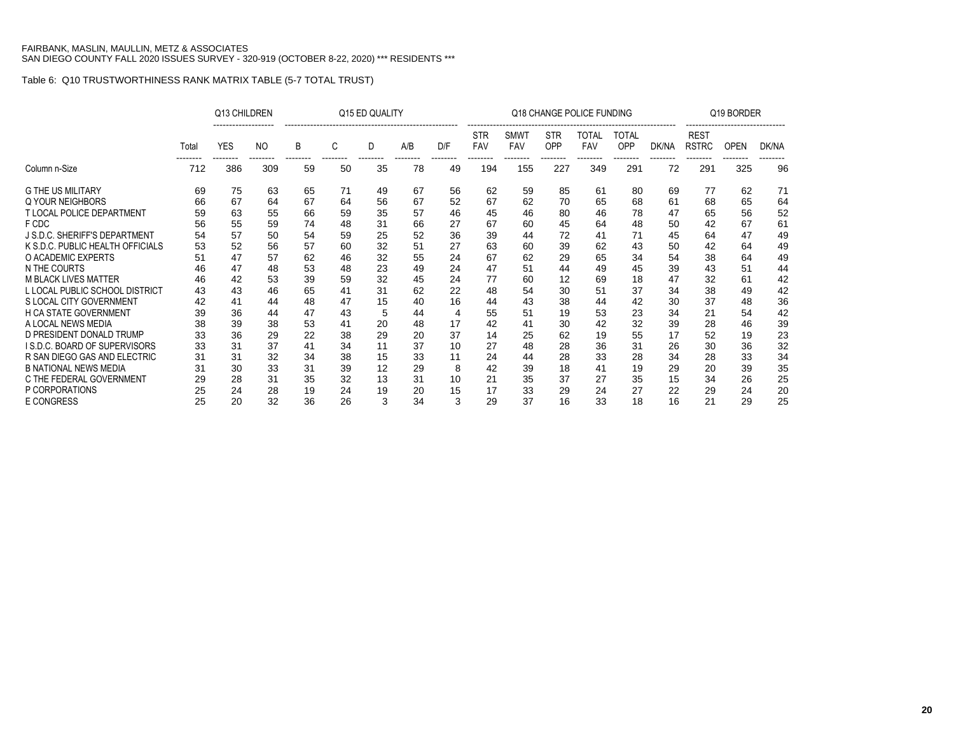|                                      |       | Q13 CHILDREN           |                            |               |               | Q15 ED QUALITY |     |                 |                   |                                |                               | Q18 CHANGE POLICE FUNDING       |                          |                   |                                         | Q19 BORDER              |       |
|--------------------------------------|-------|------------------------|----------------------------|---------------|---------------|----------------|-----|-----------------|-------------------|--------------------------------|-------------------------------|---------------------------------|--------------------------|-------------------|-----------------------------------------|-------------------------|-------|
|                                      | Total | <b>YES</b><br>-------- | N <sub>O</sub><br>-------- | B<br>-------- | C<br>-------- | D<br>--------  | A/B | D/F<br>-------- | <b>STR</b><br>FAV | <b>SMWT</b><br>FAV<br>-------- | <b>STR</b><br>OPP<br>-------- | TOTAL<br><b>FAV</b><br>-------- | TOTAL<br>OPP<br>-------- | DK/NA<br>-------- | <b>REST</b><br><b>RSTRC</b><br>-------- | <b>OPEN</b><br>-------- | DK/NA |
| Column n-Size                        | 712   | 386                    | 309                        | 59            | 50            | 35             | 78  | 49              | 194               | 155                            | 227                           | 349                             | 291                      | 72                | 291                                     | 325                     | 96    |
| <b>G THE US MILITARY</b>             | 69    | 75                     | 63                         | 65            | 71            | 49             | 67  | 56              | 62                | 59                             | 85                            | 61                              | 80                       | 69                | 77                                      | 62                      | 71    |
| Q YOUR NEIGHBORS                     | 66    | 67                     | 64                         | 67            | 64            | 56             | 67  | 52              | 67                | 62                             | 70                            | 65                              | 68                       | 61                | 68                                      | 65                      | 64    |
| <b>T LOCAL POLICE DEPARTMENT</b>     | 59    | 63                     | 55                         | 66            | 59            | 35             | 57  | 46              | 45                | 46                             | 80                            | 46                              | 78                       | 47                | 65                                      | 56                      | 52    |
| F CDC                                | 56    | 55                     | 59                         | 74            | 48            | 31             | 66  | 27              | 67                | 60                             | 45                            | 64                              | 48                       | 50                | 42                                      | 67                      | 61    |
| J S.D.C. SHERIFF'S DEPARTMENT        | 54    | 57                     | 50                         | 54            | 59            | 25             | 52  | 36              | 39                | 44                             | 72                            | 41                              | 71                       | 45                | 64                                      | 47                      | 49    |
| K S.D.C. PUBLIC HEALTH OFFICIALS     | 53    | 52                     | 56                         | 57            | 60            | 32             | 51  | 27              | 63                | 60                             | 39                            | 62                              | 43                       | 50                | 42                                      | 64                      | 49    |
| O ACADEMIC EXPERTS                   | 51    | 47                     | 57                         | 62            | 46            | 32             | 55  | 24              | 67                | 62                             | 29                            | 65                              | 34                       | 54                | 38                                      | 64                      | 49    |
| N THE COURTS                         | 46    | 47                     | 48                         | 53            | 48            | 23             | 49  | 24              | 47                | 51                             | 44                            | 49                              | 45                       | 39                | 43                                      | 51                      | 44    |
| <b>M BLACK LIVES MATTER</b>          | 46    | 42                     | 53                         | 39            | 59            | 32             | 45  | 24              | 77                | 60                             | 12                            | 69                              | 18                       | 47                | 32                                      | 61                      | 42    |
| L LOCAL PUBLIC SCHOOL DISTRICT       | 43    | 43                     | 46                         | 65            | 41            | 31             | 62  | 22              | 48                | 54                             | 30                            | 51                              | 37                       | 34                | 38                                      | 49                      | 42    |
| S LOCAL CITY GOVERNMENT              | 42    | 41                     | 44                         | 48            | 47            | 15             | 40  | 16              | 44                | 43                             | 38                            | 44                              | 42                       | 30                | 37                                      | 48                      | 36    |
| <b>H CA STATE GOVERNMENT</b>         | 39    | 36                     | 44                         | 47            | 43            | 5              | 44  | 4               | 55                | 51                             | 19                            | 53                              | 23                       | 34                | 21                                      | 54                      | 42    |
| A LOCAL NEWS MEDIA                   | 38    | 39                     | 38                         | 53            | 41            | 20             | 48  | 17              | 42                | 41                             | 30                            | 42                              | 32                       | 39                | 28                                      | 46                      | 39    |
| D PRESIDENT DONALD TRUMP             | 33    | 36                     | 29                         | 22            | 38            | 29             | 20  | 37              | 14                | 25                             | 62                            | 19                              | 55                       | 17                | 52                                      | 19                      | 23    |
| <b>I S.D.C. BOARD OF SUPERVISORS</b> | 33    | 31                     | 37                         | 41            | 34            | 11             | 37  | 10              | 27                | 48                             | 28                            | 36                              | 31                       | 26                | 30                                      | 36                      | 32    |
| R SAN DIEGO GAS AND ELECTRIC         | 31    | 31                     | 32                         | 34            | 38            | 15             | 33  | 11              | 24                | 44                             | 28                            | 33                              | 28                       | 34                | 28                                      | 33                      | 34    |
| <b>B NATIONAL NEWS MEDIA</b>         | 31    | 30                     | 33                         | 31            | 39            | 12             | 29  | 8               | 42                | 39                             | 18                            | 41                              | 19                       | 29                | 20                                      | 39                      | 35    |
| C THE FEDERAL GOVERNMENT             | 29    | 28                     | 31                         | 35            | 32            | 13             | 31  | 10              | 21                | 35                             | 37                            | 27                              | 35                       | 15                | 34                                      | 26                      | 25    |
| P CORPORATIONS                       | 25    | 24                     | 28                         | 19            | 24            | 19             | 20  | 15              | 17                | 33                             | 29                            | 24                              | 27                       | 22                | 29                                      | 24                      | 20    |
| <b>E CONGRESS</b>                    | 25    | 20                     | 32                         | 36            | 26            | 3              | 34  | 3               | 29                | 37                             | 16                            | 33                              | 18                       | 16                | 21                                      | 29                      | 25    |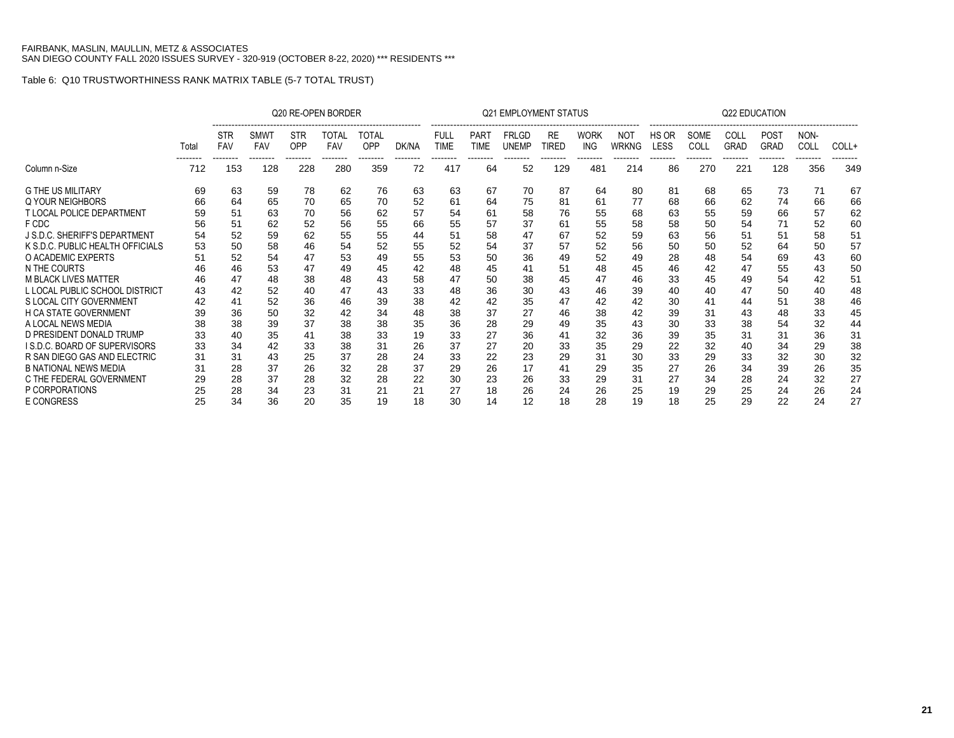|                                      |                   |                                      |                         |                               | Q20 RE-OPEN BORDER              |                          |                   |                                        |                                        | <b>Q21 EMPLOYMENT STATUS</b>             |                                |                                |                          |                                  |                          | <b>Q22 EDUCATION</b>            |                                        |                          |                   |
|--------------------------------------|-------------------|--------------------------------------|-------------------------|-------------------------------|---------------------------------|--------------------------|-------------------|----------------------------------------|----------------------------------------|------------------------------------------|--------------------------------|--------------------------------|--------------------------|----------------------------------|--------------------------|---------------------------------|----------------------------------------|--------------------------|-------------------|
|                                      | Total<br>-------- | <b>STR</b><br><b>FAV</b><br>-------- | SMWT<br>FAV<br>-------- | <b>STR</b><br>OPP<br>-------- | TOTAL<br><b>FAV</b><br>-------- | TOTAL<br>OPP<br>-------- | DK/NA<br>-------- | <b>FULL</b><br><b>TIME</b><br>-------- | <b>PART</b><br><b>TIME</b><br>-------- | <b>FRLGD</b><br><b>UNEMP</b><br>-------- | <b>RE</b><br>TIRED<br>-------- | <b>WORK</b><br>ING<br>-------- | NOT<br>WRKNG<br>-------- | HS OR<br><b>LESS</b><br>-------- | SOME<br>COLL<br>-------- | COLL<br><b>GRAD</b><br>-------- | <b>POST</b><br><b>GRAD</b><br>-------- | NON-<br>COLL<br>-------- | COLL+<br>-------- |
| Column n-Size                        | 712               | 153                                  | 128                     | 228                           | 280                             | 359                      | 72                | 417                                    | 64                                     | 52                                       | 129                            | 481                            | 214                      | 86                               | 270                      | 221                             | 128                                    | 356                      | 349               |
| <b>G THE US MILITARY</b>             | 69                | 63                                   | 59                      | 78                            | 62                              | 76                       | 63                | 63                                     | 67                                     | 70                                       | 87                             | 64                             | 80                       | 81                               | 68                       | 65                              | 73                                     | 71                       | 67                |
| Q YOUR NEIGHBORS                     | 66                | 64                                   | 65                      | 70                            | 65                              | 70                       | 52                | 61                                     | 64                                     | 75                                       | 81                             | 61                             | 77                       | 68                               | 66                       | 62                              | 74                                     | 66                       | 66                |
| T LOCAL POLICE DEPARTMENT            | 59                | 51                                   | 63                      | 70                            | 56                              | 62                       | 57                | 54                                     | 61                                     | 58                                       | 76                             | 55                             | 68                       | 63                               | 55                       | 59                              | 66                                     | 57                       | 62                |
| F CDC                                | 56                | 51                                   | 62                      | 52                            | 56                              | 55                       | 66                | 55                                     | 57                                     | 37                                       | 61                             | 55                             | 58                       | 58                               | 50                       | 54                              | 71                                     | 52                       | 60                |
| J S.D.C. SHERIFF'S DEPARTMENT        | 54                | 52                                   | 59                      | 62                            | 55                              | 55                       | 44                | 51                                     | 58                                     | 47                                       | 67                             | 52                             | 59                       | 63                               | 56                       | 51                              | 51                                     | 58                       | 51                |
| K S.D.C. PUBLIC HEALTH OFFICIALS     | 53                | 50                                   | 58                      | 46                            | 54                              | 52                       | 55                | 52                                     | 54                                     | 37                                       | 57                             | 52                             | 56                       | 50                               | 50                       | 52                              | 64                                     | 50                       | 57                |
| O ACADEMIC EXPERTS                   | 51                | 52                                   | 54                      | 47                            | 53                              | 49                       | 55                | 53                                     | 50                                     | 36                                       | 49                             | 52                             | 49                       | 28                               | 48                       | 54                              | 69                                     | 43                       | 60                |
| N THE COURTS                         | 46                | 46                                   | 53                      | 47                            | 49                              | 45                       | 42                | 48                                     | 45                                     | 41                                       | 51                             | 48                             | 45                       | 46                               | 42                       | 47                              | 55                                     | 43                       | 50                |
| <b>M BLACK LIVES MATTER</b>          | 46                | 47                                   | 48                      | 38                            | 48                              | 43                       | 58                | 47                                     | 50                                     | 38                                       | 45                             | 47                             | 46                       | 33                               | 45                       | 49                              | 54                                     | 42                       | 51                |
| L LOCAL PUBLIC SCHOOL DISTRICT       | 43                | 42                                   | 52                      | 40                            | 47                              | 43                       | 33                | 48                                     | 36                                     | 30                                       | 43                             | 46                             | 39                       | 40                               | 40                       | 47                              | 50                                     | 40                       | 48                |
| S LOCAL CITY GOVERNMENT              | 42                | 36                                   | 52                      | 36                            | 46                              | 39                       | 38                | 42                                     | 42                                     | 35                                       | 47                             | 42                             | 42                       | 30                               | 41                       | 44                              | 51                                     | 38                       | 46                |
| H CA STATE GOVERNMENT                | 39                |                                      | 50                      | 32                            | 42                              | 34                       | 48                | 38                                     | 37                                     | 27                                       | 46                             | 38                             | 42                       | 39                               | 31                       | 43                              | 48                                     | 33                       | 45                |
| A LOCAL NEWS MEDIA                   | 38                | 38                                   | 39                      | 37                            | 38                              | 38                       | 35                | 36                                     | 28                                     | 29                                       | 49                             | 35                             | 43                       | 30                               | 33                       | 38                              | 54                                     | 32                       | 44                |
| D PRESIDENT DONALD TRUMP             | 33                | 40                                   | 35                      | 41                            | 38                              | 33                       | 19                | 33                                     | 27                                     | 36                                       | 41                             | 32                             | 36                       | 39                               | 35                       | 31                              | 31                                     | 36                       | 31                |
| <b>I S.D.C. BOARD OF SUPERVISORS</b> | 33                | 34                                   | 42                      | 33                            | 38                              | 31                       | 26                | 37                                     | 27                                     | 20                                       | 33                             | 35                             | 29                       | 22                               | 32                       | 40                              | 34                                     | 29                       | 38                |
| R SAN DIEGO GAS AND ELECTRIC         | 31                | 31                                   | 43                      | 25                            | 37                              | 28                       | 24                | 33                                     | 22                                     | 23                                       | 29                             | 31                             | 30                       | 33                               | 29                       | 33                              | 32                                     | 30                       | 32                |
| <b>B NATIONAL NEWS MEDIA</b>         | 31                | 28                                   | 37                      | 26                            | 32                              | 28                       | 37                | 29                                     | 26                                     | 17                                       | 41                             | 29                             | 35                       | 27                               | 26                       | 34                              | 39                                     | 26                       | 35                |
| C THE FEDERAL GOVERNMENT             | 29                | 28                                   | 37                      | 28                            | 32                              | 28                       | 22                | 30                                     | 23                                     | 26                                       | 33                             | 29                             | 31                       | 27                               | 34                       | 28                              | 24                                     | 32                       | 27                |
| P CORPORATIONS                       | 25                | 28                                   | 34                      | 23                            | 31                              | 21                       | 21                | 27                                     | 18                                     | 26                                       | 24                             | 26                             | 25                       | 19                               | 29                       | 25                              | 24                                     | 26                       | 24                |
| <b>E CONGRESS</b>                    | 25                | 34                                   | 36                      | 20                            | 35                              | 19                       | 18                | 30                                     | 14                                     | 12                                       | 18                             | 28                             | 19                       | 18                               | 25                       | 29                              | 22                                     | 24                       | 27                |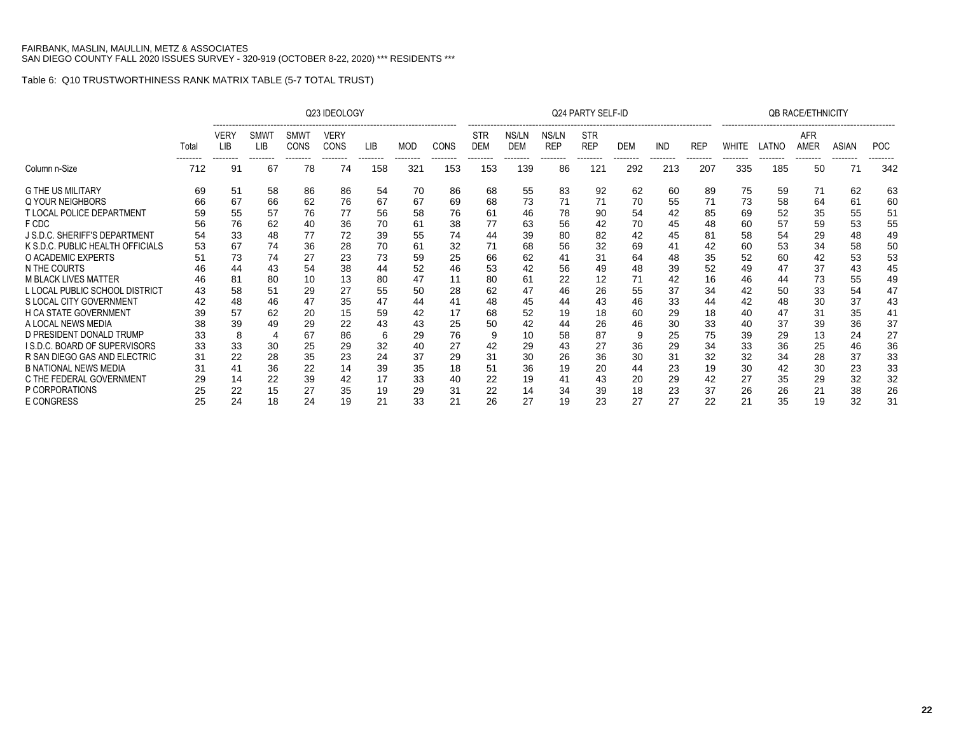|                                                                            |          |                                |                               |                                        | Q23 IDEOLOGY                           |                 |                        |                         |                               |                                 |                                 | Q24 PARTY SELF-ID                    |                |                        |                        |                   |                   | <b>QB RACE/ETHNICITY</b> |                   |                        |
|----------------------------------------------------------------------------|----------|--------------------------------|-------------------------------|----------------------------------------|----------------------------------------|-----------------|------------------------|-------------------------|-------------------------------|---------------------------------|---------------------------------|--------------------------------------|----------------|------------------------|------------------------|-------------------|-------------------|--------------------------|-------------------|------------------------|
|                                                                            | Total    | VERY<br><b>LIB</b><br>-------- | <b>SMW</b><br>LIB<br>-------- | <b>SMWT</b><br><b>CONS</b><br>-------- | <b>VERY</b><br><b>CONS</b><br>-------- | LIB<br>-------- | <b>MOD</b><br>-------- | <b>CONS</b><br>-------- | STR<br><b>DEM</b><br>-------- | NS/LN<br><b>DEM</b><br>-------- | NS/LN<br><b>REP</b><br>-------- | <b>STR</b><br><b>REP</b><br>-------- | <b>DEM</b><br> | <b>IND</b><br>-------- | <b>REP</b><br>-------- | WHITE<br>-------- | LATNO<br>-------- | AFR<br>AMER<br>--------  | ASIAN<br>-------- | <b>POC</b><br>-------- |
| Column n-Size                                                              | 712      | 91                             | 67                            | 78                                     | 74                                     | 158             | 321                    | 153                     | 153                           | 139                             | 86                              | 121                                  | 292            | 213                    | 207                    | 335               | 185               | 50                       | 71                | 342                    |
| <b>G THE US MILITARY</b><br>Q YOUR NEIGHBORS                               | 69<br>66 | 51<br>67                       | 58<br>66                      | 86<br>62                               | 86<br>76                               | 54<br>67        | 70<br>67               | 86                      | 68<br>68                      | 55<br>73                        | 83<br>71                        | 92<br>71                             | 62<br>70       | 60<br>55               | 89<br>71               | 75<br>73          | 59<br>58          | 71<br>64                 | 62<br>61          | 63<br>60               |
| <b>T LOCAL POLICE DEPARTMENT</b>                                           | 59       | 55                             | 57                            | 76                                     | 77                                     | 56              | 58                     | 69<br>76                | 61                            | 46                              | 78                              | 90                                   | 54             | 42                     | 85                     | 69                | 52                | 35                       | 55                | 51                     |
| F CDC<br>J S.D.C. SHERIFF'S DEPARTMENT                                     | 56<br>54 | 76<br>33                       | 62<br>48                      | 40<br>77                               | 36<br>72                               | 70<br>39        | 61<br>55               | 38<br>74                | 77<br>44                      | 63<br>39                        | 56<br>80                        | 42<br>82                             | 70<br>42       | 45<br>45               | 48<br>81               | 60<br>58          | 57<br>54          | 59<br>29                 | 53<br>48          | 55<br>49               |
| K S.D.C. PUBLIC HEALTH OFFICIALS<br>O ACADEMIC EXPERTS                     | 53<br>51 | 67<br>73                       | 74<br>74                      | 36<br>27                               | 28<br>23                               | 70<br>73        | 61<br>59               | 32<br>25                | 71<br>66                      | 68<br>62                        | 56<br>41                        | 32<br>31                             | 69<br>64       | 41<br>48               | 42<br>35               | 60<br>52          | 53<br>60          | 34<br>42                 | 58<br>53          | 50<br>53               |
| N THE COURTS<br><b>M BLACK LIVES MATTER</b>                                | 46       | 44<br>81                       | 43<br>80                      | 54<br>10                               | 38<br>13                               | 44<br>80        | 52<br>47               | 46<br>11                | 53<br>80                      | 61                              | 56<br>22                        | 49<br>12                             | 48<br>71       | 39<br>42               | 52<br>16               | 49<br>46          | 47<br>44          | 37<br>73                 | 43<br>55          | 45<br>49               |
| L LOCAL PUBLIC SCHOOL DISTRICT<br>S LOCAL CITY GOVERNMENT                  | 43       | 58<br>48                       | 51<br>46                      | 29<br>47                               | 27<br>35                               | 55<br>47        | 50<br>44               | 28<br>41                | 62<br>48                      | 47<br>45                        | 46<br>44                        | 26<br>43                             | 55<br>46       | 37<br>33               | 34<br>44               | 42<br>42          | 50<br>48          | 33<br>30                 | 54<br>37          | 47<br>43               |
| <b>H CA STATE GOVERNMENT</b><br>A LOCAL NEWS MEDIA                         |          | 57<br>39                       | 62<br>49                      | 20<br>29                               | 15<br>22                               | 59<br>43        | 42<br>43               | 17<br>25                | 68<br>50                      | 52<br>42                        | 19<br>44                        | 18<br>26                             | 60<br>46       | 29<br>30               | 18<br>33               | 40<br>40          | 47<br>37          | 31<br>39                 | 35<br>36          | 41<br>37               |
| D PRESIDENT DONALD TRUMP<br>I S.D.C. BOARD OF SUPERVISORS                  | 33<br>33 | 8<br>33                        | 30                            | 67<br>25                               | 86<br>29                               | 6<br>32         | 29<br>40               | 76<br>27                | 9<br>42                       | 10<br>29                        | 58<br>43                        | 87<br>27                             | 9<br>36        | 25<br>29               | 75<br>34               | 39<br>33          | 29<br>36          | 13<br>25                 | 24<br>46          | 27<br>36               |
| R SAN DIEGO GAS AND ELECTRIC                                               | 31       | 22                             | 28                            | 35                                     | 23                                     | 24              | 37                     | 29                      | 31                            | 30                              | 26                              | 36                                   | 30             | 31                     | 32                     | 32                | 34                | 28                       | 37                | 33                     |
| <b>B NATIONAL NEWS MEDIA</b><br>C THE FEDERAL GOVERNMENT<br>P CORPORATIONS | 31       | 41<br>14                       | 36<br>22                      | 22<br>39                               | 14<br>42                               | 39<br>17        | 35<br>33               | 18<br>40                | 51<br>22                      | 36<br>19                        | 19<br>41                        | 20<br>43                             | 44<br>20       | 23<br>29               | 19<br>42               | 30<br>27          | 42<br>35          | 30<br>29                 | 23<br>32          | 33<br>32               |
| <b>E CONGRESS</b>                                                          |          | 22<br>24                       | 15<br>18                      | 27<br>24                               | 35<br>19                               | 19<br>21        | 29<br>33               | 31<br>21                | 22<br>26                      | 14<br>27                        | 34<br>19                        | 39<br>23                             | 18<br>27       | 23<br>27               | 37<br>22               | 26<br>21          | 26<br>35          | 21<br>19                 | 38<br>32          | 26<br>31               |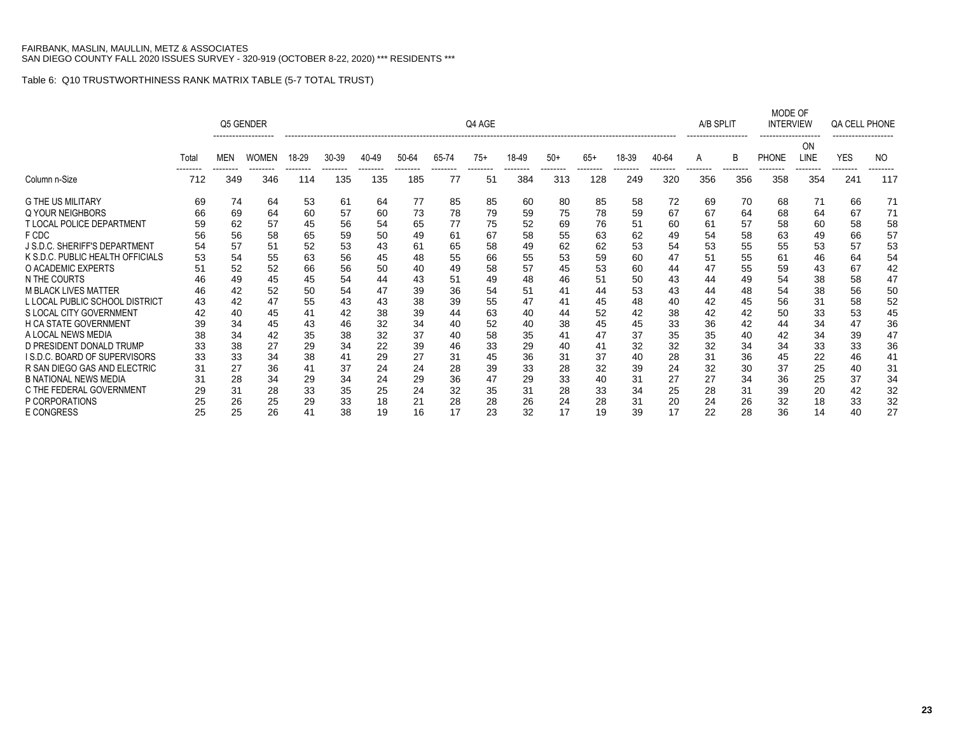|                                  |       |            | Q5 GENDER    |       |       |                 |       |                | Q4 AGE        |       |                 |                |       |       | A/B SPLIT       |                | MODE OF<br><b>INTERVIEW</b> |                   | QA CELL PHONE |     |
|----------------------------------|-------|------------|--------------|-------|-------|-----------------|-------|----------------|---------------|-------|-----------------|----------------|-------|-------|-----------------|----------------|-----------------------------|-------------------|---------------|-----|
|                                  | Total | <b>MEN</b> | <b>WOMEN</b> | 18-29 | 30-39 | 40-49           | 50-64 | 65-74          | $75+$         | 18-49 | $50+$           | $65+$          | 18-39 | 40-64 | A               |                | <b>PHONE</b>                | <b>ON</b><br>LINE | <b>YES</b>    | NO  |
| Column n-Size                    | 712   | 349        | 346          | 114   | 135   | --------<br>135 | 185   | --------<br>77 | -------<br>51 | 384   | --------<br>313 | -------<br>128 | 249   | 320   | --------<br>356 | -------<br>356 | 358                         | 354               | 241           | 117 |
| <b>G THE US MILITARY</b>         | 69    | 74         | 64           | 53    | 61    | 64              | 77    | 85             | 85            | 60    | 80              | 85             | 58    | 72    | 69              | 70             | 68                          | 71                | 66            | 71  |
| Q YOUR NEIGHBORS                 | 66    | 69         | 64           | 60    | 57    | 60              | 73    | 78             | 79            | 59    | 75              | 78             | 59    | 67    | 67              | 64             | 68                          | 64                | 67            | 71  |
| T LOCAL POLICE DEPARTMENT        | 59    | 62         | 57           | 45    | 56    | 54              | 65    | 77             | 75            | 52    | 69              | 76             | 51    | 60    | 61              | 57             | 58                          | 60                | 58            | 58  |
| F CDC                            | 56    | 56         | 58           | 65    | 59    | 50              | 49    | 61             | 67            | 58    | 55              | 63             | 62    | 49    | 54              | 58             | 63                          | 49                | 66            | 57  |
| J S.D.C. SHERIFF'S DEPARTMENT    | 54    | 57         | 51           | 52    | 53    | 43              | 61    | 65             | 58            | 49    | 62              | 62             | 53    | 54    | 53              | 55             | 55                          | 53                | 57            | 53  |
| K S.D.C. PUBLIC HEALTH OFFICIALS | 53    | 54         | 55           | 63    | 56    | 45              | 48    | 55             | 66            | 55    | 53              | 59             | 60    | 47    | 51              | 55             | 61                          | 46                | 64            | 54  |
| O ACADEMIC EXPERTS               | 51    | 52         | 52           | 66    | 56    | 50              | 40    | 49             | 58            | 57    | 45              | 53             | 60    | 44    | 47              | 55             | 59                          | 43                | 67            | 42  |
| N THE COURTS                     | 46    | 49         | 45           | 45    | 54    | 44              | 43    | 51             | 49            | 48    | 46              | 51             | 50    | 43    | 44              | 49             | 54                          | 38                | 58            | 47  |
| <b>M BLACK LIVES MATTER</b>      | 46    | 42         | 52           | 50    | 54    | 47              | 39    | 36             | 54            | 51    | 41              | 44             | 53    | 43    | 44              | 48             | 54                          | 38                | 56            | 50  |
| L LOCAL PUBLIC SCHOOL DISTRICT   | 43    | 42         | 47           | 55    | 43    | 43              | 38    | 39             | 55            | 47    | 41              | 45             | 48    | 40    | 42              | 45             | 56                          | 31                | 58            | 52  |
| S LOCAL CITY GOVERNMENT          |       | 40         | 45           | 41    | 42    | 38              | 39    | 44             | 63            | 40    | 44              | 52             | 42    | 38    | 42              | 42             | 50                          | 33                | 53            | 45  |
| <b>H CA STATE GOVERNMENT</b>     | 39    | 34         | 45           | 43    | 46    | 32              | 34    | 40             | 52            | 40    | 38              | 45             | 45    | 33    | 36              | 42             | 44                          | 34                | 47            | 36  |
| A LOCAL NEWS MEDIA               | 38    | 34         | 42           | 35    | 38    | 32              | 37    | 40             | 58            | 35    | 41              | 47             | 37    | 35    | 35              | 40             | 42                          | 34                | 39            | 47  |
| D PRESIDENT DONALD TRUMP         | 33    | 38         | 27           | 29    | 34    | 22              | 39    | 46             | 33            | 29    | 40              | 41             | 32    | 32    | 32              | 34             | 34                          | 33                | 33            | 36  |
| I S.D.C. BOARD OF SUPERVISORS    | 33    | 33         | 34           | 38    | 41    | 29              | 27    | 31             | 45            | 36    | 31              | 37             | 40    | 28    | 31              | 36             | 45                          | 22                | 46            | 41  |
| R SAN DIEGO GAS AND ELECTRIC     | 31    | 27         | 36           | 41    | 37    | 24              | 24    | 28             | 39            | 33    | 28              | 32             | 39    | 24    | 32              | 30             | 37                          | 25                | 40            | 31  |
| <b>B NATIONAL NEWS MEDIA</b>     | 31    | 28         | 34           | 29    | 34    | 24              | 29    | 36             | 47            | 29    | 33              | 40             | 31    | 27    | 27              | 34             | 36                          | 25                | 37            | 34  |
| C THE FEDERAL GOVERNMENT         | 29    | 31         | 28           | 33    | 35    | 25              | 24    | 32             | 35            | 31    | 28              | 33             | 34    | 25    | 28              | 31             | 39                          | 20                | 42            | 32  |
| P CORPORATIONS                   |       | 26         | 25           | 29    | 33    | 18              | 21    | 28             | 28            | 26    | 24              | 28             | 31    | 20    | 24              | 26             | 32                          | 18                | 33            | 32  |
| <b>E CONGRESS</b>                | 25    | 25         | 26           | 41    | 38    | 19              | 16    | 17             | 23            | 32    | 17              | 19             | 39    | 17    | 22              | 28             | 36                          | 14                | 40            | 27  |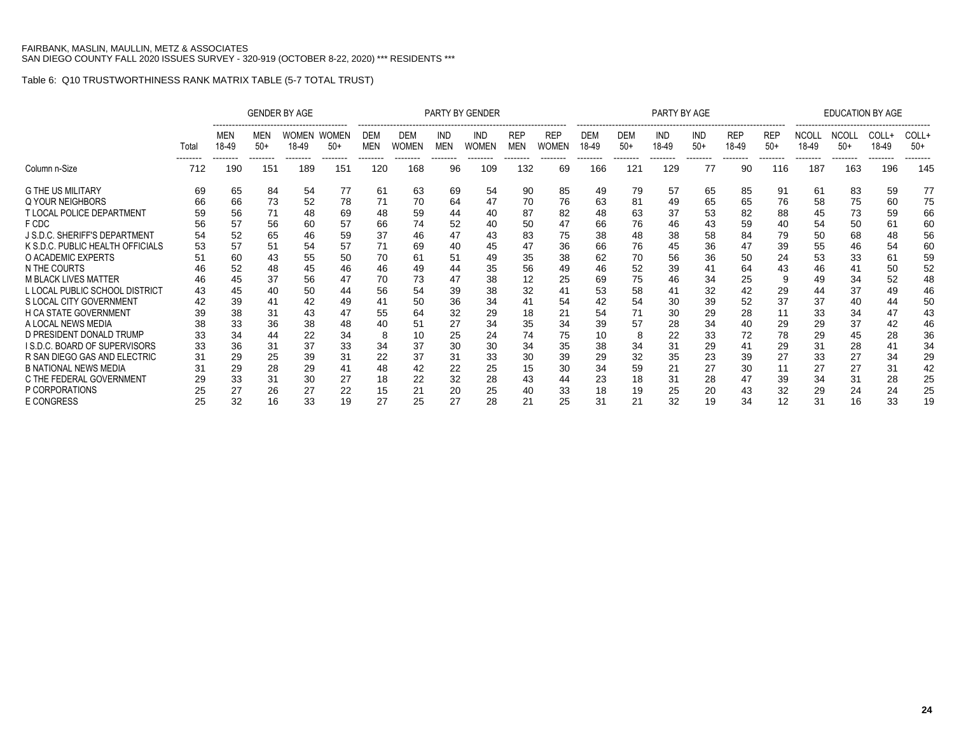|                                                                                                                                                                      |                            | <b>GENDER BY AGE</b>             |                                  |                                  |                                   |                        |                                        |                                  | PARTY BY GENDER                  |                                      |                                  |                                  |                                                         | PARTY BY AGE                     |                                  |                                     |                                 |                                  | <b>EDUCATION BY AGE</b>           |                                  |                            |
|----------------------------------------------------------------------------------------------------------------------------------------------------------------------|----------------------------|----------------------------------|----------------------------------|----------------------------------|-----------------------------------|------------------------|----------------------------------------|----------------------------------|----------------------------------|--------------------------------------|----------------------------------|----------------------------------|---------------------------------------------------------|----------------------------------|----------------------------------|-------------------------------------|---------------------------------|----------------------------------|-----------------------------------|----------------------------------|----------------------------|
|                                                                                                                                                                      | Total<br>--------          | MEN<br>18-49<br>--------         | MEN<br>$50+$<br>--------         | WOMEN<br>18-49<br>--------       | <b>WOMEN</b><br>$50+$<br>-------- | DEM<br>MEN<br>-------- | <b>DEM</b><br><b>WOMEN</b><br>-------- | IND<br>MEN<br>--------           | IND<br><b>WOMEN</b><br>--------  | <b>REP</b><br><b>MEN</b><br>-------- | <b>REP</b><br>Women<br>--------  | <b>DEM</b><br>18-49<br>--------  | --------------------<br><b>DEM</b><br>$50+$<br>-------- | IND<br>18-49<br>--------         | <b>IND</b><br>$50+$<br>--------  | <br><b>REP</b><br>18-49<br>-------- | <b>REP</b><br>$50+$<br>-------- | NCOLI<br>18-49<br>--------       | <b>NCOLL</b><br>$50+$<br>-------- | COLL+<br>18-49<br>--------       | COLL+<br>$50+$<br>-------- |
| Column n-Size                                                                                                                                                        | 712                        | 190                              | 151                              | 189                              | 151                               | 120                    | 168                                    | 96                               | 109                              | 132                                  | 69                               | 166                              | 121                                                     | 129                              | 77                               | 90                                  | 116                             | 187                              | 163                               | 196                              | 145                        |
| <b>G THE US MILITARY</b><br><b>Q YOUR NEIGHBORS</b>                                                                                                                  | 69<br>66                   | 65<br>66                         | 84<br>73                         | 54<br>52                         | 77<br>78                          | 61<br>71               | 63<br>70                               | 69<br>64                         | 54<br>47                         | 90<br>70                             | 85<br>76                         | 49<br>63                         | 79<br>81                                                | 57<br>49                         | 65<br>65                         | 85<br>65                            | 91<br>76                        | 61<br>58                         | 83<br>75                          | 59<br>60                         | 77<br>75                   |
| <b>T LOCAL POLICE DEPARTMENT</b>                                                                                                                                     | 59                         | 56                               | 71                               | 48                               | 69                                | 48                     | 59                                     | 44                               | 40                               | 87                                   | 82                               | 48                               | 63                                                      | 37                               | 53                               | 82                                  | 88                              | 45                               | 73                                | 59                               | 66                         |
| F CDC<br><b>J S.D.C. SHERIFF'S DEPARTMENT</b>                                                                                                                        | 56<br>54                   | 57<br>52                         | 56<br>65                         | 60<br>46                         | 57<br>59                          | 66<br>37               | 74<br>46                               | 52<br>47                         | 40<br>43                         | 50<br>83                             | 47<br>75                         | 66<br>38                         | 76<br>48                                                | 46<br>38                         | 43<br>58                         | 59<br>84                            | 40<br>79                        | 54<br>50                         | 50<br>68                          | 61<br>48                         | 60<br>56                   |
| K S.D.C. PUBLIC HEALTH OFFICIALS<br>O ACADEMIC EXPERTS                                                                                                               | 53<br>51                   | 57<br>60                         | 51<br>43                         | 54<br>55                         | 57<br>50                          | 71<br>70               | 69<br>61                               | 40<br>51                         | 45<br>49                         | 47<br>35                             | 36<br>38                         | 66<br>62                         | 76<br>70                                                | 45<br>56                         | 36<br>36                         | 47<br>50                            | 39<br>24                        | 55<br>53                         | 46<br>33                          | 54<br>61                         | 60<br>59                   |
| N THE COURTS                                                                                                                                                         |                            | 52                               | 48                               | 45                               | 46                                | 46                     | 49                                     | 44                               | 35                               | 56                                   | 49                               | 46                               | 52                                                      | 39                               | 41                               | 64                                  | 43                              | 46                               | 41                                | 50                               | 52<br>48                   |
| L LOCAL PUBLIC SCHOOL DISTRICT                                                                                                                                       | 43                         | 45                               | 40                               | 50                               | 44                                | 56                     | 54                                     | 39                               | 38                               | 32                                   | 41                               | 53                               | 58                                                      | 41                               | 32                               | 42                                  | 29                              | 44                               | 37                                | 49                               | 46                         |
| <b>H CA STATE GOVERNMENT</b>                                                                                                                                         | 39                         | 38                               | 31                               | 43                               | 47                                | 55                     | 64                                     | 32                               | 29                               | 18                                   | 21                               | 54                               | 71                                                      | 30                               | 29                               | 28                                  | 11                              | 33                               | 34                                | 47                               | 50<br>43                   |
|                                                                                                                                                                      | 38                         |                                  |                                  |                                  | 48                                | 40                     |                                        |                                  |                                  |                                      |                                  |                                  | 8                                                       |                                  |                                  |                                     |                                 |                                  |                                   |                                  | 46<br>36                   |
| I S.D.C. BOARD OF SUPERVISORS                                                                                                                                        | 33                         | 36                               | 31                               | 37                               | 33                                | 34                     | 37                                     | 30                               | 30                               | 34                                   | 35                               | 38                               | 34                                                      | 31                               | 29                               |                                     | 29                              | 31                               | 28                                | 41                               | 34<br>29                   |
| <b>B NATIONAL NEWS MEDIA</b>                                                                                                                                         | 31                         | 29                               | 28                               | 29                               | 41                                | 48                     | 42                                     | 22                               | 25                               | 15                                   | 30                               | 34                               | 59                                                      | 21                               | 27                               | 30                                  | 11                              | 27                               | 27                                | 31                               | 42                         |
| P CORPORATIONS<br><b>E CONGRESS</b>                                                                                                                                  | 25                         | 27<br>32                         | 26<br>16                         | 27<br>33                         | 22<br>19                          | 15<br>27               | 21<br>25                               | 20<br>27                         | 25<br>28                         | 21                                   | 33<br>25                         | 18<br>31                         | 19<br>21                                                | 25<br>32                         | 20<br>19                         | 43<br>34                            | 32<br>12                        | 29<br>31                         | 24<br>16                          | 24<br>33                         | 25<br>25<br>19             |
| <b>M BLACK LIVES MATTER</b><br>S LOCAL CITY GOVERNMENT<br>A LOCAL NEWS MEDIA<br>D PRESIDENT DONALD TRUMP<br>R SAN DIEGO GAS AND ELECTRIC<br>C THE FEDERAL GOVERNMENT | 46<br>42<br>33<br>31<br>29 | 45<br>39<br>33<br>34<br>29<br>33 | 37<br>41<br>36<br>44<br>25<br>31 | 56<br>42<br>38<br>22<br>39<br>30 | 47<br>49<br>34<br>31<br>27        | 70<br>8<br>22<br>18    | 73<br>50<br>51<br>37<br>22             | 47<br>36<br>27<br>25<br>31<br>32 | 38<br>34<br>34<br>24<br>33<br>28 | 12<br>41<br>35<br>74<br>30<br>43     | 25<br>54<br>34<br>75<br>39<br>44 | 69<br>42<br>39<br>10<br>29<br>23 | 75<br>54<br>57<br>32<br>18                              | 46<br>30<br>28<br>22<br>35<br>31 | 34<br>39<br>34<br>33<br>23<br>28 | 25<br>52<br>40<br>72<br>39<br>47    | 37<br>29<br>78<br>27<br>39      | 49<br>37<br>29<br>29<br>33<br>34 | 34<br>40<br>37<br>45<br>27<br>31  | 52<br>44<br>42<br>28<br>34<br>28 |                            |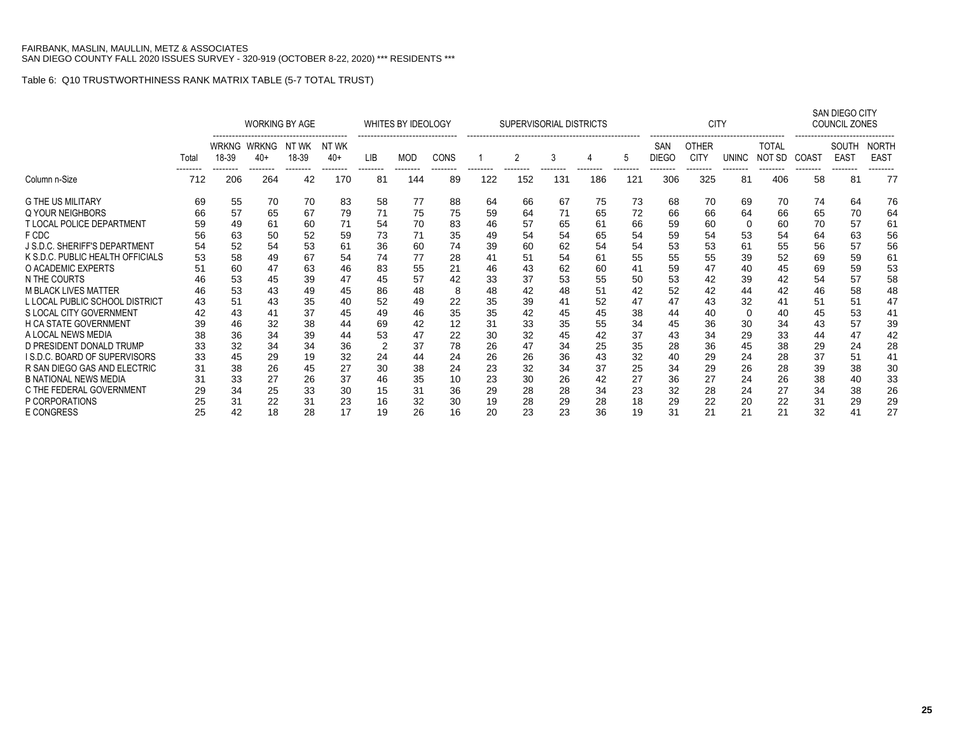|                                      |       |                       | <b>WORKING BY AGE</b> |                |                 |                | WHITES BY IDEOLOGY |                |                 | SUPERVISORIAL DISTRICTS |                 |                 |                 |                     | <b>CITY</b>                 |                |                        |                | SAN DIEGO CITY<br><b>COUNCIL ZONES</b> |                             |
|--------------------------------------|-------|-----------------------|-----------------------|----------------|-----------------|----------------|--------------------|----------------|-----------------|-------------------------|-----------------|-----------------|-----------------|---------------------|-----------------------------|----------------|------------------------|----------------|----------------------------------------|-----------------------------|
|                                      | Total | <b>WRKNG</b><br>18-39 | WRKNG<br>40+          | NT WK<br>18-39 | NT WK<br>$40+$  | LIB            | <b>MOD</b>         | CONS           |                 | 2                       | 3               |                 | 5               | SAN<br><b>DIEGO</b> | <b>OTHER</b><br><b>CITY</b> | <b>UNINC</b>   | <b>TOTAL</b><br>NOT SD | COAST          | SOUTH<br><b>EAST</b>                   | <b>NORTH</b><br><b>EAST</b> |
| Column n-Size                        | 712   | --------<br>206       | .<br>264              | --------<br>42 | --------<br>170 | --------<br>81 | --------<br>144    | --------<br>89 | --------<br>122 | --------<br>152         | --------<br>131 | --------<br>186 | --------<br>121 | --------<br>306     | --------<br>325             | --------<br>81 | --------<br>406        | --------<br>58 | --------<br>81                         | 77                          |
| <b>G THE US MILITARY</b>             | 69    | 55                    | 70                    | 70             | 83              | 58             | 77                 | 88             | 64              | 66                      | 67              | 75              | 73              | 68                  | 70                          | 69             | 70                     | 74             | 64                                     | 76                          |
| Q YOUR NEIGHBORS                     | 66    | 57                    | 65                    | 67             | 79              | 71             | 75                 | 75             | 59              | 64                      | 71              | 65              | 72              | 66                  | 66                          | 64             | 66                     | 65             | 70                                     | 64                          |
| <b>T LOCAL POLICE DEPARTMENT</b>     | 59    | 49                    | 61                    | 60             | 71              | 54             | 70                 | 83             | 46              | 57                      | 65              | 61              | 66              | 59                  | 60                          | 0              | 60                     | 70             | 57                                     | 61                          |
| F CDC                                | 56    | 63                    | 50                    | 52             | 59              | 73             | 71                 | 35             | 49              | 54                      | 54              | 65              | 54              | 59                  | 54                          | 53             | 54                     | 64             | 63                                     | 56                          |
| <b>J S.D.C. SHERIFF'S DEPARTMENT</b> | 54    | 52                    | 54                    | 53             | 61              | 36             | 60                 | 74             | 39              | 60                      | 62              | 54              | 54              | 53                  | 53                          | 61             | 55                     | 56             | 57                                     | 56                          |
| K S.D.C. PUBLIC HEALTH OFFICIALS     | 53    | 58                    | 49                    | 67             | 54              | 74             | 77                 | 28             | 41              | 51                      | 54              | 61              | 55              | 55                  | 55                          | 39             | 52                     | 69             | 59                                     | 61                          |
| O ACADEMIC EXPERTS                   | 51    | 60                    | 47                    | 63             | 46              | 83             | 55                 | 21             | 46              | 43                      | 62              | 60              | 41              | 59                  | 47                          | 40             | 45                     | 69             | 59                                     | 53                          |
| N THE COURTS                         | 46    | 53                    | 45                    | 39             | 47              | 45             | 57                 | 42             | 33              | 37                      | 53              | 55              | 50              | 53                  | 42                          | 39             | 42                     | 54             | 57                                     | 58                          |
| <b>M BLACK LIVES MATTER</b>          | 46    | 53                    | 43                    | 49             | 45              | 86             | 48                 | 8              | 48              | 42                      | 48              | 51              | 42              | 52                  | 42                          | 44             | 42                     | 46             | 58                                     | 48                          |
| L LOCAL PUBLIC SCHOOL DISTRICT       | 43    | 51                    | 43                    | 35             | 40              | 52             | 49                 | 22             | 35              | 39                      | 41              | 52              | 47              | 47                  | 43                          | 32             | 41                     | 51             | 51                                     | 47                          |
| S LOCAL CITY GOVERNMENT              | 42    | 43                    | 41                    | 37             | 45              | 49             | 46                 | 35             | 35              | 42                      | 45              | 45              | 38              | 44                  | 40                          | 0              | 40                     | 45             | 53                                     | 41                          |
| H CA STATE GOVERNMENT                | 39    | 46                    | 32                    | 38             | 44              | 69             | 42                 | 12             | 31              | 33                      | 35              | 55              | 34              | 45                  | 36                          | 30             | 34                     | 43             | 57                                     | 39                          |
| A LOCAL NEWS MEDIA                   | 38    | 36                    | 34                    | 39             | 44              | 53             | 47                 | 22             | 30              | 32                      | 45              | 42              | 37              | 43                  | 34                          | 29             | 33                     | 44             | 47                                     | 42                          |
| D PRESIDENT DONALD TRUMP             | 33    | 32                    | 34                    | 34             | 36              | 2              | 37                 | 78             | 26              | 47                      | 34              | 25              | 35              | 28                  | 36                          | 45             | 38                     | 29             | 24                                     | 28                          |
| I S.D.C. BOARD OF SUPERVISORS        | 33    | 45                    | 29                    | 19             | 32              | 24             | 44                 | 24             | 26              | 26                      | 36              | 43              | 32              | 40                  | 29                          | 24             | 28                     | 37             | 51                                     | 41                          |
| R SAN DIEGO GAS AND ELECTRIC         | 31    | 38                    | 26                    | 45             | 27              | 30             | 38                 | 24             | 23              | 32                      | 34              | 37              | 25              | 34                  | 29                          | 26             | 28                     | 39             | 38                                     | 30                          |
| <b>B NATIONAL NEWS MEDIA</b>         | 31    | 33                    | 27                    | 26             | 37              | 46             | 35                 | 10             | 23              | 30                      | 26              | 42              | 27              | 36                  | 27                          | 24             | 26                     | 38             | 40                                     | 33                          |
| C THE FEDERAL GOVERNMENT             | 29    | 34                    | 25                    | 33             | 30              | 15             | 31                 | 36             | 29              | 28                      | 28              | 34              | 23              | 32                  | 28                          | 24             | 27                     | 34             | 38                                     | 26                          |
| P CORPORATIONS                       | 25    | 31                    | 22                    | 31             | 23              | 16             | 32                 | 30             | 19              | 28                      | 29              | 28              | 18              | 29                  | 22                          | 20             | 22                     | 31             | 29                                     | 29                          |
| <b>E CONGRESS</b>                    | 25    | 42                    | 18                    | 28             | 17              | 19             | 26                 | 16             | 20              | 23                      | 23              | 36              | 19              | 31                  | 21                          | 21             | 21                     | 32             | 41                                     | 27                          |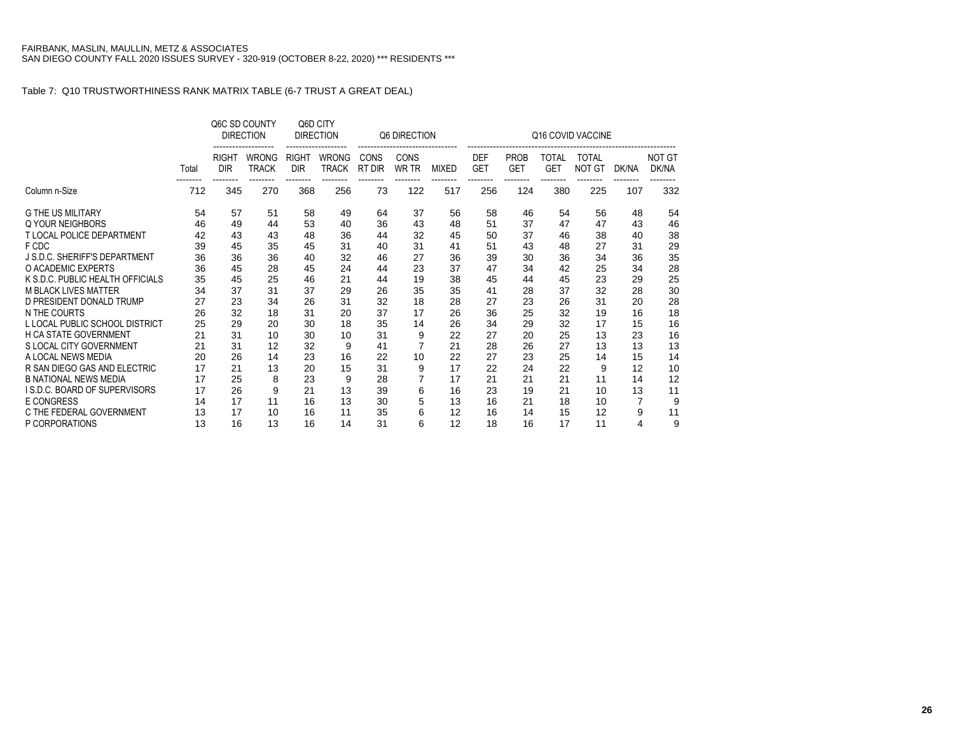|                                            |          |                            | Q6C SD COUNTY<br><b>DIRECTION</b> |                                        | Q6D CITY<br><b>DIRECTION</b>      |                | Q6 DIRECTION                |              |                          |                           |                     | Q16 COVID VACCINE             |                |                        |
|--------------------------------------------|----------|----------------------------|-----------------------------------|----------------------------------------|-----------------------------------|----------------|-----------------------------|--------------|--------------------------|---------------------------|---------------------|-------------------------------|----------------|------------------------|
|                                            | Total    | <b>RIGHT</b><br><b>DIR</b> | <b>WRONG</b><br><b>TRACK</b>      | <b>RIGHT</b><br><b>DIR</b><br>-------- | <b>WRONG</b><br>TRACK<br>-------- | CONS<br>RT DIR | <b>CONS</b><br><b>WR TR</b> | <b>MIXED</b> | <b>DEF</b><br><b>GET</b> | <b>PROB</b><br><b>GET</b> | TOTAL<br><b>GET</b> | <b>TOTAL</b><br><b>NOT GT</b> | DK/NA          | <b>NOT GT</b><br>DK/NA |
| Column n-Size                              | 712      | 345                        | 270                               | 368                                    | 256                               | 73             | 122                         | 517          | 256                      | 124                       | 380                 | 225                           | 107            | 332                    |
| <b>G THE US MILITARY</b>                   | 54       | 57                         | 51                                | 58                                     | 49                                | 64             | 37                          | 56           | 58                       | 46                        | 54                  | 56                            | 48             | 54                     |
| Q YOUR NEIGHBORS                           | 46       | 49                         | 44                                | 53                                     | 40                                | 36             | 43                          | 48           | 51                       | 37                        | 47                  | 47                            | 43             | 46                     |
| <b>T LOCAL POLICE DEPARTMENT</b>           | 42       | 43                         | 43                                | 48                                     | 36                                | 44             | 32                          | 45           | 50                       | 37                        | 46                  | 38                            | 40             | 38                     |
| F CDC                                      | 39       | 45                         | 35                                | 45                                     | 31                                | 40             | 31                          | 41           | 51                       | 43                        | 48                  | 27                            | 31             | 29                     |
| J S.D.C. SHERIFF'S DEPARTMENT              | 36       | 36                         | 36                                | 40                                     | 32                                | 46             | 27                          | 36           | 39                       | 30                        | 36                  | 34                            | 36             | 35                     |
| O ACADEMIC EXPERTS                         | 36       | 45                         | 28                                | 45                                     | 24                                | 44             | 23                          | 37           | 47                       | 34                        | 42                  | 25                            | 34             | 28                     |
| K S.D.C. PUBLIC HEALTH OFFICIALS           | 35       | 45                         | 25                                | 46                                     | 21                                | 44             | 19                          | 38           | 45                       | 44                        | 45                  | 23                            | 29             | 25                     |
| <b>M BLACK LIVES MATTER</b>                | 34       | 37                         | 31                                | 37                                     | 29                                | 26             | 35                          | 35           | 41                       | 28                        | 37                  | 32                            | 28             | 30                     |
| D PRESIDENT DONALD TRUMP                   | 27       | 23                         | 34                                | 26                                     | 31                                | 32             | 18                          | 28           | 27                       | 23                        | 26                  | 31                            | 20             | 28                     |
| N THE COURTS                               | 26       | 32                         | 18                                | 31                                     | 20                                | 37             | 17                          | 26           | 36                       | 25                        | 32                  | 19                            | 16             | 18                     |
| L LOCAL PUBLIC SCHOOL DISTRICT             | 25       | 29                         | 20                                | 30                                     | 18                                | 35             | 14                          | 26           | 34                       | 29                        | 32                  | 17                            | 15             | 16                     |
| <b>H CA STATE GOVERNMENT</b>               | 21       | 31                         | 10                                | 30                                     | 10                                | 31             | 9                           | 22           | 27                       | 20                        | 25                  | 13                            | 23             | 16                     |
| S LOCAL CITY GOVERNMENT                    | 21       | 31                         | 12                                | 32                                     | 9                                 | 41             |                             | 21           | 28                       | 26                        | 27                  | 13                            | 13             | 13                     |
| A LOCAL NEWS MEDIA                         | 20       | 26                         | 14                                | 23                                     | 16                                | 22             | 10                          | 22           | 27                       | 23                        | 25                  | 14                            | 15             | 14                     |
| R SAN DIEGO GAS AND ELECTRIC               | 17       | 21                         | 13                                | 20                                     | 15                                | 31             | 9                           | 17           | 22                       | 24                        | 22                  | 9                             | 12             | 10                     |
| <b>B NATIONAL NEWS MEDIA</b>               | 17       | 25                         | 8                                 | 23                                     | 9                                 | 28             |                             | 17           | 21                       | 21                        | 21                  | 11                            | 14             | 12                     |
| I S.D.C. BOARD OF SUPERVISORS              | 17       | 26                         | 9                                 | 21                                     | 13                                | 39             | 6                           | 16           | 23                       | 19                        | 21                  | 10                            | 13             | 11                     |
| <b>E CONGRESS</b>                          | 14       | 17                         | 11                                | 16                                     | 13                                | 30             | 5                           | 13           | 16                       | 21                        | 18                  | 10                            | $\overline{7}$ | 9                      |
| C THE FEDERAL GOVERNMENT<br>P CORPORATIONS | 13<br>13 | 17<br>16                   | 10<br>13                          | 16<br>16                               | 11<br>14                          | 35<br>31       | 6<br>6                      | 12<br>12     | 16<br>18                 | 14<br>16                  | 15<br>17            | 12<br>11                      | 9<br>4         | 11<br>9                |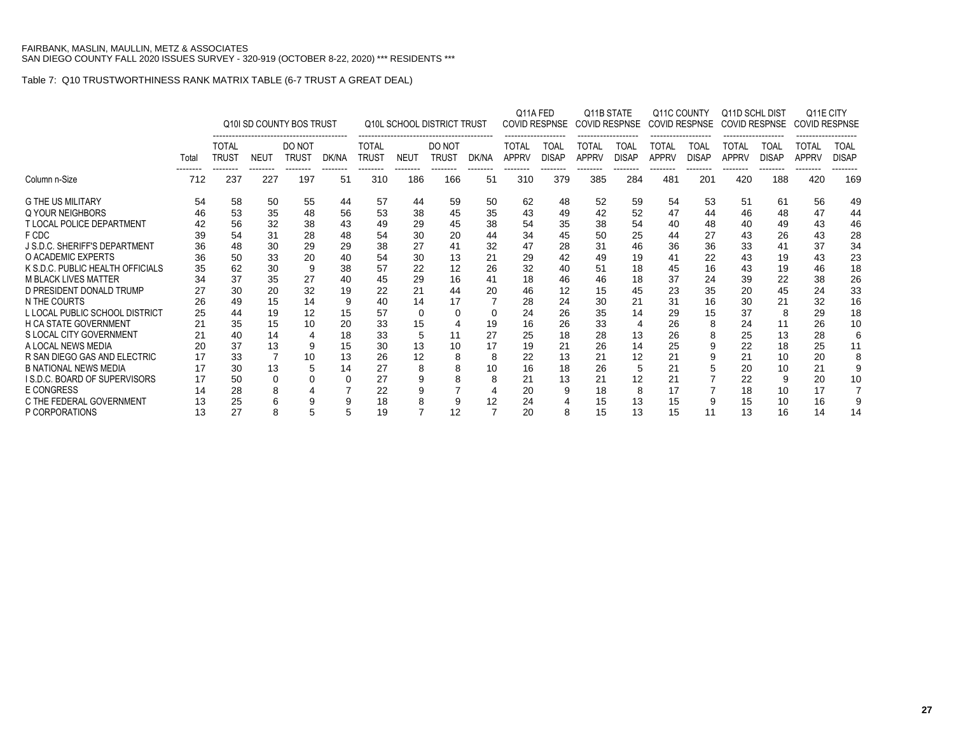|                                            |          |                              |                 | Q10I SD COUNTY BOS TRUST |                |                              |                 | <b>Q10L SCHOOL DISTRICT TRUST</b> |                | Q11A FED              | COVID RESPNSE        | Q11B STATE<br><b>COVID RESPNSE</b> |                             | Q11C COUNTY<br>COVID RESPNSE |                             | Q11D SCHL DIST<br><b>COVID RESPNSE</b> |                      | Q11E CITY<br><b>COVID RESPNSE</b> |                      |
|--------------------------------------------|----------|------------------------------|-----------------|--------------------------|----------------|------------------------------|-----------------|-----------------------------------|----------------|-----------------------|----------------------|------------------------------------|-----------------------------|------------------------------|-----------------------------|----------------------------------------|----------------------|-----------------------------------|----------------------|
|                                            | Total    | <b>TOTAL</b><br><b>TRUST</b> | <b>NEUT</b>     | DO NOT<br><b>TRUST</b>   | DK/NA          | <b>TOTAL</b><br><b>TRUST</b> | <b>NEUT</b>     | DO NOT<br><b>TRUST</b>            | DK/NA          | TOTAL<br><b>APPRV</b> | TOAL<br><b>DISAP</b> | TOTAL<br><b>APPRV</b>              | <b>TOAL</b><br><b>DISAP</b> | TOTAL<br><b>APPRV</b>        | <b>TOAL</b><br><b>DISAP</b> | <b>TOTAL</b><br><b>APPRV</b>           | TOAL<br><b>DISAP</b> | TOTAL<br><b>APPRV</b>             | TOAL<br><b>DISAP</b> |
| Column n-Size                              | 712      | 237                          | --------<br>227 | --------<br>197          | --------<br>51 | --------<br>310              | --------<br>186 | --------<br>166                   | --------<br>51 | --------<br>310       | --------<br>379      | --------<br>385                    | --------<br>284             | --------<br>481              | --------<br>201             | --------<br>420                        | --------<br>188      | --------<br>420                   | 169                  |
| <b>G THE US MILITARY</b>                   | 54       | 58                           | 50              | 55                       | 44             | 57                           | 44              | 59                                | 50             | 62                    | 48                   | 52                                 | 59                          | 54                           | 53                          | 51                                     | 61                   | 56                                | 49                   |
| Q YOUR NEIGHBORS                           | 46       | 53                           | 35              | 48                       | 56             | 53                           | 38              | 45                                | 35             | 43                    | 49                   | 42                                 | 52                          | 47                           | 44                          | 46                                     | 48                   | 47                                | 44                   |
| <b>T LOCAL POLICE DEPARTMENT</b>           | 42       | 56                           | 32              | 38                       | 43             | 49                           | 29              | 45                                | 38             | 54                    | 35                   | 38                                 | 54                          | 40                           | 48                          | 40                                     | 49                   | 43                                | 46                   |
| F CDC                                      | 39       | 54                           | 31              | 28                       | 48             | 54                           | 30              | 20                                | 44             | 34                    | 45                   | 50                                 | 25                          | 44                           | 27                          | 43                                     | 26                   | 43                                | 28                   |
| <b>J S.D.C. SHERIFF'S DEPARTMENT</b>       | 36       | 48                           | 30              | 29                       | 29             | 38                           | 27              | 41                                | 32             | 47                    | 28                   | 31                                 | 46                          | 36                           | 36                          | 33                                     | 41                   | 37                                | 34                   |
| O ACADEMIC EXPERTS                         | 36       | 50                           | 33              | 20                       | 40             | 54                           | 30              | 13                                | 21             | 29                    | 42                   | 49                                 | 19                          | 41                           | 22                          | 43                                     | 19                   | 43                                | 23                   |
| K S.D.C. PUBLIC HEALTH OFFICIALS           | 35       | 62                           | 30              | 9                        | 38             | 57                           | 22              | 12                                | 26             | 32                    | 40                   | 51                                 | 18                          | 45                           | 16                          | 43                                     | 19                   | 46                                | 18                   |
| <b>M BLACK LIVES MATTER</b>                | 34       | 37                           | 35              | 27                       | 40             | 45                           | 29              | 16                                | 41             | 18                    | 46                   | 46                                 | 18                          | 37                           | 24                          | 39                                     | 22                   | 38                                | 26                   |
| D PRESIDENT DONALD TRUMP                   | 27       | 30                           | 20              | 32                       | 19             | 22                           | 21              | 44                                | 20             | 46                    | 12                   | 15                                 | 45                          | 23                           | 35                          | 20                                     | 45                   | 24                                | 33                   |
| N THE COURTS                               | 26       | 49                           | 15              | 14                       | 9              | 40                           | 14              | 17                                |                | 28                    | 24                   | 30                                 | 21                          | 31                           | 16                          | 30                                     | 21                   | 32                                | 16                   |
| L LOCAL PUBLIC SCHOOL DISTRICT             | 25       | 44                           | 19              | 12                       | 15             | 57                           | 0               | 0                                 | 0              | 24                    | 26                   | 35                                 | 14                          | 29                           | 15                          | 37                                     | 8                    | 29                                | 18                   |
| <b>H CA STATE GOVERNMENT</b>               |          | 35                           | 15              | 10                       | 20             | 33                           | 15              |                                   | 19             | 16                    | 26                   | 33                                 |                             | 26                           | 8                           | 24                                     | 11                   | 26                                | 10                   |
| S LOCAL CITY GOVERNMENT                    | 21       | 40                           | 14              |                          | 18             | 33                           |                 |                                   | 27             | 25                    | 18                   | 28                                 | 13                          | 26                           |                             | 25                                     | 13                   | 28                                |                      |
| A LOCAL NEWS MEDIA                         | 20       | 37                           | 13              |                          | 15             | 30                           | 13              | 10                                | 17             | 19                    | 21                   | 26                                 | 14                          | 25                           |                             | 22                                     | 18                   | 25                                |                      |
| R SAN DIEGO GAS AND ELECTRIC               | 17       | 33                           | 7               | 10                       | 13             | 26                           | 12              | 8                                 | 8              | 22                    | 13                   | 21                                 | 12                          | 21                           |                             | 21                                     | 10                   | 20                                |                      |
| <b>B NATIONAL NEWS MEDIA</b>               | 17       | 30                           | 13              |                          | 14             | 27                           | 8               | 8                                 | 10             | 16                    | 18                   | 26                                 | 5                           | 21                           |                             | 20                                     | 10                   | 21                                |                      |
| I S.D.C. BOARD OF SUPERVISORS              | 17       | 50                           | 0               |                          | $\Omega$       | 27                           | 9               | 8                                 | 8              | 21                    | 13                   | 21                                 | 12                          | 21                           |                             | 22                                     | g                    | 20                                | 10                   |
| <b>E CONGRESS</b>                          | 14       | 28                           |                 |                          |                | 22                           | 9               |                                   | 4              | 20                    | 9                    | 18                                 | 8                           | 17                           |                             | 18                                     | 10                   | 17                                |                      |
| C THE FEDERAL GOVERNMENT<br>P CORPORATIONS | 13<br>13 | 25<br>27                     | 8               |                          | 5              | 18<br>19                     |                 | 9<br>12                           | 12<br>7        | 24<br>20              | 8                    | 15<br>15                           | 13<br>13                    | 15<br>15                     |                             | 15<br>13                               | 10<br>16             | 16<br>14                          | 14                   |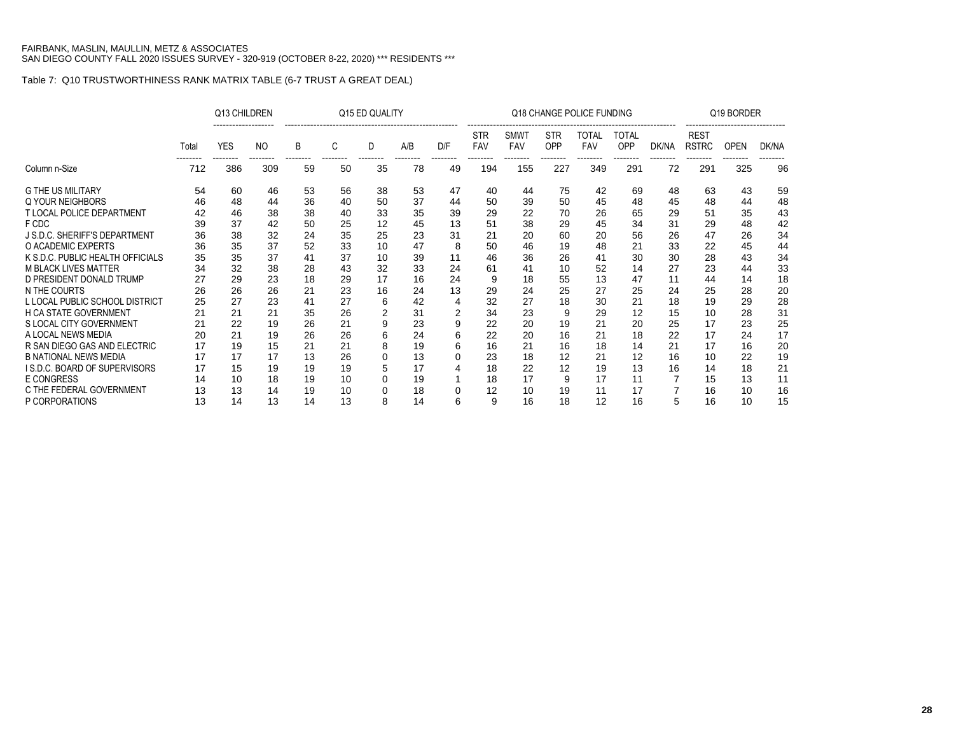|                                     |       | Q13 CHILDREN |                |    |    | Q15 ED QUALITY |     |     |                   |                    |                   | Q18 CHANGE POLICE FUNDING |                     |       |                             | Q19 BORDER  |       |
|-------------------------------------|-------|--------------|----------------|----|----|----------------|-----|-----|-------------------|--------------------|-------------------|---------------------------|---------------------|-------|-----------------------------|-------------|-------|
|                                     | Total | <b>YES</b>   | N <sub>O</sub> | B  | C  | D              | A/B | D/F | <b>STR</b><br>FAV | <b>SMWT</b><br>FAV | <b>STR</b><br>OPP | TOTAL<br><b>FAV</b>       | TOTAL<br><b>OPP</b> | DK/NA | <b>REST</b><br><b>RSTRC</b> | <b>OPEN</b> | DK/NA |
| Column n-Size                       | 712   | 386          | 309            | 59 | 50 | 35             | 78  | 49  | 194               | 155                | 227               | 349                       | 291                 | 72    | 291                         | 325         | 96    |
| <b>G THE US MILITARY</b>            | 54    | 60           | 46             | 53 | 56 | 38             | 53  | 47  | 40                | 44                 | 75                | 42                        | 69                  | 48    | 63                          | 43          | 59    |
| Q YOUR NEIGHBORS                    | 46    | 48           | 44             | 36 | 40 | 50             | 37  | 44  | 50                | 39                 | 50                | 45                        | 48                  | 45    | 48                          | 44          | 48    |
| T LOCAL POLICE DEPARTMENT           | 42    | 46           | 38             | 38 | 40 | 33             | 35  | 39  | 29                | 22                 | 70                | 26                        | 65                  | 29    | 51                          | 35          | 43    |
| F CDC                               | 39    | 37           | 42             | 50 | 25 | 12             | 45  | 13  | 51                | 38                 | 29                | 45                        | 34                  | 31    | 29                          | 48          | 42    |
| J S.D.C. SHERIFF'S DEPARTMENT       | 36    | 38           | 32             | 24 | 35 | 25             | 23  | 31  | 21                | 20                 | 60                | 20                        | 56                  | 26    | 47                          | 26          | 34    |
| O ACADEMIC EXPERTS                  | 36    | 35           | 37             | 52 | 33 | 10             | 47  | 8   | 50                | 46                 | 19                | 48                        | 21                  | 33    | 22                          | 45          | 44    |
| K S.D.C. PUBLIC HEALTH OFFICIALS    | 35    | 35           | 37             | 41 | 37 | 10             | 39  | 11  | 46                | 36                 | 26                | 41                        | 30                  | 30    | 28                          | 43          | 34    |
| <b>M BLACK LIVES MATTER</b>         | 34    | 32           | 38             | 28 | 43 | 32             | 33  | 24  | 61                | 41                 | 10                | 52                        | 14                  | 27    | 23                          | 44          | 33    |
| D PRESIDENT DONALD TRUMP            | 27    | 29           | 23             | 18 | 29 | 17             | 16  | 24  | 9                 | 18                 | 55                | 13                        | 47                  | 11    | 44                          | 14          | 18    |
| N THE COURTS                        | 26    | 26           | 26             | 21 | 23 | 16             | 24  | 13  | 29                | 24                 | 25                | 27                        | 25                  | 24    | 25                          | 28          | 20    |
| L LOCAL PUBLIC SCHOOL DISTRICT      | 25    | 27           | 23             | 41 | 27 | 6              | 42  | 4   | 32                | 27                 | 18                | 30                        | 21                  | 18    | 19                          | 29          | 28    |
| <b>H CA STATE GOVERNMENT</b>        | 21    | 21           | 21             | 35 | 26 |                | 31  |     | 34                | 23                 | 9                 | 29                        | 12                  | 15    | 10                          | 28          | 31    |
| S LOCAL CITY GOVERNMENT             | 21    | 22           | 19             | 26 | 21 |                | 23  | 9   | 22                | 20                 | 19                | 21                        | 20                  | 25    | 17                          | 23          | 25    |
| A LOCAL NEWS MEDIA                  | 20    | 21           | 19             | 26 | 26 |                | 24  | 6   | 22                | 20                 | 16                | 21                        | 18                  | 22    | 17                          | 24          | 17    |
| R SAN DIEGO GAS AND ELECTRIC        | 17    | 19           | 15             | 21 | 21 | 8              | 19  | 6   | 16                | 21                 | 16                | 18                        | 14                  | 21    | 17                          | 16          | 20    |
| <b>B NATIONAL NEWS MEDIA</b>        | 17    | 17           | 17             | 13 | 26 |                | 13  | 0   | 23                | 18                 | 12                | 21                        | 12                  | 16    | 10                          | 22          | 19    |
| <b>IS.D.C. BOARD OF SUPERVISORS</b> | 17    | 15           | 19             | 19 | 19 | 5              | 17  |     | 18                | 22                 | 12                | 19                        | 13                  | 16    | 14                          | 18          | 21    |
| <b>E CONGRESS</b>                   | 14    | 10           | 18             | 19 | 10 |                | 19  |     | 18                | 17                 | 9                 | 17                        | 11                  |       | 15                          | 13          | 11    |
| C THE FEDERAL GOVERNMENT            | 13    | 13           | 14             | 19 | 10 | O              | 18  | 0   | 12                | 10                 | 19                | 11                        | 17                  |       | 16                          | 10          | 16    |
| P CORPORATIONS                      | 13    | 14           | 13             | 14 | 13 | 8              | 14  | 6   | 9                 | 16                 | 18                | 12                        | 16                  | 5     | 16                          | 10          | 15    |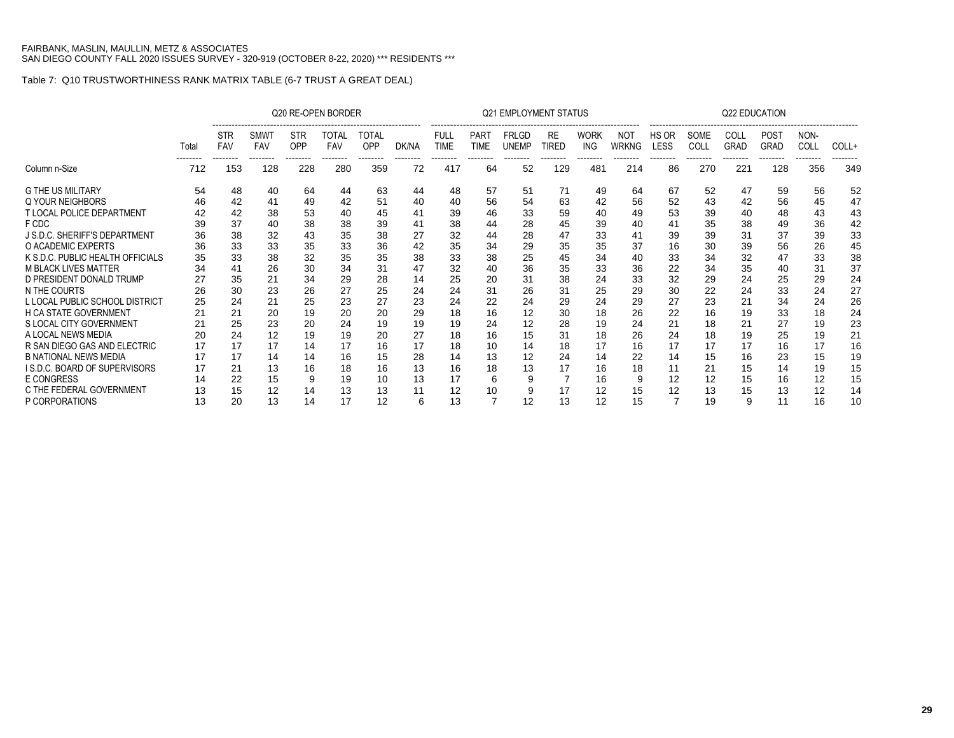|                                     |       |                   |                                       |                               | Q20 RE-OPEN BORDER                    |                                 |                   |                            |                                | <b>Q21 EMPLOYMENT STATUS</b> |                    |                               |                     |                      |                          | <b>Q22 EDUCATION</b>     |                                        |                          |       |
|-------------------------------------|-------|-------------------|---------------------------------------|-------------------------------|---------------------------------------|---------------------------------|-------------------|----------------------------|--------------------------------|------------------------------|--------------------|-------------------------------|---------------------|----------------------|--------------------------|--------------------------|----------------------------------------|--------------------------|-------|
|                                     | Total | <b>STR</b><br>FAV | <b>SMWT</b><br><b>FAV</b><br>-------- | <b>STR</b><br>OPP<br>-------- | <b>TOTAL</b><br><b>FAV</b><br>------- | <b>TOTAL</b><br>OPP<br>-------- | DK/NA<br>-------- | <b>FULL</b><br><b>TIME</b> | <b>PART</b><br>TIME<br>------- | <b>FRLGD</b><br><b>UNEMP</b> | <b>RE</b><br>TIRED | <b>WORK</b><br>ING<br>------- | <b>NOT</b><br>WRKNG | HS OR<br><b>LESS</b> | SOME<br>COLL<br>-------- | COLL<br><b>GRAD</b><br>. | <b>POST</b><br><b>GRAD</b><br>-------- | NON-<br>COLL<br>-------- | COLL+ |
| Column n-Size                       | 712   | 153               | 128                                   | 228                           | 280                                   | 359                             | 72                | 417                        | 64                             | 52                           | 129                | 481                           | 214                 | 86                   | 270                      | 221                      | 128                                    | 356                      | 349   |
| <b>G THE US MILITARY</b>            | 54    | 48                | 40                                    | 64                            | 44                                    | 63                              | 44                | 48                         | 57                             | 51                           | 71                 | 49                            | 64                  | 67                   | 52                       | 47                       | 59                                     | 56                       | 52    |
| Q YOUR NEIGHBORS                    | 46    | 42                | 41                                    | 49                            | 42                                    | 51                              | 40                | 40                         | 56                             | 54                           | 63                 | 42                            | 56                  | 52                   | 43                       | 42                       | 56                                     | 45                       | 47    |
| <b>T LOCAL POLICE DEPARTMENT</b>    | 42    | 42                | 38                                    | 53                            | 40                                    | 45                              | 41                | 39                         | 46                             | 33                           | 59                 | 40                            | 49                  | 53                   | 39                       | 40                       | 48                                     | 43                       | 43    |
| F CDC                               | 39    | 37                | 40                                    | 38                            | 38                                    | 39                              | 41                | 38                         | 44                             | 28                           | 45                 | 39                            | 40                  | 41                   | 35                       | 38                       | 49                                     | 36                       | 42    |
| J S.D.C. SHERIFF'S DEPARTMENT       | 36    | 38                | 32                                    | 43                            | 35                                    | 38                              | 27                | 32                         | 44                             | 28                           | 47                 | 33                            | 41                  | 39                   | 39                       | 31                       | 37                                     | 39                       | 33    |
| O ACADEMIC EXPERTS                  | 36    | 33                | 33                                    | 35                            | 33                                    | 36                              | 42                | 35                         | 34                             | 29                           | 35                 | 35                            | 37                  | 16                   | 30                       | 39                       | 56                                     | 26                       | 45    |
| K S.D.C. PUBLIC HEALTH OFFICIALS    | 35    | 33                | 38                                    | 32                            | 35                                    | 35                              | 38                | 33                         | 38                             | 25                           | 45                 | 34                            | 40                  | 33                   | 34                       | 32                       | 47                                     | 33                       | 38    |
| <b>M BLACK LIVES MATTER</b>         | 34    |                   | 26                                    | 30                            | 34                                    | 31                              | 47                | 32                         | 40                             | 36                           | 35                 | 33                            | 36                  | 22                   | 34                       | 35                       | 40                                     | 31                       | 37    |
| D PRESIDENT DONALD TRUMP            | 27    | 35                | 21                                    | 34                            | 29                                    | 28                              | 14                | 25                         | 20                             | 31                           | 38                 | 24                            | 33                  | 32                   | 29                       | 24                       | 25                                     | 29                       | 24    |
| N THE COURTS                        | 26    | 30                | 23                                    | 26                            | 27                                    | 25                              | 24                | 24                         | 31                             | 26                           | 31                 | 25                            | 29                  | 30                   | 22                       | 24                       | 33                                     | 24                       | 27    |
| L LOCAL PUBLIC SCHOOL DISTRICT      | 25    | 24                | 21                                    | 25                            | 23                                    | 27                              | 23                | 24                         | 22                             | 24                           | 29                 | 24                            | 29                  | 27                   | 23                       | 21                       | 34                                     | 24                       | 26    |
| <b>H CA STATE GOVERNMENT</b>        |       | 21                | 20                                    | 19                            | 20                                    | 20                              | 29                | 18                         | 16                             | 12                           | 30                 | 18                            | 26                  | 22                   | 16                       | 19                       | 33                                     | 18                       | 24    |
| S LOCAL CITY GOVERNMENT             | 21    | 25                | 23                                    | 20                            | 24                                    | 19                              | 19                | 19                         | 24                             | 12                           | 28                 | 19                            | 24                  | 21                   | 18                       | 21                       | 27                                     | 19                       | 23    |
| A LOCAL NEWS MEDIA                  | 20    | 24                | 12                                    | 19                            | 19                                    | 20                              | 27                | 18                         | 16                             | 15                           | 31                 | 18                            | 26                  | 24                   | 18                       | 19                       | 25                                     | 19                       | 21    |
| R SAN DIEGO GAS AND ELECTRIC        | 17    | 17                | 17                                    | 14                            | 17                                    | 16                              | 17                | 18                         | 10                             |                              | 18                 | 17                            | 16                  | 17                   | 17                       | 17                       | 16                                     | 17                       | 16    |
| <b>B NATIONAL NEWS MEDIA</b>        | 17    | 17                | 14                                    | 14                            | 16                                    | 15                              | 28                | 14                         | 13                             | 12                           | 24                 | 14                            | 22                  | 14                   | 15                       | 16                       | 23                                     | 15                       | 19    |
| <b>IS.D.C. BOARD OF SUPERVISORS</b> | 17    | 21                | 13                                    | 16                            | 18                                    | 16                              | 13                | 16                         | 18                             | 13                           | 17                 | 16                            | 18                  | 11                   | 21                       | 15                       | 14                                     | 19                       | 15    |
| <b>E CONGRESS</b>                   | 14    | 22                | 15                                    |                               | 19                                    | 10                              | 13                | 17                         | 6                              |                              |                    | 16                            | 9                   | 12                   | 12                       | 15                       | 16                                     | 12                       | 15    |
| C THE FEDERAL GOVERNMENT            | 13    | 15                | 12                                    | 14                            | 13                                    | 13                              | 11                | 12                         | 10                             |                              | 17                 | 12                            | 15                  | 12                   | 13                       | 15                       | 13                                     | 12                       | 14    |
| P CORPORATIONS                      | 13    | 20                | 13                                    | 14                            | 17                                    | 12                              | 6                 | 13                         | 7                              | 12                           | 13                 | 12                            | 15                  |                      | 19                       | 9                        | 11                                     | 16                       | 10    |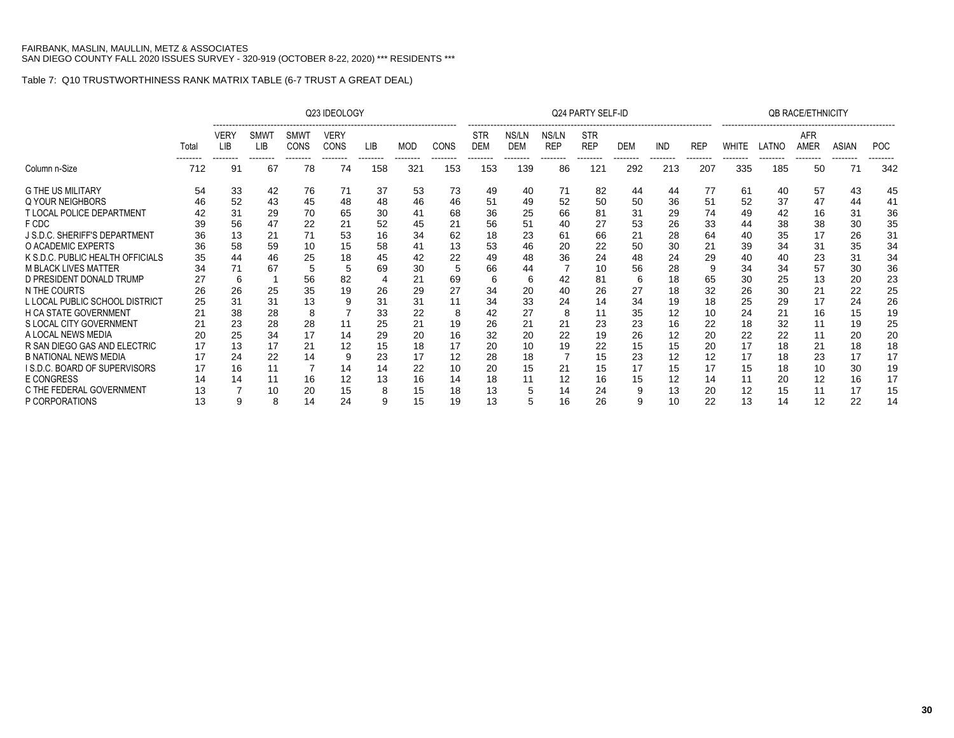|                                     |       |                         |                               |                                        | Q23 IDEOLOGY                    |                 |                        |                  |                               |                          |                                 | Q24 PARTY SELF-ID                    |                 |                        |                        |                   |                   | <b>QB RACE/ETHNICITY</b> |                          |                        |
|-------------------------------------|-------|-------------------------|-------------------------------|----------------------------------------|---------------------------------|-----------------|------------------------|------------------|-------------------------------|--------------------------|---------------------------------|--------------------------------------|-----------------|------------------------|------------------------|-------------------|-------------------|--------------------------|--------------------------|------------------------|
|                                     | Total | VER\<br>LIB<br>-------- | <b>SMW</b><br>LIB<br>-------- | <b>SMWT</b><br><b>CONS</b><br>-------- | VERY<br><b>CONS</b><br>-------- | LIB<br>-------- | <b>MOD</b><br>-------- | CONS<br>-------- | <b>STR</b><br>DEM<br>-------- | NS/LN<br><b>DEM</b><br>. | NS/LN<br><b>REP</b><br>-------- | <b>STR</b><br><b>REP</b><br>-------- | <b>DEM</b><br>. | <b>IND</b><br>-------- | <b>REP</b><br>-------- | WHITE<br>-------- | LATNO<br>-------- | AFR<br>AMER<br>--------  | <b>ASIAN</b><br>-------- | <b>POC</b><br>-------- |
| Column n-Size                       | 712   | 91                      | 67                            | 78                                     | 74                              | 158             | 321                    | 153              | 153                           | 139                      | 86                              | 121                                  | 292             | 213                    | 207                    | 335               | 185               | 50                       | 71                       | 342                    |
| <b>G THE US MILITARY</b>            | 54    | 33                      | 42                            | 76                                     | 71                              | 37              | 53                     | 73               | 49                            | 40                       | 71                              | 82                                   | 44              | 44                     | 77                     | 61                | 40                | 57                       | 43                       | 45                     |
| Q YOUR NEIGHBORS                    | 46    | 52                      | 43                            | 45                                     | 48                              | 48              | 46                     | 46               | 51                            | 49                       | 52                              | 50                                   | 50              | 36                     | 51                     | 52                | 37                | 47                       | 44                       | 41                     |
| <b>T LOCAL POLICE DEPARTMENT</b>    | 42    | 31                      | 29                            | 70                                     | 65                              | 30              | 41                     | 68               | 36                            | 25                       | 66                              | 81                                   | 31              | 29                     | 74                     | 49                | 42                | 16                       | 31                       | 36                     |
| F CDC                               |       | 56                      | 47                            | 22                                     | 21                              | 52              | 45                     | 21               | 56                            | 51                       | 40                              | 27                                   | 53              | 26                     | 33                     | 44                | 38                | 38                       | 30                       | 35                     |
| J S.D.C. SHERIFF'S DEPARTMENT       | 36    | 13                      | 21                            | 71                                     | 53                              | 16              | 34                     | 62               | 18                            | 23                       | 61                              | 66                                   | 21              | 28                     | 64                     | 40                | 35                | 17                       | 26                       | 31                     |
| O ACADEMIC EXPERTS                  | 36    | 58                      | 59                            | 10                                     | 15                              | 58              | 41                     | 13               | 53                            | 46                       | 20                              | 22                                   | 50              | 30                     | 21                     | 39                | 34                | 31                       | 35                       | 34                     |
| K S.D.C. PUBLIC HEALTH OFFICIALS    | 35    | 44                      | 46                            | 25                                     | 18                              | 45              | 42                     | 22               | 49                            | 48                       | 36                              | 24                                   | 48              | 24                     | 29                     | 40                | 40                | 23                       | 31                       | 34                     |
| <b>M BLACK LIVES MATTER</b>         | 34    | 71                      | 67                            |                                        |                                 | 69              | 30                     |                  | 66                            | 44                       |                                 | 10                                   | 56              | 28                     |                        | 34                | 34                | 57                       | 30                       | 36                     |
| D PRESIDENT DONALD TRUMP            |       | 6                       |                               | 56                                     | 82                              |                 | 21                     | 69               | 6                             |                          | 42                              | 81                                   | 6               | 18                     | 65                     | 30                | 25                | 13                       | 20                       | 23                     |
| N THE COURTS                        | 26    | 26                      | 25                            | 35                                     | 19                              | 26              | 29                     | 27               | 34                            | 20                       | 40                              | 26                                   | 27              | 18                     | 32                     | 26                | 30                | 21                       | 22                       | 25                     |
| L LOCAL PUBLIC SCHOOL DISTRICT      |       | 31                      | 31                            | 13                                     |                                 | 31              | 31                     |                  | 34                            | 33                       | 24                              | 14                                   | 34              | 19                     | 18                     | 25                | 29                | 17                       | 24                       | 26                     |
| <b>H CA STATE GOVERNMENT</b>        |       | 38                      | 28                            | 8                                      |                                 | 33              | 22                     | 8                | 42                            | 27                       | 8                               |                                      | 35              | 12                     | 10                     | 24                | 21                | 16                       | 15                       | 19                     |
| S LOCAL CITY GOVERNMENT             |       | 23                      | 28                            | 28                                     |                                 | 25              | 21                     | 19               | 26                            | 21                       | 21                              | 23                                   | 23              | 16                     | 22                     | 18                | 32                | 11                       | 19                       | 25                     |
| A LOCAL NEWS MEDIA                  |       | 25                      | 34                            | 17                                     | 14                              | 29              | 20                     | 16               | 32                            | 20                       | 22                              | 19                                   | 26              | 12                     | 20                     | 22                | 22                | 11                       | 20                       | 20                     |
| R SAN DIEGO GAS AND ELECTRIC        |       | 13                      | 17                            | 21                                     | 12                              | 15              | 18                     | 17               | 20                            | 10                       | 19                              | 22                                   | 15              | 15                     | 20                     | 17                | 18                | 21                       | 18                       | 18                     |
| <b>B NATIONAL NEWS MEDIA</b>        |       | 24                      | 22                            | 14                                     |                                 | 23              | 17                     | 12               | 28                            | 18                       |                                 | 15                                   | 23              | 12                     | 12                     | 17                | 18                | 23                       | 17                       | 17                     |
| <b>IS.D.C. BOARD OF SUPERVISORS</b> | 17    | 16                      | 11                            |                                        | 14                              | 14              | 22                     | 10               | 20                            | 15                       | 21                              | 15                                   | 17              | 15                     | 17                     | 15                | 18                | 10                       | 30                       | 19                     |
| <b>E CONGRESS</b>                   |       | 14                      |                               | 16                                     | 12                              | 13              | 16                     | 14               | 18                            |                          | 12                              | 16                                   | 15              | 12                     | 14                     | 11                | 20                | 12                       | 16                       | 17                     |
| C THE FEDERAL GOVERNMENT            |       |                         | 10                            | 20                                     | 15                              | 8               | 15                     | 18               | 13                            |                          | 14                              | 24                                   |                 | 13                     | 20                     | 12                | 15                | 11                       | 17                       | 15                     |
| P CORPORATIONS                      | 13    | 9                       |                               | 14                                     | 24                              | 9               | 15                     | 19               | 13                            |                          | 16                              | 26                                   | 9               | 10                     | 22                     | 13                | 14                | 12                       | 22                       | 14                     |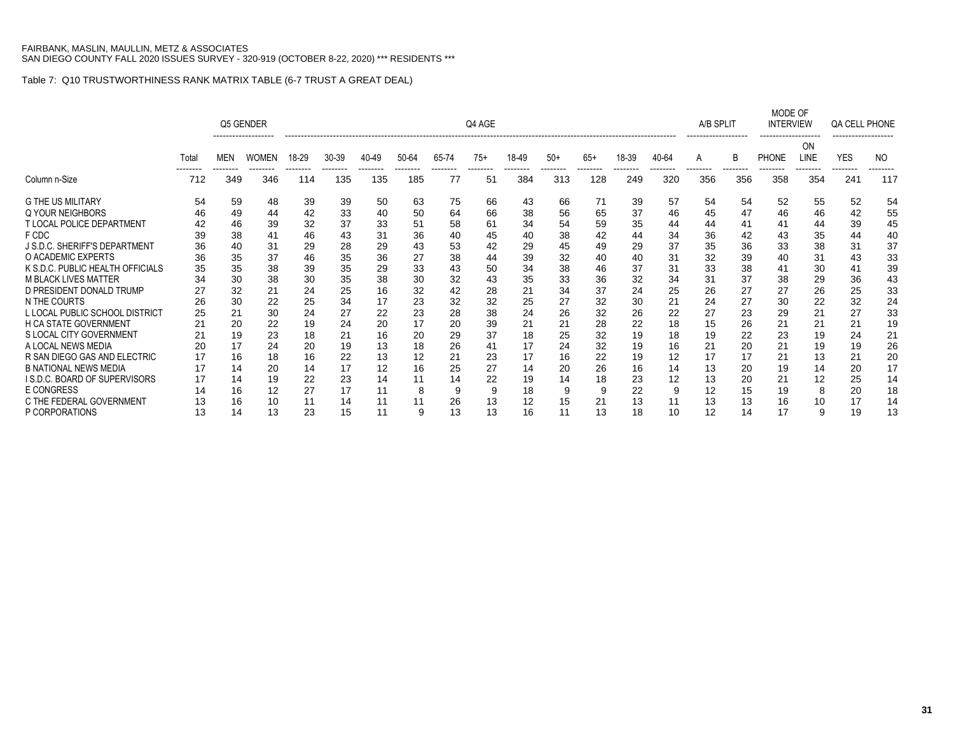|                                     |       |            | Q5 GENDER    |       |       |                 |       |         | Q4 AGE |       |       |       |       |       | A/B SPLIT       |                | MODE OF<br><b>INTERVIEW</b> |                   | QA CELL PHONE |     |
|-------------------------------------|-------|------------|--------------|-------|-------|-----------------|-------|---------|--------|-------|-------|-------|-------|-------|-----------------|----------------|-----------------------------|-------------------|---------------|-----|
|                                     | Total | <b>MEN</b> | <b>WOMEN</b> | 18-29 | 30-39 | 40-49           | 50-64 | 65-74   | $75+$  | 18-49 | $50+$ | $65+$ | 18-39 | 40-64 | A               |                | <b>PHONE</b>                | <b>ON</b><br>LINE | <b>YES</b>    | NO  |
| Column n-Size                       | 712   | 349        | 346          | 114   | 135   | --------<br>135 | 185   | .<br>77 | 51     | 384   | 313   | 128   | 249   | 320   | --------<br>356 | -------<br>356 | 358                         | 354               | 241           | 117 |
| <b>G THE US MILITARY</b>            | 54    | 59         | 48           | 39    | 39    | 50              | 63    | 75      | 66     | 43    | 66    | 71    | 39    | 57    | 54              | 54             | 52                          | 55                | 52            | 54  |
| Q YOUR NEIGHBORS                    | 46    | 49         | 44           | 42    | 33    | 40              | 50    | 64      | 66     | 38    | 56    | 65    | 37    | 46    | 45              | 47             | 46                          | 46                | 42            | 55  |
| T LOCAL POLICE DEPARTMENT           | 42    | 46         | 39           | 32    | 37    | 33              | 51    | 58      | 61     | 34    | 54    | 59    | 35    | 44    | 44              | 41             | 41                          | 44                | 39            | 45  |
| F CDC                               | 39    | 38         | 41           | 46    | 43    | 31              | 36    | 40      | 45     | 40    | 38    | 42    | 44    | 34    | 36              | 42             | 43                          | 35                | 44            | 40  |
| J S.D.C. SHERIFF'S DEPARTMENT       | 36    | 40         | 31           | 29    | 28    | 29              | 43    | 53      | 42     | 29    | 45    | 49    | 29    | 37    | 35              | 36             | 33                          | 38                | 31            | 37  |
| O ACADEMIC EXPERTS                  | 36    | 35         | 37           | 46    | 35    | 36              | 27    | 38      | 44     | 39    | 32    | 40    | 40    | 31    | 32              | 39             | 40                          | 31                | 43            | 33  |
| K S.D.C. PUBLIC HEALTH OFFICIALS    | 35    | 35         | 38           | 39    | 35    | 29              | 33    | 43      | 50     | 34    | 38    | 46    | 37    | 31    | 33              | 38             | 41                          | 30                | 41            | 39  |
| <b>M BLACK LIVES MATTER</b>         | 34    | 30         | 38           | 30    | 35    | 38              | 30    | 32      | 43     | 35    | 33    | 36    | 32    | 34    | 31              | 37             | 38                          | 29                | 36            | 43  |
| D PRESIDENT DONALD TRUMP            | 27    | 32         | 21           | 24    | 25    | 16              | 32    | 42      | 28     | 21    | 34    | 37    | 24    | 25    | 26              | 27             | 27                          | 26                | 25            | 33  |
| N THE COURTS                        | 26    | 30         | 22           | 25    | 34    | 17              | 23    | 32      | 32     | 25    | 27    | 32    | 30    | 21    | 24              | 27             | 30                          | 22                | 32            | 24  |
| L LOCAL PUBLIC SCHOOL DISTRICT      | 25    | 21         | 30           | 24    | 27    | 22              | 23    | 28      | 38     | 24    | 26    | 32    | 26    | 22    | 27              | 23             | 29                          | 21                | 27            | 33  |
| H CA STATE GOVERNMENT               |       | 20         | 22           | 19    | 24    | 20              | 17    | 20      | 39     | 21    | 21    | 28    | 22    | 18    | 15              | 26             | 21                          | 21                | 21            | 19  |
| S LOCAL CITY GOVERNMENT             |       | 19         | 23           | 18    | 21    | 16              | 20    | 29      | 37     | 18    | 25    | 32    | 19    | 18    | 19              | 22             | 23                          | 19                | 24            | 21  |
| A LOCAL NEWS MEDIA                  |       | 17         | 24           | 20    | 19    | 13              | 18    | 26      | 41     | 17    | 24    | 32    | 19    | 16    | 21              | 20             | 21                          | 19                | 19            | 26  |
| R SAN DIEGO GAS AND ELECTRIC        | 17    | 16         | 18           | 16    | 22    | 13              | 12    | 21      | 23     | 17    | 16    | 22    | 19    | 12    | 17              | 17             | 21                          | 13                | 21            | 20  |
| <b>B NATIONAL NEWS MEDIA</b>        | 17    | 14         | 20           | 14    | 17    | 12              | 16    | 25      | 27     | 14    | 20    | 26    | 16    | 14    | 13              | 20             | 19                          | 14                | 20            | 17  |
| <b>IS.D.C. BOARD OF SUPERVISORS</b> | 17    | 14         | 19           | 22    | 23    | 14              | 11    | 14      | 22     | 19    | 14    | 18    | 23    | 12    | 13              | 20             | 21                          | 12                | 25            | 14  |
| <b>E CONGRESS</b>                   | 14    | 16         | 12           | 27    | 17    | 11              | 8     | 9       | 9      | 18    | 9     | 9     | 22    | 9     | 12              | 15             | 19                          | 8                 | 20            | 18  |
| C THE FEDERAL GOVERNMENT            | 13    | 16         | 10           | 11    | 14    | 11              | 11    | 26      | 13     | 12    | 15    | 21    | 13    |       | 13              | 13             | 16                          | 10                | 17            | 14  |
| P CORPORATIONS                      | 13    | 14         | 13           | 23    | 15    | 11              | 9     | 13      | 13     | 16    | 11    | 13    | 18    | 10    | 12              | 14             | 17                          | 9                 | 19            | 13  |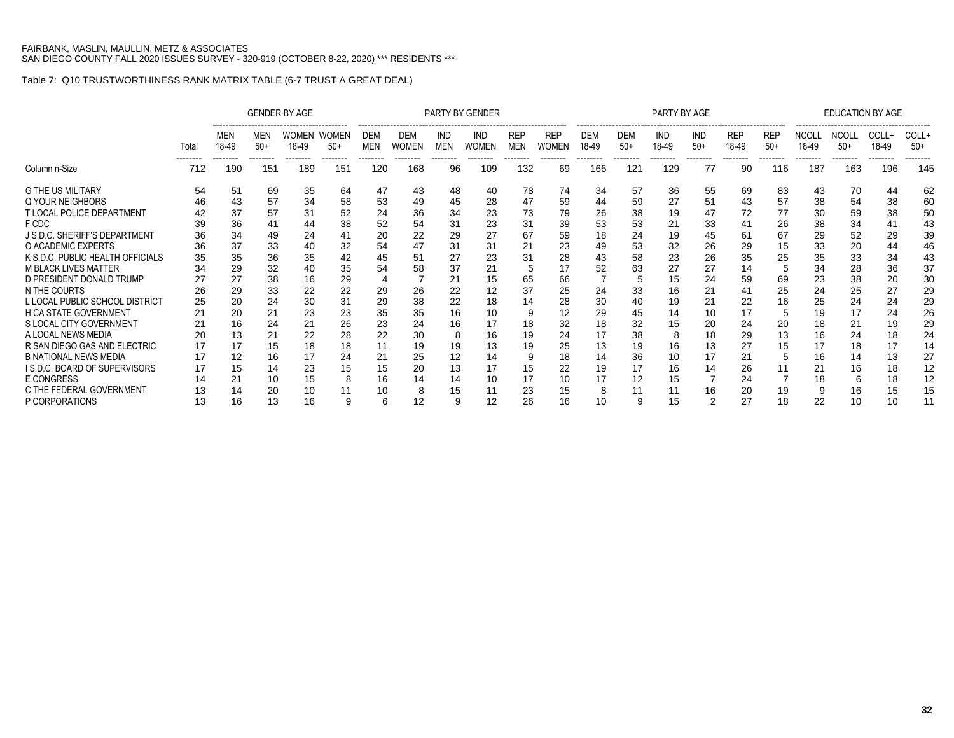|                                     |                 |                 |                          | <b>GENDER BY AGE</b>  |                 |                          |                     |                          | PARTY BY GENDER     |                          |                            |                     |                          | PARTY BY AGE             |                |                     |                     |                       |                                   | <b>EDUCATION BY AGE</b>    |                           |
|-------------------------------------|-----------------|-----------------|--------------------------|-----------------------|-----------------|--------------------------|---------------------|--------------------------|---------------------|--------------------------|----------------------------|---------------------|--------------------------|--------------------------|----------------|---------------------|---------------------|-----------------------|-----------------------------------|----------------------------|---------------------------|
|                                     | Total           | MEN<br>18-49    | MEN<br>$50+$<br>-------- | <b>WOMEN</b><br>18-49 | WOMEN<br>$50+$  | <b>DEM</b><br><b>MEN</b> | DEM<br><b>WOMEN</b> | <b>IND</b><br><b>MEN</b> | IND<br><b>WOMEN</b> | <b>REP</b><br><b>MEN</b> | <b>REP</b><br><b>WOMEN</b> | <b>DEM</b><br>18-49 | <b>DEM</b><br>$50+$<br>. | <b>IND</b><br>18-49<br>. | IND<br>$50+$   | <b>REP</b><br>18-49 | <b>REP</b><br>$50+$ | <b>NCOLL</b><br>18-49 | <b>NCOLL</b><br>$50+$<br>-------- | COLL+<br>18-49<br>-------- | COLL+<br>$50+$<br>------- |
| Column n-Size                       | --------<br>712 | --------<br>190 | 151                      | --------<br>189       | --------<br>151 | --------<br>120          | --------<br>168     | --------<br>96           | --------<br>109     | --------<br>132          | --------<br>69             | --------<br>166     | 121                      | 129                      | -------<br>77  | 90                  | 116                 | --------<br>187       | 163                               | 196                        | 145                       |
| <b>G THE US MILITARY</b>            | 54              | 51              | 69                       | 35                    | 64              | 47                       | 43                  | 48                       | 40                  | 78                       | 74                         | 34                  | 57                       | 36                       | 55             | 69                  | 83                  | 43                    | 70                                | 44                         | 62                        |
| Q YOUR NEIGHBORS                    | 46              | 43              | 57                       | 34                    | 58              | 53                       | 49                  | 45                       | 28                  | 47                       | 59                         | 44                  | 59                       | 27                       | 51             | 43                  | 57                  | 38                    | 54                                | 38                         | 60                        |
| <b>T LOCAL POLICE DEPARTMENT</b>    |                 | 37              | 57                       | 31                    | 52              | 24                       | 36                  | 34                       | 23                  | 73                       | 79                         | 26                  | 38                       | 19                       | 47             | 72                  | 77                  | 30                    | 59                                | 38                         | 50                        |
| F CDC                               | 39              | 36              | 41                       |                       | 38              | 52                       | 54                  | 31                       | 23                  | 31                       | 39                         | 53                  | 53                       | 21                       | 33             | 41                  | 26                  | 38                    | 34                                | 41                         | 43                        |
| J S.D.C. SHERIFF'S DEPARTMENT       | 36              | 34              | 49                       | 24                    | 41              | 20                       | 22                  | 29                       | 27                  | 67                       | 59                         | 18                  | 24                       | 19                       | 45             | 61                  | 67                  | 29                    | 52                                | 29                         | 39                        |
| O ACADEMIC EXPERTS                  | 36              | 37              | 33                       | 40                    | 32              | 54                       | 47                  | 31                       | 31                  | 21                       | 23                         | 49                  | 53                       | 32                       | 26             | 29                  | 15                  | 33                    | 20                                | 44                         | 46                        |
| K S.D.C. PUBLIC HEALTH OFFICIALS    | 35              | 35              | 36                       | 35                    | 42              | 45                       | 51                  | 27                       | 23                  | 31                       | 28                         | 43                  | 58                       | 23                       | 26             | 35                  | 25                  | 35                    | 33                                | 34                         | 43                        |
| <b>M BLACK LIVES MATTER</b>         | 34              | 29              | 32                       |                       | 35              | 54                       | 58                  | 37                       | 21                  | 5                        | 17                         | 52                  | 63                       |                          | 27             | 14                  |                     | 34                    | 28                                | 36                         | 37                        |
| D PRESIDENT DONALD TRUMP            |                 | 27              | 38                       | 16                    | 29              |                          |                     | 21                       | 15                  | 65                       | 66                         |                     | 5                        | 15                       | 24             | 59                  | 69                  | 23                    | 38                                | 20                         | 30                        |
| N THE COURTS                        | 26              | 29              | 33                       | 22                    | 22              | 29                       | 26                  | 22                       | 12                  | 37                       | 25                         | 24                  | 33                       | 16                       | 21             | 41                  | 25                  | 24                    | 25                                | 27                         | 29                        |
| L LOCAL PUBLIC SCHOOL DISTRICT      | 25              | 20              | 24                       | 30                    | 31              | 29                       | 38                  | 22                       | 18                  | 14                       | 28                         | 30                  | 40                       | 19                       | 21             | 22                  | 16                  | 25                    | 24                                | 24                         | 29                        |
| <b>H CA STATE GOVERNMENT</b>        | 21              | 20              | 21                       | 23                    | 23              | 35                       | 35                  | 16                       | 10                  |                          | 12                         | 29                  | 45                       | 14                       | 10             | 17                  | 5                   | 19                    | 17                                | 24                         | 26                        |
| S LOCAL CITY GOVERNMENT             | 21              | 16              | 24                       | 21                    | 26              | 23                       | 24                  | 16                       | 17                  | 18                       | 32                         | 18                  | 32                       | 15                       | 20             | 24                  | 20                  | 18                    | 21                                | 19                         | 29                        |
| A LOCAL NEWS MEDIA                  | 20              | 13              | 21                       | 22                    | 28              | 22                       | 30                  | 8                        | 16                  | 19                       | 24                         |                     | 38                       | 8                        | 18             | 29                  | 13                  | 16                    | 24                                | 18                         | 24                        |
| R SAN DIEGO GAS AND ELECTRIC        | 17              | 17              | 15                       | 18                    | 18              | 11                       | 19                  | 19                       | 13                  | 19                       | 25                         | 13                  | 19                       | 16                       | 13             | 27                  | 15                  | 17                    | 18                                | 17                         | 14                        |
| <b>B NATIONAL NEWS MEDIA</b>        | 17              | 12              | 16                       | 17                    | 24              | 21                       | 25                  | 12                       | 14                  | 9                        | 18                         | 14                  | 36                       | 10                       | 17             | 21                  | 5                   | 16                    | 14                                | 13                         | 27                        |
| <b>IS.D.C. BOARD OF SUPERVISORS</b> | 17              | 15              | 14                       | 23                    | 15              | 15                       | 20                  | 13                       | 17                  | 15                       | 22                         | 19                  | 17                       | 16                       | 14             | 26                  | 11                  | 21                    | 16                                | 18                         | 12                        |
| <b>E CONGRESS</b>                   | 14              | 21              | 10                       | 15                    | 8               | 16                       | 14                  | 14                       | 10                  | 17                       | 10                         |                     | 12                       | 15                       |                | 24                  |                     | 18                    | 6                                 | 18                         | 12                        |
| C THE FEDERAL GOVERNMENT            | 13              | 14              | 20                       | 10                    | 11              | 10                       | 8                   | 15                       | 11                  | 23                       | 15                         | 8                   | 11                       | 11                       | 16             | 20                  | 19                  |                       | 16                                | 15                         | 15                        |
| P CORPORATIONS                      | 13              | 16              | 13                       | 16                    | 9               |                          | 12                  | 9                        | 12                  | 26                       | 16                         | 10                  | 9                        | 15                       | $\overline{2}$ | 27                  | 18                  | 22                    | 10                                | 10                         | 11                        |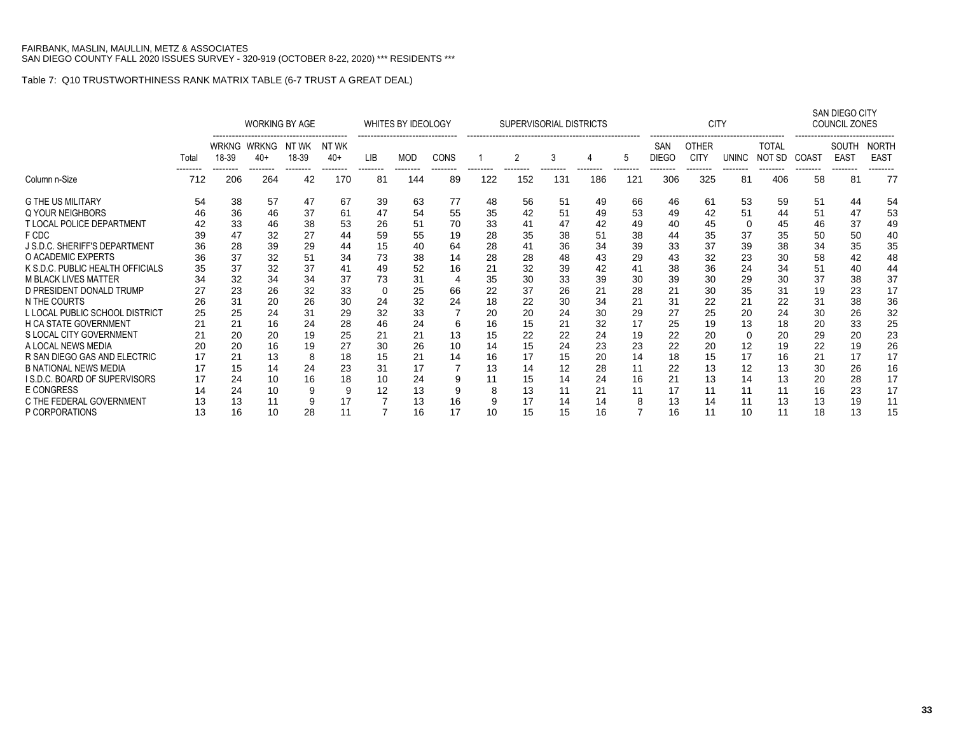|                                     |       |                      | <b>WORKING BY AGE</b> |                |                |          |     | WHITES BY IDEOLOGY |     | SUPERVISORIAL DISTRICTS |     |     |     |                     | <b>CITY</b>                 |              |                        |       | SAN DIEGO CITY<br><b>COUNCIL ZONES</b> |                             |
|-------------------------------------|-------|----------------------|-----------------------|----------------|----------------|----------|-----|--------------------|-----|-------------------------|-----|-----|-----|---------------------|-----------------------------|--------------|------------------------|-------|----------------------------------------|-----------------------------|
|                                     | Total | WRKNG<br>18-39       | <b>WRKNG</b><br>$40+$ | NT WK<br>18-39 | NT WK<br>$40+$ | LIB      | MOD | CONS               |     | 2                       | 3   |     | 5   | SAN<br><b>DIEGO</b> | <b>OTHER</b><br><b>CITY</b> | <b>UNINC</b> | <b>TOTAL</b><br>NOT SD | COAST | SOUTH<br><b>EAST</b>                   | <b>NORTH</b><br><b>EAST</b> |
| Column n-Size                       | 712   | 206                  | 264                   | 42             | 170            | 81       | 144 | 89                 | 122 | 152                     | 131 | 186 | 121 | 306                 | 325                         | 81           | 406                    | 58    | 81                                     | 77                          |
| <b>G THE US MILITARY</b>            | 54    | 38                   | 57                    | 47             | 67             | 39       | 63  | 77                 | 48  | 56                      | 51  | 49  | 66  | 46                  | 61                          | 53           | 59                     | 51    | 44                                     | 54                          |
| Q YOUR NEIGHBORS                    | 46    | 36                   | 46                    | 37             | 61             | 47       | 54  | 55                 | 35  | 42                      | 51  | 49  | 53  | 49                  | 42                          | 51           | 44                     | 51    | 47                                     | 53                          |
| <b>T LOCAL POLICE DEPARTMENT</b>    | 42    | 33                   | 46                    | 38             | 53             | 26       | 51  | 70                 | 33  | 41                      | 47  | 42  | 49  | 40                  | 45                          | 0            | 45                     | 46    | 37                                     | 49                          |
| F CDC                               | 39    | 47                   | 32                    | 27             | 44             | 59       | 55  | 19                 | 28  | 35                      | 38  | 51  | 38  | 44                  | 35                          | 37           | 35                     | 50    | 50                                     | 40                          |
| J S.D.C. SHERIFF'S DEPARTMENT       | 36    | 28                   | 39                    | 29             | 44             | 15       | 40  | 64                 | 28  | 41                      | 36  | 34  | 39  | 33                  | 37                          | 39           | 38                     | 34    | 35                                     | 35                          |
| O ACADEMIC EXPERTS                  | 36    | 37                   | 32                    | 51             | 34             | 73       | 38  | 14                 | 28  | 28                      | 48  | 43  | 29  | 43                  | 32                          | 23           | 30                     | 58    | 42                                     | 48                          |
| K S.D.C. PUBLIC HEALTH OFFICIALS    | 35    | 37                   | 32                    | 37             | 41             | 49       | 52  | 16                 | 21  | 32                      | 39  | 42  | 41  | 38                  | 36                          | 24           | 34                     | 51    | 40                                     | 44                          |
| <b>M BLACK LIVES MATTER</b>         | 34    | 32                   | 34                    | 34             | 37             | 73       | 31  |                    | 35  | 30                      | 33  | 39  | 30  | 39                  | 30                          | 29           | 30                     | 37    | 38                                     | 37                          |
| D PRESIDENT DONALD TRUMP            | 27    | 23                   | 26                    | 32             | 33             | $\Omega$ | 25  | 66                 | 22  | 37                      | 26  | 21  | 28  | 21                  | 30                          | 35           | 31                     | 19    | 23                                     | 17                          |
| N THE COURTS                        | 26    | 31                   | 20                    | 26             | 30             | 24       | 32  | 24                 | 18  | 22                      | 30  | 34  | 21  | 31                  | 22                          | 21           | 22                     | 31    | 38                                     | 36                          |
| L LOCAL PUBLIC SCHOOL DISTRICT      | 25    | 25                   | 24                    | 31             | 29             | 32       | 33  |                    | 20  | 20                      | 24  | 30  | 29  | 27                  | 25                          | 20           | 24                     | 30    | 26                                     | 32                          |
| H CA STATE GOVERNMENT               |       | 21                   | 16                    | 24             | 28             | 46       | 24  | 6                  | 16  | 15                      | 21  | 32  | 17  | 25                  | 19                          | 13           | 18                     | 20    | 33                                     | 25                          |
| S LOCAL CITY GOVERNMENT             | 21    | 20                   | 20                    | 19             | 25             | 21       | 21  | 13                 | 15  | 22                      | 22  | 24  | 19  | 22                  | 20                          | $\Omega$     | 20                     | 29    | 20                                     | 23                          |
| A LOCAL NEWS MEDIA                  |       | 20                   | 16                    | 19             | 27             | 30       | 26  | 10                 | 14  | 15                      | 24  | 23  | 23  | 22                  | 20                          | 12           | 19                     | 22    | 19                                     | 26                          |
| R SAN DIEGO GAS AND ELECTRIC        | 17    | 21                   | 13                    | 8              | 18             | 15       | 21  | 14                 | 16  | 17                      | 15  | 20  | 14  | 18                  | 15                          | 17           | 16                     | 21    | 17                                     | 17                          |
| <b>B NATIONAL NEWS MEDIA</b>        |       | 15                   | 14                    | 24             | 23             | 31       | 17  |                    | 13  | 14                      | 12  | 28  | 11  | 22                  | 13                          | 12           | 13                     | 30    | 26                                     | 16                          |
| <b>IS.D.C. BOARD OF SUPERVISORS</b> | 17    | 24                   | 10                    | 16             | 18             | 10       | 24  | 9                  | 11  | 15                      | 14  | 24  | 16  | 21                  | 13                          | 14           | 13                     | 20    | 28                                     | 17                          |
| <b>E CONGRESS</b>                   | 14    | 24                   | 10                    | 9              | 9              | 12       | 13  | 9                  | 8   | 13                      | 11  | 21  | 11  | 17                  | 11                          | 11           | 11                     | 16    | 23                                     | 17                          |
| C THE FEDERAL GOVERNMENT            | 13    | 13                   | 11                    | 9              | 17             |          | 13  | 16                 | 9   | 17                      | 14  | 14  | 8   | 13                  | 14                          | 11           | 13                     | 13    | 19                                     | 11                          |
| P CORPORATIONS                      | 13    | 16<br>28<br>11<br>10 |                       |                |                |          | 16  | 17                 | 10  | 15                      | 15  | 16  |     | 16                  | 11                          | 10           | 11                     | 18    | 13                                     | 15                          |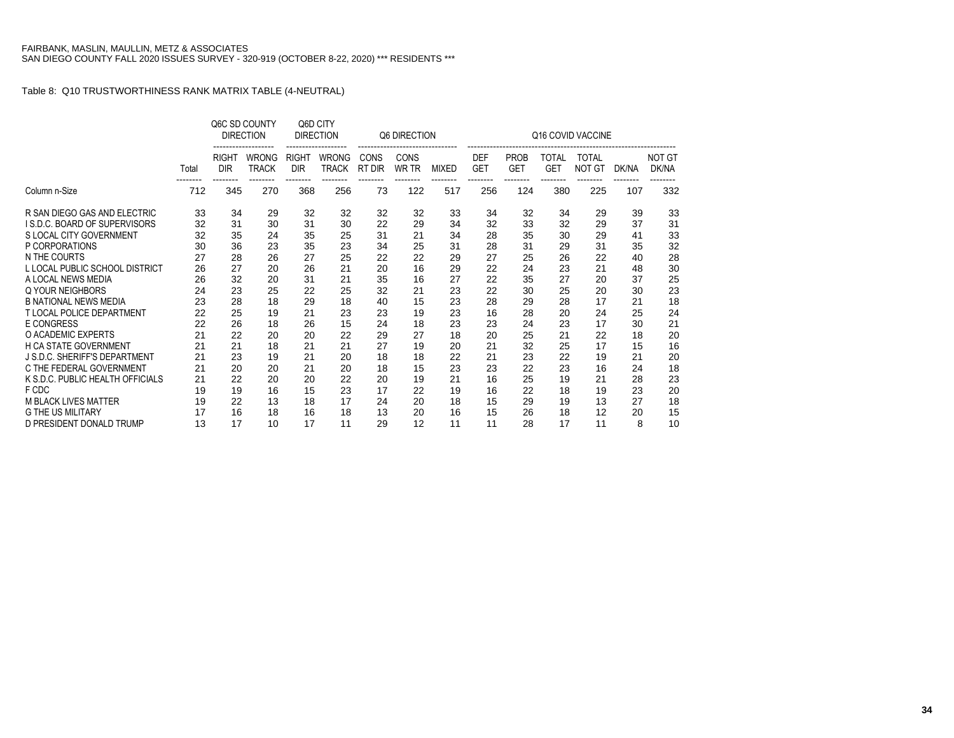## Table 8: Q10 TRUSTWORTHINESS RANK MATRIX TABLE (4-NEUTRAL)

|                                     |       | Q6C SD COUNTY<br><b>DIRECTION</b> |                              | Q6D CITY<br><b>DIRECTION</b> |                                          |                | Q6 DIRECTION         |              | Q16 COVID VACCINE        |                           |                            |                               |       |                        |  |  |  |
|-------------------------------------|-------|-----------------------------------|------------------------------|------------------------------|------------------------------------------|----------------|----------------------|--------------|--------------------------|---------------------------|----------------------------|-------------------------------|-------|------------------------|--|--|--|
|                                     | Total | <b>RIGHT</b><br><b>DIR</b>        | <b>WRONG</b><br><b>TRACK</b> | <b>RIGHT</b><br><b>DIR</b>   | <b>WRONG</b><br><b>TRACK</b><br>-------- | CONS<br>RT DIR | CONS<br><b>WR TR</b> | <b>MIXED</b> | <b>DEF</b><br><b>GET</b> | <b>PROB</b><br><b>GET</b> | <b>TOTAL</b><br><b>GET</b> | <b>TOTAL</b><br><b>NOT GT</b> | DK/NA | <b>NOT GT</b><br>DK/NA |  |  |  |
| Column n-Size                       | 712   | 345                               | 270                          | 368                          | 256                                      | 73             | 122                  | 517          | 256                      | 124                       | 380                        | 225                           | 107   | 332                    |  |  |  |
| R SAN DIEGO GAS AND ELECTRIC        | 33    | 34                                | 29                           | 32                           | 32                                       | 32             | 32                   | 33           | 34                       | 32                        | 34                         | 29                            | 39    | 33                     |  |  |  |
| <b>IS.D.C. BOARD OF SUPERVISORS</b> | 32    | 31                                | 30                           | 31                           | 30                                       | 22             | 29                   | 34           | 32                       | 33                        | 32                         | 29                            | 37    | 31                     |  |  |  |
| S LOCAL CITY GOVERNMENT             | 32    | 35                                | 24                           | 35                           | 25                                       | 31             | 21                   | 34           | 28                       | 35                        | 30                         | 29                            | 41    | 33                     |  |  |  |
| P CORPORATIONS                      | 30    | 36                                | 23                           | 35                           | 23                                       | 34             | 25                   | 31           | 28                       | 31                        | 29                         | 31                            | 35    | 32                     |  |  |  |
| N THE COURTS                        | 27    | 28                                | 26                           | 27                           | 25                                       | 22             | 22                   | 29           | 27                       | 25                        | 26                         | 22                            | 40    | 28                     |  |  |  |
| L LOCAL PUBLIC SCHOOL DISTRICT      | 26    | 27                                | 20                           | 26                           | 21                                       | 20             | 16                   | 29           | 22                       | 24                        | 23                         | 21                            | 48    | 30                     |  |  |  |
| A LOCAL NEWS MEDIA                  | 26    | 32                                | 20                           | 31                           | 21                                       | 35             | 16                   | 27           | 22                       | 35                        | 27                         | 20                            | 37    | 25                     |  |  |  |
| Q YOUR NEIGHBORS                    | 24    | 23                                | 25                           | 22                           | 25                                       | 32             | 21                   | 23           | 22                       | 30                        | 25                         | 20                            | 30    | 23                     |  |  |  |
| <b>B NATIONAL NEWS MEDIA</b>        | 23    | 28                                | 18                           | 29                           | 18                                       | 40             | 15                   | 23           | 28                       | 29                        | 28                         | 17                            | 21    | 18                     |  |  |  |
| <b>T LOCAL POLICE DEPARTMENT</b>    | 22    | 25                                | 19                           | 21                           | 23                                       | 23             | 19                   | 23           | 16                       | 28                        | 20                         | 24                            | 25    | 24                     |  |  |  |
| <b>E CONGRESS</b>                   | 22    | 26                                | 18                           | 26                           | 15                                       | 24             | 18                   | 23           | 23                       | 24                        | 23                         | 17                            | 30    | 21                     |  |  |  |
| O ACADEMIC EXPERTS                  | 21    | 22                                | 20                           | 20                           | 22                                       | 29             | 27                   | 18           | 20                       | 25                        | 21                         | 22                            | 18    | 20                     |  |  |  |
| H CA STATE GOVERNMENT               | 21    | 21                                | 18                           | 21                           | 21                                       | 27             | 19                   | 20           | 21                       | 32                        | 25                         | 17                            | 15    | 16                     |  |  |  |
| J S.D.C. SHERIFF'S DEPARTMENT       | 21    | 23                                | 19                           | 21                           | 20                                       | 18             | 18                   | 22           | 21                       | 23                        | 22                         | 19                            | 21    | 20                     |  |  |  |
| C THE FEDERAL GOVERNMENT            | 21    | 20                                | 20                           | 21                           | 20                                       | 18             | 15                   | 23           | 23                       | 22                        | 23                         | 16                            | 24    | 18                     |  |  |  |
| K S.D.C. PUBLIC HEALTH OFFICIALS    | 21    | 22                                | 20                           | 20                           | 22                                       | 20             | 19                   | 21           | 16                       | 25                        | 19                         | 21                            | 28    | 23                     |  |  |  |
| F CDC                               | 19    | 19                                | 16                           | 15                           | 23                                       | 17             | 22                   | 19           | 16                       | 22                        | 18                         | 19                            | 23    | 20                     |  |  |  |
| <b>M BLACK LIVES MATTER</b>         | 19    | 22                                | 13                           | 18                           | 17                                       | 24             | 20                   | 18           | 15                       | 29                        | 19                         | 13                            | 27    | 18                     |  |  |  |
| <b>G THE US MILITARY</b>            | 17    | 16                                | 18                           | 16                           | 18                                       | 13             | 20                   | 16           | 15                       | 26                        | 18                         | 12                            | 20    | 15                     |  |  |  |
| D PRESIDENT DONALD TRUMP            | 13    | 17                                | 10                           | 17                           | 11                                       | 29             | 12                   | 11           | 11                       | 28                        | 17                         | 11                            | 8     | 10                     |  |  |  |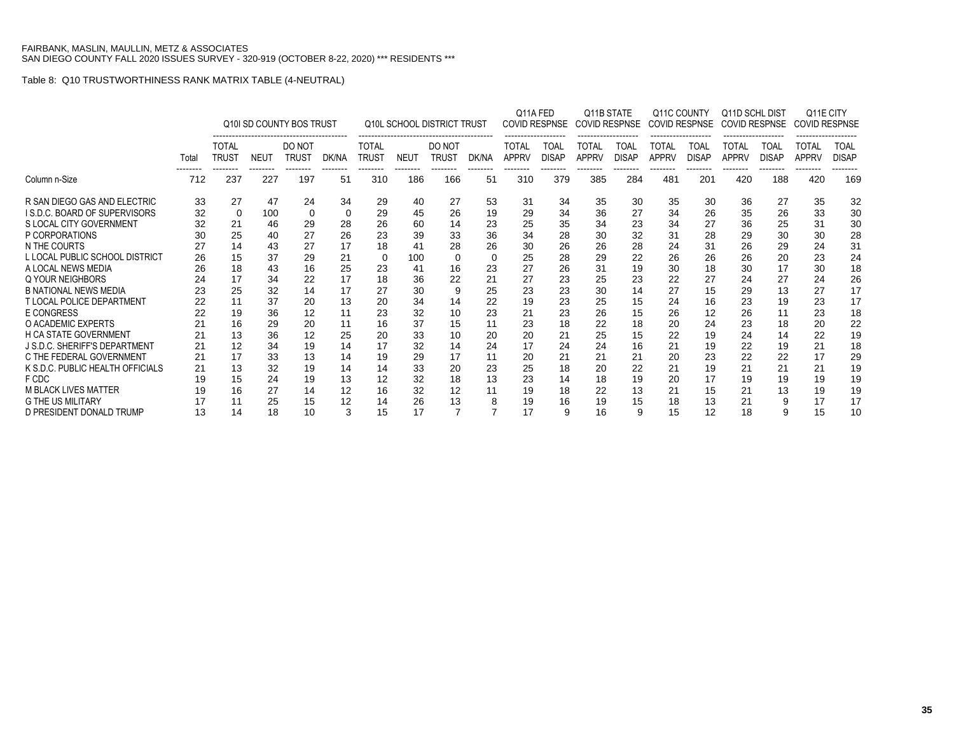### Table 8: Q10 TRUSTWORTHINESS RANK MATRIX TABLE (4-NEUTRAL)

|                                      |       | Q10I SD COUNTY BOS TRUST     |                 |                        |                | <b>Q10L SCHOOL DISTRICT TRUST</b> |                 |                 |                | Q11A FED                     | COVID RESPNSE        | Q11B STATE<br><b>COVID RESPNSE</b> |                      | Q11C COUNTY<br>COVID RESPNSE |                      | Q11D SCHL DIST<br><b>COVID RESPNSE</b> |                      | Q11E CITY<br><b>COVID RESPNSE</b> |                      |
|--------------------------------------|-------|------------------------------|-----------------|------------------------|----------------|-----------------------------------|-----------------|-----------------|----------------|------------------------------|----------------------|------------------------------------|----------------------|------------------------------|----------------------|----------------------------------------|----------------------|-----------------------------------|----------------------|
|                                      | Total | <b>TOTAL</b><br><b>TRUST</b> | <b>NEUT</b>     | DO NOT<br><b>TRUST</b> | DK/NA          | <b>TOTAL</b><br><b>TRUST</b>      | <b>NEUT</b>     | DO NOT<br>TRUST | DK/NA          | <b>TOTAL</b><br><b>APPRV</b> | TOAL<br><b>DISAP</b> | <b>TOTAL</b><br><b>APPRV</b>       | TOAL<br><b>DISAP</b> | <b>TOTAL</b><br><b>APPRV</b> | TOAL<br><b>DISAP</b> | TOTAL<br><b>APPRV</b>                  | TOAL<br><b>DISAP</b> | TOTAL<br><b>APPRV</b>             | TOAL<br><b>DISAP</b> |
| Column n-Size                        | 712   | 237                          | --------<br>227 | --------<br>197        | --------<br>51 | --------<br>310                   | --------<br>186 | --------<br>166 | --------<br>51 | --------<br>310              | --------<br>379      | --------<br>385                    | --------<br>284      | --------<br>481              | --------<br>201      | --------<br>420                        | --------<br>188      | --------<br>420                   | 169                  |
| R SAN DIEGO GAS AND ELECTRIC         | 33    | 27                           | 47              | 24                     | 34             | 29                                | 40              | 27              | 53             | 31                           | 34                   | 35                                 | 30                   | 35                           | 30                   | 36                                     | 27                   | 35                                | 32                   |
| <b>ISD.C. BOARD OF SUPERVISORS</b>   | 32    | $\Omega$                     | 100             | $\Omega$               | 0              | 29                                | 45              | 26              | 19             | 29                           | 34                   | 36                                 | 27                   | 34                           | 26                   | 35                                     | 26                   | 33                                | 30                   |
| S LOCAL CITY GOVERNMENT              | 32    | 21                           | 46              | 29                     | 28             | 26                                | 60              | 14              | 23             | 25                           | 35                   | 34                                 | 23                   | 34                           | 27                   | 36                                     | 25                   | 31                                | 30                   |
| P CORPORATIONS                       | 30    | 25                           | 40              | 27                     | 26             | 23                                | 39              | 33              | 36             | 34                           | 28                   | 30                                 | 32                   | 31                           | 28                   | 29                                     | 30                   | 30                                | 28                   |
| N THE COURTS                         | 27    | 14                           | 43              | 27                     | 17             | 18                                | 41              | 28              | 26             | 30                           | 26                   | 26                                 | 28                   | 24                           | 31                   | 26                                     | 29                   | 24                                | 31                   |
| L LOCAL PUBLIC SCHOOL DISTRICT       | 26    | 15                           | 37              | 29                     | 21             | 0                                 | 100             | $\Omega$        | $\mathbf 0$    | 25                           | 28                   | 29                                 | 22                   | 26                           | 26                   | 26                                     | 20                   | 23                                | 24                   |
| A LOCAL NEWS MEDIA                   | 26    | 18                           | 43              | 16                     | 25             | 23                                | 41              | 16              | 23             | 27                           | 26                   | 31                                 | 19                   | 30                           | 18                   | 30                                     | 17                   | 30                                | 18                   |
| Q YOUR NEIGHBORS                     | 24    | 17                           | 34              | 22                     | 17             | 18                                | 36              | 22              | 21             | 27                           | 23                   | 25                                 | 23                   | 22                           | 27                   | 24                                     | 27                   | 24                                | 26                   |
| <b>B NATIONAL NEWS MEDIA</b>         | 23    | 25                           | 32              | 14                     | 17             | 27                                | 30              | 9               | 25             | 23                           | 23                   | 30                                 | 14                   | 27                           | 15                   | 29                                     | 13                   | 27                                | 17                   |
| <b>T LOCAL POLICE DEPARTMENT</b>     | 22    | 11                           | 37              | 20                     | 13             | 20                                | 34              | 14              | 22             | 19                           | 23                   | 25                                 | 15                   | 24                           | 16                   | 23                                     | 19                   | 23                                | 17                   |
| <b>E CONGRESS</b>                    | 22    | 19                           | 36              | 12                     | 11             | 23                                | 32              | 10              | 23             | 21                           | 23                   | 26                                 | 15                   | 26                           | 12                   | 26                                     | 11                   | 23                                | 18                   |
| O ACADEMIC EXPERTS                   | 21    | 16                           | 29              | 20                     | 11             | 16                                | 37              | 15              | 11             | 23                           | 18                   | 22                                 | 18                   | 20                           | 24                   | 23                                     | 18                   | 20                                | 22                   |
| <b>H CA STATE GOVERNMENT</b>         | 21    | 13                           | 36              | 12                     | 25             | 20                                | 33              | 10              | 20             | 20                           | 21                   | 25                                 | 15                   | 22                           | 19                   | 24                                     | 14                   | 22                                | 19                   |
| <b>J S.D.C. SHERIFF'S DEPARTMENT</b> | 21    | 12                           | 34              | 19                     | 14             | 17                                | 32              | 14              | 24             | 17                           | 24                   | 24                                 | 16                   | 21                           | 19                   | 22                                     | 19                   | 21                                | 18                   |
| C THE FEDERAL GOVERNMENT             | 21    | 17                           | 33              | 13                     | 14             | 19                                | 29              | 17              | 11             | 20                           | 21                   | 21                                 | 21                   | 20                           | 23                   | 22                                     | 22                   | 17                                | 29                   |
| K S.D.C. PUBLIC HEALTH OFFICIALS     |       | 13                           | 32              | 19                     | 14             | 14                                | 33              | 20              | 23             | 25                           | 18                   | 20                                 | 22                   | 21                           | 19                   | 21                                     | 21                   | 21                                | 19                   |
| F CDC                                | 19    | 15                           | 24              | 19                     | 13             | 12                                | 32              | 18              | 13             | 23                           | 14                   | 18                                 | 19                   | 20                           | 17                   | 19                                     | 19                   | 19                                | 19                   |
| <b>M BLACK LIVES MATTER</b>          | 19    | 16                           | 27              | 14                     | 12             | 16                                | 32              | 12              | 11             | 19                           | 18                   | 22                                 | 13                   | 21                           | 15                   | 21                                     | 13                   | 19                                | 19                   |
| <b>G THE US MILITARY</b>             | 17    |                              | 25              | 15                     | 12             | 14                                | 26              | 13              | 8              | 19                           | 16                   | 19                                 | 15                   | 18                           | 13                   | 21                                     | 9                    | 17                                | 17                   |
| D PRESIDENT DONALD TRUMP             | 13    | 14                           | 18              | 10                     | 3              | 15                                | 17              |                 | ⇁              | 17                           | 9                    | 16                                 | 9                    | 15                           | 12                   | 18                                     | 9                    | 15                                | 10                   |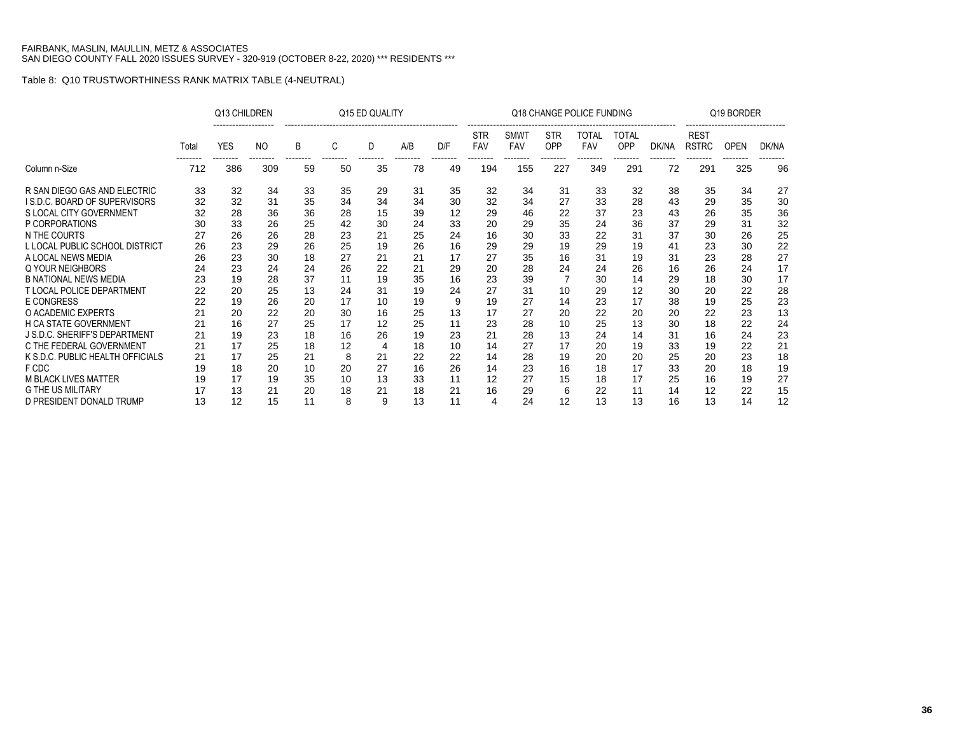### Table 8: Q10 TRUSTWORTHINESS RANK MATRIX TABLE (4-NEUTRAL)

|                                  |       | Q13 CHILDREN |                            | Q15 ED QUALITY |    |    |     |     |                          | Q18 CHANGE POLICE FUNDING | Q19 BORDER        |                     |                     |       |                                         |             |       |
|----------------------------------|-------|--------------|----------------------------|----------------|----|----|-----|-----|--------------------------|---------------------------|-------------------|---------------------|---------------------|-------|-----------------------------------------|-------------|-------|
|                                  | Total | <b>YES</b>   | N <sub>O</sub><br>-------- | B              | C  | D  | A/B | D/F | <b>STR</b><br><b>FAV</b> | <b>SMWT</b><br><b>FAV</b> | <b>STR</b><br>OPP | TOTAL<br><b>FAV</b> | TOTAL<br><b>OPP</b> | DK/NA | <b>REST</b><br><b>RSTRC</b><br>-------- | <b>OPEN</b> | DK/NA |
| Column n-Size                    | 712   | 386          | 309                        | 59             | 50 | 35 | 78  | 49  | 194                      | 155                       | 227               | 349                 | 291                 | 72    | 291                                     | 325         | 96    |
| R SAN DIEGO GAS AND ELECTRIC     | 33    | 32           | 34                         | 33             | 35 | 29 | 31  | 35  | 32                       | 34                        | 31                | 33                  | 32                  | 38    | 35                                      | 34          | 27    |
| I S.D.C. BOARD OF SUPERVISORS    | 32    | 32           | 31                         | 35             | 34 | 34 | 34  | 30  | 32                       | 34                        | 27                | 33                  | 28                  | 43    | 29                                      | 35          | 30    |
| S LOCAL CITY GOVERNMENT          | 32    | 28           | 36                         | 36             | 28 | 15 | 39  | 12  | 29                       | 46                        | 22                | 37                  | 23                  | 43    | 26                                      | 35          | 36    |
| P CORPORATIONS                   | 30    | 33           | 26                         | 25             | 42 | 30 | 24  | 33  | 20                       | 29                        | 35                | 24                  | 36                  | 37    | 29                                      | 31          | 32    |
| N THE COURTS                     | 27    | 26           | 26                         | 28             | 23 | 21 | 25  | 24  | 16                       | 30                        | 33                | 22                  | 31                  | 37    | 30                                      | 26          | 25    |
| L LOCAL PUBLIC SCHOOL DISTRICT   | 26    | 23           | 29                         | 26             | 25 | 19 | 26  | 16  | 29                       | 29                        | 19                | 29                  | 19                  | 41    | 23                                      | 30          | 22    |
| A LOCAL NEWS MEDIA               | 26    | 23           | 30                         | 18             | 27 | 21 | 21  | 17  | 27                       | 35                        | 16                | 31                  | 19                  | 31    | 23                                      | 28          | 27    |
| Q YOUR NEIGHBORS                 | 24    | 23           | 24                         | 24             | 26 | 22 | 21  | 29  | 20                       | 28                        | 24                | 24                  | 26                  | 16    | 26                                      | 24          | 17    |
| <b>B NATIONAL NEWS MEDIA</b>     | 23    | 19           | 28                         | 37             | 11 | 19 | 35  | 16  | 23                       | 39                        |                   | 30                  | 14                  | 29    | 18                                      | 30          | 17    |
| <b>T LOCAL POLICE DEPARTMENT</b> | 22    | 20           | 25                         | 13             | 24 | 31 | 19  | 24  | 27                       | 31                        | 10                | 29                  | 12                  | 30    | 20                                      | 22          | 28    |
| <b>E CONGRESS</b>                | 22    | 19           | 26                         | 20             | 17 | 10 | 19  | 9   | 19                       | 27                        | 14                | 23                  | 17                  | 38    | 19                                      | 25          | 23    |
| O ACADEMIC EXPERTS               | 21    | 20           | 22                         | 20             | 30 | 16 | 25  | 13  | 17                       | 27                        | 20                | 22                  | 20                  | 20    | 22                                      | 23          | 13    |
| <b>H CA STATE GOVERNMENT</b>     | 21    | 16           | 27                         | 25             | 17 | 12 | 25  | 11  | 23                       | 28                        | 10                | 25                  | 13                  | 30    | 18                                      | 22          | 24    |
| J S.D.C. SHERIFF'S DEPARTMENT    | 21    | 19           | 23                         | 18             | 16 | 26 | 19  | 23  | 21                       | 28                        | 13                | 24                  | 14                  | 31    | 16                                      | 24          | 23    |
| C THE FEDERAL GOVERNMENT         | 21    | 17           | 25                         | 18             | 12 | 4  | 18  | 10  | 14                       | 27                        | 17                | 20                  | 19                  | 33    | 19                                      | 22          | 21    |
| K S.D.C. PUBLIC HEALTH OFFICIALS | 21    | 17           | 25                         | 21             | 8  | 21 | 22  | 22  | 14                       | 28                        | 19                | 20                  | 20                  | 25    | 20                                      | 23          | 18    |
| F CDC                            | 19    | 18           | 20                         | 10             | 20 | 27 | 16  | 26  | 14                       | 23                        | 16                | 18                  | 17                  | 33    | 20                                      | 18          | 19    |
| <b>M BLACK LIVES MATTER</b>      | 19    | 17           | 19                         | 35             | 10 | 13 | 33  | 11  | 12                       | 27                        | 15                | 18                  | 17                  | 25    | 16                                      | 19          | 27    |
| <b>G THE US MILITARY</b>         | 17    | 13           | 21                         | 20             | 18 | 21 | 18  | 21  | 16                       | 29                        | 6                 | 22                  | 11                  | 14    | 12                                      | 22          | 15    |
| D PRESIDENT DONALD TRUMP         | 13    | 12           | 15                         | 11             | 8  | 9  | 13  | 11  | 4                        | 24                        | 12                | 13                  | 13                  | 16    | 13                                      | 14          | 12    |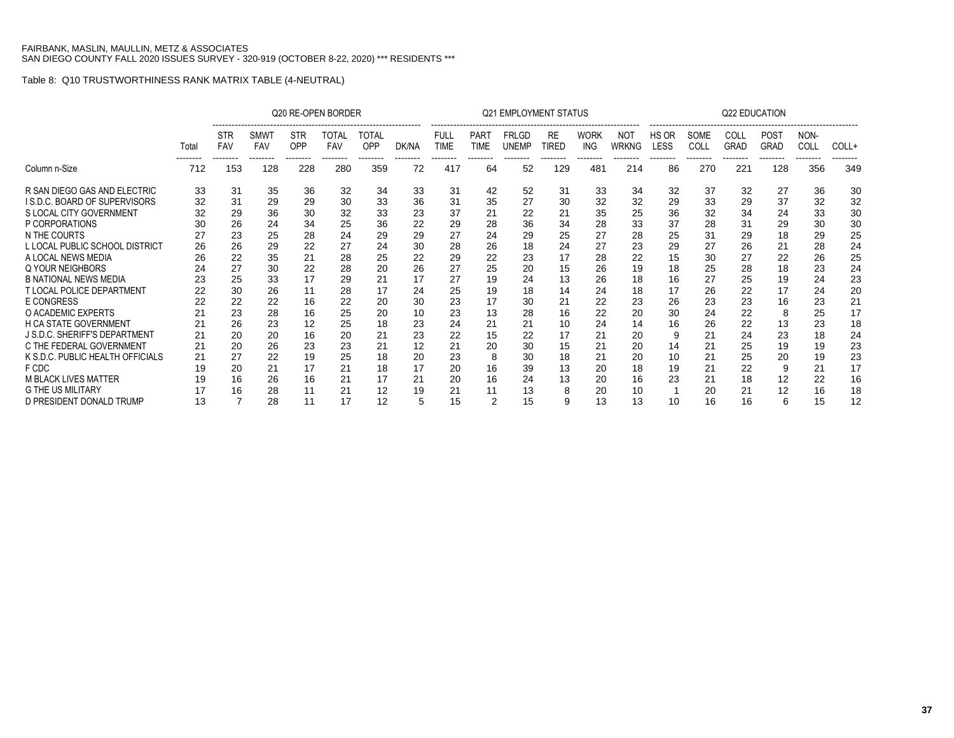|                                                          |          |                          |                    |                               | Q20 RE-OPEN BORDER              |                          |          |                            |                                | <b>Q21 EMPLOYMENT STATUS</b> |                    |                               |                     |                      |              | <b>Q22 EDUCATION</b> |                                        |                          |          |
|----------------------------------------------------------|----------|--------------------------|--------------------|-------------------------------|---------------------------------|--------------------------|----------|----------------------------|--------------------------------|------------------------------|--------------------|-------------------------------|---------------------|----------------------|--------------|----------------------|----------------------------------------|--------------------------|----------|
|                                                          | Total    | <b>STR</b><br><b>FAV</b> | <b>SMWT</b><br>FAV | <b>STR</b><br>OPP<br>-------- | TOTAL<br><b>FAV</b><br>-------- | TOTAL<br>OPP<br>-------- | DK/NA    | <b>FULL</b><br><b>TIME</b> | <b>PART</b><br>TIME<br>------- | <b>FRLGD</b><br><b>UNEMP</b> | <b>RE</b><br>TIRED | <b>WORK</b><br>ING<br>------- | <b>NOT</b><br>WRKNG | HS OR<br><b>LESS</b> | SOME<br>COLL | COLL<br><b>GRAD</b>  | <b>POST</b><br><b>GRAD</b><br>-------- | NON-<br>COLL<br>-------- | COLL+    |
| Column n-Size                                            | 712      | 153                      | 128                | 228                           | 280                             | 359                      | 72       | 417                        | 64                             | 52                           | 129                | 481                           | 214                 | 86                   | 270          | 221                  | 128                                    | 356                      | 349      |
| R SAN DIEGO GAS AND ELECTRIC                             | 33       | 31                       | 35                 | 36                            | 32                              | 34                       | 33       | 31                         | 42                             | 52                           | 31                 | 33                            | 34                  | 32                   | 37           | 32                   | 27                                     | 36                       | 30       |
| I S.D.C. BOARD OF SUPERVISORS<br>S LOCAL CITY GOVERNMENT | 32<br>32 | 31<br>29                 | 29<br>36           | 29<br>30                      | 30<br>32                        | 33<br>33                 | 36<br>23 | 31<br>37                   | 35<br>21                       | 27<br>22                     | 30<br>21           | 32<br>35                      | 32<br>25            | 29<br>36             | 33<br>32     | 29<br>34             | 37<br>24                               | 32<br>33                 | 32<br>30 |
| P CORPORATIONS                                           | 30       | 26                       | 24                 | 34                            | 25                              | 36                       | 22       | 29                         | 28                             | 36                           | 34                 | 28                            | 33                  | 37                   | 28           | 31                   | 29                                     | 30                       | 30       |
| N THE COURTS                                             | 27       | 23                       | 25                 | 28                            | 24                              | 29                       | 29       | 27                         | 24                             | 29                           | 25                 | 27                            | 28                  | 25                   | 31           | 29                   | 18                                     | 29                       | 25       |
| L LOCAL PUBLIC SCHOOL DISTRICT                           | 26       | 26                       | 29                 | 22                            | 27                              | 24                       | 30       | 28                         | 26                             | 18                           | 24                 | 27                            | 23                  | 29                   | 27           | 26                   | 21                                     | 28                       | 24       |
| A LOCAL NEWS MEDIA                                       | 26       | 22                       | 35                 | 21                            | 28                              | 25                       | 22       | 29                         | 22                             | 23                           | 17                 | 28                            | 22                  | 15                   | 30           | 27                   | 22                                     | 26                       | 25       |
| Q YOUR NEIGHBORS                                         | 24       | 27                       | 30                 | 22                            | 28                              | 20                       | 26       | 27                         | 25                             | 20                           | 15                 | 26                            | 19                  | 18                   | 25           | 28                   | 18                                     | 23                       | 24       |
| <b>B NATIONAL NEWS MEDIA</b>                             | 23       | 25                       | 33                 | 17                            | 29                              | 21                       | 17       | 27                         | 19                             | 24                           | 13                 | 26                            | 18                  | 16                   | 27           | 25                   | 19                                     | 24                       | 23       |
| <b>T LOCAL POLICE DEPARTMENT</b>                         | 22       | 30                       | 26                 | 11                            | 28                              | 17                       | 24       | 25                         | 19                             | 18                           | 14                 | 24                            | 18                  | 17                   | 26           | 22                   | 17                                     | 24                       | 20       |
| <b>E CONGRESS</b>                                        | 22       | 22                       | 22                 | 16                            | 22                              | 20                       | 30       | 23                         | 17                             | 30                           | 21                 | 22                            | 23                  | 26                   | 23           | 23                   | 16                                     | 23                       | 21       |
| O ACADEMIC EXPERTS                                       | 21       | 23                       | 28                 | 16                            | 25                              | 20                       | 10       | 23                         | 13                             | 28                           | 16                 | 22                            | 20                  | 30                   | 24           | 22                   | 8                                      | 25                       | 17       |
| <b>H CA STATE GOVERNMENT</b>                             | 21       | 26                       | 23                 | 12                            | 25                              | 18                       | 23       | 24                         | 21                             | 21                           | 10                 | 24                            | 14                  | 16                   | 26           | 22                   | 13                                     | 23                       | 18       |
| J S.D.C. SHERIFF'S DEPARTMENT                            | 21       | 20                       | 20                 | 16                            | 20                              | 21                       | 23       | 22                         | 15                             | 22                           | 17                 | 21                            | 20                  | 9                    | 21           | 24                   | 23                                     | 18                       | 24       |
| C THE FEDERAL GOVERNMENT                                 | 21       | 20                       | 26                 | 23                            | 23                              | 21                       | 12       | 21                         | 20                             | 30                           | 15                 | 21                            | 20                  | 14                   | 21           | 25                   | 19                                     | 19                       | 23       |
| K S.D.C. PUBLIC HEALTH OFFICIALS                         | 21       | 27                       | 22                 | 19                            | 25                              | 18                       | 20       | 23                         | 8                              | 30                           | 18                 | 21                            | 20                  | 10                   | 21           | 25                   | 20                                     | 19                       | 23       |
| F CDC                                                    | 19       | 20                       | 21                 | 17                            | 21                              | 18                       | 17       | 20                         | 16                             | 39                           | 13                 | 20                            | 18                  | 19                   | 21           | 22                   | 9                                      | 21                       | 17       |
| <b>M BLACK LIVES MATTER</b>                              | 19       | 16                       | 26                 | 16                            | 21                              | 17                       | 21       | 20                         | 16                             | 24                           | 13                 | 20                            | 16                  | 23                   | 21           | 18                   | 12                                     | 22                       | 16       |
| <b>G THE US MILITARY</b>                                 |          |                          | 28                 |                               | 21                              | 12                       | 19       | 21                         | 11                             | 13                           | 8                  | 20                            | 10                  |                      | 20           | 21                   | 12                                     | 16                       | 18       |
| D PRESIDENT DONALD TRUMP                                 | 13       |                          | 28                 | 11                            | 17                              | 12                       | 5        | 15                         | $\overline{2}$                 | 15                           | 9                  | 13                            | 13                  | 10                   | 16           | 16                   | 6                                      | 15                       | 12       |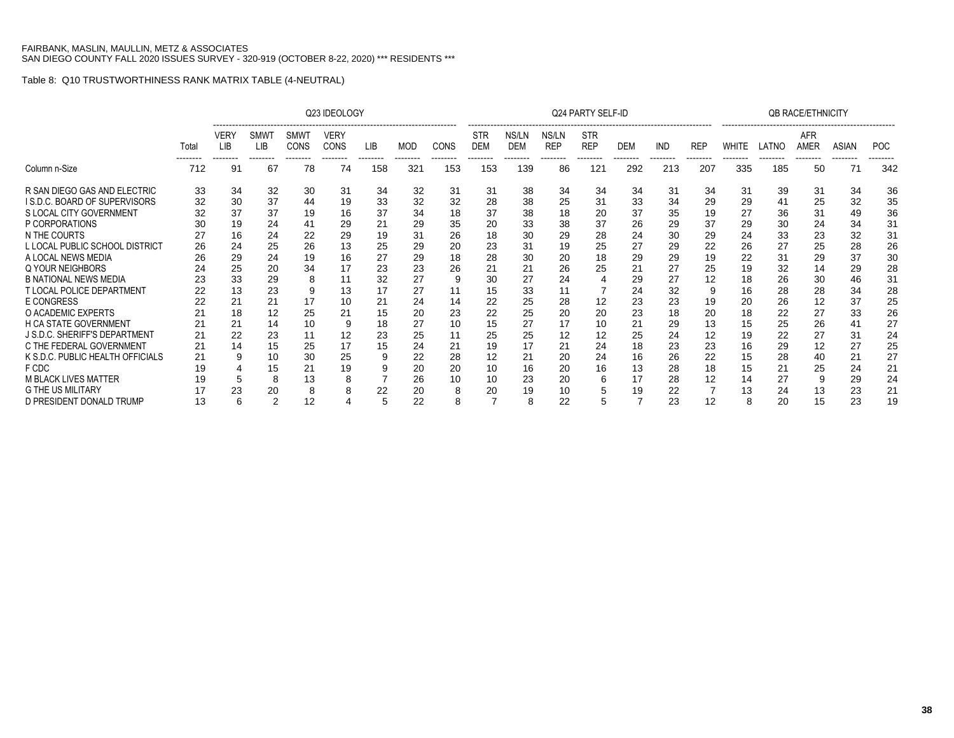|                                     |                   |                                |                                      |                                        | Q23 IDEOLOGY                           |                        |                 |                         |                                      |                                 |                                 | <b>Q24 PARTY SELF-ID</b>             |                        |                        |                        |                   |                   | <b>QB RACE/ETHNICITY</b> |                   |                        |
|-------------------------------------|-------------------|--------------------------------|--------------------------------------|----------------------------------------|----------------------------------------|------------------------|-----------------|-------------------------|--------------------------------------|---------------------------------|---------------------------------|--------------------------------------|------------------------|------------------------|------------------------|-------------------|-------------------|--------------------------|-------------------|------------------------|
|                                     | Total<br>-------- | VERY<br><b>LIB</b><br>-------- | <b>SMW</b><br><b>LIB</b><br>-------- | <b>SMWT</b><br><b>CONS</b><br>-------- | <b>VERY</b><br><b>CONS</b><br>-------- | <b>LIB</b><br>-------- | MOD<br>-------- | <b>CONS</b><br>-------- | <b>STR</b><br><b>DEM</b><br>-------- | NS/LN<br><b>DEM</b><br>-------- | NS/LN<br><b>REP</b><br>-------- | <b>STR</b><br><b>REP</b><br>-------- | <b>DEM</b><br>-------- | <b>IND</b><br>-------- | <b>REP</b><br>-------- | WHITE<br>-------- | LATNC<br>-------- | AFR<br>AMER<br>--------  | ASIAN<br>-------- | <b>POC</b><br>-------- |
| Column n-Size                       | 712               | 91                             | 67                                   | 78                                     | 74                                     | 158                    | 321             | 153                     | 153                                  | 139                             | 86                              | 121                                  | 292                    | 213                    | 207                    | 335               | 185               | 50                       | 71                | 342                    |
| R SAN DIEGO GAS AND ELECTRIC        | 33                | 34                             | 32                                   | 30                                     | 31                                     | 34                     | 32              | 31                      | 31                                   | 38                              | 34                              | 34                                   | 34                     | 31                     | 34                     | 31                | 39                | 31                       | 34                | 36                     |
| <b>IS.D.C. BOARD OF SUPERVISORS</b> | 32                | 30                             | 37                                   | 44                                     | 19                                     | 33                     | 32              | 32                      | 28                                   | 38                              | 25                              | 31                                   | 33                     | 34                     | 29                     | 29                | 41                | 25                       | 32                | 35                     |
| S LOCAL CITY GOVERNMENT             |                   | 37                             | 37                                   | 19                                     | 16                                     | 37                     | 34              | 18                      | 37                                   | 38                              | 18                              | 20                                   | 37                     | 35                     | 19                     | 27                | 36                | 31                       | 49                | 36                     |
| P CORPORATIONS                      |                   | 19                             | 24                                   | 41                                     | 29                                     | 21                     | 29              | 35                      | 20                                   | 33                              | 38                              | 37                                   | 26                     | 29                     | 37                     | 29                | 30                | 24                       | 34                | 31                     |
| N THE COURTS                        |                   | 16                             | 24                                   | 22                                     | 29                                     | 19                     | 31              | 26                      | 18                                   | 30                              | 29                              | 28                                   | 24                     | 30                     | 29                     | 24                | 33                | 23                       | 32                | 31                     |
| L LOCAL PUBLIC SCHOOL DISTRICT      | 26                | 24                             | 25                                   | 26                                     | 13                                     | 25                     | 29              | 20                      | 23                                   | 31                              | 19                              | 25                                   | 27                     | 29                     | 22                     | 26                | 27                | 25                       | 28                | 26                     |
| A LOCAL NEWS MEDIA                  | 26                | 29                             | 24                                   | 19                                     | 16                                     | 27                     | 29              | 18                      | 28                                   | 30                              | 20                              | 18                                   | 29                     | 29                     | 19                     | 22                | 31                | 29                       | 37                | 30                     |
| Q YOUR NEIGHBORS                    |                   | 25                             | 20                                   | 34                                     |                                        | 23                     | 23              | 26                      | 21                                   | 21                              | 26                              | 25                                   | 21                     | 27                     | 25                     | 19                | 32                | 14                       | 29                | 28                     |
| <b>B NATIONAL NEWS MEDIA</b>        |                   | 33                             | 29                                   | 8                                      |                                        | 32                     | 27              | ō                       | 30                                   | 27                              | 24                              |                                      | 29                     | 27                     | 12                     | 18                | 26                | 30                       | 46                | 31                     |
| <b>T LOCAL POLICE DEPARTMENT</b>    | 22                | 13                             | 23                                   | 9                                      | 13                                     | 17                     | 27              | 11                      | 15                                   | 33                              | 11                              |                                      | 24                     | 32                     |                        | 16                | 28                | 28                       | 34                | 28                     |
| <b>E CONGRESS</b>                   | 22                | 21                             | 21                                   | 17                                     | 10                                     | 21                     | 24              | 14                      | 22                                   | 25                              | 28                              | 12                                   | 23                     | 23                     | 19                     | 20                | 26                | 12                       | 37                | 25                     |
| O ACADEMIC EXPERTS                  |                   | 18                             | 12                                   | 25                                     |                                        | 15                     | 20              | 23                      | 22                                   | 25                              | 20                              | 20                                   | 23                     | 18                     | 20                     | 18                | 22                | 27                       | 33                | 26                     |
| <b>H CA STATE GOVERNMENT</b>        | 21                | 21                             | 14                                   | 10                                     |                                        | 18                     | 27              | 10                      | 15                                   | 27                              | 17                              | 10                                   | 21                     | 29                     | 13                     | 15                | 25                | 26                       |                   | 27                     |
| J S.D.C. SHERIFF'S DEPARTMENT       | 21                | 22                             | 23                                   | 11                                     | 12                                     | 23                     | 25              | 11                      | 25                                   | 25                              | 12                              | 12                                   | 25                     | 24                     | 12                     | 19                | 22                | 27                       | 31                | 24                     |
| C THE FEDERAL GOVERNMENT            | 21                | 14                             | 15                                   | 25                                     | 17                                     | 15                     | 24              | 21                      | 19                                   | 17                              | 21                              | 24                                   | 18                     | 23                     | 23                     | 16                | 29                | 12                       | 27                | 25                     |
| K S.D.C. PUBLIC HEALTH OFFICIALS    | 21                | 9                              | 10                                   | 30                                     | 25                                     |                        | 22              | 28                      | 12                                   | 21                              | 20                              | 24                                   | 16                     | 26                     | 22                     | 15                | 28                | 40                       | 21                | 27                     |
| F CDC                               |                   |                                | 15                                   | 21                                     | 19                                     |                        | 20              | 20                      | 10                                   | 16                              | 20                              | 16                                   | 13                     | 28                     | 18                     | 15                | 21                | 25                       | 24                | 21                     |
| <b>M BLACK LIVES MATTER</b>         | 19                | 5                              |                                      | 13                                     |                                        |                        | 26              | 10                      | 10                                   | 23                              | 20                              |                                      | 17                     | 28                     | 12                     | 14                | 27                | g                        | 29                | 24                     |
| <b>G THE US MILITARY</b>            |                   | 23                             | 20                                   | 8                                      |                                        | 22                     | 20              |                         | 20                                   | 19                              | 10                              |                                      | 19                     | 22                     |                        | 13                | 24                | 13                       | 23                | 21                     |
| D PRESIDENT DONALD TRUMP            | 13                | 6                              | 2                                    | 12                                     |                                        | 5                      | 22              | 8                       | $\overline{7}$                       |                                 | 22                              |                                      |                        | 23                     | 12                     | 8                 | 20                | 15                       | 23                | 19                     |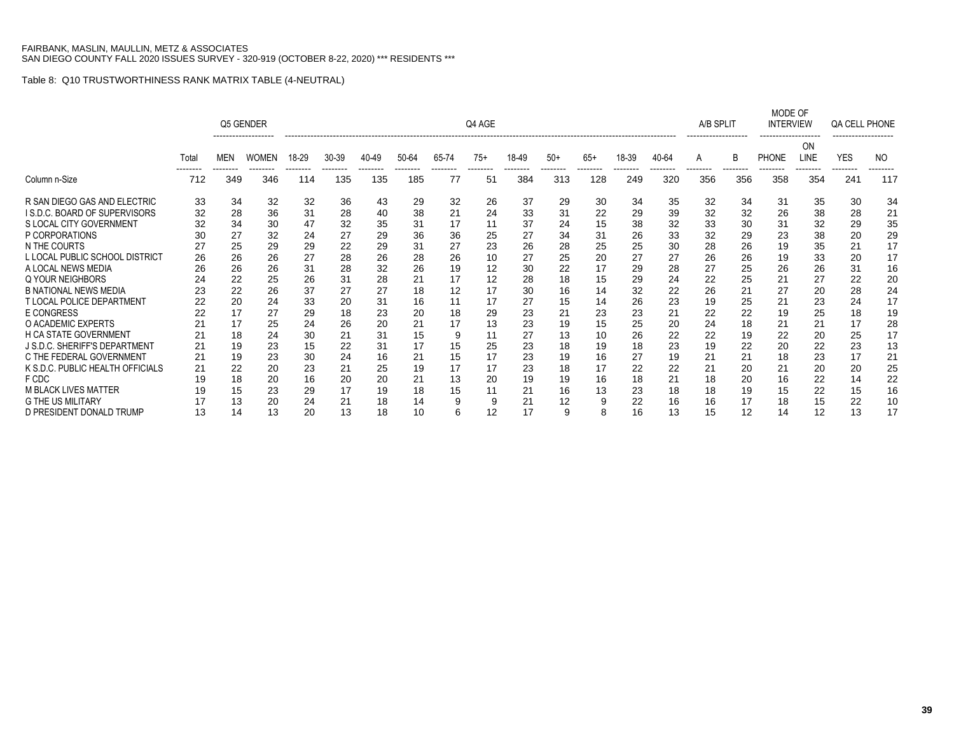|                                  |       |            | Q5 GENDER    |       |       |       |       |       | Q4 AGE |       |       |                |       |                 | A/B SPLIT |                | MODE OF<br><b>INTERVIEW</b> |            | QA CELL PHONE   |     |
|----------------------------------|-------|------------|--------------|-------|-------|-------|-------|-------|--------|-------|-------|----------------|-------|-----------------|-----------|----------------|-----------------------------|------------|-----------------|-----|
|                                  | Total | <b>MEN</b> | <b>WOMEN</b> | 18-29 | 30-39 | 40-49 | 50-64 | 65-74 | $75+$  | 18-49 | $50+$ | $65+$          | 18-39 | 40-64           | A         | B              | <b>PHONE</b>                | ΟN<br>LINE | <b>YES</b>      | NO. |
| Column n-Size                    | 712   | 349        | 346          | 114   | 135   | 135   | 185   | 77    | 51     | 384   | 313   | -------<br>128 | 249   | --------<br>320 | 356       | -------<br>356 | 358                         | 354        | --------<br>241 | 117 |
| R SAN DIEGO GAS AND ELECTRIC     | 33    | 34         | 32           | 32    | 36    | 43    | 29    | 32    | 26     | 37    | 29    | 30             | 34    | 35              | 32        | 34             | 31                          | 35         | 30              | 34  |
| I S.D.C. BOARD OF SUPERVISORS    | 32    | 28         | 36           | 31    | 28    | 40    | 38    | 21    | 24     | 33    | 31    | 22             | 29    | 39              | 32        | 32             | 26                          | 38         | 28              | 21  |
| S LOCAL CITY GOVERNMENT          | 32    | 34         | 30           | 47    | 32    | 35    | 31    | 17    | 11     | 37    | 24    | 15             | 38    | 32              | 33        | 30             | 31                          | 32         | 29              | 35  |
| P CORPORATIONS                   | 30    | 27         | 32           | 24    | 27    | 29    | 36    | 36    | 25     | 27    | 34    | 31             | 26    | 33              | 32        | 29             | 23                          | 38         | 20              | 29  |
| N THE COURTS                     | 27    | 25         | 29           | 29    | 22    | 29    | 31    | 27    | 23     | 26    | 28    | 25             | 25    | 30              | 28        | 26             | 19                          | 35         | 21              | 17  |
| L LOCAL PUBLIC SCHOOL DISTRICT   | 26    | 26         | 26           | 27    | 28    | 26    | 28    | 26    | 10     | 27    | 25    | 20             | 27    | 27              | 26        | 26             | 19                          | 33         | 20              | 17  |
| A LOCAL NEWS MEDIA               | 26    | 26         | 26           | 31    | 28    | 32    | 26    | 19    | 12     | 30    | 22    | 17             | 29    | 28              | 27        | 25             | 26                          | 26         | 31              | 16  |
| Q YOUR NEIGHBORS                 | 24    | 22         | 25           | 26    | 31    | 28    | 21    | 17    | 12     | 28    | 18    | 15             | 29    | 24              | 22        | 25             | 21                          | 27         | 22              | 20  |
| <b>B NATIONAL NEWS MEDIA</b>     | 23    | 22         | 26           | 37    | 27    | 27    | 18    | 12    | 17     | 30    | 16    | 14             | 32    | 22              | 26        | 21             | 27                          | 20         | 28              | 24  |
| <b>T LOCAL POLICE DEPARTMENT</b> | 22    | 20         | 24           | 33    | 20    | 31    | 16    | 11    | 17     | 27    | 15    | 14             | 26    | 23              | 19        | 25             | 21                          | 23         | 24              | 17  |
| <b>E CONGRESS</b>                |       | 17         | 27           | 29    | 18    | 23    | 20    | 18    | 29     | 23    | 21    | 23             | 23    | 21              | 22        | 22             | 19                          | 25         | 18              | 19  |
| O ACADEMIC EXPERTS               | 21    | 17         | 25           | 24    | 26    | 20    | 21    | 17    | 13     | 23    | 19    | 15             | 25    | 20              | 24        | 18             | 21                          | 21         | 17              | 28  |
| <b>H CA STATE GOVERNMENT</b>     | 21    | 18         | 24           | 30    | 21    | 31    | 15    | 9     | 11     | 27    | 13    | 10             | 26    | 22              | 22        | 19             | 22                          | 20         | 25              | 17  |
| J S.D.C. SHERIFF'S DEPARTMENT    | 21    | 19         | 23           | 15    | 22    | 31    | 17    | 15    | 25     | 23    | 18    | 19             | 18    | 23              | 19        | 22             | 20                          | 22         | 23              | 13  |
| C THE FEDERAL GOVERNMENT         | 21    | 19         | 23           | 30    | 24    | 16    | 21    | 15    | 17     | 23    | 19    | 16             | 27    | 19              | 21        | 21             | 18                          | 23         | 17              | 21  |
| K S.D.C. PUBLIC HEALTH OFFICIALS | 21    | 22         | 20           | 23    | 21    | 25    | 19    | 17    | 17     | 23    | 18    | 17             | 22    | 22              | 21        | 20             | 21                          | 20         | 20              | 25  |
| F CDC                            |       | 18         | 20           | 16    | 20    | 20    | 21    | 13    | 20     | 19    | 19    | 16             | 18    | 21              | 18        | 20             | 16                          | 22         | 14              | 22  |
| <b>M BLACK LIVES MATTER</b>      | 19    | 15         | 23           | 29    | 17    | 19    | 18    | 15    | 11     | 21    | 16    | 13             | 23    | 18              | 18        | 19             | 15                          | 22         | 15              | 16  |
| <b>G THE US MILITARY</b>         |       | 13         | 20           | 24    | 21    | 18    | 14    |       | 9      | 21    | 12    |                | 22    | 16              | 16        | 17             | 18                          | 15         | 22              | 10  |
| D PRESIDENT DONALD TRUMP         | 13    | 14         | 13           | 20    | 13    | 18    | 10    | 6     | 12     | 17    | 9     | 8              | 16    | 13              | 15        | 12             | 14                          | 12         | 13              | 17  |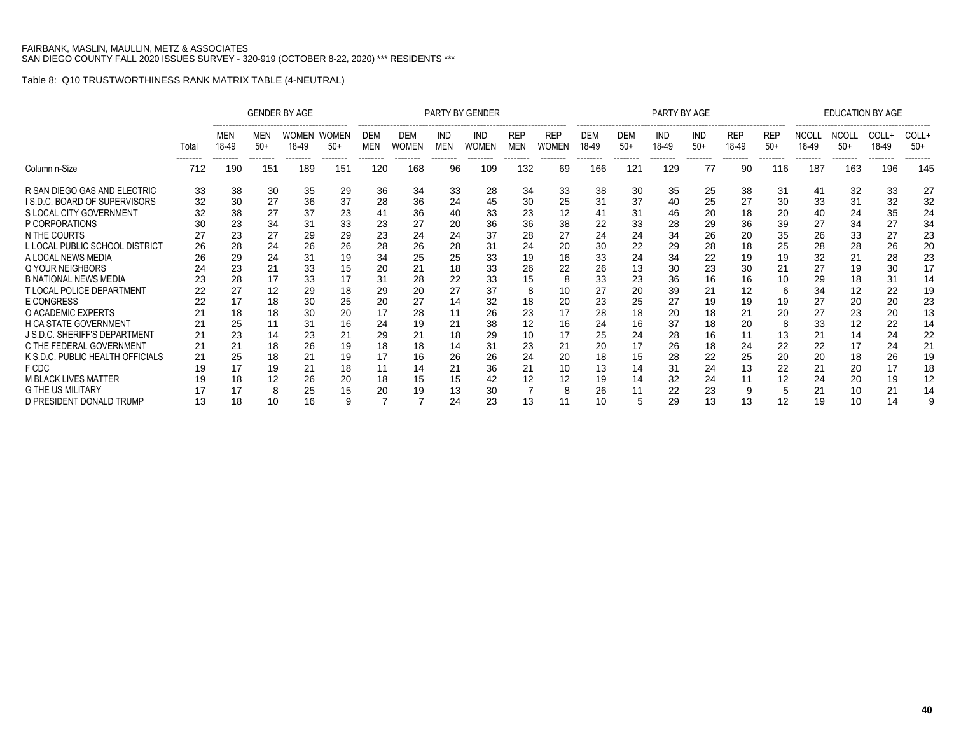|                                  |           |                          |                          | <b>GENDER BY AGE</b>              |                                   |                               |                          |                               | <b>PARTY BY GENDER</b>   |                                      |                                        |                         |                        | PARTY BY AGE                    |                                 |                                 |                                 |                                   | <b>EDUCATION BY AGE</b>           |                            |                            |
|----------------------------------|-----------|--------------------------|--------------------------|-----------------------------------|-----------------------------------|-------------------------------|--------------------------|-------------------------------|--------------------------|--------------------------------------|----------------------------------------|-------------------------|------------------------|---------------------------------|---------------------------------|---------------------------------|---------------------------------|-----------------------------------|-----------------------------------|----------------------------|----------------------------|
|                                  | Total<br> | MEN<br>18-49<br>-------- | MEN<br>$50+$<br>-------- | <b>WOMEN</b><br>18-49<br>-------- | <b>WOMEN</b><br>$50+$<br>-------- | DEM<br><b>MEN</b><br>-------- | DEM<br>WOMEN<br>-------- | <b>IND</b><br>MEN<br>-------- | IND<br>WOMEN<br>-------- | <b>REP</b><br><b>MEN</b><br>-------- | <b>REP</b><br><b>WOMEN</b><br>-------- | <b>DEM</b><br>18-49<br> | <b>DEM</b><br>-50+<br> | <b>IND</b><br>18-49<br>-------- | <b>IND</b><br>$50+$<br>-------- | <b>REP</b><br>18-49<br>-------- | <b>REP</b><br>$50+$<br>-------- | <b>NCOLL</b><br>18-49<br>-------- | <b>NCOLL</b><br>$50+$<br>-------- | COLL+<br>18-49<br>-------- | COLL+<br>$50+$<br>-------- |
| Column n-Size                    | 712       | 190                      | 151                      | 189                               | 151                               | 120                           | 168                      | 96                            | 109                      | 132                                  | 69                                     | 166                     | 121                    | 129                             | 77                              | 90                              | 116                             | 187                               | 163                               | 196                        | 145                        |
| R SAN DIEGO GAS AND ELECTRIC     | 33        | 38                       | 30                       | 35                                | 29                                | 36                            | 34                       | 33                            | 28                       | 34                                   | 33                                     | 38                      | 30                     | 35                              | 25                              | 38                              | 31                              | 41                                | 32                                | 33                         | 27                         |
| I S.D.C. BOARD OF SUPERVISORS    | 32        | 30                       | 27                       | 36                                | 37                                | 28                            | 36                       | 24                            | 45                       | 30                                   | 25                                     | 31                      | 37                     | 40                              | 25                              | 27                              | 30                              | 33                                | 31                                | 32                         | 32                         |
| S LOCAL CITY GOVERNMENT          | 32        | 38                       | 27                       | 37                                | 23                                | 41                            | 36                       | 40                            | 33                       | 23                                   | 12                                     |                         | 31                     | 46                              | 20                              | 18                              | 20                              | 40                                | 24                                | 35                         | 24                         |
| P CORPORATIONS                   |           | 23                       | 34                       | 31                                | 33                                | 23                            | 27                       | 20                            | 36                       | 36                                   | 38                                     | 22                      | 33                     | 28                              | 29                              | 36                              | 39                              | 27                                | 34                                | 27                         | 34                         |
| N THE COURTS                     |           | 23                       | 27                       | 29                                | 29                                | 23                            | 24                       | 24                            | 37                       | 28                                   | 27                                     | 24                      | 24                     | 34                              | 26                              | 20                              | 35                              | 26                                | 33                                | 27                         | 23                         |
| L LOCAL PUBLIC SCHOOL DISTRICT   | 26        | 28                       | 24                       | 26                                | 26                                | 28                            | 26                       | 28                            | 31                       | 24                                   | 20                                     | 30                      | 22                     | 29                              | 28                              | 18                              | 25                              | 28                                | 28                                | 26                         | 20                         |
| A LOCAL NEWS MEDIA               | 26        | 29                       | 24                       | 31                                | 19                                | 34                            | 25                       | 25                            | 33                       | 19                                   | 16                                     | 33                      | 24                     | 34                              | 22                              | 19                              | 19                              | 32                                | 21                                | 28                         | 23                         |
| Q YOUR NEIGHBORS                 |           | 23                       | 21                       | 33                                | 15                                | 20                            | 21                       | 18                            | 33                       | 26                                   | 22                                     | 26                      | 13                     | 30                              | 23                              | 30                              | 21                              | 27                                | 19                                | 30                         | 17                         |
| <b>B NATIONAL NEWS MEDIA</b>     | 23        | 28                       | 17                       | 33                                | 17                                | 31                            | 28                       | 22                            | 33                       | 15                                   | 8                                      | 33                      | 23                     | 36                              | 16                              | 16                              | 10                              | 29                                | 18                                | 31                         | 14                         |
| <b>T LOCAL POLICE DEPARTMENT</b> | 22        | 27                       | 12                       | 29                                | 18                                | 29                            | 20                       | 27                            | 37                       | 8                                    | 10                                     | 27                      | 20                     | 39                              | 21                              | 12                              | 6                               | 34                                | 12                                | 22                         | 19                         |
| <b>E CONGRESS</b>                |           | 17                       | 18                       | 30                                | 25                                | 20                            | 27                       | 14                            | 32                       | 18                                   | 20                                     | 23                      | 25                     | 27                              | 19                              | 19                              | 19                              | 27                                | 20                                | 20                         | 23                         |
| O ACADEMIC EXPERTS               |           | 18                       | 18                       | 30                                | 20                                | 17                            | 28                       |                               | 26                       | 23                                   |                                        | 28                      | 18                     | 20                              | 18                              | 21                              | 20                              | 27                                | 23                                | 20                         | 13                         |
| <b>H CA STATE GOVERNMENT</b>     |           | 25                       |                          | 31                                | 16                                | 24                            | 19                       | 21                            | 38                       | 12                                   | 16                                     | 24                      | 16                     | 37                              | 18                              | 20                              | 8                               | 33                                | 12                                | 22                         | 14                         |
| J S.D.C. SHERIFF'S DEPARTMENT    | 21        | 23                       | 14                       | 23                                | 21                                | 29                            | 21                       | 18                            | 29                       | 10                                   | 17                                     | 25                      | 24                     | 28                              | 16                              |                                 | 13                              | 21                                | 14                                | 24                         | 22                         |
| C THE FEDERAL GOVERNMENT         | 21        | 21                       | 18                       | 26                                | 19                                | 18                            | 18                       | 14                            | 31                       | 23                                   | 21                                     | 20                      | 17                     | 26                              | 18                              | 24                              | 22                              | 22                                | 17                                | 24                         | 21                         |
| K S.D.C. PUBLIC HEALTH OFFICIALS | 21        | 25                       | 18                       | 21                                | 19                                | 17                            | 16                       | 26                            | 26                       | 24                                   | 20                                     | 18                      | 15                     | 28                              | 22                              | 25                              | 20                              | 20                                | 18                                | 26                         | 19                         |
| F CDC                            |           | 17                       | 19                       | 21                                | 18                                | 11                            | 14                       | 21                            | 36                       | 21                                   | 10                                     | 13                      | 14                     | 31                              | 24                              | 13                              | 22                              | 21                                | 20                                | 17                         | 18                         |
| <b>M BLACK LIVES MATTER</b>      |           | 18                       | 12                       | 26                                | 20                                | 18                            | 15                       | 15                            | 42                       | 12                                   | 12                                     | 19                      | 14                     | 32                              | 24                              |                                 | 12                              | 24                                | 20                                | 19                         | 12                         |
| <b>G THE US MILITARY</b>         |           |                          |                          | 25                                | 15                                | 20                            | 19                       | 13                            | 30                       |                                      |                                        | 26                      |                        | 22                              | 23                              |                                 |                                 | 21                                | 10                                | 21                         | 14                         |
| D PRESIDENT DONALD TRUMP         | 13        | 18                       |                          | 16                                |                                   |                               |                          | 24                            | 23                       | 13                                   |                                        | 10                      |                        | 29                              | 13                              | 13                              | 12                              | 19                                | 10                                | 14                         |                            |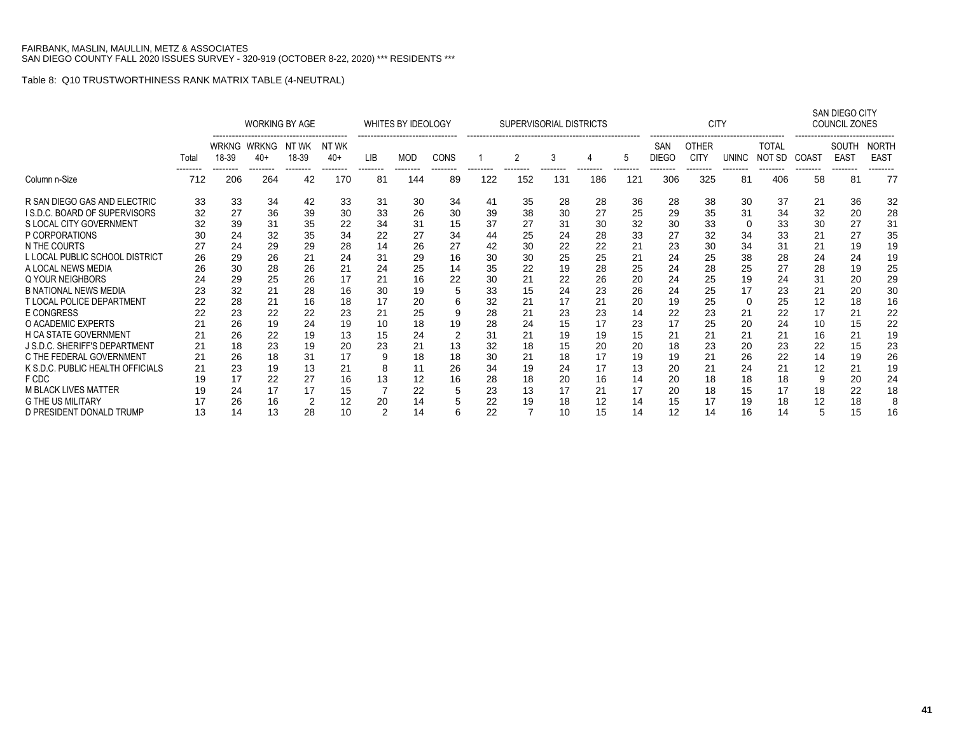|                                  |       |                       | <b>WORKING BY AGE</b> |                |                 |                | WHITES BY IDEOLOGY |                |     | SUPERVISORIAL DISTRICTS |                 |                 |                 |                     | <b>CITY</b>                 |                |                        |                | SAN DIEGO CITY<br><b>COUNCIL ZONES</b> |                             |
|----------------------------------|-------|-----------------------|-----------------------|----------------|-----------------|----------------|--------------------|----------------|-----|-------------------------|-----------------|-----------------|-----------------|---------------------|-----------------------------|----------------|------------------------|----------------|----------------------------------------|-----------------------------|
|                                  | Total | <b>WRKNG</b><br>18-39 | WRKNG<br>40+          | NT WK<br>18-39 | NT WK<br>$40+$  | LIB            | <b>MOD</b>         | CONS           |     | 2                       | 3               |                 | 5               | SAN<br><b>DIEGO</b> | <b>OTHER</b><br><b>CITY</b> | <b>UNINC</b>   | <b>TOTAL</b><br>NOT SD | COAST          | SOUTH<br><b>EAST</b><br>--------       | <b>NORTH</b><br><b>EAST</b> |
| Column n-Size                    | 712   | 206                   | -------<br>264        | --------<br>42 | --------<br>170 | --------<br>81 | --------<br>144    | --------<br>89 | 122 | 152                     | --------<br>131 | --------<br>186 | --------<br>121 | --------<br>306     | --------<br>325             | --------<br>81 | --------<br>406        | --------<br>58 | 81                                     | 77                          |
| R SAN DIEGO GAS AND ELECTRIC     | 33    | 33                    | 34                    | 42             | 33              | 31             | 30                 | 34             | 41  | 35                      | 28              | 28              | 36              | 28                  | 38                          | 30             | 37                     | 21             | 36                                     | 32                          |
| I S.D.C. BOARD OF SUPERVISORS    | 32    | 27                    | 36                    | 39             | 30              | 33             | 26                 | 30             | 39  | 38                      | 30              | 27              | 25              | 29                  | 35                          | 31             | 34                     | 32             | 20                                     | 28                          |
| S LOCAL CITY GOVERNMENT          | 32    | 39                    | 31                    | 35             | 22              | 34             | 31                 | 15             | 37  | 27                      | 31              | 30              | 32              | 30                  | 33                          | 0              | 33                     | 30             | 27                                     | 31                          |
| P CORPORATIONS                   | 30    | 24                    | 32                    | 35             | 34              | 22             | 27                 | 34             | 44  | 25                      | 24              | 28              | 33              | 27                  | 32                          | 34             | 33                     | 21             | 27                                     | 35                          |
| N THE COURTS                     | 27    | 24                    | 29                    | 29             | 28              | 14             | 26                 | 27             | 42  | 30                      | 22              | 22              | 21              | 23                  | 30                          | 34             | 31                     | 21             | 19                                     | 19                          |
| L LOCAL PUBLIC SCHOOL DISTRICT   | 26    | 29                    | 26                    | 21             | 24              | 31             | 29                 | 16             | 30  | 30                      | 25              | 25              | 21              | 24                  | 25                          | 38             | 28                     | 24             | 24                                     | 19                          |
| A LOCAL NEWS MEDIA               | 26    | 30                    | 28                    | 26             | 21              | 24             | 25                 | 14             | 35  | 22                      | 19              | 28              | 25              | 24                  | 28                          | 25             | 27                     | 28             | 19                                     | 25                          |
| Q YOUR NEIGHBORS                 | 24    | 29                    | 25                    | 26             | 17              | 21             | 16                 | 22             | 30  | 21                      | 22              | 26              | 20              | 24                  | 25                          | 19             | 24                     | 31             | 20                                     | 29                          |
| <b>B NATIONAL NEWS MEDIA</b>     | 23    | 32                    | 21                    | 28             | 16              | 30             | 19                 |                | 33  | 15                      | 24              | 23              | 26              | 24                  | 25                          | 17             | 23                     | 21             | 20                                     | 30                          |
| T LOCAL POLICE DEPARTMENT        | 22    | 28                    | 21                    | 16             | 18              | 17             | 20                 | h              | 32  | 21                      | 17              | 21              | 20              | 19                  | 25                          | 0              | 25                     | 12             | 18                                     | 16                          |
| E CONGRESS                       | 22    | 23                    | 22                    | 22             | 23              | 21             | 25                 |                | 28  | 21                      | 23              | 23              | 14              | 22                  | 23                          | 21             | 22                     | 17             | 21                                     | 22                          |
| O ACADEMIC EXPERTS               |       | 26                    | 19                    | 24             | 19              | 10             | 18                 | 19             | 28  | 24                      | 15              | 17              | 23              | 17                  | 25                          | 20             | 24                     | 10             | 15                                     | 22                          |
| <b>H CA STATE GOVERNMENT</b>     |       | 26                    | 22                    | 19             | 13              | 15             | 24                 | 2              | 31  | 21                      | 19              | 19              | 15              | 21                  | 21                          | 21             | 21                     | 16             | 21                                     | 19                          |
| J S.D.C. SHERIFF'S DEPARTMENT    | 21    | 18                    | 23                    | 19             | 20              | 23             | 21                 | 13             | 32  | 18                      | 15              | 20              | 20              | 18                  | 23                          | 20             | 23                     | 22             | 15                                     | 23                          |
| C THE FEDERAL GOVERNMENT         | 21    | 26                    | 18                    | 31             | 17              | 9              | 18                 | 18             | 30  | 21                      | 18              | 17              | 19              | 19                  | 21                          | 26             | 22                     | 14             | 19                                     | 26                          |
| K S.D.C. PUBLIC HEALTH OFFICIALS | 21    | 23                    | 19                    | 13             | 21              | 8              | 11                 | 26             | 34  | 19                      | 24              | 17              | 13              | 20                  | 21                          | 24             | 21                     | 12             | 21                                     | 19                          |
| F CDC                            | 19    | 17                    | 22                    | 27             | 16              | 13             | 12                 | 16             | 28  | 18                      | 20              | 16              | 14              | 20                  | 18                          | 18             | 18                     | g              | 20                                     | 24                          |
| <b>M BLACK LIVES MATTER</b>      | 19    | 24                    | 17                    | 17             | 15              |                | 22                 | 5              | 23  | 13                      | 17              | 21              | 17              | 20                  | 18                          | 15             | 17                     | 18             | 22                                     | 18                          |
| <b>G THE US MILITARY</b>         |       | 26                    | 16                    | $\overline{2}$ | 12              | 20             | 14                 |                | 22  | 19                      | 18              | 12              | 14              | 15                  | 17                          | 19             | 18                     | 12             | 18                                     | 8                           |
| D PRESIDENT DONALD TRUMP         | 13    | 14                    | 13                    | 28             | 10              | 2              | 14                 | 6              | 22  |                         | 10              | 15              | 14              | 12                  | 14                          | 16             | 14                     | 5              | 15                                     | 16                          |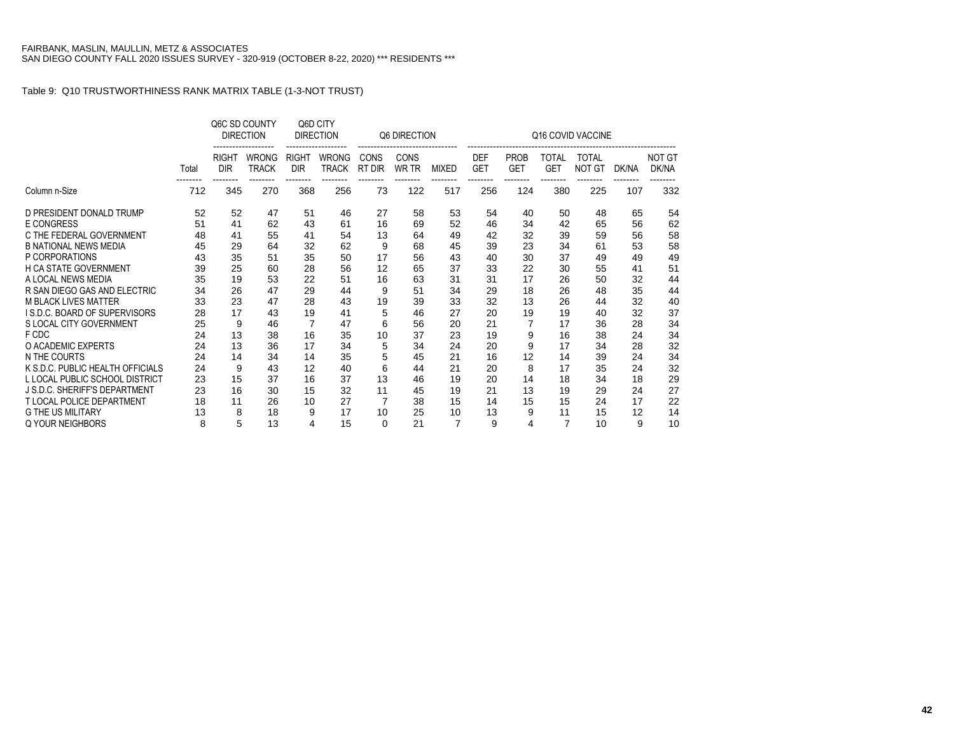|                                  |       |                            | Q6C SD COUNTY<br><b>DIRECTION</b> |                                        | Q6D CITY<br><b>DIRECTION</b>      |                | Q6 DIRECTION                     |                |                          |                           |                                        | Q16 COVID VACCINE             |       |                        |
|----------------------------------|-------|----------------------------|-----------------------------------|----------------------------------------|-----------------------------------|----------------|----------------------------------|----------------|--------------------------|---------------------------|----------------------------------------|-------------------------------|-------|------------------------|
|                                  | Total | <b>RIGHT</b><br><b>DIR</b> | <b>WRONG</b><br><b>TRACK</b>      | <b>RIGHT</b><br><b>DIR</b><br>-------- | <b>WRONG</b><br>TRACK<br>-------- | CONS<br>RT DIR | <b>CONS</b><br>WR TR<br>-------- | <b>MIXED</b>   | <b>DEF</b><br><b>GET</b> | <b>PROB</b><br><b>GET</b> | <b>TOTAL</b><br><b>GET</b><br>-------- | <b>TOTAL</b><br><b>NOT GT</b> | DK/NA | <b>NOT GT</b><br>DK/NA |
| Column n-Size                    | 712   | 345                        | 270                               | 368                                    | 256                               | 73             | 122                              | 517            | 256                      | 124                       | 380                                    | 225                           | 107   | 332                    |
| D PRESIDENT DONALD TRUMP         | 52    | 52                         | 47                                | 51                                     | 46                                | 27             | 58                               | 53             | 54                       | 40                        | 50                                     | 48                            | 65    | 54                     |
| E CONGRESS                       | 51    | 41                         | 62                                | 43                                     | 61                                | 16             | 69                               | 52             | 46                       | 34                        | 42                                     | 65                            | 56    | 62                     |
| C THE FEDERAL GOVERNMENT         | 48    | 41                         | 55                                | 41                                     | 54                                | 13             | 64                               | 49             | 42                       | 32                        | 39                                     | 59                            | 56    | 58                     |
| <b>B NATIONAL NEWS MEDIA</b>     | 45    | 29                         | 64                                | 32                                     | 62                                | 9              | 68                               | 45             | 39                       | 23                        | 34                                     | 61                            | 53    | 58                     |
| P CORPORATIONS                   | 43    | 35                         | 51                                | 35                                     | 50                                | 17             | 56                               | 43             | 40                       | 30                        | 37                                     | 49                            | 49    | 49                     |
| <b>H CA STATE GOVERNMENT</b>     | 39    | 25                         | 60                                | 28                                     | 56                                | 12             | 65                               | 37             | 33                       | 22                        | 30                                     | 55                            | 41    | 51                     |
| A LOCAL NEWS MEDIA               | 35    | 19                         | 53                                | 22                                     | 51                                | 16             | 63                               | 31             | 31                       | 17                        | 26                                     | 50                            | 32    | 44                     |
| R SAN DIEGO GAS AND ELECTRIC     | 34    | 26                         | 47                                | 29                                     | 44                                | 9              | 51                               | 34             | 29                       | 18                        | 26                                     | 48                            | 35    | 44                     |
| <b>M BLACK LIVES MATTER</b>      | 33    | 23                         | 47                                | 28                                     | 43                                | 19             | 39                               | 33             | 32                       | 13                        | 26                                     | 44                            | 32    | 40                     |
| I S.D.C. BOARD OF SUPERVISORS    | 28    | 17                         | 43                                | 19                                     | 41                                | 5              | 46                               | 27             | 20                       | 19                        | 19                                     | 40                            | 32    | 37                     |
| S LOCAL CITY GOVERNMENT          | 25    | 9                          | 46                                | 7                                      | 47                                | 6              | 56                               | 20             | 21                       |                           | 17                                     | 36                            | 28    | 34                     |
| F CDC                            | 24    | 13                         | 38                                | 16                                     | 35                                | 10             | 37                               | 23             | 19                       | 9                         | 16                                     | 38                            | 24    | 34                     |
| O ACADEMIC EXPERTS               | 24    | 13                         | 36                                | 17                                     | 34                                | 5              | 34                               | 24             | 20                       | 9                         | 17                                     | 34                            | 28    | 32                     |
| N THE COURTS                     | 24    | 14                         | 34                                | 14                                     | 35                                | 5              | 45                               | 21             | 16                       | 12                        | 14                                     | 39                            | 24    | 34                     |
| K S.D.C. PUBLIC HEALTH OFFICIALS | 24    | 9                          | 43                                | 12                                     | 40                                | 6              | 44                               | 21             | 20                       | 8                         | 17                                     | 35                            | 24    | 32                     |
| L LOCAL PUBLIC SCHOOL DISTRICT   | 23    | 15                         | 37                                | 16                                     | 37                                | 13             | 46                               | 19             | 20                       | 14                        | 18                                     | 34                            | 18    | 29                     |
| J S.D.C. SHERIFF'S DEPARTMENT    | 23    | 16                         | 30                                | 15                                     | 32                                | 11             | 45                               | 19             | 21                       | 13                        | 19                                     | 29                            | 24    | 27                     |
| <b>T LOCAL POLICE DEPARTMENT</b> | 18    | 11                         | 26                                | 10                                     | 27                                |                | 38                               | 15             | 14                       | 15                        | 15                                     | 24                            | 17    | 22                     |
| <b>G THE US MILITARY</b>         | 13    | 8                          | 18                                | 9                                      | 17                                | 10             | 25                               | 10             | 13                       | 9                         | 11                                     | 15                            | 12    | 14                     |
| Q YOUR NEIGHBORS                 | 8     | 5                          | 13                                | 4                                      | 15                                | $\Omega$       | 21                               | $\overline{7}$ | 9                        | 4                         | $\overline{7}$                         | 10                            | 9     | 10                     |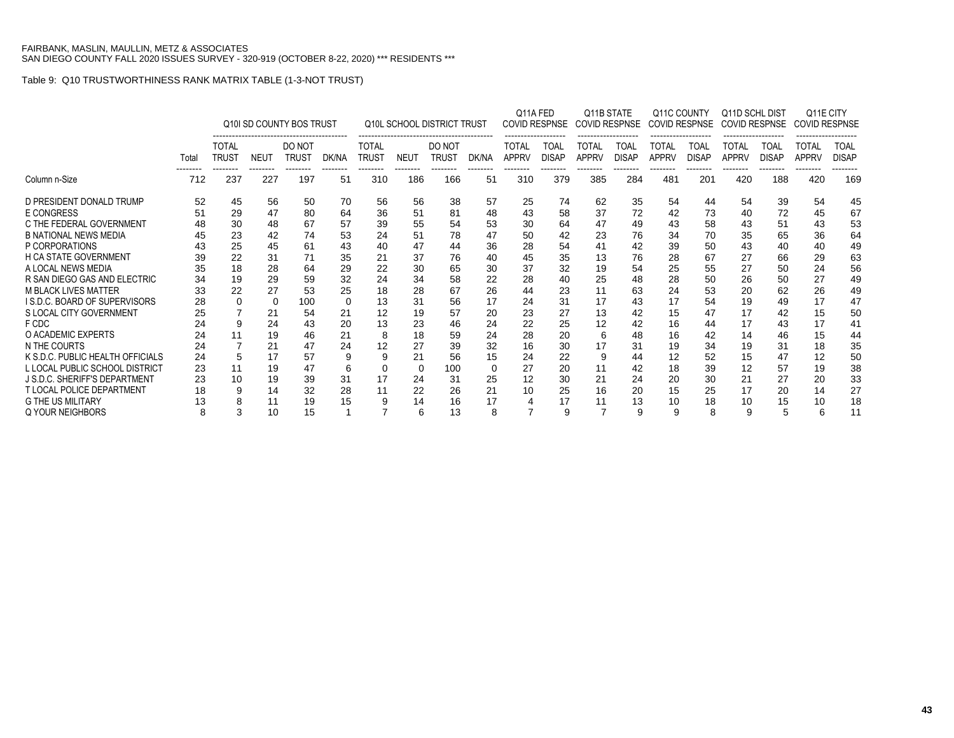|                                  |       |                              |                 | Q10I SD COUNTY BOS TRUST |                |                              |                 | <b>Q10L SCHOOL DISTRICT TRUST</b> |                | Q11A FED              | <b>COVID RESPNSE</b> | Q11B STATE<br><b>COVID RESPNSE</b> |                      |                              | Q11C COUNTY<br><b>COVID RESPNSE</b><br> | Q11D SCHL DIST<br><b>COVID RESPNSE</b><br>------------------- |                      | <b>COVID RESPNSE</b><br>------------------ | Q11E CITY                   |
|----------------------------------|-------|------------------------------|-----------------|--------------------------|----------------|------------------------------|-----------------|-----------------------------------|----------------|-----------------------|----------------------|------------------------------------|----------------------|------------------------------|-----------------------------------------|---------------------------------------------------------------|----------------------|--------------------------------------------|-----------------------------|
|                                  | Total | <b>TOTAL</b><br><b>TRUST</b> | <b>NEUT</b>     | DO NOT<br>Trust          | DK/NA          | <b>TOTAL</b><br><b>TRUST</b> | <b>NEUT</b>     | DO NOT<br><b>TRUST</b>            | DK/NA          | TOTAL<br><b>APPRV</b> | TOAL<br><b>DISAP</b> | TOTAL<br><b>APPRV</b>              | TOAL<br><b>DISAP</b> | <b>TOTAL</b><br><b>APPRV</b> | TOAL<br><b>DISAP</b>                    | TOTAL<br><b>APPRV</b>                                         | TOAL<br><b>DISAP</b> | <b>TOTAL</b><br><b>APPRV</b>               | <b>TOAL</b><br><b>DISAP</b> |
| Column n-Size                    | 712   | --------<br>237              | --------<br>227 | --------<br>197          | --------<br>51 | --------<br>310              | --------<br>186 | --------<br>166                   | --------<br>51 | --------<br>310       | --------<br>379      | --------<br>385                    | --------<br>284      | --------<br>481              | --------<br>201                         | --------<br>420                                               | --------<br>188      | --------<br>420                            | --------<br>169             |
| D PRESIDENT DONALD TRUMP         | 52    | 45                           | 56              | 50                       | 70             | 56                           | 56              | 38                                | 57             | 25                    | 74                   | 62                                 | 35                   | 54                           | 44                                      | 54                                                            | 39                   | 54                                         | 45                          |
| <b>E CONGRESS</b>                | 51    | 29                           | 47              | 80                       | 64             | 36                           | 51              | 81                                | 48             | 43                    | 58                   | 37                                 | 72                   | 42                           | 73                                      | 40                                                            | 72                   | 45                                         | 67                          |
| C THE FEDERAL GOVERNMENT         | 48    | 30                           | 48              | 67                       | 57             | 39                           | 55              | 54                                | 53             | 30                    | 64                   | 47                                 | 49                   | 43                           | 58                                      | 43                                                            | 51                   | 43                                         | 53                          |
| <b>B NATIONAL NEWS MEDIA</b>     | 45    | 23                           | 42              | 74                       | 53             | 24                           | 51              | 78                                | 47             | 50                    | 42                   | 23                                 | 76                   | 34                           | 70                                      | 35                                                            | 65                   | 36                                         | 64                          |
| P CORPORATIONS                   | 43    | 25                           | 45              | 61                       | 43             | 40                           | 47              | 44                                | 36             | 28                    | 54                   | 41                                 | 42                   | 39                           | 50                                      | 43                                                            | 40                   | 40                                         | 49                          |
| <b>H CA STATE GOVERNMENT</b>     | 39    | 22                           | 31              |                          | 35             | 21                           | 37              | 76                                | 40             | 45                    | 35                   | 13                                 | 76                   | 28                           | 67                                      | 27                                                            | 66                   | 29                                         | 63                          |
| A LOCAL NEWS MEDIA               | 35    | 18                           | 28              | 64                       | 29             | 22                           | 30              | 65                                | 30             | 37                    | 32                   | 19                                 | 54                   | 25                           | 55                                      | 27                                                            | 50                   | 24                                         | 56                          |
| R SAN DIEGO GAS AND ELECTRIC     | 34    | 19                           | 29              | 59                       | 32             | 24                           | 34              | 58                                | 22             | 28                    | 40                   | 25                                 | 48                   | 28                           | 50                                      | 26                                                            | 50                   | 27                                         | 49                          |
| <b>M BLACK LIVES MATTER</b>      | 33    | 22                           | 27              | 53                       | 25             | 18                           | 28              | 67                                | 26             | 44                    | 23                   |                                    | 63                   | 24                           | 53                                      | 20                                                            | 62                   | 26                                         | 49                          |
| I S.D.C. BOARD OF SUPERVISORS    | 28    |                              | $\Omega$        | 100                      | $\Omega$       | 13                           | 31              | 56                                | 17             | 24                    | 31                   |                                    | 43                   | 17                           | 54                                      | 19                                                            | 49                   | 17                                         | 47                          |
| S LOCAL CITY GOVERNMENT          | 25    |                              | 21              | 54                       | 21             | 12                           | 19              | 57                                | 20             | 23                    | 27                   | 13                                 | 42                   | 15                           | 47                                      | 17                                                            | 42                   | 15                                         | 50                          |
| F CDC                            | 24    |                              | 24              | 43                       | 20             | 13                           | 23              | 46                                | 24             | 22                    | 25                   | 12                                 | 42                   | 16                           | 44                                      | 17                                                            | 43                   | 17                                         | 41                          |
| O ACADEMIC EXPERTS               | 24    |                              | 19              | 46                       | 21             | 8                            | 18              | 59                                | 24             | 28                    | 20                   | 6                                  | 48                   | 16                           | 42                                      | 14                                                            | 46                   | 15                                         | 44                          |
| N THE COURTS                     | 24    |                              | 21              | 47                       | 24             | 12                           | 27              | 39                                | 32             | 16                    | 30                   |                                    | 31                   | 19                           | 34                                      | 19                                                            | 31                   | 18                                         | 35                          |
| K S.D.C. PUBLIC HEALTH OFFICIALS | 24    |                              | 17              | 57                       | 9              | 9                            | 21              | 56                                | 15             | 24                    | 22                   | 9                                  | 44                   | 12                           | 52                                      | 15                                                            | 47                   | 12                                         | 50                          |
| L LOCAL PUBLIC SCHOOL DISTRICT   | 23    |                              | 19              | 47                       | 6              | 0                            | $\Omega$        | 100                               | 0              | 27                    | 20                   |                                    | 42                   | 18                           | 39                                      | 12                                                            | 57                   | 19                                         | 38                          |
| J S.D.C. SHERIFF'S DEPARTMENT    | 23    | 10                           | 19              | 39                       | 31             | 17                           | 24              | 31                                | 25             | 12                    | 30                   | 21                                 | 24                   | 20                           | 30                                      | 21                                                            | 27                   | 20                                         | 33                          |
| <b>T LOCAL POLICE DEPARTMENT</b> | 18    |                              | 14              | 32                       | 28             | 11                           | 22              | 26                                | 21             | 10                    | 25                   | 16                                 | 20                   | 15                           | 25                                      | 17                                                            | 20                   | 14                                         | 27                          |
| <b>G THE US MILITARY</b>         | 13    |                              | 11              | 19                       | 15             | 9                            | 14              | 16                                | 17             |                       | 17                   |                                    | 13                   | 10                           | 18                                      | 10                                                            | 15                   | 10                                         | 18                          |
| Q YOUR NEIGHBORS                 | 8     |                              | 10              | 15                       |                |                              | 6               | 13                                | 8              |                       | 9                    | 7                                  | 9                    | 9                            | 8                                       | 9                                                             | 5                    | 6                                          | 11                          |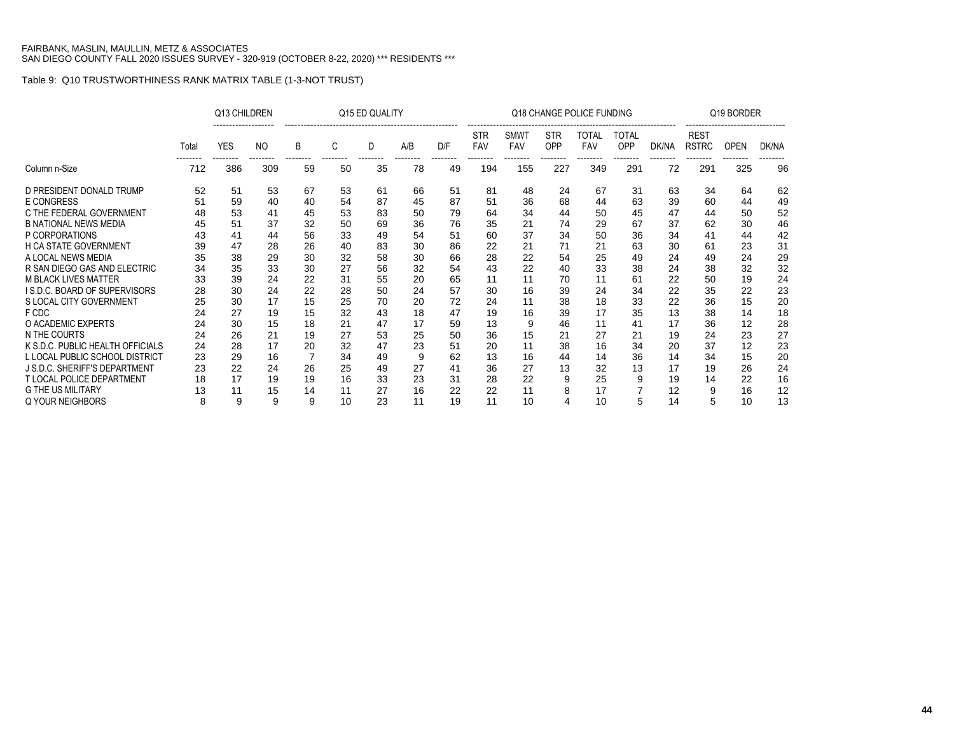|                                     |       | Q13 CHILDREN |                |    |    | Q15 ED QUALITY |     |     |                   |                           |                   | Q18 CHANGE POLICE FUNDING |                     |       |                             | Q19 BORDER  |       |
|-------------------------------------|-------|--------------|----------------|----|----|----------------|-----|-----|-------------------|---------------------------|-------------------|---------------------------|---------------------|-------|-----------------------------|-------------|-------|
|                                     | Total | <b>YES</b>   | N <sub>O</sub> | B  | C  | D              | A/B | D/F | <b>STR</b><br>FAV | <b>SMWT</b><br><b>FAV</b> | <b>STR</b><br>OPP | TOTAL<br><b>FAV</b>       | TOTAL<br><b>OPP</b> | DK/NA | <b>REST</b><br><b>RSTRC</b> | <b>OPEN</b> | DK/NA |
| Column n-Size                       | 712   | 386          | 309            | 59 | 50 | 35             | 78  | 49  | 194               | 155                       | 227               | 349                       | 291                 | 72    | 291                         | 325         | 96    |
| D PRESIDENT DONALD TRUMP            | 52    | 51           | 53             | 67 | 53 | 61             | 66  | 51  | 81                | 48                        | 24                | 67                        | 31                  | 63    | 34                          | 64          | 62    |
| E CONGRESS                          | 51    | 59           | 40             | 40 | 54 | 87             | 45  | 87  | 51                | 36                        | 68                | 44                        | 63                  | 39    | 60                          | 44          | 49    |
| C THE FEDERAL GOVERNMENT            | 48    | 53           | 41             | 45 | 53 | 83             | 50  | 79  | 64                | 34                        | 44                | 50                        | 45                  | 47    | 44                          | 50          | 52    |
| <b>B NATIONAL NEWS MEDIA</b>        | 45    | 51           | 37             | 32 | 50 | 69             | 36  | 76  | 35                | 21                        | 74                | 29                        | 67                  | 37    | 62                          | 30          | 46    |
| P CORPORATIONS                      | 43    | 41           | 44             | 56 | 33 | 49             | 54  | 51  | 60                | 37                        | 34                | 50                        | 36                  | 34    | 41                          | 44          | 42    |
| <b>H CA STATE GOVERNMENT</b>        | 39    | 47           | 28             | 26 | 40 | 83             | 30  | 86  | 22                | 21                        | 71                | 21                        | 63                  | 30    | 61                          | 23          | 31    |
| A LOCAL NEWS MEDIA                  | 35    | 38           | 29             | 30 | 32 | 58             | 30  | 66  | 28                | 22                        | 54                | 25                        | 49                  | 24    | 49                          | 24          | 29    |
| R SAN DIEGO GAS AND ELECTRIC        | 34    | 35           | 33             | 30 | 27 | 56             | 32  | 54  | 43                | 22                        | 40                | 33                        | 38                  | 24    | 38                          | 32          | 32    |
| M BLACK LIVES MATTER                | 33    | 39           | 24             | 22 | 31 | 55             | 20  | 65  | 11                | 11                        | 70                | 11                        | 61                  | 22    | 50                          | 19          | 24    |
| <b>IS.D.C. BOARD OF SUPERVISORS</b> | 28    | 30           | 24             | 22 | 28 | 50             | 24  | 57  | 30                | 16                        | 39                | 24                        | 34                  | 22    | 35                          | 22          | 23    |
| S LOCAL CITY GOVERNMENT             | 25    | 30           | 17             | 15 | 25 | 70             | 20  | 72  | 24                | 11                        | 38                | 18                        | 33                  | 22    | 36                          | 15          | 20    |
| F CDC                               | 24    | 27           | 19             | 15 | 32 | 43             | 18  | 47  | 19                | 16                        | 39                | 17                        | 35                  | 13    | 38                          | 14          | 18    |
| O ACADEMIC EXPERTS                  | 24    | 30           | 15             | 18 | 21 | 47             | 17  | 59  | 13                | 9                         | 46                | 11                        | 41                  | 17    | 36                          | 12          | 28    |
| N THE COURTS                        | 24    | 26           | 21             | 19 | 27 | 53             | 25  | 50  | 36                | 15                        | 21                | 27                        | 21                  | 19    | 24                          | 23          | 27    |
| K S.D.C. PUBLIC HEALTH OFFICIALS    | 24    | 28           | 17             | 20 | 32 | 47             | 23  | 51  | 20                | 11                        | 38                | 16                        | 34                  | 20    | 37                          | 12          | 23    |
| L LOCAL PUBLIC SCHOOL DISTRICT      | 23    | 29           | 16             | 7  | 34 | 49             | 9   | 62  | 13                | 16                        | 44                | 14                        | 36                  | 14    | 34                          | 15          | 20    |
| J S.D.C. SHERIFF'S DEPARTMENT       | 23    | 22           | 24             | 26 | 25 | 49             | 27  | 41  | 36                | 27                        | 13                | 32                        | 13                  | 17    | 19                          | 26          | 24    |
| <b>T LOCAL POLICE DEPARTMENT</b>    | 18    | 17           | 19             | 19 | 16 | 33             | 23  | 31  | 28                | 22                        | 9                 | 25                        | 9                   | 19    | 14                          | 22          | 16    |
| <b>G THE US MILITARY</b>            | 13    | 11           | 15             | 14 | 11 | 27             | 16  | 22  | 22                | 11                        | 8                 | 17                        | 7                   | 12    | 9                           | 16          | 12    |
| Q YOUR NEIGHBORS                    | 8     | 9            | 9              | 9  | 10 | 23             | 11  | 19  | 11                | 10                        |                   | 10                        | 5                   | 14    | 5                           | 10          | 13    |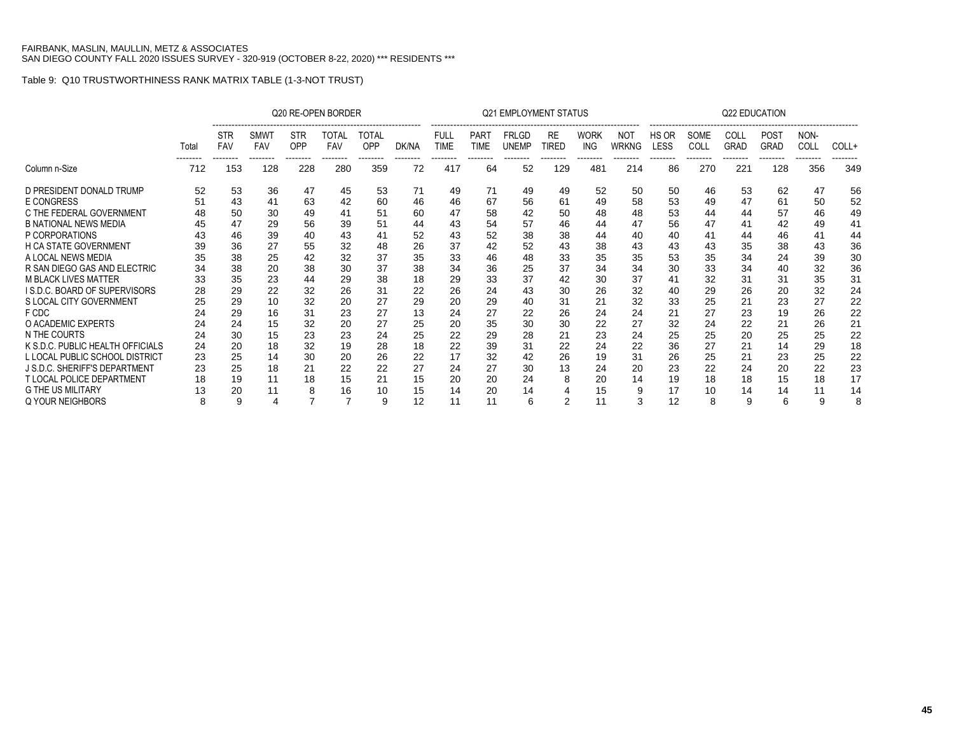|                                     |                   |                                      |                                       |                               | Q20 RE-OPEN BORDER              |                          |                   |                                        |                                 | <b>Q21 EMPLOYMENT STATUS</b>             |                                |                                |                                 |                           |                          | Q22 EDUCATION                   |                                        |                          |                   |
|-------------------------------------|-------------------|--------------------------------------|---------------------------------------|-------------------------------|---------------------------------|--------------------------|-------------------|----------------------------------------|---------------------------------|------------------------------------------|--------------------------------|--------------------------------|---------------------------------|---------------------------|--------------------------|---------------------------------|----------------------------------------|--------------------------|-------------------|
|                                     | Total<br>-------- | <b>STR</b><br><b>FAV</b><br>-------- | <b>SMWT</b><br><b>FAV</b><br>-------- | <b>STR</b><br>OPP<br>-------- | TOTAL<br><b>FAV</b><br>-------- | TOTAL<br>OPP<br>-------- | DK/NA<br>-------- | <b>FULL</b><br><b>TIME</b><br>-------- | <b>PART</b><br>TIME<br>-------- | <b>FRLGD</b><br><b>UNEMP</b><br>-------- | <b>RE</b><br>TIRED<br>-------- | <b>WORK</b><br>ING<br>-------- | NOT<br><b>WRKNG</b><br>-------- | HS OR<br>LESS<br>-------- | SOME<br>COLL<br>-------- | COLL<br><b>GRAD</b><br>-------- | <b>POST</b><br><b>GRAD</b><br>-------- | NON-<br>COLL<br>-------- | COLL+<br>-------- |
| Column n-Size                       | 712               | 153                                  | 128                                   | 228                           | 280                             | 359                      | 72                | 417                                    | 64                              | 52                                       | 129                            | 481                            | 214                             | 86                        | 270                      | 221                             | 128                                    | 356                      | 349               |
| D PRESIDENT DONALD TRUMP            | 52                | 53                                   | 36                                    | 47                            | 45                              | 53                       | 71                | 49                                     | 71                              | 49                                       | 49                             | 52                             | 50                              | 50                        | 46                       | 53                              | 62                                     | 47                       | 56                |
| <b>E CONGRESS</b>                   | 51                | 43                                   | 41                                    | 63                            | 42                              | 60                       | 46                | 46                                     | 67                              | 56                                       | 61                             | 49                             | 58                              | 53                        | 49                       | 47                              | 61                                     | 50                       | 52                |
| C THE FEDERAL GOVERNMENT            | 48                | 50                                   | 30                                    | 49                            | 41                              | 51                       | 60                | 47                                     | 58                              | 42                                       | 50                             | 48                             | 48                              | 53                        | 44                       | 44                              | 57                                     | 46                       | 49                |
| <b>B NATIONAL NEWS MEDIA</b>        | 45                | 47                                   | 29                                    | 56                            | 39                              | 51                       | 44                | 43                                     | 54                              | 57                                       | 46                             | 44                             | 47                              | 56                        | 47                       | 41                              | 42                                     | 49                       | 41                |
| P CORPORATIONS                      | 43                | 46                                   | 39                                    | 40                            | 43                              | 41                       | 52                | 43                                     | 52                              | 38                                       | 38                             | 44                             | 40                              | 40                        | 41                       | 44                              | 46                                     | 41                       | 44                |
| <b>H CA STATE GOVERNMENT</b>        | 39                | 36                                   | 27                                    | 55                            | 32                              | 48                       | 26                | 37                                     | 42                              | 52                                       | 43                             | 38                             | 43                              | 43                        | 43                       | 35                              | 38                                     | 43                       | 36                |
| A LOCAL NEWS MEDIA                  | 35                | 38                                   | 25                                    | 42                            | 32                              | 37                       | 35                | 33                                     | 46                              | 48                                       | 33                             | 35                             | 35                              | 53                        | 35                       | 34                              | 24                                     | 39                       | 30                |
| R SAN DIEGO GAS AND ELECTRIC        | 34                | 38                                   | 20                                    | 38                            | 30                              | 37                       | 38                | 34                                     | 36                              | 25                                       | 37                             | 34                             | 34                              | 30                        | 33                       | 34                              | 40                                     | 32                       | 36                |
| <b>M BLACK LIVES MATTER</b>         | 33                | 35                                   | 23                                    | 44                            | 29                              | 38                       | 18                | 29                                     | 33                              | 37                                       | 42                             | 30                             | 37                              | 41                        | 32                       | 31                              | 31                                     | 35                       | 31                |
| <b>IS.D.C. BOARD OF SUPERVISORS</b> | 28                | 29                                   | 22                                    | 32                            | 26                              | 31                       | 22                | 26                                     | 24                              | 43                                       | 30                             | 26                             | 32                              | 40                        | 29                       | 26                              | 20                                     | 32                       | 24                |
| S LOCAL CITY GOVERNMENT             | 25                | 29                                   | 10                                    | 32                            | 20                              | 27                       | 29                | 20                                     | 29                              | 40                                       | 31                             | 21                             | 32                              | 33                        | 25                       | 21                              | 23                                     | 27                       | 22                |
| F CDC                               | 24                | 29                                   | 16                                    | 31                            | 23                              | 27                       | 13                | 24                                     | 27                              | 22                                       | 26                             | 24                             | 24                              | 21                        | 27                       | 23                              | 19                                     | 26                       | 22                |
| O ACADEMIC EXPERTS                  | 24                | 24                                   | 15                                    | 32                            | 20                              | 27                       | 25                | 20                                     | 35                              | 30                                       | 30                             | 22                             | 27                              | 32                        | 24                       | 22                              | 21                                     | 26                       | 21                |
| N THE COURTS                        | 24                | 30                                   | 15                                    | 23                            | 23                              | 24                       | 25                | 22                                     | 29                              | 28                                       | 21                             | 23                             | 24                              | 25                        | 25                       | 20                              | 25                                     | 25                       | 22                |
| K S.D.C. PUBLIC HEALTH OFFICIALS    | 24                | 20                                   | 18                                    | 32                            | 19                              | 28                       | 18                | 22                                     | 39                              | 31                                       | 22                             | 24                             | 22                              | 36                        | 27                       | 21                              | 14                                     | 29                       | 18                |
| L LOCAL PUBLIC SCHOOL DISTRICT      | 23                | 25                                   | 14                                    | 30                            | 20                              | 26                       | 22                | 17                                     | 32                              | 42                                       | 26                             | 19                             | 31                              | 26                        | 25                       | 21                              | 23                                     | 25                       | 22                |
| J S.D.C. SHERIFF'S DEPARTMENT       | 23                | 25                                   | 18                                    | 21                            | 22                              | 22                       | 27                | 24                                     | 27                              | 30                                       | 13                             | 24                             | 20                              | 23                        | 22                       | 24                              | 20                                     | 22                       | 23                |
| <b>T LOCAL POLICE DEPARTMENT</b>    | 18                | 19                                   | 11                                    | 18                            | 15                              | 21                       | 15                | 20                                     | 20                              | 24                                       | 8                              | 20                             | 14                              | 19                        | 18                       | 18                              | 15                                     | 18                       | 17                |
| <b>G THE US MILITARY</b>            | 13                | 20                                   | 11                                    |                               | 16                              | 10                       | 15                | 14                                     | 20                              |                                          |                                | 15                             | 9                               | 17                        | 10                       | 14                              | 14                                     | 11                       | 14                |
| Q YOUR NEIGHBORS                    | 8                 | 9                                    |                                       |                               |                                 | 9                        | 12                |                                        | 11                              | 6                                        | 2                              | 11                             | 3                               | 12                        | 8                        | 9                               | 6                                      |                          | 8                 |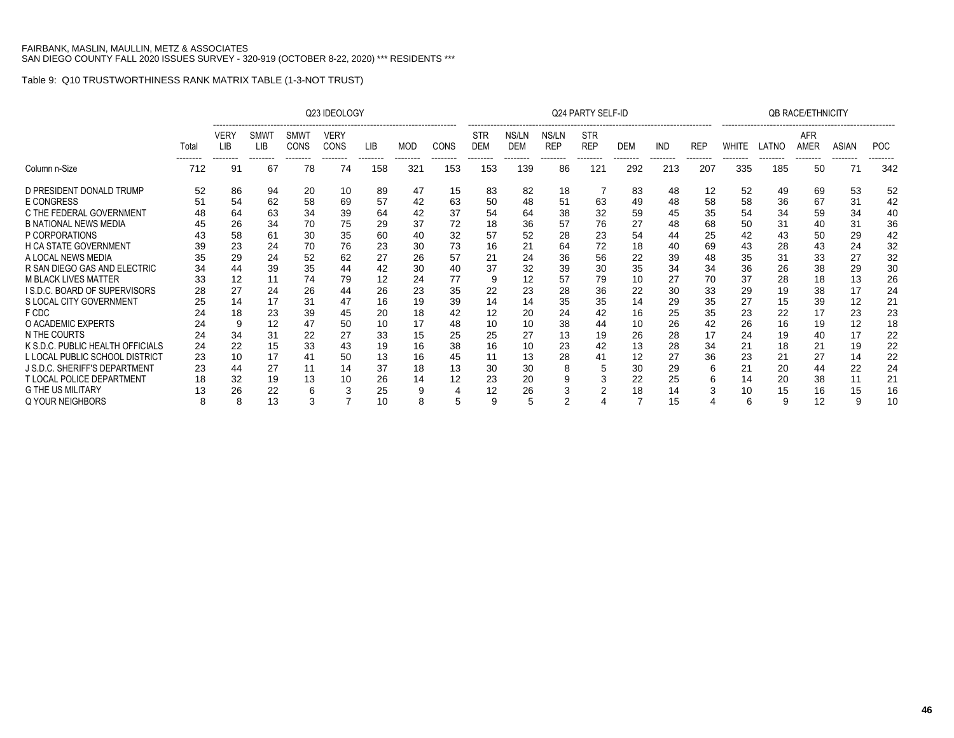|                                     |       |                           |                              |                            | Q23 IDEOLOGY        |            |            |             |                          |                     |                     | Q24 PARTY SELF-ID        |            |                        |                        |       |       | <b>OB RACE/ETHNICITY</b> |                          |            |
|-------------------------------------|-------|---------------------------|------------------------------|----------------------------|---------------------|------------|------------|-------------|--------------------------|---------------------|---------------------|--------------------------|------------|------------------------|------------------------|-------|-------|--------------------------|--------------------------|------------|
|                                     | Total | <b>VERY</b><br><b>LIB</b> | <b>SMW</b><br>LIB<br>------- | <b>SMWT</b><br><b>CONS</b> | VERY<br><b>CONS</b> | <b>LIB</b> | <b>MOD</b> | <b>CONS</b> | <b>STR</b><br><b>DEM</b> | NS/LN<br><b>DEM</b> | NS/LN<br><b>REP</b> | <b>STR</b><br><b>REP</b> | <b>DEM</b> | <b>IND</b><br>-------- | <b>REP</b><br>-------- | WHITE | LATNO | AFR<br><b>AMER</b>       | <b>ASIAN</b><br>-------- | <b>POC</b> |
| Column n-Size                       | 712   | 91                        | 67                           | 78                         | 74                  | 158        | 321        | 153         | 153                      | 139                 | 86                  | 121                      | 292        | 213                    | 207                    | 335   | 185   | 50                       | 71                       | 342        |
| D PRESIDENT DONALD TRUMP            | 52    | 86                        | 94                           | 20                         | 10                  | 89         | 47         | 15          | 83                       | 82                  | 18                  |                          | 83         | 48                     | 12                     | 52    | 49    | 69                       | 53                       | 52         |
| <b>E CONGRESS</b>                   | 51    | 54                        | 62                           | 58                         | 69                  | 57         | 42         | 63          | 50                       | 48                  | 51                  | 63                       | 49         | 48                     | 58                     | 58    | 36    | 67                       | 31                       | 42         |
| C THE FEDERAL GOVERNMENT            |       | 64                        | 63                           | 34                         | 39                  | 64         | 42         | 37          | 54                       | 64                  | 38                  | 32                       | 59         | 45                     | 35                     | 54    | 34    | 59                       | 34                       | 40         |
| <b>B NATIONAL NEWS MEDIA</b>        |       | 26                        | 34                           | 70                         | 75                  | 29         | 37         | 72          | 18                       | 36                  | 57                  | 76                       | 27         | 48                     | 68                     | 50    | 31    | 40                       | 31                       | 36         |
| P CORPORATIONS                      |       | 58                        | 61                           | 30                         | 35                  | 60         | 40         | 32          | 57                       | 52                  | 28                  | 23                       | 54         | 44                     | 25                     | 42    | 43    | 50                       | 29                       | 42         |
| <b>H CA STATE GOVERNMENT</b>        |       | 23                        | 24                           | 70                         | 76                  | 23         | 30         | 73          | 16                       | 21                  | 64                  | 72                       | 18         | 40                     | 69                     | 43    | 28    | 43                       | 24                       | 32         |
| A LOCAL NEWS MEDIA                  |       | 29                        | 24                           | 52                         | 62                  | 27         | 26         | 57          | 21                       | 24                  | 36                  | 56                       | 22         | 39                     | 48                     | 35    | 31    | 33                       | 27                       | 32         |
| R SAN DIEGO GAS AND ELECTRIC        | 34    | 44                        | 39                           | 35                         | 44                  | 42         | 30         | 40          | 37                       | 32                  | 39                  | 30                       | 35         | 34                     | 34                     | 36    | 26    | 38                       | 29                       | 30         |
| <b>M BLACK LIVES MATTER</b>         | 33    | 12                        | 11                           | 74                         | 79                  | 12         | 24         | 77          | 9                        | 12                  | 57                  | 79                       | 10         | 27                     | 70                     | 37    | 28    | 18                       | 13                       | 26         |
| <b>IS.D.C. BOARD OF SUPERVISORS</b> | 28    | 27                        | 24                           | 26                         | 44                  | 26         | 23         | 35          | 22                       | 23                  | 28                  | 36                       | 22         | 30                     | 33                     | 29    | 19    | 38                       | 17                       | 24         |
| S LOCAL CITY GOVERNMENT             |       | 14                        | 17                           | 31                         | 47                  | 16         | 19         | 39          | 14                       | 14                  | 35                  | 35                       | 14         | 29                     | 35                     | 27    | 15    | 39                       | 12                       | 21         |
| F CDC                               |       | 18                        | 23                           | 39                         | 45                  | 20         | 18         | 42          | 12                       | 20                  | 24                  | 42                       | 16         | 25                     | 35                     | 23    | 22    | 17                       | 23                       | 23         |
| O ACADEMIC EXPERTS                  | 24    | 9                         | 12                           | 47                         | 50                  | 10         | 17         | 48          | 10                       | 10                  | 38                  | 44                       | 10         | 26                     | 42                     | 26    | 16    | 19                       | 12                       | 18         |
| N THE COURTS                        |       | 34                        | 31                           | 22                         | 27                  | 33         | 15         | 25          | 25                       | 27                  | 13                  | 19                       | 26         | 28                     | 17                     | 24    | 19    | 40                       | 17                       | 22         |
| K S.D.C. PUBLIC HEALTH OFFICIALS    | 24    | 22                        | 15                           | 33                         | 43                  | 19         | 16         | 38          | 16                       | 10                  | 23                  | 42                       | 13         | 28                     | 34                     | 21    | 18    | 21                       | 19                       | 22         |
| L LOCAL PUBLIC SCHOOL DISTRICT      | 23    | 10                        | 17                           | 41                         | 50                  | 13         | 16         | 45          | 11                       | 13                  | 28                  |                          | 12         | 27                     | 36                     | 23    | 21    | 27                       | 14                       | 22         |
| J S.D.C. SHERIFF'S DEPARTMENT       | 23    | 44                        | 27                           | 11                         | 14                  | 37         | 18         | 13          | 30                       | 30                  | 8                   | 5                        | 30         | 29                     |                        | 21    | 20    | 44                       | 22                       | 24         |
| <b>T LOCAL POLICE DEPARTMENT</b>    | 18    | 32                        | 19                           | 13                         | 10                  | 26         | 14         | 12          | 23                       | 20                  | 9                   |                          | 22         | 25                     |                        | 14    | 20    | 38                       | 11                       | 21         |
| <b>G THE US MILITARY</b>            |       | 26                        | 22                           |                            |                     | 25         | 9          |             | 12                       | 26                  |                     |                          | 18         |                        |                        | 10    | 15    | 16                       |                          | 16         |
| Q YOUR NEIGHBORS                    | 8     | 8                         | 13                           |                            |                     | 10         | 8          |             | 9                        |                     |                     |                          |            | 15                     |                        | 6     | 9     | 12                       |                          | 10         |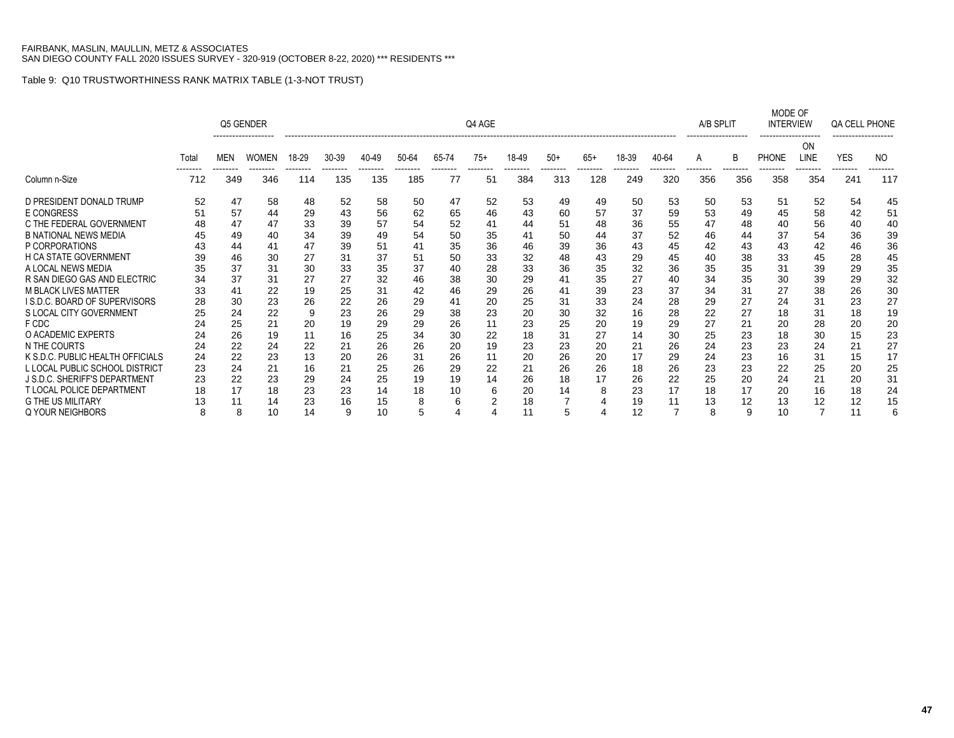|                                  |       |            | Q5 GENDER    |       |       |       |       |               | Q4 AGE         |       |       |                |       |       | A/B SPLIT       |                 | MODE OF<br><b>INTERVIEW</b> |            | QA CELL PHONE   |     |
|----------------------------------|-------|------------|--------------|-------|-------|-------|-------|---------------|----------------|-------|-------|----------------|-------|-------|-----------------|-----------------|-----------------------------|------------|-----------------|-----|
|                                  | Total | <b>MEN</b> | <b>WOMEN</b> | 18-29 | 30-39 | 40-49 | 50-64 | 65-74         | $75+$          | 18-49 | $50+$ | $65+$          | 18-39 | 40-64 | A               | B               | <b>PHONE</b>                | ΟN<br>LINE | <b>YES</b>      | NO. |
| Column n-Size                    | 712   | 349        | 346          | 114   | 135   | 135   | 185   | -------<br>77 | --------<br>51 | 384   | 313   | -------<br>128 | 249   | 320   | --------<br>356 | --------<br>356 | 358                         | 354        | --------<br>241 | 117 |
| D PRESIDENT DONALD TRUMP         | 52    | 47         | 58           | 48    | 52    | 58    | 50    | 47            | 52             | 53    | 49    | 49             | 50    | 53    | 50              | 53              | 51                          | 52         | 54              | 45  |
| E CONGRESS                       | 51    | 57         | 44           | 29    | 43    | 56    | 62    | 65            | 46             | 43    | 60    | 57             | 37    | 59    | 53              | 49              | 45                          | 58         | 42              | 51  |
| C THE FEDERAL GOVERNMENT         | 48    | 47         | 47           | 33    | 39    | 57    | 54    | 52            | 41             | 44    | 51    | 48             | 36    | 55    | 47              | 48              | 40                          | 56         | 40              | 40  |
| <b>B NATIONAL NEWS MEDIA</b>     | 45    | 49         | 40           | 34    | 39    | 49    | 54    | 50            | 35             | 41    | 50    | 44             | 37    | 52    | 46              | 44              | 37                          | 54         | 36              | 39  |
| P CORPORATIONS                   | 43    | 44         | 41           | 47    | 39    | 51    | 41    | 35            | 36             | 46    | 39    | 36             | 43    | 45    | 42              | 43              | 43                          | 42         | 46              | 36  |
| H CA STATE GOVERNMENT            | 39    | 46         | 30           | 27    | 31    | 37    | 51    | 50            | 33             | 32    | 48    | 43             | 29    | 45    | 40              | 38              | 33                          | 45         | 28              | 45  |
| A LOCAL NEWS MEDIA               | 35    | 37         | 31           | 30    | 33    | 35    | 37    | 40            | 28             | 33    | 36    | 35             | 32    | 36    | 35              | 35              | 31                          | 39         | 29              | 35  |
| R SAN DIEGO GAS AND ELECTRIC     | 34    | 37         | 31           | 27    | 27    | 32    | 46    | 38            | 30             | 29    | 41    | 35             | 27    | 40    | 34              | 35              | 30                          | 39         | 29              | 32  |
| <b>M BLACK LIVES MATTER</b>      | 33    | 41         | 22           | 19    | 25    | 31    | 42    | 46            | 29             | 26    | 41    | 39             | 23    | 37    | 34              | 31              | 27                          | 38         | 26              | 30  |
| I S.D.C. BOARD OF SUPERVISORS    | 28    | 30         | 23           | 26    | 22    | 26    | 29    | 41            | 20             | 25    | 31    | 33             | 24    | 28    | 29              | 27              | 24                          | 31         | 23              | 27  |
| S LOCAL CITY GOVERNMENT          | 25    | 24         | 22           | 9     | 23    | 26    | 29    | 38            | 23             | 20    | 30    | 32             | 16    | 28    | 22              | 27              | 18                          | 31         | 18              | 19  |
| F CDC                            | 24    | 25         | 21           | 20    | 19    | 29    | 29    | 26            | 11             | 23    | 25    | 20             | 19    | 29    | 27              | 21              | 20                          | 28         | 20              | 20  |
| O ACADEMIC EXPERTS               | 24    | 26         | 19           | 11    | 16    | 25    | 34    | 30            | 22             | 18    | 31    | 27             | 14    | 30    | 25              | 23              | 18                          | 30         | 15              | 23  |
| N THE COURTS                     | 24    | 22         | 24           | 22    | 21    | 26    | 26    | 20            | 19             | 23    | 23    | 20             | 21    | 26    | 24              | 23              | 23                          | 24         | 21              | 27  |
| K S.D.C. PUBLIC HEALTH OFFICIALS | 24    | 22         | 23           | 13    | 20    | 26    | 31    | 26            | 11             | 20    | 26    | 20             | 17    | 29    | 24              | 23              | 16                          | 31         | 15              | 17  |
| L LOCAL PUBLIC SCHOOL DISTRICT   | 23    | 24         | 21           | 16    | 21    | 25    | 26    | 29            | 22             | 21    | 26    | 26             | 18    | 26    | 23              | 23              | 22                          | 25         | 20              | 25  |
| J S.D.C. SHERIFF'S DEPARTMENT    | 23    | 22         | 23           | 29    | 24    | 25    | 19    | 19            | 14             | 26    | 18    | 17             | 26    | 22    | 25              | 20              | 24                          | 21         | 20              | 31  |
| <b>T LOCAL POLICE DEPARTMENT</b> | 18    | 17         | 18           | 23    | 23    | 14    | 18    | 10            | 6              | 20    | 14    | 8              | 23    | 17    | 18              | 17              | 20                          | 16         | 18              | 24  |
| <b>G THE US MILITARY</b>         |       | 11         | 14           | 23    | 16    | 15    | 8     | 6             |                | 18    |       |                | 19    | 11    | 13              | 12              | 13                          | 12         | 12              | 15  |
| Q YOUR NEIGHBORS                 | 8     | 8          | 10           | 14    | 9     | 10    | 5     |               |                | 11    | 5     |                | 12    |       | 8               | 9               | 10                          |            |                 | 6   |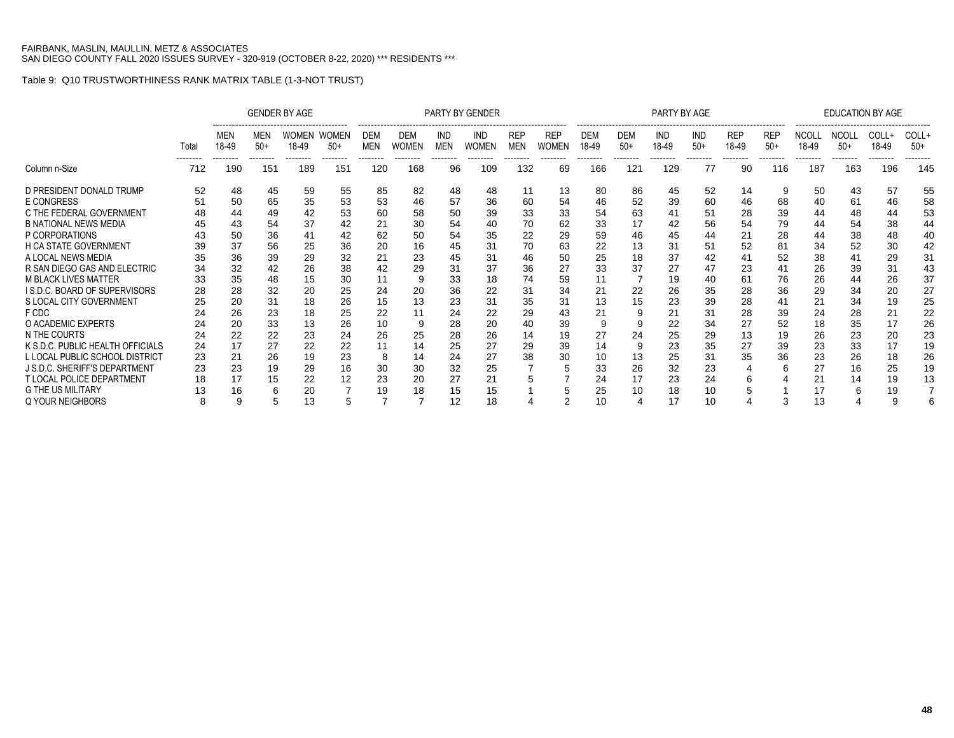|                                     |       |              |              | <b>GENDER BY AGE</b>  |                |                   |                     |                          | PARTY BY GENDER     |                          |                            |                     |                     | PARTY BY AGE |                     |                         |                     |                       | <b>EDUCATION BY AGE</b> |                 |                |
|-------------------------------------|-------|--------------|--------------|-----------------------|----------------|-------------------|---------------------|--------------------------|---------------------|--------------------------|----------------------------|---------------------|---------------------|--------------|---------------------|-------------------------|---------------------|-----------------------|-------------------------|-----------------|----------------|
|                                     | Total | MEN<br>18-49 | MEN<br>$50+$ | <b>WOMEN</b><br>18-49 | WOMEN<br>$50+$ | DEM<br><b>MEN</b> | DEM<br><b>WOMEN</b> | <b>IND</b><br><b>MEN</b> | IND<br><b>WOMEN</b> | <b>REP</b><br><b>MEN</b> | <b>REP</b><br><b>WOMEN</b> | <b>DEM</b><br>18-49 | <b>DEM</b><br>$50+$ | IND<br>18-49 | <b>IND</b><br>$50+$ | <br><b>REP</b><br>18-49 | <b>REP</b><br>$50+$ | <b>NCOLL</b><br>18-49 | <b>NCOLL</b><br>$50+$   | COLL+<br>18-49  | COLL+<br>$50+$ |
| Column n-Size                       | 712   | 190          | 151          | 189                   | 151            | -------<br>120    | 168                 | 96                       | 109                 | 132                      | 69                         | 166                 | 121                 | 129          | 77                  | 90                      | 116                 | 187                   | --------<br>163         | --------<br>196 | 145            |
| D PRESIDENT DONALD TRUMP            | 52    | 48           | 45           | 59                    | 55             | 85                | 82                  | 48                       | 48                  | 11                       | 13                         | 80                  | 86                  | 45           | 52                  | 14                      | 9                   | 50                    | 43                      | 57              | 55             |
| <b>E CONGRESS</b>                   | 51    | 50           | 65           | 35                    | 53             | 53                | 46                  | 57                       | 36                  | 60                       | 54                         | 46                  | 52                  | 39           | 60                  | 46                      | 68                  | 40                    | 61                      | 46              | 58             |
| C THE FEDERAL GOVERNMENT            | 48    | 44           | 49           | 42                    | 53             | 60                | 58                  | 50                       | 39                  | 33                       | 33                         | 54                  | 63                  | 41           | 51                  | 28                      | 39                  | 44                    | 48                      | 44              | 53             |
| <b>B NATIONAL NEWS MEDIA</b>        |       | 43           | 54           | 37                    | 42             | 21                | 30                  | 54                       | 40                  | 70                       | 62                         | 33                  | 17                  | 42           | 56                  | 54                      | 79                  | 44                    | 54                      | 38              | 44             |
| P CORPORATIONS                      |       | 50           | 36           |                       | 42             | 62                | 50                  | 54                       | 35                  | 22                       | 29                         | 59                  | 46                  | 45           | 44                  | 21                      | 28                  | 44                    | 38                      | 48              | 40             |
| <b>H CA STATE GOVERNMENT</b>        | 39    | 37           | 56           | 25                    | 36             | 20                | 16                  | 45                       | 31                  | 70                       | 63                         | 22                  | 13                  | 31           | 51                  | 52                      | 81                  | 34                    | 52                      | 30              | 42             |
| A LOCAL NEWS MEDIA                  | 35    | 36           | 39           | 29                    | 32             | 21                | 23                  | 45                       | 31                  | 46                       | 50                         | 25                  | 18                  | 37           | 42                  | 41                      | 52                  | 38                    | 41                      | 29              | 31             |
| R SAN DIEGO GAS AND ELECTRIC        | 34    | 32           | 42           | 26                    | 38             | 42                | 29                  | 31                       | 37                  | 36                       | 27                         | 33                  | 37                  | 27           | 47                  | 23                      | 41                  | 26                    | 39                      | 31              | 43             |
| <b>M BLACK LIVES MATTER</b>         | 33    | 35           | 48           | 15                    | 30             | 11                | 9                   | 33                       | 18                  | 74                       | 59                         |                     |                     | 19           | 40                  | 61                      | 76                  | 26                    | 44                      | 26              | 37             |
| <b>IS.D.C. BOARD OF SUPERVISORS</b> | 28    | 28           | 32           | 20                    | 25             | 24                | 20                  | 36                       | 22                  | 31                       | 34                         | 21                  | 22                  | 26           | 35                  | 28                      | 36                  | 29                    | 34                      | 20              | 27             |
| S LOCAL CITY GOVERNMENT             | 25    | 20           | 31           | 18                    | 26             | 15                | 13                  | 23                       | 31                  | 35                       | 31                         | 13                  | 15                  | 23           | 39                  | 28                      | 41                  | 21                    | 34                      | 19              | 25             |
| F CDC                               |       | 26           | 23           | 18                    | 25             | 22                | 11                  | 24                       | 22                  | 29                       | 43                         |                     |                     | 21           | 31                  | 28                      | 39                  | 24                    | 28                      | 21              | 22             |
| O ACADEMIC EXPERTS                  | 24    | 20           | 33           | 13                    | 26             | 10                |                     | 28                       | 20                  | 40                       | 39                         |                     |                     | 22           | 34                  | 27                      | 52                  | 18                    | 35                      | 17              | 26             |
| N THE COURTS                        | 24    | 22           | 22           | 23                    | 24             | 26                | 25                  | 28                       | 26                  | 14                       | 19                         | 27                  | 24                  | 25           | 29                  | 13                      | 19                  | 26                    | 23                      | 20              | 23             |
| K S.D.C. PUBLIC HEALTH OFFICIALS    | 24    | 17           | 27           | 22                    | 22             | 11                | 14                  | 25                       | 27                  | 29                       | 39                         | 14                  |                     | 23           | 35                  | 27                      | 39                  | 23                    | 33                      | 17              | 19             |
| L LOCAL PUBLIC SCHOOL DISTRICT      | 23    | 21           | 26           | 19                    | 23             | 8                 | 14                  | 24                       | 27                  | 38                       | 30                         |                     | 13                  | 25           | 31                  | 35                      | 36                  | 23                    | 26                      | 18              | 26             |
| J S.D.C. SHERIFF'S DEPARTMENT       | 23    | 23           | 19           | 29                    | 16             | 30                | 30                  | 32                       | 25                  |                          |                            | 33                  | 26                  | 32           | 23                  |                         |                     | 27                    | 16                      | 25              | 19             |
| <b>T LOCAL POLICE DEPARTMENT</b>    | 18    | 17           | 15           | 22                    | 12             | 23                | 20                  | 27                       | 21                  |                          |                            | 24                  | 17                  | 23           | 24                  |                         |                     | 21                    | 14                      | 19              | 13             |
| <b>G THE US MILITARY</b>            |       | 16           |              | 20                    |                | 19                | 18                  | 15                       | 15                  |                          |                            | 25                  | 10                  | 18           | 10                  |                         |                     | 17                    | 6                       | 19              |                |
| Q YOUR NEIGHBORS                    |       | 9            |              | 13                    |                |                   |                     | 12                       | 18                  |                          |                            | 10                  |                     | 17           | 10                  |                         |                     | 13                    |                         | 9               |                |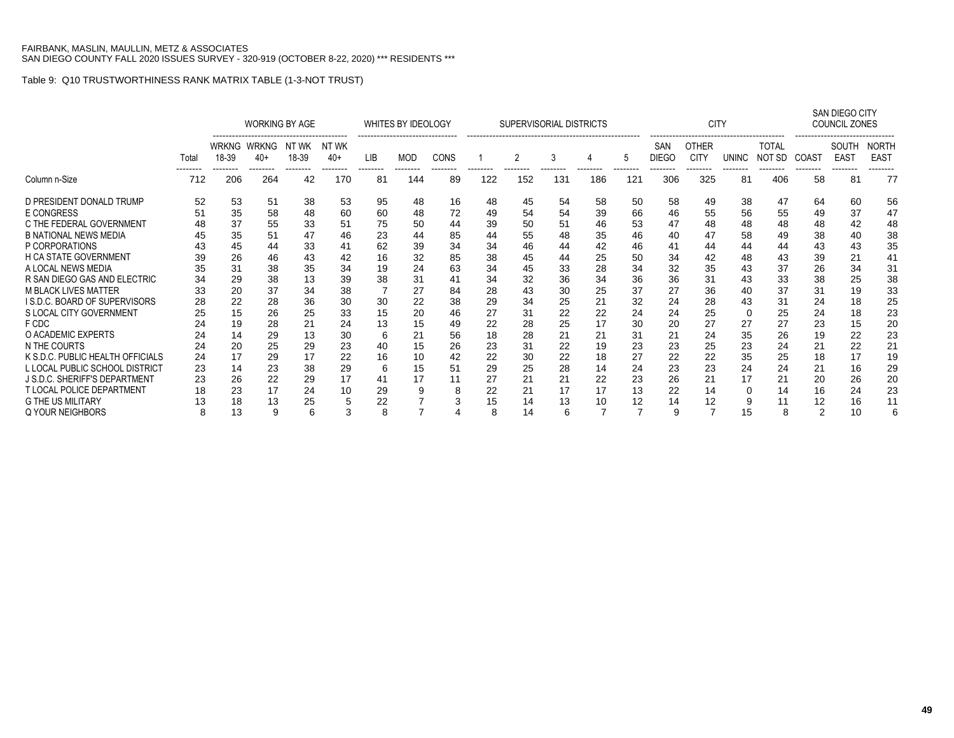|                                     |                |                       | <b>WORKING BY AGE</b><br>-------------------------------------<br>NT WK |    |                 |                 | WHITES BY IDEOLOGY       |                |     | SUPERVISORIAL DISTRICTS |                 |                 |                 |                                 | <b>CITY</b>                             |                   |                        |                   | SAN DIEGO CITY<br>COUNCIL ZONES  |                             |
|-------------------------------------|----------------|-----------------------|-------------------------------------------------------------------------|----|-----------------|-----------------|--------------------------|----------------|-----|-------------------------|-----------------|-----------------|-----------------|---------------------------------|-----------------------------------------|-------------------|------------------------|-------------------|----------------------------------|-----------------------------|
|                                     | Total          | <b>WRKNG</b><br>18-39 | WRKNG<br>NT WK<br>18-39<br>40+<br>--------<br>--------<br>--------      |    |                 | LIB<br>-------- | <b>MOD</b><br>--------   | <b>CONS</b>    |     |                         |                 |                 | 5               | SAN<br><b>DIEGO</b><br>-------- | <b>OTHER</b><br><b>CITY</b><br>-------- | UNINC<br>-------- | <b>TOTAL</b><br>NOT SD | COAST<br>-------- | SOUTH<br><b>EAST</b><br>-------- | <b>NORTH</b><br><b>EAST</b> |
| Column n-Size                       | -------<br>712 | 206                   | 264                                                                     | 42 | --------<br>170 | 81              | 144                      | --------<br>89 | 122 | 152                     | --------<br>131 | --------<br>186 | --------<br>121 | 306                             | 325                                     | 81                | --------<br>406        | 58                | 81                               | 77                          |
| D PRESIDENT DONALD TRUMP            | 52             | 53                    | 51                                                                      | 38 | 53              | 95              | 48                       | 16             | 48  | 45                      | 54              | 58              | 50              | 58                              | 49                                      | 38                | 47                     | 64                | 60                               | 56                          |
| E CONGRESS                          | 51             | 35                    | 58                                                                      | 48 | 60              | 60              | 48                       | 72             | 49  | 54                      | 54              | 39              | 66              | 46                              | 55                                      | 56                | 55                     | 49                | 37                               | 47                          |
| C THE FEDERAL GOVERNMENT            | 48             | 37                    | 55                                                                      | 33 | 51              | 75              | 50                       | 44             | 39  | 50                      | 51              | 46              | 53              | 47                              | 48                                      | 48                | 48                     | 48                | 42                               | 48                          |
| <b>B NATIONAL NEWS MEDIA</b>        |                | 35                    | 51                                                                      | 47 | 46              | 23              | 44                       | 85             | 44  | 55                      | 48              | 35              | 46              | 40                              | 47                                      | 58                | 49                     | 38                | 40                               | 38                          |
| P CORPORATIONS                      |                | 45                    | 44                                                                      | 33 | 41              | 62              | 39                       | 34             | 34  | 46                      | 44              | 42              | 46              | 41                              | 44                                      | 44                | 44                     | 43                | 43                               | 35                          |
| <b>H CA STATE GOVERNMENT</b>        | 39             | 26                    | 46                                                                      | 43 | 42              | 16              | 32                       | 85             | 38  | 45                      | 44              | 25              | 50              | 34                              | 42                                      | 48                | 43                     | 39                | 21                               | 41                          |
| A LOCAL NEWS MEDIA                  | 35             | 31                    | 38                                                                      | 35 | 34              | 19              | 24                       | 63             | 34  | 45                      | 33              | 28              | 34              | 32                              | 35                                      | 43                | 37                     | 26                | 34                               | 31                          |
| R SAN DIEGO GAS AND ELECTRIC        | 34             | 29                    | 38                                                                      | 13 | 39              | 38              | 31                       | 41             | 34  | 32                      | 36              | 34              | 36              | 36                              | 31                                      | 43                | 33                     | 38                | 25                               | 38                          |
| <b>M BLACK LIVES MATTER</b>         | 33             | 20                    | 37                                                                      | 34 | 38              |                 | 27                       | 84             | 28  | 43                      | 30              | 25              | 37              | 27                              | 36                                      | 40                | 37                     | 31                | 19                               | 33                          |
| <b>IS.D.C. BOARD OF SUPERVISORS</b> | 28             | 22                    | 28                                                                      | 36 | 30              | 30              | 22                       | 38             | 29  | 34                      | 25              | 21              | 32              | 24                              | 28                                      | 43                | 31                     | 24                | 18                               | 25                          |
| S LOCAL CITY GOVERNMENT             | 25             | 15                    | 26                                                                      | 25 | 33              | 15              | 20                       | 46             | 27  | 31                      | 22              | 22              | 24              | 24                              | 25                                      | 0                 | 25                     | 24                | 18                               | 23                          |
| F CDC                               | 24             | 19                    | 28                                                                      | 21 | 24              | 13              | 15                       | 49             | 22  | 28                      | 25              | 17              | 30              | 20                              | 27                                      | 27                | 27                     | 23                | 15                               | 20                          |
| O ACADEMIC EXPERTS                  | 24             | 14                    | 29                                                                      | 13 | 30              | 6               | 21                       | 56             | 18  | 28                      | 21              | 21              | 31              | 21                              | 24                                      | 35                | 26                     | 19                | 22                               | 23                          |
| N THE COURTS                        | 24             | 20                    | 25                                                                      | 29 | 23              | 40              | 15                       | 26             | 23  | 31                      | 22              | 19              | 23              | 23                              | 25                                      | 23                | 24                     | 21                | 22                               | 21                          |
| K S.D.C. PUBLIC HEALTH OFFICIALS    | 24             | 17                    | 29                                                                      | 17 | 22              | 16              | 10                       | 42             | 22  | 30                      | 22              | 18              | 27              | 22                              | 22                                      | 35                | 25                     | 18                | 17                               | 19                          |
| L LOCAL PUBLIC SCHOOL DISTRICT      | 23             | 14                    | 23                                                                      | 38 | 29              | 6               | 15                       | 51             | 29  | 25                      | 28              | 14              | 24              | 23                              | 23                                      | 24                | 24                     | 21                | 16                               | 29                          |
| J S.D.C. SHERIFF'S DEPARTMENT       | 23             | 26                    | 22                                                                      | 29 | 17              | 41              | 17                       |                | 27  | 21                      | 21              | 22              | 23              | 26                              | 21                                      | 17                | 21                     | 20                | 26                               | 20                          |
| <b>T LOCAL POLICE DEPARTMENT</b>    |                | 23                    | 17                                                                      | 24 | 10              | 29              | 9                        | 8              | 22  | 21                      | 17              | 17              | 13              | 22                              | 14                                      | 0                 | 14                     | 16                | 24                               | 23                          |
| <b>G THE US MILITARY</b>            |                | 18                    | 13                                                                      | 25 | 5               | 22<br>8         | $\overline{\phantom{a}}$ |                | 15  | 14                      | 13              | 10              | 12              | 14                              | 12                                      | 9                 | 11                     | 12                | 16                               | 11                          |
| Q YOUR NEIGHBORS                    | 8              |                       | 13<br>9<br>6<br>з                                                       |    |                 |                 |                          |                | 8   | 14                      | 6               | 7               |                 | 9                               |                                         | 15                | 8                      | 2                 | 10                               |                             |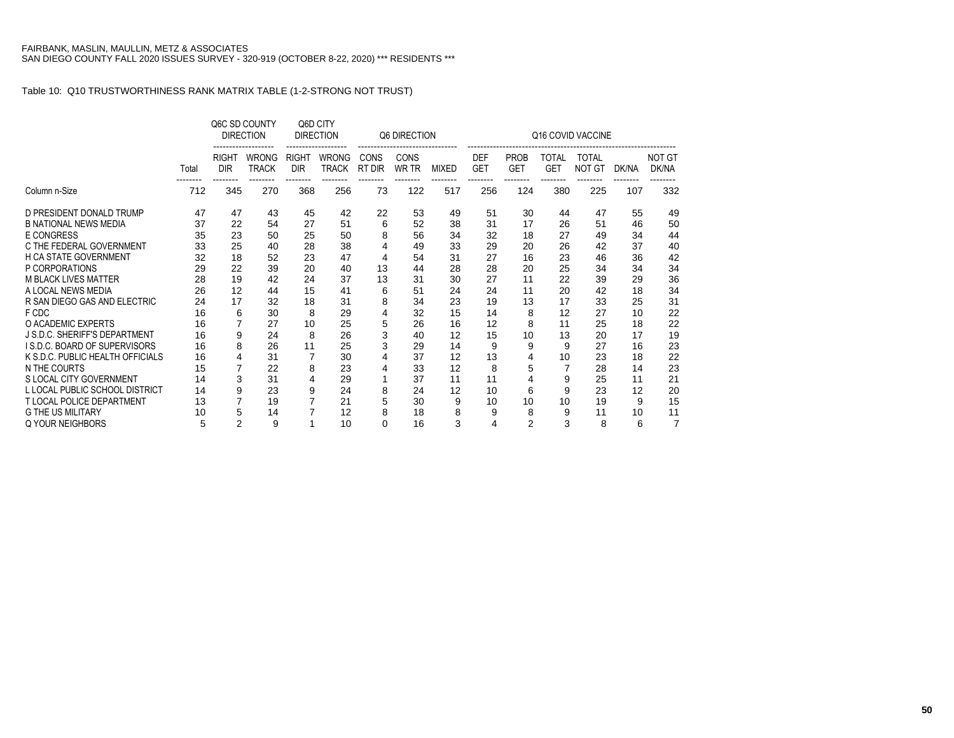|                                  |       |                            | Q6C SD COUNTY<br><b>DIRECTION</b> |                            | Q6D CITY<br><b>DIRECTION</b> |                       | Q6 DIRECTION         |              |                          |                           |                     | Q16 COVID VACCINE      |       |                        |
|----------------------------------|-------|----------------------------|-----------------------------------|----------------------------|------------------------------|-----------------------|----------------------|--------------|--------------------------|---------------------------|---------------------|------------------------|-------|------------------------|
|                                  | Total | <b>RIGHT</b><br><b>DIR</b> | <b>WRONG</b><br><b>TRACK</b>      | <b>RIGHT</b><br><b>DIR</b> | <b>WRONG</b><br>TRACK        | <b>CONS</b><br>RT DIR | <b>CONS</b><br>WR TR | <b>MIXED</b> | <b>DEF</b><br><b>GET</b> | <b>PROB</b><br><b>GET</b> | <b>TOTAL</b><br>GET | <b>TOTAL</b><br>NOT GT | DK/NA | <b>NOT GT</b><br>DK/NA |
| Column n-Size                    | 712   | 345                        | 270                               | 368                        | 256                          | 73                    | 122                  | 517          | 256                      | 124                       | 380                 | 225                    | 107   | 332                    |
| D PRESIDENT DONALD TRUMP         | 47    | 47                         | 43                                | 45                         | 42                           | 22                    | 53                   | 49           | 51                       | 30                        | 44                  | 47                     | 55    | 49                     |
| <b>B NATIONAL NEWS MEDIA</b>     | 37    | 22                         | 54                                | 27                         | 51                           | 6                     | 52                   | 38           | 31                       | 17                        | 26                  | 51                     | 46    | 50                     |
| E CONGRESS                       | 35    | 23                         | 50                                | 25                         | 50                           | 8                     | 56                   | 34           | 32                       | 18                        | 27                  | 49                     | 34    | 44                     |
| C THE FEDERAL GOVERNMENT         | 33    | 25                         | 40                                | 28                         | 38                           |                       | 49                   | 33           | 29                       | 20                        | 26                  | 42                     | 37    | 40                     |
| <b>H CA STATE GOVERNMENT</b>     | 32    | 18                         | 52                                | 23                         | 47                           | 4                     | 54                   | 31           | 27                       | 16                        | 23                  | 46                     | 36    | 42                     |
| P CORPORATIONS                   | 29    | 22                         | 39                                | 20                         | 40                           | 13                    | 44                   | 28           | 28                       | 20                        | 25                  | 34                     | 34    | 34                     |
| <b>M BLACK LIVES MATTER</b>      | 28    | 19                         | 42                                | 24                         | 37                           | 13                    | 31                   | 30           | 27                       | 11                        | 22                  | 39                     | 29    | 36                     |
| A LOCAL NEWS MEDIA               | 26    | 12                         | 44                                | 15                         | 41                           | 6                     | 51                   | 24           | 24                       | 11                        | 20                  | 42                     | 18    | 34                     |
| R SAN DIEGO GAS AND ELECTRIC     | 24    | 17                         | 32                                | 18                         | 31                           | 8                     | 34                   | 23           | 19                       | 13                        | 17                  | 33                     | 25    | 31                     |
| F CDC                            | 16    | 6                          | 30                                | 8                          | 29                           |                       | 32                   | 15           | 14                       | 8                         | 12                  | 27                     | 10    | 22                     |
| O ACADEMIC EXPERTS               | 16    | $\overline{7}$             | 27                                | 10                         | 25                           | 5                     | 26                   | 16           | 12                       | 8                         | 11                  | 25                     | 18    | 22                     |
| J S.D.C. SHERIFF'S DEPARTMENT    | 16    | 9                          | 24                                | 8                          | 26                           | 3                     | 40                   | 12           | 15                       | 10                        | 13                  | 20                     | 17    | 19                     |
| I S.D.C. BOARD OF SUPERVISORS    | 16    | 8                          | 26                                | 11                         | 25                           |                       | 29                   | 14           | 9                        | 9                         | 9                   | 27                     | 16    | 23                     |
| K S.D.C. PUBLIC HEALTH OFFICIALS | 16    | 4                          | 31                                |                            | 30                           |                       | 37                   | 12           | 13                       | 4                         | 10                  | 23                     | 18    | 22                     |
| N THE COURTS                     | 15    | $\overline{7}$             | 22                                | 8                          | 23                           |                       | 33                   | 12           | 8                        | 5                         | $\overline{7}$      | 28                     | 14    | 23                     |
| S LOCAL CITY GOVERNMENT          | 14    | 3                          | 31                                | 4                          | 29                           |                       | 37                   | 11           | 11                       | 4                         | 9                   | 25                     | 11    | 21                     |
| L LOCAL PUBLIC SCHOOL DISTRICT   | 14    | 9                          | 23                                | 9                          | 24                           | 8                     | 24                   | 12           | 10                       | 6                         | 9                   | 23                     | 12    | 20                     |
| <b>T LOCAL POLICE DEPARTMENT</b> | 13    | $\overline{7}$             | 19                                |                            | 21                           | 5                     | 30                   | 9            | 10                       | 10                        | 10                  | 19                     | 9     | 15                     |
| <b>G THE US MILITARY</b>         | 10    | 5                          | 14                                |                            | 12                           | 8                     | 18                   | 8            | 9                        | 8                         | 9                   | 11                     | 10    | 11                     |
| Q YOUR NEIGHBORS                 | 5     | $\overline{2}$             | 9                                 |                            | 10                           | 0                     | 16                   | 3            | 4                        | $\overline{2}$            | 3                   | 8                      | 6     | 7                      |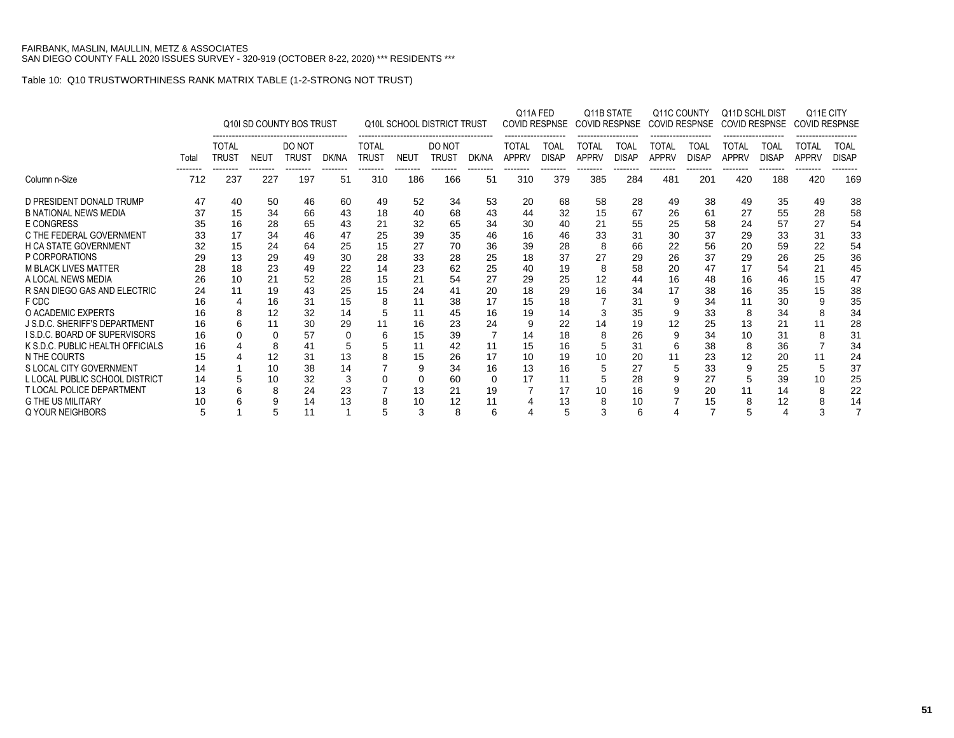|                                      |       |                              |                                  | Q10I SD COUNTY BOS TRUST |                |                              |                 | <b>Q10L SCHOOL DISTRICT TRUST</b> |                          | Q11A FED                     | <b>COVID RESPNSE</b> |                       | Q11B STATE<br><b>COVID RESPNSE</b> | Q11C COUNTY<br>COVID RESPNSE |                      | Q11D SCHL DIST<br><b>COVID RESPNSE</b> |                             | <b>COVID RESPNSE</b>  | Q11E CITY            |
|--------------------------------------|-------|------------------------------|----------------------------------|--------------------------|----------------|------------------------------|-----------------|-----------------------------------|--------------------------|------------------------------|----------------------|-----------------------|------------------------------------|------------------------------|----------------------|----------------------------------------|-----------------------------|-----------------------|----------------------|
|                                      | Total | <b>TOTAL</b><br><b>TRUST</b> | <b>NEUT</b>                      | DO NOT<br><b>TRUST</b>   | DK/NA          | <b>TOTAL</b><br><b>TRUST</b> | <b>NEUT</b>     | DO NOT<br><b>TRUST</b>            | DK/NA                    | <b>TOTAL</b><br><b>APPRV</b> | TOAL<br><b>DISAP</b> | TOTAL<br><b>APPRV</b> | TOAL<br><b>DISAP</b>               | TOTAL<br><b>APPRV</b>        | TOAL<br><b>DISAP</b> | TOTAL<br><b>APPRV</b>                  | <b>TOAL</b><br><b>DISAP</b> | TOTAL<br><b>APPRV</b> | TOAL<br><b>DISAP</b> |
| Column n-Size                        | 712   | 237                          | --------<br>227                  | --------<br>197          | --------<br>51 | --------<br>310              | --------<br>186 | --------<br>166                   | --------<br>51           | --------<br>310              | --------<br>379      | --------<br>385       | --------<br>284                    | --------<br>481              | --------<br>201      | --------<br>420                        | --------<br>188             | --------<br>420       | --------<br>169      |
| D PRESIDENT DONALD TRUMP             | 47    | 40                           | 50<br>60<br>46<br>34<br>66<br>43 |                          |                |                              | 52              | 34                                | 53                       | 20                           | 68                   | 58                    | 28                                 | 49                           | 38                   | 49                                     | 35                          | -49                   | 38                   |
| <b>B NATIONAL NEWS MEDIA</b>         | 37    | 15                           | 49<br>18<br>28<br>65<br>43       |                          |                |                              | 40              | 68                                | 43                       | 44                           | 32                   | 15                    | 67                                 | 26                           | 61                   | 27                                     | 55                          | 28                    | 58                   |
| <b>E CONGRESS</b>                    | 35    | 16                           |                                  |                          |                | 21                           | 32              | 65                                | 34                       | 30                           | 40                   | 21                    | 55                                 | 25                           | 58                   | 24                                     | 57                          | 27                    | 54                   |
| C THE FEDERAL GOVERNMENT             | 33    |                              | 34                               | 46                       | 47             | 25                           | 39              | 35                                | 46                       | 16                           | 46                   | 33                    | 31                                 | 30                           | 37                   | 29                                     | 33                          | 31                    | 33                   |
| <b>H CA STATE GOVERNMENT</b>         | 32    | 15                           | 24                               | 64                       | 25             | 15                           | 27              | 70                                | 36                       | 39                           | 28                   | 8                     | 66                                 | 22                           | 56                   | 20                                     | 59                          | 22                    | 54                   |
| P CORPORATIONS                       | 29    | 13                           | 29                               | 49                       | 30             | 28                           | 33              | 28                                | 25                       | 18                           | 37                   |                       | 29                                 | 26                           | 37                   | 29                                     | 26                          | 25                    | 36                   |
| <b>M BLACK LIVES MATTER</b>          | 28    | 18                           | 23                               | 49                       | 22             | 14                           | 23              | 62                                | 25                       | 40                           | 19                   | 8                     | 58                                 | 20                           | 47                   | 17                                     | 54                          | 21                    | 45                   |
| A LOCAL NEWS MEDIA                   | 26    | 10                           | 21                               | 52                       | 28             | 15                           | 21              | 54                                | 27                       | 29                           | 25                   | 12                    | 44                                 | 16                           | 48                   | 16                                     | 46                          | 15                    | 47                   |
| R SAN DIEGO GAS AND ELECTRIC         | 24    | 11                           | 19                               | 43                       | 25             | 15                           | 24              | 41                                | 20                       | 18                           | 29                   | 16                    | 34                                 | 17                           | 38                   | 16                                     | 35                          | 15                    | 38                   |
| F CDC                                | 16    |                              | 16                               | 31                       | 15             | 8                            | 11              | 38                                | 17                       | 15                           | 18                   |                       | 31                                 | 9                            | 34                   | 11                                     | 30                          | 9                     | 35                   |
| O ACADEMIC EXPERTS                   | 16    |                              | 12                               | 32                       | 14             | 5                            | 11              | 45                                | 16                       | 19                           | 14                   | 3                     | 35                                 | 9                            | 33                   | 8                                      | 34                          |                       | 34                   |
| <b>J S.D.C. SHERIFF'S DEPARTMENT</b> | 16    |                              | 11                               | 30                       | 29             | 11                           | 16              | 23                                | 24                       | g                            | 22                   | 14                    | 19                                 | 12                           | 25                   | 13                                     | 21                          | 11                    | 28                   |
| <b>IS.D.C. BOARD OF SUPERVISORS</b>  | 16    |                              | 0                                | 57                       | 0              | 6                            | 15              | 39                                | $\overline{\phantom{a}}$ | 14                           | 18                   | 8                     | 26                                 | 9                            | 34                   | 10                                     | 31                          |                       | 31                   |
| K S.D.C. PUBLIC HEALTH OFFICIALS     | 16    |                              | 8                                | 41                       | 5              |                              | 11              | 42                                | 11                       | 15                           | 16                   |                       | 31                                 | 6                            | 38                   | 8                                      | 36                          |                       | 34                   |
| N THE COURTS                         | 15    |                              | 12                               | 31                       | 13             | 8                            | 15              | 26                                | 17                       | 10                           | 19                   | 10                    | 20                                 | 11                           | 23                   | 12                                     | 20                          | 11                    | 24                   |
| S LOCAL CITY GOVERNMENT              | 14    |                              | 10                               | 38                       | 14             |                              |                 | 34                                | 16                       | 13                           | 16                   |                       | 27                                 | 5                            | 33                   | 9                                      | 25                          |                       | 37                   |
| L LOCAL PUBLIC SCHOOL DISTRICT       | 14    |                              | 10                               | 32                       | 3              |                              |                 | 60                                | $\Omega$                 | 17                           | 11                   |                       | 28                                 | 9                            | 27                   |                                        | 39                          | 10                    | 25                   |
| <b>T LOCAL POLICE DEPARTMENT</b>     | 13    |                              | 8                                | 24                       | 23             |                              | 13              | 21                                | 19                       |                              | 17                   | 10                    | 16                                 | 9                            | 20                   | 11                                     | 14                          | 8                     | 22                   |
| <b>G THE US MILITARY</b>             | 10    |                              | 9                                | 14                       | 13             | 8                            | 10              | 12                                | 11                       |                              | 13                   | 8                     | 10                                 |                              | 15                   | 8                                      | 12                          |                       | 14                   |
| <b>Q YOUR NEIGHBORS</b>              | 5     |                              | 5                                | 11                       |                |                              | 3               | 8                                 | 6                        |                              | 5                    | 3                     | 6                                  |                              |                      | 5                                      | 4                           | 3                     |                      |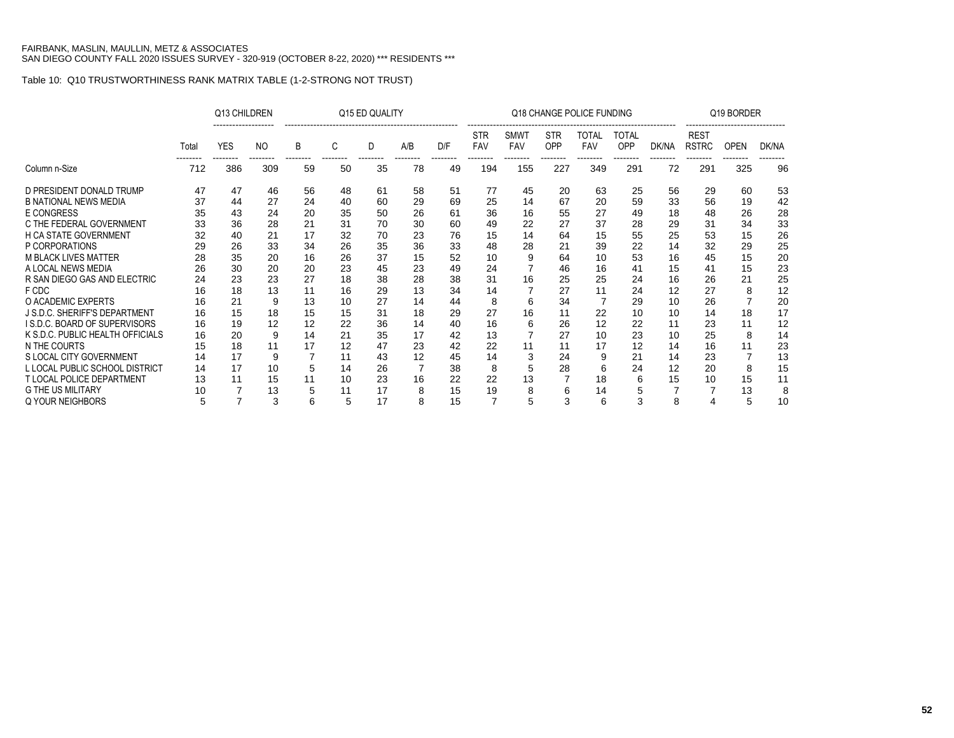|                                  |       | Q13 CHILDREN |                |    |    | Q15 ED QUALITY |                |     |                   |                           |                   | Q18 CHANGE POLICE FUNDING |                            |       |                             | Q19 BORDER  |       |
|----------------------------------|-------|--------------|----------------|----|----|----------------|----------------|-----|-------------------|---------------------------|-------------------|---------------------------|----------------------------|-------|-----------------------------|-------------|-------|
|                                  | Total | <b>YES</b>   | N <sub>O</sub> | B  | C  | D              | A/B            | D/F | <b>STR</b><br>FAV | <b>SMWT</b><br><b>FAV</b> | <b>STR</b><br>OPP | TOTAL<br><b>FAV</b>       | <b>TOTAL</b><br><b>OPP</b> | DK/NA | <b>REST</b><br><b>RSTRC</b> | <b>OPEN</b> | DK/NA |
| Column n-Size                    | 712   | 386          | 309            | 59 | 50 | 35             | 78             | 49  | 194               | 155                       | 227               | 349                       | 291                        | 72    | 291                         | 325         | 96    |
| D PRESIDENT DONALD TRUMP         | 47    | 47           | 46             | 56 | 48 | 61             | 58             | 51  | 77                | 45                        | 20                | 63                        | 25                         | 56    | 29                          | 60          | 53    |
| <b>B NATIONAL NEWS MEDIA</b>     | 37    | 44           | 27             | 24 | 40 | 60             | 29             | 69  | 25                | 14                        | 67                | 20                        | 59                         | 33    | 56                          | 19          | 42    |
| <b>E CONGRESS</b>                | 35    | 43           | 24             | 20 | 35 | 50             | 26             | 61  | 36                | 16                        | 55                | 27                        | 49                         | 18    | 48                          | 26          | 28    |
| C THE FEDERAL GOVERNMENT         | 33    | 36           | 28             | 21 | 31 | 70             | 30             | 60  | 49                | 22                        | 27                | 37                        | 28                         | 29    | 31                          | 34          | 33    |
| <b>H CA STATE GOVERNMENT</b>     | 32    | 40           | 21             | 17 | 32 | 70             | 23             | 76  | 15                | 14                        | 64                | 15                        | 55                         | 25    | 53                          | 15          | 26    |
| P CORPORATIONS                   | 29    | 26           | 33             | 34 | 26 | 35             | 36             | 33  | 48                | 28                        | 21                | 39                        | 22                         | 14    | 32                          | 29          | 25    |
| <b>M BLACK LIVES MATTER</b>      | 28    | 35           | 20             | 16 | 26 | 37             | 15             | 52  | 10                | 9                         | 64                | 10                        | 53                         | 16    | 45                          | 15          | 20    |
| A LOCAL NEWS MEDIA               | 26    | 30           | 20             | 20 | 23 | 45             | 23             | 49  | 24                |                           | 46                | 16                        | 41                         | 15    | 41                          | 15          | 23    |
| R SAN DIEGO GAS AND ELECTRIC     | 24    | 23           | 23             | 27 | 18 | 38             | 28             | 38  | 31                | 16                        | 25                | 25                        | 24                         | 16    | 26                          | 21          | 25    |
| F CDC                            | 16    | 18           | 13             | 11 | 16 | 29             | 13             | 34  | 14                |                           | 27                | 11                        | 24                         | 12    | 27                          | 8           | 12    |
| O ACADEMIC EXPERTS               | 16    | 21           | 9              | 13 | 10 | 27             | 14             | 44  | 8                 | h                         | 34                |                           | 29                         | 10    | 26                          |             | 20    |
| J S.D.C. SHERIFF'S DEPARTMENT    | 16    | 15           | 18             | 15 | 15 | 31             | 18             | 29  | 27                | 16                        | 11                | 22                        | 10                         | 10    | 14                          | 18          | 17    |
| I S.D.C. BOARD OF SUPERVISORS    | 16    | 19           | 12             | 12 | 22 | 36             | 14             | 40  | 16                | 6                         | 26                | 12                        | 22                         | 11    | 23                          | 11          | 12    |
| K S.D.C. PUBLIC HEALTH OFFICIALS | 16    | 20           | 9              | 14 | 21 | 35             | 17             | 42  | 13                |                           | 27                | 10                        | 23                         | 10    | 25                          | 8           | 14    |
| N THE COURTS                     | 15    | 18           | 11             | 17 | 12 | 47             | 23             | 42  | 22                |                           | 11                | 17                        | 12                         | 14    | 16                          | 11          | 23    |
| S LOCAL CITY GOVERNMENT          | 14    | 17           | 9              |    | 11 | 43             | 12             | 45  | 14                |                           | 24                | 9                         | 21                         | 14    | 23                          |             | 13    |
| L LOCAL PUBLIC SCHOOL DISTRICT   | 14    | 17           | 10             | 5  | 14 | 26             | $\overline{7}$ | 38  | 8                 |                           | 28                | 6                         | 24                         | 12    | 20                          | 8           | 15    |
| <b>T LOCAL POLICE DEPARTMENT</b> | 13    | 11           | 15             | 11 | 10 | 23             | 16             | 22  | 22                | 13                        |                   | 18                        | 6                          | 15    | 10                          | 15          | 11    |
| <b>G THE US MILITARY</b>         | 10    |              | 13             | 5  | 11 | 17             | 8              | 15  | 19                |                           | 6                 | 14                        | 5                          |       |                             | 13          | 8     |
| Q YOUR NEIGHBORS                 | 5     |              | 3              | 6  | 5  | 17             | 8              | 15  |                   | 5                         | 3                 | 6                         | 3                          | 8     |                             | 5           | 10    |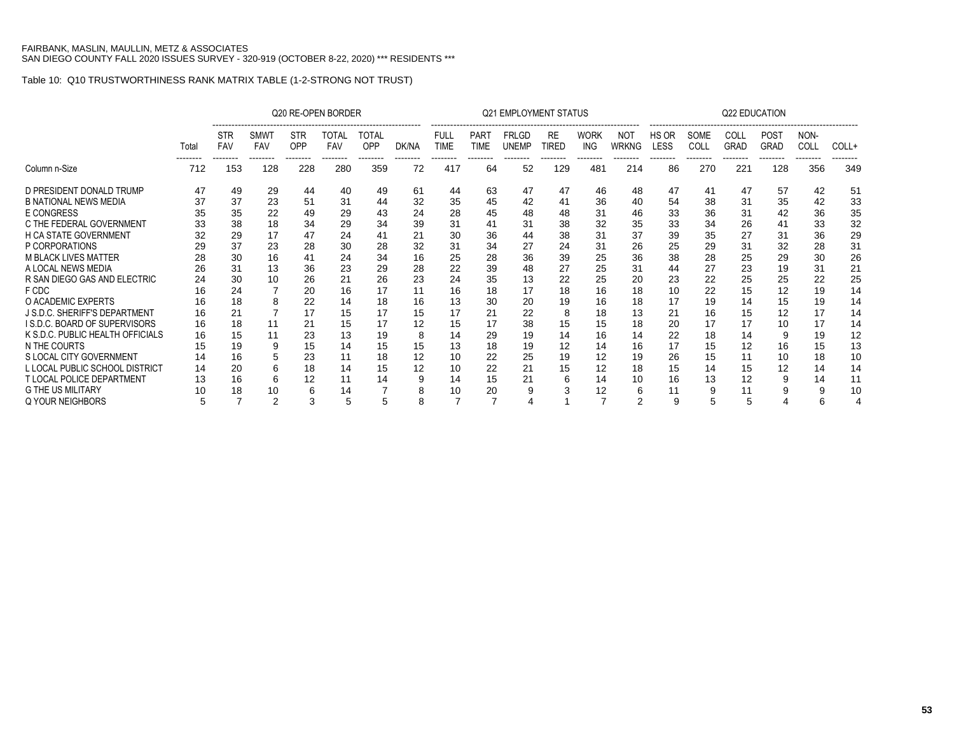|                                  |       |                                      |                                |                               | Q20 RE-OPEN BORDER              |                                 |                   |                                        |                                 | <b>Q21 EMPLOYMENT STATUS</b>             |                                |                                 |                          |                           |                          | Q22 EDUCATION                   |                                             |                          |                   |
|----------------------------------|-------|--------------------------------------|--------------------------------|-------------------------------|---------------------------------|---------------------------------|-------------------|----------------------------------------|---------------------------------|------------------------------------------|--------------------------------|---------------------------------|--------------------------|---------------------------|--------------------------|---------------------------------|---------------------------------------------|--------------------------|-------------------|
|                                  | Total | <b>STR</b><br><b>FAV</b><br>-------- | SMWT<br><b>FAV</b><br>-------- | <b>STR</b><br>OPP<br>-------- | TOTAL<br><b>FAV</b><br>-------- | TOTAL<br><b>OPP</b><br>-------- | DK/NA<br>-------- | <b>FULL</b><br><b>TIME</b><br>-------- | <b>PART</b><br>TIME<br>-------- | <b>FRLGD</b><br><b>UNEMP</b><br>-------- | <b>RE</b><br>TIRED<br>-------- | <b>WORK</b><br>ING.<br>-------- | NOT<br>WRKNG<br>-------- | HS OR<br>LESS<br>-------- | SOME<br>COLL<br>-------- | COLL<br><b>GRAD</b><br>-------- | POS <sub>1</sub><br><b>GRAD</b><br>-------- | NON-<br>COLL<br>-------- | COLL+<br>-------- |
| Column n-Size                    | 712   | 153                                  | 128                            | 228                           | 280                             | 359                             | 72                | 417                                    | 64                              | 52                                       | 129                            | 481                             | 214                      | 86                        | 270                      | 221                             | 128                                         | 356                      | 349               |
| D PRESIDENT DONALD TRUMP         | 47    | 49                                   | 29                             | 44                            | 40                              | 49                              | 61                | 44                                     | 63                              | 47                                       | 47                             | 46                              | 48                       | 47                        | 41                       | 47                              | 57                                          | 42                       | 51                |
| <b>B NATIONAL NEWS MEDIA</b>     | 37    | 37                                   | 23                             | 51                            | 31                              | 44                              | 32                | 35                                     | 45                              | 42                                       | 41                             | 36                              | 40                       | 54                        | 38                       | 31                              | 35                                          | 42                       | 33                |
| <b>E CONGRESS</b>                | 35    | 35                                   | 22                             | 49                            | 29                              | 43                              | 24                | 28                                     | 45                              | 48                                       | 48                             | 31                              | 46                       | 33                        | 36                       | 31                              | 42                                          | 36                       | 35                |
| C THE FEDERAL GOVERNMENT         | 33    | 38                                   | 18                             | 34                            | 29                              | 34                              | 39                | 31                                     | 41                              | 31                                       | 38                             | 32                              | 35                       | 33                        | 34                       | 26                              | 41                                          | 33                       | 32                |
| H CA STATE GOVERNMENT            | 32    | 29                                   | 17                             | 47                            | 24                              | 41                              | 21                | 30                                     | 36                              | 44                                       | 38                             | 31                              | 37                       | 39                        | 35                       | 27                              | 31                                          | 36                       | 29                |
| P CORPORATIONS                   | 29    | 37                                   | 23                             | 28                            | 30                              | 28                              | 32                | 31                                     | 34                              | 27                                       | 24                             | 31                              | 26                       | 25                        | 29                       | 31                              | 32                                          | 28                       | 31                |
| <b>M BLACK LIVES MATTER</b>      | 28    | 30                                   | 16                             |                               | 24                              | 34                              | 16                | 25                                     | 28                              | 36                                       | 39                             | 25                              | 36                       | 38                        | 28                       | 25                              | 29                                          | 30                       | 26                |
| A LOCAL NEWS MEDIA               | 26    | 31                                   | 13                             | 36                            | 23                              | 29                              | 28                | 22                                     | 39                              | 48                                       | 27                             | 25                              | 31                       | 44                        | 27                       | 23                              | 19                                          | 31                       | 21                |
| R SAN DIEGO GAS AND ELECTRIC     | 24    | 30                                   | 10                             | 26                            | 21                              | 26                              | 23                | 24                                     | 35                              | 13                                       | 22                             | 25                              | 20                       | 23                        | 22                       | 25                              | 25                                          | 22                       | 25                |
| F CDC                            | 16    | 24                                   |                                | 20                            | 16                              | 17                              | 11                | 16                                     | 18                              | 17                                       | 18                             | 16                              | 18                       | 10                        | 22                       | 15                              | 12                                          | 19                       | 14                |
| O ACADEMIC EXPERTS               | 16    | 18                                   |                                | 22                            | 14                              | 18                              | 16                | 13                                     | 30                              | 20                                       | 19                             | 16                              | 18                       | 17                        | 19                       | 14                              | 15                                          | 19                       | 14                |
| J S.D.C. SHERIFF'S DEPARTMENT    | 16    | 21                                   |                                | 17                            | 15                              | 17                              | 15                | 17                                     | 21                              | 22                                       | 8                              | 18                              | 13                       | 21                        | 16                       | 15                              | 12                                          | 17                       | 14                |
| I S.D.C. BOARD OF SUPERVISORS    | 16    | 18                                   | 11                             | 21                            | 15                              | 17                              | 12                | 15                                     | 17                              | 38                                       | 15                             | 15                              | 18                       | 20                        |                          | 17                              | 10                                          |                          | 14                |
| K S.D.C. PUBLIC HEALTH OFFICIALS | 16    | 15                                   | 11                             | 23                            | 13                              | 19                              | 8                 | 14                                     | 29                              | 19                                       | 14                             | 16                              | 14                       | 22                        | 18                       | 14                              | 9                                           | 19                       | 12                |
| N THE COURTS                     | 15    | 19                                   | g                              | 15                            | 14                              | 15                              | 15                | 13                                     | 18                              | 19                                       | 12                             | 14                              | 16                       | 17                        | 15                       | 12                              | 16                                          | 15                       | 13                |
| S LOCAL CITY GOVERNMENT          | 14    | 16                                   |                                | 23                            |                                 | 18                              | 12                | 10                                     | 22                              | 25                                       | 19                             | 12                              | 19                       | 26                        | 15                       | 11                              | 10                                          | 18                       | 10                |
| L LOCAL PUBLIC SCHOOL DISTRICT   | 14    | 20                                   | 6                              | 18                            | 14                              | 15                              | 12                | 10                                     | 22                              | 21                                       | 15                             | 12                              | 18                       | 15                        | 14                       | 15                              | 12                                          | 14                       | 14                |
| <b>T LOCAL POLICE DEPARTMENT</b> | 13    | 16                                   | 6                              | 12                            | 11                              | 14                              |                   | 14                                     | 15                              |                                          | 6                              | 14                              | 10                       | 16                        | 13                       | 12                              | 9                                           | 14                       | 11                |
| <b>G THE US MILITARY</b>         | 10    |                                      | 10                             | 6                             | 14                              |                                 |                   | 10                                     | 20                              |                                          |                                | 12                              | b                        | 11                        |                          | 11                              | 9                                           |                          | 10                |
| Q YOUR NEIGHBORS                 |       |                                      | $\overline{2}$                 |                               | 5                               |                                 |                   |                                        | 7                               |                                          |                                |                                 | 2                        | 9                         | 5                        | 5                               |                                             |                          |                   |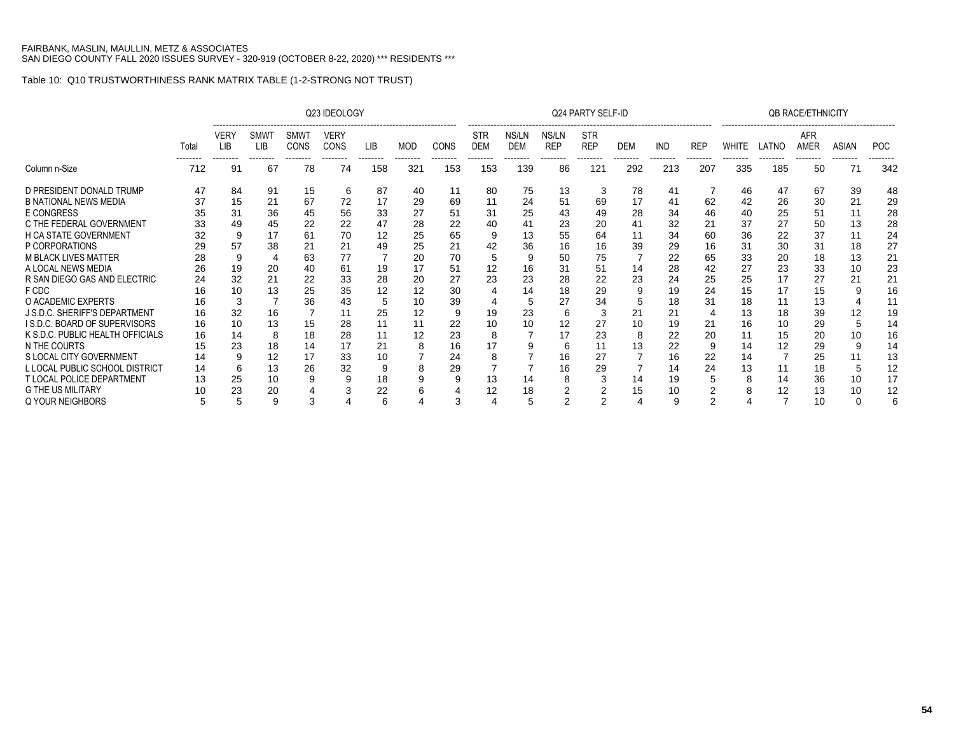|                                     |       |             |                              |                                 | Q23 IDEOLOGY        |                        |                |      |                          |                     |                                                                    | Q24 PARTY SELF-ID                   |            |            |                        |              |       | <b>QB RACE/ETHNICITY</b> |                   |            |
|-------------------------------------|-------|-------------|------------------------------|---------------------------------|---------------------|------------------------|----------------|------|--------------------------|---------------------|--------------------------------------------------------------------|-------------------------------------|------------|------------|------------------------|--------------|-------|--------------------------|-------------------|------------|
|                                     | Total | VER\<br>LIB | <b>SMW</b><br>LIB<br>------- | <b>SMWT</b><br>CONS<br>-------- | VERY<br><b>CONS</b> | <b>LIB</b><br>-------- | MOD<br>------- | CONS | <b>STR</b><br><b>DEM</b> | NS/LN<br><b>DEM</b> | -------------------------------<br>NS/LN<br><b>REP</b><br>-------- | <b>STR</b><br><b>REP</b><br>------- | <b>DEM</b> | <b>IND</b> | <b>REP</b><br>-------- | <b>WHITE</b> | LATNO | <b>AFR</b><br>AMER       | ASIAN<br>-------- | <b>POC</b> |
| Column n-Size                       | 712   | 91          | 67                           | 78                              | 74                  | 158                    | 321            | 153  | 153                      | 139                 | 86                                                                 | 121                                 | 292        | 213        | 207                    | 335          | 185   | 50                       | 71                | 342        |
| D PRESIDENT DONALD TRUMP            | 47    | 84          | 91                           | 15                              | 6                   | 87                     | 40             | 11   | 80                       | 75                  | 13                                                                 | 3                                   | 78         | 41         |                        | 46           | 47    | 67                       | 39                | 48         |
| <b>B NATIONAL NEWS MEDIA</b>        | 37    | 15          | 21                           | 67                              | 72                  | 17                     | 29             | 69   | 11                       | 24                  | 51                                                                 | 69                                  | 17         | 41         | 62                     | 42           | 26    | 30                       | 21                | 29         |
| <b>E CONGRESS</b>                   | 35    | 31          | 36                           | 45                              | 56                  | 33                     | 27             | 51   | 31                       | 25                  | 43                                                                 | 49                                  | 28         | 34         | 46                     | 40           | 25    | 51                       |                   | 28         |
| C THE FEDERAL GOVERNMENT            | 33    | 49          | 45                           | 22                              | 22                  | 47                     | 28             | 22   | 40                       | 41                  | 23                                                                 | 20                                  | 41         | 32         | 21                     | 37           | 27    | 50                       | 13                | 28         |
| <b>H CA STATE GOVERNMENT</b>        | 32    | 9           |                              | 61                              | 70                  | 12                     | 25             | 65   | 9                        | 13                  | 55                                                                 | 64                                  | 11         | 34         | 60                     | 36           | 22    | 37                       |                   | 24         |
| P CORPORATIONS                      |       | 57          | 38                           | 21                              | 21                  | 49                     | 25             | 21   | 42                       | 36                  | 16                                                                 | 16                                  | 39         | 29         | 16                     | 31           | 30    | 31                       | 18                | 27         |
| <b>M BLACK LIVES MATTER</b>         | 28    | 9           |                              | 63                              | 77                  |                        | 20             | 70   | 5                        |                     | 50                                                                 | 75                                  |            | 22         | 65                     | 33           | 20    | 18                       | 13                | 21         |
| A LOCAL NEWS MEDIA                  |       | 19          | 20                           | 40                              | 61                  | 19                     | 17             | 51   | 12                       | 16                  | 31                                                                 | 51                                  | 14         | 28         | 42                     | 27           | 23    | 33                       | 10                | 23         |
| R SAN DIEGO GAS AND ELECTRIC        | 24    | 32          | 21                           | 22                              | 33                  | 28                     | 20             | 27   | 23                       | 23                  | 28                                                                 | 22                                  | 23         | 24         | 25                     | 25           | 17    | 27                       | 21                | 21         |
| F CDC                               | 16    | 10          | 13                           | 25                              | 35                  | 12                     | 12             | 30   |                          | 14                  | 18                                                                 | 29                                  | 9          | 19         | 24                     | 15           | 17    | 15                       |                   | 16         |
| O ACADEMIC EXPERTS                  | 16    | 3           |                              | 36                              | 43                  | 5                      | 10             | 39   |                          |                     | 27                                                                 | 34                                  |            | 18         | 31                     | 18           | 11    | 13                       |                   | 11         |
| J S.D.C. SHERIFF'S DEPARTMENT       | 16    | 32          | 16                           |                                 | 11                  | 25                     | 12             | 9    | 19                       | 23                  | 6                                                                  |                                     | 21         | 21         |                        | 13           | 18    | 39                       |                   | 19         |
| <b>IS.D.C. BOARD OF SUPERVISORS</b> | 16    | 10          | 13                           | 15                              | 28                  | 11                     | 11             | 22   | 10                       |                     | 12                                                                 | 27                                  | 10         | 19         | 21                     | 16           | 10    | 29                       |                   | 14         |
| K S.D.C. PUBLIC HEALTH OFFICIALS    | 16    | 14          | 8                            | 18                              | 28                  | 11                     | 12             | 23   | 8                        |                     | 17                                                                 | 23                                  | 8          | 22         | 20                     | 11           | 15    | 20                       | 10                | 16         |
| N THE COURTS                        |       | 23          | 18                           | 14                              | 17                  | 21                     |                | 16   | 17                       |                     | 6                                                                  |                                     | 13         | 22         | 9                      | 14           | 12    | 29                       |                   | 14         |
| S LOCAL CITY GOVERNMENT             | 14    | 9           | 12                           | 17                              | 33                  | 10                     |                | 24   |                          |                     | 16                                                                 | 27                                  |            | 16         | 22                     | 14           |       | 25                       |                   | 13         |
| L LOCAL PUBLIC SCHOOL DISTRICT      | 14    | 6           | 13                           | 26                              | 32                  |                        | 8              | 29   |                          |                     | 16                                                                 | 29                                  |            | 14         | 24                     | 13           | 11    | 18                       |                   | 12         |
| T LOCAL POLICE DEPARTMENT           |       | 25          | 10                           | 9                               |                     | 18                     |                |      | 13                       | 14                  |                                                                    |                                     | 14         | 19         |                        | 8            | 14    | 36                       | 10                | 17         |
| <b>G THE US MILITARY</b>            |       | 23          | 20                           |                                 |                     | 22                     |                |      | 12                       | 18                  |                                                                    |                                     | 15         | 10         |                        | 8            | 12    | 13                       | 10                | 12         |
| Q YOUR NEIGHBORS                    | 5     | 5           | 9                            |                                 |                     | 6                      |                | 3    |                          |                     | 2                                                                  |                                     |            | 9          |                        | 4            |       | 10                       |                   |            |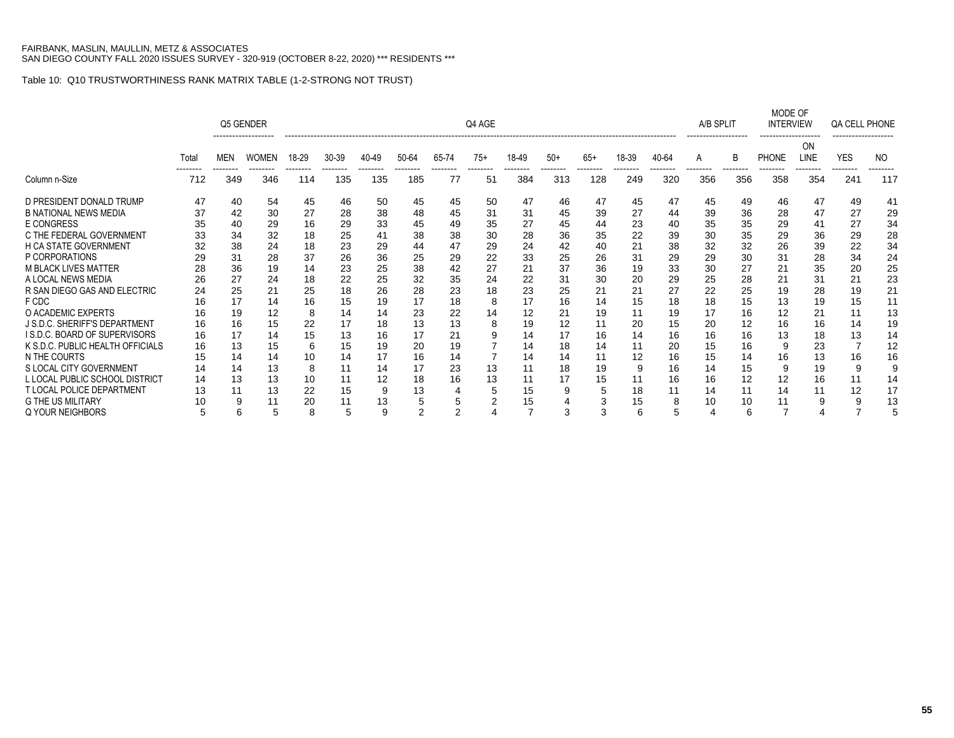|                                  |       |                                                 | Q5 GENDER |     |       |       |                |               | Q4 AGE         |       |       |       |       |       | A/B SPLIT       |                | MODE OF<br><b>INTERVIEW</b> |            | QA CELL PHONE |     |
|----------------------------------|-------|-------------------------------------------------|-----------|-----|-------|-------|----------------|---------------|----------------|-------|-------|-------|-------|-------|-----------------|----------------|-----------------------------|------------|---------------|-----|
|                                  | Total | <b>WOMEN</b><br><b>MEN</b><br>712<br>349<br>346 |           |     | 30-39 | 40-49 | 50-64          | 65-74         | $75+$          | 18-49 | $50+$ | $65+$ | 18-39 | 40-64 | A               | B              | <b>PHONE</b>                | ΟN<br>LINE | <b>YES</b>    | NO. |
| Column n-Size                    |       |                                                 |           | 114 | 135   | 135   | 185            | -------<br>77 | --------<br>51 | 384   | 313   | 128   | 249   | 320   | --------<br>356 | -------<br>356 | 358                         | 354        | 241           | 117 |
| D PRESIDENT DONALD TRUMP         | 47    | 40                                              | 54        | 45  | 46    | 50    | 45             | 45            | 50             | 47    | 46    | 47    | 45    | 47    | 45              | 49             | 46                          | 47         | 49            | 41  |
| <b>B NATIONAL NEWS MEDIA</b>     | 37    | 42                                              | 30        | 27  | 28    | 38    | 48             | 45            | 31             | 31    | 45    | 39    | 27    | 44    | 39              | 36             | 28                          | 47         | 27            | 29  |
| E CONGRESS                       | 35    | 40                                              | 29        | 16  | 29    | 33    | 45             | 49            | 35             | 27    | 45    | 44    | 23    | 40    | 35              | 35             | 29                          | 41         | 27            | 34  |
| C THE FEDERAL GOVERNMENT         | 33    | 34                                              | 32        | 18  | 25    | 41    | 38             | 38            | 30             | 28    | 36    | 35    | 22    | 39    | 30              | 35             | 29                          | 36         | 29            | 28  |
| <b>H CA STATE GOVERNMENT</b>     | 32    | 38                                              | 24        | 18  | 23    | 29    | 44             | 47            | 29             | 24    | 42    | 40    | 21    | 38    | 32              | 32             | 26                          | 39         | 22            | 34  |
| P CORPORATIONS                   | 29    | 31                                              | 28        | 37  | 26    | 36    | 25             | 29            | 22             | 33    | 25    | 26    | 31    | 29    | 29              | 30             | 31                          | 28         | 34            | 24  |
| <b>M BLACK LIVES MATTER</b>      | 28    | 36                                              | 19        | 14  | 23    | 25    | 38             | 42            | 27             | 21    | 37    | 36    | 19    | 33    | 30              | 27             | 21                          | 35         | 20            | 25  |
| A LOCAL NEWS MEDIA               | 26    | 27                                              | 24        | 18  | 22    | 25    | 32             | 35            | 24             | 22    | 31    | 30    | 20    | 29    | 25              | 28             | 21                          | 31         | 21            | 23  |
| R SAN DIEGO GAS AND ELECTRIC     | 24    | 25                                              | 21        | 25  | 18    | 26    | 28             | 23            | 18             | 23    | 25    | 21    | 21    | 27    | 22              | 25             | 19                          | 28         | 19            | 21  |
| F CDC                            |       | 17                                              | 14        | 16  | 15    | 19    | 17             | 18            | 8              | 17    | 16    | 14    | 15    | 18    | 18              | 15             | 13                          | 19         | 15            | 11  |
| O ACADEMIC EXPERTS               | 16    | 19                                              | 12        | 8   | 14    | 14    | 23             | 22            | 14             | 12    | 21    | 19    | 11    | 19    | 17              | 16             | 12                          | 21         | 11            | 13  |
| J S.D.C. SHERIFF'S DEPARTMENT    | 16    | 16                                              | 15        | 22  | 17    | 18    | 13             | 13            | 8              | 19    | 12    |       | 20    | 15    | 20              | 12             | 16                          | 16         | 14            | 19  |
| I S.D.C. BOARD OF SUPERVISORS    | 16    | 17                                              | 14        | 15  | 13    | 16    | 17             | 21            |                | 14    | 17    | 16    | 14    | 16    | 16              | 16             | 13                          | 18         | 13            | 14  |
| K S.D.C. PUBLIC HEALTH OFFICIALS | 16    | 13                                              | 15        | 6   | 15    | 19    | 20             | 19            |                | 14    | 18    | 14    | 11    | 20    | 15              | 16             | 9                           | 23         |               | 12  |
| N THE COURTS                     |       | 14                                              | 14        | 10  | 14    | 17    | 16             | 14            |                | 14    | 14    |       | 12    | 16    | 15              | 14             | 16                          | 13         | 16            | 16  |
| S LOCAL CITY GOVERNMENT          | 14    | 14                                              | 13        | 8   | 11    | 14    | 17             | 23            | 13             |       | 18    | 19    | 9     | 16    | 14              | 15             | 9                           | 19         | g             | 9   |
| L LOCAL PUBLIC SCHOOL DISTRICT   | 14    | 13                                              | 13        | 10  | 11    | 12    | 18             | 16            | 13             | 11    | 17    | 15    | 11    | 16    | 16              | 12             | 12                          | 16         | 11            | 14  |
| T LOCAL POLICE DEPARTMENT        | 13    | 11                                              | 13        | 22  | 15    | 9     | 13             |               | 5              | 15    | 9     | 5     | 18    | 11    | 14              | 11             | 14                          | 11         | 12            | 17  |
| <b>G THE US MILITARY</b>         |       |                                                 | 11        | 20  | 11    | 13    | 5              |               |                | 15    |       |       | 15    | 8     | 10              | 10             | 11                          | 9          |               | 13  |
| <b>Q YOUR NEIGHBORS</b>          | 5     | 6                                               | 5         | 8   | 5     | 9     | $\overline{2}$ | 2             |                |       | 3     | 3     | 6     | 5     |                 | 6              |                             |            |               |     |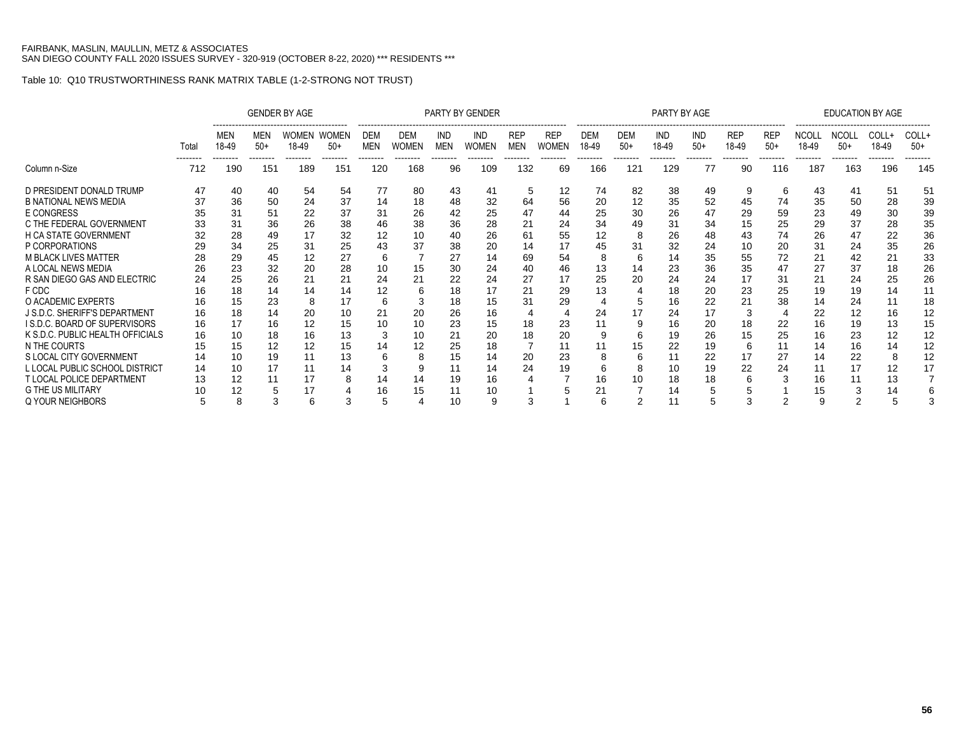|                                  |                 |              |              | <b>GENDER BY AGE</b> |                |                          |                            |                   | PARTY BY GENDER     |                          |                            |                     |                         | PARTY BY AGE        |                     |                         |                     |                       | <b>EDUCATION BY AGE</b> |                 |                |
|----------------------------------|-----------------|--------------|--------------|----------------------|----------------|--------------------------|----------------------------|-------------------|---------------------|--------------------------|----------------------------|---------------------|-------------------------|---------------------|---------------------|-------------------------|---------------------|-----------------------|-------------------------|-----------------|----------------|
|                                  | Total           | MEN<br>18-49 | MEN<br>$50+$ | WOMEN<br>18-49       | WOMEN<br>$50+$ | <b>DEM</b><br><b>MEN</b> | <b>DEM</b><br><b>WOMEN</b> | IND<br><b>MEN</b> | IND<br><b>WOMEN</b> | <b>REP</b><br><b>MEN</b> | <b>REP</b><br><b>WOMEN</b> | <b>DEM</b><br>18-49 | <br><b>DEM</b><br>$50+$ | <b>IND</b><br>18-49 | <b>IND</b><br>$50+$ | <br><b>REP</b><br>18-49 | <b>REP</b><br>$50+$ | <b>NCOLL</b><br>18-49 | <b>NCOLL</b><br>$50+$   | COLL+<br>18-49  | COLL+<br>$50+$ |
| Column n-Size                    | --------<br>712 | 190          | 151          | 189                  | 151            | --------<br>120          | 168                        | 96                | 109                 | 132                      | 69                         | 166                 | 121                     | 129                 | 77                  | 90                      | 116                 | 187                   | 163                     | --------<br>196 | 145            |
| D PRESIDENT DONALD TRUMP         | 47              | 40           | 40           | 54                   | 54             | 77                       | 80                         | 43                | 41                  | 5                        | 12                         | 74                  | 82                      | 38                  | 49                  | 9                       | 6                   | 43                    | 41                      | 51              | 51             |
| <b>B NATIONAL NEWS MEDIA</b>     | 37              | 36           | 50           | 24                   | 37             | 14                       | 18                         | 48                | 32                  | 64                       | 56                         | 20                  | 12                      | 35                  | 52                  | 45                      | 74                  | 35                    | 50                      | 28              | 39             |
| <b>E CONGRESS</b>                | 35              | 31           | 51           | 22                   | 37             | 31                       | 26                         | 42                | 25                  | 47                       | 44                         | 25                  | 30                      | 26                  | 47                  | 29                      | 59                  | 23                    | 49                      | 30              | 39             |
| C THE FEDERAL GOVERNMENT         | 33              | 31           | 36           | 26                   | 38             | 46                       | 38                         | 36                | 28                  | 21                       | 24                         | 34                  | 49                      | 31                  | 34                  | 15                      | 25                  | 29                    | 37                      | 28              | 35             |
| <b>H CA STATE GOVERNMENT</b>     |                 | 28           | 49           | 17                   | 32             | 12                       | 10                         |                   | 26                  | 61                       | 55                         | 12                  | 8                       | 26                  | 48                  | 43                      | 74                  | 26                    | 47                      | 22              | 36             |
| P CORPORATIONS                   | 29              | 34           | 25           | 31                   | 25             | 43                       | 37                         | 38                | 20                  | 14                       | 17                         | 45                  | 31                      | 32                  | 24                  | 10                      | 20                  | 31                    | 24                      | 35              | 26             |
| <b>M BLACK LIVES MATTER</b>      | 28              | 29           | 45           | 12                   | 27             | 6                        |                            | 27                | 14                  | 69                       | 54                         | 8                   | 6                       | 14                  | 35                  | 55                      | 72                  | 21                    | 42                      | 21              | 33             |
| A LOCAL NEWS MEDIA               | 26              | 23           | 32           | 20                   | 28             |                          | 15                         | 30                | 24                  |                          | 46                         | 13                  | 14                      | 23                  | 36                  | 35                      | 47                  | 27                    | 37                      | 18              | 26             |
| R SAN DIEGO GAS AND ELECTRIC     | 24              | 25           | 26           | 21                   | 21             | 24                       | 21                         | 22                | 24                  | 27                       | 17                         | 25                  | 20                      | 24                  | 24                  |                         | 31                  | 21                    | 24                      | 25              | 26             |
| F CDC                            | 16              | 18           | 14           | 14                   | 14             | 12                       |                            | 18                | 17                  | 21                       | 29                         | 13                  |                         | 18                  | 20                  | 23                      | 25                  | 19                    | 19                      | 14              | 11             |
| O ACADEMIC EXPERTS               | 16              | 15           | 23           | 8                    | 17             | 6                        |                            | 18                | 15                  | 31                       | 29                         |                     |                         | 16                  | 22                  |                         | 38                  | 14                    | 24                      | 11              | 18             |
| J S.D.C. SHERIFF'S DEPARTMENT    | 16              | 18           | 14           | 20                   | 10             | 21                       | 20                         | 26                | 16                  |                          |                            | 24                  |                         | 24                  | 17                  |                         |                     | 22                    | 12                      | 16              | 12             |
| I S.D.C. BOARD OF SUPERVISORS    | 16              | 17           | 16           | 12                   | 15             |                          | 10                         | 23                | 15                  | 18                       | 23                         |                     | 9                       | 16                  | 20                  | 18                      | 22                  | 16                    | 19                      | 13              | 15             |
| K S.D.C. PUBLIC HEALTH OFFICIALS | 16              | 10           | 18           | 16                   | 13             |                          | 10                         | 21                | 20                  | 18                       | 20                         | g                   | 6                       | 19                  | 26                  | 15                      | 25                  | 16                    | 23                      | 12              | 12             |
| N THE COURTS                     | 15              | 15           | 12           | 12                   | 15             |                          | 12                         | 25                | 18                  |                          |                            |                     | 15                      | 22                  | 19                  | 6                       | 11                  | 14                    | 16                      | 14              | 12             |
| S LOCAL CITY GOVERNMENT          | 14              | 10           | 19           | 11                   | 13             |                          |                            | 15                | 14                  | 20                       | 23                         | 8                   | h                       |                     | 22                  |                         | 27                  | 14                    | 22                      | 8               | 12             |
| L LOCAL PUBLIC SCHOOL DISTRICT   | 14              | 10           | 17           | 11                   | 14             | 3                        |                            | 11                | 14                  | 24                       | 19                         | 6                   | 8                       | 10                  | 19                  | 22                      | 24                  | 11                    | 17                      | 12              | 17             |
| <b>T LOCAL POLICE DEPARTMENT</b> | 13              | 12           | 11           | 17                   |                | 14                       | 14                         | 19                | 16                  |                          |                            | 16                  | 10                      | 18                  | 18                  |                         |                     | 16                    | 11                      | 13              |                |
| <b>G THE US MILITARY</b>         | 10              |              |              | 17                   |                | 16                       | 15                         |                   | 10                  |                          |                            | 21                  |                         | 14                  |                     |                         |                     | 15                    |                         | 14              |                |
| <b>Q YOUR NEIGHBORS</b>          |                 | 8            |              | 6                    |                |                          |                            | 10                | 9                   | 3                        |                            | 6                   |                         | 11                  |                     |                         |                     |                       |                         |                 |                |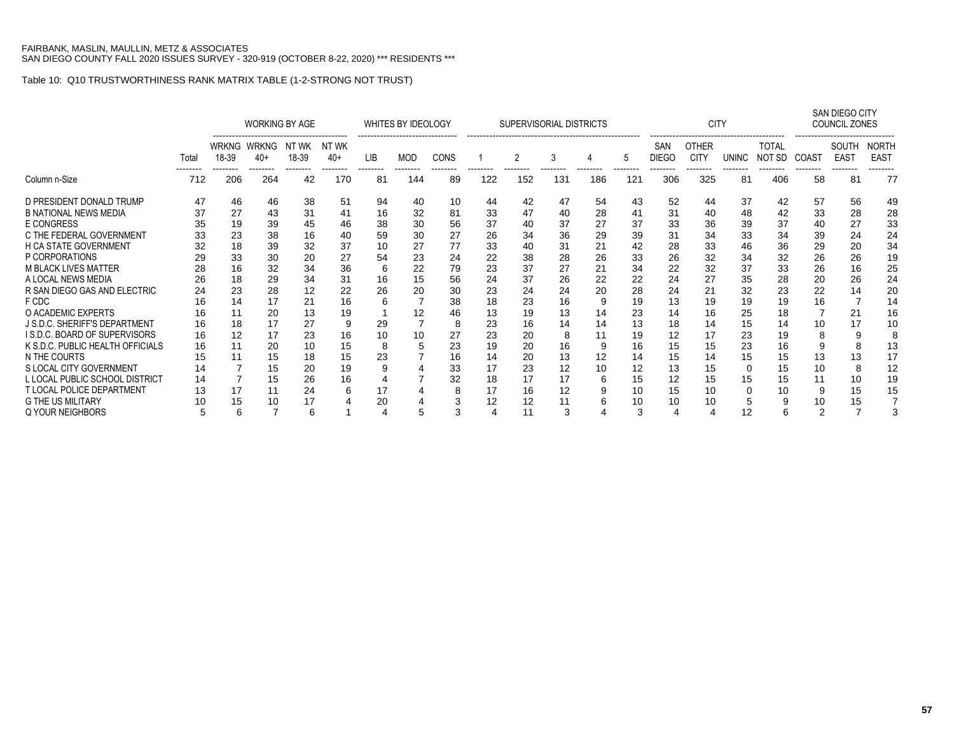|                                  |       |                | <b>WORKING BY AGE</b> |                |                 |                | WHITES BY IDEOLOGY |      |     | SUPERVISORIAL DISTRICTS |     |     |     |                     | <b>CITY</b>                 |                |                        |                | <b>SAN DIEGO CITY</b><br>COUNCIL ZONES |                             |
|----------------------------------|-------|----------------|-----------------------|----------------|-----------------|----------------|--------------------|------|-----|-------------------------|-----|-----|-----|---------------------|-----------------------------|----------------|------------------------|----------------|----------------------------------------|-----------------------------|
|                                  | Total | WRKNG<br>18-39 | <b>WRKNG</b><br>$40+$ | NT WK<br>18-39 | NT WK<br>$40+$  | <b>LIB</b>     | MOD                | CONS |     | 2                       | 3   |     | 5   | SAN<br><b>DIEGO</b> | <b>OTHER</b><br><b>CITY</b> | <b>UNINC</b>   | <b>TOTAL</b><br>NOT SD | COAST          | SOUTH<br><b>EAST</b>                   | <b>NORTH</b><br><b>EAST</b> |
| Column n-Size                    | 712   | 206            | .<br>264              | --------<br>42 | --------<br>170 | --------<br>81 | --------<br>144    | 89   | 122 | 152                     | 131 | 186 | 121 | 306                 | 325                         | --------<br>81 | --------<br>406        | --------<br>58 | --------<br>81                         | 77                          |
| D PRESIDENT DONALD TRUMP         | 47    | 46             | 46                    | 38             | 51              | 94             | 40                 | 10   | 44  | 42                      | 47  | 54  | 43  | 52                  | 44                          | 37             | 42                     | 57             | 56                                     | 49                          |
| <b>B NATIONAL NEWS MEDIA</b>     | 37    | 27             | 43                    | 31             | 41              | 16             | 32                 | 81   | 33  | 47                      | 40  | 28  | 41  | 31                  | 40                          | 48             | 42                     | 33             | 28                                     | 28                          |
| E CONGRESS                       | 35    | 19             | 39                    | 45             | 46              | 38             | 30                 | 56   | 37  | 40                      | 37  | 27  | 37  | 33                  | 36                          | 39             | 37                     | 40             | 27                                     | 33                          |
| C THE FEDERAL GOVERNMENT         | 33    | 23             | 38                    | 16             | 40              | 59             | 30                 | 27   | 26  | 34                      | 36  | 29  | 39  | 31                  | 34                          | 33             | 34                     | 39             | 24                                     | 24                          |
| H CA STATE GOVERNMENT            | 32    | 18             | 39                    | 32             | 37              | 10             | 27                 | 77   | 33  | 40                      | 31  | 21  | 42  | 28                  | 33                          | 46             | 36                     | 29             | 20                                     | 34                          |
| P CORPORATIONS                   | 29    | 33             | 30                    | 20             | 27              | 54             | 23                 | 24   | 22  | 38                      | 28  | 26  | 33  | 26                  | 32                          | 34             | 32                     | 26             | 26                                     | 19                          |
| <b>M BLACK LIVES MATTER</b>      | 28    | 16             | 32                    | 34             | 36              | 6              | 22                 | 79   | 23  | 37                      | 27  | 21  | 34  | 22                  | 32                          | 37             | 33                     | 26             | 16                                     | 25                          |
| A LOCAL NEWS MEDIA               | 26    | 18             | 29                    | 34             | 31              | 16             | 15                 | 56   | 24  | 37                      | 26  | 22  | 22  | 24                  | 27                          | 35             | 28                     | 20             | 26                                     | 24                          |
| R SAN DIEGO GAS AND ELECTRIC     | 24    | 23             | 28                    | 12             | 22              | 26             | 20                 | 30   | 23  | 24                      | 24  | 20  | 28  | 24                  | 21                          | 32             | 23                     | 22             | 14                                     | 20                          |
| F CDC                            |       | 14             | 17                    | 21             | 16              | 6              |                    | 38   | 18  | 23                      | 16  | 9   | 19  | 13                  | 19                          | 19             | 19                     | 16             |                                        | 14                          |
| O ACADEMIC EXPERTS               | 16    | 11             | 20                    | 13             | 19              |                | 12                 | 46   | 13  | 19                      | 13  | 14  | 23  | 14                  | 16                          | 25             | 18                     |                | 21                                     | 16                          |
| J S.D.C. SHERIFF'S DEPARTMENT    |       | 18             | 17                    | 27             | 9               | 29             | $\overline{7}$     | 8    | 23  | 16                      | 14  | 14  | 13  | 18                  | 14                          | 15             | 14                     | 10             | 17                                     | 10                          |
| I S.D.C. BOARD OF SUPERVISORS    | 16    | 12             | 17                    | 23             | 16              | 10             | 10                 | 27   | 23  | 20                      | 8   |     | 19  | 12                  | 17                          | 23             | 19                     | 8              |                                        | 8                           |
| K S.D.C. PUBLIC HEALTH OFFICIALS | 16    | 11             | 20                    | 10             | 15              | 8              | 5                  | 23   | 19  | 20                      | 16  | 9   | 16  | 15                  | 15                          | 23             | 16                     | 9              |                                        | 13                          |
| N THE COURTS                     |       | 11             | 15                    | 18             | 15              | 23             |                    | 16   | 14  | 20                      | 13  | 12  | 14  | 15                  | 14                          | 15             | 15                     | 13             | 13                                     | 17                          |
| S LOCAL CITY GOVERNMENT          | 14    |                | 15                    | 20             | 19              | 9              |                    | 33   | 17  | 23                      | 12  | 10  | 12  | 13                  | 15                          | $\Omega$       | 15                     | 10             |                                        | 12                          |
| L LOCAL PUBLIC SCHOOL DISTRICT   | 14    |                | 15                    | 26             | 16              |                |                    | 32   | 18  | 17                      | 17  | 6   | 15  | 12                  | 15                          | 15             | 15                     | 11             | 10                                     | 19                          |
| <b>T LOCAL POLICE DEPARTMENT</b> |       | 17             |                       | 24             | 6               | 17             |                    | 8    | 17  | 16                      | 12  |     | 10  | 15                  | 10                          | 0              | 10                     | 9              | 15                                     | 15                          |
| <b>G THE US MILITARY</b>         |       | 15             | 10                    | 17             |                 | 20             |                    | 3    | 12  | 12                      | 11  |     | 10  | 10                  | 10                          | 5              |                        | 10             | 15                                     |                             |
| Q YOUR NEIGHBORS                 |       |                | 6<br>7<br>6           |                |                 |                |                    | 3    |     | 11                      | 3   |     | 3   |                     |                             | 12             | 6                      | 2              |                                        |                             |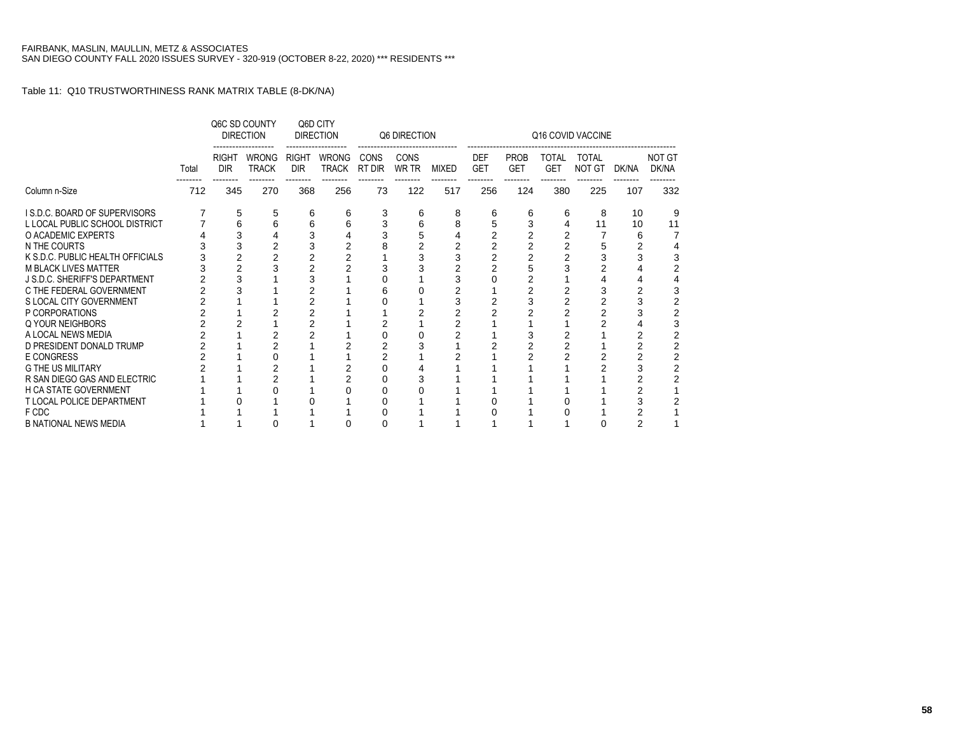|                                  |       |                            | Q6C SD COUNTY<br><b>DIRECTION</b> |                            | Q6D CITY<br><b>DIRECTION</b> |                       | Q6 DIRECTION         |              |                          |                           |                            | Q16 COVID VACCINE             |       |                        |
|----------------------------------|-------|----------------------------|-----------------------------------|----------------------------|------------------------------|-----------------------|----------------------|--------------|--------------------------|---------------------------|----------------------------|-------------------------------|-------|------------------------|
|                                  | Total | <b>RIGHT</b><br><b>DIR</b> | <b>WRONG</b><br><b>TRACK</b>      | <b>RIGHT</b><br><b>DIR</b> | <b>WRONG</b><br><b>TRACK</b> | <b>CONS</b><br>RT DIR | <b>CONS</b><br>WR TR | <b>MIXED</b> | <b>DEF</b><br><b>GET</b> | <b>PROB</b><br><b>GET</b> | <b>TOTAL</b><br><b>GET</b> | <b>TOTAL</b><br><b>NOT GT</b> | DK/NA | <b>NOT GT</b><br>DK/NA |
| Column n-Size                    | 712   | 345                        | 270                               | 368                        | 256                          | 73                    | 122                  | 517          | 256                      | 124                       | 380                        | 225                           | 107   | 332                    |
| I S.D.C. BOARD OF SUPERVISORS    |       | 5                          | 5                                 | 6                          | 6                            | 3                     | 6                    | 8            | 6                        | 6                         | 6                          | 8                             | 10    | 9                      |
| L LOCAL PUBLIC SCHOOL DISTRICT   |       | 6                          | 6                                 | 6                          | 6                            |                       |                      | 8            |                          |                           |                            | 11                            | 10    | 11                     |
| O ACADEMIC EXPERTS               |       | 3                          |                                   | 3                          |                              |                       |                      |              |                          |                           |                            |                               | 6     |                        |
| N THE COURTS                     |       | 3                          |                                   |                            |                              |                       |                      |              |                          |                           |                            | 5                             |       |                        |
| K S.D.C. PUBLIC HEALTH OFFICIALS |       | $\overline{2}$             |                                   |                            |                              |                       |                      |              |                          |                           |                            | 3                             |       |                        |
| <b>M BLACK LIVES MATTER</b>      |       | 2                          |                                   |                            |                              |                       |                      |              |                          |                           |                            |                               |       |                        |
| J S.D.C. SHERIFF'S DEPARTMENT    |       |                            |                                   |                            |                              |                       |                      |              |                          |                           |                            |                               |       |                        |
| C THE FEDERAL GOVERNMENT         |       |                            |                                   |                            |                              | 6                     |                      |              |                          |                           |                            | 3                             |       |                        |
| S LOCAL CITY GOVERNMENT          |       |                            |                                   | 2                          |                              |                       |                      |              |                          |                           |                            |                               |       |                        |
| P CORPORATIONS                   |       |                            |                                   |                            |                              |                       |                      |              |                          |                           |                            |                               |       |                        |
| Q YOUR NEIGHBORS                 |       |                            |                                   |                            |                              |                       |                      |              |                          |                           |                            |                               |       |                        |
| A LOCAL NEWS MEDIA               |       |                            |                                   |                            |                              |                       |                      |              |                          |                           |                            |                               |       |                        |
| D PRESIDENT DONALD TRUMP         |       |                            |                                   |                            |                              |                       |                      |              |                          |                           |                            |                               |       |                        |
| E CONGRESS                       |       |                            |                                   |                            |                              |                       |                      |              |                          |                           |                            |                               |       |                        |
| <b>G THE US MILITARY</b>         |       |                            |                                   |                            |                              |                       |                      |              |                          |                           |                            |                               |       |                        |
| R SAN DIEGO GAS AND ELECTRIC     |       |                            |                                   |                            |                              |                       |                      |              |                          |                           |                            |                               |       |                        |
| <b>H CA STATE GOVERNMENT</b>     |       |                            |                                   |                            |                              | Ω                     |                      |              |                          |                           |                            |                               |       |                        |
| <b>T LOCAL POLICE DEPARTMENT</b> |       |                            |                                   |                            |                              |                       |                      |              |                          |                           |                            |                               |       |                        |
| F CDC                            |       |                            |                                   |                            |                              |                       |                      |              |                          |                           |                            |                               |       |                        |
| <b>B NATIONAL NEWS MEDIA</b>     |       |                            |                                   |                            |                              | 0                     |                      |              |                          |                           |                            |                               | 2     |                        |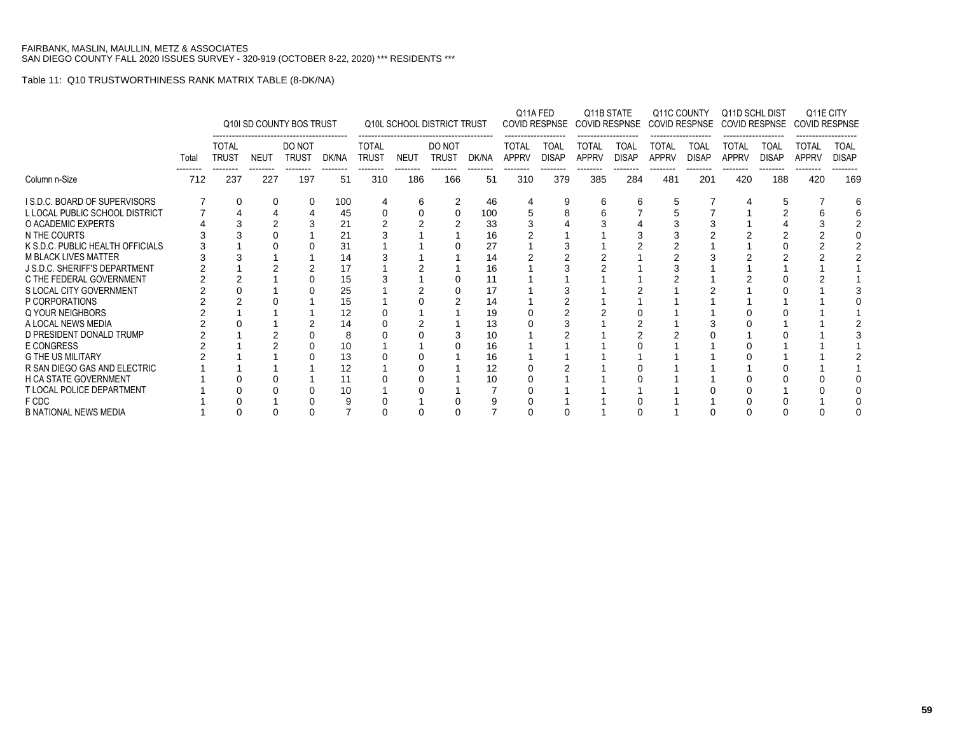|                                  |       |                              |             | Q10I SD COUNTY BOS TRUST |       |                              |             | <b>Q10L SCHOOL DISTRICT TRUST</b> |       | Q11A FED                     |                             | COVID RESPNSE COVID RESPNSE  | Q11B STATE                  |                              | Q11C COUNTY                 | Q11D SCHL DIST<br>COVID RESPNSE COVID RESPNSE |                             | Q11E CITY<br><b>COVID RESPNSE</b> |                             |
|----------------------------------|-------|------------------------------|-------------|--------------------------|-------|------------------------------|-------------|-----------------------------------|-------|------------------------------|-----------------------------|------------------------------|-----------------------------|------------------------------|-----------------------------|-----------------------------------------------|-----------------------------|-----------------------------------|-----------------------------|
|                                  | Total | <b>TOTAL</b><br><b>TRUST</b> | <b>NEUT</b> | DO NOT<br><b>TRUST</b>   | DK/NA | <b>TOTAL</b><br><b>TRUST</b> | <b>NEUT</b> | DO NOT<br><b>TRUST</b>            | DK/NA | <b>TOTAL</b><br><b>APPRV</b> | <b>TOAL</b><br><b>DISAP</b> | <b>TOTAL</b><br><b>APPRV</b> | <b>TOAL</b><br><b>DISAP</b> | <b>TOTAL</b><br><b>APPRV</b> | <b>TOAL</b><br><b>DISAP</b> | TOTAL<br><b>APPRV</b>                         | <b>TOAL</b><br><b>DISAP</b> | <b>TOTAL</b><br><b>APPRV</b>      | <b>TOAL</b><br><b>DISAP</b> |
| Column n-Size                    | 712   | 237                          | 227         | 197                      | 51    | 310                          | 186         | 166                               | 51    | 310                          | 379                         | 385                          | 284                         | 481                          | 201                         | 420                                           | 188                         | 420                               | 169                         |
| I S.D.C. BOARD OF SUPERVISORS    |       |                              | 0           | 0                        | 100   |                              | 6           |                                   | 46    |                              | 9                           | 6                            |                             |                              |                             |                                               |                             |                                   |                             |
| L LOCAL PUBLIC SCHOOL DISTRICT   |       |                              |             |                          | 45    |                              |             |                                   | 100   |                              |                             |                              |                             |                              |                             |                                               |                             |                                   |                             |
| O ACADEMIC EXPERTS               |       |                              |             |                          | 21    |                              |             |                                   | 33    |                              |                             |                              |                             |                              |                             |                                               |                             |                                   |                             |
| N THE COURTS                     |       |                              |             |                          | 21    |                              |             |                                   | 16    |                              |                             |                              |                             |                              |                             |                                               |                             |                                   |                             |
| K S.D.C. PUBLIC HEALTH OFFICIALS |       |                              |             |                          | 31    |                              |             |                                   | 27    |                              |                             |                              |                             |                              |                             |                                               |                             |                                   |                             |
| <b>M BLACK LIVES MATTER</b>      |       |                              |             |                          | 14    |                              |             |                                   | 14    |                              |                             |                              |                             |                              |                             |                                               |                             |                                   |                             |
| J S.D.C. SHERIFF'S DEPARTMENT    |       |                              |             |                          |       |                              |             |                                   | 16    |                              |                             |                              |                             |                              |                             |                                               |                             |                                   |                             |
| C THE FEDERAL GOVERNMENT         |       |                              |             |                          | 15    |                              |             |                                   | 11    |                              |                             |                              |                             |                              |                             |                                               |                             |                                   |                             |
| S LOCAL CITY GOVERNMENT          |       |                              |             |                          | 25    |                              |             |                                   | 17    |                              |                             |                              |                             |                              |                             |                                               |                             |                                   |                             |
| P CORPORATIONS                   |       |                              |             |                          | 15    |                              |             |                                   | 14    |                              |                             |                              |                             |                              |                             |                                               |                             |                                   |                             |
| Q YOUR NEIGHBORS                 |       |                              |             |                          | 12    |                              |             |                                   | 19    |                              |                             |                              |                             |                              |                             |                                               |                             |                                   |                             |
| A LOCAL NEWS MEDIA               |       |                              |             |                          | 14    |                              |             |                                   | 13    |                              |                             |                              |                             |                              |                             |                                               |                             |                                   |                             |
| D PRESIDENT DONALD TRUMP         |       |                              |             |                          | 8     |                              |             |                                   | 10    |                              |                             |                              |                             |                              |                             |                                               |                             |                                   |                             |
| E CONGRESS                       |       |                              |             |                          | 10    |                              |             |                                   | 16    |                              |                             |                              |                             |                              |                             |                                               |                             |                                   |                             |
| <b>G THE US MILITARY</b>         |       |                              |             |                          | 13    |                              |             |                                   | 16    |                              |                             |                              |                             |                              |                             |                                               |                             |                                   |                             |
| R SAN DIEGO GAS AND ELECTRIC     |       |                              |             |                          | 12    |                              |             |                                   | 12    |                              |                             |                              |                             |                              |                             |                                               |                             |                                   |                             |
| <b>H CA STATE GOVERNMENT</b>     |       |                              |             |                          | 11    |                              |             |                                   | 10    |                              |                             |                              |                             |                              |                             |                                               |                             |                                   |                             |
| T LOCAL POLICE DEPARTMENT        |       |                              | 10          |                          |       |                              |             |                                   |       |                              |                             |                              |                             |                              |                             |                                               |                             |                                   |                             |
| F CDC                            |       |                              |             |                          |       |                              |             |                                   |       |                              |                             |                              |                             |                              |                             |                                               |                             |                                   |                             |
| <b>B NATIONAL NEWS MEDIA</b>     |       |                              |             |                          |       |                              |             |                                   |       |                              |                             |                              |                             |                              |                             |                                               |                             |                                   |                             |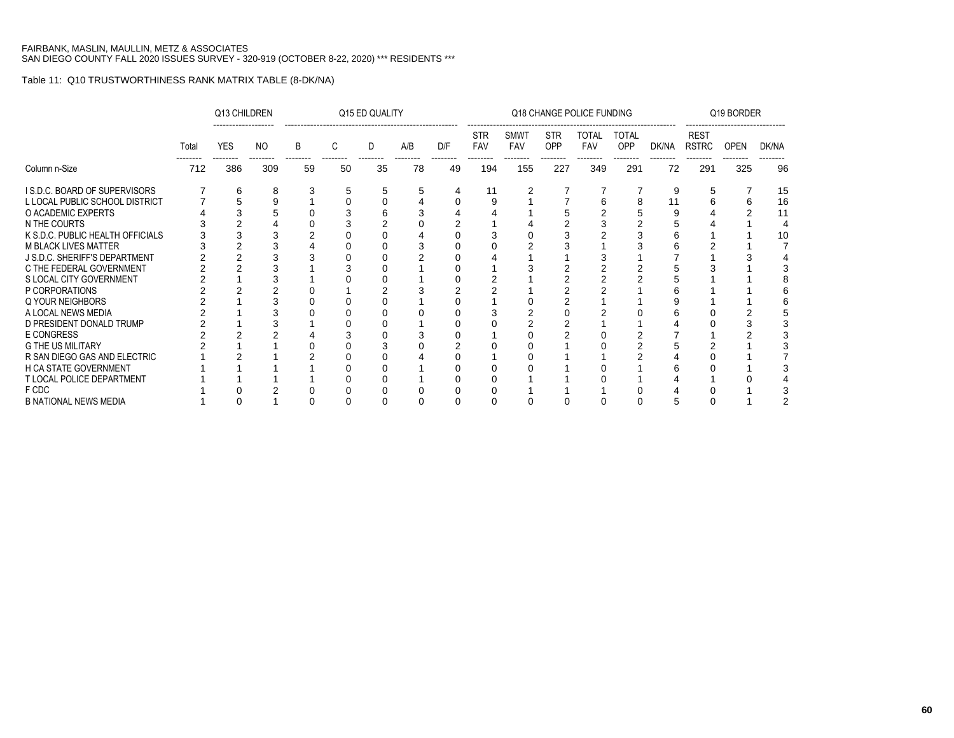|                                  |       | Q13 CHILDREN |           |    |    | Q15 ED QUALITY |     |     |                   |                    |                          | Q18 CHANGE POLICE FUNDING              |                            |       |                             | Q19 BORDER |       |
|----------------------------------|-------|--------------|-----------|----|----|----------------|-----|-----|-------------------|--------------------|--------------------------|----------------------------------------|----------------------------|-------|-----------------------------|------------|-------|
|                                  | Total | <b>YES</b>   | <b>NO</b> | B  | C  | D              | A/B | D/F | <b>STR</b><br>FAV | <b>SMWT</b><br>FAV | <b>STR</b><br><b>OPP</b> | <b>TOTAL</b><br><b>FAV</b><br>-------- | <b>TOTAL</b><br><b>OPP</b> | DK/NA | <b>REST</b><br><b>RSTRC</b> | OPEN       | DK/NA |
| Column n-Size                    | 712   | 386          | 309       | 59 | 50 | 35             | 78  | 49  | 194               | 155                | 227                      | 349                                    | 291                        | 72    | 291                         | 325        | 96    |
| I S.D.C. BOARD OF SUPERVISORS    |       | 6            | 8         |    | 5  | 5              | 5   | 4   | 11                | 2                  |                          | 7                                      |                            | 9     | 5                           |            | 15    |
| L LOCAL PUBLIC SCHOOL DISTRICT   |       | 5            | 9         |    |    |                |     |     | c                 |                    |                          |                                        | 8                          |       |                             | 6          | 16    |
| O ACADEMIC EXPERTS               |       |              |           |    |    |                |     |     |                   |                    |                          |                                        |                            |       |                             |            | 11    |
| N THE COURTS                     |       |              |           |    |    |                |     |     |                   |                    |                          |                                        |                            |       |                             |            |       |
| K S.D.C. PUBLIC HEALTH OFFICIALS |       |              |           |    |    |                |     |     |                   |                    |                          |                                        |                            |       |                             |            | 10    |
| <b>M BLACK LIVES MATTER</b>      |       |              |           |    |    |                |     |     |                   |                    |                          |                                        |                            |       |                             |            |       |
| J S.D.C. SHERIFF'S DEPARTMENT    |       |              |           |    |    |                |     |     |                   |                    |                          |                                        |                            |       |                             |            |       |
| C THE FEDERAL GOVERNMENT         |       |              |           |    |    |                |     |     |                   |                    |                          |                                        |                            |       |                             |            |       |
| S LOCAL CITY GOVERNMENT          |       |              |           |    |    |                |     |     |                   |                    |                          |                                        |                            |       |                             |            |       |
| P CORPORATIONS                   |       |              |           |    |    |                |     |     |                   |                    |                          |                                        |                            |       |                             |            |       |
| Q YOUR NEIGHBORS                 |       |              |           |    |    |                |     |     |                   |                    |                          |                                        |                            |       |                             |            |       |
| A LOCAL NEWS MEDIA               |       |              |           |    |    |                |     |     |                   |                    |                          |                                        |                            |       |                             |            |       |
| D PRESIDENT DONALD TRUMP         |       |              |           |    |    |                |     |     |                   |                    |                          |                                        |                            |       |                             |            |       |
| <b>E CONGRESS</b>                |       |              |           |    |    |                |     |     |                   |                    |                          |                                        |                            |       |                             |            |       |
| <b>G THE US MILITARY</b>         |       |              |           |    |    |                |     |     |                   |                    |                          |                                        |                            |       |                             |            |       |
| R SAN DIEGO GAS AND ELECTRIC     |       |              |           |    |    |                |     |     |                   |                    |                          |                                        |                            |       |                             |            |       |
| <b>H CA STATE GOVERNMENT</b>     |       |              |           |    |    |                |     |     |                   |                    |                          |                                        |                            |       |                             |            |       |
| <b>T LOCAL POLICE DEPARTMENT</b> |       |              |           |    |    |                |     |     |                   |                    |                          |                                        |                            |       |                             |            |       |
| F CDC                            |       |              |           |    |    |                |     |     |                   |                    |                          |                                        |                            |       |                             |            |       |
| <b>B NATIONAL NEWS MEDIA</b>     |       |              |           |    |    |                |     |     |                   |                    |                          |                                        |                            |       |                             |            |       |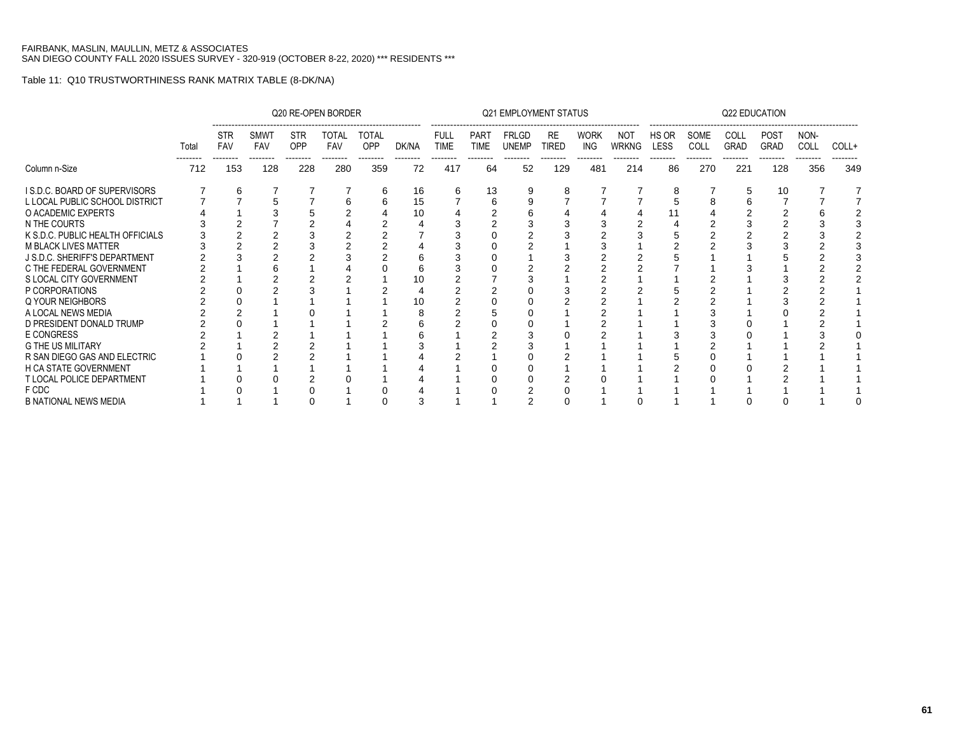|                                  |       |                                      |                                       |                               | Q20 RE-OPEN BORDER       |                                 |                   |                                        |                                        | <b>Q21 EMPLOYMENT STATUS</b> |                           |                                |                          |                                  |                          | <b>Q22 EDUCATION</b> |                                        |                          |       |
|----------------------------------|-------|--------------------------------------|---------------------------------------|-------------------------------|--------------------------|---------------------------------|-------------------|----------------------------------------|----------------------------------------|------------------------------|---------------------------|--------------------------------|--------------------------|----------------------------------|--------------------------|----------------------|----------------------------------------|--------------------------|-------|
|                                  | Total | <b>STR</b><br><b>FAV</b><br>-------- | <b>SMWT</b><br><b>FAV</b><br>-------- | <b>STR</b><br>OPP<br>-------- | TOTAL<br>FAV<br>-------- | <b>TOTAL</b><br>OPP<br>-------- | DK/NA<br>-------- | <b>FULL</b><br><b>TIME</b><br>-------- | <b>PART</b><br><b>TIME</b><br>-------- | <b>FRLGD</b><br><b>UNEMP</b> | <b>RE</b><br><b>TIRED</b> | <b>WORK</b><br>ING<br>-------- | NOT<br><b>WRKNG</b><br>. | HS OR<br><b>LESS</b><br>-------- | SOME<br>COLL<br>-------- | <b>COLL</b><br>GRAD  | <b>POST</b><br><b>GRAD</b><br>-------- | NON-<br>COLL<br>-------- | COLL+ |
| Column n-Size                    | 712   | 153                                  | 128                                   | 228                           | 280                      | 359                             | 72                | 417                                    | 64                                     | 52                           | 129                       | 481                            | 214                      | 86                               | 270                      | 221                  | 128                                    | 356                      | 349   |
| I S.D.C. BOARD OF SUPERVISORS    |       | 6                                    |                                       |                               |                          | 6                               | 16                | 6                                      | 13                                     |                              | 8                         |                                |                          | 8                                |                          | 5                    | 10                                     |                          |       |
| L LOCAL PUBLIC SCHOOL DISTRICT   |       |                                      |                                       |                               |                          |                                 | 15                |                                        | 6                                      |                              |                           |                                |                          |                                  |                          |                      |                                        |                          |       |
| O ACADEMIC EXPERTS               |       |                                      |                                       |                               |                          |                                 | 10                |                                        |                                        |                              |                           |                                |                          |                                  |                          |                      |                                        |                          |       |
| N THE COURTS                     |       |                                      |                                       |                               |                          |                                 |                   |                                        |                                        |                              |                           |                                |                          |                                  |                          |                      |                                        |                          |       |
| K S.D.C. PUBLIC HEALTH OFFICIALS |       |                                      |                                       |                               |                          |                                 |                   |                                        |                                        |                              |                           |                                |                          |                                  |                          |                      |                                        |                          |       |
| <b>M BLACK LIVES MATTER</b>      |       |                                      |                                       |                               |                          |                                 |                   |                                        |                                        |                              |                           |                                |                          |                                  |                          |                      |                                        |                          |       |
| J S.D.C. SHERIFF'S DEPARTMENT    |       |                                      |                                       |                               |                          |                                 |                   |                                        |                                        |                              |                           |                                |                          |                                  |                          |                      |                                        |                          |       |
| C THE FEDERAL GOVERNMENT         |       |                                      |                                       |                               |                          |                                 |                   |                                        |                                        |                              |                           |                                |                          |                                  |                          |                      |                                        |                          |       |
| S LOCAL CITY GOVERNMENT          |       |                                      |                                       |                               |                          |                                 |                   |                                        |                                        |                              |                           |                                |                          |                                  |                          |                      |                                        |                          |       |
| P CORPORATIONS                   |       |                                      |                                       |                               |                          |                                 |                   |                                        |                                        |                              |                           |                                |                          |                                  |                          |                      |                                        |                          |       |
| Q YOUR NEIGHBORS                 |       |                                      |                                       |                               |                          |                                 |                   |                                        |                                        |                              |                           |                                |                          |                                  |                          |                      |                                        |                          |       |
| A LOCAL NEWS MEDIA               |       |                                      |                                       |                               |                          |                                 |                   |                                        |                                        |                              |                           |                                |                          |                                  |                          |                      |                                        |                          |       |
| D PRESIDENT DONALD TRUMP         |       |                                      |                                       |                               |                          |                                 |                   |                                        |                                        |                              |                           |                                |                          |                                  |                          |                      |                                        |                          |       |
| <b>E CONGRESS</b>                |       |                                      |                                       |                               |                          |                                 |                   |                                        |                                        |                              |                           |                                |                          |                                  |                          |                      |                                        |                          |       |
| <b>G THE US MILITARY</b>         |       |                                      |                                       |                               |                          |                                 |                   |                                        |                                        |                              |                           |                                |                          |                                  |                          |                      |                                        |                          |       |
| R SAN DIEGO GAS AND ELECTRIC     |       |                                      |                                       |                               |                          |                                 |                   |                                        |                                        |                              |                           |                                |                          |                                  |                          |                      |                                        |                          |       |
| <b>H CA STATE GOVERNMENT</b>     |       |                                      |                                       |                               |                          |                                 |                   |                                        |                                        |                              |                           |                                |                          |                                  |                          |                      |                                        |                          |       |
| T LOCAL POLICE DEPARTMENT        |       |                                      |                                       |                               |                          |                                 |                   |                                        |                                        |                              |                           |                                |                          |                                  |                          |                      |                                        |                          |       |
| F CDC                            |       |                                      |                                       |                               |                          |                                 |                   |                                        |                                        |                              |                           |                                |                          |                                  |                          |                      |                                        |                          |       |
| <b>B NATIONAL NEWS MEDIA</b>     |       |                                      |                                       |                               |                          |                                 | 3                 |                                        |                                        |                              |                           |                                |                          |                                  |                          |                      |                                        |                          |       |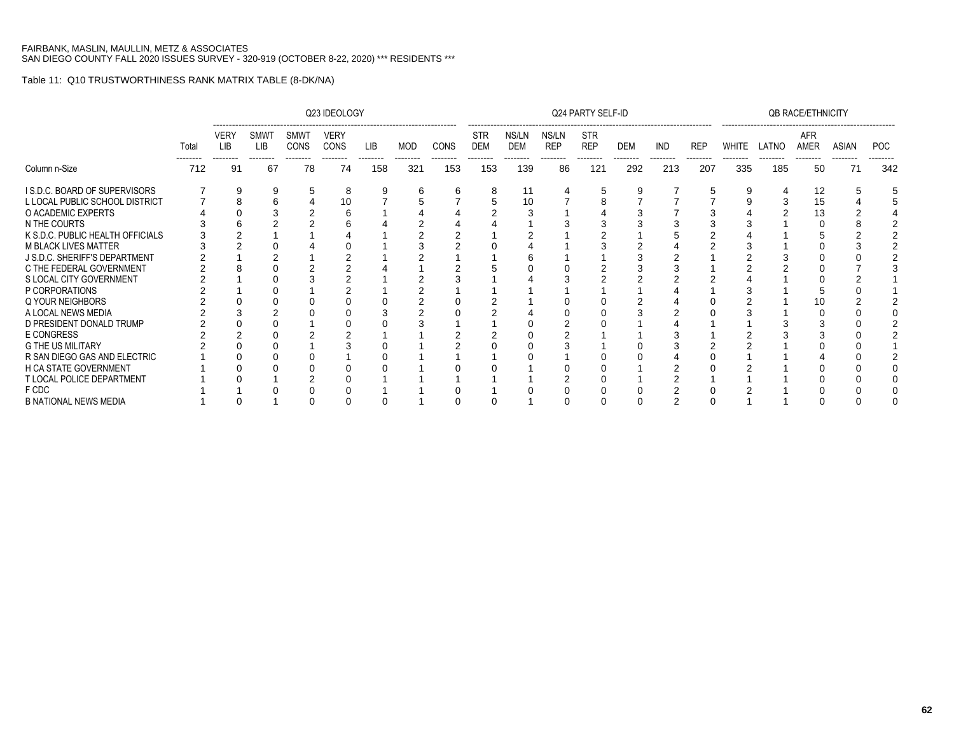|                                  |       |                                |                                       |                                        | Q23 IDEOLOGY                           |                 |                 |                 |                                      |                                 |                                 | Q24 PARTY SELF-ID                    |                 |                        |                 |                   |       | <b>QB RACE/ETHNICITY</b> |                   |                        |
|----------------------------------|-------|--------------------------------|---------------------------------------|----------------------------------------|----------------------------------------|-----------------|-----------------|-----------------|--------------------------------------|---------------------------------|---------------------------------|--------------------------------------|-----------------|------------------------|-----------------|-------------------|-------|--------------------------|-------------------|------------------------|
|                                  | Total | <b>VERY</b><br>LIB<br>-------- | <b>SMWT</b><br><b>LIB</b><br>-------- | <b>SMWT</b><br><b>CONS</b><br>-------- | <b>VERY</b><br><b>CONS</b><br>-------- | LIB<br>-------- | MOD<br>-------- | CONS<br>------- | <b>STR</b><br><b>DEM</b><br>-------- | NS/LN<br><b>DEM</b><br>-------- | NS/LN<br><b>REP</b><br>-------- | <b>STR</b><br><b>REP</b><br>-------- | DEM<br>-------- | <b>IND</b><br>-------- | REP<br>-------- | WHITE<br>-------- | LATNO | AFR<br>AMER<br>--------  | ASIAN<br>-------- | <b>POC</b><br>-------- |
| Column n-Size                    | 712   | 91                             | 67                                    | 78                                     | 74                                     | 158             | 321             | 153             | 153                                  | 139                             | 86                              | 121                                  | 292             | 213                    | 207             | 335               | 185   | 50                       | 71                | 342                    |
| I S.D.C. BOARD OF SUPERVISORS    |       | 9                              |                                       |                                        | 8                                      |                 | h               |                 | 8                                    |                                 |                                 |                                      |                 |                        |                 |                   |       | 12                       |                   |                        |
| L LOCAL PUBLIC SCHOOL DISTRICT   |       | 8                              |                                       |                                        | 10                                     |                 |                 |                 |                                      | 10                              |                                 |                                      |                 |                        |                 |                   |       | 15                       |                   |                        |
| O ACADEMIC EXPERTS               |       |                                |                                       |                                        |                                        |                 |                 |                 |                                      |                                 |                                 |                                      |                 |                        |                 |                   |       | 13                       |                   |                        |
| N THE COURTS                     |       |                                |                                       |                                        |                                        |                 |                 |                 |                                      |                                 |                                 |                                      |                 |                        |                 |                   |       |                          |                   |                        |
| K S.D.C. PUBLIC HEALTH OFFICIALS |       |                                |                                       |                                        |                                        |                 |                 |                 |                                      |                                 |                                 |                                      |                 |                        |                 |                   |       |                          |                   |                        |
| <b>M BLACK LIVES MATTER</b>      |       |                                |                                       |                                        |                                        |                 |                 |                 |                                      |                                 |                                 |                                      |                 |                        |                 |                   |       |                          |                   |                        |
| J S.D.C. SHERIFF'S DEPARTMENT    |       |                                |                                       |                                        |                                        |                 |                 |                 |                                      |                                 |                                 |                                      |                 |                        |                 |                   |       |                          |                   |                        |
| C THE FEDERAL GOVERNMENT         |       |                                |                                       |                                        |                                        |                 |                 |                 |                                      |                                 |                                 |                                      |                 |                        |                 |                   |       |                          |                   |                        |
| S LOCAL CITY GOVERNMENT          |       |                                |                                       |                                        |                                        |                 |                 |                 |                                      |                                 |                                 |                                      |                 |                        |                 |                   |       |                          |                   |                        |
| P CORPORATIONS                   |       |                                |                                       |                                        |                                        |                 |                 |                 |                                      |                                 |                                 |                                      |                 |                        |                 |                   |       |                          |                   |                        |
| Q YOUR NEIGHBORS                 |       |                                |                                       |                                        |                                        |                 |                 |                 |                                      |                                 |                                 |                                      |                 |                        |                 |                   |       | 10                       |                   |                        |
| A LOCAL NEWS MEDIA               |       |                                |                                       |                                        |                                        |                 |                 |                 |                                      |                                 |                                 |                                      |                 |                        |                 |                   |       |                          |                   |                        |
| D PRESIDENT DONALD TRUMP         |       |                                |                                       |                                        |                                        |                 |                 |                 |                                      |                                 |                                 |                                      |                 |                        |                 |                   |       |                          |                   |                        |
| <b>E CONGRESS</b>                |       |                                |                                       |                                        |                                        |                 |                 |                 |                                      |                                 |                                 |                                      |                 |                        |                 |                   |       |                          |                   |                        |
| <b>G THE US MILITARY</b>         |       |                                |                                       |                                        |                                        |                 |                 |                 |                                      |                                 |                                 |                                      |                 |                        |                 |                   |       |                          |                   |                        |
| R SAN DIEGO GAS AND ELECTRIC     |       |                                |                                       |                                        |                                        |                 |                 |                 |                                      |                                 |                                 |                                      |                 |                        |                 |                   |       |                          |                   |                        |
| <b>H CA STATE GOVERNMENT</b>     |       |                                |                                       |                                        |                                        |                 |                 |                 |                                      |                                 |                                 |                                      |                 |                        |                 |                   |       |                          |                   |                        |
| T LOCAL POLICE DEPARTMENT        |       |                                |                                       |                                        |                                        |                 |                 |                 |                                      |                                 |                                 |                                      |                 |                        |                 |                   |       |                          |                   |                        |
| F CDC                            |       |                                |                                       |                                        |                                        |                 |                 |                 |                                      |                                 |                                 |                                      |                 |                        |                 |                   |       |                          |                   |                        |
| <b>B NATIONAL NEWS MEDIA</b>     |       |                                |                                       |                                        |                                        |                 |                 |                 |                                      |                                 |                                 |                                      |                 |                        |                 |                   |       |                          |                   |                        |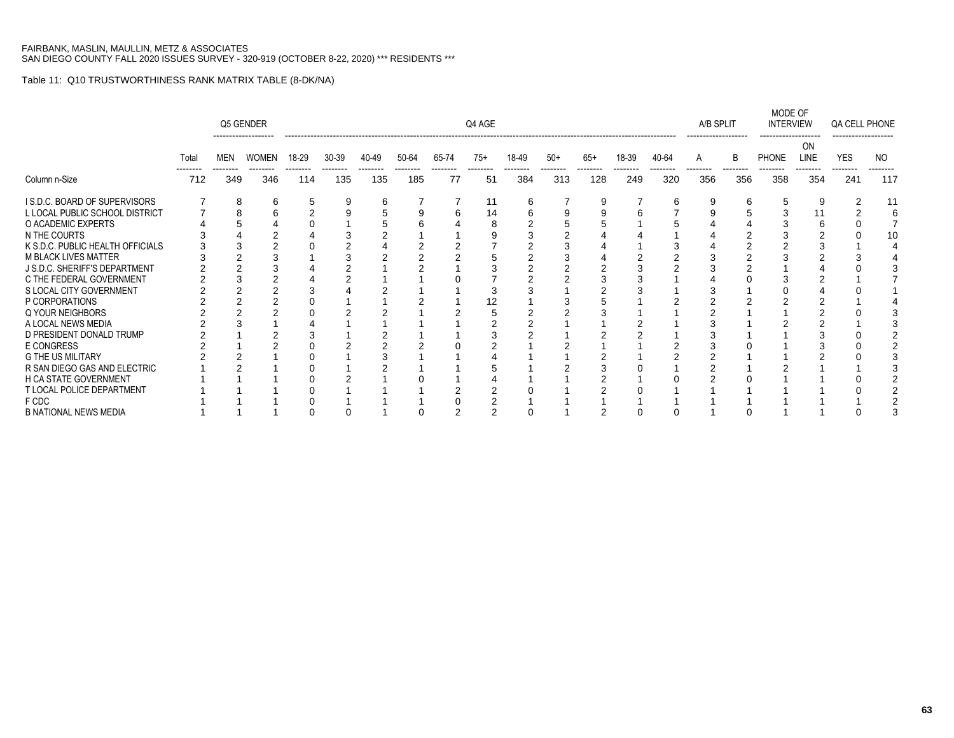|                                     |       |     | Q5 GENDER    |       |           |       |       |       | Q4 AGE |                 |       |       |       |       | A/B SPLIT |     | MODE OF<br><b>INTERVIEW</b> |            | QA CELL PHONE  |     |
|-------------------------------------|-------|-----|--------------|-------|-----------|-------|-------|-------|--------|-----------------|-------|-------|-------|-------|-----------|-----|-----------------------------|------------|----------------|-----|
|                                     | Total | MEN | <b>WOMEN</b> | 18-29 | $30 - 39$ | 40-49 | 50-64 | 65-74 | $75+$  | 18-49           | $50+$ | $65+$ | 18-39 | 40-64 | A         | B   | PHONE                       | ON<br>LINE | <b>YES</b>     | NO. |
| Column n-Size                       | 712   | 349 | 346          | 114   | 135       | 135   | 185   | 77    | 51     | --------<br>384 | 313   | 128   | 249   | 320   | 356       | 356 | 358                         | 354        | -------<br>241 | 117 |
| <b>IS.D.C. BOARD OF SUPERVISORS</b> |       | 8   | 6            | 5     | 9         |       |       |       | 11     |                 |       | 9     |       |       |           | 6   |                             | 9          |                |     |
| L LOCAL PUBLIC SCHOOL DISTRICT      |       |     |              |       |           |       |       |       | 14     |                 |       |       |       |       |           |     |                             | 11         |                |     |
| O ACADEMIC EXPERTS                  |       |     |              |       |           |       |       |       |        |                 |       |       |       |       |           |     |                             |            |                |     |
| N THE COURTS                        |       |     |              |       |           |       |       |       |        |                 |       |       |       |       |           |     |                             |            |                | 1 C |
| K S.D.C. PUBLIC HEALTH OFFICIALS    |       |     |              |       |           |       |       |       |        |                 |       |       |       |       |           |     |                             |            |                |     |
| <b>M BLACK LIVES MATTER</b>         |       |     |              |       |           |       |       |       |        |                 |       |       |       |       |           |     |                             |            |                |     |
| J S.D.C. SHERIFF'S DEPARTMENT       |       |     |              |       |           |       |       |       |        |                 |       |       |       |       |           |     |                             |            |                |     |
| C THE FEDERAL GOVERNMENT            |       |     |              |       |           |       |       |       |        |                 |       |       |       |       |           |     |                             |            |                |     |
| S LOCAL CITY GOVERNMENT             |       |     |              |       |           |       |       |       |        |                 |       |       |       |       |           |     |                             |            |                |     |
| P CORPORATIONS                      |       |     |              |       |           |       |       |       |        |                 |       |       |       |       |           |     |                             |            |                |     |
| Q YOUR NEIGHBORS                    |       |     |              |       |           |       |       |       |        |                 |       |       |       |       |           |     |                             |            |                |     |
| A LOCAL NEWS MEDIA                  |       |     |              |       |           |       |       |       |        |                 |       |       |       |       |           |     |                             |            |                |     |
| D PRESIDENT DONALD TRUMP            |       |     |              |       |           |       |       |       |        |                 |       |       |       |       |           |     |                             |            |                |     |
| E CONGRESS                          |       |     |              |       |           |       |       |       |        |                 |       |       |       |       |           |     |                             |            |                |     |
| <b>G THE US MILITARY</b>            |       |     |              |       |           |       |       |       |        |                 |       |       |       |       |           |     |                             |            |                |     |
| R SAN DIEGO GAS AND ELECTRIC        |       |     |              |       |           |       |       |       |        |                 |       |       |       |       |           |     |                             |            |                |     |
| <b>H CA STATE GOVERNMENT</b>        |       |     |              |       |           |       |       |       |        |                 |       |       |       |       |           |     |                             |            |                |     |
| T LOCAL POLICE DEPARTMENT           |       |     |              |       |           |       |       |       |        |                 |       |       |       |       |           |     |                             |            |                |     |
| F CDC                               |       |     |              |       |           |       |       |       |        |                 |       |       |       |       |           |     |                             |            |                |     |
| <b>B NATIONAL NEWS MEDIA</b>        |       |     |              |       |           |       |       |       |        |                 |       |       |       |       |           |     |                             |            |                |     |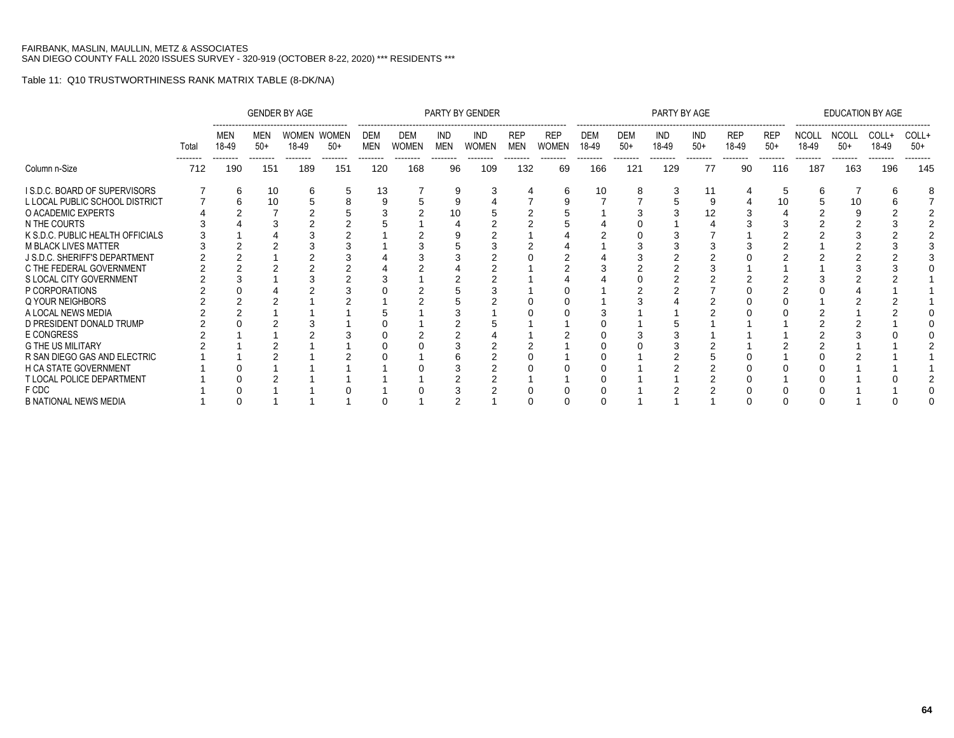|                                  |                   |                          |                          | <b>GENDER BY AGE</b>             |                   |                        |                                 |                               | PARTY BY GENDER                 |                                      |                                        |                                 |                          | PARTY BY AGE                    |                                |                                 |                                 |                                   | <b>EDUCATION BY AGE</b>           |                            |                            |
|----------------------------------|-------------------|--------------------------|--------------------------|----------------------------------|-------------------|------------------------|---------------------------------|-------------------------------|---------------------------------|--------------------------------------|----------------------------------------|---------------------------------|--------------------------|---------------------------------|--------------------------------|---------------------------------|---------------------------------|-----------------------------------|-----------------------------------|----------------------------|----------------------------|
|                                  | Total<br>-------- | MEN<br>18-49<br>-------- | MEN<br>$50+$<br>-------- | WOMEN WOMEN<br>18-49<br>-------- | $50+$<br>-------- | DEM<br>MEN<br>-------- | DEM<br><b>WOMEN</b><br>-------- | IND<br><b>MEN</b><br>-------- | IND<br><b>WOMEN</b><br>-------- | <b>REP</b><br><b>MEN</b><br>-------- | <b>REP</b><br><b>WOMEN</b><br>-------- | <b>DEM</b><br>18-49<br>-------- | DEM<br>$50+$<br>-------- | <b>IND</b><br>18-49<br>-------- | <b>IND</b><br>$50+$<br>------- | <b>REP</b><br>18-49<br>-------- | <b>REP</b><br>$50+$<br>-------- | <b>NCOLL</b><br>18-49<br>-------- | <b>NCOLL</b><br>$50+$<br>-------- | COLL+<br>18-49<br>-------- | COLL+<br>$50+$<br>-------- |
| Column n-Size                    | 712               | 190                      | 151                      | 189                              | 151               | 120                    | 168                             | 96                            | 109                             | 132                                  | 69                                     | 166                             | 121                      | 129                             | 77                             | 90                              | 116                             | 187                               | 163                               | 196                        | 145                        |
| I S.D.C. BOARD OF SUPERVISORS    |                   |                          | 10                       | 6                                | 5                 | 13                     |                                 |                               |                                 |                                      |                                        | 10                              |                          |                                 | 11                             |                                 | 5                               | 6                                 |                                   |                            |                            |
| L LOCAL PUBLIC SCHOOL DISTRICT   |                   |                          | 10                       |                                  |                   |                        |                                 |                               |                                 |                                      |                                        |                                 |                          |                                 |                                |                                 | 10                              |                                   | 10                                |                            |                            |
| O ACADEMIC EXPERTS               |                   |                          |                          |                                  |                   |                        |                                 |                               |                                 |                                      |                                        |                                 |                          |                                 |                                |                                 |                                 |                                   |                                   |                            |                            |
| N THE COURTS                     |                   |                          |                          |                                  |                   |                        |                                 |                               |                                 |                                      |                                        |                                 |                          |                                 |                                |                                 |                                 |                                   |                                   |                            |                            |
| K S.D.C. PUBLIC HEALTH OFFICIALS |                   |                          |                          |                                  |                   |                        |                                 |                               |                                 |                                      |                                        |                                 |                          |                                 |                                |                                 |                                 |                                   |                                   |                            |                            |
| <b>M BLACK LIVES MATTER</b>      |                   |                          |                          |                                  |                   |                        |                                 |                               |                                 |                                      |                                        |                                 |                          |                                 |                                |                                 |                                 |                                   |                                   |                            |                            |
| J S.D.C. SHERIFF'S DEPARTMENT    |                   |                          |                          |                                  |                   |                        |                                 |                               |                                 |                                      |                                        |                                 |                          |                                 |                                |                                 |                                 |                                   |                                   |                            |                            |
| C THE FEDERAL GOVERNMENT         |                   |                          |                          |                                  |                   |                        |                                 |                               |                                 |                                      |                                        |                                 |                          |                                 |                                |                                 |                                 |                                   |                                   |                            |                            |
| S LOCAL CITY GOVERNMENT          |                   |                          |                          |                                  |                   |                        |                                 |                               |                                 |                                      |                                        |                                 |                          |                                 |                                |                                 |                                 |                                   |                                   |                            |                            |
| P CORPORATIONS                   |                   |                          |                          |                                  |                   |                        |                                 |                               |                                 |                                      |                                        |                                 |                          |                                 |                                |                                 |                                 |                                   |                                   |                            |                            |
| Q YOUR NEIGHBORS                 |                   |                          |                          |                                  |                   |                        |                                 |                               |                                 |                                      |                                        |                                 |                          |                                 |                                |                                 |                                 |                                   |                                   |                            |                            |
| A LOCAL NEWS MEDIA               |                   |                          |                          |                                  |                   |                        |                                 |                               |                                 |                                      |                                        |                                 |                          |                                 |                                |                                 |                                 |                                   |                                   |                            |                            |
| D PRESIDENT DONALD TRUMP         |                   |                          |                          |                                  |                   |                        |                                 |                               |                                 |                                      |                                        |                                 |                          |                                 |                                |                                 |                                 |                                   |                                   |                            |                            |
| <b>E CONGRESS</b>                |                   |                          |                          |                                  |                   |                        |                                 |                               |                                 |                                      |                                        |                                 |                          |                                 |                                |                                 |                                 |                                   |                                   |                            |                            |
| <b>G THE US MILITARY</b>         |                   |                          |                          |                                  |                   |                        |                                 |                               |                                 |                                      |                                        |                                 |                          |                                 |                                |                                 |                                 |                                   |                                   |                            |                            |
| R SAN DIEGO GAS AND ELECTRIC     |                   |                          |                          |                                  |                   |                        |                                 |                               |                                 |                                      |                                        |                                 |                          |                                 |                                |                                 |                                 |                                   |                                   |                            |                            |
| H CA STATE GOVERNMENT            |                   |                          |                          |                                  |                   |                        |                                 |                               |                                 |                                      |                                        |                                 |                          |                                 |                                |                                 |                                 |                                   |                                   |                            |                            |
| T LOCAL POLICE DEPARTMENT        |                   |                          |                          |                                  |                   |                        |                                 |                               |                                 |                                      |                                        |                                 |                          |                                 |                                |                                 |                                 |                                   |                                   |                            |                            |
| F CDC                            |                   |                          |                          |                                  |                   |                        |                                 |                               |                                 |                                      |                                        |                                 |                          |                                 |                                |                                 |                                 |                                   |                                   |                            |                            |
| <b>B NATIONAL NEWS MEDIA</b>     |                   |                          |                          |                                  |                   |                        |                                 |                               |                                 |                                      |                                        |                                 |                          |                                 |                                |                                 |                                 |                                   |                                   |                            |                            |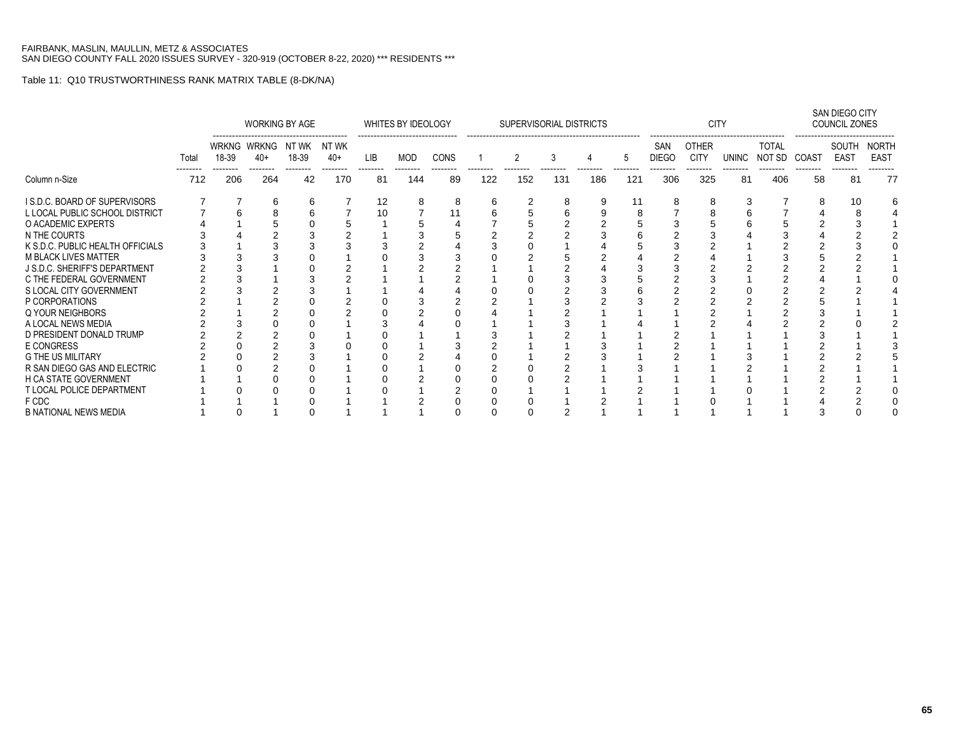|                                  |       |       | WORKING BY AGE       |                    |       |     | WHITES BY IDEOLOGY |      |     | SUPERVISORIAL DISTRICTS |     |     |     |                     | <b>CITY</b>                 |       |                        |       | SAN DIEGO CITY<br>COUNCIL ZONES |                      |
|----------------------------------|-------|-------|----------------------|--------------------|-------|-----|--------------------|------|-----|-------------------------|-----|-----|-----|---------------------|-----------------------------|-------|------------------------|-------|---------------------------------|----------------------|
|                                  | Total | 18-39 | WRKNG WRKNG<br>$40+$ | NTWK NTWK<br>18-39 | $40+$ | LIB | MOD                | CONS |     | 2                       | 3   |     | 5   | SAN<br><b>DIEGO</b> | <b>OTHER</b><br><b>CITY</b> | UNINC | <b>TOTAL</b><br>NOT SD | COAST | SOUTH<br><b>EAST</b>            | NORTH<br><b>EAST</b> |
| Column n-Size                    | 712   | 206   | --------<br>264      | --------<br>42     | 170   | 81  | 144                | 89   | 122 | 152                     | 131 | 186 | 121 | 306                 | 325                         | 81    | 406                    | 58    | 81                              | 77                   |
| I S.D.C. BOARD OF SUPERVISORS    |       |       | h                    | 6                  |       | 12  | 8                  | 8    | h   |                         | 8   | 9   | 11  | 8                   |                             |       |                        | 8     |                                 |                      |
| L LOCAL PUBLIC SCHOOL DISTRICT   |       |       |                      |                    |       | 10  |                    |      |     |                         |     |     |     |                     |                             |       |                        |       |                                 |                      |
| O ACADEMIC EXPERTS               |       |       |                      |                    |       |     |                    |      |     |                         |     |     |     |                     |                             |       |                        |       |                                 |                      |
| N THE COURTS                     |       |       |                      |                    |       |     |                    |      |     |                         |     |     |     |                     |                             |       |                        |       |                                 |                      |
| K S.D.C. PUBLIC HEALTH OFFICIALS |       |       |                      |                    |       |     |                    |      |     |                         |     |     |     |                     |                             |       |                        |       |                                 |                      |
| <b>M BLACK LIVES MATTER</b>      |       |       |                      |                    |       |     |                    |      |     |                         |     |     |     |                     |                             |       |                        |       |                                 |                      |
| J S.D.C. SHERIFF'S DEPARTMENT    |       |       |                      |                    |       |     |                    |      |     |                         |     |     |     |                     |                             |       |                        |       |                                 |                      |
| C THE FEDERAL GOVERNMENT         |       |       |                      |                    |       |     |                    |      |     |                         |     |     |     |                     |                             |       |                        |       |                                 |                      |
| S LOCAL CITY GOVERNMENT          |       |       |                      |                    |       |     |                    |      |     |                         |     |     |     |                     |                             |       |                        |       |                                 |                      |
| P CORPORATIONS                   |       |       |                      |                    |       |     |                    |      |     |                         |     |     |     |                     |                             |       |                        |       |                                 |                      |
| Q YOUR NEIGHBORS                 |       |       |                      |                    |       |     |                    |      |     |                         |     |     |     |                     |                             |       |                        |       |                                 |                      |
| A LOCAL NEWS MEDIA               |       |       |                      |                    |       |     |                    |      |     |                         |     |     |     |                     |                             |       |                        |       |                                 |                      |
| D PRESIDENT DONALD TRUMP         |       |       |                      |                    |       |     |                    |      |     |                         |     |     |     |                     |                             |       |                        |       |                                 |                      |
| E CONGRESS                       |       |       |                      |                    |       |     |                    |      |     |                         |     |     |     |                     |                             |       |                        |       |                                 |                      |
| <b>G THE US MILITARY</b>         |       |       |                      |                    |       |     |                    |      |     |                         |     |     |     |                     |                             |       |                        |       |                                 |                      |
| R SAN DIEGO GAS AND ELECTRIC     |       |       |                      |                    |       |     |                    |      |     |                         |     |     |     |                     |                             |       |                        |       |                                 |                      |
| H CA STATE GOVERNMENT            |       |       |                      |                    |       |     |                    |      |     |                         |     |     |     |                     |                             |       |                        |       |                                 |                      |
| T LOCAL POLICE DEPARTMENT        |       |       |                      |                    |       |     |                    |      |     |                         |     |     |     |                     |                             |       |                        |       |                                 |                      |
| F CDC                            |       |       |                      |                    |       |     |                    |      |     |                         |     |     |     |                     |                             |       |                        |       |                                 |                      |
| <b>B NATIONAL NEWS MEDIA</b>     |       |       |                      |                    |       |     |                    |      |     |                         |     |     |     |                     |                             |       |                        |       |                                 |                      |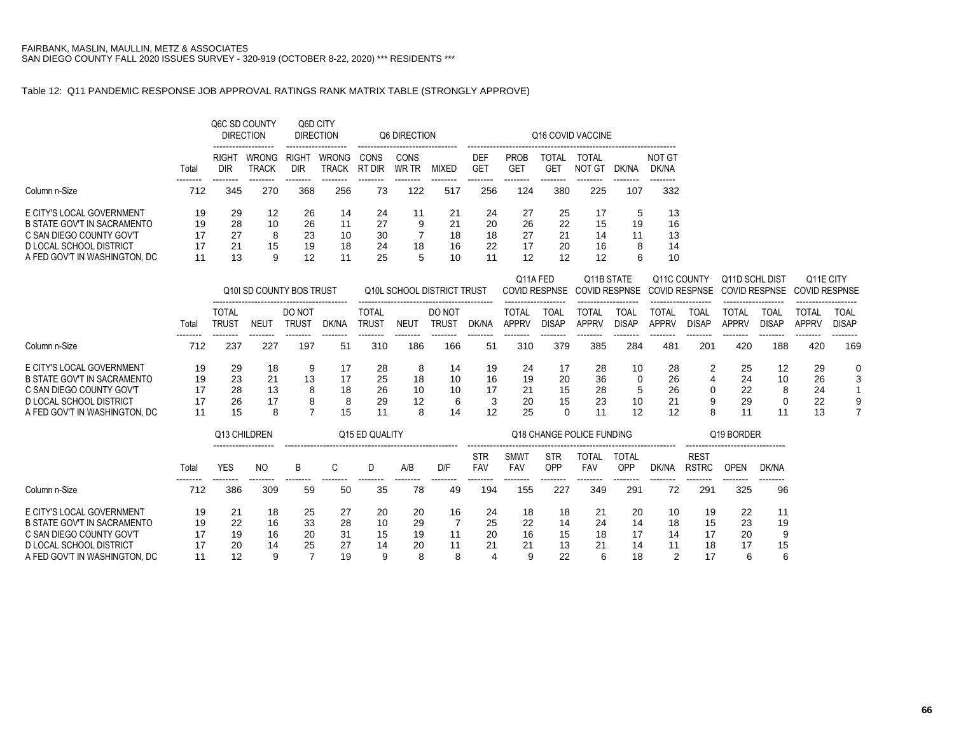### Table 12: Q11 PANDEMIC RESPONSE JOB APPROVAL RATINGS RANK MATRIX TABLE (STRONGLY APPROVE)

|                               |       |                          | Q6C SD COUNTY<br><b>DIRECTION</b> | Q6D CITY                 | <b>DIRECTION</b>      |                | Q6 DIRECTION  |              |                               |                                |                          | Q16 COVID VACCINE |       |                 |
|-------------------------------|-------|--------------------------|-----------------------------------|--------------------------|-----------------------|----------------|---------------|--------------|-------------------------------|--------------------------------|--------------------------|-------------------|-------|-----------------|
|                               | Total | RIGH <sub>1</sub><br>DIR | <b>WRONG</b><br>TRACK             | RIGH <sub>1</sub><br>DIR | <b>WRONG</b><br>TRACK | CONS<br>RT DIR | CONS<br>WR TR | <b>MIXED</b> | <b>DEF</b><br>GE <sup>-</sup> | <b>PROB</b><br>GE <sub>1</sub> | TOTAL<br>GE <sup>-</sup> | TOTAL<br>NOT GT   | DK/NA | NOT GT<br>DK/NA |
| Column n-Size                 | 712   | 345                      | 270                               | 368                      | 256                   | 73             | 122           | 517          | 256                           | 124                            | 380                      | 225               | 107   | 332             |
| E CITY'S LOCAL GOVERNMENT     | 19    | 29                       | 12                                | 26                       | 14                    | 24             |               | 21           | 24                            | 27                             | 25                       | 17                | 5     | 13              |
| B STATE GOV'T IN SACRAMENTO   | 19    | 28                       | 10                                | 26                       | 11                    | 27             | 9             | 21           | 20                            | 26                             | 22                       | 15                | 19    | 16              |
| C SAN DIEGO COUNTY GOV'T      | 17    | 27                       | 8                                 | 23                       | 10                    | 30             |               | 18           | 18                            | 27                             | 21                       | 14                | 11    | 13              |
| D LOCAL SCHOOL DISTRICT       | 17    | 21                       | 15                                | 19                       | 18                    | 24             | 18            | 16           | 22                            | 17                             | 20                       | 16                | 8     | 14              |
| A FED GOV'T IN WASHINGTON, DC | 11    | 13                       | 9                                 | 12                       | -11                   | 25             | 5             | 10           | 11                            | 12                             | 12                       | 12                | 6     | 10              |

|                                                                                                                                                  |                            |                              |                           | Q10I SD COUNTY BOS TRUST |                           |                                   |                          | Q10L SCHOOL DISTRICT TRUST |                           | Q11A FED                   |                      | Q11B STATE                 |                      | Q11C COUNTY                |                      | Q11D SCHL DIST<br>COVID RESPNSE COVID RESPNSE COVID RESPNSE COVID RESPNSE COVID RESPNSE |                           | Q11E CITY                  |               |
|--------------------------------------------------------------------------------------------------------------------------------------------------|----------------------------|------------------------------|---------------------------|--------------------------|---------------------------|-----------------------------------|--------------------------|----------------------------|---------------------------|----------------------------|----------------------|----------------------------|----------------------|----------------------------|----------------------|-----------------------------------------------------------------------------------------|---------------------------|----------------------------|---------------|
|                                                                                                                                                  | Tota                       | <b>TOTAL</b><br><b>TRUS1</b> | NEU                       | DO NOT<br>trus1          | DK/NA                     | <b>TOTAL</b><br>TRUS <sup>-</sup> | NEU1                     | DO NOT<br>rrus1            | dk/na                     | TOTAL<br><b>APPRV</b>      | ТОА<br><b>DISAP</b>  | TOTAL<br>APPRV             | TOAI<br><b>DISAP</b> | TOTAL<br><b>APPRV</b>      | TOAI<br><b>DISAP</b> | TOTAL<br><b>APPRV</b>                                                                   | TOAL<br>DISAP             | TOTAL<br><b>APPRV</b>      | TOAL<br>DISAP |
| Column n-Size                                                                                                                                    | 712                        | 237                          | 227                       | 197                      | 51                        | 310                               | 186                      | 166                        | 51                        | 310                        | 379                  | 385                        | 284                  | 481                        | 201                  | 420                                                                                     | 188                       | 420                        | 169           |
| E CITY'S LOCAL GOVERNMENT<br>B STATE GOV'T IN SACRAMENTO<br>C SAN DIEGO COUNTY GOV'T<br>D LOCAL SCHOOL DISTRICT<br>A FED GOV'T IN WASHINGTON. DC | 19<br>19<br>17<br>17<br>11 | 29<br>23<br>28<br>26<br>15   | 18<br>21<br>13<br>17<br>8 | 9<br>13<br>8<br>8        | 17<br>17<br>18<br>8<br>15 | 28<br>25<br>26<br>29<br>11        | 8<br>18<br>10<br>12<br>8 | 14<br>10<br>-10<br>6<br>14 | 19<br>16<br>17<br>3<br>12 | 24<br>19<br>21<br>20<br>25 | 17<br>20<br>15<br>15 | 28<br>36<br>28<br>23<br>11 | 10<br>10<br>12       | 28<br>26<br>26<br>21<br>12 |                      | 25<br>24<br>22<br>29<br>11                                                              | 12<br>10<br>8<br>$\Omega$ | 29<br>26<br>24<br>22<br>13 | 0<br>3<br>9   |

|                                                                                                                                                  |                            | Q13 CHILDREN               |                           |                      |                            | Q <sub>15</sub> ED QUALITY |                           |                     |                      |                           |                            | Q18 CHANGE POLICE FUNDING |                            |                      |                             | Q19 BORDER                |                    |
|--------------------------------------------------------------------------------------------------------------------------------------------------|----------------------------|----------------------------|---------------------------|----------------------|----------------------------|----------------------------|---------------------------|---------------------|----------------------|---------------------------|----------------------------|---------------------------|----------------------------|----------------------|-----------------------------|---------------------------|--------------------|
|                                                                                                                                                  | Tota                       | <br>YES                    | NO.                       | B                    |                            |                            | A/B                       | D/F                 | <b>STR</b><br>FAV    | <b>SMWT</b><br><b>FAV</b> | <b>STR</b><br>OPP          | TOTAL<br>FAV              | <b>TOTAL</b><br>OPP        | DK/NA                | <b>REST</b><br><b>RSTRC</b> | OPEN                      | DK/NA              |
| Column n-Size                                                                                                                                    | 712                        | 386                        | 309                       | 59                   | 50                         | 35                         | 78                        | 49                  | 194                  | 155                       | 227                        | 349                       | 291                        | 72                   | 291                         | 325                       | 96                 |
| E CITY'S LOCAL GOVERNMENT<br>B STATE GOV'T IN SACRAMENTO<br>C SAN DIEGO COUNTY GOV'T<br>D LOCAL SCHOOL DISTRICT<br>A FED GOV'T IN WASHINGTON, DC | 19<br>19<br>17<br>17<br>11 | 21<br>22<br>19<br>20<br>12 | 18<br>16<br>16<br>14<br>9 | 25<br>33<br>20<br>25 | 27<br>28<br>31<br>27<br>19 | 20<br>10<br>15<br>14<br>9  | 20<br>29<br>19<br>20<br>8 | 16<br>11<br>11<br>8 | 24<br>25<br>20<br>21 | 18<br>22<br>16<br>21<br>9 | 18<br>14<br>15<br>13<br>22 | 21<br>24<br>18<br>21<br>6 | 20<br>14<br>17<br>14<br>18 | 10<br>18<br>14<br>11 | 19<br>15<br>17<br>18<br>17  | 22<br>23<br>20<br>17<br>6 | 19<br>9<br>15<br>6 |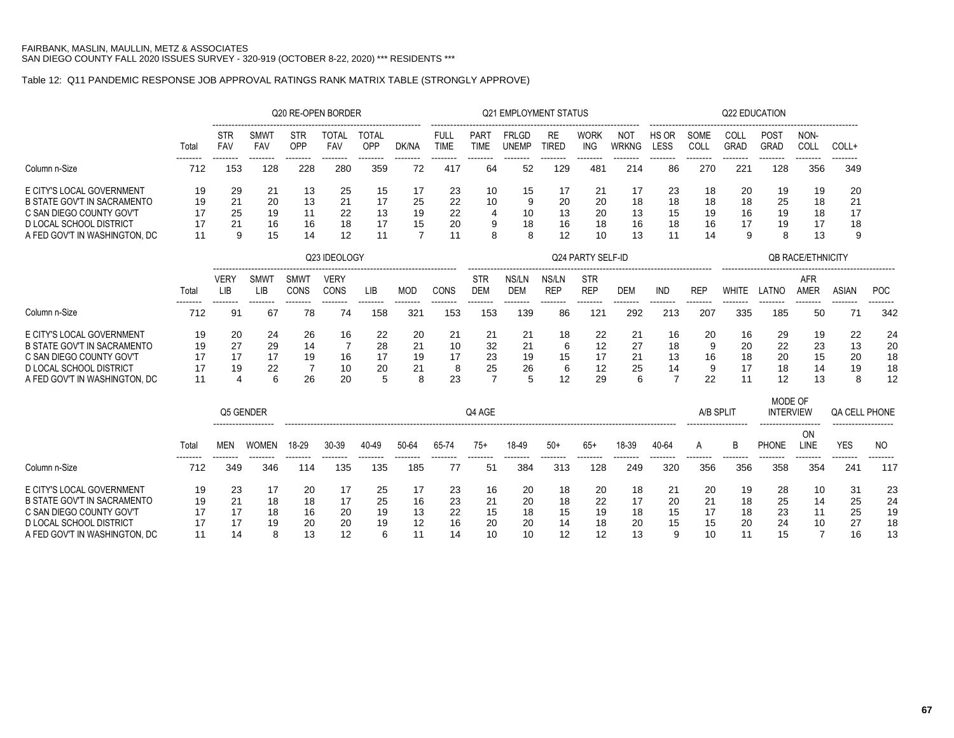### Table 12: Q11 PANDEMIC RESPONSE JOB APPROVAL RATINGS RANK MATRIX TABLE (STRONGLY APPROVE)

|                                                                                                                                                                |                            |                            |                            | Q20 RE-OPEN BORDER                     |                            |                            |                                        |                            |                                        | Q21 EMPLOYMENT STATUS        |                            |                            |                            |                                        |                            |                            | <b>Q22 EDUCATION</b>        |                                        |                            |                            |
|----------------------------------------------------------------------------------------------------------------------------------------------------------------|----------------------------|----------------------------|----------------------------|----------------------------------------|----------------------------|----------------------------|----------------------------------------|----------------------------|----------------------------------------|------------------------------|----------------------------|----------------------------|----------------------------|----------------------------------------|----------------------------|----------------------------|-----------------------------|----------------------------------------|----------------------------|----------------------------|
|                                                                                                                                                                | Total                      | <b>STR</b><br>FAV          | <b>SMWT</b><br>FAV         | <b>STR</b><br>OPP                      | <b>TOTAL</b><br><b>FAV</b> | <b>TOTAL</b><br>OPP        | DK/NA                                  | <b>FULL</b><br><b>TIME</b> | <b>PART</b><br><b>TIME</b>             | <b>FRLGD</b><br><b>UNEMP</b> | <b>RE</b><br><b>TIRED</b>  | <b>WORK</b><br><b>ING</b>  | <b>NOT</b><br><b>WRKNG</b> | HS OR<br>LESS                          | SOME<br>COLL               | COLL<br><b>GRAD</b>        | <b>POST</b><br><b>GRAD</b>  | NON-<br>COLL                           | COLL+                      |                            |
| Column n-Size                                                                                                                                                  | 712                        | 153                        | 128                        | 228                                    | 280                        | 359                        | 72                                     | 417                        | 64                                     | 52                           | 129                        | 481                        | 214                        | 86                                     | 270                        | 221                        | 128                         | 356                                    | 349                        |                            |
| E CITY'S LOCAL GOVERNMENT<br><b>B STATE GOV'T IN SACRAMENTO</b><br>C SAN DIEGO COUNTY GOV'T<br><b>D LOCAL SCHOOL DISTRICT</b><br>A FED GOV'T IN WASHINGTON, DC | 19<br>19<br>17<br>17<br>11 | 29<br>21<br>25<br>21<br>9  | 21<br>20<br>19<br>16<br>15 | 13<br>13<br>11<br>16<br>14             | 25<br>21<br>22<br>18<br>12 | 15<br>17<br>13<br>17<br>11 | 17<br>25<br>19<br>15<br>$\overline{7}$ | 23<br>22<br>22<br>20<br>11 | 10<br>10<br>4<br>9<br>8                | 15<br>9<br>10<br>18<br>8     | 17<br>20<br>13<br>16<br>12 | 21<br>20<br>20<br>18<br>10 | 17<br>18<br>13<br>16<br>13 | 23<br>18<br>15<br>18<br>11             | 18<br>18<br>19<br>16<br>14 | 20<br>18<br>16<br>17<br>9  | 19<br>25<br>19<br>19<br>8   | 19<br>18<br>18<br>17<br>13             | 20<br>21<br>17<br>18<br>9  |                            |
|                                                                                                                                                                |                            |                            |                            |                                        | Q23 IDEOLOGY               |                            |                                        |                            |                                        |                              |                            | Q24 PARTY SELF-ID          |                            |                                        |                            |                            |                             | <b>QB RACE/ETHNICITY</b>               |                            |                            |
|                                                                                                                                                                | Total                      | <b>VERY</b><br>LIB         | <b>SMWT</b><br><b>LIB</b>  | <b>SMWT</b><br>CONS                    | <b>VERY</b><br>CONS        | LIB                        | MOD                                    | CONS                       | <b>STR</b><br><b>DEM</b>               | NS/LN<br><b>DEM</b>          | NS/LN<br><b>REP</b>        | <b>STR</b><br><b>REP</b>   | <b>DEM</b>                 | <b>IND</b>                             | <b>REP</b>                 | <b>WHITE</b>               | LATNO                       | <b>AFR</b><br>AMER                     | <b>ASIAN</b>               | POC                        |
| Column n-Size                                                                                                                                                  | 712                        | 91                         | 67                         | 78                                     | 74                         | 158                        | 321                                    | 153                        | 153                                    | 139                          | 86                         | 121                        | 292                        | 213                                    | 207                        | 335                        | 185                         | 50                                     | 71                         | 342                        |
| E CITY'S LOCAL GOVERNMENT<br><b>B STATE GOV'T IN SACRAMENTO</b><br>C SAN DIEGO COUNTY GOV'T<br><b>D LOCAL SCHOOL DISTRICT</b><br>A FED GOV'T IN WASHINGTON, DC | 19<br>19<br>17<br>17<br>11 | 20<br>27<br>17<br>19<br>4  | 24<br>29<br>17<br>22<br>6  | 26<br>14<br>19<br>$\overline{7}$<br>26 | 16<br>16<br>10<br>20       | 22<br>28<br>17<br>20<br>5  | 20<br>21<br>19<br>21<br>8              | 21<br>10<br>17<br>8<br>23  | 21<br>32<br>23<br>25<br>$\overline{7}$ | 21<br>21<br>19<br>26<br>5    | 18<br>6<br>15<br>6<br>12   | 22<br>12<br>17<br>12<br>29 | 21<br>27<br>21<br>25<br>6  | 16<br>18<br>13<br>14<br>$\overline{7}$ | 20<br>9<br>16<br>9<br>22   | 16<br>20<br>18<br>17<br>11 | 29<br>22<br>20<br>18<br>12  | 19<br>23<br>15<br>14<br>13             | 22<br>13<br>20<br>19<br>8  | 24<br>20<br>18<br>18<br>12 |
|                                                                                                                                                                |                            |                            | Q5 GENDER                  |                                        |                            |                            |                                        |                            | Q4 AGE                                 |                              |                            |                            |                            |                                        | A/B SPLIT                  |                            | MODE OF<br><b>INTERVIEW</b> |                                        | <b>QA CELL PHONE</b>       |                            |
|                                                                                                                                                                | Total                      | <b>MEN</b>                 | <b>WOMEN</b>               | 18-29                                  | 30-39                      | 40-49                      | 50-64                                  | 65-74                      | $75+$                                  | 18-49                        | $50+$                      | $65+$                      | 18-39                      | 40-64                                  | A                          | B                          | PHONE                       | ON<br>LINE                             | <b>YES</b>                 | N <sub>O</sub>             |
| Column n-Size                                                                                                                                                  | 712                        | 349                        | 346                        | 114                                    | 135                        | --------<br>135            | 185                                    | 77                         | 51                                     | 384                          | 313                        | 128                        | 249                        | 320                                    | .<br>356                   | 356                        | -------<br>358              | 354                                    | --------<br>241            | --------<br>117            |
| E CITY'S LOCAL GOVERNMENT<br><b>B STATE GOV'T IN SACRAMENTO</b><br>C SAN DIEGO COUNTY GOV'T<br><b>D LOCAL SCHOOL DISTRICT</b><br>A FED GOV'T IN WASHINGTON. DC | 19<br>19<br>17<br>17<br>11 | 23<br>21<br>17<br>17<br>14 | 17<br>18<br>18<br>19<br>8  | 20<br>18<br>16<br>20<br>13             | 17<br>17<br>20<br>20<br>12 | 25<br>25<br>19<br>19<br>6  | 17<br>16<br>13<br>12<br>11             | 23<br>23<br>22<br>16<br>14 | 16<br>21<br>15<br>20<br>10             | 20<br>20<br>18<br>20<br>10   | 18<br>18<br>15<br>14<br>12 | 20<br>22<br>19<br>18<br>12 | 18<br>17<br>18<br>20<br>13 | 21<br>20<br>15<br>15<br>9              | 20<br>21<br>17<br>15<br>10 | 19<br>18<br>18<br>20<br>11 | 28<br>25<br>23<br>24<br>15  | 10<br>14<br>11<br>10<br>$\overline{7}$ | 31<br>25<br>25<br>27<br>16 | 23<br>24<br>19<br>18<br>13 |
|                                                                                                                                                                |                            |                            |                            |                                        |                            |                            |                                        |                            |                                        |                              |                            |                            |                            |                                        |                            |                            |                             |                                        |                            |                            |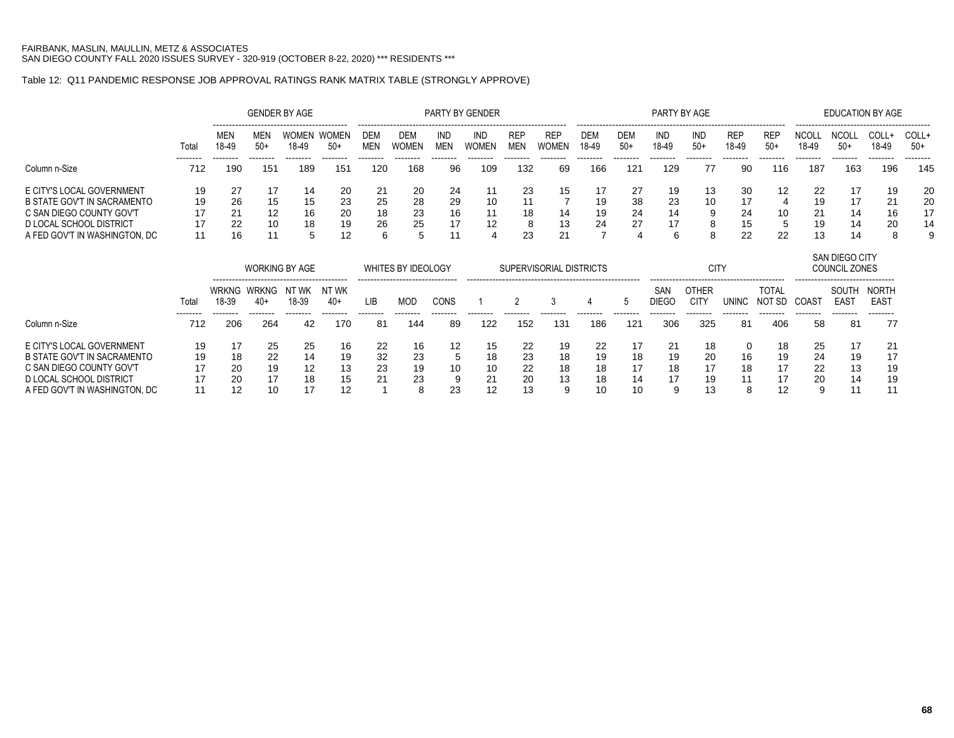# Table 12: Q11 PANDEMIC RESPONSE JOB APPROVAL RATINGS RANK MATRIX TABLE (STRONGLY APPROVE)

|                                    |       |                       |                       | <b>GENDER BY AGE</b>  |                       |                |                    |                          | PARTY BY GENDER     |                          |                         |                     |              | PARTY BY AGE        |                             |                     |                                         |                       | <b>EDUCATION BY AGE</b>         |                             |                |
|------------------------------------|-------|-----------------------|-----------------------|-----------------------|-----------------------|----------------|--------------------|--------------------------|---------------------|--------------------------|-------------------------|---------------------|--------------|---------------------|-----------------------------|---------------------|-----------------------------------------|-----------------------|---------------------------------|-----------------------------|----------------|
|                                    | Total | MEN<br>18-49          | MEN<br>$50+$          | <b>WOMEN</b><br>18-49 | <b>WOMEN</b><br>$50+$ | DEM<br>MEN     | DEM<br>WOMEN       | <b>IND</b><br><b>MEN</b> | <b>IND</b><br>WOMEN | <b>REP</b><br><b>MEN</b> | <b>REP</b><br>WOMEN     | <b>DEM</b><br>18-49 | DEM<br>$50+$ | IND<br>18-49        | IND<br>$50+$                | <b>REP</b><br>18-49 | ----------------<br><b>REP</b><br>$50+$ | <b>NCOLI</b><br>18-49 | <b>NCOLL</b><br>$50+$           | COLL+<br>18-49              | COLL+<br>$50+$ |
| Column n-Size                      | 712   | 190                   | 151                   | 189                   | 151                   | -------<br>120 | 168                | 96                       | 109                 | 132                      | 69                      | 166                 | 121          | 129                 | 77                          | 90                  | 116                                     | 187                   | 163                             | 196                         | 145            |
| E CITY'S LOCAL GOVERNMENT          | 19    | 27                    | 17                    | 14                    | 20                    | 21             | 20                 | 24                       | 11                  | 23                       | 15                      | 17                  | 27           | 19                  | 13                          | 30                  | 12                                      | 22                    | 17                              | 19                          | 20             |
| <b>B STATE GOV'T IN SACRAMENTO</b> | 19    | 26                    | 15                    | 15                    | 23                    | 25             | 28                 | 29                       | 10                  | 11                       |                         | 19                  | 38           | 23                  | 10                          | 17                  |                                         | 19                    | 17                              | 21                          | 20             |
| C SAN DIEGO COUNTY GOV'T           | 17    | 21                    | 12                    | 16                    | 20                    | 18             | 23                 | 16                       | 11                  | 18                       | 14                      | 19                  | 24           | 14                  | 9                           | 24                  | 10                                      | 21                    | 14                              | 16                          | 17             |
| D LOCAL SCHOOL DISTRICT            | 17    | 22                    | 10                    | 18                    | 19                    | 26             | 25                 | 17                       | 12                  | 8                        | 13                      | 24                  | 27           | 17                  | 8                           | 15                  | 5                                       | 19                    | 14                              | 20                          | 14             |
| A FED GOV'T IN WASHINGTON, DC      | 11    | 16                    | 11                    | 5                     | 12                    | 6              | 5                  | 11                       |                     | 23                       | 21                      |                     |              | 6                   | 8                           | 22                  | 22                                      | 13                    | 14                              | 8                           | 9              |
|                                    |       |                       |                       | <b>WORKING BY AGE</b> |                       |                | WHITES BY IDEOLOGY |                          |                     |                          | SUPERVISORIAL DISTRICTS |                     |              |                     | <b>CITY</b>                 |                     |                                         |                       | SAN DIEGO CITY<br>COUNCIL ZONES |                             |                |
|                                    | Total | <b>WRKNG</b><br>18-39 | <b>WRKNG</b><br>$40+$ | NT WK<br>18-39        | NT WK<br>$40+$        | <b>LIB</b>     | <b>MOD</b>         | <b>CONS</b>              |                     |                          | 3                       |                     | 5            | SAN<br><b>DIEGO</b> | <b>OTHER</b><br><b>CITY</b> | <b>UNINC</b>        | <b>TOTAL</b><br>NOT SD                  | COAST                 | SOUTH<br><b>EAST</b>            | <b>NORTH</b><br><b>EAST</b> |                |
| Column n-Size                      | 712   | 206                   | 264                   | 42                    | 170                   | 81             | 144                | 89                       | 122                 | 152                      | 131                     | 186                 | 121          | 306                 | 325                         | 81                  | 406                                     | -58                   | 81                              | 77                          |                |
| E CITY'S LOCAL GOVERNMENT          | 19    | 17                    | 25                    | 25                    | 16                    | 22             | 16                 | $12 \overline{ }$        | 15                  | 22                       | 19                      | 22                  | 17           | 21                  | 18                          |                     | 18                                      | 25                    | 17                              | 21                          |                |
| <b>B STATE GOV'T IN SACRAMENTO</b> | 19    | 18                    | 22                    | 14                    | 19                    | 32             | 23                 |                          | 18                  | 23                       | 18                      | 19                  | 18           | 19                  | 20                          | 16                  | 19                                      | 24                    | 19                              | 17                          |                |
| C SAN DIEGO COUNTY GOV'T           | 17    | 20                    | 19                    | 12                    | 13                    | 23             | 19                 | 10                       | 10                  | 22                       | 18                      | 18                  | 17           | 18                  | 17                          | 18                  | 17                                      | 22                    | 13                              | 19                          |                |
| <b>D LOCAL SCHOOL DISTRICT</b>     | 17    | 20                    | 17                    | 18                    | 15                    |                | 23                 |                          | 21                  | 20                       | 13                      | 18                  | 14           |                     | 19                          |                     | 17                                      | 20                    | 14                              | 19                          |                |
| A FED GOV'T IN WASHINGTON, DC      | 11    | 12                    | 10                    | 17                    | 12                    |                | 8                  | 23                       | 12                  | 13                       | 9                       | 10                  | 10           | 9                   | 13                          | 8                   | 12                                      | 9                     | 11                              | 11                          |                |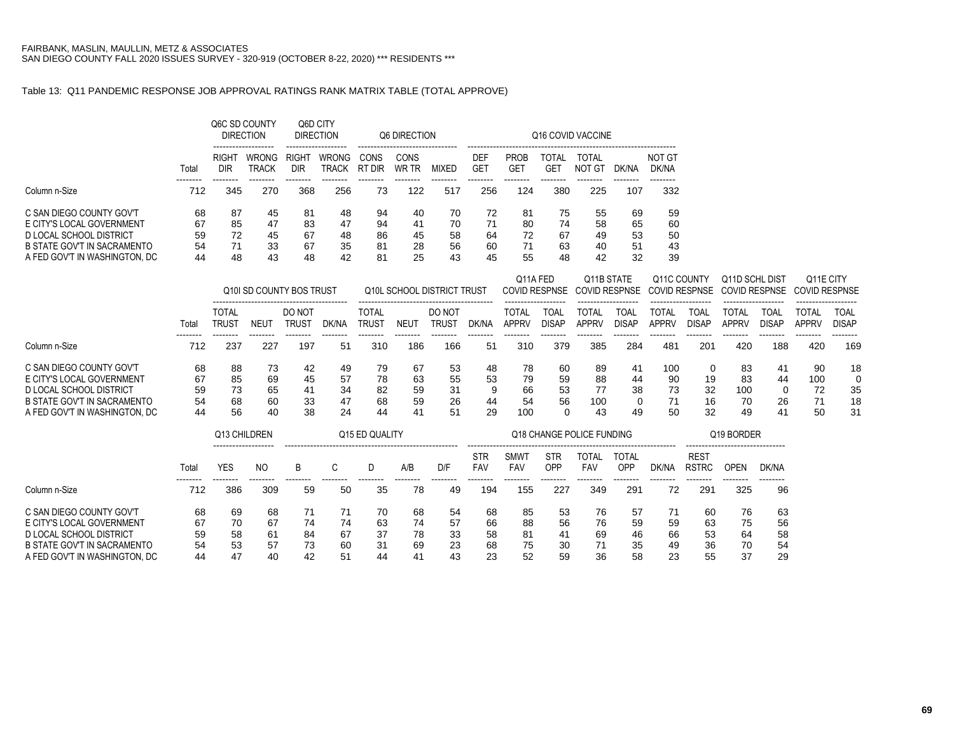### Table 13: Q11 PANDEMIC RESPONSE JOB APPROVAL RATINGS RANK MATRIX TABLE (TOTAL APPROVE)

|                                                                                                                 |                      | Q6C SD COUNTY<br>------------------- | <b>DIRECTION</b>             |                                 | Q6D CITY<br><b>DIRECTION</b> |                      | Q6 DIRECTION<br>------------------------ |                      |                        |                      |                      | Q16 COVID VACCINE    |                      |                      |
|-----------------------------------------------------------------------------------------------------------------|----------------------|--------------------------------------|------------------------------|---------------------------------|------------------------------|----------------------|------------------------------------------|----------------------|------------------------|----------------------|----------------------|----------------------|----------------------|----------------------|
|                                                                                                                 | Total                | RIGHT<br>DIR                         | <b>WRONG</b><br><b>TRACK</b> | RIGH <sub>1</sub><br><b>DIR</b> | <b>WRONG</b><br><b>TRACK</b> | CONS<br>RT DIR       | CONS<br>WR TR                            | MIXFD                | DEF<br>GE <sup>-</sup> | <b>PROB</b><br>GE1   | TOTAL<br>GET         | TOTAL<br>NOT GT      | DK/NA                | NOT GT<br>DK/NA      |
| Column n-Size                                                                                                   | 712                  | 345                                  | 270                          | 368                             | 256                          | 73                   | 122                                      | 517                  | 256                    | 124                  | 380                  | 225                  | 107                  | --------<br>332      |
| C SAN DIEGO COUNTY GOV'T<br>E CITY'S LOCAL GOVERNMENT<br>D LOCAL SCHOOL DISTRICT<br>B STATE GOV'T IN SACRAMENTO | 68<br>67<br>59<br>54 | 87<br>85<br>72<br>71                 | 45<br>47<br>45<br>33         | 81<br>83<br>67<br>67            | 48<br>47<br>48<br>35         | 94<br>94<br>86<br>81 | 40<br>41<br>45<br>28                     | 70<br>70<br>58<br>56 | 72<br>71<br>64<br>60   | 81<br>80<br>72<br>71 | 75<br>74<br>67<br>63 | 55<br>58<br>49<br>40 | 69<br>65<br>53<br>51 | 59<br>60<br>50<br>43 |
| A FED GOV'T IN WASHINGTON. DC                                                                                   | 44                   | 48                                   | 43                           | 48                              | 42                           | 81                   | 25                                       | 43                   | 45                     | 55                   | 48                   | 42                   | 32                   | 39                   |

|                                                                                                                                                  |                            |                            |                            | Q10 SD COUNTY BOS TRUST     |                            |                            |                            | Q10L SCHOOL DISTRICT TRUST |                           | Q11A FED                    |                           | Q11B STATE<br>COVID RESPNSE COVID RESPNSE |                             | Q11C COUNTY                 |                      | Q11D SCHL DIST<br>COVID RESPNSE COVID RESPNSE |                                  | Q11E CITY<br>COVID RESPNSE  |                           |
|--------------------------------------------------------------------------------------------------------------------------------------------------|----------------------------|----------------------------|----------------------------|-----------------------------|----------------------------|----------------------------|----------------------------|----------------------------|---------------------------|-----------------------------|---------------------------|-------------------------------------------|-----------------------------|-----------------------------|----------------------|-----------------------------------------------|----------------------------------|-----------------------------|---------------------------|
|                                                                                                                                                  | Total                      | TOTAL<br>TRUS <sup>-</sup> | NEUT                       | DO NOT<br>TRUS <sup>-</sup> | dk/na                      | TOTAL<br>TRUST             | NEU                        | DO NOT<br>trus1            | DK/NA                     | TOTAL<br>APPRV              | TOAI<br><b>DISAP</b>      | TOTAL<br><b>APPRV</b>                     | <b>TOAL</b><br><b>DISAP</b> | TOTAL<br>APPRV              | TOAI<br><b>DISAP</b> | TOTAL<br><b>APPRV</b>                         | TOAL<br>DISAP                    | TOTAL<br><b>APPRV</b>       | TOAL<br>DISAP             |
| Column n-Size                                                                                                                                    | 712                        | 237                        | 227                        | 197                         | 51                         | 310                        | 186                        | 166                        | 51                        | 310                         | 379                       | 385                                       | 284                         | 481                         | 201                  | 420                                           | 188                              | 420                         | 169                       |
| C SAN DIEGO COUNTY GOV'T<br>E CITY'S LOCAL GOVERNMENT<br>D LOCAL SCHOOL DISTRICT<br>B STATE GOV'T IN SACRAMENTO<br>A FED GOV'T IN WASHINGTON. DC | 68<br>67<br>59<br>54<br>44 | 88<br>85<br>73<br>68<br>56 | 73<br>69<br>65<br>60<br>40 | 42<br>45<br>41<br>33<br>38  | 49<br>57<br>34<br>47<br>24 | 79<br>78<br>82<br>68<br>44 | 67<br>63<br>59<br>59<br>41 | 53<br>55<br>31<br>26<br>51 | 48<br>53<br>a<br>44<br>29 | 78<br>79<br>66<br>54<br>100 | 60<br>59<br>53<br>56<br>∩ | -89<br>88<br>77<br>100<br>43              | 41<br>44<br>38<br>49        | 100<br>90<br>73<br>71<br>50 | 19<br>32<br>16<br>32 | 83<br>83<br>100<br>70<br>49                   | 41<br>44<br>$\Omega$<br>26<br>41 | 90<br>100<br>72<br>71<br>50 | 18<br>0<br>35<br>18<br>31 |

|                                                                                                                                                  |                            | Q13 CHILDREN               |                            |                      |                      | Q15 ED QUALITY             |                            |                            |                            |                            | Q18 CHANGE POLICE FUNDING  | Q19 BORDER                 |                            |                      |                             |                            |                            |
|--------------------------------------------------------------------------------------------------------------------------------------------------|----------------------------|----------------------------|----------------------------|----------------------|----------------------|----------------------------|----------------------------|----------------------------|----------------------------|----------------------------|----------------------------|----------------------------|----------------------------|----------------------|-----------------------------|----------------------------|----------------------------|
|                                                                                                                                                  | Tota                       | YES                        | NO                         | B                    |                      |                            | A/B                        | D/F                        | <b>STR</b><br><b>FAV</b>   | <b>SMW</b><br><b>FAV</b>   | STR<br>OPP                 | TOTAL<br>FAV               | TOTAL<br>OPP               | DK/NA                | <b>REST</b><br><b>RSTRC</b> | OPEN                       | DK/NA                      |
| Column n-Size                                                                                                                                    | 712                        | 386                        | 309                        | 59                   | 50                   | 35                         | 78                         | 49                         | 194                        | 155                        | 227                        | 349                        | 291                        | 72                   | 291                         | 325                        | 96                         |
| C SAN DIEGO COUNTY GOV'T<br>E CITY'S LOCAL GOVERNMENT<br>D LOCAL SCHOOL DISTRICT<br>B STATE GOV'T IN SACRAMENTO<br>A FED GOV'T IN WASHINGTON. DC | 68<br>67<br>59<br>54<br>44 | 69<br>70<br>58<br>53<br>47 | 68<br>67<br>61<br>57<br>40 | 74<br>84<br>73<br>42 | 74<br>67<br>60<br>51 | 70<br>63<br>37<br>31<br>44 | 68<br>74<br>78<br>69<br>41 | 54<br>57<br>33<br>23<br>43 | 68<br>66<br>58<br>68<br>23 | 85<br>88<br>81<br>75<br>52 | 53<br>56<br>41<br>30<br>59 | 76<br>76<br>69<br>71<br>36 | 57<br>59<br>46<br>35<br>58 | 59<br>66<br>49<br>23 | 60<br>63<br>53<br>36<br>55  | 76<br>75<br>64<br>70<br>37 | 63<br>56<br>58<br>54<br>29 |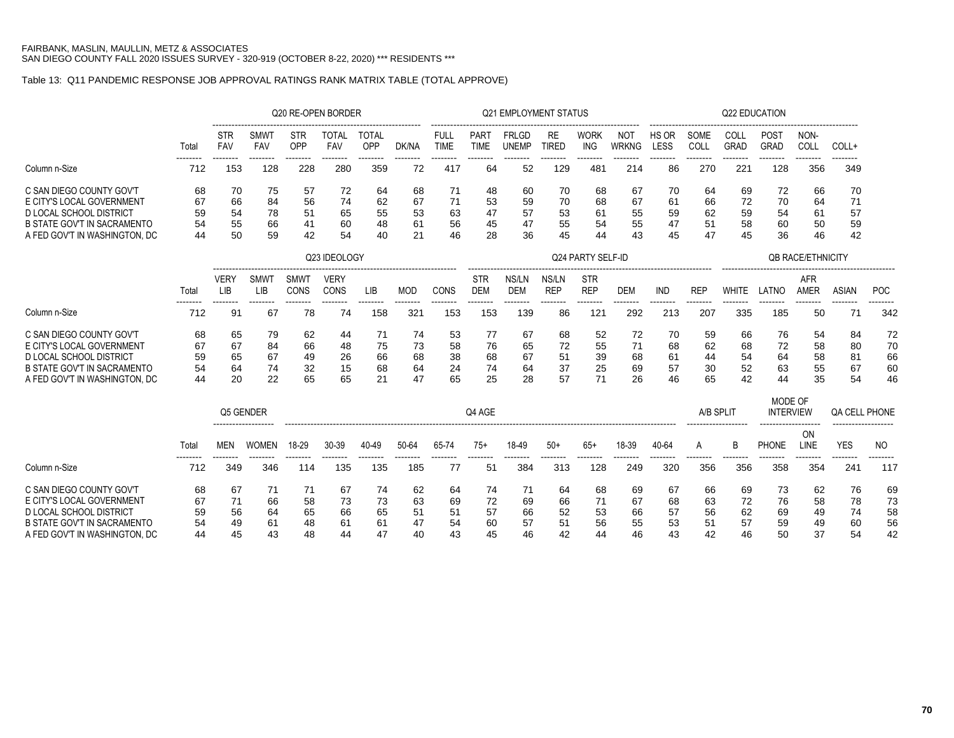# Table 13: Q11 PANDEMIC RESPONSE JOB APPROVAL RATINGS RANK MATRIX TABLE (TOTAL APPROVE)

|                                                                      |                 |                          |                           |                   | Q20 RE-OPEN BORDER  |                     |                 |                            |                                               | <b>Q21 EMPLOYMENT STATUS</b> |                           |                           |                            |                      |                 |                     | Q22 EDUCATION               |                        |                       |                 |
|----------------------------------------------------------------------|-----------------|--------------------------|---------------------------|-------------------|---------------------|---------------------|-----------------|----------------------------|-----------------------------------------------|------------------------------|---------------------------|---------------------------|----------------------------|----------------------|-----------------|---------------------|-----------------------------|------------------------|-----------------------|-----------------|
|                                                                      | Total           | <b>STR</b><br><b>FAV</b> | <b>SMW1</b><br><b>FAV</b> | <b>STR</b><br>OPP | <b>TOTAL</b><br>FAV | <b>TOTAL</b><br>OPP | DK/NA           | <b>FULL</b><br><b>TIME</b> | <b>PART</b><br><b>TIME</b>                    | <b>FRLGD</b><br><b>UNEMP</b> | <b>RE</b><br><b>TIRED</b> | <b>WORK</b><br><b>ING</b> | <b>NOT</b><br><b>WRKNG</b> | HS OR<br><b>LESS</b> | SOME<br>COLL    | COLL<br><b>GRAD</b> | POST<br>GRAD                | NON-<br>COLL           | COLL+                 |                 |
| Column n-Size                                                        | --------<br>712 | <br>153                  | --------<br>128           | --------<br>228   | --------<br>280     | --------<br>359     | --------<br>72  | --------<br>417            | --------<br>64                                | --------<br>52               | --------<br>129           | --------<br>481           | --------<br>214            | --------<br>86       | --------<br>270 | --------<br>221     | --------<br>128             | $- - - - - - -$<br>356 | --------<br>349       |                 |
| C SAN DIEGO COUNTY GOV'T                                             | 68              | 70                       | 75                        | 57                | 72                  | 64                  | 68              | 71                         | 48                                            | 60                           | 70                        | 68                        | 67                         | 70                   | 64              | 69                  | 72                          | 66                     | 70                    |                 |
| E CITY'S LOCAL GOVERNMENT                                            | 67              | 66                       | 84                        | 56                | 74                  | 62                  | 67              | 71                         | 53                                            | 59                           | 70                        | 68                        | 67                         | 61                   | 66              | 72                  | 70                          | 64                     | 71                    |                 |
| <b>D LOCAL SCHOOL DISTRICT</b><br><b>B STATE GOV'T IN SACRAMENTO</b> | 59<br>54        | 54<br>55                 | 78<br>66                  | 51<br>41          | 65<br>60            | 55<br>48            | 53              | 63<br>56                   | 47<br>45                                      | 57<br>47                     | 53<br>55                  | 61<br>54                  | 55<br>55                   | 59<br>47             | 62<br>51        | 59                  | 54                          | 61                     | 57                    |                 |
| A FED GOV'T IN WASHINGTON, DC                                        | 44              | 50                       | 59                        | 42                | 54                  | 40                  | 61<br>21        | 46                         | 28                                            | 36                           | 45                        | 44                        | 43                         | 45                   | 47              | 58<br>45            | 60<br>36                    | 50<br>46               | 59<br>42              |                 |
|                                                                      |                 |                          |                           |                   | Q23 IDEOLOGY        |                     |                 |                            | Q24 PARTY SELF-ID<br><b>QB RACE/ETHNICITY</b> |                              |                           |                           |                            |                      |                 |                     |                             |                        |                       |                 |
|                                                                      |                 | VERY                     | <b>SMWT</b>               | <b>SMWT</b>       | <b>VERY</b>         |                     |                 |                            | STR                                           | NS/LN                        | NS/LN                     | <b>STR</b>                |                            |                      |                 |                     |                             | <b>AFR</b>             |                       |                 |
|                                                                      | Total           | LIB                      | <b>LIB</b>                | CONS              | CONS                | LIB                 | <b>MOD</b>      | CONS                       | <b>DEM</b>                                    | <b>DEM</b>                   | <b>REP</b>                | <b>REP</b>                | <b>DEM</b>                 | <b>IND</b>           | <b>REP</b>      | <b>WHITE</b>        | LATNO                       | <b>AMER</b>            | <b>ASIAN</b>          | POC             |
| Column n-Size                                                        | 712             | 91                       | 67                        | 78                | --------<br>74      | --------<br>158     | --------<br>321 | .<br>153                   | --------<br>153                               | 139                          | 86                        | 121                       | 292                        | 213                  | 207             | 335                 | 185                         | 50                     | 71                    | --------<br>342 |
| C SAN DIEGO COUNTY GOV'T                                             | 68              | 65                       | 79                        | 62                | 44                  | 71                  | 74              | 53                         | 77                                            | 67                           | 68                        | 52                        | 72                         | 70                   | 59              | 66                  | 76                          | 54                     | 84                    | 72              |
| E CITY'S LOCAL GOVERNMENT                                            | 67              | 67                       | 84                        | 66                | 48                  | 75                  | 73              | 58                         | 76                                            | 65                           | 72                        | 55                        | 71                         | 68                   | 62              | 68                  | 72                          | 58                     | 80                    | 70              |
| D LOCAL SCHOOL DISTRICT                                              | 59              | 65                       | 67                        | 49                | 26                  | 66                  | 68              | 38                         | 68                                            | 67                           | 51                        | 39                        | 68                         | 61                   | 44              | 54                  | 64                          | 58                     | 81                    | 66              |
| <b>B STATE GOV'T IN SACRAMENTO</b>                                   | 54              | 64                       | 74                        | 32                | 15                  | 68                  | 64              | 24                         | 74                                            | 64                           | 37                        | 25                        | 69                         | 57                   | 30              | 52                  | 63                          | 55                     | 67                    | 60              |
| A FED GOV'T IN WASHINGTON, DC                                        | 44              | 20                       | 22                        | 65                | 65                  | 21                  | 47              | 65                         | 25                                            | 28                           | 57                        | 71                        | 26                         | 46                   | 65              | 42                  | 44                          | 35                     | 54                    | 46              |
|                                                                      |                 | Q5 GENDER                |                           |                   |                     |                     |                 |                            | Q4 AGE                                        |                              |                           |                           |                            |                      | A/B SPLIT       |                     | MODE OF<br><b>INTERVIEW</b> | <b>QA CELL PHONE</b>   |                       |                 |
|                                                                      | Total           | <b>MEN</b>               | <b>WOMEN</b>              | 18-29             | 30-39               | 40-49               | 50-64           | 65-74                      | $75+$                                         | 18-49                        | $50+$                     | $65+$                     | 18-39                      | 40-64                | A               | B                   | <b>PHONE</b>                | -------<br>ON<br>LINE  | -------<br><b>YES</b> | N <sub>O</sub>  |
| Column n-Size                                                        | 712             | 349                      | 346                       | .<br>114          | 135                 | <br>135             | --------<br>185 | .<br>77                    | 51                                            | 384                          | 313                       | 128                       | 249                        | 320                  | ------<br>356   | 356                 | -------<br>358              | 354                    | 241                   | --------<br>117 |
| C SAN DIEGO COUNTY GOV'T                                             |                 |                          |                           |                   |                     |                     |                 |                            |                                               |                              |                           |                           |                            |                      |                 |                     |                             |                        |                       |                 |
| E CITY'S LOCAL GOVERNMENT                                            | 68<br>67        | 67<br>71                 | 71<br>66                  | 71<br>58          | 67<br>73            | 74<br>73            | 62<br>63        | 64<br>69                   | 74<br>72                                      | 71<br>69                     | 64<br>66                  | 68<br>71                  | 69<br>67                   | 67<br>68             | 66<br>63        | 69<br>72            | 73<br>76                    | 62<br>58               | 76<br>78              | 69<br>73        |
| <b>DLOCAL SCHOOL DISTRICT</b>                                        | 59              | 56                       | 64                        | 65                | 66                  | 65                  | 51              | 51                         | 57                                            | 66                           | 52                        | 53                        | 66                         | 57                   | 56              | 62                  | 69                          | 49                     | 74                    | 58              |
| <b>B STATE GOV'T IN SACRAMENTO</b>                                   | 54              | 49                       | 61                        | 48                | 61                  | 61                  | 47              | 54                         | 60                                            | 57                           | 51                        | 56                        | 55                         | 53                   | 51              | 57                  | 59                          | 49                     | 60                    | 56              |
| A FED GOV'T IN WASHINGTON. DC                                        | 44              | 45                       | 43                        | 48                | 44                  | 47                  | 40              | 43                         | 45                                            | 46                           | 42                        | 44                        | 46                         | 43                   | 42              | 46                  | 50                          | 37                     | 54                    | 42              |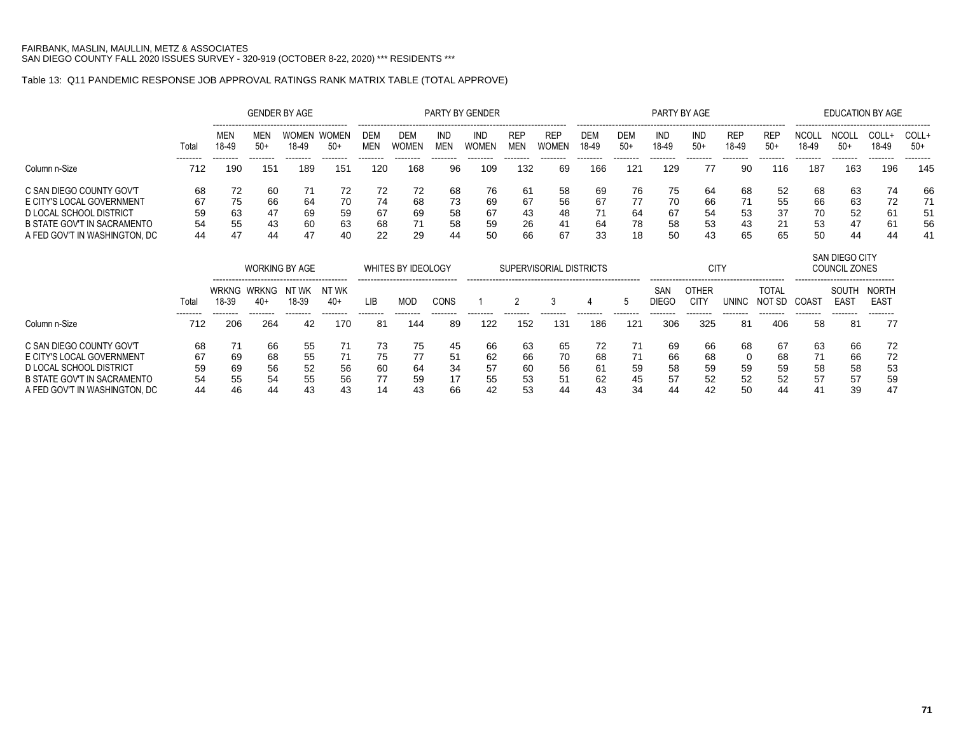### Table 13: Q11 PANDEMIC RESPONSE JOB APPROVAL RATINGS RANK MATRIX TABLE (TOTAL APPROVE)

|                                                                     |                 |                       |                 | <b>GENDER BY AGE</b>  |                 |                   |                           |                   | <b>PARTY BY GENDER</b> |                          |                         |                     |                 | PARTY BY AGE        |                      |                     |                     |                       | <b>EDUCATION BY AGE</b>                |                                            |                 |  |  |  |  |  |
|---------------------------------------------------------------------|-----------------|-----------------------|-----------------|-----------------------|-----------------|-------------------|---------------------------|-------------------|------------------------|--------------------------|-------------------------|---------------------|-----------------|---------------------|----------------------|---------------------|---------------------|-----------------------|----------------------------------------|--------------------------------------------|-----------------|--|--|--|--|--|
|                                                                     | Total           | MEN<br>18-49          | MEN<br>$50+$    | <b>WOMEN</b><br>18-49 | WOMEN<br>$50+$  | DEM<br><b>MEN</b> | DEM<br><b>WOMEN</b>       | IND<br><b>MEN</b> | IND<br>WOMEN           | <b>REP</b><br><b>MEN</b> | REP<br>WOMEN            | <b>DEM</b><br>18-49 | DEM<br>$50+$    | IND<br>18-49        | IND<br>$50+$         | <b>REP</b><br>18-49 | <b>REF</b><br>$50+$ | <b>NCOLI</b><br>18-49 | <b>NCOLL</b><br>$50+$                  | COLL+<br>18-49                             | COLL+<br>$50+$  |  |  |  |  |  |
| Column n-Size                                                       | --------<br>712 | --------<br>190       | --------<br>151 | --------<br>189       | --------<br>151 | --------<br>120   | --------<br>168           | --------<br>96    | --------<br>109        | --------<br>132          | --------<br>69          | --------<br>166     | --------<br>121 | --------<br>129     | --------<br>77       | --------<br>90      | --------<br>116     | --------<br>187       | --------<br>163                        | --------<br>196                            | --------<br>145 |  |  |  |  |  |
| C SAN DIEGO COUNTY GOV'T<br>E CITY'S LOCAL GOVERNMENT               | 68<br>67        | 72<br>75              | 60<br>66        | 71<br>64              | 72<br>70        | 72<br>74          | 72<br>68                  | 68<br>73          | 76<br>69               | 61<br>67                 | 58<br>56                | 69<br>67            | 76<br>77        | 75<br>70            | 64<br>66             | 68<br>71            | 52<br>55            | 68<br>66              | 63<br>63                               | 74<br>72                                   | 66<br>71        |  |  |  |  |  |
| D LOCAL SCHOOL DISTRICT                                             | 59              | 63                    | 47              | 69                    | 59              | 67                | 69                        | 58                | 67                     | 43                       | 48                      | 71                  | 64              | 67                  | 54                   | 53                  | 37                  | 70                    | 52                                     | 61                                         | 51              |  |  |  |  |  |
| <b>B STATE GOV'T IN SACRAMENTO</b><br>A FED GOV'T IN WASHINGTON, DC | 54<br>44        | 55<br>47              | 43<br>44        | 60<br>47              | 63<br>40        | 68<br>22          | 71<br>29                  | 58                | 59<br>50               | 26<br>66                 | 41<br>67                | 64<br>33            | 78<br>18        | 58<br>50            | 53<br>43             | 43<br>65            | 21<br>65            | 53<br>50              | 47                                     | 61                                         | 56<br>41        |  |  |  |  |  |
|                                                                     |                 | <b>WORKING BY AGE</b> |                 |                       |                 |                   | <b>WHITES BY IDEOLOGY</b> |                   |                        |                          | SUPERVISORIAL DISTRICTS |                     |                 |                     | CIT)                 |                     |                     |                       | <b>SAN DIEGO CITY</b><br>COUNCIL ZONES | 44<br>44<br>------------------------------ |                 |  |  |  |  |  |
|                                                                     | Total           | WRKNG<br>18-39        | WRKNG<br>$40+$  | NT WK<br>18-39        | nt wk<br>$40+$  | LIB               | <b>MOD</b>                | <b>CONS</b>       |                        |                          | 3                       |                     | 5               | SAN<br><b>DIEGO</b> | OTHER<br><b>CITY</b> | <b>UNINC</b>        | TOTAL<br>NOT SD     | COAST                 | SOUTH<br><b>EAST</b>                   | <b>NORTH</b><br>EAS <sub>1</sub>           |                 |  |  |  |  |  |
| Column n-Size                                                       | --------<br>712 | --------<br>206       | --------<br>264 | --------<br>42        | --------<br>170 | --------<br>81    | --------<br>144           | --------<br>89    | 122                    | 152                      | --------<br>131         | .<br>186            | --------<br>121 | .<br>306            | <br>325              | --------<br>-81     | 406                 | --------<br>58        | --------<br>81                         | --------<br>77                             |                 |  |  |  |  |  |
| C SAN DIEGO COUNTY GOV'T                                            | 68              | 71                    | 66              | 55                    | 71              | 73                | 75                        | 45                | 66                     | 63                       | 65                      | 72                  | 71              | 69                  | 66                   | 68                  | 67                  | 63                    | 66                                     | 72                                         |                 |  |  |  |  |  |
| E CITY'S LOCAL GOVERNMENT                                           | 67              | 69                    | 68              | 55                    | 71              | 75                | 77                        | 51                | 62                     | 66                       | 70                      | 68                  | 71              | 66                  | 68                   |                     | 68                  | 71                    | 66                                     | 72                                         |                 |  |  |  |  |  |
| D LOCAL SCHOOL DISTRICT                                             | 59              | 69                    | 56              | 52                    | 56              | 60                | 64                        | 34                | 57                     | 60                       | 56                      | 61                  | 59              | 58                  | 59                   | 59                  | 59                  | 58                    | 58                                     | 53                                         |                 |  |  |  |  |  |
| <b>B STATE GOV'T IN SACRAMENTO</b><br>A FED GOV'T IN WASHINGTON, DC | 54<br>44        | 55<br>46              | 54<br>44        | 55<br>43              | 56<br>43        | 77<br>14          | 59<br>43                  | 17<br>66          | 55<br>42               | 53<br>53                 | 51<br>44                | 62<br>43            | 45<br>34        | 57<br>44            | 52<br>42             | 52<br>50            | 52<br>44            | 57<br>-41             | 57<br>39                               | 59<br>47                                   |                 |  |  |  |  |  |
|                                                                     |                 |                       |                 |                       |                 |                   |                           |                   |                        |                          |                         |                     |                 |                     |                      |                     |                     |                       |                                        |                                            |                 |  |  |  |  |  |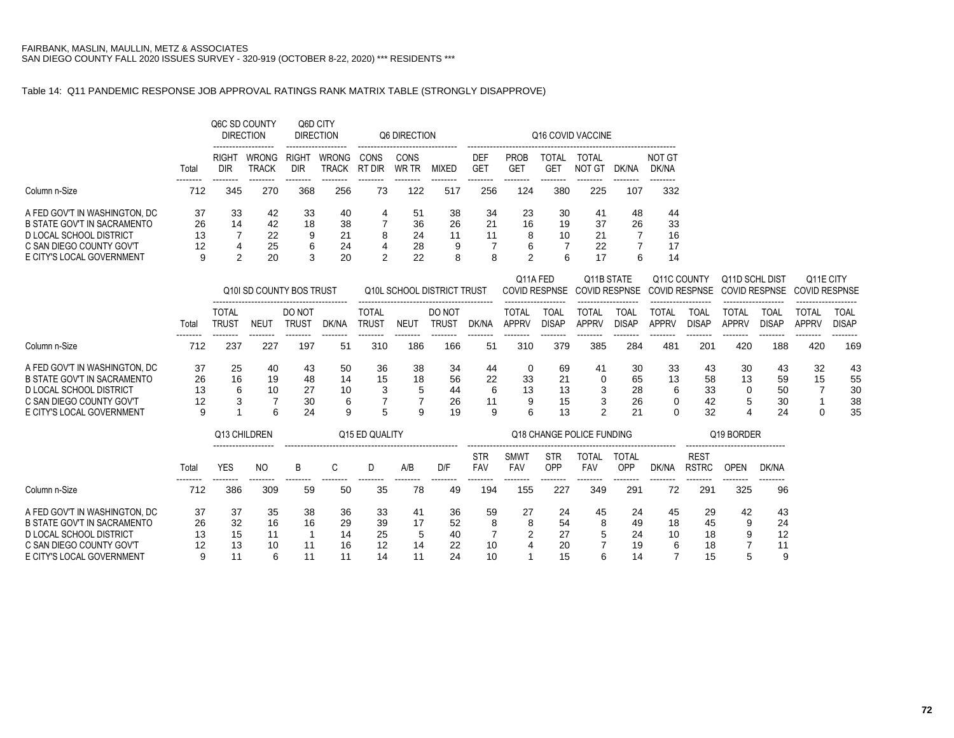### Table 14: Q11 PANDEMIC RESPONSE JOB APPROVAL RATINGS RANK MATRIX TABLE (STRONGLY DISAPPROVE)

|                                                        |          | Q6C SD COUNTY<br><b>DIRECTION</b> |                                                     | Q6D CITY<br><b>DIRECTION</b> |                              |                | Q6 DIRECTION  |              | Q16 COVID VACCINE             |                                |                     |                        |       |                 |  |  |  |  |
|--------------------------------------------------------|----------|-----------------------------------|-----------------------------------------------------|------------------------------|------------------------------|----------------|---------------|--------------|-------------------------------|--------------------------------|---------------------|------------------------|-------|-----------------|--|--|--|--|
|                                                        | Total    | RIGHT<br>DIR                      | -------------------<br><b>WRONG</b><br><b>TRACK</b> | <b>RIGHT</b><br><b>DIR</b>   | <b>WRONG</b><br><b>TRACK</b> | CONS<br>RT DIR | CONS<br>WR TR | <b>MIXED</b> | <b>DEF</b><br>GE <sub>1</sub> | <b>PROB</b><br>GE <sub>1</sub> | <b>TOTAL</b><br>GE1 | <b>TOTAL</b><br>NOT GT | DK/NA | NOT GT<br>DK/NA |  |  |  |  |
| Column n-Size                                          | 712      | 345                               | 270                                                 | 368                          | 256                          | 73             | 122           | 517          | 256                           | 124                            | 380                 | 225                    | 107   | 332             |  |  |  |  |
| A FED GOV'T IN WASHINGTON, DC                          | 37       | 33                                | 42                                                  | 33                           | 40                           | 4              | 51            | 38           | 34                            | 23                             | 30                  | 41                     | 48    | 44              |  |  |  |  |
| B STATE GOV'T IN SACRAMENTO<br>D LOCAL SCHOOL DISTRICT | 26<br>13 | 14                                | 42<br>22                                            | 18<br>9                      | 38<br>21                     | 8              | 36<br>24      | 26<br>11     | 21<br>11                      | 16<br>8                        | 19<br>10            | 37<br>21               | 26    | 33<br>16        |  |  |  |  |
| C SAN DIEGO COUNTY GOV'T                               | 12       | 4                                 | 25                                                  | 6                            | 24                           | 4              | 28            | 9            |                               | 6                              |                     | 22                     |       | 17              |  |  |  |  |
| E CITY'S LOCAL GOVERNMENT                              | 9        | C                                 | 20                                                  | 3                            | 20                           | ◠              | 22            | 8            | 8                             | 2                              | 6                   | 17                     | 6     | 14              |  |  |  |  |

|                                                                                                                                                  |                           |                            |                     | Q10I SD COUNTY BOS TRUST   |                          |                       |                  | Q10L SCHOOL DISTRICT TRUST |                          |                              | Q11A FED<br>Q11B STATE<br>COVID RESPNSE COVID RESPNSE COVID RESPNSE COVID RESPNSE COVID RESPNSE |                   |                            | Q11C COUNTY                   |                            | Q11D SCHL DIST        |                             | Q <sub>11</sub> E CITY |                            |  |
|--------------------------------------------------------------------------------------------------------------------------------------------------|---------------------------|----------------------------|---------------------|----------------------------|--------------------------|-----------------------|------------------|----------------------------|--------------------------|------------------------------|-------------------------------------------------------------------------------------------------|-------------------|----------------------------|-------------------------------|----------------------------|-----------------------|-----------------------------|------------------------|----------------------------|--|
|                                                                                                                                                  | Tota                      | TOTAL<br>trus <sup>-</sup> | NEU <sup>.</sup>    | DO NOT<br>trus1            | dk/na                    | <b>TOTAL</b><br>TRUST | NEU <sup>-</sup> | DO NOT<br>TRUS1            | DK/NA                    | <b>TOTAL</b><br><b>APPRV</b> | TOAL<br><b>DISAP</b>                                                                            | TOTAL<br>APPRV    | TOA.<br><b>DISAP</b>       | TOTAL<br><b>APPRV</b>         | TOAL<br><b>DISAP</b>       | TOTAL<br><b>APPRV</b> | <b>TOAL</b><br><b>DISAP</b> | TOTAL<br><b>APPRV</b>  | TOAI<br><b>DISAP</b>       |  |
| Column n-Size                                                                                                                                    | 712                       | 237                        | 227                 | 197                        | 51                       | 310                   | 186              | 166                        | 51                       | 310                          | 379                                                                                             | 385               | 284                        | 481                           | 201                        | 420                   | 188                         | 420                    | 169                        |  |
| A FED GOV'T IN WASHINGTON, DC<br>B STATE GOV'T IN SACRAMENTO<br>D LOCAL SCHOOL DISTRICT<br>C SAN DIEGO COUNTY GOV'T<br>E CITY'S LOCAL GOVERNMENT | 37<br>26<br>13<br>12<br>9 | 25<br>16<br>6              | 40<br>19<br>10<br>6 | 43<br>48<br>27<br>30<br>24 | 50<br>14<br>10<br>6<br>9 | 36<br>15<br>3<br>5    | 38<br>18<br>я    | 34<br>56<br>44<br>26<br>19 | 44<br>22<br>6<br>11<br>9 | 33<br>13<br>9<br>6           | 69<br>21<br>13<br>15<br>13                                                                      | 41<br>3<br>3<br>ົ | 30<br>65<br>28<br>26<br>21 | 33<br>13<br>6<br><sup>0</sup> | 43<br>58<br>33<br>42<br>32 | 30<br>13<br>5<br>4    | 43<br>59<br>50<br>30<br>24  | 32<br>15               | 43<br>55<br>30<br>38<br>35 |  |

|                                                                                  |               | Q13 CHILDREN   |               |          |                | Q15 ED QUALITY |               |                |                          |                           | Q18 CHANGE POLICE FUNDING | Q19 BORDER          |                            |          |                             |         |               |  |
|----------------------------------------------------------------------------------|---------------|----------------|---------------|----------|----------------|----------------|---------------|----------------|--------------------------|---------------------------|---------------------------|---------------------|----------------------------|----------|-----------------------------|---------|---------------|--|
|                                                                                  | Total         | YES            | NO.           | B        |                |                | A/B           | D/F            | <b>STR</b><br><b>FAV</b> | <b>SMWT</b><br><b>FAV</b> | STR<br>OPP                | TOTAL<br><b>FAV</b> | <b>TOTAL</b><br><b>OPP</b> | DK/NA    | <b>REST</b><br><b>RSTRC</b> | OPEN    | DK/NA         |  |
| Column n-Size                                                                    | 712           | 386            | 309           | 59       | 50             | 35             | 78            | 49             | 194                      | 155                       | 227                       | 349                 | 291                        | 72       | 291                         | 325     | 96            |  |
| A FED GOV'T IN WASHINGTON, DC<br>B STATE GOV'T IN SACRAMENTO                     | 37<br>26      | 37<br>32       | 35<br>16      | 38<br>16 | 36<br>29       | 33<br>39       | 41<br>17      | 36<br>52       | 59<br>8                  | 27<br>8                   | 24<br>54                  | 45<br>8             | 24<br>49                   | 45<br>18 | 29<br>45                    | 42<br>9 | 43<br>24      |  |
| D LOCAL SCHOOL DISTRICT<br>C SAN DIEGO COUNTY GOV'T<br>E CITY'S LOCAL GOVERNMENT | 13<br>12<br>9 | 15<br>13<br>11 | 11<br>10<br>6 | 11       | 14<br>16<br>11 | 25<br>12<br>14 | 5<br>14<br>11 | 40<br>22<br>24 | 10<br>10                 |                           | 27<br>20<br>15            | 5<br>6              | 24<br>19<br>14             | 10<br>6  | 18<br>18<br>15              | 9<br>5  | 12<br>11<br>9 |  |
|                                                                                  |               |                |               |          |                |                |               |                |                          |                           |                           |                     |                            |          |                             |         |               |  |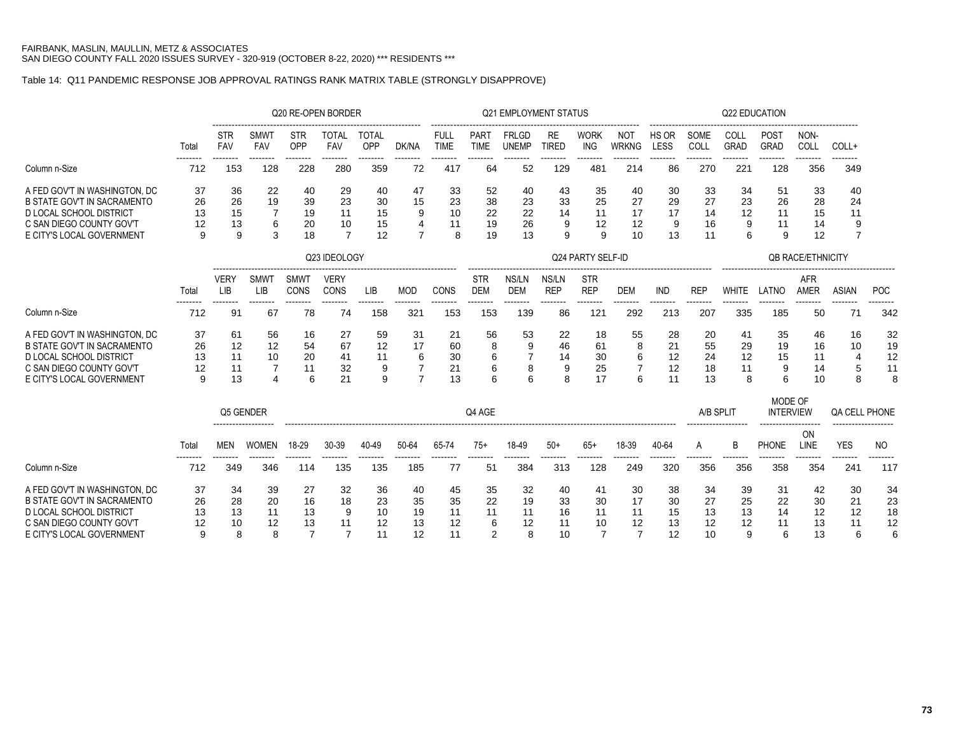## Table 14: Q11 PANDEMIC RESPONSE JOB APPROVAL RATINGS RANK MATRIX TABLE (STRONGLY DISAPPROVE)

|                                    |       |                           |                    |                     | Q20 RE-OPEN BORDER  |                     |                |                            |                            | <b>Q21 EMPLOYMENT STATUS</b> |                           |                           |                            |               |              |                     | <b>Q22 EDUCATION</b>        |                           |                      |                |
|------------------------------------|-------|---------------------------|--------------------|---------------------|---------------------|---------------------|----------------|----------------------------|----------------------------|------------------------------|---------------------------|---------------------------|----------------------------|---------------|--------------|---------------------|-----------------------------|---------------------------|----------------------|----------------|
|                                    | Total | <b>STR</b><br><b>FAV</b>  | <b>SMWT</b><br>FAV | <b>STR</b><br>OPP   | <b>TOTAL</b><br>FAV | <b>TOTAL</b><br>OPP | DK/NA          | <b>FULL</b><br><b>TIME</b> | <b>PART</b><br><b>TIME</b> | <b>FRLGD</b><br><b>UNEMP</b> | <b>RE</b><br><b>TIRED</b> | <b>WORK</b><br><b>ING</b> | <b>NOT</b><br><b>WRKNG</b> | HS OR<br>LESS | SOME<br>COLL | COLL<br><b>GRAD</b> | POST<br>GRAD                | NON-<br>COLL              | COLL+                |                |
| Column n-Size                      | 712   | 153                       | 128                | 228                 | 280                 | 359                 | 72             | 417                        | 64                         | 52                           | 129                       | 481                       | 214                        | 86            | 270          | 221                 | 128                         | 356                       | 349                  |                |
| A FED GOV'T IN WASHINGTON, DC      | 37    | 36                        | 22                 | 40                  | 29                  | 40                  | 47             | 33                         | 52                         | 40                           | 43                        | 35                        | 40                         | 30            | 33           | 34                  | 51                          | 33                        | 40                   |                |
| <b>B STATE GOV'T IN SACRAMENTO</b> | 26    | 26                        | 19                 | 39                  | 23                  | 30                  | 15             | 23                         | 38                         | 23                           | 33                        | 25                        | 27                         | 29            | 27           | 23                  | 26                          | 28                        | 24                   |                |
| <b>D LOCAL SCHOOL DISTRICT</b>     | 13    | 15                        | 7                  | 19                  | 11                  | 15                  | 9              | 10                         | 22                         | 22                           | 14                        | 11                        | 17                         | 17            | 14           | 12                  | 11                          | 15                        | 11                   |                |
| C SAN DIEGO COUNTY GOV'T           | 12    | 13                        | 6                  | 20                  | 10                  | 15                  | 4              | 11                         | 19                         | 26                           | 9                         | 12                        | 12                         | 9             | 16           | 9                   | 11                          | 14                        | 9                    |                |
| E CITY'S LOCAL GOVERNMENT          | 9     | 9                         | 3                  | 18                  | 7                   | 12                  | $\overline{7}$ | 8                          | 19                         | 13                           | 9                         | 9                         | 10                         | 13            | 11           | 6                   | 9                           | 12                        | 7                    |                |
|                                    |       |                           |                    |                     | Q23 IDEOLOGY        |                     |                |                            |                            |                              |                           | Q24 PARTY SELF-ID         |                            |               |              |                     |                             | <b>QB RACE/ETHNICITY</b>  |                      |                |
|                                    | Total | <b>VERY</b><br><b>LIB</b> | SMWT<br><b>LIB</b> | SMWT<br><b>CONS</b> | <b>VERY</b><br>CONS | LIB                 | <b>MOD</b>     | CONS                       | <b>STR</b><br><b>DEM</b>   | NS/LN<br><b>DEM</b>          | NS/LN<br><b>REP</b>       | <b>STR</b><br><b>REP</b>  | <b>DEM</b>                 | <b>IND</b>    | <b>REP</b>   | <b>WHITE</b>        | LATNO                       | <b>AFR</b><br><b>AMER</b> | <b>ASIAN</b>         | POC            |
| Column n-Size                      | 712   | 91                        | 67                 | 78                  | 74                  | <br>158             | 321            | 153                        | 153                        | 139                          | 86                        | 121                       | 292                        | 213           | 207          | 335                 | 185                         | 50                        | 71                   | 342            |
| A FED GOV'T IN WASHINGTON, DC      | 37    | 61                        | 56                 | 16                  | 27                  | 59                  | 31             | 21                         | 56                         | 53                           | 22                        | 18                        | 55                         | 28            | 20           | 41                  | 35                          | 46                        | 16                   | 32             |
| <b>B STATE GOV'T IN SACRAMENTO</b> | 26    | 12                        | 12                 | 54                  | 67                  | 12                  | 17             | 60                         | 8                          | 9                            | 46                        | 61                        | 8                          | 21            | 55           | 29                  | 19                          | 16                        | 10                   | 19             |
| <b>D LOCAL SCHOOL DISTRICT</b>     | 13    | 11                        | 10                 | 20                  | 41                  | 11                  | 6              | 30                         | 6                          |                              | 14                        | 30                        | 6                          | 12            | 24           | 12                  | 15                          | 11                        | $\overline{4}$       | 12             |
| C SAN DIEGO COUNTY GOV'T           | 12    | 11                        |                    | 11                  | 32                  | 9                   |                | 21                         | 6                          | 8                            | 9                         | 25                        | 7                          | 12            | 18           | 11                  | 9                           | 14                        | 5                    | 11             |
| E CITY'S LOCAL GOVERNMENT          | 9     | 13                        | $\Delta$           | 6                   | 21                  | 9                   | $\overline{7}$ | 13                         | 6                          | 6                            | 8                         | 17                        | 6                          | 11            | 13           | 8                   | 6                           | 10                        | 8                    | 8              |
|                                    |       | Q5 GENDER                 |                    |                     |                     |                     |                |                            | Q4 AGE                     |                              |                           |                           |                            |               | A/B SPLIT    |                     | MODE OF<br><b>INTERVIEW</b> |                           | <b>QA CELL PHONE</b> |                |
|                                    | Total | <b>MEN</b>                | <b>WOMEN</b>       | 18-29               | 30-39               | 40-49               | 50-64          | 65-74                      | $75+$                      | 18-49                        | $50+$                     | $65+$                     | 18-39                      | 40-64         | A            | B                   | PHONE                       | ON<br>LINE                | <b>YES</b>           | N <sub>O</sub> |
| Column n-Size                      | 712   | 349                       | 346                | 114                 | 135                 | 135                 | 185            | -77                        | 51                         | 384                          | 313                       | 128                       | 249                        | 320           | 356          | 356                 | 358                         | 354                       | 241                  | 117            |
| A FED GOV'T IN WASHINGTON. DC      | 37    | 34                        | 39                 | 27                  | 32                  | 36                  | 40             | 45                         | 35                         | 32                           | 40                        | 41                        | 30                         | 38            | 34           | 39                  | 31                          | 42                        | 30                   | 34             |
| <b>B STATE GOV'T IN SACRAMENTO</b> | 26    | 28                        | 20                 | 16                  | 18                  | 23                  | 35             | 35                         | 22                         | 19                           | 33                        | 30                        | 17                         | 30            | 27           | 25                  | 22                          | 30                        | 21                   | 23             |
| <b>D LOCAL SCHOOL DISTRICT</b>     | 13    | 13                        | 11                 | 13                  | 9                   | 10                  | 19             | 11                         | 11                         | 11                           | 16                        | 11                        | 11                         | 15            | 13           | 13                  | 14                          | 12                        | 12                   | 18             |
| C SAN DIEGO COUNTY GOV'T           | 12    | 10                        | 12                 | 13                  | 11                  | 12                  | 13             | 12                         | 6                          | 12                           | 11                        | 10                        | 12                         | 13            | 12           | 12                  | 11                          | 13                        | 11                   | 12             |
| E CITY'S LOCAL GOVERNMENT          | 9     | 8                         | 8                  | $\overline{7}$      | $\overline{7}$      | 11                  | 12             | 11                         | 2                          | 8                            | 10                        | 7                         | $\overline{7}$             | 12            | 10           | 9                   | 6                           | 13                        | 6                    | 6              |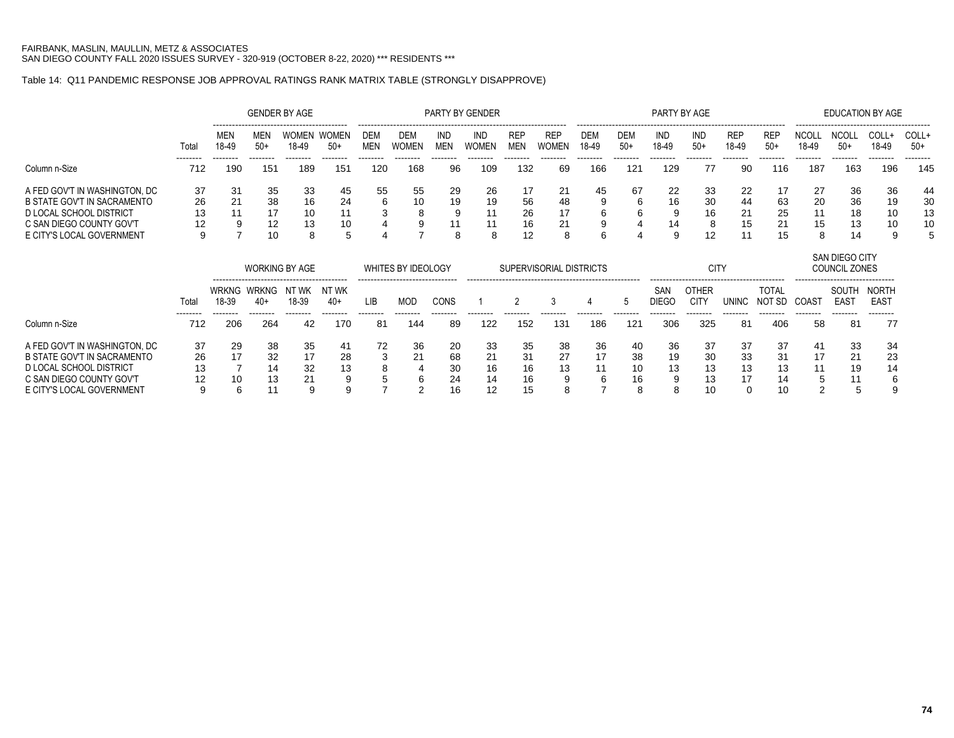### Table 14: Q11 PANDEMIC RESPONSE JOB APPROVAL RATINGS RANK MATRIX TABLE (STRONGLY DISAPPROVE)

|                                    |       |                       |                       | <b>GENDER BY AGE</b>  |                       |                          |                            |                          | PARTY BY GENDER            |                          |                            |                     |                     | PARTY BY AGE        |                      |                     |                        |                       | <b>EDUCATION BY AGE</b>         |                             |                 |
|------------------------------------|-------|-----------------------|-----------------------|-----------------------|-----------------------|--------------------------|----------------------------|--------------------------|----------------------------|--------------------------|----------------------------|---------------------|---------------------|---------------------|----------------------|---------------------|------------------------|-----------------------|---------------------------------|-----------------------------|-----------------|
|                                    | Total | MEN<br>18-49          | MEN<br>$50+$          | WOMEN<br>18-49        | <b>WOMEN</b><br>$50+$ | <b>DEM</b><br><b>MEN</b> | <b>DEM</b><br><b>WOMEN</b> | <b>IND</b><br><b>MEN</b> | <b>IND</b><br><b>WOMEN</b> | <b>REP</b><br><b>MEN</b> | <b>REP</b><br><b>WOMEN</b> | <b>DEM</b><br>18-49 | <b>DEM</b><br>$50+$ | <b>IND</b><br>18-49 | <b>IND</b><br>$50+$  | <b>REP</b><br>18-49 | <b>REP</b><br>$50+$    | <b>NCOLL</b><br>18-49 | <b>NCOLL</b><br>$50+$           | COLL+<br>18-49              | COLL+<br>$50+$  |
| Column n-Size                      | 712   | 190                   | --------<br>151       | 189                   | --------<br>151       | -------<br>120           | -------<br>168             | 96                       | 109                        | 132                      | 69                         | 166                 | 121                 | 129                 | 77                   | 90                  | 116                    | 187                   | --------<br>163                 | --------<br>196             | --------<br>145 |
| A FED GOV'T IN WASHINGTON, DC      | 37    | 31                    | 35                    | 33                    | 45                    | 55                       | 55                         | 29                       | 26                         | 17                       | 21                         | 45                  | 67                  | 22                  | 33                   | 22                  | 17                     | 27                    | 36                              | 36                          | 44              |
| B STATE GOV'T IN SACRAMENTO        | 26    | 21                    | 38                    | 16                    | 24                    | 6                        | 10                         | 19                       | 19                         | 56                       | 48                         |                     | 6                   | 16                  | 30                   | 44                  | 63                     | 20                    | 36                              | 19                          | 30              |
| D LOCAL SCHOOL DISTRICT            | 13    | 11                    | 17                    | 10                    | 11                    | 3                        | 8                          | 9                        | 11                         | 26                       | 17                         |                     | 6                   |                     | 16                   | 21                  | 25                     | 11                    | 18                              | 10                          | 13              |
| C SAN DIEGO COUNTY GOV'T           | 12    |                       | 12                    | 13                    | 10                    |                          | 9                          | 11                       | 11                         | 16                       | 21                         |                     |                     | 14                  | 8                    | 15                  | 21                     | 15                    | 13                              | 10                          | 10              |
| E CITY'S LOCAL GOVERNMENT          | 9     |                       | 10                    | 8                     | 5                     |                          |                            | 8                        | 8                          | 12                       | 8                          |                     |                     | 9                   | 12                   |                     | 15                     | 8                     | 14                              | 9                           | 5               |
|                                    |       |                       |                       | <b>WORKING BY AGE</b> |                       |                          | WHITES BY IDEOLOGY         |                          |                            |                          | SUPERVISORIAL DISTRICTS    |                     |                     |                     | <b>CITY</b>          |                     |                        |                       | SAN DIEGO CITY<br>COUNCIL ZONES |                             |                 |
|                                    | Total | <b>WRKNG</b><br>18-39 | <b>WRKNG</b><br>$40+$ | NT WK<br>18-39        | NT WK<br>$40+$        | <b>LIB</b>               | <b>MOD</b>                 | <b>CONS</b>              |                            | $\overline{2}$           | 3                          |                     | 5                   | SAN<br><b>DIEGO</b> | OTHER<br><b>CITY</b> | <b>UNINC</b>        | <b>TOTAL</b><br>NOT SD | COAST                 | SOUTH<br><b>EAST</b>            | <b>NORTH</b><br><b>EAST</b> |                 |
| Column n-Size                      | 712   | 206                   | 264                   | 42                    | 170                   | -------<br>81            | 144                        | 89                       | 122                        | 152                      | 131                        | 186                 | 121                 | 306                 | 325                  | 81                  | 406                    | 58                    | 81                              | 77                          |                 |
| A FED GOV'T IN WASHINGTON, DC      | 37    | 29                    | 38                    | 35                    | 41                    | 72                       | 36                         | 20                       | 33                         | 35                       | 38                         | 36                  | 40                  | 36                  | 37                   | 37                  | 37                     | 41                    | 33                              | 34                          |                 |
| <b>B STATE GOV'T IN SACRAMENTO</b> | 26    |                       | 32                    | 17                    | 28                    | 3                        | 21                         | 68                       | 21                         | 31                       | 27                         | 17                  | 38                  | 19                  | 30                   | 33                  | 31                     | 17                    | 21                              | 23                          |                 |
| D LOCAL SCHOOL DISTRICT            | 13    |                       | 14                    | 32                    | 13                    |                          |                            | 30                       | 16                         | 16                       | 13                         |                     | 10                  | 13                  | 13                   | 13                  | 13                     | 11                    | 19                              | 14                          |                 |
| C SAN DIEGO COUNTY GOV'T           | 12    | 10                    | 13                    |                       |                       |                          | 6                          | 24                       | 14                         | 16                       |                            |                     | 16                  |                     | 13                   | 17                  | 14                     |                       | 11                              |                             |                 |
| E CITY'S LOCAL GOVERNMENT          | 9     | 6                     | 11                    | 9                     | 9                     |                          | $\overline{2}$             | 16                       | 12                         | 15                       |                            |                     | 8                   | 8                   | 10                   | $\Omega$            | 10                     | 2                     | 5                               |                             |                 |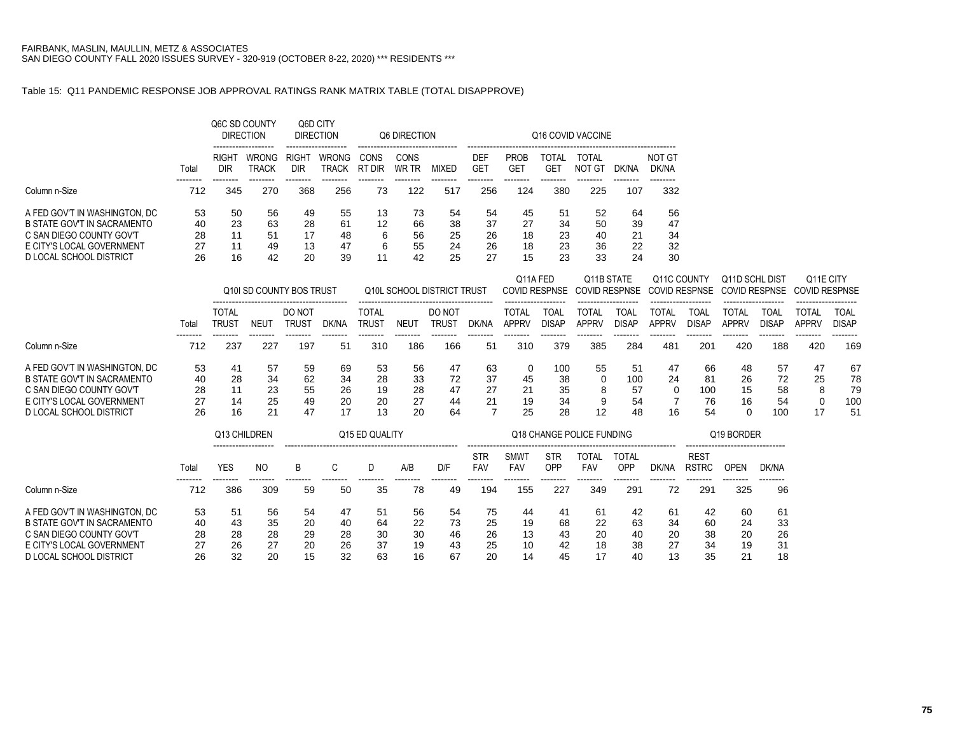### Table 15: Q11 PANDEMIC RESPONSE JOB APPROVAL RATINGS RANK MATRIX TABLE (TOTAL DISAPPROVE)

|                                                              |          |                     | Q6C SD COUNTY<br><b>DIRECTION</b>                   |                          | Q6D CITY<br><b>DIRECTION</b> |                | Q6 DIRECTION  |          |                   |                    |                                 | Q16 COVID VACCINE    |          |                 |
|--------------------------------------------------------------|----------|---------------------|-----------------------------------------------------|--------------------------|------------------------------|----------------|---------------|----------|-------------------|--------------------|---------------------------------|----------------------|----------|-----------------|
|                                                              | Total    | <b>RIGHT</b><br>DIR | -------------------<br><b>WRONG</b><br><b>TRACK</b> | RIGH <sub>1</sub><br>DIR | <b>WRONG</b><br>TRACK        | CONS<br>RT DIR | CONS<br>WR TR | MIXED    | <b>DEF</b><br>GET | <b>PROB</b><br>GE. | <b>TOTAL</b><br>GE <sup>-</sup> | TOTAL<br>- GT<br>NO. | )K/NA    | NOT GT<br>DK/NA |
| Column n-Size                                                | 712      | 345                 | 270                                                 | 368                      | 256                          | 73             | 122           | 517      | 256               | 124                | 380                             | 225                  | 107      | 332             |
| A FED GOV'T IN WASHINGTON, DC<br>B STATE GOV'T IN SACRAMENTO | 53<br>40 | 50<br>23            | 56<br>63                                            | 49<br>28                 | 55<br>61                     | 13<br>12       | 73<br>66      | 54<br>38 | 54<br>37          | 45<br>27           | 51<br>34                        | 52<br>50             | 64<br>39 | 56<br>47        |
| C SAN DIEGO COUNTY GOV'T                                     | 28       | 11                  | 51                                                  | 17                       | 48                           | 6              | 56            | 25       | 26                | 18                 | 23                              | 40                   | 21       | 34              |
| E CITY'S LOCAL GOVERNMENT                                    | 27       | 11                  | 49                                                  | 13                       | 47                           | 6              | 55            | 24       | 26                | 18                 | 23                              | 36                   | 22       | 32              |
| D LOCAL SCHOOL DISTRICT                                      | 26       | 16                  | 42                                                  | 20                       | 39                           |                | 42            | 25       | 27                | 15                 | 23                              | 33                   | 24       | 30              |

|                                                                                                                                                  |                            |                            |                            | Q10I SD COUNTY BOS TRUST   |                            |                            |                            | Q10L SCHOOL DISTRICT TRUST |                      | Q11A FED                  |                             | Q11B STATE         |                             | Q11C COUNTY           |                             | Q11D SCHL DIST<br>COVID RESPNSE COVID RESPNSE COVID RESPNSE COVID RESPNSE |                             | Q11E CITY<br>COVID RESPNSE |                             |
|--------------------------------------------------------------------------------------------------------------------------------------------------|----------------------------|----------------------------|----------------------------|----------------------------|----------------------------|----------------------------|----------------------------|----------------------------|----------------------|---------------------------|-----------------------------|--------------------|-----------------------------|-----------------------|-----------------------------|---------------------------------------------------------------------------|-----------------------------|----------------------------|-----------------------------|
|                                                                                                                                                  | Tota                       | TOTAL<br><b>TRUST</b>      | NEU                        | DO NOT<br>TRUST            | DK/NA                      | <b>TOTAL</b><br>TRUS1      | NEU1                       | DO NOT<br>TRUST            | DK/NA                | TOTAL<br>APPRV            | "OAI<br>DISAP               | OTAI<br>APPRV      | <b>TOAL</b><br>DISAP        | TOTAI<br><b>APPR\</b> | <b>TOAL</b><br><b>DISAP</b> | `OTAL<br>APPRV                                                            | TOAL<br>DISAP               | <b>TOTAL</b><br>APPRV      | TOAL<br><b>DISAP</b>        |
| Column n-Size                                                                                                                                    | --------<br>712            | 237                        | 227                        | 197                        | 51                         | 310                        | 186                        | 166                        | 51                   | 310                       | 379                         | 385                | 284                         | 481                   | 201                         | 420                                                                       | 188                         | 420                        | <br>169                     |
| A FED GOV'T IN WASHINGTON, DC<br>B STATE GOV'T IN SACRAMENTO<br>C SAN DIEGO COUNTY GOV'T<br>E CITY'S LOCAL GOVERNMENT<br>D LOCAL SCHOOL DISTRICT | 53<br>40<br>28<br>27<br>26 | 41<br>28<br>11<br>14<br>16 | 57<br>34<br>23<br>25<br>21 | 59<br>62<br>55<br>49<br>47 | 69<br>34<br>26<br>20<br>17 | 53<br>28<br>19<br>20<br>13 | 56<br>33<br>28<br>27<br>20 | 47<br>72<br>47<br>44<br>64 | 63<br>37<br>27<br>21 | 0<br>45<br>21<br>19<br>25 | 100<br>38<br>35<br>34<br>28 | 55<br>8<br>9<br>12 | 51<br>100<br>57<br>54<br>48 | 47<br>24<br>0<br>16   | 66<br>81<br>100<br>76<br>54 | 48<br>26<br>15<br>16<br>0                                                 | 57<br>72<br>58<br>54<br>100 | 47<br>25<br>17             | 67<br>78<br>79<br>100<br>51 |

|                                                                                  |                | Q13 CHILDREN   |                |                |                | Q <sub>15</sub> ED QUALITY |                |                |                          |                    |                   | Q18 CHANGE POLICE FUNDING |                     |                |                             | Q19 BORDER     |                |  |
|----------------------------------------------------------------------------------|----------------|----------------|----------------|----------------|----------------|----------------------------|----------------|----------------|--------------------------|--------------------|-------------------|---------------------------|---------------------|----------------|-----------------------------|----------------|----------------|--|
|                                                                                  | Total          | <br>YES        | NO.            | B              |                |                            | A/B            | D/F            | <b>STR</b><br><b>FAV</b> | <b>SMWT</b><br>FAV | <b>STR</b><br>OPP | TOTAI<br><b>FAV</b>       | TOTAL<br><b>OPP</b> | dk/na          | <b>REST</b><br><b>RSTRC</b> | OPEN           | DK/NA          |  |
| Column n-Size                                                                    | 712            | 386            | 309            | 59             | 50             | 35                         | 78             | 49             | 194                      | 155                | 227               | 349                       | 291                 | 72             | 291                         | 325            | 96             |  |
| A FED GOV'T IN WASHINGTON, DC<br>B STATE GOV'T IN SACRAMENTO                     | 53<br>40       | 51<br>43       | 56<br>35       | 54<br>20       | 47<br>40       | 5 <sup>1</sup><br>64       | 56<br>22       | 54<br>73       | 75<br>25                 | 44<br>19           | 41<br>68          | 61<br>22                  | 42<br>63            | 61<br>34       | 42<br>60                    | 60<br>24       | 61<br>33       |  |
| C SAN DIEGO COUNTY GOV'T<br>E CITY'S LOCAL GOVERNMENT<br>D LOCAL SCHOOL DISTRICT | 28<br>27<br>26 | 28<br>26<br>32 | 28<br>27<br>20 | 29<br>20<br>15 | 28<br>26<br>32 | 30<br>37<br>63             | 30<br>19<br>16 | 46<br>43<br>67 | 26<br>25<br>20           | 13<br>10<br>14     | 43<br>42<br>45    | 20<br>18<br>17            | 40<br>38<br>40      | 20<br>27<br>13 | 38<br>34<br>35              | 20<br>19<br>21 | 26<br>31<br>18 |  |
|                                                                                  |                |                |                |                |                |                            |                |                |                          |                    |                   |                           |                     |                |                             |                |                |  |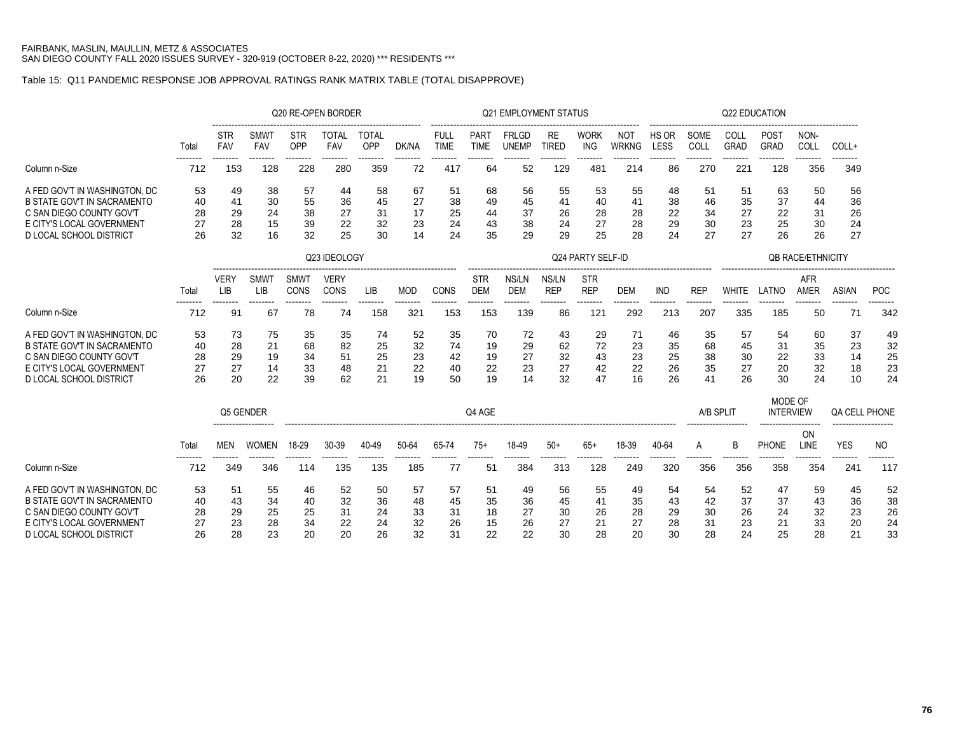# Table 15: Q11 PANDEMIC RESPONSE JOB APPROVAL RATINGS RANK MATRIX TABLE (TOTAL DISAPPROVE)

|                                    |                 |                           |                           |                     | Q20 RE-OPEN BORDER  |                     |               |                            |                            | <b>Q21 EMPLOYMENT STATUS</b> |                           |                           |                            |                      |                                      |                 | Q22 EDUCATION               |                           |                      |                 |
|------------------------------------|-----------------|---------------------------|---------------------------|---------------------|---------------------|---------------------|---------------|----------------------------|----------------------------|------------------------------|---------------------------|---------------------------|----------------------------|----------------------|--------------------------------------|-----------------|-----------------------------|---------------------------|----------------------|-----------------|
|                                    | Total           | <b>STR</b><br>FAV         | <b>SMW1</b><br><b>FAV</b> | <b>STR</b><br>OPP   | <b>TOTAL</b><br>FAV | <b>TOTAL</b><br>OPP | DK/NA         | <b>FULL</b><br><b>TIME</b> | <b>PART</b><br><b>TIME</b> | FRLGD<br><b>UNEMP</b>        | <b>RE</b><br><b>TIRED</b> | <b>WORK</b><br><b>ING</b> | <b>NOT</b><br><b>WRKNG</b> | HS OR<br><b>LESS</b> | --------------------<br>SOME<br>COLL | COLL<br>GRAD    | POST<br><b>GRAD</b>         | NON-<br>COLL              | COLL+                |                 |
| Column n-Size                      | --------<br>712 | 153                       | 128                       | --------<br>228     | 280                 | --------<br>359     | -------<br>72 | -------<br>417             | 64                         | 52                           | 129                       | --------<br>481           | 214                        | 86                   | --------<br>270                      | --------<br>221 | --------<br>128             | --------<br>356           | 349                  |                 |
| A FED GOV'T IN WASHINGTON, DC      | 53              | 49                        | 38                        | 57                  | 44                  | 58                  | 67            | 51                         | 68                         | 56                           | 55                        | 53                        | 55                         | 48                   | 51                                   | 51              | 63                          | 50                        | 56                   |                 |
| <b>B STATE GOV'T IN SACRAMENTO</b> | 40              | 41                        | 30                        | 55                  | 36                  | 45                  | 27            | 38                         | 49                         | 45                           | 41                        | 40                        | 41                         | 38                   | 46                                   | 35              | 37                          | 44                        | 36                   |                 |
| C SAN DIEGO COUNTY GOV'T           | 28              | 29                        | 24                        | 38                  | 27                  | 31                  | 17            | 25                         | 44                         | 37                           | 26                        | 28                        | 28                         | 22                   | 34                                   | 27              | 22                          | 31                        | 26                   |                 |
| E CITY'S LOCAL GOVERNMENT          | 27              | 28                        | 15                        | 39                  | 22                  | 32                  | 23            | 24                         | 43                         | 38                           | 24                        | 27                        | 28                         | 29                   | 30                                   | 23              | 25                          | 30                        | 24                   |                 |
| <b>D LOCAL SCHOOL DISTRICT</b>     | 26              | 32                        | 16                        | 32                  | 25                  | 30                  | 14            | 24                         | 35                         | 29                           | 29                        | 25                        | 28                         | 24                   | 27                                   | 27              | 26                          | 26                        | 27                   |                 |
|                                    |                 |                           |                           |                     | Q23 IDEOLOGY        |                     |               |                            |                            |                              |                           | Q24 PARTY SELF-ID         |                            |                      |                                      |                 |                             | <b>QB RACE/ETHNICITY</b>  |                      |                 |
|                                    | Total           | <b>VERY</b><br><b>LIB</b> | SMWT<br><b>LIB</b>        | <b>SMWT</b><br>CONS | <b>VERY</b><br>CONS | LIB                 | <b>MOD</b>    | CONS                       | <b>STR</b><br><b>DEM</b>   | NS/LN<br><b>DEM</b>          | NS/LN<br><b>REP</b>       | <b>STR</b><br><b>REP</b>  | <b>DEM</b>                 | <b>IND</b>           | <b>REP</b>                           | <b>WHITE</b>    | LATNO                       | <b>AFR</b><br><b>AMER</b> | <b>ASIAN</b>         | <b>POC</b>      |
|                                    |                 |                           |                           |                     |                     | --------            | -------       | -------                    | -------                    |                              |                           |                           |                            |                      |                                      |                 |                             |                           |                      | --------        |
| Column n-Size                      | 712             | 91                        | 67                        | 78                  | 74                  | 158                 | 321           | 153                        | 153                        | 139                          | 86                        | 121                       | 292                        | 213                  | 207                                  | 335             | 185                         | 50                        | 71                   | 342             |
| A FED GOV'T IN WASHINGTON. DC      | 53              | 73                        | 75                        | 35                  | 35                  | 74                  | 52            | 35                         | 70                         | 72                           | 43                        | 29                        | 71                         | 46                   | 35                                   | 57              | 54                          | 60                        | 37                   | 49              |
| <b>B STATE GOV'T IN SACRAMENTO</b> | 40              | 28                        | 21                        | 68                  | 82                  | 25                  | 32            | 74                         | 19                         | 29                           | 62                        | 72                        | 23                         | 35                   | 68                                   | 45              | 31                          | 35                        | 23                   | 32              |
| C SAN DIEGO COUNTY GOV'T           | 28              | 29                        | 19                        | 34                  | 51                  | 25                  | 23            | 42                         | 19                         | 27                           | 32                        | 43                        | 23                         | 25                   | 38                                   | 30              | 22                          | 33                        | 14                   | 25              |
| E CITY'S LOCAL GOVERNMENT          | 27              | 27                        | 14                        | 33                  | 48                  | 21                  | 22            | 40                         | 22                         | 23                           | 27                        | 42                        | 22                         | 26                   | 35                                   | 27              | 20                          | 32                        | 18                   | 23              |
| D LOCAL SCHOOL DISTRICT            | 26              | 20                        | 22                        | 39                  | 62                  | 21                  | 19            | 50                         | 19                         | 14                           | 32                        | 47                        | 16                         | 26                   | 41                                   | 26              | 30                          | 24                        | 10                   | 24              |
|                                    |                 | Q5 GENDER                 |                           |                     |                     |                     |               |                            | Q4 AGE                     |                              |                           |                           |                            |                      | A/B SPLIT                            |                 | MODE OF<br><b>INTERVIEW</b> |                           | <b>QA CELL PHONE</b> |                 |
|                                    |                 |                           |                           |                     |                     |                     |               |                            |                            |                              |                           |                           |                            |                      |                                      |                 |                             | .                         | ------------------   |                 |
|                                    | Total           | <b>MEN</b>                | <b>WOMEN</b>              | 18-29               | 30-39               | 40-49               | 50-64         | 65-74                      | $75+$                      | 18-49                        | $50+$                     | $65+$                     | 18-39                      | 40-64                | A                                    | B               | <b>PHONE</b>                | <b>ON</b><br>LINE         | <b>YES</b>           | N <sub>O</sub>  |
| Column n-Size                      | 712             | 349                       | 346                       | 114                 | 135                 | 135                 | 185           | -77                        | 51                         | 384                          | 313                       | 128                       | 249                        | 320                  | 356                                  | 356             | 358                         | 354                       | 241                  | --------<br>117 |
| A FED GOV'T IN WASHINGTON. DC      | 53              | 51                        | 55                        | 46                  | 52                  | 50                  | 57            | 57                         | 51                         | 49                           | 56                        | 55                        | 49                         | 54                   | 54                                   | 52              | 47                          | 59                        | 45                   | 52              |
| <b>B STATE GOV'T IN SACRAMENTO</b> | 40              | 43                        | 34                        | 40                  | 32                  | 36                  | 48            | 45                         | 35                         | 36                           | 45                        | 41                        | 35                         | 43                   | 42                                   | 37              | 37                          | 43                        | 36                   | 38              |
| C SAN DIEGO COUNTY GOV'T           | 28              | 29                        | 25                        | 25                  | 31                  | 24                  | 33            | 31                         | 18                         | 27                           | 30                        | 26                        | 28                         | 29                   | 30                                   | 26              | 24                          | 32                        | 23                   | 26              |
| E CITY'S LOCAL GOVERNMENT          | 27              | 23                        | 28                        | 34                  | 22                  | 24                  | 32            | 26                         | 15                         | 26                           | 27                        | 21                        | 27                         | 28                   | 31                                   | 23              | 21                          | 33                        | 20                   | 24              |
| <b>D LOCAL SCHOOL DISTRICT</b>     | 26              | 28                        | 23                        | 20                  | 20                  | 26                  | 32            | 31                         | 22                         | 22                           | 30                        | 28                        | 20                         | 30                   | 28                                   | 24              | 25                          | 28                        | 21                   | 33              |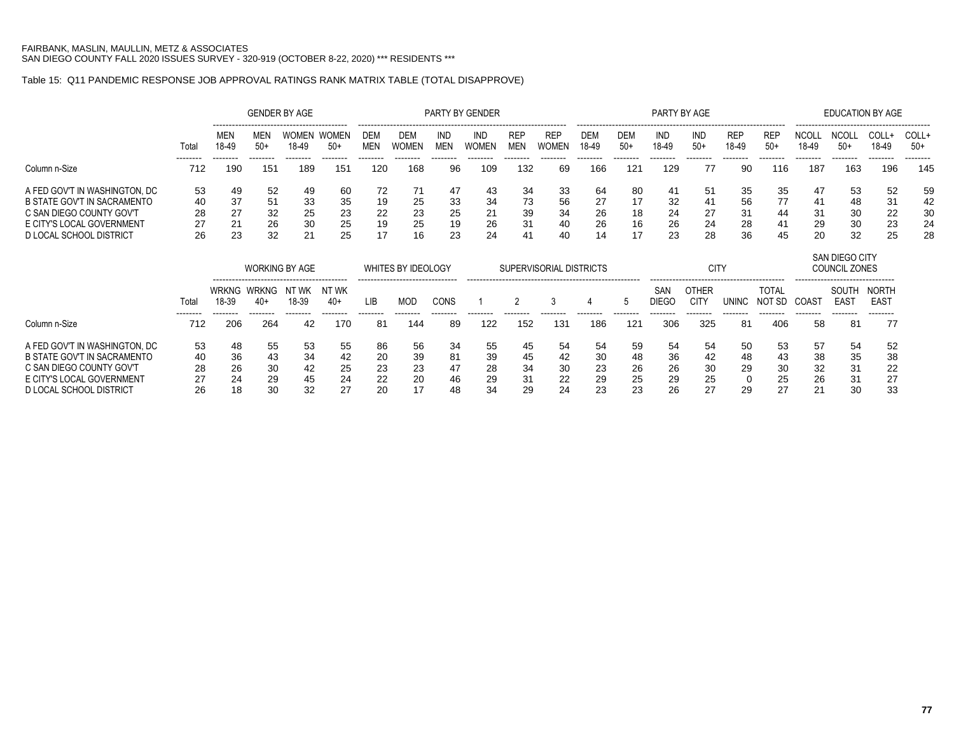### Table 15: Q11 PANDEMIC RESPONSE JOB APPROVAL RATINGS RANK MATRIX TABLE (TOTAL DISAPPROVE)

|                                    |                 |                       |                     | <b>GENDER BY AGE</b>                                        |                       |                   |                           |                   | <b>PARTY BY GENDER</b> |                          |                         |                     |                     | PARTY BY AGE        |                             |                     |                        |                       | <b>EDUCATION BY AGE</b>                |                             |                 |
|------------------------------------|-----------------|-----------------------|---------------------|-------------------------------------------------------------|-----------------------|-------------------|---------------------------|-------------------|------------------------|--------------------------|-------------------------|---------------------|---------------------|---------------------|-----------------------------|---------------------|------------------------|-----------------------|----------------------------------------|-----------------------------|-----------------|
|                                    | Total           | MEN<br>18-49          | MEN<br>$50+$        | WOMEN<br>18-49                                              | <b>WOMEN</b><br>$50+$ | DEM<br><b>MEN</b> | DEM<br>WOMEN              | IND<br><b>MEN</b> | IND<br><b>WOMEN</b>    | <b>REP</b><br><b>MEN</b> | <b>REP</b><br>WOMEN     | <b>DEM</b><br>18-49 | <b>DEM</b><br>$50+$ | IND<br>18-49        | <b>IND</b><br>$50+$         | <b>REP</b><br>18-49 | REP<br>$50+$           | <b>NCOLL</b><br>18-49 | <b>NCOLL</b><br>$50+$                  | COLL+<br>18-49              | COLL+<br>$50+$  |
| Column n-Size                      | --------<br>712 | --------<br>190       | --------<br>151     | --------<br>189                                             | --------<br>151       | -------<br>120    | --------<br>168           | --------<br>96    | <br>109                | --------<br>132          | .<br>69                 | -------<br>166      | --------<br>121     | --------<br>129     | --------<br>77              | --------<br>-90     | --------<br>116        | --------<br>187       | --------<br>163                        | --------<br>196             | --------<br>145 |
| A FED GOV'T IN WASHINGTON. DC      | 53              | 49                    | 52                  | 49                                                          | 60                    | 72                | 71                        | 47                | 43                     | 34                       | 33                      | 64                  | 80                  | 41                  | 51                          | 35                  | 35                     | 47                    | 53                                     | 52                          | 59              |
| <b>B STATE GOV'T IN SACRAMENTO</b> | 40              | 37                    | 51                  | 33                                                          | 35                    | 19                | 25                        | 33                | 34                     | 73                       | 56                      | 27                  | 17                  | 32                  | 41                          | 56                  | 77                     | 41                    | 48                                     | 31                          | 42              |
| C SAN DIEGO COUNTY GOV'T           | 28              | 27                    | 32                  | 25                                                          | 23                    | 22                | 23                        | 25                | 21                     | 39                       | 34                      | 26                  | 18                  | 24                  | 27                          | 31                  | 44                     | 31                    | 30                                     | 22                          | 30              |
| E CITY'S LOCAL GOVERNMENT          | 27              | 21                    | 26                  | 30                                                          | 25                    | 19                | 25                        | 19                | 26                     | 31                       | 40                      | 26                  | 16                  | 26                  | 24                          | 28                  | 41                     | 29                    | 30                                     | 23                          | 24              |
| D LOCAL SCHOOL DISTRICT            | 26              | 23                    | 32                  | 21                                                          | 25                    | 17                | 16                        | 23                | 24                     |                          | 40                      | 14                  | 17                  | 23                  | 28                          | 36                  | 45                     | 20                    | 32                                     | 25                          | 28              |
|                                    |                 |                       |                     | <b>WORKING BY AGE</b><br>---------------------------------- |                       |                   | <b>WHITES BY IDEOLOGY</b> |                   |                        |                          | SUPERVISORIAL DISTRICTS |                     |                     |                     | <b>CITY</b>                 |                     |                        |                       | SAN DIEGO CITY<br><b>COUNCIL ZONES</b> |                             |                 |
|                                    | Total           | <b>WRKNG</b><br>18-39 | <b>WRKNG</b><br>40+ | NT WK<br>18-39                                              | NT WK<br>40+          | <b>LIB</b>        | <b>MOD</b>                | <b>CONS</b>       |                        |                          | 3                       | 4                   | 5                   | SAN<br><b>DIEGO</b> | <b>OTHER</b><br><b>CITY</b> | <b>UNINC</b>        | <b>TOTAL</b><br>NOT SD | COAST                 | SOUTH<br><b>EAST</b>                   | <b>NORTH</b><br><b>EAST</b> |                 |
| Column n-Size                      | 712             | 206                   | 264                 | --------<br>42                                              | 170                   | <br>81            | 144                       | 89                | 122                    | 152                      | 131                     | 186                 | 121                 | 306                 | 325                         | 81                  | 406                    | -58                   | --------<br>81                         | 77                          |                 |
| A FED GOV'T IN WASHINGTON, DC      | 53              | 48                    | 55                  | 53                                                          | 55                    | 86                | 56                        | 34                | 55                     | 45                       | 54                      | 54                  | 59                  | 54                  | 54                          | 50                  | 53                     | 57                    | 54                                     | 52                          |                 |
| <b>B STATE GOV'T IN SACRAMENTO</b> | 40              | 36                    | 43                  | 34                                                          | 42                    | 20                | 39                        | 81                | 39                     | 45                       | 42                      | 30                  | 48                  | 36                  | 42                          | 48                  | 43                     | 38                    | 35                                     | 38                          |                 |
| C SAN DIEGO COUNTY GOV'T           | 28              | 26                    | 30                  | 42                                                          | 25                    | 23                | 23                        |                   | 28                     | 34                       | 30                      | 23                  | 26                  | 26                  | 30                          | 29                  | 30                     | 32                    | 31                                     | 22                          |                 |
| E CITY'S LOCAL GOVERNMENT          | 27              | 24                    | 29                  | 45                                                          | 24                    | 22                | 20                        | 46                | 29                     | 31                       | 22                      | 29                  | 25                  | 29                  | 25                          |                     | 25                     | 26                    | 31                                     | 27                          |                 |
| <b>D LOCAL SCHOOL DISTRICT</b>     | 26              | 18                    | 30                  | 32                                                          | 27                    | 20                | 17                        | 48                | 34                     | 29                       | 24                      | 23                  | 23                  | 26                  | 27                          | 29                  | 27                     | 21                    | 30                                     | 33                          |                 |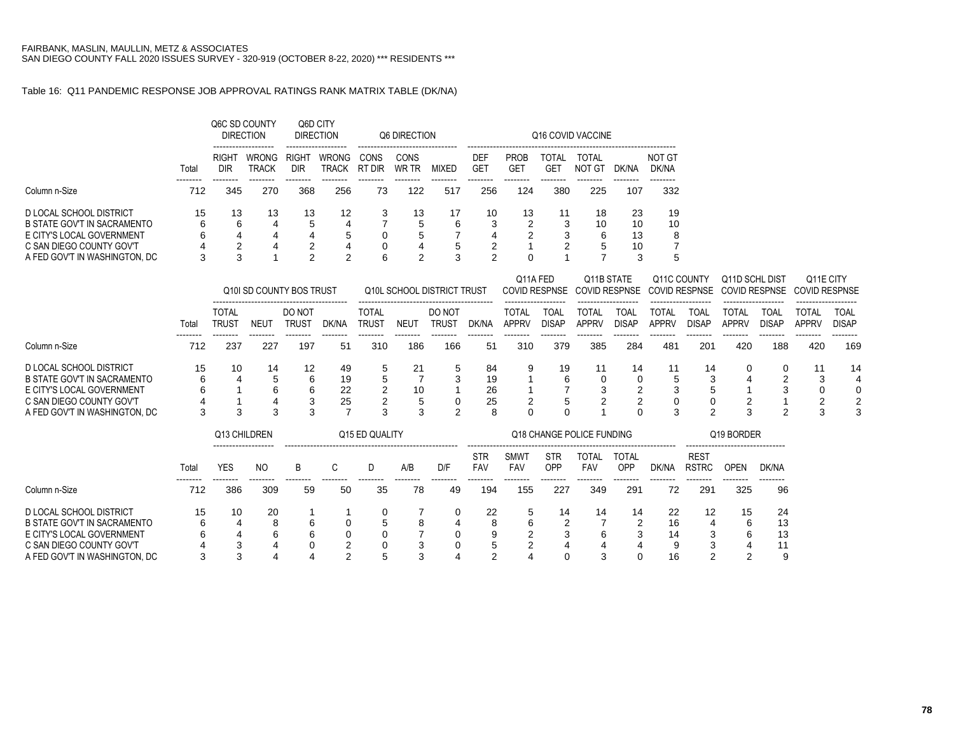### Table 16: Q11 PANDEMIC RESPONSE JOB APPROVAL RATINGS RANK MATRIX TABLE (DK/NA)

|                                                           |         |                     | Q6C SD COUNTY<br><b>DIRECTION</b> | Q6D CITY<br><b>DIRECTION</b><br>-------------------<br>RIGHT<br><b>DIR</b> |                       |                | Q6 DIRECTION  |         |                |                                |              | Q16 COVID VACCINE |          |                 |
|-----------------------------------------------------------|---------|---------------------|-----------------------------------|----------------------------------------------------------------------------|-----------------------|----------------|---------------|---------|----------------|--------------------------------|--------------|-------------------|----------|-----------------|
|                                                           | Total   | <b>RIGHT</b><br>DIR | <b>WRONG</b><br><b>TRACK</b>      |                                                                            | <b>WRONG</b><br>TRACK | CONS<br>RT DIR | CONS<br>WR TR | MIXED   | DEF<br>GET     | <b>PROB</b><br>GE <sup>-</sup> | TOTAL<br>GET | TOTAL<br>NOT GT   | DK/NA    | NOT GT<br>DK/NA |
| Column n-Size                                             | 712     | 345                 | 270                               | 368                                                                        | 256                   | 73             | 122           | 517     | 256            | 124                            | 380          | 225               | 107      | --------<br>332 |
| D LOCAL SCHOOL DISTRICT<br>B STATE GOV'T IN SACRAMENTO    | 15<br>6 | 13<br>6             | 13<br>4                           | 13<br>5                                                                    | 12<br>4               | 3              | 13<br>5       | 17<br>6 | 10<br>3        | 13<br>2                        | 11<br>3      | 18<br>10          | 23<br>10 | 19<br>10        |
| E CITY'S LOCAL GOVERNMENT                                 | 6       | 4<br>◠              | 4                                 | 4<br>っ                                                                     | 5                     | 0              | 5             |         | 4<br>ົ         | 2                              | 3<br>◠       | 6                 | 13       | 8<br>⇁          |
| C SAN DIEGO COUNTY GOV'T<br>A FED GOV'T IN WASHINGTON, DC | 4<br>3  | ◠                   | 4                                 | ົ                                                                          | 4<br>ົ                | 0<br>6         | 4<br>ົ        | 5<br>◠  | $\overline{ }$ |                                |              | 5                 | 10<br>3  | b               |

|                                                                                                                                                  |         |                       |                        | Q10 SD COUNTY BOS TRUST |                      |                       |                  | Q10L SCHOOL DISTRICT TRUST |                      | Q11A FED              |                      | Q11B STATE<br>COVID RESPNSE COVID RESPNSE |                      | Q11C COUNTY           |                             | Q11D SCHL DIST<br>COVID RESPNSE COVID RESPNSE |                      | Q11E CITY<br>COVID RESPNSE |                             |
|--------------------------------------------------------------------------------------------------------------------------------------------------|---------|-----------------------|------------------------|-------------------------|----------------------|-----------------------|------------------|----------------------------|----------------------|-----------------------|----------------------|-------------------------------------------|----------------------|-----------------------|-----------------------------|-----------------------------------------------|----------------------|----------------------------|-----------------------------|
|                                                                                                                                                  | Total   | <b>TOTAL</b><br>Trust | NEUT                   | DO NOT<br>trus1         | DK/NA                | <b>TOTAL</b><br>TRUST | NEU <sup>®</sup> | DO NOT<br><b>TRUS1</b>     | DK/NA                | TOTAL<br><b>APPRV</b> | TOAI<br><b>DISAP</b> | TOTAL<br>APPRV                            | TOA∟<br><b>DISAP</b> | TOTAL<br><b>APPRV</b> | <b>TOAL</b><br><b>DISAP</b> | TOTAL<br><b>APPRV</b>                         | TOAL<br><b>DISAP</b> | TOTAL<br><b>APPRV</b>      | <b>TOAL</b><br><b>DISAP</b> |
| Column n-Size                                                                                                                                    | 712     | 23i                   | 227                    | 197                     | 51                   | 310                   | 186              | 166                        | 51                   | 310                   | 379                  | 385                                       | 284                  | 481                   | 201                         | 420                                           | 188                  | 420                        | 169                         |
| D LOCAL SCHOOL DISTRICT<br>B STATE GOV'T IN SACRAMENTO<br>E CITY'S LOCAL GOVERNMENT<br>C SAN DIEGO COUNTY GOV'T<br>A FED GOV'T IN WASHINGTON, DC | 15<br>6 | 10                    | 14<br>5<br>6<br>4<br>3 | 12<br>6<br>6<br>3<br>3  | 49<br>19<br>22<br>25 | ົ<br>◠<br>ົ           | 10               | $\mathbf b$<br>3<br>ົ      | 84<br>19<br>26<br>25 |                       | 19<br>ี              |                                           | 14                   | ີ<br>3                | 14                          | 0<br>4<br>ົ<br>3                              | 0<br>ີ<br>ົ          | ີ<br>ົ<br>◠                | 14<br>4<br>0<br>2<br>3      |

|                                                                                                                 |              |              | Q13 CHILDREN<br>Q15 ED QUALITY<br>NO.<br>B<br>D/F<br>A/B |        |    |    |        |             |                          |                           |                   | Q18 CHANGE POLICE FUNDING  |                            |                     |                             | Q19 BORDER        |                      |
|-----------------------------------------------------------------------------------------------------------------|--------------|--------------|----------------------------------------------------------|--------|----|----|--------|-------------|--------------------------|---------------------------|-------------------|----------------------------|----------------------------|---------------------|-----------------------------|-------------------|----------------------|
|                                                                                                                 | Total        | YES          |                                                          |        |    |    |        |             | <b>STR</b><br><b>FAV</b> | <b>SMWT</b><br><b>FAV</b> | <b>STR</b><br>OPP | <b>TOTAL</b><br><b>FAV</b> | <b>TOTAL</b><br><b>OPP</b> | DK/NA               | <b>REST</b><br><b>RSTRC</b> | OPEN              | DK/NA                |
| Column n-Size                                                                                                   | 712          | 386          | 309                                                      | 59     | 50 | 35 | 78     | 49          | 194                      | 155                       | 227               | 349                        | 291                        | 72                  | 291                         | 325               | 96                   |
| D LOCAL SCHOOL DISTRICT<br>B STATE GOV'T IN SACRAMENTO<br>E CITY'S LOCAL GOVERNMENT<br>C SAN DIEGO COUNTY GOV'T | 15<br>6<br>6 | 10<br>4<br>4 | 20<br>8<br>6<br>4                                        | 6<br>6 | ⌒  | 5  | 8<br>З | 4<br>0<br>0 | 22<br>8<br>9<br>5        | 5<br>6                    | 14<br>າ<br>4      | 14<br>6<br>4               | 14<br>າ<br>3<br>4          | 22<br>16<br>14<br>9 | 12<br>4<br>3<br>3           | 15<br>6<br>6<br>4 | 24<br>13<br>13<br>11 |
| A FED GOV'T IN WASHINGTON, DC                                                                                   |              | c            |                                                          |        | ⌒  |    | з      |             | ົ                        |                           |                   |                            | ∩                          | 16                  | ◠                           | ົ                 | 9                    |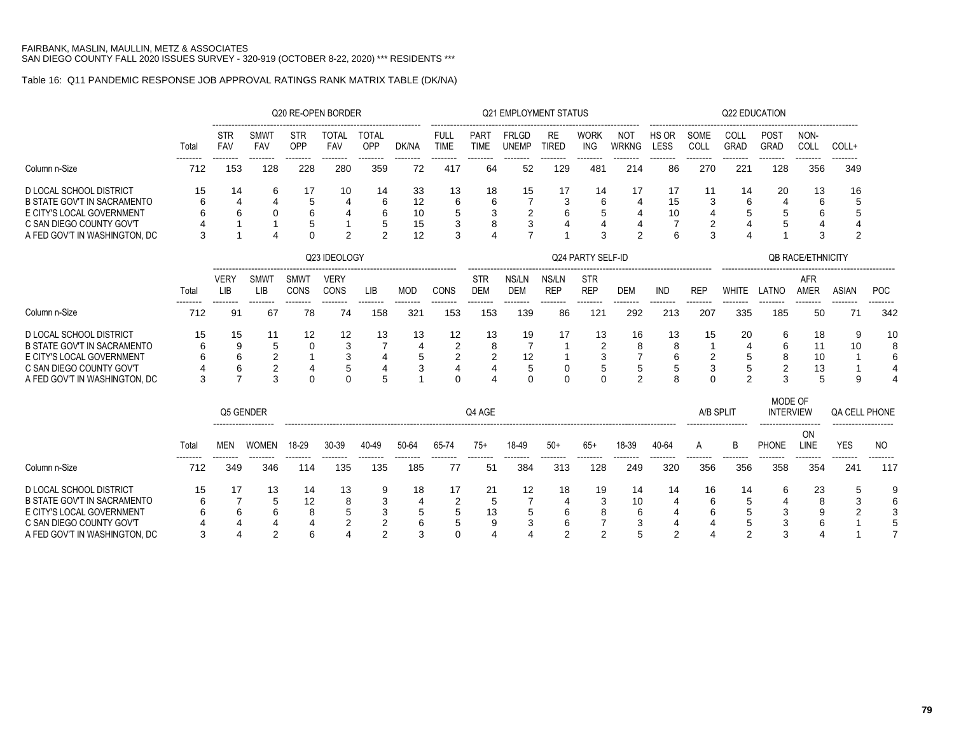# Table 16: Q11 PANDEMIC RESPONSE JOB APPROVAL RATINGS RANK MATRIX TABLE (DK/NA)

|                                                       |       |                           |                         |                   | Q20 RE-OPEN BORDER  |                       |            |                            |                            | <b>Q21 EMPLOYMENT STATUS</b> |                     |                           |                            |                |              |                     | <b>Q22 EDUCATION</b>        |                          |                      |     |
|-------------------------------------------------------|-------|---------------------------|-------------------------|-------------------|---------------------|-----------------------|------------|----------------------------|----------------------------|------------------------------|---------------------|---------------------------|----------------------------|----------------|--------------|---------------------|-----------------------------|--------------------------|----------------------|-----|
|                                                       | Total | <b>STR</b><br><b>FAV</b>  | <b>SMWT</b><br>FAV      | <b>STR</b><br>OPP | <b>TOTAL</b><br>FAV | <b>TOTAL</b><br>OPP   | DK/NA      | <b>FULL</b><br><b>TIME</b> | <b>PART</b><br><b>TIME</b> | <b>FRLGD</b><br><b>UNEMP</b> | RE<br><b>TIRED</b>  | <b>WORK</b><br><b>ING</b> | <b>NOT</b><br><b>WRKNG</b> | HS OR<br>LESS  | SOME<br>COLL | COLL<br><b>GRAD</b> | <b>POST</b><br><b>GRAD</b>  | NON-<br>COLL             | COLL+                |     |
| Column n-Size                                         | 712   | 153                       | 128                     | 228               | 280                 | 359                   | 72         | 417                        | 64                         | 52                           | 129                 | 481                       | 214                        | 86             | 270          | 221                 | 128                         | 356                      | 349                  |     |
| <b>D LOCAL SCHOOL DISTRICT</b>                        | 15    | 14                        | 6                       | 17                | 10                  | 14                    | 33         | 13                         | 18                         | 15                           | 17                  | 14                        | 17                         | 17             | 11           | 14                  | 20                          | 13                       | 16                   |     |
| <b>B STATE GOV'T IN SACRAMENTO</b>                    |       | 4                         |                         | 5                 |                     | 6                     | 12         | 6                          | 6                          |                              | 3                   | 6                         | $\overline{4}$             | 15             | 3            | 6                   |                             | 6                        | 5                    |     |
| E CITY'S LOCAL GOVERNMENT<br>C SAN DIEGO COUNTY GOV'T |       | 6                         | $\Omega$                | 6<br>5            |                     | 6<br>5                | 10<br>15   | 5                          | 3<br>8                     | 2<br>3                       | 6<br>4              | 5                         | 4<br>$\overline{4}$        | 10             | 4<br>2       | 5<br>4              |                             | 6                        |                      |     |
| A FED GOV'T IN WASHINGTON, DC                         | 3     |                           | $\boldsymbol{\Lambda}$  | $\Omega$          | $\overline{2}$      | 2                     | 12         | 3                          | Δ                          |                              |                     | 3                         | $\overline{2}$             | 6              | 3            | $\overline{4}$      |                             | 3                        | $\overline{2}$       |     |
|                                                       |       |                           |                         |                   |                     |                       |            |                            |                            |                              |                     |                           |                            |                |              |                     |                             |                          |                      |     |
|                                                       |       |                           |                         |                   | Q23 IDEOLOGY        |                       |            |                            |                            |                              |                     | Q24 PARTY SELF-ID         |                            |                |              |                     |                             | <b>QB RACE/ETHNICITY</b> |                      |     |
|                                                       | Total | <b>VERY</b><br><b>LIB</b> | SMWT<br>LIB             | SMWT<br>CONS      | <b>VERY</b><br>CONS | LIB                   | <b>MOD</b> | CONS                       | <b>STR</b><br><b>DEM</b>   | NS/LN<br><b>DEM</b>          | NS/LN<br><b>REP</b> | <b>STR</b><br><b>REP</b>  | <b>DEM</b>                 | <b>IND</b>     | <b>REP</b>   | <b>WHITE</b>        | LATNO                       | <b>AFR</b><br>AMER       | <b>ASIAN</b>         | POC |
| Column n-Size                                         | 712   | 91                        | 67                      | 78                | 74                  | 158                   | 321        | 153                        | 153                        | 139                          | 86                  | 121                       | 292                        | 213            | 207          | 335                 | 185                         | 50                       | 71                   | 342 |
| <b>D LOCAL SCHOOL DISTRICT</b>                        | 15    | 15                        | 11                      | 12                | 12                  | 13                    | 13         | 12                         | 13                         | 19                           | 17                  | 13                        | 16                         | 13             | 15           | 20                  | 6                           | 18                       | 9                    | 10  |
| <b>B STATE GOV'T IN SACRAMENTO</b>                    | 6     | 9                         | 5                       | $\mathbf 0$       | 3                   |                       | 4          | $\overline{2}$             | 8                          | 7                            | 1                   | $\overline{2}$            | 8                          | 8              |              | $\overline{4}$      | 6                           | 11                       | 10                   | 8   |
| E CITY'S LOCAL GOVERNMENT                             |       | 6                         | $\overline{\mathbf{c}}$ |                   | 3                   | $\boldsymbol{\Delta}$ | 5          | $\overline{c}$             | $\overline{c}$             | 12                           | $\mathbf{1}$        | $\mathbf{3}$              | $\overline{7}$             | 6              | 2            | 5                   | 8                           | 10                       |                      | 6   |
| C SAN DIEGO COUNTY GOV'T                              |       | 6                         | $\overline{c}$          | $\overline{4}$    | 5                   |                       | 3          | $\overline{4}$             | 4                          | 5                            | 0                   | $\mathbf 5$               | 5                          | 5              | 3            | 5                   | $\overline{2}$              | 13                       |                      |     |
| A FED GOV'T IN WASHINGTON, DC                         | 3     | $\overline{7}$            | 3                       | $\Omega$          | $\Omega$            | 5                     | 1          | $\Omega$                   | $\overline{4}$             | $\Omega$                     | $\Omega$            | $\Omega$                  | 2                          | 8              | 0            | $\overline{2}$      | 3                           | 5                        | 9                    |     |
|                                                       |       | Q5 GENDER                 |                         |                   |                     |                       |            |                            | Q4 AGE                     |                              |                     |                           |                            |                | A/B SPLIT    |                     | MODE OF<br><b>INTERVIEW</b> |                          | <b>QA CELL PHONE</b> |     |
|                                                       | Total | <b>MEN</b>                | <b>WOMEN</b>            | 18-29             | 30-39               | 40-49                 | 50-64      | 65-74                      | $75+$                      | 18-49                        | $50+$               | $65+$                     | 18-39                      | 40-64          | A            | B                   | PHONE                       | <b>ON</b><br>LINE        | <b>YES</b>           | NO  |
| Column n-Size                                         | 712   | 349                       | 346                     | 114               | 135                 | 135                   | 185        | 77                         | 51                         | 384                          | 313                 | 128                       | 249                        | 320            | 356          | 356                 | 358                         | 354                      | 241                  | 117 |
| <b>D LOCAL SCHOOL DISTRICT</b>                        | 15    | 17                        | 13                      | 14                | 13                  | 9                     | 18         | 17                         | 21                         | 12                           | 18                  | 19                        | 14                         | 14             | 16           | 14                  | 6                           | 23                       | 5                    | 9   |
| <b>B STATE GOV'T IN SACRAMENTO</b>                    | 6     | $\overline{7}$            | 5                       | 12                | 8                   | 3                     | 4          | $\overline{2}$             | 5                          |                              | 4                   | 3                         | 10                         |                | 6            | 5                   |                             | 8                        | 3                    |     |
| E CITY'S LOCAL GOVERNMENT                             | 6     | 6                         | 6                       | 8                 | 5                   | 3                     | 5          | 5                          | 13                         | 5                            | 6                   | 8                         | 6                          |                | 6            | 5                   |                             |                          |                      |     |
| C SAN DIEGO COUNTY GOV'T                              |       |                           | $\overline{4}$          |                   | $\overline{2}$      | $\overline{2}$        | 6          | 5                          | 9                          | 3                            | 6                   | 7                         |                            |                |              | 5                   |                             |                          |                      |     |
| A FED GOV'T IN WASHINGTON, DC                         | 3     | 4                         | $\overline{2}$          | 6                 |                     | $\overline{2}$        | 3          | $\Omega$                   | 4                          | 4                            | $\overline{2}$      | $\overline{2}$            | 5                          | $\overline{2}$ | 4            | $\overline{2}$      | 3                           |                          |                      |     |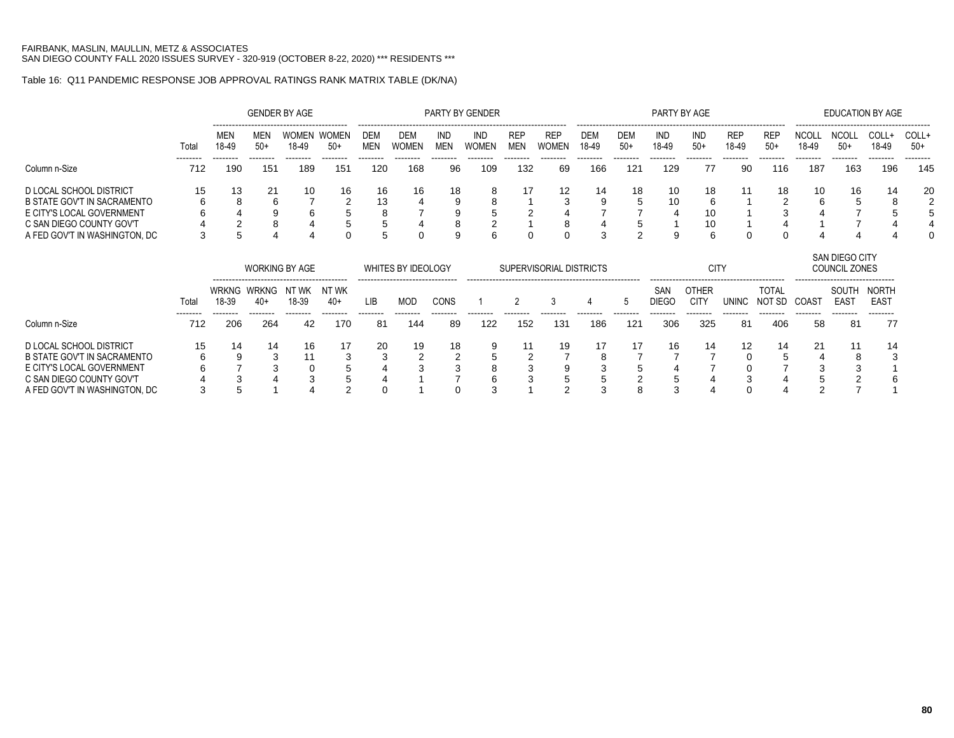## Table 16: Q11 PANDEMIC RESPONSE JOB APPROVAL RATINGS RANK MATRIX TABLE (DK/NA)

|                                    |       |                       |                       | <b>GENDER BY AGE</b>  |                       |            |                           |                          | PARTY BY GENDER     |                          |                            |                     |                     | PARTY BY AGE        |                             |                     |                        |                       | <b>EDUCATION BY AGE</b>                |                      |                |
|------------------------------------|-------|-----------------------|-----------------------|-----------------------|-----------------------|------------|---------------------------|--------------------------|---------------------|--------------------------|----------------------------|---------------------|---------------------|---------------------|-----------------------------|---------------------|------------------------|-----------------------|----------------------------------------|----------------------|----------------|
|                                    | Total | <b>MEN</b><br>18-49   | MEN<br>$50+$          | WOMEN<br>18-49        | <b>WOMEN</b><br>$50+$ | DEM<br>MEN | DEM<br>Women              | <b>IND</b><br><b>MEN</b> | <b>IND</b><br>WOMEN | <b>REP</b><br><b>MEN</b> | <b>REP</b><br><b>WOMEN</b> | <b>DEM</b><br>18-49 | <b>DEM</b><br>$50+$ | IND<br>18-49        | IND<br>$50+$                | <b>REP</b><br>18-49 | <b>REP</b><br>$50+$    | <b>NCOLL</b><br>18-49 | <b>NCOLL</b><br>$50+$                  | COLL+<br>18-49       | COLL+<br>$50+$ |
| Column n-Size                      | 712   | 190                   | 151                   | 189                   | 151                   | 120        | 168                       | 96                       | 109                 | 132                      | 69                         | 166                 | 121                 | 129                 | 77                          | -90                 | 116                    | 187                   | 163                                    | 196                  | 145            |
| D LOCAL SCHOOL DISTRICT            | 15    | 13                    | 21                    | 10                    | 16                    | 16         | 16                        | 18                       | 8                   | 17                       | 12                         | 14                  | 18                  | 10                  | 18                          | 11                  | 18                     | 10                    | 16                                     | 14                   | 20             |
| <b>B STATE GOV'T IN SACRAMENTO</b> | 6     |                       | 6                     |                       |                       | 13         |                           |                          | 8                   |                          | 3                          |                     | 5                   | 10                  | 6                           |                     |                        | 6                     |                                        |                      |                |
| E CITY'S LOCAL GOVERNMENT          |       |                       |                       | 6                     | 5                     | 8          |                           | 9                        | 5                   |                          |                            |                     |                     |                     | 10                          |                     |                        |                       |                                        |                      |                |
| C SAN DIEGO COUNTY GOV'T           |       |                       |                       |                       |                       | 5          |                           | 8                        | 2                   |                          | 8                          |                     |                     |                     | 10                          |                     |                        |                       |                                        |                      |                |
| A FED GOV'T IN WASHINGTON, DC      | 3     |                       |                       |                       |                       |            | 0                         | 9                        | 6                   |                          |                            | 3                   | $\overline{2}$      | 9                   | 6                           |                     |                        |                       |                                        |                      |                |
|                                    |       |                       |                       | <b>WORKING BY AGE</b> |                       |            | <b>WHITES BY IDEOLOGY</b> |                          |                     |                          | SUPERVISORIAL DISTRICTS    |                     |                     |                     | <b>CITY</b>                 |                     |                        |                       | SAN DIEGO CITY<br><b>COUNCIL ZONES</b> |                      |                |
|                                    | Total | <b>WRKNG</b><br>18-39 | <b>WRKNG</b><br>$40+$ | NT WK<br>18-39        | NT WK<br>$40+$        | <b>LIB</b> | <b>MOD</b>                | <b>CONS</b>              |                     |                          | 3                          | 4                   | 5                   | SAN<br><b>DIEGO</b> | <b>OTHER</b><br><b>CITY</b> | <b>UNINC</b>        | <b>TOTAL</b><br>NOT SD | COAST                 | SOUTH<br><b>EAST</b>                   | NORTH<br><b>EAST</b> |                |
| Column n-Size                      | 712   | 206                   | 264                   | 42                    | 170                   | 81         | 144                       | 89                       | 122                 | 152                      | 131                        | 186                 | 121                 | 306                 | 325                         | -81                 | 406                    | -58                   | 81                                     | 77                   |                |
| D LOCAL SCHOOL DISTRICT            | 15    | 14                    | 14                    | 16                    | 17                    | 20         | 19                        | 18                       | 9                   | 11                       | 19                         | 17                  | 17                  | 16                  | 14                          | 12                  | 14                     | 21                    | 11                                     | 14                   |                |
| <b>B STATE GOV'T IN SACRAMENTO</b> |       |                       | 3                     | 11                    | 3                     | 3          |                           |                          |                     |                          |                            |                     |                     |                     |                             |                     |                        |                       | 8                                      |                      |                |
| E CITY'S LOCAL GOVERNMENT          |       |                       |                       |                       |                       |            |                           |                          |                     |                          |                            |                     |                     |                     |                             |                     |                        |                       |                                        |                      |                |
| C SAN DIEGO COUNTY GOV'T           |       |                       |                       |                       |                       |            |                           |                          |                     |                          |                            |                     |                     |                     |                             |                     |                        |                       |                                        |                      |                |
| A FED GOV'T IN WASHINGTON, DC      |       |                       |                       |                       |                       |            |                           |                          |                     |                          |                            |                     |                     |                     |                             |                     |                        |                       |                                        |                      |                |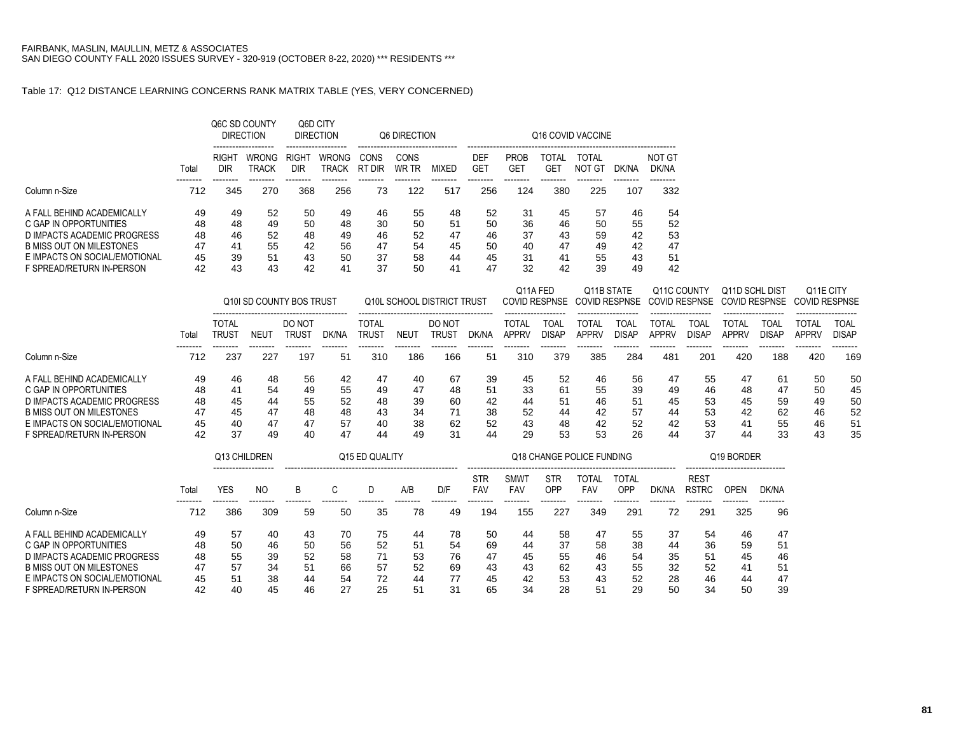### Table 17: Q12 DISTANCE LEARNING CONCERNS RANK MATRIX TABLE (YES, VERY CONCERNED)

|                                                                                                                                                                               |                                  |                                  | Q6C SD COUNTY<br><b>DIRECTION</b> |                                  | Q6D CITY<br><b>DIRECTION</b>     |                                  | <b>Q6 DIRECTION</b>              |                                  |                                  |                                   |                                  | Q16 COVID VACCINE                |                                  |                                  |
|-------------------------------------------------------------------------------------------------------------------------------------------------------------------------------|----------------------------------|----------------------------------|-----------------------------------|----------------------------------|----------------------------------|----------------------------------|----------------------------------|----------------------------------|----------------------------------|-----------------------------------|----------------------------------|----------------------------------|----------------------------------|----------------------------------|
|                                                                                                                                                                               | Total                            | RIGH <sup>-</sup><br>DIR         | <b>WRONG</b><br><b>TRACK</b>      | RIGH <sup>-</sup><br>DIR         | <b>WRONG</b><br><b>TRACK</b>     | CONS<br>' DIR<br>RT              | CONS<br>WR TR                    | MIXED                            | <b>DEF</b><br><b>GET</b>         | <b>PROB</b><br><b>GET</b>         | TOTAL<br>GET                     | TOTAL<br>NOT GT                  | DK/NA                            | NOT GT<br>DK/NA                  |
| Column n-Size                                                                                                                                                                 | 712                              | 345                              | 270                               | 368                              | 256                              | 73                               | 122                              | 517                              | 256                              | 124                               | 380                              | 225                              | 107                              | 332                              |
| A FALL BEHIND ACADEMICALLY<br>C GAP IN OPPORTUNITIES<br>D IMPACTS ACADEMIC PROGRESS<br>B MISS OUT ON MILESTONES<br>E IMPACTS ON SOCIAL/EMOTIONAL<br>F SPREAD/RETURN IN-PERSON | 49<br>48<br>48<br>47<br>45<br>42 | 49<br>48<br>46<br>41<br>39<br>43 | 52<br>49<br>52<br>55<br>51<br>43  | 50<br>50<br>48<br>42<br>43<br>42 | 49<br>48<br>49<br>56<br>50<br>41 | 46<br>30<br>46<br>47<br>37<br>37 | 55<br>50<br>52<br>54<br>58<br>50 | 48<br>51<br>47<br>45<br>44<br>41 | 52<br>50<br>46<br>50<br>45<br>47 | -31<br>36<br>37<br>40<br>31<br>32 | 45<br>46<br>43<br>47<br>41<br>42 | 57<br>50<br>59<br>49<br>55<br>39 | 46<br>55<br>42<br>42<br>43<br>49 | 54<br>52<br>53<br>47<br>51<br>42 |

|                                                                                                                                                                               |                                  |                                  |                                  | Q10I SD COUNTY BOS TRUST         |                                  |                                  |                                  | Q10L SCHOOL DISTRICT TRUST                             |                                  | Q11A FED                         |                                  | Q11B STATE<br>COVID RESPNSE COVID RESPNSE |                                  | Q11C COUNTY                      |                                  | Q11D SCHL<br>COVID RESPNSE COVID RESPNSE | . Dist                           | Q <sub>11</sub> E CITY<br>COVID RESPNSE |                                  |
|-------------------------------------------------------------------------------------------------------------------------------------------------------------------------------|----------------------------------|----------------------------------|----------------------------------|----------------------------------|----------------------------------|----------------------------------|----------------------------------|--------------------------------------------------------|----------------------------------|----------------------------------|----------------------------------|-------------------------------------------|----------------------------------|----------------------------------|----------------------------------|------------------------------------------|----------------------------------|-----------------------------------------|----------------------------------|
|                                                                                                                                                                               | Total                            | TOTAL<br>Trust                   | NEUT                             | DO NOT<br>TRUS <sup>-</sup>      | DK/NA                            | TOTAL<br>TRUS1                   | <b>NEU1</b>                      | -----------------------------------<br>DO NOT<br>trus1 | DK/NA                            | TOTAI<br>APPRV                   | TOAI.<br>DISAP                   | <b>TOTAL</b><br><b>APPRV</b>              | <b>TOAL</b><br>DISAP             | TOTAL<br>APPRV                   | TOAL<br>DISAP                    | TOTAL<br><b>APPRV</b>                    | TOAL<br>DISAP                    | ------------------<br>TOTAL<br>APPRV    | TOAL<br><b>DISAP</b>             |
| Column n-Size                                                                                                                                                                 | 712                              | 237                              | 227                              | 197                              | 51                               | 310                              | 186                              | 166                                                    | 51                               | 310                              | 379                              | 385                                       | 284                              | 481                              | 201                              | 420                                      | 188                              | 420                                     | 169                              |
| A FALL BEHIND ACADEMICALLY<br>C GAP IN OPPORTUNITIES<br>D IMPACTS ACADEMIC PROGRESS<br>B MISS OUT ON MILESTONES<br>E IMPACTS ON SOCIAL/EMOTIONAL<br>F SPREAD/RETURN IN-PERSON | 49<br>48<br>48<br>47<br>45<br>42 | 46<br>41<br>45<br>45<br>40<br>37 | 48<br>54<br>44<br>47<br>47<br>49 | 56<br>49<br>55<br>48<br>47<br>40 | 42<br>55<br>52<br>48<br>57<br>47 | 47<br>49<br>48<br>43<br>40<br>44 | 40<br>47<br>39<br>34<br>38<br>49 | 67<br>48<br>60<br>71<br>62<br>31                       | 39<br>51<br>42<br>38<br>52<br>44 | 45<br>33<br>44<br>52<br>43<br>29 | 52<br>61<br>51<br>44<br>48<br>53 | 46<br>55<br>46<br>42<br>42<br>53          | 56<br>39<br>51<br>57<br>52<br>26 | 47<br>49<br>45<br>44<br>42<br>44 | 55<br>46<br>53<br>53<br>53<br>37 | 47<br>48<br>45<br>42<br>41<br>44         | 61<br>47<br>59<br>62<br>55<br>33 | 50<br>50<br>49<br>46<br>46<br>43        | 50<br>45<br>50<br>52<br>51<br>35 |

|                                 |       | Q13 CHILDREN               |     |    |    | Q15 ED QUALITY |     |     |                          |                          |                          | Q18 CHANGE POLICE FUNDING |              |       |                             | Q19 BORDER                               |       |
|---------------------------------|-------|----------------------------|-----|----|----|----------------|-----|-----|--------------------------|--------------------------|--------------------------|---------------------------|--------------|-------|-----------------------------|------------------------------------------|-------|
|                                 | Total | -------------------<br>YES | ΝO  | B  | C. |                | A/B | D/F | <b>STR</b><br><b>FAV</b> | <b>SMW</b><br><b>FAV</b> | <b>STR</b><br><b>OPP</b> | TOTAL<br>FAV              | TOTAL<br>OPP | DK/NA | <b>REST</b><br><b>RSTRC</b> | --------------------------------<br>OPEN | DK/NA |
| Column n-Size                   | 712   | 386                        | 309 | 59 | 50 | 35             | 78  | 49  | 194                      | 155                      | 227                      | 349                       | 291          | 72    | 291                         | 325                                      | 96    |
| A FAIL BEHIND ACADEMICALLY      | 49    | 57                         | 40  | 43 | 70 | 75             | 44  | 78  | 50                       | 44                       | 58                       | 47                        | 55           | 37    | 54                          | 46                                       | 47    |
| C GAP IN OPPORTUNITIES          | 48    | 50                         | 46  | 50 | 56 | 52             | 51  | 54  | 69                       | 44                       | 37                       | 58                        | 38           | 44    | 36                          | 59                                       | 51    |
| D IMPACTS ACADEMIC PROGRESS     | 48    | 55                         | 39  | 52 | 58 | 71             | 53  | 76  | 47                       | 45                       | 55                       | 46                        | 54           | 35    | 51                          | 45                                       | 46    |
| <b>B MISS OUT ON MILESTONES</b> | 47    | 57                         | 34  | 51 | 66 | 57             | 52  | 69  | 43                       | 43                       | 62                       | 43                        | 55           | 32    | 52                          | 41                                       | 51    |
| E IMPACTS ON SOCIAL/EMOTIONAL   | 45    | 51                         | 38  | 44 | 54 | 72             | 44  | 77  | 45                       | 42                       | 53                       | 43                        | 52           | 28    | 46                          | 44                                       | 47    |
| F SPREAD/RETURN IN-PERSON       | 42    | 40                         | 45  | 46 | 27 | 25             | 51  | 31  | 65                       | 34                       | 28                       | 51                        | 29           | 50    | 34                          | 50                                       | 39    |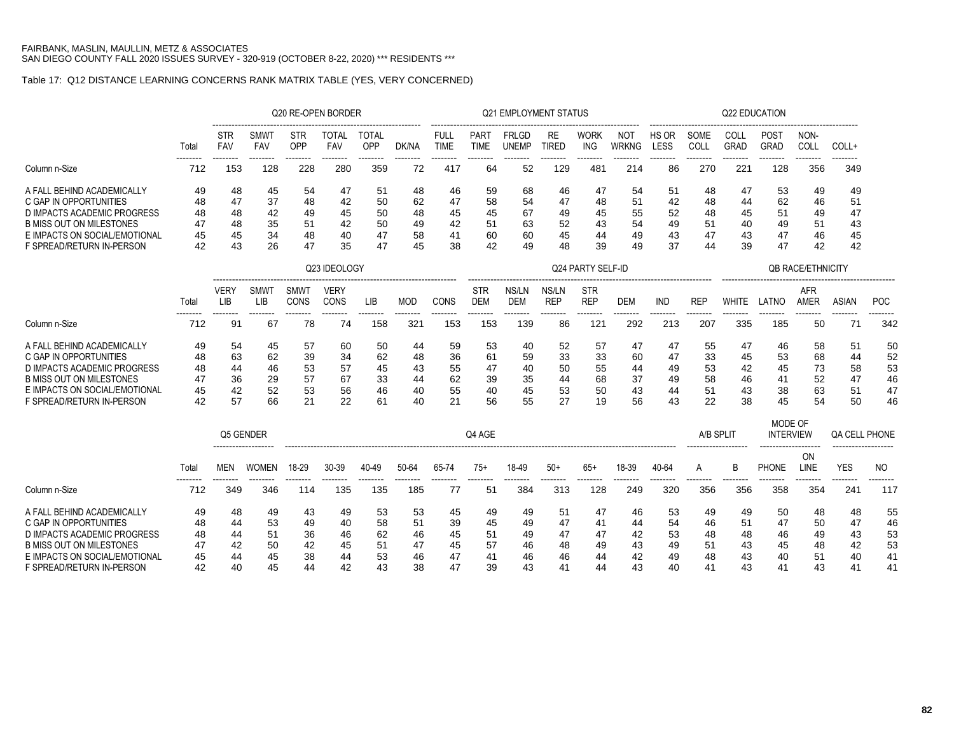### Table 17: Q12 DISTANCE LEARNING CONCERNS RANK MATRIX TABLE (YES, VERY CONCERNED)

|                                                                                                                                                                                      |                                  |                                                                                                                                                                                                                                      |                                |                          | Q20 RE-OPEN BORDER  |                 |                          |                            |                                      | <b>Q21 EMPLOYMENT STATUS</b>     |                                  |                                      |                                  |                                  |                                  |                                  | Q22 EDUCATION                    |                                  |                            |                        |
|--------------------------------------------------------------------------------------------------------------------------------------------------------------------------------------|----------------------------------|--------------------------------------------------------------------------------------------------------------------------------------------------------------------------------------------------------------------------------------|--------------------------------|--------------------------|---------------------|-----------------|--------------------------|----------------------------|--------------------------------------|----------------------------------|----------------------------------|--------------------------------------|----------------------------------|----------------------------------|----------------------------------|----------------------------------|----------------------------------|----------------------------------|----------------------------|------------------------|
|                                                                                                                                                                                      | Total                            | <b>STR</b><br><b>FAV</b>                                                                                                                                                                                                             | SMW<br><b>FAV</b>              | <b>STR</b><br><b>OPP</b> | TOTAL<br><b>FAV</b> | TOTAL<br>OPP    | DK/NA                    | <b>FULL</b><br><b>TIME</b> | PAR <sup>-</sup><br>TIME             | <b>FRLGD</b><br><b>UNEMP</b>     | RE<br>TIRED                      | <b>WORK</b><br>ING                   | <b>NOT</b><br>WRKNG              | HS OR<br>LESS                    | SOME<br>COLI                     | COLI<br><b>GRAD</b>              | <b>POST</b><br><b>GRAD</b>       | NON-<br>COLL                     | COLL+                      |                        |
| Column n-Size                                                                                                                                                                        | --------<br>712                  | --------<br>153                                                                                                                                                                                                                      | --------<br>128                | --------<br>228          | --------<br>280     | --------<br>359 | --------<br>72           | --------<br>-417           | --------<br>64                       | --------<br>52                   | --------<br>129                  | --------<br>48                       | --------<br>214                  | --------<br>86                   | --------<br>270                  | --------<br>221                  | --------<br>128                  | --------<br>356                  | --------<br>349            |                        |
| A FALL BEHIND ACADEMICALLY<br>C GAP IN OPPORTUNITIES<br>D IMPACTS ACADEMIC PROGRESS<br><b>B MISS OUT ON MILESTONES</b><br>E IMPACTS ON SOCIAL/EMOTIONAL<br>F SPREAD/RETURN IN-PERSON | 49<br>48<br>48<br>47<br>45<br>42 | 54<br>48<br>47<br>51<br>48<br>45<br>47<br>37<br>48<br>50<br>42<br>62<br>48<br>42<br>49<br>50<br>45<br>48<br>35<br>51<br>50<br>48<br>42<br>49<br>47<br>45<br>34<br>48<br>58<br>40<br>47<br>26<br>47<br>43<br>35<br>45<br>Q23 IDEOLOGY |                                |                          |                     |                 |                          |                            | 59<br>58<br>45<br>51<br>60<br>42     | 68<br>54<br>67<br>63<br>60<br>49 | 46<br>47<br>49<br>52<br>45<br>48 | 47<br>48<br>45<br>43<br>44<br>39     | 54<br>51<br>55<br>54<br>49<br>49 | 51<br>42<br>52<br>49<br>43<br>37 | 48<br>48<br>48<br>51<br>47<br>44 | 47<br>44<br>45<br>40<br>43<br>39 | 53<br>62<br>51<br>49<br>47<br>47 | 49<br>46<br>49<br>51<br>46<br>42 | 49<br>51<br>47<br>45<br>42 |                        |
|                                                                                                                                                                                      |                                  |                                                                                                                                                                                                                                      |                                |                          |                     |                 |                          |                            |                                      |                                  |                                  | Q24 PARTY SELF-ID                    |                                  |                                  |                                  |                                  |                                  | <b>QB RACE/ETHNICITY</b>         |                            |                        |
|                                                                                                                                                                                      | Total                            | <b>VERY</b><br>LIB<br>--------                                                                                                                                                                                                       | <b>SMWT</b><br>LIB<br>-------- | SMWT<br>CONS             | <b>VERY</b><br>CONS | LIB.            | MOD                      | CONS                       | <b>STR</b><br><b>DEM</b><br>-------- | NS/LN<br><b>DEM</b><br>--------  | NS/LN<br><b>REP</b>              | <b>STR</b><br><b>REP</b><br>-------- | DEM<br>--------                  | IND<br>--------                  | <b>REP</b>                       | <b>WHITE</b>                     | LATNO                            | AFR<br>AMER                      | ASIAN<br>--------          | <b>POC</b><br>-------- |
| Column n-Size                                                                                                                                                                        | --------<br>712                  | 91                                                                                                                                                                                                                                   | 67                             | --------<br>78           | --------<br>74      | --------<br>158 | --------<br>$32^{\circ}$ | --------<br>153            | 153                                  | 139                              | --------<br>86                   | $12^{\circ}$                         | 292                              | 213                              | --------<br>207                  | --------<br>335                  | --------<br>185                  | --------<br>50                   |                            | 342                    |
| A FALL BEHIND ACADEMICALLY                                                                                                                                                           | 49                               | 54                                                                                                                                                                                                                                   | 45                             | 57                       | 60                  | 50              | 44                       | 59                         | 53                                   | 40                               | 52                               | 57                                   | 47                               | 47                               | 55                               | 47                               | 46                               | 58                               | 51                         | 50                     |

C GAP IN OPPORTUNITIES 48 63 62 39 34 62 48 36 61 59 33 33 60 47 33 45 53 68 44 52 D IMPACTS ACADEMIC PROGRESS 48 44 46 53 57 45 43 55 47 40 50 55 44 49 53 42 45 73 58 53 B MISS OUT ON MILESTONES 47 36 29 57 67 33 44 62 39 35 44 68 37 49 58 46 41 52 47 46 E IMPACTS ON SOCIAL/EMOTIONAL 45 42 52 53 56 46 40 55 40 45 53 50 43 44 51 43 38 63 51 47 F SPREAD/RETURN IN-PERSON 42 57 66 21 22 61 40 21 56 55 27 19 56 43 22 38 45 54 50 46

|                                 |       |     | Q5 GENDER    |       |       |       |       |       | Q4 AGE |       |       |       |       |       | A/B SPLIT |     | MODE OF<br><b>INTERVIEW</b> |      | QA CELL PHONE       |     |
|---------------------------------|-------|-----|--------------|-------|-------|-------|-------|-------|--------|-------|-------|-------|-------|-------|-----------|-----|-----------------------------|------|---------------------|-----|
|                                 |       |     |              |       |       |       |       |       |        |       |       |       |       |       |           |     | ------------------          | ON   | ------------------- |     |
|                                 | Total | MEN | <b>WOMEN</b> | 18-29 | 30-39 | 40-49 | 50-64 | 65-74 | 75+    | 18-49 | $50+$ | $65+$ | 18-39 | 40-64 |           |     | <b>PHONE</b>                | _INE | <b>YES</b>          | NC. |
| Column n-Size                   | 712   | 349 | 346          | 114   | 135   | 135   | 185   |       | 51     | 384   | 313   | 128   | 249   | 320   | 356       | 356 | 358                         | 354  | 241                 | 117 |
| A FALL BEHIND ACADEMICALLY      | 49    | 48  | 49           | 43    | 49    | 53    | 53    | 45    | 49     | 49    | 51    | 47    | 46    | 53    | 49        | 49  | 50                          | 48   | 48                  | 55  |
| C GAP IN OPPORTUNITIES          | 48    | 44  | 53           | 49    | 40    | 58    | 51    | 39    | 45     | 49    | 47    | 41    | 44    | 54    | 46        | 51  | 47                          | 50   | 47                  | 46  |
| D IMPACTS ACADEMIC PROGRESS     | 48    | 44  | 51           | 36    | 46    | 62    | 46    | 45    | 51     | 49    | 47    | 47    | 42    | 53    | 48        | 48  | 46                          | 49   | 43                  | 53  |
| <b>B MISS OUT ON MILESTONES</b> | 47    | 42  | 50           | 42    | 45    | 51    | 47    | 45    | 57     | 46    | 48    | 49    | 43    | 49    | 51        | 43  | 45                          | 48   | 42                  | 53  |
| E IMPACTS ON SOCIAL/EMOTIONAL   | 45    | 44  | 45           | 38    | 44    | 53    | 46    | 47    | 41     | 46    | 46    | 44    | 42    | 49    | 48        | 43  | 40                          | 51   | 40                  | 41  |
| F SPREAD/RETURN IN-PERSON       | 42    | 40  | 45           | 44    | 42    | 43    | 38    | 47    | 39     | 43    | 41    | 44    | 43    | 40    | 41        | 43  | 41                          | 43   | 41                  | 41  |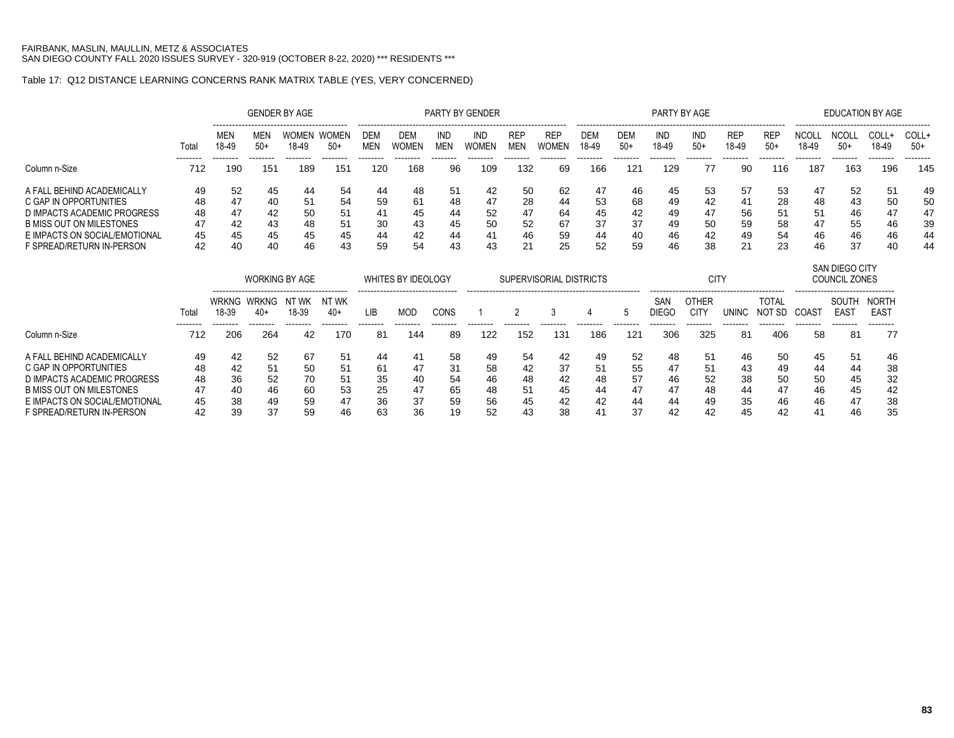# Table 17: Q12 DISTANCE LEARNING CONCERNS RANK MATRIX TABLE (YES, VERY CONCERNED)

|                                 |         |                            |                          | <b>GENDER BY AGE</b>       |                            |                 |                                                               |                  | <b>PARTY BY GENDER</b> |                          |                         |                     |                 | PARTY BY AGE                    |                                  |                          |                             |                               | <b>EDUCATION BY AGE</b>                                            |                                              |                 |
|---------------------------------|---------|----------------------------|--------------------------|----------------------------|----------------------------|-----------------|---------------------------------------------------------------|------------------|------------------------|--------------------------|-------------------------|---------------------|-----------------|---------------------------------|----------------------------------|--------------------------|-----------------------------|-------------------------------|--------------------------------------------------------------------|----------------------------------------------|-----------------|
|                                 | Total   | MEN<br>18-49               | MEN<br>$50+$             | WOMEN<br>18-49             | WOMEN<br>$50+$             | DEM<br>MEN      | DEM<br><b>WOMEN</b>                                           | IND<br>MEN       | IND<br>WOMEN           | <b>REP</b><br><b>MEN</b> | <b>REP</b><br>WOMEN     | <b>DEM</b><br>18-49 | DEM<br>$50+$    | IND<br>18-49                    | IND<br>$50+$                     | <b>REP</b><br>18-49      | <b>REP</b><br>$50+$         | NCOL<br>18-49                 | <b>NCOL</b><br>$50+$                                               | COLL+<br>18-49                               | COLL+<br>$50+$  |
| Column n-Size                   | <br>712 | --------<br>190            | --------<br>151          | --------<br>189            | --------<br>151            | --------<br>120 | --------<br>168                                               | --------<br>96   | --------<br>109        | --------<br>132          | --------<br>69          | --------<br>166     | --------<br>121 | --------<br>129                 | --------<br>77                   | --------<br>90           | --------<br>116             | --------<br>187               | --------<br>163                                                    | --------<br>196                              | --------<br>145 |
| A FALL BEHIND ACADEMICALLY      | 49      | 52                         | 45                       | 44                         | 54                         | 44              | 48                                                            | 51               | 42                     | 50                       | 62                      | 47                  | 46              | 45                              | 53                               | 57                       | 53                          | 47                            | 52                                                                 | 51                                           | 49              |
| C GAP IN OPPORTUNITIES          | 48      | 47                         | 40                       | 51                         | 54                         | 59              | 61                                                            | 48               | 47                     | 28                       | 44                      | 53                  | 68              | 49                              | 42                               | 41                       | 28                          | 48                            | 43                                                                 | 50                                           | 50              |
| D IMPACTS ACADEMIC PROGRESS     | 48      | 47                         | 42                       | 50                         | 51                         | 41              | 45                                                            | 44               | 52                     | 47                       | 64                      | 45                  | 42              | 49                              | 47                               | 56                       | 51                          | 51                            | 46                                                                 | 47                                           | 47              |
| <b>B MISS OUT ON MILESTONES</b> | 47      | 42                         | 43                       | 48                         | 51                         | 30              | 43                                                            | 45               | 50                     | 52                       | 67                      | 37                  | 37              | 49                              | 50                               | 59                       | 58                          | 47                            | 55                                                                 | 46                                           | 39              |
| E IMPACTS ON SOCIAL/EMOTIONAL   | 45      | 45                         | 45                       | 45                         | 45                         | 44              | 42                                                            | 44               | 41                     | 46                       | 59                      | 44                  | 40              | 46                              | 42                               | 49                       | 54                          | 46                            | 46                                                                 | 46                                           | 44              |
| F SPREAD/RETURN IN-PERSON       | 42      | 40                         | 40                       | 46                         | 43                         | 59              | 54                                                            | 43               | 43                     | 21                       | 25                      | 52                  | 59              | 46                              | 38                               | 21                       | 23                          | 46                            | 37                                                                 | 40                                           | 44              |
|                                 |         |                            |                          | <b>WORKING BY AGE</b>      |                            |                 | <b>WHITES BY IDEOLOGY</b><br>-------------------------------- |                  |                        |                          | SUPERVISORIAL DISTRICTS |                     |                 |                                 | <b>CITY</b>                      |                          |                             |                               | SAN DIEGO CITY<br>COUNCIL ZONES<br>------------------------------- |                                              |                 |
|                                 | Total   | WRKNG<br>18-39<br>-------- | WRKNG<br>40+<br>-------- | NT WK<br>18-39<br>-------- | NT WK<br>$40+$<br>-------- | LIB<br>-------- | <b>MOD</b><br>--------                                        | CONS<br>-------- | --------               | --------                 | 3<br>--------           | --------            | 5<br>--------   | SAN<br><b>DIEGO</b><br>-------- | OTHER<br><b>CITY</b><br>-------- | <b>UNINC</b><br>-------- | TOTAL<br>NOT SD<br>-------- | COAS <sup>-</sup><br>-------- | SOUTH<br><b>EAST</b><br>--------                                   | <b>NORTH</b><br>EAS <sub>1</sub><br>-------- |                 |
| Column n-Size                   | 712     | 206                        | 264                      | 42                         | 170                        | 81              | 144                                                           | 89               | 122                    | 152                      | 131                     | 186                 | 121             | 306                             | 325                              | 81                       | 406                         | 58                            | 81                                                                 | 77                                           |                 |
| A FALL BEHIND ACADEMICALLY      | 49      | 42                         | 52                       | 67                         | 51                         | 44              | 41                                                            | 58               | 49                     | 54                       | 42                      | 49                  | 52              | 48                              | 51                               | 46                       | 50                          | 45                            | 51                                                                 | 46                                           |                 |
| C GAP IN OPPORTUNITIES          | 48      | 42                         | 51                       | 50                         | 51                         | 61              | 47                                                            | 31               | 58                     | 42                       | 37                      | 51                  | 55              | 47                              | 51                               | 43                       | 49                          | 44                            | 44                                                                 | 38                                           |                 |
| D IMPACTS ACADEMIC PROGRESS     | 48      | 36                         | 52                       | 70                         | 51                         | 35              | 40                                                            | 54               | 46                     | 48                       | 42                      | 48                  | 57              | 46                              | 52                               | 38                       | 50                          | 50                            | 45                                                                 | 32                                           |                 |
| <b>B MISS OUT ON MILESTONES</b> | 47      | 46<br>53<br>40<br>60       |                          |                            |                            |                 | 47<br>25                                                      | 65               | 48                     | 51                       | 45                      | 44                  | 47              | 47                              | 48                               | 44                       | 47                          | 46                            | 45                                                                 | 42                                           |                 |
| E IMPACTS ON SOCIAL/EMOTIONAL   | 45      | 38<br>47<br>49<br>59       |                          |                            |                            |                 | 36<br>37                                                      | 59               | 56                     | 45                       | 42                      |                     | 44              | 44                              | 49                               | 35                       | 46                          | 46                            | 47                                                                 | 38                                           |                 |
| F SPREAD/RETURN IN-PERSON       | 42      | 39                         | 37                       | 59                         | 46                         | 63              | 36                                                            | 19               | 52                     | 43                       | 38                      | 41                  | 37              | 42                              | 42                               | 45                       | 42                          | 41                            | 46                                                                 | 35                                           |                 |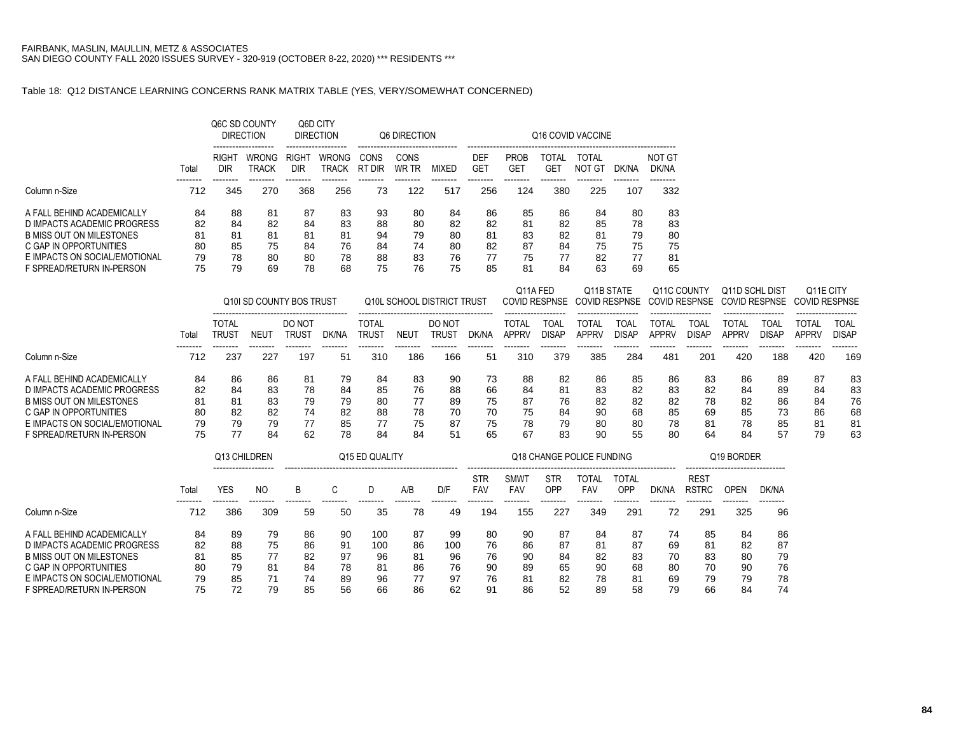# Table 18: Q12 DISTANCE LEARNING CONCERNS RANK MATRIX TABLE (YES, VERY/SOMEWHAT CONCERNED)

|                                                                                                                 |                      |                          | Q6C SD COUNTY<br><b>DIRECTION</b> |                          | Q6D CITY<br><b>DIRECTION</b> |                      | <b>Q6 DIRECTION</b>  |                      |                      |                      |                      | Q16 COVID VACCINE    |                      |                      |
|-----------------------------------------------------------------------------------------------------------------|----------------------|--------------------------|-----------------------------------|--------------------------|------------------------------|----------------------|----------------------|----------------------|----------------------|----------------------|----------------------|----------------------|----------------------|----------------------|
|                                                                                                                 | Total                | RIGH <sup>-</sup><br>DIR | <b>WRONG</b><br>TRACK             | RIGH <sub>1</sub><br>DIR | <b>WRONG</b><br>TRACK        | CONS<br>RT<br>' DIR  | CONS<br>WR TR        | MIXED                | DEF<br>GE1           | <b>PROB</b><br>GET   | TOTAL<br>GET         | TOTAL<br>NOT<br>∵GT  | DK/NA                | NOT GT<br>DK/NA      |
| Column n-Size                                                                                                   | 712                  | 345                      | 270                               | 368                      | 256                          | 73                   | 122                  | 517                  | 256                  | 124                  | 380                  | 225                  | 107                  | 332                  |
| A FALL BEHIND ACADEMICALLY<br>D IMPACTS ACADEMIC PROGRESS<br>B MISS OUT ON MILESTONES<br>C GAP IN OPPORTUNITIES | 84<br>82<br>81<br>80 | 88<br>84<br>81<br>85     | 81<br>82<br>81<br>75              | 87<br>84<br>81<br>84     | 83<br>83<br>81<br>76         | 93<br>88<br>94<br>84 | 80<br>80<br>79<br>74 | 84<br>82<br>80<br>80 | 86<br>82<br>81<br>82 | 85<br>81<br>83<br>87 | 86<br>82<br>82<br>84 | 84<br>85<br>81<br>75 | 80<br>78<br>79<br>75 | 83<br>83<br>80<br>75 |
| E IMPACTS ON SOCIAL/EMOTIONAL<br>F SPREAD/RETURN IN-PERSON                                                      | 79<br>75             | 78<br>79                 | 80<br>69                          | 80<br>78                 | 78<br>68                     | 88<br>75             | 83<br>76             | 76<br>75             | 77<br>85             | 75<br>81             | 77<br>84             | 82<br>63             | 77<br>69             | 81<br>65             |

|                                                                                                                                                                               |                                  |                            |                                  | Q10I SD COUNTY BOS TRUST         |                                  |                                  |                                  | Q10L SCHOOL DISTRICT TRUST       |                                  | Q11A FED                         |                                  | Q11B STATE<br>COVID RESPNSE COVID RESPNSE |                                  | Q11C COUNTY                      |                                  | Q11D SCHL DIST<br>COVID RESPNSE COVID RESPNSE |                                  | Q <sub>11</sub> E CITY<br>COVID RESPNSE |                                  |
|-------------------------------------------------------------------------------------------------------------------------------------------------------------------------------|----------------------------------|----------------------------|----------------------------------|----------------------------------|----------------------------------|----------------------------------|----------------------------------|----------------------------------|----------------------------------|----------------------------------|----------------------------------|-------------------------------------------|----------------------------------|----------------------------------|----------------------------------|-----------------------------------------------|----------------------------------|-----------------------------------------|----------------------------------|
|                                                                                                                                                                               | Total                            | TOTAL<br>trus1             | NEUT                             | DO NOT<br>TRUS <sup>-</sup>      | DK/NA                            | TOTAL<br>TRUS1                   | NEU <sup>-</sup>                 | DO NOT<br><b>TRUS</b>            | DK/NA                            | TOTAI<br>APPRV                   | TOAI.<br>disap                   | TOTAL<br><b>APPRV</b>                     | TOAI<br>DISAP                    | TOTA<br>APPRV                    | TOAL<br>DISAP                    | TOTAL<br><b>APPRV</b>                         | TOA.<br><b>DISAP</b>             | TOTAL<br>APPRV                          | TOAL<br><b>DISAP</b>             |
| Column n-Size                                                                                                                                                                 | 712                              | 237                        | 227                              | 197                              | 51                               | 310                              | 186                              | 166                              | 51                               | 310                              | 379                              | 385                                       | 284                              | 481                              | 201                              | 420                                           | 188                              | 420                                     | 169                              |
| A FALL BEHIND ACADEMICALLY<br>D IMPACTS ACADEMIC PROGRESS<br>B MISS OUT ON MILESTONES<br>C GAP IN OPPORTUNITIES<br>E IMPACTS ON SOCIAL/EMOTIONAL<br>F SPREAD/RETURN IN-PERSON | 84<br>82<br>81<br>80<br>79<br>75 | 86<br>84<br>81<br>82<br>79 | 86<br>83<br>83<br>82<br>79<br>84 | 81<br>78<br>79<br>74<br>77<br>62 | 79<br>84<br>79<br>82<br>85<br>78 | 84<br>85<br>80<br>88<br>77<br>84 | 83<br>76<br>77<br>78<br>75<br>84 | 90<br>88<br>89<br>70<br>87<br>51 | 73<br>66<br>75<br>70<br>75<br>65 | 88<br>84<br>87<br>75<br>78<br>67 | 82<br>81<br>76<br>84<br>79<br>83 | 86<br>83<br>82<br>-90<br>80<br>90         | 85<br>82<br>82<br>68<br>80<br>55 | 86<br>83<br>82<br>85<br>78<br>80 | 83<br>82<br>78<br>69<br>81<br>64 | 86<br>84<br>82<br>85<br>78<br>84              | 89<br>89<br>86<br>73<br>85<br>57 | 87<br>84<br>84<br>86<br>-81<br>79       | 83<br>83<br>76<br>68<br>81<br>63 |

|                                 |       | Q13 CHILDREN |     |    |    | Q15 ED QUALITY |     |     |                          |                          |                   | Q18 CHANGE POLICE FUNDING |                     |       |                             | Q19 BORDER |                   |
|---------------------------------|-------|--------------|-----|----|----|----------------|-----|-----|--------------------------|--------------------------|-------------------|---------------------------|---------------------|-------|-----------------------------|------------|-------------------|
|                                 | Total | YES          | NO. | B  |    |                | A/B | D/F | <b>STR</b><br><b>FAV</b> | <b>SMW</b><br><b>FAV</b> | <b>STR</b><br>OPP | TOTAL<br>FAV              | TOTAL<br><b>OPP</b> | DK/NA | <b>REST</b><br><b>RSTRC</b> | OPEN       | DK/NA<br>-------- |
| Column n-Size                   | 712   | 386          | 309 | 59 | 50 | 35             | 78  | 49  | 194                      | 155                      | 227               | 349                       | 291                 | 72    | 29'                         | 325        | 96                |
| A FALL BEHIND ACADEMICALLY      | 84    | 89           | 79  | 86 | 90 | 100            | 87  | 99  | 80                       | 90                       | 87                | 84                        | 87                  | 74    | 85                          | 84         | 86                |
| D IMPACTS ACADEMIC PROGRESS     | 82    | 88           | 75  | 86 | 91 | 100            | 86  | 100 | 76                       | 86                       | 87                | 81                        | 87                  | 69    | 81                          | 82         | 87                |
| <b>B MISS OUT ON MILESTONES</b> | 81    | 85           | 77  | 82 | 97 | 96             | 81  | 96  | 76                       | 90                       | 84                | 82                        | 83                  | 70    | 83                          | 80         | 79                |
| C GAP IN OPPORTUNITIES          | 80    | 79           | 81  | 84 | 78 | 81             | 86  | 76  | 90                       | 89                       | 65                | 90                        | 68                  | 80    | 70                          | 90         | 76                |
| E IMPACTS ON SOCIAL/EMOTIONAL   | 79    | 85           | 71  | 74 | 89 | 96             | 77  | 97  | 76                       | 81                       | 82                | 78                        | 81                  | 69    | 79                          | 79         | 78                |
| F SPREAD/RETURN IN-PERSON       | 75    | 72           | 79  | 85 | 56 | 66             | 86  | 62  | 91                       | 86                       | 52                | 89                        | 58                  | 79    | 66                          | 84         | 74                |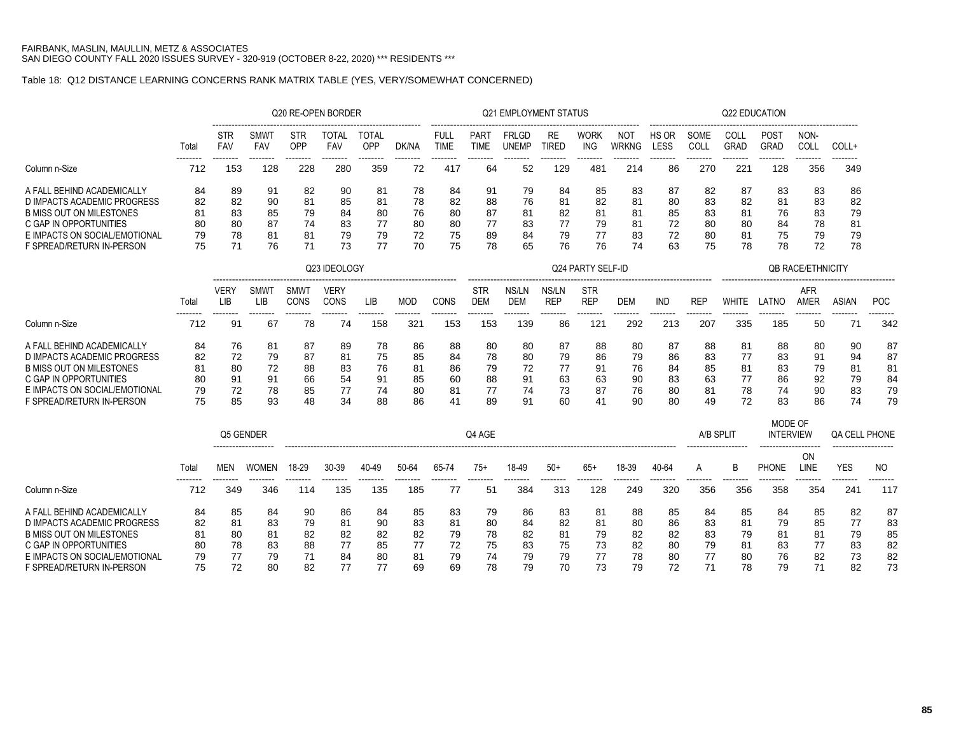## Table 18: Q12 DISTANCE LEARNING CONCERNS RANK MATRIX TABLE (YES, VERY/SOMEWHAT CONCERNED)

|                                                            |                  |                          |                               |                               | Q20 RE-OPEN BORDER |                     |          |                     |                          | Q21 EMPLOYMENT STATUS        |                    |                    |                    |               |              | Q22 EDUCATION |                          |                         |                   |
|------------------------------------------------------------|------------------|--------------------------|-------------------------------|-------------------------------|--------------------|---------------------|----------|---------------------|--------------------------|------------------------------|--------------------|--------------------|--------------------|---------------|--------------|---------------|--------------------------|-------------------------|-------------------|
|                                                            | Tota<br>-------- | <b>STR</b><br><b>FAV</b> | SMW<br><b>FAV</b><br>-------- | <b>STR</b><br>OPP<br>-------- | TOTAL<br>FAV       | TOTAL<br><b>OPP</b> | DK/NA    | <b>FULL</b><br>TIME | PAR <sup>-</sup><br>TIME | <b>FRLGD</b><br><b>UNEMP</b> | <b>RE</b><br>TIRED | <b>WORK</b><br>ING | <b>NO</b><br>WRKNG | HS OR<br>LESS | SOME<br>COLI | COLI<br>GRAD  | POS <sub>1</sub><br>GRAD | NON-<br>COL<br>-------- | COLL+<br>-------- |
| Column n-Size                                              | 712              | 153                      | 128                           | 228                           | 280                | 359                 | 72       | 417                 | 64                       | 52                           | 129                | 481                | 214                | 86            | 270          | 221           | 128                      | 356                     | 349               |
| A FALL BEHIND ACADEMICALLY<br>D IMPACTS ACADEMIC PROGRESS  | 84<br>82         | 89<br>82                 | 91<br>90                      | 82<br>81                      | 90<br>85           | 81<br>81            | 78<br>78 | 84<br>82            | 91<br>88                 | 79<br>76                     | 84<br>81           | 85<br>82           | 83<br>81           | 87<br>80      | -82<br>83    | 87<br>82      | 83<br>81                 | 83<br>83                | 86<br>82          |
| B MISS OUT ON MILESTONES<br>C GAP IN OPPORTUNITIES         | 81<br>80         | 83<br>80                 | 85<br>87                      | 79<br>74                      | 84<br>83           | 80<br>77            | 76<br>80 | 80<br>80            | 87<br>77                 | 81<br>83                     | 82<br>77           | 81<br>79           | 81<br>81           | 85<br>72      | 83<br>80     | 81<br>80      | 76<br>84                 | 83<br>78                | 79<br>81          |
| E IMPACTS ON SOCIAL/EMOTIONAL<br>F SPREAD/RETURN IN-PERSON | 79<br>75         | 78                       | 81<br>76                      | 81                            | 79<br>73           | 79                  | 72<br>70 | 75<br>75            | 89<br>78                 | 84<br>65                     | 79<br>76           | 77<br>76           | 83<br>74           | 72<br>63      | 80<br>75     | 81<br>78      | 75<br>78                 | 79<br>72                | 79<br>78          |

|                               |       |             |                   |              | Q23 IDEOLOGY |     |     |      |                          |              |                     | Q24 PARTY SELF-ID        |                                              |     |     |       |       | <b>QB RACE/ETHNICITY</b> |       |            |
|-------------------------------|-------|-------------|-------------------|--------------|--------------|-----|-----|------|--------------------------|--------------|---------------------|--------------------------|----------------------------------------------|-----|-----|-------|-------|--------------------------|-------|------------|
|                               | Total | VERY<br>_IB | <b>SMW</b><br>LΙB | SMW1<br>CONS | VERY<br>CONS | LIB | MOL | CONS | <b>STR</b><br><b>DEM</b> | NS/LN<br>DEM | NS/LN<br><b>REP</b> | <b>STR</b><br><b>REP</b> | -------------------------------------<br>DEM | IND | REP | WHITE | LATNO | AFR<br>AMER              | ASIAN | <b>POC</b> |
| Column n-Size                 | 712   | 91          | 67                | 78           | 74           | 158 | 321 | 153  | 153                      | 139          | 86                  | 121                      | 292                                          | 213 | 207 | 335   | 185   | 50                       |       | 342        |
| A FALL BEHIND ACADEMICALLY    | 84    | 76          | 81                | 87           | 89           | 78  | 86  | 88   | 80                       | 80           | 87                  | 88                       | 80                                           | 87  | 88  | 81    | 88    | 80                       | 90    | 87         |
| D IMPACTS ACADEMIC PROGRESS   | 82    | 72          | 79                | 87           | 81           | 75  | 85  | 84   | 78                       | 80           | 79                  | 86                       | 79                                           | 86  | 83  | 77    | 83    | 91                       | 94    | 87         |
| B MISS OUT ON MILESTONES      | 81    | 80          | 72                | 88           | 83           | 76  | 81  | 86   | 79                       | 72           | 77                  | 91                       | 76                                           | 84  | 85  | 81    | 83    | 79                       | 81    | 81         |
| C GAP IN OPPORTUNITIES        | 80    | 91          | 91                | 66           | 54           | 91  | 85  | 60   | 88                       | 91           | 63                  | 63                       | 90                                           | 83  | 63  | 77    | 86    | 92                       | 79    | 84         |
| E IMPACTS ON SOCIAL/EMOTIONAL | 79    | 72          | 78                | 85           | 77           | 74  | 80  | 81   | 77                       | 74           | 73                  | 87                       | 76                                           | 80  | 81  | 78    | 74    | 90                       | 83    | 79         |
| F SPREAD/RETURN IN-PERSON     |       | 85          | 93                | 48           | 34           | 88  | 86  |      | 89                       | 91           | 60                  | 41                       | 90                                           | 80  | 49  | 72    | 83    | 86                       |       | 79         |

|                                                                                                                                                                                      |                                  | -------------------              | Q5 GENDER                        |                                   |                                  |                                  |                                  |                                  |                                  | A/B SPLIT<br>------------------- |                                  | MODE OF<br><b>INTERVIEW</b><br>------------------- |                                  | <b>QA CELL PHONE</b><br>------------------- |                            |                                  |                                  |                              |                            |                                  |
|--------------------------------------------------------------------------------------------------------------------------------------------------------------------------------------|----------------------------------|----------------------------------|----------------------------------|-----------------------------------|----------------------------------|----------------------------------|----------------------------------|----------------------------------|----------------------------------|----------------------------------|----------------------------------|----------------------------------------------------|----------------------------------|---------------------------------------------|----------------------------|----------------------------------|----------------------------------|------------------------------|----------------------------|----------------------------------|
|                                                                                                                                                                                      | Total<br>--------                | --------                         | --------                         | 18-29<br>--------                 | 30-39<br>--------                | 40-49<br>--------                | 50-64                            | 65-74<br>--------                | 75+                              | 18-49                            | $50+$                            | 65+                                                | 18-39                            | 40-64<br>--------                           | --------                   | B.<br>--------                   | <b>PHONE</b><br>--------         | 0N<br><b>INE</b><br>-------- | YES<br>--------            | NO.<br>--------                  |
| Column n-Size                                                                                                                                                                        | 712                              | 349                              | 346                              | 114                               | 135                              | 135                              | 185                              |                                  | 51                               | 384                              | 313                              | 128                                                | 249                              | 32C                                         | 356                        | 356                              | 358                              | 354                          | 241                        | 117                              |
| A FALL BEHIND ACADEMICALLY<br>D IMPACTS ACADEMIC PROGRESS<br><b>B MISS OUT ON MILESTONES</b><br>C GAP IN OPPORTUNITIES<br>E IMPACTS ON SOCIAL/EMOTIONAL<br>F SPREAD/RETURN IN-PERSON | 84<br>82<br>81<br>80<br>79<br>75 | 85<br>81<br>80<br>78<br>77<br>72 | 84<br>83<br>81<br>83<br>79<br>80 | -90<br>79<br>82<br>88<br>71<br>82 | 86<br>81<br>82<br>77<br>84<br>77 | 84<br>90<br>82<br>85<br>80<br>77 | 85<br>83<br>82<br>77<br>81<br>69 | 83<br>81<br>79<br>72<br>79<br>69 | 79<br>80<br>78<br>75<br>74<br>78 | 86<br>84<br>82<br>83<br>79<br>79 | 83<br>82<br>81<br>75<br>79<br>70 | 81<br>81<br>79<br>73<br>77<br>73                   | 88<br>80<br>82<br>82<br>78<br>79 | 85<br>86<br>82<br>80<br>80<br>72            | 84<br>83<br>83<br>79<br>77 | 85<br>81<br>79<br>81<br>80<br>78 | 84<br>79<br>81<br>83<br>76<br>79 | 85<br>85<br>81<br>77<br>82   | 82<br>79<br>83<br>73<br>82 | 87<br>83<br>85<br>82<br>82<br>73 |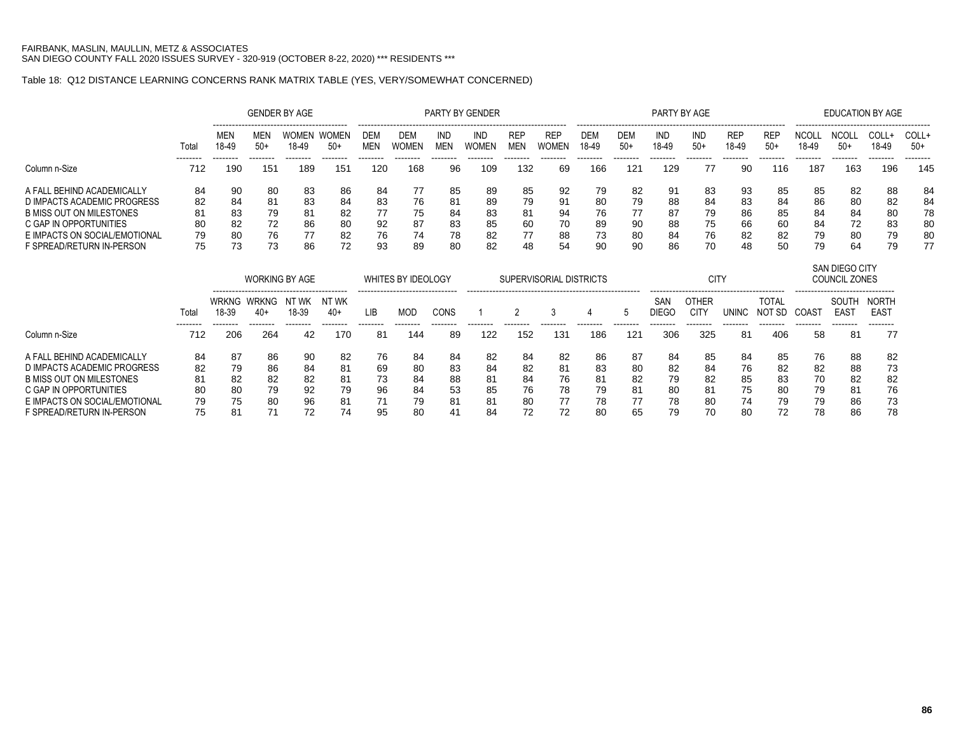# Table 18: Q12 DISTANCE LEARNING CONCERNS RANK MATRIX TABLE (YES, VERY/SOMEWHAT CONCERNED)

|                                 |                   |                                                                                |                 | <b>GENDER BY AGE</b>  |                       |                   |                                                              |                         | PARTY BY GENDER     |                          |                                |                 |                                      | PARTY BY AGE                    |                                  |                          |                                    |                               | <b>EDUCATION BY AGE</b>                                                   |                                              |                 |
|---------------------------------|-------------------|--------------------------------------------------------------------------------|-----------------|-----------------------|-----------------------|-------------------|--------------------------------------------------------------|-------------------------|---------------------|--------------------------|--------------------------------|-----------------|--------------------------------------|---------------------------------|----------------------------------|--------------------------|------------------------------------|-------------------------------|---------------------------------------------------------------------------|----------------------------------------------|-----------------|
|                                 | Total             | MEN<br>18-49                                                                   | MEN<br>$50+$    | <b>WOMEN</b><br>18-49 | <b>WOMEN</b><br>$50+$ | DEN<br><b>MEN</b> | DEM<br><b>WOMEN</b>                                          | IND<br><b>MEN</b>       | IND<br><b>WOMEN</b> | <b>REP</b><br><b>MEN</b> | <b>REP</b><br>WOMEN            | DEM<br>18-49    | --------------------<br>DEM<br>$50+$ | IND<br>18-49                    | IND<br>$50+$                     | <b>REP</b><br>18-49      | <b>REF</b><br>$50+$                | NCOL<br>18-49                 | <b>NCOL</b><br>$50+$                                                      | COLL+<br>18-49                               | COLL+<br>$50+$  |
| Column n-Size                   | 712               | --------<br>190                                                                | --------<br>151 | --------<br>189       | --------<br>151       | --------<br>120   | --------<br>168                                              | --------<br>96          | --------<br>109     | --------<br>132          | --------<br>69                 | --------<br>166 | --------<br>121                      | --------<br>129                 | --------<br>77                   | --------<br>90           | --------<br>116                    | --------<br>187               | --------<br>163                                                           | --------<br>196                              | --------<br>145 |
| A FALL BEHIND ACADEMICALLY      | 84                | 90                                                                             | 80              | 83                    | 86                    | 84                | 77                                                           | 85                      | 89                  | 85                       | 92                             | 79              | 82                                   | 91                              | 83                               | 93                       | 85                                 | 85                            | 82                                                                        | 88                                           | 84              |
| D IMPACTS ACADEMIC PROGRESS     | 82                | 84                                                                             | 81              | 83                    | 84                    | 83                | 76                                                           | 81                      | 89                  | 79                       | 91                             | 80              | 79                                   | 88                              | 84                               | 83                       | 84                                 | 86                            | 80                                                                        | 82                                           | 84              |
| <b>B MISS OUT ON MILESTONES</b> | 81                | 83                                                                             | 79              | 81                    | 82                    | 77                | 75                                                           | 84                      | 83                  | 81                       | 94                             | 76              | 77                                   | 87                              | 79                               | 86                       | 85                                 | 84                            | 84                                                                        | 80                                           | 78              |
| C GAP IN OPPORTUNITIES          | 80                | 82                                                                             | 72              | 86                    | 80                    | 92                | 87                                                           | 83                      | 85                  | 60                       | 70                             | 89              | 90                                   | 88                              | 75                               | 66                       | 60                                 | 84                            | 72                                                                        | 83                                           | 80              |
| E IMPACTS ON SOCIAL/EMOTIONAL   | 79                | 80                                                                             | 76              | 77                    | 82                    | 76                | 74                                                           | 78                      | 82                  | 77                       | 88                             | 73              | 80                                   | 84                              | 76                               | 82                       | 82                                 | 79                            | 80                                                                        | 79                                           | 80              |
| F SPREAD/RETURN IN-PERSON       | 75                | 73                                                                             | 73              | 86                    | 72                    | 93                | 89                                                           | 80                      | 82                  | 48                       | 54                             | 90              | 90                                   | 86                              | 70                               | 48                       | 50                                 | 79                            | 64                                                                        | 79                                           | 77              |
|                                 |                   |                                                                                |                 | <b>WORKING BY AGE</b> |                       |                   | <b>WHITES BY IDEOLOGY</b><br>------------------------------- |                         |                     |                          | <b>SUPERVISORIAL DISTRICTS</b> |                 |                                      |                                 | <b>CITY</b>                      |                          |                                    |                               | SAN DIEGO CITY<br><b>COUNCIL ZONES</b><br>------------------------------- |                                              |                 |
|                                 | Total<br>-------- | NT WK<br>WRKNG.<br><b>WRKNG</b><br>'WK<br>NI<br>18-39<br>18-39<br>40+<br>$40+$ |                 |                       |                       |                   | MOD<br>--------                                              | <b>CONS</b><br>-------- | --------            | --------                 | 3<br>--------                  | --------        | b<br>--------                        | SAN<br><b>DIEGC</b><br>-------- | OTHER<br><b>CITY</b><br>-------- | <b>UNINC</b><br>-------- | <b>TOTAL</b><br>NOT SD<br>-------- | COAS <sup>-</sup><br>-------- | SOUTH<br><b>EAST</b><br>--------                                          | <b>NORTH</b><br>EAS <sub>1</sub><br>-------- |                 |
| Column n-Size                   | 712               | --------<br>206                                                                | --------<br>264 | --------<br>42        | --------<br>170       | --------<br>81    | 144                                                          | 89                      | 122                 | 152                      | 131                            | 186             | 121                                  | 306                             | 325                              | 81                       | 406                                | 58                            | 81                                                                        | 77                                           |                 |
| A FALL BEHIND ACADEMICALLY      | 84                | 87                                                                             | 86              | 90                    | 82                    | 76                | 84                                                           | 84                      | 82                  | 84                       | 82                             | 86              | 87                                   | 84                              | 85                               | 84                       | 85                                 | 76                            | 88                                                                        | -82                                          |                 |
| D IMPACTS ACADEMIC PROGRESS     | 82                | 79                                                                             | 86              | 84                    | 81                    | 69                | 80                                                           | 83                      | 84                  | 82                       | 81                             | 83              | 80                                   | 82                              | 84                               | 76                       | 82                                 | 82                            | 88                                                                        | 73                                           |                 |
| <b>B MISS OUT ON MILESTONES</b> | 81                | 82<br>82<br>82<br>81                                                           |                 |                       |                       |                   | 73<br>84                                                     | 88                      | 81                  | 84                       | 76                             | 81              | 82                                   | 79                              | 82                               | 85                       | 83                                 | 70                            | 82                                                                        | 82                                           |                 |
| C GAP IN OPPORTUNITIES          | 80                | 80                                                                             | 79              | 92                    | 79                    | 96                | 84                                                           | 53                      | 85                  | 76                       | 78                             | 79              | 81                                   | 80                              | 81                               | 75                       | 80                                 | 79                            | 81                                                                        | 76                                           |                 |
| E IMPACTS ON SOCIAL/EMOTIONAL   | 79                | 75                                                                             | 80              | 96                    | 81                    |                   | 79                                                           | 81                      | 81                  | 80                       | 77                             | 78              | 77                                   | 78                              | 80                               | 74                       | 79                                 | 79                            | 86                                                                        | 73                                           |                 |
| F SPREAD/RETURN IN-PERSON       | 75                | 81                                                                             |                 | 72                    | 74                    | 95                | 80                                                           | 41                      | 84                  | 72                       | 72                             | 80              | 65                                   | 79                              | 70                               | 80                       | 72                                 | 78                            | 86                                                                        | 78                                           |                 |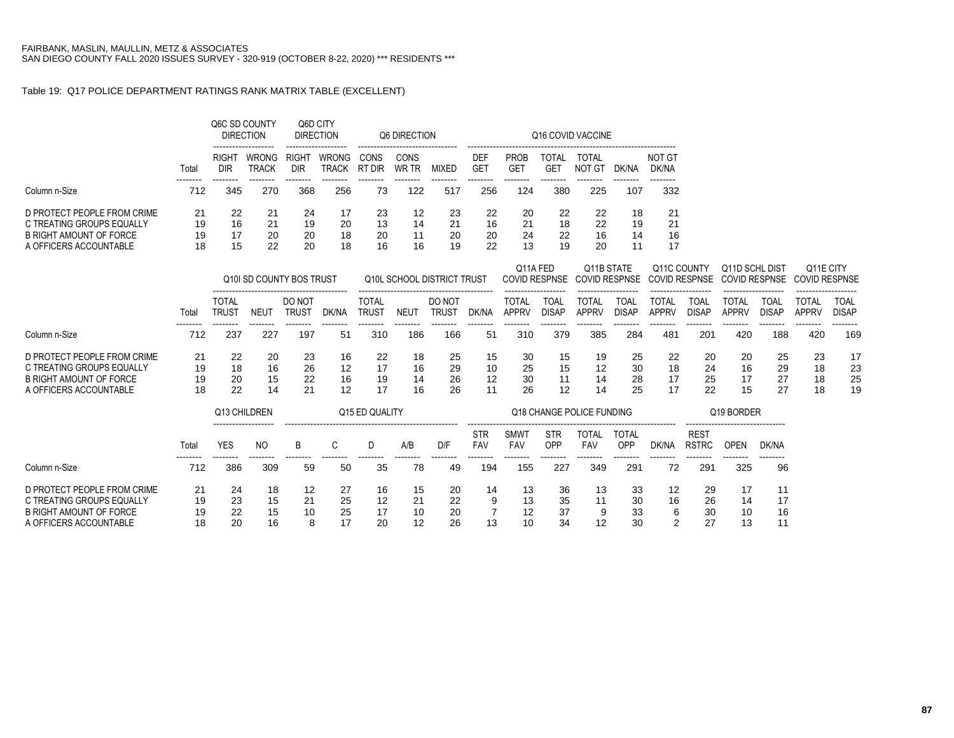### Table 19: Q17 POLICE DEPARTMENT RATINGS RANK MATRIX TABLE (EXCELLENT)

|                                |                 |                              | Q6C SD COUNTY<br><b>DIRECTION</b><br>. |                        | Q6D CITY<br><b>DIRECTION</b> |                              | Q6 DIRECTION    | -----------                | -------------------      |                              |                                  | Q16 COVID VACCINE                  |                             |                              |                             |                                        |                             |                                   |                             |
|--------------------------------|-----------------|------------------------------|----------------------------------------|------------------------|------------------------------|------------------------------|-----------------|----------------------------|--------------------------|------------------------------|----------------------------------|------------------------------------|-----------------------------|------------------------------|-----------------------------|----------------------------------------|-----------------------------|-----------------------------------|-----------------------------|
|                                | Total           | <b>RIGHT</b><br><b>DIR</b>   | WRONG<br><b>TRACK</b>                  | RIGHT<br><b>DIR</b>    | <b>WRONG</b><br><b>TRACK</b> | CONS<br>RT DIR               | CONS<br>WR TR   | <b>MIXED</b>               | <b>DEF</b><br><b>GET</b> | <b>PROB</b><br><b>GET</b>    | <b>TOTAL</b><br><b>GET</b>       | <b>TOTAL</b><br><b>NOT GT</b>      | DK/NA                       | <b>NOT GT</b><br>DK/NA       |                             |                                        |                             |                                   |                             |
| Column n-Size                  | --------<br>712 | $- - - - - - - -$<br>345     | --------<br>270                        | --------<br>368        | --------<br>256              | --------<br>73               | --------<br>122 | --------<br>517            | --------<br>256          | --------<br>124              | --------<br>380                  | --------<br>225                    | --------<br>107             | --------<br>332              |                             |                                        |                             |                                   |                             |
| D PROTECT PEOPLE FROM CRIME    | 21              | 22                           | 21                                     | 24                     | 17                           | 23                           | 12              | 23                         | 22                       | 20                           | 22                               | 22                                 | 18                          | 21                           |                             |                                        |                             |                                   |                             |
| C TREATING GROUPS EQUALLY      | 19              | 16                           | 21                                     | 19                     | 20                           | 13                           | 14              | 21                         | 16                       | 21                           | 18                               | 22                                 | 19                          | 21                           |                             |                                        |                             |                                   |                             |
| <b>B RIGHT AMOUNT OF FORCE</b> | 19              | 17                           | 20                                     | 20                     | 18                           | 20                           | 11              | 20                         | 20                       | 24                           | 22                               | 16                                 | 14                          | 16                           |                             |                                        |                             |                                   |                             |
| A OFFICERS ACCOUNTABLE         | 18              | 15                           | 22                                     | 20                     | 18                           | 16                           | 16              | 19                         | 22                       | 13                           | 19                               | 20                                 | 11                          | 17                           |                             |                                        |                             |                                   |                             |
|                                |                 |                              | Q10I SD COUNTY BOS TRUST               |                        |                              |                              |                 | Q10L SCHOOL DISTRICT TRUST |                          |                              | Q11A FED<br><b>COVID RESPNSE</b> | Q11B STATE<br><b>COVID RESPNSE</b> |                             | Q11C COUNTY                  | <b>COVID RESPNSE</b>        | Q11D SCHL DIST<br><b>COVID RESPNSE</b> |                             | Q11E CITY<br><b>COVID RESPNSE</b> |                             |
|                                | Total           | <b>TOTAL</b><br><b>TRUST</b> | <b>NEUT</b>                            | DO NOT<br><b>TRUST</b> | DK/NA                        | <b>TOTAL</b><br><b>TRUST</b> | <b>NEUT</b>     | DO NOT<br><b>TRUST</b>     | DK/NA                    | <b>TOTAL</b><br><b>APPRV</b> | <b>TOAL</b><br><b>DISAP</b>      | <b>TOTAL</b><br><b>APPRV</b>       | <b>TOAL</b><br><b>DISAP</b> | <b>TOTAL</b><br><b>APPRV</b> | <b>TOAL</b><br><b>DISAP</b> | <b>TOTAL</b><br><b>APPRV</b>           | <b>TOAL</b><br><b>DISAP</b> | <b>TOTAL</b><br><b>APPRV</b>      | <b>TOAL</b><br><b>DISAP</b> |
| Column n-Size                  | 712             | 237                          | 227                                    | 197                    | 51                           | 310                          | 186             | 166                        | 51                       | 310                          | 379                              | 385                                | 284                         | 481                          | 201                         | 420                                    | 188                         | 420                               | 169                         |
| D PROTECT PEOPLE FROM CRIME    | 21              | 22                           | 20                                     | 23                     | 16                           | 22                           | 18              | 25                         | 15                       | 30                           | 15                               | 19                                 | 25                          | 22                           | 20                          | 20                                     | 25                          | 23                                | 17                          |
| C TREATING GROUPS EQUALLY      | 19              | 18                           | 16                                     | 26                     | 12                           | 17                           | 16              | 29                         | 10                       | 25                           | 15                               | 12                                 | 30                          | 18                           | 24                          | 16                                     | 29                          | 18                                | 23                          |
| B RIGHT AMOUNT OF FORCE        | 19              | 20                           | 15                                     | 22                     | 16                           | 19                           | 14              | 26                         | 12                       | 30                           | 11                               | 14                                 | 28                          | 17                           | 25                          | 17                                     | 27                          | 18                                | 25                          |
| A OFFICERS ACCOUNTABLE         | 18              | 22                           | 14                                     | 21                     | 12                           | 17                           | 16              | 26                         | 11                       | 26                           | 12                               | 14                                 | 25                          | 17                           | 22                          | 15                                     | 27                          | 18                                | 19                          |
|                                |                 |                              | Q13 CHILDREN                           |                        |                              | Q15 ED QUALITY               |                 |                            |                          |                              |                                  | Q18 CHANGE POLICE FUNDING          |                             |                              |                             | Q19 BORDER                             |                             |                                   |                             |
|                                | Total           | <b>YES</b>                   | N <sub>O</sub>                         | B                      | C                            | D                            | A/B             | D/F                        | <b>STR</b><br><b>FAV</b> | <b>SMWT</b><br>FAV           | <b>STR</b><br>OPP                | <b>TOTAL</b><br><b>FAV</b>         | <b>TOTAL</b><br>OPP         | DK/NA                        | <b>REST</b><br><b>RSTRC</b> | <b>OPEN</b>                            | DK/NA                       |                                   |                             |
| Column n-Size                  | 712             | 386                          | 309                                    | 59                     | 50                           | 35                           | 78              | 49                         | --------<br>194          | .<br>155                     | .<br>227                         | -------<br>349                     | --------<br>291             | 72                           | --------<br>291             | .<br>325                               | 96                          |                                   |                             |
| D PROTECT PEOPLE FROM CRIME    | 21              | 24                           | 18                                     | 12                     | 27                           | 16                           | 15              | 20                         | 14                       | 13                           | 36                               | 13                                 | 33                          | 12                           | 29                          | 17                                     | 11                          |                                   |                             |
| C TREATING GROUPS EQUALLY      | 19              | 23                           | 15                                     | 21                     | 25                           | 12                           | 21              | 22                         | 9                        | 13                           | 35                               | 11                                 | 30                          | 16                           | 26                          | 14                                     | 17                          |                                   |                             |
| <b>B RIGHT AMOUNT OF FORCE</b> | 19              | 22                           | 15                                     | 10                     | 25                           | 17                           | 10              | 20                         | $\overline{7}$           | 12                           | 37                               | 9                                  | 33                          | 6                            | 30                          | 10                                     | 16                          |                                   |                             |
| A OFFICERS ACCOUNTABLE         | 18              | 20                           | 16                                     | 8                      | 17                           | 20                           | 12              | 26                         | 13                       | 10                           | 34                               | 12                                 | 30                          |                              | 27                          | 13                                     | 11                          |                                   |                             |

**87**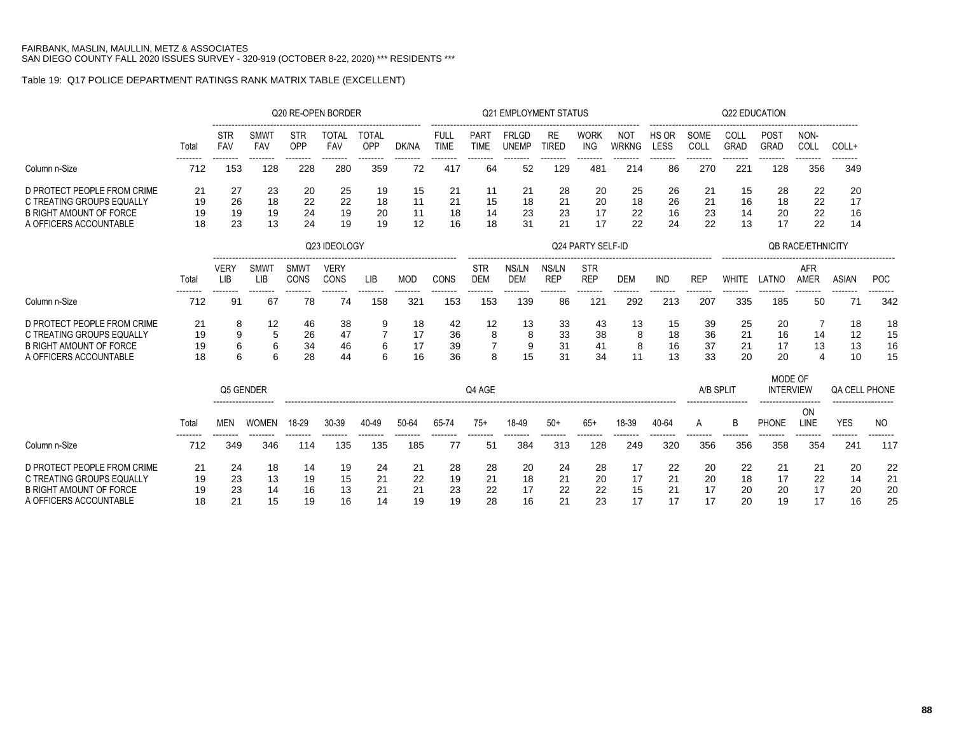# Table 19: Q17 POLICE DEPARTMENT RATINGS RANK MATRIX TABLE (EXCELLENT)

|                                                                                                                      |                      |                           |                      |                      | Q20 RE-OPEN BORDER   |                      |                      |                            |                                | <b>Q21 EMPLOYMENT STATUS</b> |                      |                             |                            |                      |                      | Q22 EDUCATION        |                             |                                        |                      |                      |
|----------------------------------------------------------------------------------------------------------------------|----------------------|---------------------------|----------------------|----------------------|----------------------|----------------------|----------------------|----------------------------|--------------------------------|------------------------------|----------------------|-----------------------------|----------------------------|----------------------|----------------------|----------------------|-----------------------------|----------------------------------------|----------------------|----------------------|
|                                                                                                                      | Total                | STR<br><b>FAV</b>         | <b>SMWT</b><br>FAV   | <b>STR</b><br>OPP    | <b>TOTAL</b><br>FAV  | <b>TOTAL</b><br>OPP  | DK/NA                | <b>FULL</b><br><b>TIME</b> | PART<br><b>TIME</b>            | <b>FRLGD</b><br><b>UNEMP</b> | RE<br><b>TIRED</b>   | <b>WORK</b><br><b>ING</b>   | <b>NOT</b><br><b>WRKNG</b> | HS OR<br>LESS        | SOME<br>COLL         | COLL<br><b>GRAD</b>  | POST<br>GRAD                | NON-<br>COLL                           | $COLL+$              |                      |
| Column n-Size                                                                                                        | 712                  | --------<br>153           | --------<br>128      | --------<br>228      | --------<br>280      | --------<br>359      | --------<br>72       | --------<br>417            | --------<br>64                 | --------<br>52               | --------<br>129      | --------<br>481             | --------<br>214            | --------<br>86       | --------<br>270      | --------<br>221      | --------<br>128             | --------<br>356                        | --------<br>349      |                      |
| D PROTECT PEOPLE FROM CRIME<br>C TREATING GROUPS EQUALLY<br><b>B RIGHT AMOUNT OF FORCE</b><br>A OFFICERS ACCOUNTABLE | 21<br>19<br>19<br>18 | 27<br>26<br>19<br>23      | 23<br>18<br>19<br>13 | 20<br>22<br>24<br>24 | 25<br>22<br>19<br>19 | 19<br>18<br>20<br>19 | 15<br>11<br>11<br>12 | 21<br>21<br>18<br>16       | 11<br>15<br>14<br>18           | 21<br>18<br>23<br>31         | 28<br>21<br>23<br>21 | 20<br>20<br>17<br>17        | 25<br>18<br>22<br>22       | 26<br>26<br>16<br>24 | 21<br>21<br>23<br>22 | 15<br>16<br>14<br>13 | 28<br>18<br>20<br>17        | 22<br>22<br>22<br>22                   | 20<br>17<br>16<br>14 |                      |
|                                                                                                                      |                      |                           |                      |                      | Q23 IDEOLOGY         |                      |                      |                            |                                |                              |                      | Q24 PARTY SELF-ID           |                            |                      |                      |                      |                             | <b>OB RACE/ETHNICITY</b>               |                      |                      |
|                                                                                                                      |                      |                           |                      |                      |                      |                      |                      |                            |                                |                              |                      |                             |                            |                      |                      |                      |                             |                                        |                      |                      |
|                                                                                                                      | Total                | <b>VERY</b><br><b>LIB</b> | <b>SMWT</b><br>LIB   | SMWT<br>CONS         | <b>VERY</b><br>CONS  | LIB                  | <b>MOD</b>           | CONS                       | <b>STR</b><br><b>DEM</b>       | NS/LN<br><b>DEM</b>          | NS/LN<br><b>REP</b>  | <b>STR</b><br><b>REP</b>    | <b>DEM</b>                 | <b>IND</b>           | <b>REP</b>           | <b>WHITE</b>         | LATNO                       | <b>AFR</b><br><b>AMER</b>              | <b>ASIAN</b>         | <b>POC</b>           |
| Column n-Size                                                                                                        | 712                  | 91                        | 67                   | 78                   | --------<br>74       | 158                  | 321                  | --------<br>153            | .<br>153                       | --------<br>139              | 86                   | --------<br>12 <sup>1</sup> | 292                        | 213                  | 207                  | 335                  | --------<br>185             | 50                                     | --------<br>71       | 342                  |
| D PROTECT PEOPLE FROM CRIME<br>C TREATING GROUPS EQUALLY<br><b>B RIGHT AMOUNT OF FORCE</b><br>A OFFICERS ACCOUNTABLE | 21<br>19<br>19<br>18 | 8<br>9<br>6<br>6          | 12<br>5<br>6<br>6    | 46<br>26<br>34<br>28 | 38<br>47<br>46<br>44 | 9<br>6<br>6          | 18<br>17<br>17<br>16 | 42<br>36<br>39<br>36       | 12<br>8<br>$\overline{7}$<br>8 | 13<br>8<br>9<br>15           | 33<br>33<br>31<br>31 | 43<br>38<br>41<br>34        | 13<br>8<br>8<br>11         | 15<br>18<br>16<br>13 | 39<br>36<br>37<br>33 | 25<br>21<br>21<br>20 | 20<br>16<br>17<br>20        | 7<br>14<br>13<br>$\boldsymbol{\Delta}$ | 18<br>12<br>13<br>10 | 18<br>15<br>16<br>15 |
|                                                                                                                      |                      | Q5 GENDER                 |                      |                      |                      |                      |                      |                            | Q4 AGE                         |                              |                      |                             |                            |                      | A/B SPLIT            |                      | MODE OF<br><b>INTERVIEW</b> |                                        | QA CELL PHONE        |                      |
|                                                                                                                      | Total                | MEN                       | <b>WOMEN</b>         | 18-29                | $30 - 39$            | 40-49                | 50-64                | 65-74                      | $75+$                          | 18-49                        | $50+$                | $65+$                       | 18-39                      | 40-64                | A                    | B                    | <b>PHONE</b>                | ON<br>LINE                             | <b>YES</b>           | NO.                  |
| Column n-Size                                                                                                        | 712                  | 349                       | --------<br>346      | .<br>114             | --------<br>135      | --------<br>135      | --------<br>185      | --------<br>77             | --------<br>51                 | --------<br>384              | --------<br>313      | --------<br>128             | --------<br>249            | .<br>320             | --------<br>356      | --------<br>356      | --------<br>358             | --------<br>354                        | --------<br>241      | --------<br>117      |
| D PROTECT PEOPLE FROM CRIME<br>C TREATING GROUPS EQUALLY<br><b>B RIGHT AMOUNT OF FORCE</b><br>A OFFICERS ACCOUNTABLE | 21<br>19<br>19<br>18 | 24<br>23<br>23<br>21      | 18<br>13<br>14<br>15 | 14<br>19<br>16<br>19 | 19<br>15<br>13<br>16 | 24<br>21<br>21<br>14 | 21<br>22<br>21<br>19 | 28<br>19<br>23<br>19       | 28<br>21<br>22<br>28           | 20<br>18<br>17<br>16         | 24<br>21<br>22<br>21 | 28<br>20<br>22<br>23        | 17<br>17<br>15<br>17       | 22<br>21<br>21<br>17 | 20<br>20<br>17<br>17 | 22<br>18<br>20<br>20 | 21<br>17<br>20<br>19        | 21<br>22<br>17<br>17                   | 20<br>14<br>20<br>16 | 22<br>21<br>20<br>25 |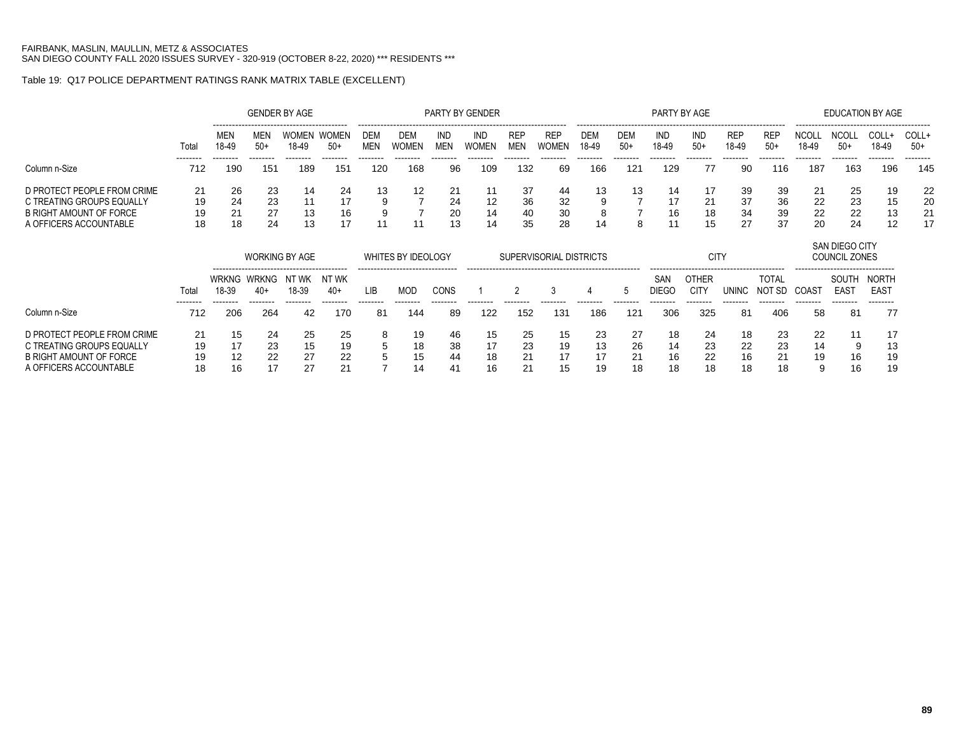# Table 19: Q17 POLICE DEPARTMENT RATINGS RANK MATRIX TABLE (EXCELLENT)

|                                                                                                               |                      |                      |                      | <b>GENDER BY AGE</b>  |                       |                   |                     |                | PARTY BY GENDER     |                          |                            |                     |              | PARTY BY AGE |                      |                      |                      |                      | EDUCATION BY AGE                          |                      |                      |
|---------------------------------------------------------------------------------------------------------------|----------------------|----------------------|----------------------|-----------------------|-----------------------|-------------------|---------------------|----------------|---------------------|--------------------------|----------------------------|---------------------|--------------|--------------|----------------------|----------------------|----------------------|----------------------|-------------------------------------------|----------------------|----------------------|
|                                                                                                               | Tota                 | <b>MEN</b><br>18-49  | <b>MEN</b><br>$50+$  | <b>WOMEN</b><br>18-49 | <b>WOMEN</b><br>$50+$ | DEM<br><b>MEN</b> | DEM<br><b>WOMEN</b> | IND<br>MEN     | IND<br><b>WOMEN</b> | <b>REP</b><br><b>MEN</b> | <b>REP</b><br><b>WOMEN</b> | <b>DEM</b><br>18-49 | DEM<br>$50+$ | IND<br>18-49 | IND<br>$50+$         | <b>REP</b><br>18-49  | <b>REP</b><br>$50+$  | NCOL<br>18-49        | -----------------<br><b>NCOL</b><br>$50+$ | COLL+<br>18-49       | COLL+<br>$50+$       |
| Column n-Size                                                                                                 | --------<br>712      | --------<br>190      | 151                  | 189                   | 151                   | 120               | 168                 | 96             | 109                 | 132                      | 69                         | 166                 | 121          | 129          | 77                   | 90                   | 116                  | 187                  | 163                                       | 196                  | --------<br>145      |
| D PROTECT PEOPLE FROM CRIME<br>C TREATING GROUPS EQUALLY<br>B RIGHT AMOUNT OF FORCE<br>A OFFICERS ACCOUNTABLE | 21<br>19<br>19<br>18 | 26<br>24<br>21<br>18 | 23<br>23<br>27<br>24 | 14<br>13<br>13        | 24<br>17<br>16        | 13                | 12                  | 21<br>24<br>20 | 12<br>14<br>14      | 37<br>36<br>40<br>35     | 44<br>32<br>30<br>-28      | 13<br>9<br>8<br>14  | 13<br>8      | 14<br>16     | 17<br>21<br>18<br>15 | 39<br>37<br>34<br>27 | 39<br>36<br>39<br>37 | 21<br>22<br>22<br>20 | 25<br>23<br>22<br>24                      | 19<br>15<br>13<br>12 | 22<br>20<br>21<br>17 |

|                                                                                                               |                      |                      | <b>WORKING BY AGE</b> |                      |                          |             | WHITES BY IDEOLOGY                               |                                  |                      | SUPERVISORIAL DISTRICTS |                      |                |                      |                      | <b>CITY</b>          |                      |                      |                     | <b>SAN DIEGO CITY</b><br>COUNCIL ZONES                                   |                                       |
|---------------------------------------------------------------------------------------------------------------|----------------------|----------------------|-----------------------|----------------------|--------------------------|-------------|--------------------------------------------------|----------------------------------|----------------------|-------------------------|----------------------|----------------|----------------------|----------------------|----------------------|----------------------|----------------------|---------------------|--------------------------------------------------------------------------|---------------------------------------|
|                                                                                                               | Total<br>--------    | 18-39                | WRKNG WRKNG<br>$40+$  | NT WK<br>18-39       | NT WK<br>40+<br>-------- | l IB        | --------------------------------<br>MOD<br>----- | CONS                             |                      |                         |                      |                |                      | SAN<br>DIEGO         | OTHER<br>CIT)        | UNINC                | TOTAL<br>NO1<br>-SD  | COAS <sup>®</sup>   | -------------------------------<br>SOUTH<br>EAS <sub>1</sub><br>-------- | NORTH<br>EAS <sup>-</sup><br>-------- |
| Column n-Size                                                                                                 | 712                  | 206                  | 264                   | 42                   | 170                      | 81          | 144                                              | 89                               | 122                  | 152                     | 131                  | 186            | 121                  | 306                  | 325                  | 81                   | 406                  | 58                  | 81                                                                       | 77                                    |
| D PROTECT PEOPLE FROM CRIME<br>C TREATING GROUPS EQUALLY<br>B RIGHT AMOUNT OF FORCE<br>A OFFICERS ACCOUNTABLE | 21<br>19<br>19<br>18 | 15<br>17<br>12<br>16 | 24<br>23<br>22        | 25<br>15<br>27<br>27 | 25<br>19<br>22<br>21     | 8<br>5<br>5 | 19<br>18<br>15<br>11                             | 46<br>38<br>44<br>4 <sup>′</sup> | 15<br>17<br>18<br>16 | 25<br>23<br>21<br>21    | 15<br>19<br>17<br>15 | 23<br>13<br>19 | 27<br>26<br>21<br>18 | 18<br>14<br>16<br>18 | 24<br>23<br>22<br>18 | 18<br>22<br>16<br>18 | 23<br>23<br>21<br>18 | 22<br>14<br>19<br>9 | a<br>16<br>16                                                            | -17<br>13<br>19<br>19                 |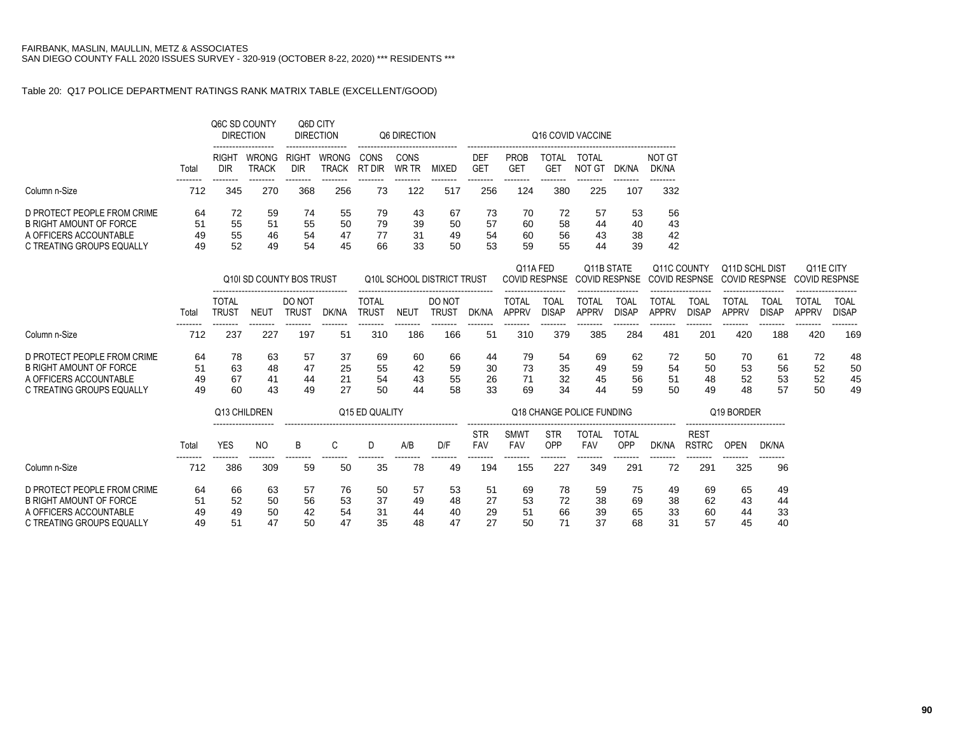## Table 20: Q17 POLICE DEPARTMENT RATINGS RANK MATRIX TABLE (EXCELLENT/GOOD)

|                                                               |          |                              | Q6C SD COUNTY<br><b>DIRECTION</b> |                        | Q6D CITY<br><b>DIRECTION</b> |                              | Q6 DIRECTION  |                            |                          |                              |                                  | Q16 COVID VACCINE                  |                             |                              |                                     |                                        |                      |                                   |                             |
|---------------------------------------------------------------|----------|------------------------------|-----------------------------------|------------------------|------------------------------|------------------------------|---------------|----------------------------|--------------------------|------------------------------|----------------------------------|------------------------------------|-----------------------------|------------------------------|-------------------------------------|----------------------------------------|----------------------|-----------------------------------|-----------------------------|
|                                                               | Total    | <b>RIGHT</b><br><b>DIR</b>   | <b>WRONG</b><br><b>TRACK</b>      | RIGHT<br><b>DIR</b>    | WRONG<br><b>TRACK</b>        | CONS<br>RT DIR               | CONS<br>WR TR | <b>MIXED</b>               | DEF<br><b>GET</b>        | <b>PROB</b><br><b>GET</b>    | <b>TOTAL</b><br><b>GET</b>       | TOTAL<br><b>NOT GT</b>             | DK/NA                       | NOT GT<br>DK/NA              |                                     |                                        |                      |                                   |                             |
| Column n-Size                                                 | 712      | 345                          | 270                               | 368                    | 256                          | 73                           | 122           | 517                        | 256                      | 124                          | 380                              | 225                                | 107                         | 332                          |                                     |                                        |                      |                                   |                             |
| D PROTECT PEOPLE FROM CRIME<br><b>B RIGHT AMOUNT OF FORCE</b> | 64       | 72                           | 59                                | 74                     | 55                           | 79                           | 43            | 67                         | 73                       | 70                           | 72                               | 57                                 | 53                          | 56                           |                                     |                                        |                      |                                   |                             |
| A OFFICERS ACCOUNTABLE                                        | 51<br>49 | 55<br>55                     | 51<br>46                          | 55<br>54               | 50<br>47                     | 79<br>77                     | 39<br>31      | 50<br>49                   | 57<br>54                 | 60<br>60                     | 58<br>56                         | 44<br>43                           | 40<br>38                    | 43<br>42                     |                                     |                                        |                      |                                   |                             |
| C TREATING GROUPS EQUALLY                                     | 49       | 52                           | 49                                | 54                     | 45                           | 66                           | 33            | 50                         | 53                       | 59                           | 55                               | 44                                 | 39                          | 42                           |                                     |                                        |                      |                                   |                             |
|                                                               |          |                              | Q10I SD COUNTY BOS TRUST          |                        |                              |                              |               | Q10L SCHOOL DISTRICT TRUST |                          |                              | Q11A FED<br><b>COVID RESPNSE</b> | Q11B STATE<br><b>COVID RESPNSE</b> |                             |                              | Q11C COUNTY<br><b>COVID RESPNSE</b> | Q11D SCHL DIST<br><b>COVID RESPNSE</b> |                      | Q11E CITY<br><b>COVID RESPNSE</b> |                             |
|                                                               | Total    | <b>TOTAL</b><br><b>TRUST</b> | <b>NEUT</b>                       | DO NOT<br><b>TRUST</b> | DK/NA                        | <b>TOTAL</b><br><b>TRUST</b> | <b>NEUT</b>   | DO NOT<br><b>TRUST</b>     | DK/NA                    | <b>TOTAL</b><br><b>APPRV</b> | <b>TOAL</b><br><b>DISAP</b>      | <b>TOTAL</b><br><b>APPRV</b>       | <b>TOAL</b><br><b>DISAP</b> | <b>TOTAL</b><br><b>APPRV</b> | <b>TOAL</b><br><b>DISAP</b>         | <b>TOTAL</b><br><b>APPRV</b>           | TOAL<br><b>DISAP</b> | <b>TOTAL</b><br><b>APPRV</b>      | <b>TOAL</b><br><b>DISAP</b> |
| Column n-Size                                                 | 712      | 237                          | 227                               | 197                    | 51                           | 310                          | 186           | 166                        | 51                       | 310                          | 379                              | 385                                | 284                         | 481                          | 201                                 | 420                                    | 188                  | --------<br>420                   | --------<br>169             |
| D PROTECT PEOPLE FROM CRIME                                   | 64       | 78                           | 63                                | 57                     | 37                           | 69                           | 60            | 66                         | 44                       | 79                           | 54                               | 69                                 | 62                          | 72                           | 50                                  | 70                                     | 61                   | 72                                | 48                          |
| <b>B RIGHT AMOUNT OF FORCE</b>                                | 51       | 63                           | 48                                | 47                     | 25                           | 55                           | 42            | 59                         | 30                       | 73                           | 35                               | 49                                 | 59                          | 54                           | 50                                  | 53                                     | 56                   | 52                                | 50                          |
| A OFFICERS ACCOUNTABLE<br>C TREATING GROUPS EQUALLY           | 49<br>49 | 67<br>60                     | 41<br>43                          | 44<br>49               | 21<br>27                     | 54<br>50                     | 43<br>44      | 55<br>58                   | 26<br>33                 | 71<br>69                     | 32<br>34                         | 45<br>44                           | 56<br>59                    | 51<br>50                     | 48<br>49                            | 52<br>48                               | 53<br>57             | 52<br>50                          | 45<br>49                    |
|                                                               |          |                              | Q13 CHILDREN                      |                        |                              | Q15 ED QUALITY               |               |                            |                          |                              |                                  | Q18 CHANGE POLICE FUNDING          |                             |                              |                                     | Q19 BORDER                             |                      |                                   |                             |
|                                                               | Total    | <b>YES</b>                   | N <sub>O</sub>                    | B                      | C                            | D                            | A/B           | D/F                        | <b>STR</b><br><b>FAV</b> | <b>SMWT</b><br>FAV           | <b>STR</b><br>OPP                | <b>TOTAL</b><br><b>FAV</b>         | TOTAL<br>OPP                | DK/NA                        | <b>REST</b><br><b>RSTRC</b>         | <b>OPEN</b>                            | DK/NA                |                                   |                             |
| Column n-Size                                                 | 712      | 386                          | 309                               | 59                     | 50                           | 35                           | 78            | 49                         | --------<br>194          | --------<br>155              | .<br>227                         | --------<br>349                    | --------<br>291             | 72                           | --------<br>291                     | .<br>325                               | 96                   |                                   |                             |
| D PROTECT PEOPLE FROM CRIME                                   | 64       | 66                           | 63                                | 57                     | 76                           | 50                           | 57            | 53                         | 51                       | 69                           | 78                               | 59                                 | 75                          | 49                           | 69                                  | 65                                     | 49                   |                                   |                             |
| <b>B RIGHT AMOUNT OF FORCE</b>                                | 51       | 52                           | 50                                | 56                     | 53                           | 37                           | 49            | 48                         | 27                       | 53                           | 72                               | 38                                 | 69                          | 38                           | 62                                  | 43                                     | 44                   |                                   |                             |
| A OFFICERS ACCOUNTABLE                                        | 49       | 49                           | 50                                | 42                     | 54                           | 31                           | 44            | 40                         | 29                       | 51                           | 66                               | 39                                 | 65                          | 33                           | 60                                  | 44                                     | 33                   |                                   |                             |
| C TREATING GROUPS EQUALLY                                     | 49       | 51                           | 47                                | 50                     | 47                           | 35                           | 48            | 47                         | 27                       | 50                           | 71                               | 37                                 | 68                          | 31                           | 57                                  | 45                                     | 40                   |                                   |                             |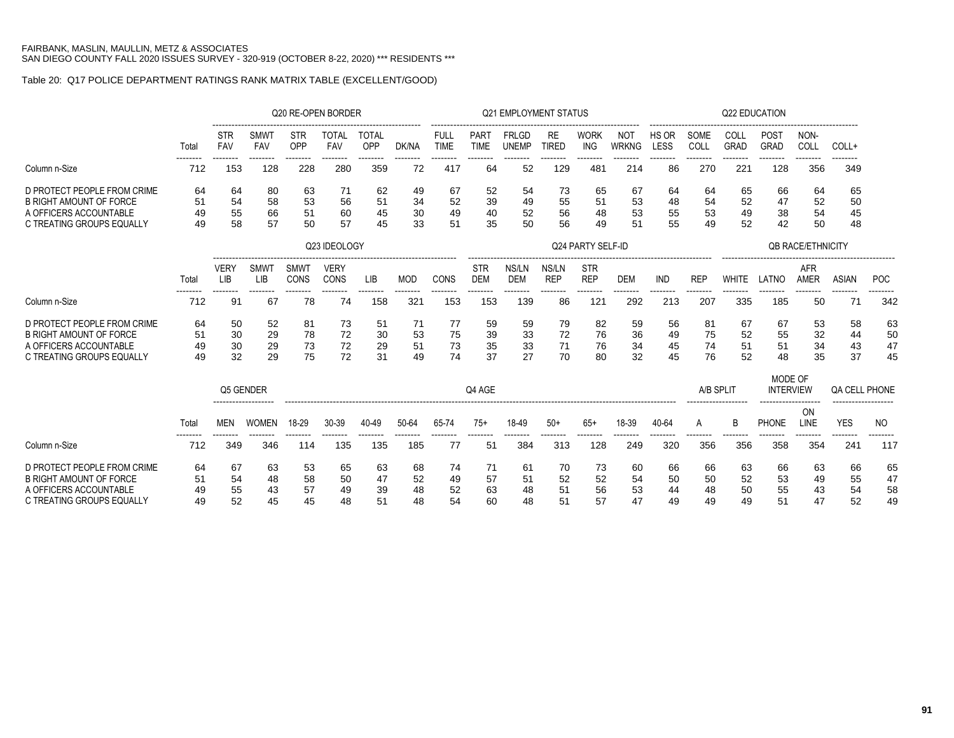# Table 20: Q17 POLICE DEPARTMENT RATINGS RANK MATRIX TABLE (EXCELLENT/GOOD)

|                                                                                                                      |                      |                           |                           | Q20 RE-OPEN BORDER   |                      |                      |                      |                       |                          | <b>Q21 EMPLOYMENT STATUS</b> |                      |                          |                      |                      |                      | Q22 EDUCATION        |                             |                          |                             |                      |
|----------------------------------------------------------------------------------------------------------------------|----------------------|---------------------------|---------------------------|----------------------|----------------------|----------------------|----------------------|-----------------------|--------------------------|------------------------------|----------------------|--------------------------|----------------------|----------------------|----------------------|----------------------|-----------------------------|--------------------------|-----------------------------|----------------------|
|                                                                                                                      | Total                | STR<br><b>FAV</b>         | <b>SMWT</b><br><b>FAV</b> | <b>STR</b><br>OPP    | <b>TOTAL</b><br>FAV  | <b>TOTAL</b><br>OPP  | DK/NA                | FULL<br><b>TIME</b>   | PART<br><b>TIME</b>      | <b>FRLGD</b><br><b>UNEMP</b> | RE<br><b>TIRED</b>   | <b>WORK</b><br>ING       | NOT<br><b>WRKNG</b>  | HS OR<br>LESS        | SOME<br>COLL         | COLL<br>GRAD         | <b>POST</b><br>GRAD         | NON-<br>COLL             | COLL+                       |                      |
| Column n-Size                                                                                                        | 712                  | 153                       | 128                       | 228                  | 280                  | 359                  | 72                   | 417                   | 64                       | 52                           | 129                  | ------<br>481            | 214                  | 86                   | 270                  | 221                  | 128                         | 356                      | 349                         |                      |
| D PROTECT PEOPLE FROM CRIME<br><b>B RIGHT AMOUNT OF FORCE</b><br>A OFFICERS ACCOUNTABLE<br>C TREATING GROUPS EQUALLY | 64<br>51<br>49<br>49 | 64<br>54<br>55<br>58      | 80<br>58<br>66<br>57      | 63<br>53<br>51<br>50 | 71<br>56<br>60<br>57 | 62<br>51<br>45<br>45 | 49<br>34<br>30<br>33 | 67<br>52<br>49<br>51  | 52<br>39<br>40<br>35     | 54<br>49<br>52<br>50         | 73<br>55<br>56<br>56 | 65<br>51<br>48<br>49     | 67<br>53<br>53<br>51 | 64<br>48<br>55<br>55 | 64<br>54<br>53<br>49 | 65<br>52<br>49<br>52 | 66<br>47<br>38<br>42        | 64<br>52<br>54<br>50     | 65<br>50<br>45<br>48        |                      |
|                                                                                                                      |                      |                           |                           |                      | Q23 IDEOLOGY         |                      |                      |                       |                          |                              |                      | Q24 PARTY SELF-ID        |                      |                      |                      |                      |                             | <b>OB RACE/ETHNICITY</b> |                             |                      |
|                                                                                                                      | Total                | <b>VERY</b><br><b>LIB</b> | <b>SMWT</b><br>LIB        | <b>SMWT</b><br>CONS  | <b>VERY</b><br>CONS  | LIB                  | <b>MOD</b>           | CONS                  | <b>STR</b><br><b>DEM</b> | NS/LN<br><b>DEM</b>          | NS/LN<br><b>REP</b>  | <b>STR</b><br><b>REP</b> | <b>DEM</b>           | <b>IND</b>           | <b>REP</b>           | <b>WHITE</b>         | LATNO                       | AFR<br><b>AMER</b>       | <b>ASIAN</b>                | POC                  |
| Column n-Size                                                                                                        | --------<br>712      | 91                        | --------<br>67            | -------<br>78        | --------<br>74       | --------<br>158      | --------<br>321      | --------<br>153       | -------<br>153           | --------<br>139              | --------<br>86       | --------<br>121          | --------<br>292      | 213                  | --------<br>207      | --------<br>335      | --------<br>185             | --------<br>50           | --------<br>71              | --------<br>342      |
| D PROTECT PEOPLE FROM CRIME<br><b>B RIGHT AMOUNT OF FORCE</b><br>A OFFICERS ACCOUNTABLE<br>C TREATING GROUPS EQUALLY | 64<br>51<br>49<br>49 | 50<br>30<br>30<br>32      | 52<br>29<br>29<br>29      | 81<br>78<br>73<br>75 | 73<br>72<br>72<br>72 | 51<br>30<br>29<br>31 | 71<br>53<br>51<br>49 | -77<br>75<br>73<br>74 | 59<br>39<br>35<br>37     | 59<br>33<br>33<br>27         | 79<br>72<br>71<br>70 | 82<br>76<br>76<br>80     | 59<br>36<br>34<br>32 | 56<br>49<br>45<br>45 | 81<br>75<br>74<br>76 | 67<br>52<br>51<br>52 | 67<br>55<br>51<br>48        | 53<br>32<br>34<br>35     | 58<br>44<br>43<br>37        | 63<br>50<br>47<br>45 |
|                                                                                                                      |                      | Q5 GENDER                 |                           |                      |                      |                      |                      |                       | Q4 AGE                   |                              |                      |                          |                      |                      | A/B SPLIT            |                      | MODE OF<br><b>INTERVIEW</b> |                          | <b>QA CELL PHONE</b>        |                      |
|                                                                                                                      | Total                | <b>MEN</b>                | <b>WOMEN</b>              | 18-29                | 30-39                | 40-49                | 50-64                | 65-74                 | $75+$                    | 18-49                        | $50+$                | $65+$                    | 18-39                | 40-64                | A                    | B                    | <b>PHONE</b>                | ON<br>LINE               | <b>YES</b>                  | N <sub>O</sub>       |
| Column n-Size                                                                                                        | 712                  | 349                       | 346                       | -------<br>114       | 135                  | .<br>135             | 185                  | 77                    | 51                       | --------<br>384              | --------<br>313      | 128                      | --------<br>249      | 320                  | --------<br>356      | 356                  | --------<br>358             | 354                      | --------<br>24 <sup>2</sup> | 117                  |
| D PROTECT PEOPLE FROM CRIME<br><b>B RIGHT AMOUNT OF FORCE</b><br>A OFFICERS ACCOUNTABLE<br>C TREATING GROUPS EQUALLY | 64<br>51<br>49<br>49 | 67<br>54<br>55<br>52      | 63<br>48<br>43<br>45      | 53<br>58<br>57<br>45 | 65<br>50<br>49<br>48 | 63<br>47<br>39<br>51 | 68<br>52<br>48<br>48 | 74<br>49<br>52<br>54  | 71<br>57<br>63<br>60     | 61<br>51<br>48<br>48         | 70<br>52<br>51<br>51 | 73<br>52<br>56<br>57     | 60<br>54<br>53<br>47 | 66<br>50<br>44<br>49 | 66<br>50<br>48<br>49 | 63<br>52<br>50<br>49 | 66<br>53<br>55<br>51        | 63<br>49<br>43<br>47     | 66<br>55<br>54<br>52        | 65<br>47<br>58<br>49 |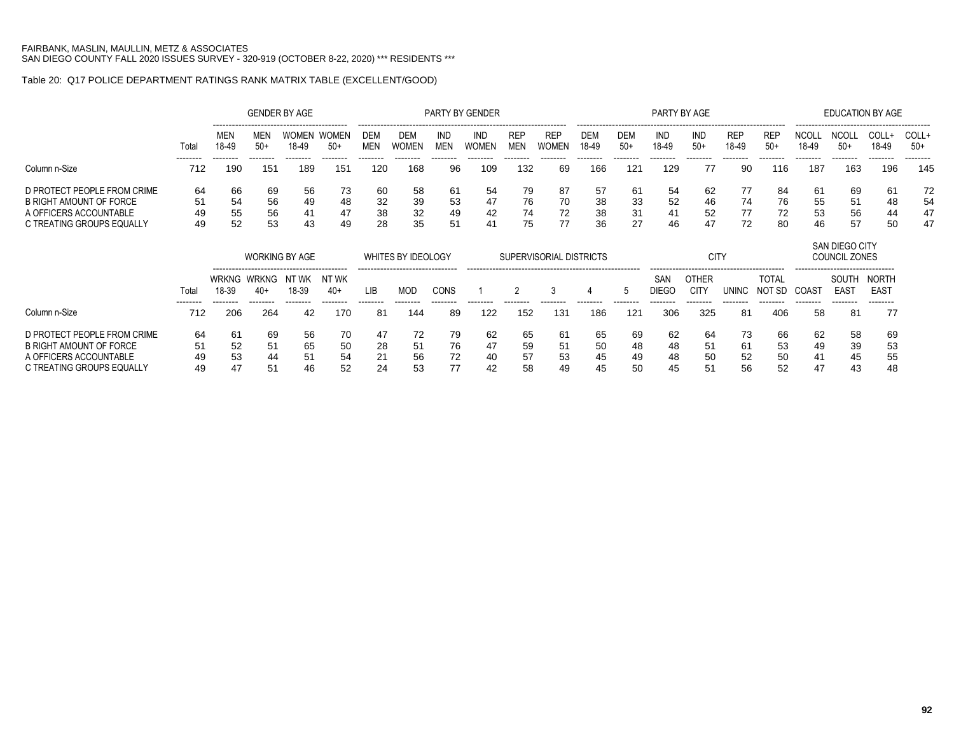### Table 20: Q17 POLICE DEPARTMENT RATINGS RANK MATRIX TABLE (EXCELLENT/GOOD)

|                                                                                                               |                      |                                 |                          | <b>GENDER BY AGE</b>  |                      |                          |                      |                        | PARTY BY GENDER            |                          |                      |                       |                      | PARTY BY AGE         |                      |                      |                                          |                      |                                                    | EDUCATION BY AGE     |                            |
|---------------------------------------------------------------------------------------------------------------|----------------------|---------------------------------|--------------------------|-----------------------|----------------------|--------------------------|----------------------|------------------------|----------------------------|--------------------------|----------------------|-----------------------|----------------------|----------------------|----------------------|----------------------|------------------------------------------|----------------------|----------------------------------------------------|----------------------|----------------------------|
|                                                                                                               | Total<br>--------    | <b>MEN</b><br>18-49<br>-------- | MEN<br>$50+$<br>-------- | <b>WOMEN</b><br>18-49 | WOMEN<br>$50+$       | <b>DEM</b><br><b>MEN</b> | <b>DEM</b><br>WOMEN  | IND<br><b>MEN</b>      | <b>IND</b><br><b>WOMEN</b> | <b>REP</b><br><b>MEN</b> | <b>REP</b><br>WOMFN  | DEM<br>18-49          | <b>DEM</b><br>$50+$  | IND<br>18-49         | IND<br>$50+$         | <b>REP</b><br>18-49  | -----------------<br><b>REF</b><br>$50+$ | NCOL.<br>18-49       | --------------------------------<br>NCOL.<br>$50+$ | COLL+<br>18-49       | COLL+<br>$50+$<br>-------- |
| Column n-Size                                                                                                 | 712                  | 190                             | 151                      | 189                   | 151                  | 120                      | 168                  | 96                     | 109                        | 132                      | 69                   | 166                   | 121                  | 129                  | 77                   | 90                   | 116                                      | 187                  | 163                                                | 196                  | 145                        |
| D PROTECT PEOPLE FROM CRIME<br>B RIGHT AMOUNT OF FORCE<br>A OFFICERS ACCOUNTABLE<br>C TREATING GROUPS EQUALLY | 64<br>51<br>49<br>49 | 66<br>54<br>55<br>52            | 69<br>56<br>56<br>53     | 56<br>49<br>41<br>43  | 73<br>48<br>47<br>49 | -60<br>32<br>38<br>28    | 58<br>39<br>32<br>35 | -61<br>-53<br>49<br>51 | 54<br>47<br>42<br>41       | 79<br>76<br>74<br>75     | 87<br>70<br>72<br>77 | -57<br>38<br>38<br>36 | 61<br>33<br>31<br>27 | 54<br>52<br>41<br>46 | 62<br>46<br>52<br>47 | 77<br>74<br>77<br>72 | 84<br>76<br>72<br>80                     | 61<br>55<br>53<br>46 | 69<br>51<br>56<br>57                               | 61<br>48<br>44<br>50 | 72<br>54<br>47<br>47       |
|                                                                                                               |                      |                                 |                          |                       |                      |                          |                      |                        |                            |                          |                      |                       |                      |                      |                      |                      |                                          |                      | <b>SAN DIEGO CITY</b>                              |                      |                            |

|                                                                                                               |                      |                      | <b>WORKING BY AGE</b>          |                       |                      |                      | <b>WHITES BY IDEOLOGY</b> |                      |                      | SUPERVISORIAL DISTRICTS |                      |                       |                      |                      | CITY                     |                      |                       |                      | COUNCIL ZONES             |                                       |
|---------------------------------------------------------------------------------------------------------------|----------------------|----------------------|--------------------------------|-----------------------|----------------------|----------------------|---------------------------|----------------------|----------------------|-------------------------|----------------------|-----------------------|----------------------|----------------------|--------------------------|----------------------|-----------------------|----------------------|---------------------------|---------------------------------------|
|                                                                                                               | Total                | 18-39                | WRKNG WRKNG NTWK NTWK<br>$40+$ | 18-39                 | $40+$                | LIB                  | <b>MOD</b>                | CONS                 |                      |                         |                      |                       |                      | SAN<br><b>DIEGO</b>  | <br><b>OTHER</b><br>CIT) | JNINC                | TOTAL<br>NOT<br>r SD. | ------<br>COAST      | SOUTH<br>EAS <sub>1</sub> | NORTH<br>EAS <sup>7</sup><br>-------- |
| Column n-Size                                                                                                 | 712                  | 206                  | 264                            | 42                    | 170                  | 81                   | 144                       | 89                   | 122                  | 152                     | 131                  | 186                   | 121                  | 306                  | 325                      | 81                   | 406                   | 58                   | 81                        | 77                                    |
| D PROTECT PEOPLE FROM CRIME<br>B RIGHT AMOUNT OF FORCE<br>A OFFICERS ACCOUNTABLE<br>C TREATING GROUPS EQUALLY | 64<br>51<br>49<br>49 | 61<br>52<br>53<br>47 | 69<br>51<br>44<br>51           | -56<br>65<br>51<br>46 | 70<br>50<br>54<br>52 | 47<br>28<br>21<br>24 | 72<br>51<br>56<br>53      | 79<br>76<br>72<br>77 | 62<br>47<br>40<br>42 | 65<br>59<br>57<br>58    | 61<br>51<br>53<br>49 | -65<br>50<br>45<br>45 | 69<br>48<br>49<br>50 | 62<br>48<br>48<br>45 | 64<br>51<br>50<br>-51    | 73<br>61<br>52<br>56 | 66<br>53<br>50<br>52  | 62<br>49<br>41<br>47 | 58<br>39<br>45<br>43      | 69<br>53<br>55<br>48                  |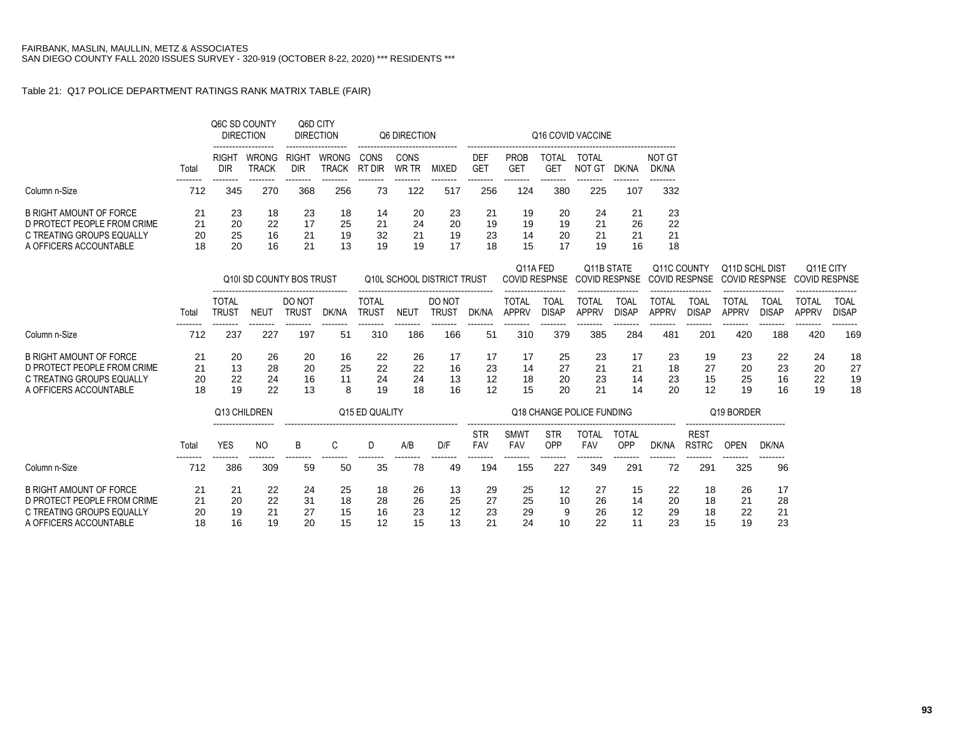### Table 21: Q17 POLICE DEPARTMENT RATINGS RANK MATRIX TABLE (FAIR)

|                                                     |          |                              | Q6C SD COUNTY<br><b>DIRECTION</b> | Q6D CITY<br><b>DIRECTION</b> |                       |                              | Q6 DIRECTION  |                            |                          |                              |                             | Q16 COVID VACCINE                  |                             |                              |                             |                                               |                             |                              |                             |
|-----------------------------------------------------|----------|------------------------------|-----------------------------------|------------------------------|-----------------------|------------------------------|---------------|----------------------------|--------------------------|------------------------------|-----------------------------|------------------------------------|-----------------------------|------------------------------|-----------------------------|-----------------------------------------------|-----------------------------|------------------------------|-----------------------------|
|                                                     | Total    | RIGHT<br><b>DIR</b>          | <b>WRONG</b><br><b>TRACK</b>      | RIGHT<br><b>DIR</b>          | WRONG<br><b>TRACK</b> | CONS<br>RT DIR               | CONS<br>WR TR | <b>MIXED</b>               | DEF<br><b>GET</b>        | <b>PROB</b><br><b>GET</b>    | <b>TOTAL</b><br><b>GET</b>  | TOTAL<br><b>NOT GT</b>             | DK/NA                       | <b>NOT GT</b><br>DK/NA       |                             |                                               |                             |                              |                             |
| Column n-Size                                       | 712      | 345                          | 270                               | 368                          | 256                   | 73                           | 122           | 517                        | 256                      | 124                          | 380                         | 225                                | 107                         | 332                          |                             |                                               |                             |                              |                             |
| <b>B RIGHT AMOUNT OF FORCE</b>                      | 21       | 23                           | 18                                | 23                           | 18                    | 14                           | 20            | 23                         | 21                       | 19                           | 20                          | 24                                 | 21                          | 23                           |                             |                                               |                             |                              |                             |
| D PROTECT PEOPLE FROM CRIME                         | 21       | 20<br>25                     | 22                                | 17                           | 25                    | 21                           | 24            | 20                         | 19                       | 19                           | 19                          | 21                                 | 26                          | 22                           |                             |                                               |                             |                              |                             |
| C TREATING GROUPS EQUALLY<br>A OFFICERS ACCOUNTABLE | 20<br>18 | 20                           | 16<br>16                          | 21<br>21                     | 19<br>13              | 32<br>19                     | 21<br>19      | 19<br>17                   | 23<br>18                 | 14<br>15                     | 20<br>17                    | 21<br>19                           | 21<br>16                    | 21<br>18                     |                             |                                               |                             |                              |                             |
|                                                     |          |                              | Q10I SD COUNTY BOS TRUST          |                              |                       |                              |               | Q10L SCHOOL DISTRICT TRUST |                          | Q11A FED                     | <b>COVID RESPNSE</b>        | Q11B STATE<br><b>COVID RESPNSE</b> |                             | Q11C COUNTY                  | <b>COVID RESPNSE</b>        | <b>Q11D SCHL DIST</b><br><b>COVID RESPNSE</b> |                             | <b>COVID RESPNSE</b>         | Q11E CITY                   |
|                                                     | Total    | <b>TOTAL</b><br><b>TRUST</b> | <b>NEUT</b>                       | DO NOT<br><b>TRUST</b>       | DK/NA                 | <b>TOTAL</b><br><b>TRUST</b> | <b>NEUT</b>   | DO NOT<br><b>TRUST</b>     | DK/NA                    | <b>TOTAL</b><br><b>APPRV</b> | <b>TOAL</b><br><b>DISAP</b> | <b>TOTAL</b><br><b>APPRV</b>       | <b>TOAL</b><br><b>DISAP</b> | <b>TOTAL</b><br><b>APPRV</b> | <b>TOAL</b><br><b>DISAP</b> | <b>TOTAL</b><br><b>APPRV</b>                  | <b>TOAL</b><br><b>DISAP</b> | <b>TOTAL</b><br><b>APPRV</b> | <b>TOAL</b><br><b>DISAP</b> |
| Column n-Size                                       | 712      | 237                          | 227                               | 197                          | 51                    | 310                          | 186           | 166                        | 51                       | 310                          | 379                         | 385                                | 284                         | 481                          | 201                         | 420                                           | 188                         | 420                          | 169                         |
| <b>B RIGHT AMOUNT OF FORCE</b>                      | 21       | 20                           | 26                                | 20                           | 16                    | 22                           | 26            | 17                         | 17                       | 17                           | 25                          | 23                                 | 17                          | 23                           | 19                          | 23                                            | 22                          | 24                           | 18                          |
| D PROTECT PEOPLE FROM CRIME                         | 21       | 13                           | 28                                | 20                           | 25                    | 22                           | 22            | 16                         | 23                       | 14                           | 27                          | 21                                 | 21                          | 18                           | 27                          | 20                                            | 23                          | 20                           | 27                          |
| C TREATING GROUPS EQUALLY<br>A OFFICERS ACCOUNTABLE | 20<br>18 | 22<br>19                     | 24<br>22                          | 16<br>13                     | 11<br>8               | 24<br>19                     | 24<br>18      | 13<br>16                   | 12<br>12                 | 18<br>15                     | 20<br>20                    | 23<br>21                           | 14<br>14                    | 23<br>20                     | 15<br>12                    | 25<br>19                                      | 16<br>16                    | 22<br>19                     | 19<br>18                    |
|                                                     |          |                              | Q13 CHILDREN                      |                              |                       | Q15 ED QUALITY               |               |                            |                          |                              |                             | Q18 CHANGE POLICE FUNDING          |                             |                              |                             | Q19 BORDER                                    |                             |                              |                             |
|                                                     | Total    | <b>YES</b>                   | <b>NO</b>                         | B                            | C                     | D                            | A/B           | D/F                        | <b>STR</b><br><b>FAV</b> | <b>SMWT</b><br>FAV           | <b>STR</b><br>OPP           | <b>TOTAL</b><br>FAV                | <b>TOTAL</b><br>OPP         | DK/NA                        | <b>REST</b><br><b>RSTRC</b> | <b>OPEN</b>                                   | DK/NA                       |                              |                             |
| Column n-Size                                       | 712      | 386                          | 309                               | 59                           | 50                    | 35                           | 78            | 49                         | 194                      | <br>155                      | <br>227                     | .<br>349                           | <br>291                     | 72                           | --------<br>291             | --------<br>325                               | --------<br>96              |                              |                             |
| <b>B RIGHT AMOUNT OF FORCE</b>                      | 21       | 21                           | 22                                | 24                           | 25                    | 18                           | 26            | 13                         | 29                       | 25                           | 12                          | 27                                 | 15                          | 22                           | 18                          | 26                                            | 17                          |                              |                             |
| D PROTECT PEOPLE FROM CRIME                         | 21       | 20                           | 22                                | 31                           | 18                    | 28                           | 26            | 25                         | 27                       | 25                           | 10                          | 26                                 | 14                          | 20                           | 18                          | 21                                            | 28                          |                              |                             |
| C TREATING GROUPS EQUALLY<br>A OFFICERS ACCOUNTABLE | 20<br>18 | 19<br>16                     | 21<br>19                          | 27<br>20                     | 15<br>15              | 16<br>12                     | 23<br>15      | 12<br>13                   | 23<br>21                 | 29<br>24                     | 9<br>10                     | 26<br>22                           | 12<br>11                    | 29<br>23                     | 18<br>15                    | 22<br>19                                      | 21<br>23                    |                              |                             |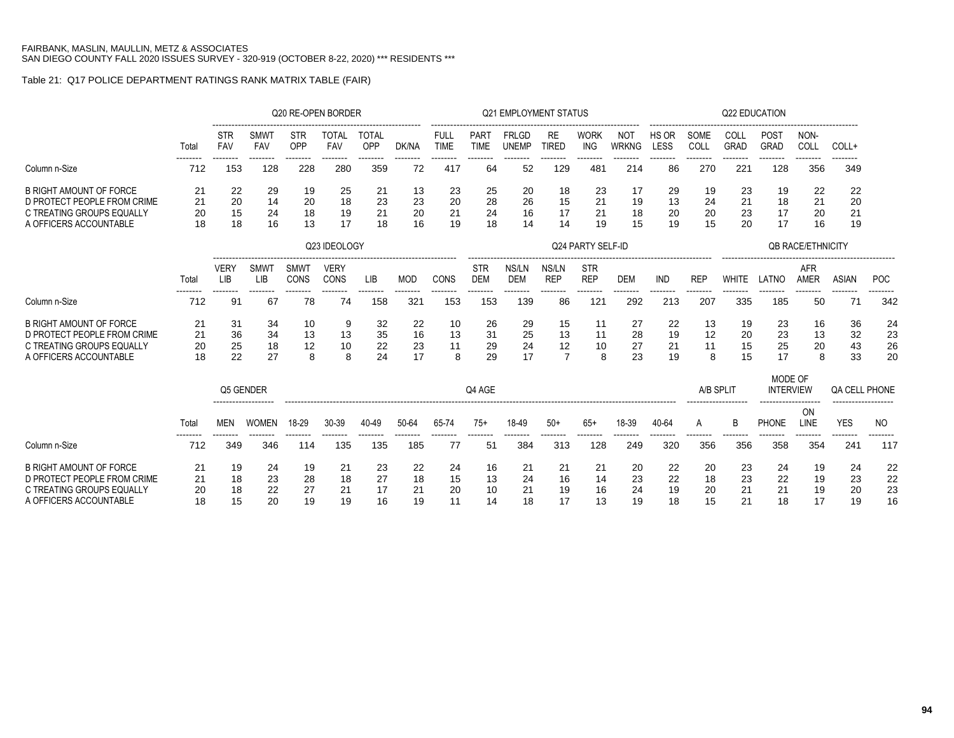## Table 21: Q17 POLICE DEPARTMENT RATINGS RANK MATRIX TABLE (FAIR)

|                                                          |          |                           |                    | Q20 RE-OPEN BORDER  |                     |                                       |                 |                            |                          | <b>Q21 EMPLOYMENT STATUS</b> |                     |                           |                            |               |                 | Q22 EDUCATION       |                             |                           |                |                 |
|----------------------------------------------------------|----------|---------------------------|--------------------|---------------------|---------------------|---------------------------------------|-----------------|----------------------------|--------------------------|------------------------------|---------------------|---------------------------|----------------------------|---------------|-----------------|---------------------|-----------------------------|---------------------------|----------------|-----------------|
|                                                          | Total    | STR<br>FAV                | <b>SMWT</b><br>FAV | <b>STR</b><br>OPP   | <b>TOTAL</b><br>FAV | ---------------------<br>TOTAL<br>OPP | DK/NA           | <b>FULL</b><br><b>TIME</b> | PART<br><b>TIME</b>      | <b>FRLGD</b><br><b>UNEMP</b> | RE<br><b>TIRED</b>  | <b>WORK</b><br><b>ING</b> | <b>NOT</b><br><b>WRKNG</b> | HS OR<br>LESS | SOME<br>COLL    | COLL<br><b>GRAD</b> | POST<br>GRAD                | NON-<br>COLL              | COLL+          |                 |
| Column n-Size                                            | 712      | 153                       | 128                | 228                 | 280                 | 359                                   | 72              | 417                        | 64                       | 52                           | 129                 | ------<br>481             | 214                        | 86            | 270             | 221                 | --------<br>128             | 356                       | 349            |                 |
| <b>B RIGHT AMOUNT OF FORCE</b>                           | 21       | 22                        | 29                 | 19                  | 25                  | 21                                    | 13              | 23                         | 25                       | 20                           | 18                  | 23                        | 17                         | 29            | 19              | 23                  | 19                          | 22                        | 22             |                 |
| D PROTECT PEOPLE FROM CRIME<br>C TREATING GROUPS EQUALLY | 21       | 20                        | 14                 | 20<br>18            | 18                  | 23                                    | 23              | 20<br>21                   | 28                       | 26<br>16                     | 15                  | 21                        | 19                         | 13            | 24              | 21                  | 18<br>17                    | 21                        | 20             |                 |
| A OFFICERS ACCOUNTABLE                                   | 20<br>18 | 15<br>18                  | 24<br>16           | 13                  | 19<br>17            | 21<br>18                              | 20<br>16        | 19                         | 24<br>18                 | 14                           | 17<br>14            | 21<br>19                  | 18<br>15                   | 20<br>19      | 20<br>15        | 23<br>20            | 17                          | 20<br>16                  | 21<br>19       |                 |
|                                                          |          |                           |                    |                     | Q23 IDEOLOGY        |                                       |                 |                            |                          |                              |                     | Q24 PARTY SELF-ID         |                            |               |                 |                     |                             | <b>OB RACE/ETHNICITY</b>  |                |                 |
|                                                          | Total    | <b>VERY</b><br><b>LIB</b> | <b>SMWT</b><br>LIB | SMWT<br><b>CONS</b> | <b>VERY</b><br>CONS | LIB                                   | <b>MOD</b>      | CONS                       | <b>STR</b><br><b>DEM</b> | NS/LN<br><b>DEM</b>          | NS/LN<br><b>REP</b> | <b>STR</b><br><b>REP</b>  | <b>DEM</b>                 | IND           | <b>REP</b>      | <b>WHITE</b>        | LATNO                       | <b>AFR</b><br><b>AMER</b> | <b>ASIAN</b>   | <b>POC</b>      |
| Column n-Size                                            | 712      | <br>91                    | --------<br>67     | --------<br>78      | --------<br>74      | --------<br>158                       | --------<br>321 | --------<br>153            | --------<br>153          | --------<br>139              | --------<br>86      | --------<br>$12^{\circ}$  | --------<br>292            | .<br>213      | --------<br>207 | 335                 | --------<br>185             | --------<br>50            | --------<br>71 | --------<br>342 |
| <b>B RIGHT AMOUNT OF FORCE</b>                           | 21       | 31                        | 34                 | 10                  | 9                   | 32                                    | 22              | 10                         | 26                       | 29                           | 15                  | 11                        | 27                         | 22            | 13              | 19                  | 23                          | 16                        | 36             | 24              |
| D PROTECT PEOPLE FROM CRIME                              | 21       | 36                        | 34                 | 13                  | 13                  | 35                                    | 16              | 13                         | 31                       | 25                           | 13                  | 11                        | 28                         | 19            | 12              | 20                  | 23                          | 13                        | 32             | 23              |
| C TREATING GROUPS EQUALLY                                | 20       | 25                        | 18                 | 12                  | 10                  | 22                                    | 23              | 11                         | 29                       | 24                           | 12                  | 10                        | 27                         | 21            | 11              | 15                  | 25                          | 20                        | 43             | 26              |
| A OFFICERS ACCOUNTABLE                                   | 18       | 22                        | 27                 | 8                   | 8                   | 24                                    | 17              | 8                          | 29                       | 17                           | $\overline{7}$      | 8                         | 23                         | 19            | 8               | 15                  | 17                          | 8                         | 33             | 20              |
|                                                          |          | Q5 GENDER                 |                    |                     |                     |                                       |                 |                            | Q4 AGE                   |                              |                     |                           |                            |               | A/B SPLIT       |                     | MODE OF<br><b>INTERVIEW</b> |                           | QA CELL PHONE  |                 |
|                                                          | Total    | <b>MEN</b>                | <b>WOMEN</b>       | 18-29               | 30-39               | 40-49                                 | 50-64           | 65-74                      | $75+$                    | 18-49                        | $50+$               | $65+$                     | 18-39                      | 40-64         | A               | B                   | <b>PHONE</b>                | ON<br>LINE                | <b>YES</b>     | <b>NO</b>       |
| Column n-Size                                            | 712      | 349                       | 346                | 114                 | 135                 | 135                                   | 185             | 77                         | 51                       | 384                          | 313                 | 128                       | 249                        | 320           | 356             | 356                 | 358                         | 354                       | ------<br>241  | 117             |
| <b>B RIGHT AMOUNT OF FORCE</b>                           | 21       | 19                        | 24                 | 19                  | 21                  | 23                                    | 22              | 24                         | 16                       | 21                           | 21                  | 21                        | 20                         | 22            | 20              | 23                  | 24                          | 19                        | 24             | 22              |
| D PROTECT PEOPLE FROM CRIME                              | 21       | 18                        | 23                 | 28                  | 18                  | 27                                    | 18              | 15                         | 13                       | 24                           | 16                  | 14                        | 23                         | 22            | 18              | 23                  | 22                          | 19                        | 23             | 22              |
| C TREATING GROUPS EQUALLY                                | 20       | 18                        | 22                 | 27                  | 21                  | 17                                    | 21              | 20                         | 10                       | 21                           | 19                  | 16                        | 24                         | 19            | 20              | 21                  | 21                          | 19                        | 20             | 23              |
| A OFFICERS ACCOUNTABLE                                   | 18       | 15                        | 20                 | 19                  | 19                  | 16                                    | 19              | 11                         | 14                       | 18                           | 17                  | 13                        | 19                         | 18            | 15              | 21                  | 18                          | 17                        | 19             | 16              |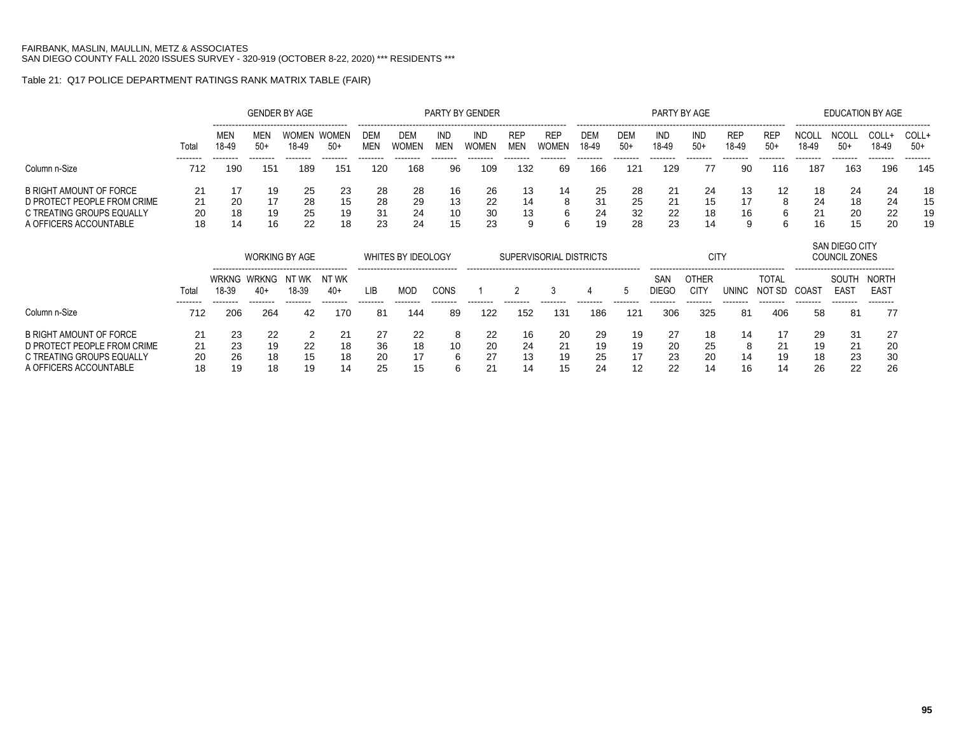### Table 21: Q17 POLICE DEPARTMENT RATINGS RANK MATRIX TABLE (FAIR)

|                                                               |                 |                         |              | <b>GENDER BY AGE</b>  |                       |                   |              |                   | PARTY BY GENDER            |                          |                     |              |              | PARTY BY AGE |              |              |                                    |                       | <b>EDUCATION BY AGE</b> |               |                |
|---------------------------------------------------------------|-----------------|-------------------------|--------------|-----------------------|-----------------------|-------------------|--------------|-------------------|----------------------------|--------------------------|---------------------|--------------|--------------|--------------|--------------|--------------|------------------------------------|-----------------------|-------------------------|---------------|----------------|
|                                                               | Total           | <b>MEN</b><br>$18 - 49$ | MEN<br>$50+$ | <b>WOMEN</b><br>18-49 | <b>WOMEN</b><br>$50+$ | DEM<br><b>MEN</b> | DEM<br>WOMEN | IND<br><b>MEN</b> | <b>IND</b><br><b>WOMEN</b> | <b>REP</b><br><b>MEN</b> | <b>REF</b><br>WOMFN | DEM<br>18-49 | DEM<br>$50+$ | IND<br>18-49 | IND<br>$50+$ | REF<br>18-49 | ------------------<br>REF<br>$50+$ | <b>NCOLL</b><br>18-49 | <b>NCOLL</b><br>$50+$   | COLL<br>18-49 | COLL+<br>$50+$ |
| Column n-Size                                                 | --------<br>712 | --------<br><b>190</b>  | 151          | 189                   | 151                   | 120               | 168          | 96                | 109                        | 132                      | 69                  | 166          | 121          | 129          | 77           | 90           | 116                                | 187                   | 163                     | 196           | -------<br>145 |
| <b>B RIGHT AMOUNT OF FORCE</b><br>D PROTECT PEOPLE FROM CRIME | 21<br>21        | 20                      | 19           | 25<br>28              | 23<br>15              | 28<br>28          | 28<br>29     | 16<br>13          | 26<br>22                   | 13<br>14                 | 14<br>8             | 25<br>-31    | 28<br>25     | 21<br>21     | 24<br>15     |              | 12                                 | 18<br>24              | 24<br>18                | 24<br>24      | 18<br>15       |
| C TREATING GROUPS EQUALLY<br>A OFFICERS ACCOUNTABLE           | 20<br>18        | 18<br>14                | 19<br>16     | 25<br>つつ              | 19<br>18              | -31<br>23         | 24<br>24     | 10<br>15          | 30<br>23                   | 13<br>a                  | 6                   | 24<br>19     | 32<br>28     | 22<br>23     | 18<br>14     | 16           |                                    | 21                    | 20<br>15                | 22<br>20      | 19<br>19       |

|                                                                                                               |                      |                      | <b>WORKING BY AGE</b>                 |                |                         |                      | WHITES BY IDEOLOGY                      |               |                            |                      |                      | SUPERVISORIAL DISTRICTS |                      |                      | <b>CITY</b>          |                     |                                 |                      | <b>SAN DIEGO CITY</b><br>COUNCIL ZONES                                   |                                       |
|---------------------------------------------------------------------------------------------------------------|----------------------|----------------------|---------------------------------------|----------------|-------------------------|----------------------|-----------------------------------------|---------------|----------------------------|----------------------|----------------------|-------------------------|----------------------|----------------------|----------------------|---------------------|---------------------------------|----------------------|--------------------------------------------------------------------------|---------------------------------------|
|                                                                                                               | Total<br>--------    | 18-39                | WRKNG WRKNG NTWK<br>$40+$<br>-------- | 18-39          | NT WK<br>40+<br>------- | LIB                  | --------------------------------<br>MOD | CONS          |                            |                      |                      |                         |                      | SAN<br>DIEGC         | OTHER<br>CIT)        | UNINC               | TOTAL<br>NO <sub>1</sub><br>-SD | COAS <sup>.</sup>    | -------------------------------<br>SOUTH<br>EAS <sub>1</sub><br>-------- | NORTH<br>EAS <sup>-</sup><br>-------- |
| Column n-Size                                                                                                 | 712                  | 206                  | 264                                   | 42             | 170                     | 81                   | 144                                     | 89            | 122                        | 152                  | 131                  | 186                     | 121                  | 306                  | 325                  | 81                  | 406                             | 58                   | 81                                                                       | 77                                    |
| B RIGHT AMOUNT OF FORCE<br>D PROTECT PEOPLE FROM CRIME<br>C TREATING GROUPS EQUALLY<br>A OFFICERS ACCOUNTABLE | 21<br>21<br>20<br>18 | 23<br>23<br>26<br>19 | 22<br>19<br>18<br>18                  | 22<br>15<br>19 | 21<br>18<br>18<br>14    | 27<br>36<br>20<br>25 | 22<br>18<br>17<br>15                    | 10<br>6<br>c. | 22<br>20<br>27<br>$\Omega$ | 16<br>24<br>13<br>14 | 20<br>21<br>19<br>15 | 29<br>19<br>25<br>24    | 19<br>19<br>17<br>12 | 27<br>20<br>23<br>22 | 18<br>25<br>20<br>14 | 14<br>8<br>14<br>16 | 21<br>19<br>14                  | 29<br>19<br>18<br>26 | -31<br>21<br>23<br>22                                                    | -27<br>-20<br>30<br>26                |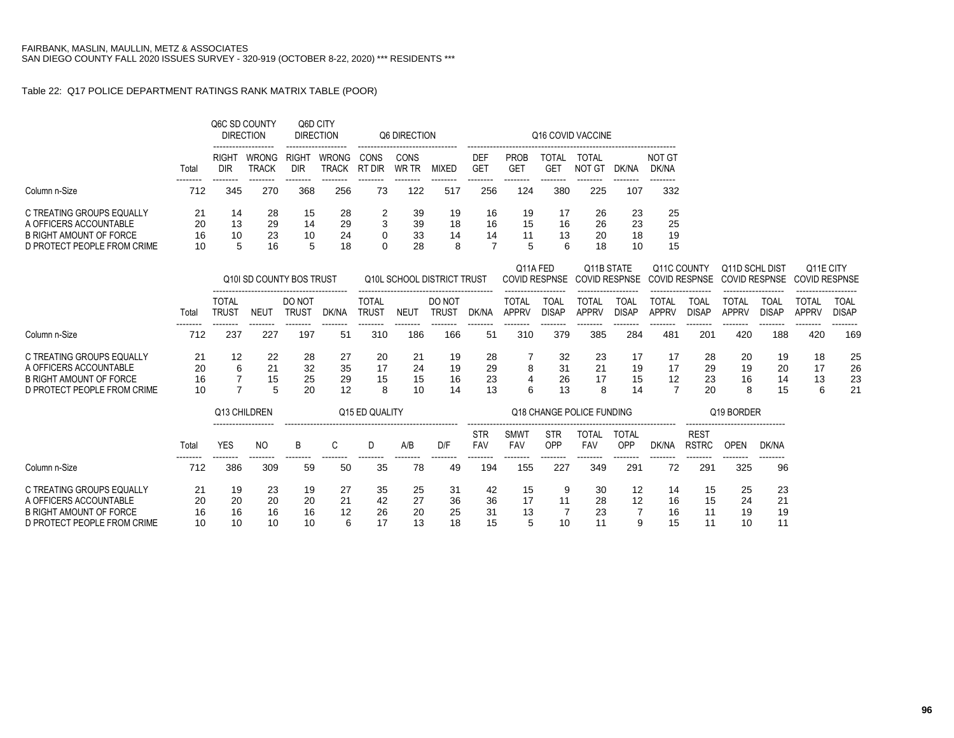### Table 22: Q17 POLICE DEPARTMENT RATINGS RANK MATRIX TABLE (POOR)

|                                                                                                                      |                      |                              | Q6C SD COUNTY<br><b>DIRECTION</b> | Q6D CITY                   | <b>DIRECTION</b>      |                              | Q6 DIRECTION         |                                   |                                  |                              |                             | Q16 COVID VACCINE                  |                             |                                  |                             |                                        |                             |                              |                             |
|----------------------------------------------------------------------------------------------------------------------|----------------------|------------------------------|-----------------------------------|----------------------------|-----------------------|------------------------------|----------------------|-----------------------------------|----------------------------------|------------------------------|-----------------------------|------------------------------------|-----------------------------|----------------------------------|-----------------------------|----------------------------------------|-----------------------------|------------------------------|-----------------------------|
|                                                                                                                      | Total                | <b>RIGHT</b><br><b>DIR</b>   | <b>WRONG</b><br><b>TRACK</b>      | <b>RIGHT</b><br><b>DIR</b> | WRONG<br><b>TRACK</b> | CONS<br><b>RT DIR</b>        | CONS<br>WR TR        | MIXED                             | <b>DEF</b><br><b>GET</b>         | <b>PROB</b><br><b>GET</b>    | <b>TOTAL</b><br><b>GET</b>  | TOTAL<br><b>NOT GT</b>             | DK/NA                       | <b>NOT GT</b><br>DK/NA           |                             |                                        |                             |                              |                             |
| Column n-Size                                                                                                        | 712                  | 345                          | 270                               | 368                        | 256                   | 73                           | 122                  | 517                               | 256                              | 124                          | 380                         | 225                                | --------<br>107             | --------<br>332                  |                             |                                        |                             |                              |                             |
| C TREATING GROUPS EQUALLY<br>A OFFICERS ACCOUNTABLE<br><b>B RIGHT AMOUNT OF FORCE</b><br>D PROTECT PEOPLE FROM CRIME | 21<br>20<br>16<br>10 | 14<br>13<br>10<br>5          | 28<br>29<br>23<br>16              | 15<br>14<br>10<br>5        | 28<br>29<br>24<br>18  | 2<br>3<br>0<br>0             | 39<br>39<br>33<br>28 | 19<br>18<br>14<br>8               | 16<br>16<br>14<br>$\overline{7}$ | 19<br>15<br>11<br>5          | 17<br>16<br>13<br>6         | 26<br>26<br>20<br>18               | 23<br>23<br>18<br>10        | 25<br>25<br>19<br>15             |                             |                                        |                             |                              |                             |
|                                                                                                                      |                      |                              | Q10I SD COUNTY BOS TRUST          |                            |                       |                              |                      | <b>Q10L SCHOOL DISTRICT TRUST</b> |                                  | Q11A FED                     | <b>COVID RESPNSE</b>        | Q11B STATE<br><b>COVID RESPNSE</b> |                             | Q11C COUNTY                      | <b>COVID RESPNSE</b>        | Q11D SCHL DIST<br><b>COVID RESPNSE</b> |                             | <b>COVID RESPNSE</b>         | Q11E CITY                   |
|                                                                                                                      | Total                | <b>TOTAL</b><br><b>TRUST</b> | <b>NEUT</b>                       | DO NOT<br><b>TRUST</b>     | DK/NA                 | <b>TOTAL</b><br><b>TRUST</b> | <b>NEUT</b>          | DO NOT<br><b>TRUST</b>            | DK/NA                            | <b>TOTAL</b><br><b>APPRV</b> | <b>TOAL</b><br><b>DISAP</b> | <b>TOTAL</b><br><b>APPRV</b>       | <b>TOAL</b><br><b>DISAP</b> | <b>TOTAL</b><br><b>APPRV</b>     | <b>TOAL</b><br><b>DISAP</b> | <b>TOTAL</b><br><b>APPRV</b>           | <b>TOAL</b><br><b>DISAP</b> | <b>TOTAL</b><br><b>APPRV</b> | <b>TOAL</b><br><b>DISAP</b> |
| Column n-Size                                                                                                        | --------<br>712      | --------<br>237              | --------<br>227                   | --------<br>197            | --------<br>51        | .<br>310                     | --------<br>186      | .<br>166                          | --------<br>51                   | .<br>310                     | --------<br>379             | .<br>385                           | --------<br>284             | .<br>481                         | --------<br>201             | .<br>420                               | --------<br>188             | --------<br>420              | --------<br>169             |
| C TREATING GROUPS EQUALLY<br>A OFFICERS ACCOUNTABLE<br><b>B RIGHT AMOUNT OF FORCE</b><br>D PROTECT PEOPLE FROM CRIME | 21<br>20<br>16<br>10 | 12<br>6<br>$\overline{7}$    | 22<br>21<br>15<br>5               | 28<br>32<br>25<br>20       | 27<br>35<br>29<br>12  | 20<br>17<br>15<br>8          | 21<br>24<br>15<br>10 | 19<br>19<br>16<br>14              | 28<br>29<br>23<br>13             | 8<br>4<br>6                  | 32<br>31<br>26<br>13        | 23<br>21<br>17<br>8                | 17<br>19<br>15<br>14        | 17<br>17<br>12<br>$\overline{7}$ | 28<br>29<br>23<br>20        | 20<br>19<br>16<br>8                    | 19<br>20<br>14<br>15        | 18<br>17<br>13<br>6          | 25<br>26<br>23<br>21        |
|                                                                                                                      |                      |                              | Q13 CHILDREN                      |                            |                       | Q15 ED QUALITY               |                      |                                   |                                  |                              |                             | Q18 CHANGE POLICE FUNDING          |                             |                                  |                             | Q19 BORDER                             |                             |                              |                             |
|                                                                                                                      | Total                | <b>YES</b>                   | <b>NO</b>                         | B                          | C                     | D                            | A/B                  | D/F                               | <b>STR</b><br><b>FAV</b>         | <b>SMWT</b><br>FAV           | <b>STR</b><br>OPP           | <b>TOTAL</b><br><b>FAV</b>         | <b>TOTAL</b><br>OPP         | DK/NA                            | <b>REST</b><br><b>RSTRC</b> | <b>OPEN</b>                            | DK/NA                       |                              |                             |
| Column n-Size                                                                                                        | 712                  | 386                          | 309                               | 59                         | 50                    | 35                           | 78                   | 49                                | .<br>194                         | --------<br>155              | 227                         | --------<br>349                    | --------<br>291             | 72                               | --------<br>291             | .<br>325                               | --------<br>96              |                              |                             |
| C TREATING GROUPS EQUALLY<br>A OFFICERS ACCOUNTABLE<br><b>B RIGHT AMOUNT OF FORCE</b><br>D PROTECT PEOPLE FROM CRIME | 21<br>20<br>16<br>10 | 19<br>20<br>16<br>10         | 23<br>20<br>16<br>10              | 19<br>20<br>16<br>10       | 27<br>21<br>12<br>6   | 35<br>42<br>26<br>17         | 25<br>27<br>20<br>13 | 31<br>36<br>25<br>18              | 42<br>36<br>31<br>15             | 15<br>17<br>13<br>5          | 9<br>11<br>7<br>10          | 30<br>28<br>23<br>11               | 12<br>12<br>7<br>9          | 14<br>16<br>16<br>15             | 15<br>15<br>11<br>11        | 25<br>24<br>19<br>10                   | 23<br>21<br>19<br>11        |                              |                             |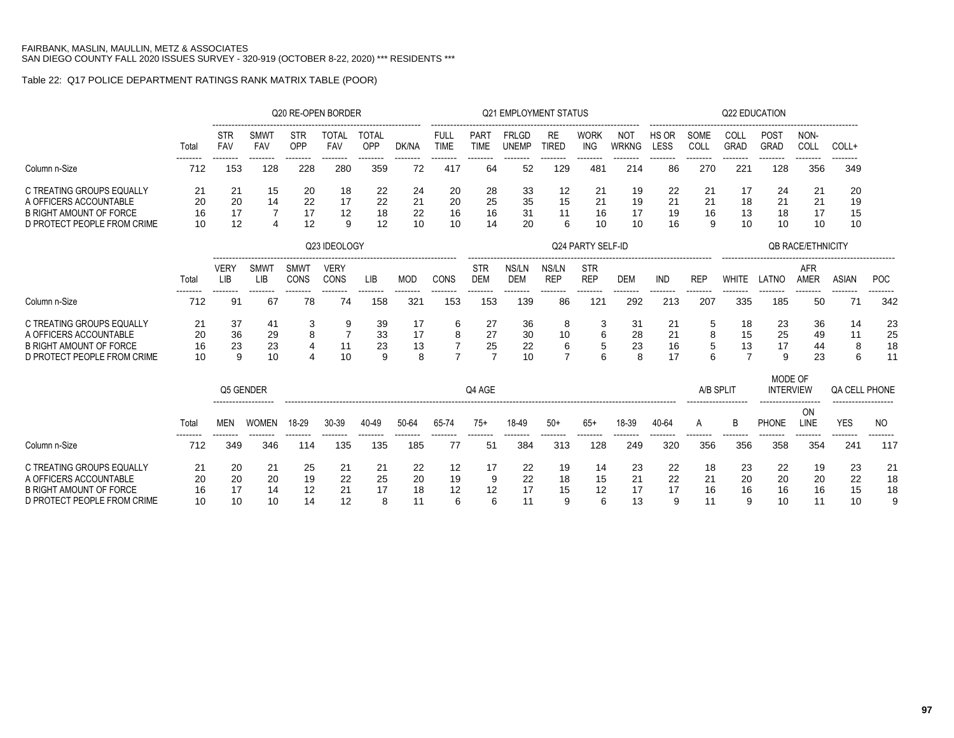# Table 22: Q17 POLICE DEPARTMENT RATINGS RANK MATRIX TABLE (POOR)

|                                                                                                                      |                      |                           |                      |                                            | Q20 RE-OPEN BORDER   |                     |                      |                                            |                                  | <b>Q21 EMPLOYMENT STATUS</b> |                                |                           |                            |                      |                      | Q22 EDUCATION                    |                             |                           |                      |                      |
|----------------------------------------------------------------------------------------------------------------------|----------------------|---------------------------|----------------------|--------------------------------------------|----------------------|---------------------|----------------------|--------------------------------------------|----------------------------------|------------------------------|--------------------------------|---------------------------|----------------------------|----------------------|----------------------|----------------------------------|-----------------------------|---------------------------|----------------------|----------------------|
|                                                                                                                      | Total                | <b>STR</b><br>FAV         | <b>SMWT</b><br>FAV   | <b>STR</b><br>OPP                          | TOTAL<br>FAV         | <b>TOTAL</b><br>OPP | DK/NA                | <b>FULL</b><br><b>TIME</b>                 | PART<br><b>TIME</b>              | <b>FRLGD</b><br><b>UNEMP</b> | RE<br><b>TIRED</b>             | <b>WORK</b><br><b>ING</b> | <b>NOT</b><br><b>WRKNG</b> | HS OR<br>LESS        | SOME<br>COLL         | COLL<br><b>GRAD</b>              | <b>POST</b><br>GRAD         | NON-<br>COLL              | COLL+                |                      |
| Column n-Size                                                                                                        | 712                  | 153                       | 128                  | 228                                        | 280                  | 359                 | 72                   | 417                                        | 64                               | 52                           | 129                            | 481                       | 214                        | 86                   | 270                  | 221                              | 128                         | 356                       | 349                  |                      |
| C TREATING GROUPS EQUALLY<br>A OFFICERS ACCOUNTABLE                                                                  | 21<br>20             | 21<br>20                  | 15<br>14             | 20<br>22                                   | 18<br>17             | 22<br>22            | 24<br>21             | 20<br>20                                   | 28<br>25                         | 33<br>35                     | 12<br>15                       | 21<br>21                  | 19<br>19                   | 22<br>21             | 21<br>21             | 17<br>18                         | 24<br>21                    | 21<br>21                  | 20<br>19             |                      |
| <b>B RIGHT AMOUNT OF FORCE</b><br>D PROTECT PEOPLE FROM CRIME                                                        | 16<br>10             | 17<br>12                  | $\overline{7}$<br>4  | 17<br>12                                   | 12<br>9              | 18<br>12            | 22<br>10             | 16<br>10                                   | 16<br>14                         | 31<br>20                     | 11<br>6                        | 16<br>10                  | 17<br>10                   | 19<br>16             | 16<br>9              | 13<br>10                         | 18<br>10                    | 17<br>10                  | 15<br>10             |                      |
|                                                                                                                      |                      |                           |                      |                                            | Q23 IDEOLOGY         |                     |                      |                                            |                                  |                              |                                | Q24 PARTY SELF-ID         |                            |                      |                      |                                  |                             | <b>QB RACE/ETHNICITY</b>  |                      |                      |
|                                                                                                                      | Total                | <b>VERY</b><br><b>LIB</b> | <b>SMWT</b><br>LIB   | SMWT<br><b>CONS</b>                        | <b>VERY</b><br>CONS  | LIB                 | <b>MOD</b>           | CONS                                       | <b>STR</b><br><b>DEM</b>         | NS/LN<br><b>DEM</b>          | NS/LN<br><b>REP</b>            | <b>STR</b><br><b>REP</b>  | <b>DEM</b>                 | <b>IND</b>           | <b>REP</b>           | <b>WHITE</b>                     | LATNO                       | <b>AFR</b><br><b>AMER</b> | <b>ASIAN</b>         | <b>POC</b>           |
| Column n-Size                                                                                                        | 712                  | 91                        | 67                   | 78                                         | 74                   | 158                 | 321                  | -------<br>153                             | 153                              | 139                          | 86                             | .<br>12 <sup>1</sup>      | 292                        | 213                  | 207                  | 335                              | 185                         | 50                        | 71                   | 342                  |
| C TREATING GROUPS EQUALLY<br>A OFFICERS ACCOUNTABLE<br><b>B RIGHT AMOUNT OF FORCE</b><br>D PROTECT PEOPLE FROM CRIME | 21<br>20<br>16<br>10 | 37<br>36<br>23<br>9       | 41<br>29<br>23<br>10 | 3<br>8<br>$\overline{4}$<br>$\overline{4}$ | 11<br>10             | 39<br>33<br>23<br>9 | -17<br>17<br>13<br>8 | 6<br>8<br>$\overline{7}$<br>$\overline{7}$ | 27<br>27<br>25<br>$\overline{7}$ | 36<br>30<br>22<br>10         | 8<br>10<br>6<br>$\overline{7}$ | 3<br>6<br>5<br>6          | 31<br>28<br>23<br>8        | 21<br>21<br>16<br>17 | 5<br>8<br>5<br>6     | 18<br>15<br>13<br>$\overline{7}$ | 23<br>25<br>17<br>9         | 36<br>49<br>44<br>23      | 14<br>11<br>8<br>6   | 23<br>25<br>18<br>11 |
|                                                                                                                      |                      | Q5 GENDER                 |                      |                                            |                      |                     |                      |                                            | Q4 AGE                           |                              |                                |                           |                            |                      | A/B SPLIT            |                                  | MODE OF<br><b>INTERVIEW</b> |                           | QA CELL PHONE        |                      |
|                                                                                                                      | Total                | <b>MEN</b>                | <b>WOMEN</b>         | 18-29                                      | 30-39                | 40-49               | 50-64                | 65-74                                      | $75+$                            | 18-49                        | $50+$                          | $65+$                     | 18-39                      | 40-64                | A                    | B                                | <b>PHONE</b>                | ON<br>LINE                | <b>YES</b>           | NO.                  |
| Column n-Size                                                                                                        | 712                  | 349                       | 346                  | 114                                        | 135                  | 135                 | 185                  | 77                                         | 51                               | 384                          | 313                            | 128                       | 249                        | 320                  | 356                  | 356                              | 358                         | 354                       | ------<br>241        | 117                  |
| C TREATING GROUPS EQUALLY<br>A OFFICERS ACCOUNTABLE<br><b>B RIGHT AMOUNT OF FORCE</b><br>D PROTECT PEOPLE FROM CRIME | 21<br>20<br>16<br>10 | 20<br>20<br>17<br>10      | 21<br>20<br>14<br>10 | 25<br>19<br>12<br>14                       | 21<br>22<br>21<br>12 | 21<br>25<br>17<br>8 | 22<br>20<br>18<br>11 | 12<br>19<br>12<br>6                        | 17<br>9<br>12<br>6               | 22<br>22<br>17<br>11         | 19<br>18<br>15<br>9            | 14<br>15<br>12<br>6       | 23<br>21<br>17<br>13       | 22<br>22<br>17<br>9  | 18<br>21<br>16<br>11 | 23<br>20<br>16<br>9              | 22<br>20<br>16<br>10        | 19<br>20<br>16<br>11      | 23<br>22<br>15<br>10 | 21<br>18<br>18       |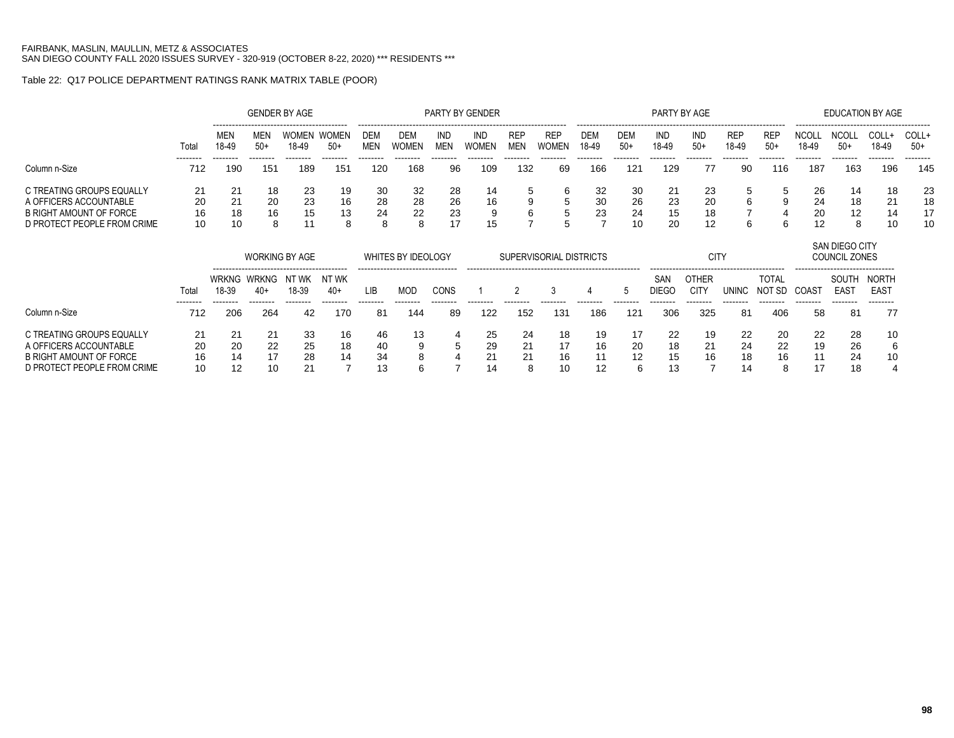# Table 22: Q17 POLICE DEPARTMENT RATINGS RANK MATRIX TABLE (POOR)

|                                                                                                               |                      |                      |                     | <b>GENDER BY AGE</b> |                       |                          |                     |                      | PARTY BY GENDER            |                          |                            |                     |                      | PARTY BY AGE         |                       |                     |                     |                      | EDUCATION BY AGE    |                |                      |
|---------------------------------------------------------------------------------------------------------------|----------------------|----------------------|---------------------|----------------------|-----------------------|--------------------------|---------------------|----------------------|----------------------------|--------------------------|----------------------------|---------------------|----------------------|----------------------|-----------------------|---------------------|---------------------|----------------------|---------------------|----------------|----------------------|
|                                                                                                               | Total                | <b>MEN</b><br>18-49  | MEN<br>$50+$        | WOMEN<br>18-49       | <b>WOMEN</b><br>$50+$ | <b>DEM</b><br><b>MEN</b> | DEM<br><b>WOMEN</b> | IND<br><b>MEN</b>    | IND<br><b>WOMEN</b>        | <b>REP</b><br><b>MEN</b> | <b>REP</b><br><b>WOMEN</b> | <b>DEM</b><br>18-49 | <b>DEM</b><br>$50+$  | IND<br>18-49         | ind<br>$50+$          | <b>REP</b><br>18-49 | <b>REP</b><br>$50+$ | <b>NCOL</b><br>18-49 | $50+$               | COLL+<br>18-49 | COLL+<br>$50+$       |
| Column n-Size                                                                                                 | 712                  | 190                  | 151                 | 189                  | 151                   | 120                      | 168                 | 96                   | 109                        | 132                      | 69                         | 166                 | 121                  | 129                  | 77                    | 90                  | 116                 | 187                  | 163                 | 196            | 145                  |
| C TREATING GROUPS EQUALLY<br>A OFFICERS ACCOUNTABLE<br>B RIGHT AMOUNT OF FORCE<br>D PROTECT PEOPLE FROM CRIME | 21<br>20<br>16<br>10 | 21<br>21<br>18<br>10 | 18<br>20<br>16<br>8 | 23<br>23<br>15       | 19<br>16<br>13<br>8   | -30<br>28<br>24          | 32<br>28<br>22      | 28<br>26<br>23<br>17 | 14<br>16<br>$\Omega$<br>15 |                          |                            | 32<br>30<br>23      | 30<br>26<br>24<br>10 | 21<br>23<br>15<br>20 | 23<br>20<br>18<br>-12 | ≎<br>6<br>6         | ັບ<br>9             | 26<br>24<br>20<br>12 | 14<br>18<br>12<br>8 | 18<br>21<br>10 | 23<br>18<br>17<br>10 |

|                                                                                                               |                      |                      | <b>WORKING BY AGE</b>            |                      |                |                | WHITES BY IDEOLOGY                                 |                  |                      | SUPERVISORIAL DISTRICTS |                      |                |               |                      | CIT <sup></sup>      |                      |                        |                      | SAN DIEGO CITY<br>COUNCIL ZONES                              |                                              |
|---------------------------------------------------------------------------------------------------------------|----------------------|----------------------|----------------------------------|----------------------|----------------|----------------|----------------------------------------------------|------------------|----------------------|-------------------------|----------------------|----------------|---------------|----------------------|----------------------|----------------------|------------------------|----------------------|--------------------------------------------------------------|----------------------------------------------|
|                                                                                                               | Total<br>--------    | 18-39                | WRKNG WRKNG<br>$40+$<br>-------- | NT WK<br>18-39       | NT WK<br>$40+$ | LIB            | --------------------------------<br>MOD<br>------- | CONS<br>-------- | --------             |                         |                      |                | h             | SAN<br><b>DIEGO</b>  | OTHER<br><b>CITY</b> | UNINC                | <b>TOTAL</b><br>NOT SD | COAS.<br>--------    | -------------------------------<br>SOUTH<br>EAST<br>-------- | <b>NORTH</b><br>EAS <sup>-</sup><br>-------- |
| Column n-Size                                                                                                 | 712                  | 206                  | 264                              | 42                   | 170            | 81             | 144                                                | 89               | 122                  | 152                     | 131                  | 186            | 121           | 306                  | 325                  | 81                   | 406                    | 58                   | 81                                                           | 77                                           |
| C TREATING GROUPS EQUALLY<br>A OFFICERS ACCOUNTABLE<br>B RIGHT AMOUNT OF FORCE<br>D PROTECT PEOPLE FROM CRIME | 21<br>20<br>16<br>10 | 21<br>20<br>14<br>12 | 21<br>22<br>17<br>10             | 33<br>25<br>28<br>21 | 16<br>18<br>14 | 46<br>40<br>34 | 13                                                 | 4<br>5           | 25<br>29<br>21<br>14 | -24<br>21<br>21<br>ິ    | 18<br>17<br>16<br>10 | 19<br>16<br>12 | 20<br>12<br>6 | 22<br>18<br>15<br>13 | 19<br>21<br>16       | 22<br>24<br>18<br>14 | -20<br>22<br>16<br>8   | 22<br>19<br>11<br>17 | 28<br>26<br>24<br>18                                         | 10<br>6<br>10                                |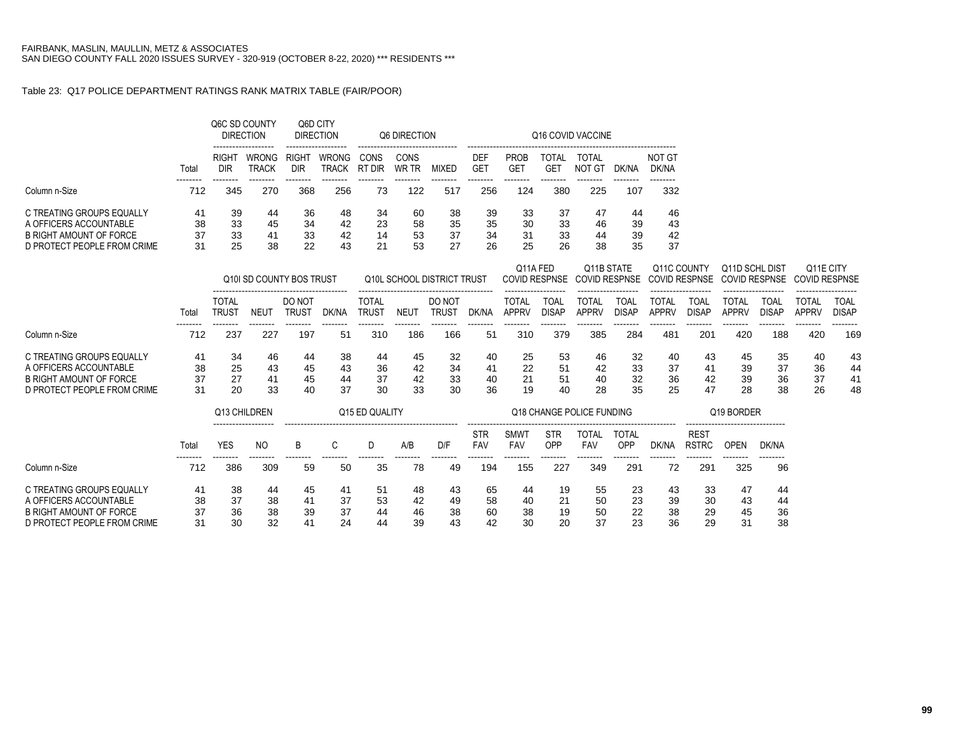#### Table 23: Q17 POLICE DEPARTMENT RATINGS RANK MATRIX TABLE (FAIR/POOR)

|       |                                                 |                                                      |                                                                                | <b>DIRECTION</b>                                  |                                                                                     | Q6 DIRECTION                                |                                                                 | -------------------                           |                                                                                    |                                                                        | Q16 COVID VACCINE                                                           | ------------------------                                   |                                                                                                      |                                                                                     |                                                           |                                                             |                                                                           |                                                     |
|-------|-------------------------------------------------|------------------------------------------------------|--------------------------------------------------------------------------------|---------------------------------------------------|-------------------------------------------------------------------------------------|---------------------------------------------|-----------------------------------------------------------------|-----------------------------------------------|------------------------------------------------------------------------------------|------------------------------------------------------------------------|-----------------------------------------------------------------------------|------------------------------------------------------------|------------------------------------------------------------------------------------------------------|-------------------------------------------------------------------------------------|-----------------------------------------------------------|-------------------------------------------------------------|---------------------------------------------------------------------------|-----------------------------------------------------|
| Total | <b>RIGHT</b><br><b>DIR</b>                      | <b>WRONG</b><br><b>TRACK</b>                         | RIGHT<br><b>DIR</b>                                                            | <b>WRONG</b><br><b>TRACK</b>                      | CONS<br>RT DIR                                                                      | CONS<br>WR TR                               | <b>MIXED</b>                                                    | <b>DEF</b><br><b>GET</b>                      | <b>PROB</b><br><b>GET</b>                                                          | <b>TOTAL</b><br><b>GET</b>                                             | TOTAL<br>NOT GT                                                             | DK/NA                                                      | <b>NOT GT</b><br>DK/NA                                                                               |                                                                                     |                                                           |                                                             |                                                                           |                                                     |
| 712   | 345                                             | 270                                                  | 368                                                                            | 256                                               | 73                                                                                  | 122                                         | 517                                                             | 256                                           | 124                                                                                | 380                                                                    | 225                                                                         | 107                                                        | 332                                                                                                  |                                                                                     |                                                           |                                                             |                                                                           |                                                     |
| 41    | 39                                              | 44                                                   | 36                                                                             | 48                                                | 34                                                                                  | 60                                          | 38                                                              | 39                                            | 33                                                                                 | 37                                                                     | 47                                                                          | 44                                                         | 46                                                                                                   |                                                                                     |                                                           |                                                             |                                                                           |                                                     |
|       |                                                 |                                                      |                                                                                |                                                   |                                                                                     |                                             |                                                                 |                                               |                                                                                    |                                                                        |                                                                             |                                                            |                                                                                                      |                                                                                     |                                                           |                                                             |                                                                           |                                                     |
|       |                                                 |                                                      |                                                                                |                                                   |                                                                                     |                                             |                                                                 |                                               |                                                                                    |                                                                        |                                                                             |                                                            |                                                                                                      |                                                                                     |                                                           |                                                             |                                                                           |                                                     |
|       |                                                 |                                                      |                                                                                |                                                   |                                                                                     |                                             |                                                                 |                                               |                                                                                    |                                                                        |                                                                             |                                                            |                                                                                                      |                                                                                     |                                                           |                                                             |                                                                           |                                                     |
|       |                                                 |                                                      |                                                                                |                                                   |                                                                                     |                                             |                                                                 |                                               |                                                                                    |                                                                        |                                                                             |                                                            |                                                                                                      |                                                                                     |                                                           |                                                             | Q11E CITY<br><b>COVID RESPNSE</b>                                         |                                                     |
| Total | <b>TOTAL</b><br><b>TRUST</b>                    | <b>NEUT</b>                                          | DO NOT<br><b>TRUST</b>                                                         | DK/NA                                             | <b>TOTAL</b><br><b>TRUST</b>                                                        | <b>NEUT</b>                                 | DO NOT<br><b>TRUST</b>                                          | DK/NA                                         | <b>TOTAL</b><br><b>APPRV</b>                                                       | <b>TOAL</b><br><b>DISAP</b>                                            | <b>TOTAL</b><br><b>APPRV</b>                                                | <b>TOAL</b><br><b>DISAP</b>                                | <b>TOTAL</b><br><b>APPRV</b>                                                                         | <b>TOAL</b><br><b>DISAP</b>                                                         | <b>TOTAL</b><br><b>APPRV</b>                              | <b>TOAL</b><br><b>DISAP</b>                                 | <b>TOTAL</b><br><b>APPRV</b>                                              | <b>TOAL</b><br><b>DISAP</b>                         |
| 712   | 237                                             | 227                                                  | 197                                                                            | 51                                                | 310                                                                                 | 186                                         | 166                                                             | 51                                            | 310                                                                                | 379                                                                    | 385                                                                         | 284                                                        | 481                                                                                                  | 201                                                                                 | 420                                                       |                                                             | 420                                                                       | --------<br>169                                     |
| 41    | 34                                              | 46                                                   | 44                                                                             | 38                                                | 44                                                                                  | 45                                          | 32                                                              | 40                                            | 25                                                                                 | 53                                                                     | 46                                                                          | 32                                                         | 40                                                                                                   | 43                                                                                  | 45                                                        |                                                             | 40                                                                        | 43                                                  |
|       |                                                 |                                                      |                                                                                |                                                   |                                                                                     |                                             |                                                                 | 41                                            |                                                                                    |                                                                        |                                                                             |                                                            |                                                                                                      | 41                                                                                  |                                                           |                                                             |                                                                           | 44                                                  |
|       |                                                 |                                                      |                                                                                |                                                   |                                                                                     |                                             |                                                                 |                                               |                                                                                    |                                                                        |                                                                             |                                                            |                                                                                                      |                                                                                     |                                                           |                                                             |                                                                           | 41                                                  |
|       |                                                 |                                                      |                                                                                |                                                   |                                                                                     |                                             |                                                                 |                                               |                                                                                    |                                                                        |                                                                             |                                                            |                                                                                                      |                                                                                     |                                                           |                                                             |                                                                           | 48                                                  |
|       |                                                 |                                                      |                                                                                |                                                   |                                                                                     |                                             |                                                                 |                                               |                                                                                    |                                                                        |                                                                             |                                                            |                                                                                                      |                                                                                     |                                                           |                                                             |                                                                           |                                                     |
|       |                                                 |                                                      |                                                                                |                                                   |                                                                                     |                                             |                                                                 | <b>STR</b>                                    | <b>SMWT</b>                                                                        | <b>STR</b>                                                             | <b>TOTAL</b>                                                                | TOTAL                                                      |                                                                                                      | <b>REST</b>                                                                         |                                                           |                                                             |                                                                           |                                                     |
|       |                                                 |                                                      |                                                                                |                                                   |                                                                                     |                                             |                                                                 |                                               |                                                                                    |                                                                        |                                                                             |                                                            |                                                                                                      |                                                                                     |                                                           |                                                             |                                                                           |                                                     |
| 712   | 386                                             | 309                                                  | 59                                                                             | 50                                                | 35                                                                                  | 78                                          | 49                                                              | 194                                           | 155                                                                                | 227                                                                    | 349                                                                         | 291                                                        | 72                                                                                                   | 291                                                                                 | 325                                                       |                                                             |                                                                           |                                                     |
| 41    | 38                                              | 44                                                   | 45                                                                             | 41                                                | 51                                                                                  | 48                                          | 43                                                              | 65                                            | 44                                                                                 | 19                                                                     | 55                                                                          |                                                            | 43                                                                                                   |                                                                                     | 47                                                        |                                                             |                                                                           |                                                     |
|       | 38<br>37<br>31<br>38<br>37<br>31<br>Total<br>38 | 33<br>33<br>25<br>25<br>27<br>20<br><b>YES</b><br>37 | --------<br>45<br>41<br>38<br>43<br>41<br>33<br>Q13 CHILDREN<br>N <sub>O</sub> | --------<br>34<br>33<br>22<br>45<br>45<br>40<br>B | 42<br>42<br>43<br>Q10I SD COUNTY BOS TRUST<br>43<br>44<br>37<br>C<br>38<br>41<br>37 | 23<br>14<br>21<br>36<br>37<br>30<br>D<br>53 | 58<br>53<br>53<br>42<br>42<br>33<br>Q15 ED QUALITY<br>A/B<br>42 | 35<br>37<br>27<br>34<br>33<br>30<br>D/F<br>49 | --------<br>35<br>34<br>26<br>Q10L SCHOOL DISTRICT TRUST<br>40<br>36<br><b>FAV</b> | --------<br>30<br>31<br>25<br>22<br>21<br>19<br><b>FAV</b><br>58<br>40 | 33<br>26<br>Q11A FED<br><b>COVID RESPNSE</b><br>51<br>51<br>40<br>OPP<br>21 | 46<br>33<br>44<br>38<br>42<br>40<br>28<br><b>FAV</b><br>50 | --------<br>39<br>35<br>Q11B STATE<br><b>COVID RESPNSE</b><br>35<br>Q18 CHANGE POLICE FUNDING<br>OPP | --------<br>43<br>39<br>42<br>37<br>33<br>37<br>32<br>25<br>DK/NA<br>23<br>23<br>39 | Q11C COUNTY<br><b>COVID RESPNSE</b><br>36<br><b>RSTRC</b> | 39<br>42<br>39<br>47<br>28<br><b>OPEN</b><br>33<br>30<br>43 | Q11D SCHL DIST<br><b>COVID RESPNSE</b><br>37<br>Q19 BORDER<br>DK/NA<br>44 | 188<br>35<br>36<br>36<br>37<br>26<br>38<br>96<br>44 |

A OFFICERS ACCOUNTABLE 38 37 38 41 37 53 42 49 58 40 21 50 23 39 30 43 44 B RIGHT AMOUNT OF FORCE 37 36 38 39 37 44 46 38 60 38 19 50 22 38 29 45 36 D PROTECT PEOPLE FROM CRIME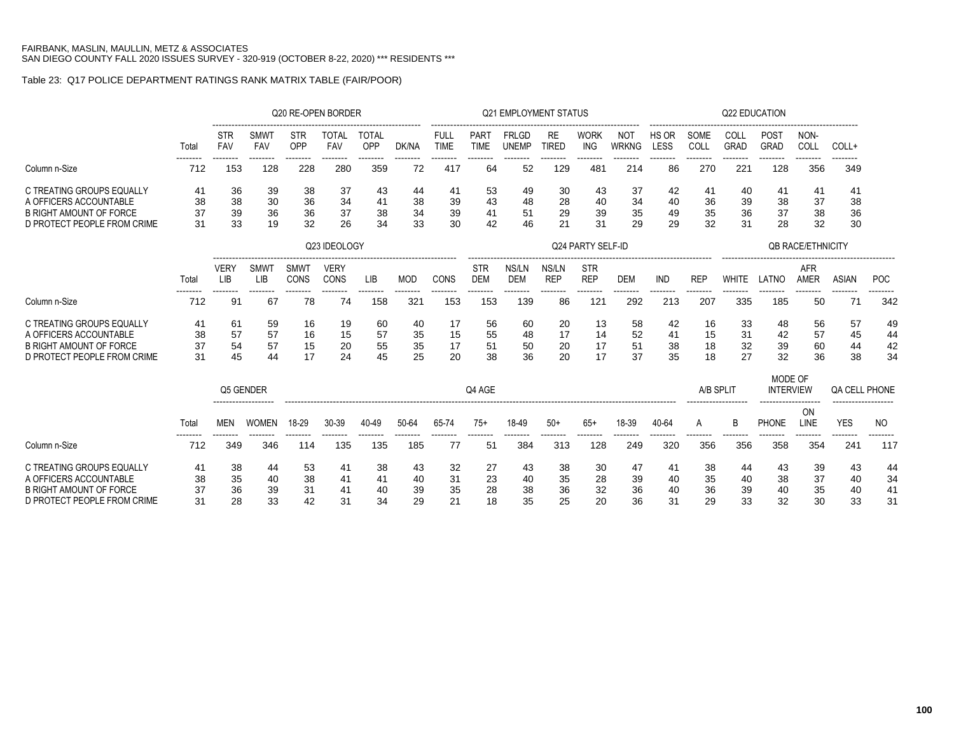# Table 23: Q17 POLICE DEPARTMENT RATINGS RANK MATRIX TABLE (FAIR/POOR)

|                                                                                                                      |                      |                      |                      |                      | Q20 RE-OPEN BORDER   |                      |                      |                       |                            | <b>Q21 EMPLOYMENT STATUS</b> |                      |                           |                      |                      |                      | Q22 EDUCATION        |                             |                          |                      |                      |
|----------------------------------------------------------------------------------------------------------------------|----------------------|----------------------|----------------------|----------------------|----------------------|----------------------|----------------------|-----------------------|----------------------------|------------------------------|----------------------|---------------------------|----------------------|----------------------|----------------------|----------------------|-----------------------------|--------------------------|----------------------|----------------------|
|                                                                                                                      | Total                | STR<br><b>FAV</b>    | SMWT<br><b>FAV</b>   | <b>STR</b><br>OPP    | <b>TOTAL</b><br>FAV  | <b>TOTAL</b><br>OPP  | DK/NA                | FULL<br><b>TIME</b>   | <b>PART</b><br><b>TIME</b> | FRLGD<br><b>UNEMP</b>        | RE<br><b>TIRED</b>   | <b>WORK</b><br><b>ING</b> | NOT<br><b>WRKNG</b>  | HS OR<br>LESS        | SOME<br>COLL         | COLL<br><b>GRAD</b>  | <b>POST</b><br><b>GRAD</b>  | NON-<br>COLL             | COLL+                |                      |
| Column n-Size                                                                                                        | 712                  | --------<br>153      | --------<br>128      | --------<br>228      | --------<br>280      | --------<br>359      | --------<br>72       | --------<br>417       | --------<br>64             | --------<br>52               | --------<br>129      | --------<br>481           | --------<br>214      | --------<br>86       | --------<br>270      | --------<br>221      | --------<br>128             | --------<br>356          | --------<br>349      |                      |
| C TREATING GROUPS EQUALLY<br>A OFFICERS ACCOUNTABLE<br><b>B RIGHT AMOUNT OF FORCE</b><br>D PROTECT PEOPLE FROM CRIME | 41<br>38<br>37<br>31 | 36<br>38<br>39<br>33 | 39<br>30<br>36<br>19 | 38<br>36<br>36<br>32 | 37<br>34<br>37<br>26 | 43<br>41<br>38<br>34 | 44<br>38<br>34<br>33 | 41<br>39<br>39<br>30  | 53<br>43<br>41<br>42       | 49<br>48<br>51<br>46         | 30<br>28<br>29<br>21 | 43<br>40<br>39<br>31      | 37<br>34<br>35<br>29 | 42<br>40<br>49<br>29 | 41<br>36<br>35<br>32 | 40<br>39<br>36<br>31 | 41<br>38<br>37<br>28        | 41<br>37<br>38<br>32     | 41<br>38<br>36<br>30 |                      |
|                                                                                                                      |                      |                      |                      |                      | Q23 IDEOLOGY         |                      |                      |                       |                            |                              |                      | Q24 PARTY SELF-ID         |                      |                      |                      |                      |                             | <b>OB RACE/ETHNICITY</b> |                      |                      |
|                                                                                                                      | Total                | <b>VERY</b><br>LIB   | <b>SMWT</b><br>LIB   | <b>SMWT</b><br>CONS  | <b>VERY</b><br>CONS  | LIB                  | <b>MOD</b>           | CONS                  | <b>STR</b><br><b>DEM</b>   | NS/LN<br><b>DEM</b>          | NS/LN<br><b>REP</b>  | <b>STR</b><br><b>REP</b>  | <b>DEM</b>           | <b>IND</b>           | <b>REP</b>           | <b>WHITE</b>         | LATNO                       | <b>AFR</b><br>AMER       | <b>ASIAN</b>         | POC                  |
| Column n-Size                                                                                                        | 712                  | 91                   | 67                   | 78                   | 74                   | 158                  | 321                  | 153                   | 153                        | 139                          | 86                   | 121                       | 292                  | 213                  | 207                  | 335                  | 185                         | 50                       | 71                   | 342                  |
| C TREATING GROUPS EQUALLY<br>A OFFICERS ACCOUNTABLE<br><b>B RIGHT AMOUNT OF FORCE</b><br>D PROTECT PEOPLE FROM CRIME | 41<br>38<br>37<br>31 | 61<br>57<br>54<br>45 | 59<br>57<br>57<br>44 | 16<br>16<br>15<br>17 | 19<br>15<br>20<br>24 | 60<br>57<br>55<br>45 | 40<br>35<br>35<br>25 | 17<br>15<br>17<br>20  | 56<br>55<br>51<br>38       | 60<br>48<br>50<br>36         | 20<br>17<br>20<br>20 | 13<br>14<br>17<br>17      | 58<br>52<br>51<br>37 | 42<br>41<br>38<br>35 | 16<br>15<br>18<br>18 | 33<br>31<br>32<br>27 | 48<br>42<br>39<br>32        | 56<br>57<br>60<br>36     | 57<br>45<br>44<br>38 | 49<br>44<br>42<br>34 |
|                                                                                                                      |                      | Q5 GENDER            |                      |                      |                      |                      |                      |                       | Q4 AGE                     |                              |                      |                           |                      |                      | A/B SPLIT            |                      | MODE OF<br><b>INTERVIEW</b> |                          | <b>QA CELL PHONE</b> |                      |
|                                                                                                                      | Total                | <b>MEN</b>           | <b>WOMEN</b>         | 18-29                | 30-39                | 40-49                | 50-64                | 65-74                 | $75+$                      | 18-49                        | $50+$                | $65+$                     | 18-39                | 40-64                | A                    | B                    | <b>PHONE</b>                | ON<br>LINE               | <b>YES</b>           | NO.                  |
| Column n-Size                                                                                                        | 712                  | 349                  | 346                  | 114                  | 135                  | 135                  | 185                  | -77                   | 51                         | 384                          | 313                  | 128                       | 249                  | 320                  | 356                  | 356                  | 358                         | 354                      | 241                  | 117                  |
| C TREATING GROUPS EQUALLY<br>A OFFICERS ACCOUNTABLE<br><b>B RIGHT AMOUNT OF FORCE</b><br>D PROTECT PEOPLE FROM CRIME | 41<br>38<br>37<br>31 | 38<br>35<br>36<br>28 | 44<br>40<br>39<br>33 | 53<br>38<br>31<br>42 | 41<br>41<br>41<br>31 | 38<br>41<br>40<br>34 | 43<br>40<br>39<br>29 | 32<br>-31<br>35<br>21 | 27<br>23<br>28<br>18       | 43<br>40<br>38<br>35         | 38<br>35<br>36<br>25 | 30<br>28<br>32<br>20      | 47<br>39<br>36<br>36 | 41<br>40<br>40<br>31 | 38<br>35<br>36<br>29 | 44<br>40<br>39<br>33 | 43<br>38<br>40<br>32        | 39<br>37<br>35<br>30     | 43<br>40<br>40<br>33 | 44<br>34<br>41<br>31 |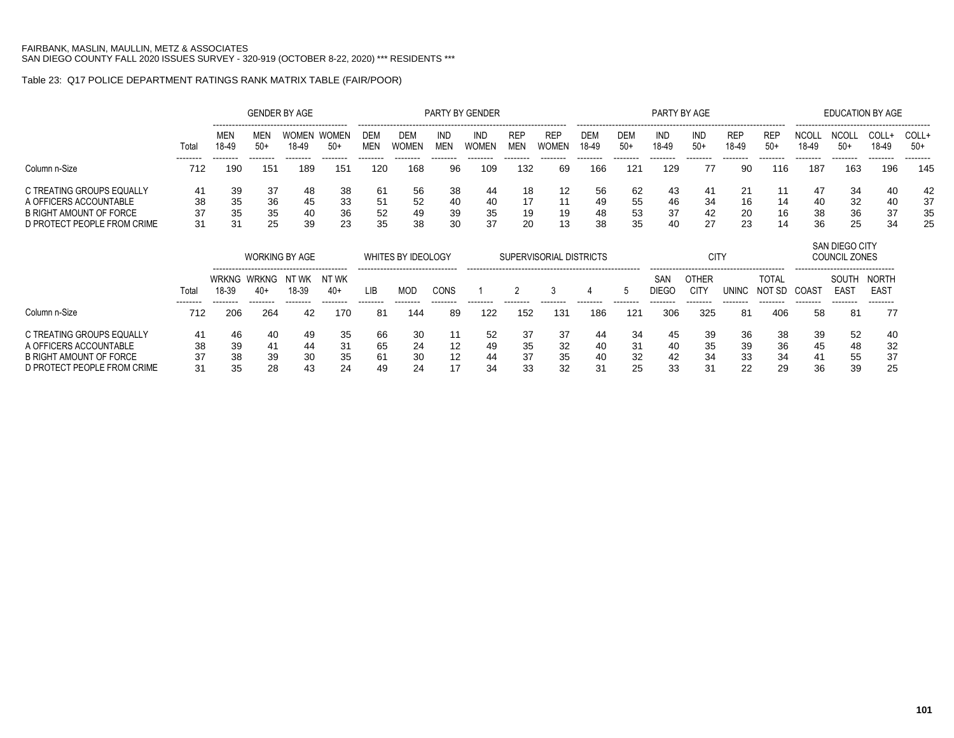# Table 23: Q17 POLICE DEPARTMENT RATINGS RANK MATRIX TABLE (FAIR/POOR)

|                                                                                                               |                      |                      |                        | <b>GENDER BY AGE</b>  |                      |                          |                       |                      | PARTY BY GENDER      |                          |                      |                      |                      | PARTY BY AGE         |                      |                     |                      |                      | EDUCATION BY AGE     |                      |                      |
|---------------------------------------------------------------------------------------------------------------|----------------------|----------------------|------------------------|-----------------------|----------------------|--------------------------|-----------------------|----------------------|----------------------|--------------------------|----------------------|----------------------|----------------------|----------------------|----------------------|---------------------|----------------------|----------------------|----------------------|----------------------|----------------------|
|                                                                                                               | Tota                 | <b>MEN</b><br>18-49  | <b>MEN</b><br>$50+$    | <b>WOMEN</b><br>18-49 | WOMEN<br>$50+$       | <b>DEM</b><br><b>MEN</b> | DEM<br><b>WOMEN</b>   | IND<br>MEN           | IND<br><b>WOMEN</b>  | <b>REP</b><br><b>MEN</b> | <b>REP</b>           | <b>DEM</b><br>18-49  | DEM<br>$50+$         | IND<br>18-49         | IND<br>$50+$         | <b>REP</b><br>18-49 | REP<br>$50+$         | <b>NCOL</b><br>18-49 | $50+$                | <b>COLL</b><br>18-49 | COLL+<br>$50+$       |
| Column n-Size                                                                                                 | --------<br>712      | -------<br>190       | 151                    | --------<br>189       | 151                  | 120                      | 168                   | 96                   | 109                  | 132                      | 69                   | 166                  | 121                  | 129                  | 77                   | 90                  | 116                  | 187                  | 163                  | 196                  | 145                  |
| C TREATING GROUPS EQUALLY<br>A OFFICERS ACCOUNTABLE<br>B RIGHT AMOUNT OF FORCE<br>D PROTECT PEOPLE FROM CRIME | 41<br>38<br>37<br>31 | 39<br>35<br>35<br>31 | -37<br>36<br>-35<br>25 | 48<br>45<br>40<br>39  | 38<br>33<br>36<br>23 | -61<br>51<br>52<br>35    | -56<br>52<br>49<br>38 | 38<br>40<br>39<br>30 | 44<br>40<br>35<br>37 | 18<br>17<br>19<br>-20    | 12<br>11<br>19<br>13 | 56<br>49<br>48<br>38 | 62<br>55<br>53<br>35 | 43<br>46<br>37<br>40 | 41<br>34<br>42<br>27 | 16<br>20<br>23      | 11<br>14<br>16<br>14 | 47<br>40<br>38<br>36 | 34<br>32<br>36<br>25 | 40<br>40<br>37<br>34 | 42<br>37<br>35<br>25 |

|                                                                                                               |                      |                      | <b>WORKING BY AGE</b>            |                      |                           |                      | WHITES BY IDEOLOGY                             |                      |                      | SUPERVISORIAL DISTRICTS |                      |                      |                      |                      | CIT)                 |                       |                      |                      | SAN DIEGO CITY<br>COUNCIL ZONES                                          |                                       |
|---------------------------------------------------------------------------------------------------------------|----------------------|----------------------|----------------------------------|----------------------|---------------------------|----------------------|------------------------------------------------|----------------------|----------------------|-------------------------|----------------------|----------------------|----------------------|----------------------|----------------------|-----------------------|----------------------|----------------------|--------------------------------------------------------------------------|---------------------------------------|
|                                                                                                               | Total<br>--------    | 18-39                | WRKNG WRKNG<br>$40+$<br>-------- | N1<br>t wk<br>18-39  | NT WK<br>$40+$<br>------- | LIB                  | --------------------------------<br><b>MOD</b> | CONS                 |                      |                         |                      |                      |                      | SAN<br>DIEGO         | <b>OTHER</b><br>CITY | UNINC                 | <b>TOTAL</b><br>SD   | COAS1                | -------------------------------<br>SOUTH<br>EAS <sup>-</sup><br>-------- | NORTH<br>EAS <sup>-</sup><br>-------- |
| Column n-Size                                                                                                 | 712                  | 206                  | 264                              | 42                   | 170                       | 81                   | 144                                            | 89                   | 122                  | 152                     | 131                  | 186                  | 121                  | 306                  | 325                  | -81                   | 406                  | 58                   | -81                                                                      | 77                                    |
| C TREATING GROUPS EQUALLY<br>A OFFICERS ACCOUNTABLE<br>B RIGHT AMOUNT OF FORCE<br>D PROTECT PEOPLE FROM CRIME | 41<br>38<br>37<br>31 | 46<br>39<br>38<br>35 | 40<br>41<br>39<br>28             | 49<br>44<br>30<br>43 | 35<br>-31<br>35<br>24     | 66<br>65<br>61<br>49 | 30<br>24<br>30<br>24                           | 11<br>12<br>12<br>17 | 52<br>49<br>44<br>34 | -37<br>35<br>37<br>33   | 37<br>32<br>35<br>32 | 44<br>40<br>40<br>31 | 34<br>31<br>32<br>25 | 45<br>40<br>42<br>33 | 39<br>35<br>34<br>31 | -36<br>39<br>33<br>22 | 38<br>36<br>34<br>29 | 39<br>45<br>41<br>36 | -52<br>48<br>55<br>39                                                    | 40<br>32<br>37<br>25                  |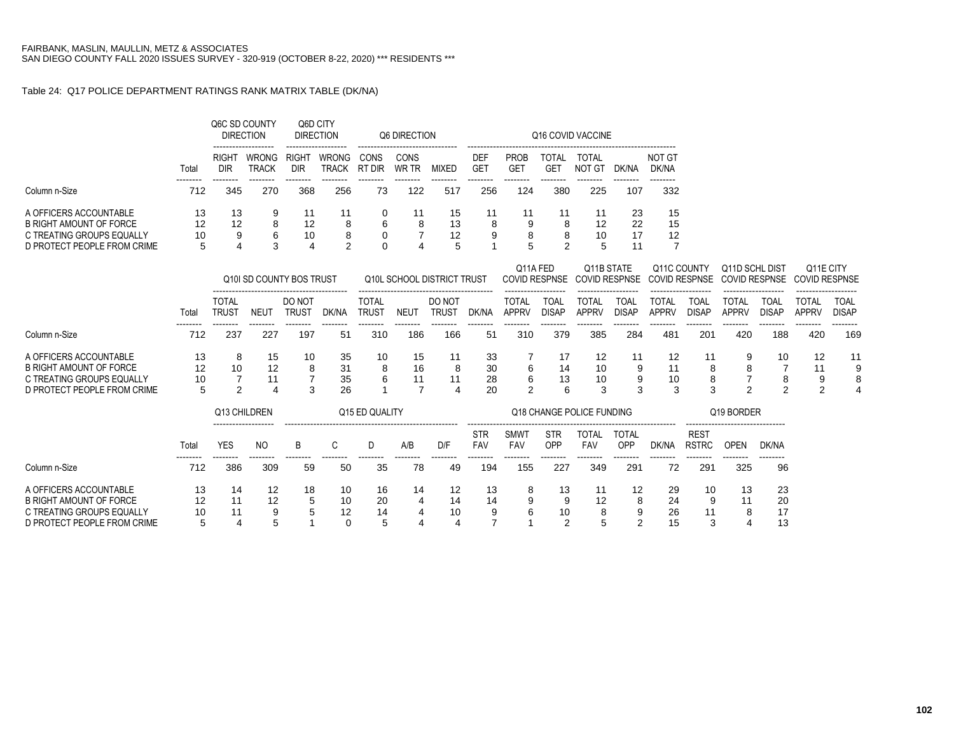### Table 24: Q17 POLICE DEPARTMENT RATINGS RANK MATRIX TABLE (DK/NA)

|                                                                                                                      |                     |                              | Q6C SD COUNTY<br><b>DIRECTION</b> | Q6D CITY                                | <b>DIRECTION</b>               |                              | Q6 DIRECTION                     |                                         |                                 |                              |                                  | Q16 COVID VACCINE                  |                                |                                  |                                     |                                        |                                |                                   |                             |
|----------------------------------------------------------------------------------------------------------------------|---------------------|------------------------------|-----------------------------------|-----------------------------------------|--------------------------------|------------------------------|----------------------------------|-----------------------------------------|---------------------------------|------------------------------|----------------------------------|------------------------------------|--------------------------------|----------------------------------|-------------------------------------|----------------------------------------|--------------------------------|-----------------------------------|-----------------------------|
|                                                                                                                      | Total               | <b>RIGHT</b><br><b>DIR</b>   | <b>WRONG</b><br><b>TRACK</b>      | <b>RIGHT</b><br><b>DIR</b>              | <b>WRONG</b><br><b>TRACK</b>   | CONS<br><b>RT DIR</b>        | CONS<br>WR TR                    | <b>MIXED</b>                            | <b>DEF</b><br><b>GET</b>        | <b>PROB</b><br><b>GET</b>    | <b>TOTAL</b><br><b>GET</b>       | TOTAL<br><b>NOT GT</b>             | DK/NA                          | <b>NOT GT</b><br>DK/NA           |                                     |                                        |                                |                                   |                             |
| Column n-Size                                                                                                        | 712                 | 345                          | 270                               | 368                                     | 256                            | 73                           | 122                              | 517                                     | 256                             | 124                          | 380                              | 225                                | 107                            | --------<br>332                  |                                     |                                        |                                |                                   |                             |
| A OFFICERS ACCOUNTABLE<br><b>B RIGHT AMOUNT OF FORCE</b><br>C TREATING GROUPS EQUALLY<br>D PROTECT PEOPLE FROM CRIME | 13<br>12<br>10<br>5 | 13<br>12<br>9                | 9<br>8<br>6<br>3                  | 11<br>12<br>10<br>$\boldsymbol{\Delta}$ | 11<br>8<br>8<br>$\overline{2}$ | 0<br>6<br>0<br>$\Omega$      | 11<br>8<br>$\overline{7}$<br>4   | 15<br>13<br>12<br>5                     | 11<br>8<br>9                    | 11<br>8                      | 11<br>8<br>8<br>$\mathfrak{p}$   | 11<br>12<br>10                     | 23<br>22<br>17<br>11           | 15<br>15<br>12<br>$\overline{7}$ |                                     |                                        |                                |                                   |                             |
|                                                                                                                      |                     |                              | Q10I SD COUNTY BOS TRUST          |                                         |                                |                              |                                  | Q10L SCHOOL DISTRICT TRUST              |                                 |                              | Q11A FED<br><b>COVID RESPNSE</b> | Q11B STATE<br><b>COVID RESPNSE</b> |                                |                                  | Q11C COUNTY<br><b>COVID RESPNSE</b> | Q11D SCHL DIST<br><b>COVID RESPNSE</b> |                                | Q11E CITY<br><b>COVID RESPNSE</b> |                             |
|                                                                                                                      | Total               | <b>TOTAL</b><br><b>TRUST</b> | <b>NEUT</b>                       | DO NOT<br><b>TRUST</b>                  | DK/NA                          | <b>TOTAL</b><br><b>TRUST</b> | <b>NEUT</b>                      | DO NOT<br><b>TRUST</b>                  | DK/NA                           | <b>TOTAL</b><br><b>APPRV</b> | <b>TOAL</b><br><b>DISAP</b>      | <b>TOTAL</b><br><b>APPRV</b>       | <b>TOAL</b><br><b>DISAP</b>    | <b>TOTAL</b><br><b>APPRV</b>     | <b>TOAL</b><br><b>DISAP</b>         | <b>TOTAL</b><br><b>APPRV</b>           | <b>TOAL</b><br><b>DISAP</b>    | <b>TOTAL</b><br><b>APPRV</b>      | <b>TOAL</b><br><b>DISAP</b> |
| Column n-Size                                                                                                        | 712                 | 237                          | 227                               | 197                                     | 51                             | 310                          | 186                              | 166                                     | 51                              | 310                          | 379                              | 385                                | 284                            | 481                              | 201                                 | 420                                    | 188                            | 420                               | 169                         |
| A OFFICERS ACCOUNTABLE<br><b>B RIGHT AMOUNT OF FORCE</b><br>C TREATING GROUPS EQUALLY<br>D PROTECT PEOPLE FROM CRIME | 13<br>12<br>10<br>5 | 8<br>10<br>$\mathfrak{p}$    | 15<br>12<br>11<br>$\overline{4}$  | 10<br>8<br>3                            | 35<br>31<br>35<br>26           | 10<br>8<br>6                 | 15<br>16<br>11<br>$\overline{7}$ | 11<br>8<br>11                           | 33<br>30<br>28<br>20            | 6<br>6<br>$\mathfrak{p}$     | 17<br>14<br>13<br>6              | 12<br>10<br>10<br>3                | 11<br>9<br>9<br>3              | 12<br>11<br>10<br>3              | 11<br>8<br>8<br>3                   | 9<br>8<br>$\overline{2}$               | 10<br>7<br>8<br>$\overline{2}$ | 12<br>11<br>9<br>$\overline{2}$   | 11                          |
|                                                                                                                      |                     |                              | Q13 CHILDREN                      |                                         |                                | Q15 ED QUALITY               |                                  |                                         |                                 |                              |                                  | Q18 CHANGE POLICE FUNDING          |                                |                                  |                                     | Q19 BORDER                             |                                |                                   |                             |
|                                                                                                                      | Total               | <b>YES</b>                   | <b>NO</b>                         | B                                       | C                              | D                            | A/B                              | D/F                                     | <b>STR</b><br><b>FAV</b>        | <b>SMWT</b><br>FAV           | <b>STR</b><br>OPP                | <b>TOTAL</b><br>FAV                | <b>TOTAL</b><br>OPP            | DK/NA                            | <b>REST</b><br><b>RSTRC</b>         | <b>OPEN</b>                            | DK/NA                          |                                   |                             |
| Column n-Size                                                                                                        | 712                 | 386                          | 309                               | 59                                      | 50                             | 35                           | 78                               | 49                                      | 194                             | 155                          | 227                              | 349                                | 291                            | 72                               | 291                                 | 325                                    | 96                             |                                   |                             |
| A OFFICERS ACCOUNTABLE<br><b>B RIGHT AMOUNT OF FORCE</b><br>C TREATING GROUPS EQUALLY<br>D PROTECT PEOPLE FROM CRIME | 13<br>12<br>10<br>5 | 14<br>11<br>11<br>4          | 12<br>12<br>9<br>5                | 18<br>5<br>5                            | 10<br>10<br>12<br>$\Omega$     | 16<br>20<br>14<br>5          | 14<br>4<br>4<br>4                | 12<br>14<br>10<br>$\boldsymbol{\Delta}$ | 13<br>14<br>9<br>$\overline{7}$ | 8                            | 13<br>9<br>10<br>$\overline{2}$  | 11<br>12<br>8<br>5                 | 12<br>8<br>9<br>$\overline{2}$ | 29<br>24<br>26<br>15             | 10<br>9<br>11<br>3                  | 13<br>11<br>8                          | 23<br>20<br>17<br>13           |                                   |                             |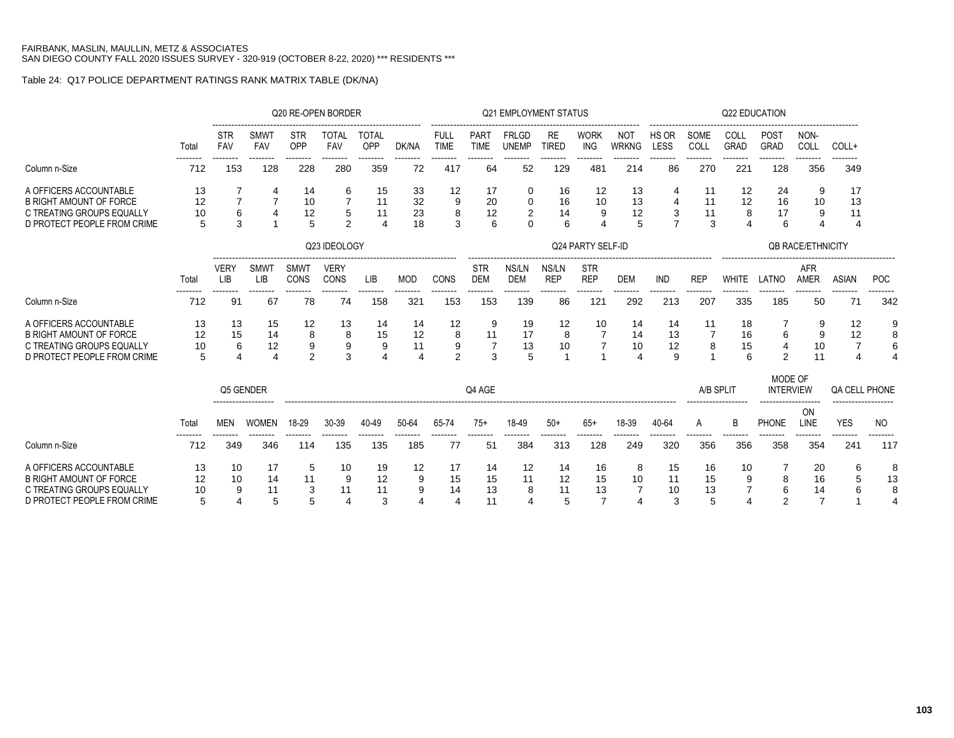# Table 24: Q17 POLICE DEPARTMENT RATINGS RANK MATRIX TABLE (DK/NA)

|                                                             |          |                    |                    | Q20 RE-OPEN BORDER         |                     |                     |                 |                     |                          | <b>Q21 EMPLOYMENT STATUS</b> |                           |                          |                     |                 |                 | Q22 EDUCATION       |                             |                          |                       |                 |
|-------------------------------------------------------------|----------|--------------------|--------------------|----------------------------|---------------------|---------------------|-----------------|---------------------|--------------------------|------------------------------|---------------------------|--------------------------|---------------------|-----------------|-----------------|---------------------|-----------------------------|--------------------------|-----------------------|-----------------|
|                                                             | Total    | STR<br>FAV         | SMWT<br>FAV        | <b>STR</b><br>OPP          | <b>TOTAL</b><br>FAV | <b>TOTAL</b><br>OPP | DK/NA           | FULL<br><b>TIME</b> | PART<br><b>TIME</b>      | <b>FRLGD</b><br><b>UNEMP</b> | <b>RE</b><br><b>TIRED</b> | WORK<br><b>ING</b>       | NOT<br><b>WRKNG</b> | HS OR<br>LESS   | SOME<br>COLL    | COLL<br><b>GRAD</b> | POST<br>GRAD                | NON-<br>COLL             | COLL+                 |                 |
| Column n-Size                                               | 712      | 153                | <br>128            | -------<br>228             | 280                 | .<br>359            | --------<br>72  | -------<br>417      | ------<br>64             | 52                           | 129                       | .<br>481                 | --------<br>214     | <br>86          | 270             | 221                 | --------<br>128             | --------<br>356          | -------<br>349        |                 |
| A OFFICERS ACCOUNTABLE<br><b>B RIGHT AMOUNT OF FORCE</b>    | 13<br>12 |                    | 4                  | 14<br>10                   | 6                   | 15<br>11            | 33<br>32        | 12<br>9             | 17<br>20                 | 0<br>0                       | 16<br>16                  | 12<br>10                 | 13<br>13            | 4               | 11<br>11        | 12<br>12            | 24<br>16                    | 9<br>10                  | 17<br>13              |                 |
| C TREATING GROUPS EQUALLY                                   | 10       | 6                  |                    | 12                         | 5                   | 11                  | 23              | 8                   | 12                       | 2                            | 14                        | 9                        | 12                  | 3               | 11              | 8                   | 17                          | 9                        | 11                    |                 |
| D PROTECT PEOPLE FROM CRIME                                 |          | 3                  |                    | 5                          | 2                   |                     | 18              | 3                   | 6                        | U                            | 6                         |                          | 5                   | $\overline{7}$  | 3               |                     | 6                           | 4                        | $\Delta$              |                 |
|                                                             |          |                    |                    |                            | Q23 IDEOLOGY        |                     |                 |                     |                          |                              |                           | Q24 PARTY SELF-ID        |                     |                 |                 |                     |                             | <b>QB RACE/ETHNICITY</b> |                       |                 |
|                                                             | Total    | <b>VERY</b><br>LIB | <b>SMWT</b><br>LIB | <b>SMWT</b><br><b>CONS</b> | <b>VERY</b><br>CONS | LIB                 | <b>MOD</b>      | CONS                | <b>STR</b><br><b>DEM</b> | NS/LN<br><b>DEM</b>          | NS/LN<br><b>REP</b>       | <b>STR</b><br><b>REP</b> | <b>DEM</b>          | <b>IND</b>      | <b>REP</b>      | <b>WHITE</b>        | LATNO                       | AFR<br>AMER              | <b>ASIAN</b>          | <b>POC</b>      |
| Column n-Size                                               | 712      | 91                 | 67                 | --------<br>78             | --------<br>74      | --------<br>158     | --------<br>321 | --------<br>153     | --------<br>153          | --------<br>139              | 86                        | --------<br>121          | <br>292             | --------<br>213 | --------<br>207 | 335                 | --------<br>185             | --------<br>50           | --------<br>71        | --------<br>342 |
| A OFFICERS ACCOUNTABLE                                      | 13       | 13                 | 15                 | 12                         | 13                  | 14                  | 14              | 12                  | 9                        | 19                           | 12                        | 10                       | 14                  | 14              | 11              | 18                  |                             | 9                        | 12                    | 9               |
| <b>B RIGHT AMOUNT OF FORCE</b><br>C TREATING GROUPS EQUALLY | 12<br>10 | 15<br>6            | 14<br>12           | 8<br>$\boldsymbol{9}$      | 8<br>9              | 15<br>9             | 12<br>11        | 8<br>9              | 11<br>$\overline{7}$     | 17<br>13                     | 8<br>10                   |                          | 14<br>10            | 13<br>12        | 8               | 16<br>15            | 6<br>$\overline{4}$         | 9<br>10                  | 12<br>$\overline{7}$  | 8<br>6          |
| D PROTECT PEOPLE FROM CRIME                                 | 5        | 4                  | Δ                  | $\overline{2}$             | 3                   |                     | 4               | $\mathfrak{p}$      | 3                        | 5                            |                           |                          | 4                   | 9               |                 | 6                   | 2                           | 11                       | $\boldsymbol{\Delta}$ | $\overline{4}$  |
|                                                             |          | Q5 GENDER          |                    |                            |                     |                     |                 |                     | Q4 AGE                   |                              |                           |                          |                     |                 | A/B SPLIT       |                     | MODE OF<br><b>INTERVIEW</b> |                          | QA CELL PHONE         |                 |
|                                                             | Total    | <b>MEN</b>         | <b>WOMEN</b>       | 18-29                      | 30-39               | 40-49               | 50-64           | 65-74               | $75+$                    | 18-49                        | $50+$                     | $65+$                    | 18-39               | 40-64           | A               | B                   | <b>PHONE</b>                | ON<br>LINE               | <b>YES</b>            | <b>NO</b>       |
| Column n-Size                                               | 712      | 349                | 346                | 114                        | 135                 | 135                 | 185             | 77                  | 51                       | 384                          | 313                       | 128                      | 249                 | 320             | 356             | 356                 | 358                         | 354                      | 241                   | 117             |
| A OFFICERS ACCOUNTABLE                                      | 13       | 10                 | 17                 | 5                          | 10                  | 19                  | 12              | 17                  | 14                       | 12                           | 14                        | 16                       | 8                   | 15              | 16              | 10                  |                             | 20                       | 6                     | 8               |
| <b>B RIGHT AMOUNT OF FORCE</b><br>C TREATING GROUPS EQUALLY | 12<br>10 | 10<br>9            | 14<br>11           | 11<br>3                    | 9<br>11             | 12<br>11            | 9<br>9          | 15<br>14            | 15<br>13                 | 11<br>8                      | 12<br>11                  | 15<br>13                 | 10                  | 11<br>10        | 15<br>13        | 9                   | 8<br>6                      | 16<br>14                 |                       | 13<br>8         |
| D PROTECT PEOPLE FROM CRIME                                 | 5        | 4                  | 5                  | 5                          | 4                   | 3                   | 4               | $\overline{4}$      | 11                       |                              | 5                         | 7                        | $\overline{4}$      | 3               | 5               |                     | 2                           | 7                        |                       |                 |